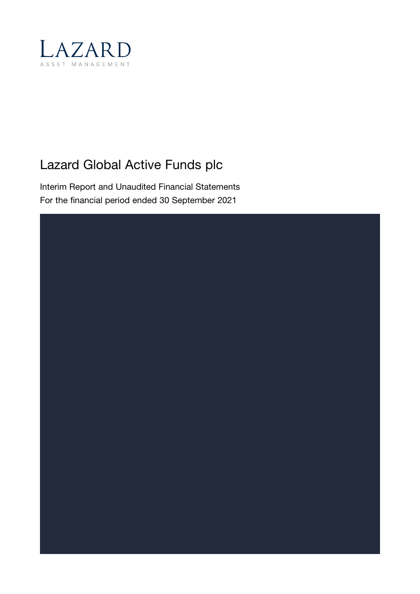

# Lazard Global Active Funds plc

Interim Report and Unaudited Financial Statements For the financial period ended 30 September 2021

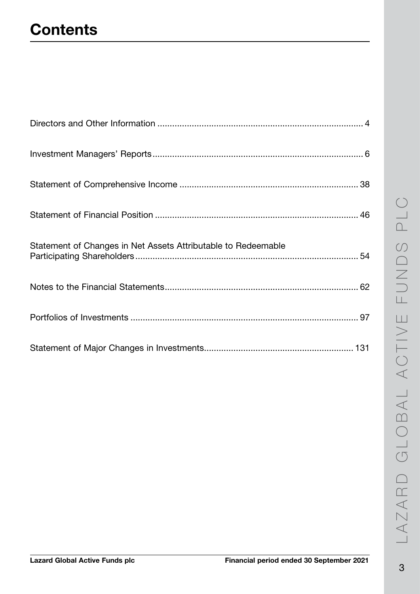# **Contents**

| Statement of Changes in Net Assets Attributable to Redeemable |
|---------------------------------------------------------------|
|                                                               |
|                                                               |
|                                                               |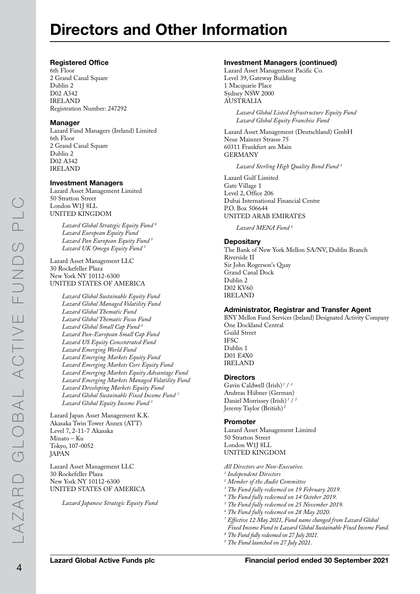# Directors and Other Information

#### Registered Office

6th Floor 2 Grand Canal Square Dublin 2 D02 A342 IRELAND Registration Number: 247292

#### Manager

Lazard Fund Managers (Ireland) Limited 6th Floor 2 Grand Canal Square Dublin 2 D02 A342 IRELAND

#### Investment Managers

Lazard Asset Management Limited 50 Stratton Street London W1J 8LL UNITED KINGDOM

> *Lazard Global Strategic Equity Fund <sup>8</sup> Lazard European Equity Fund Lazard Pan European Equity Fund <sup>5</sup> Lazard UK Omega Equity Fund <sup>5</sup>*

Lazard Asset Management LLC 30 Rockefeller Plaza New York NY 10112-6300 UNITED STATES OF AMERICA

> *Lazard Global Sustainable Equity Fund Lazard Global Managed Volatility Fund Lazard Global Thematic Fund Lazard Global Thematic Focus Fund Lazard Global Small Cap Fund 9 Lazard Pan-European Small Cap Fund Lazard US Equity Concentrated Fund Lazard Emerging World Fund Lazard Emerging Markets Equity Fund Lazard Emerging Markets Core Equity Fund Lazard Emerging Markets Equity Advantage Fund Lazard Emerging Markets Managed Volatility Fund Lazard Developing Markets Equity Fund Lazard Global Sustainable Fixed Income Fund <sup>7</sup> Lazard Global Equity Income Fund <sup>3</sup>*

Lazard Japan Asset Management K.K. Akasaka Twin Tower Annex (ATT) Level 7, 2-11-7 Akasaka Minato – Ku Tokyo, 107-0052 JAPAN

Lazard Asset Management LLC 30 Rockefeller Plaza New York NY 10112-6300 UNITED STATES OF AMERICA

*Lazard Japanese Strategic Equity Fund*

#### Investment Managers (continued)

Lazard Asset Management Pacific Co. Level 39, Gateway Building 1 Macquarie Place Sydney NSW 2000 AUSTRALIA

*Lazard Global Listed Infrastructure Equity Fund Lazard Global Equity Franchise Fund*

Lazard Asset Management (Deutschland) GmbH Neue Mainzer Strasse 75 60311 Frankfurt am Main GERMANY

*Lazard Sterling High Quality Bond Fund <sup>4</sup>*

Lazard Gulf Limited Gate Village 1 Level 2, Office 206 Dubai International Financial Centre P.O. Box 506644 UNITED ARAB EMIRATES

*Lazard MENA Fund <sup>6</sup>*

#### **Depositary**

The Bank of New York Mellon SA/NV, Dublin Branch Riverside II Sir John Rogerson's Quay Grand Canal Dock Dublin 2 D02 KV60 IRELAND

#### Administrator, Registrar and Transfer Agent

BNY Mellon Fund Services (Ireland) Designated Activity Company One Dockland Central Guild Street IFSC Dublin 1 D01 E4X0 IRELAND

#### **Directors**

Gavin Caldwell (Irish) *<sup>1</sup>* / *<sup>2</sup>* Andreas Hübner (German) Daniel Morrissey (Irish) *<sup>1</sup>* / *<sup>2</sup>* Jeremy Taylor (British) *<sup>2</sup>*

#### Promoter

Lazard Asset Management Limited 50 Stratton Street London W1J 8LL UNITED KINGDOM

*All Directors are Non-Executive.*

- *1 Independent Directors*
- *2 Member of the Audit Committee*
- *<sup>3</sup> The Fund fully redeemed on 19 February 2019.*
- *<sup>4</sup> The Fund fully redeemed on 14 October 2019.*
- *<sup>5</sup> The Fund fully redeemed on 25 November 2019.*
- *<sup>6</sup> The Fund fully redeemed on 28 May 2020.*
- *<sup>7</sup> Effective 12 May 2021, Fund name changed from Lazard Global Fixed Income Fund to Lazard Global Sustainable Fixed Income Fund.*
- *<sup>8</sup> The Fund fully redeemed on 27 July 2021.*
- *<sup>9</sup> The Fund launched on 27 July 2021.*

LAZARD GLOBAL ACTIVE FUNDS PLC

LAZARD GLOBAL ACTIVE FUNDS PLC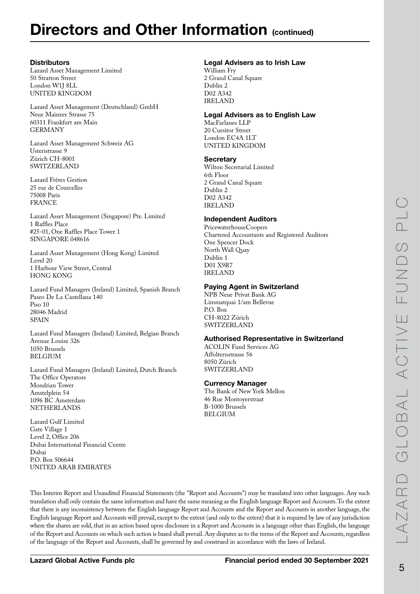# Directors and Other Information (continued)

#### **Distributors**

Lazard Asset Management Limited 50 Stratton Street London W1J 8LL UNITED KINGDOM

Lazard Asset Management (Deutschland) GmbH Neue Mainzer Strasse 75 60311 Frankfurt am Main GERMANY

Lazard Asset Management Schweiz AG Usteristrasse 9 Zürich CH-8001 SWITZERLAND

Lazard Frères Gestion 25 rue de Courcelles 75008 Paris FRANCE

Lazard Asset Management (Singapore) Pte. Limited 1 Raffles Place #25-01, One Raffles Place Tower 1 SINGAPORE 048616

Lazard Asset Management (Hong Kong) Limited Level 20 1 Harbour View Street, Central HONG KONG

Lazard Fund Managers (Ireland) Limited, Spanish Branch Paseo De La Castellana 140 Piso 10 28046 Madrid SPAIN

Lazard Fund Managers (Ireland) Limited, Belgian Branch Avenue Louise 326 1050 Brussels **BELGIUM** 

Lazard Fund Managers (Ireland) Limited, Dutch Branch The Office Operators Mondrian Tower Amstelplein 54 1096 BC Amsterdam **NETHERLANDS** 

Lazard Gulf Limited Gate Village 1 Level 2, Office 206 Dubai International Financial Centre Dubai P.O. Box 506644 UNITED ARAB EMIRATES

#### Legal Advisers as to Irish Law

William Fry 2 Grand Canal Square Dublin 2 D02 A342 IRELAND

#### Legal Advisers as to English Law

MacFarlanes LLP 20 Cursitor Street London EC4A 1LT UNITED KINGDOM

#### **Secretary**

Wilton Secretarial Limited 6th Floor 2 Grand Canal Square Dublin 2 D02 A342 IRELAND

#### Independent Auditors

PricewaterhouseCoopers Chartered Accountants and Registered Auditors One Spencer Dock North Wall Quay Dublin 1 D01 X9R7 IRELAND

#### Paying Agent in Switzerland

NPB Neue Privat Bank AG Limmatquai 1/am Bellevue P.O. Box CH-8022 Zürich SWITZERLAND

#### Authorised Representative in Switzerland

ACOLIN Fund Services AG Affolternstrasse 56 8050 Zürich SWITZERLAND

#### Currency Manager

The Bank of New York Mellon 46 Rue Montoyerstraat B-1000 Brussels **BELGIUM** 

This Interim Report and Unaudited Financial Statements (the "Report and Accounts") may be translated into other languages. Any such translation shall only contain the same information and have the same meaning as the English language Report and Accounts. To the extent that there is any inconsistency between the English language Report and Accounts and the Report and Accounts in another language, the English language Report and Accounts will prevail, except to the extent (and only to the extent) that it is required by law of any jurisdiction where the shares are sold, that in an action based upon disclosure in a Report and Accounts in a language other than English, the language of the Report and Accounts on which such action is based shall prevail. Any disputes as to the terms of the Report and Accounts, regardless of the language of the Report and Accounts, shall be governed by and construed in accordance with the laws of Ireland.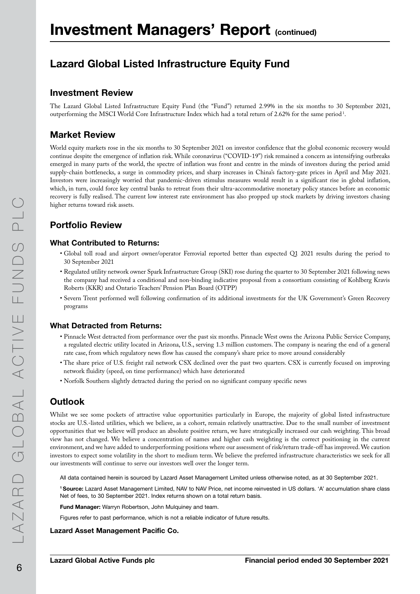# Investment Managers' Report (continued)

## Lazard Global Listed Infrastructure Equity Fund

#### Investment Review

The Lazard Global Listed Infrastructure Equity Fund (the "Fund") returned 2.99% in the six months to 30 September 2021, outperforming the MSCI World Core Infrastructure Index which had a total return of 2.62% for the same period  $^{1}$ .

### Market Review

World equity markets rose in the six months to 30 September 2021 on investor confidence that the global economic recovery would continue despite the emergence of inflation risk. While coronavirus ("COVID-19") risk remained a concern as intensifying outbreaks emerged in many parts of the world, the spectre of inflation was front and centre in the minds of investors during the period amid supply-chain bottlenecks, a surge in commodity prices, and sharp increases in China's factory-gate prices in April and May 2021. Investors were increasingly worried that pandemic-driven stimulus measures would result in a significant rise in global inflation, which, in turn, could force key central banks to retreat from their ultra-accommodative monetary policy stances before an economic recovery is fully realised. The current low interest rate environment has also propped up stock markets by driving investors chasing higher returns toward risk assets.

### Portfolio Review

#### What Contributed to Returns:

- Global toll road and airport owner/operator Ferrovial reported better than expected Q1 2021 results during the period to 30 September 2021
- Regulated utility network owner Spark Infrastructure Group (SKI) rose during the quarter to 30 September 2021 following news the company had received a conditional and non-binding indicative proposal from a consortium consisting of Kohlberg Kravis Roberts (KKR) and Ontario Teachers' Pension Plan Board (OTPP)
- Severn Trent performed well following confirmation of its additional investments for the UK Government's Green Recovery programs

#### What Detracted from Returns:

- Pinnacle West detracted from performance over the past six months. Pinnacle West owns the Arizona Public Service Company, a regulated electric utility located in Arizona, U.S., serving 1.3 million customers. The company is nearing the end of a general rate case, from which regulatory news flow has caused the company's share price to move around considerably
- The share price of U.S. freight rail network CSX declined over the past two quarters. CSX is currently focused on improving network fluidity (speed, on time performance) which have deteriorated
- Norfolk Southern slightly detracted during the period on no significant company specific news

### **Outlook**

Whilst we see some pockets of attractive value opportunities particularly in Europe, the majority of global listed infrastructure stocks are U.S.-listed utilities, which we believe, as a cohort, remain relatively unattractive. Due to the small number of investment opportunities that we believe will produce an absolute positive return, we have strategically increased our cash weighting. This broad view has not changed. We believe a concentration of names and higher cash weighting is the correct positioning in the current environment, and we have added to underperforming positions where our assessment of risk/return trade-off has improved. We caution investors to expect some volatility in the short to medium term. We believe the preferred infrastructure characteristics we seek for all our investments will continue to serve our investors well over the longer term.

All data contained herein is sourced by Lazard Asset Management Limited unless otherwise noted, as at 30 September 2021.

1 Source: Lazard Asset Management Limited, NAV to NAV Price, net income reinvested in US dollars. 'A' accumulation share class Net of fees, to 30 September 2021. Index returns shown on a total return basis.

Fund Manager: Warryn Robertson, John Mulquiney and team.

Figures refer to past performance, which is not a reliable indicator of future results.

#### Lazard Asset Management Pacific Co.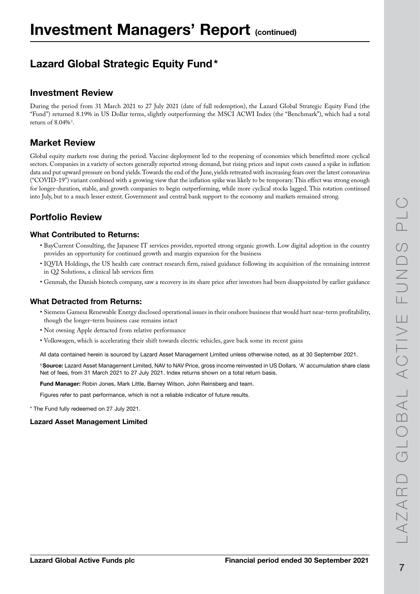## Lazard Global Strategic Equity Fund\*

### Investment Review

During the period from 31 March 2021 to 27 July 2021 (date of full redemption), the Lazard Global Strategic Equity Fund (the "Fund") returned 8.19% in US Dollar terms, slightly outperforming the MSCI ACWI Index (the "Benchmark"), which had a total return of  $8.04\%$ <sup>1</sup>.

### Market Review

Global equity markets rose during the period. Vaccine deployment led to the reopening of economies which benefitted more cyclical sectors. Companies in a variety of sectors generally reported strong demand, but rising prices and input costs caused a spike in inflation data and put upward pressure on bond yields. Towards the end of the June, yields retreated with increasing fears over the latest coronavirus ("COVID-19") variant combined with a growing view that the inflation spike was likely to be temporary. This effect was strong enough for longer-duration, stable, and growth companies to begin outperforming, while more cyclical stocks lagged. This rotation continued into July, but to a much lesser extent. Government and central bank support to the economy and markets remained strong.

### Portfolio Review

#### What Contributed to Returns:

- BayCurrent Consulting, the Japanese IT services provider, reported strong organic growth. Low digital adoption in the country provides an opportunity for continued growth and margin expansion for the business
- IQVIA Holdings, the US health care contract research firm, raised guidance following its acquisition of the remaining interest in Q2 Solutions, a clinical lab services firm
- Genmab, the Danish biotech company, saw a recovery in its share price after investors had been disappointed by earlier guidance

#### What Detracted from Returns:

- Siemens Gamesa Renewable Energy disclosed operational issues in their onshore business that would hurt near-term profitability, though the longer-term business case remains intact
- Not owning Apple detracted from relative performance
- Volkswagen, which is accelerating their shift towards electric vehicles, gave back some its recent gains

All data contained herein is sourced by Lazard Asset Management Limited unless otherwise noted, as at 30 September 2021.

1 Source: Lazard Asset Management Limited, NAV to NAV Price, gross income reinvested in US Dollars, 'A' accumulation share class Net of fees, from 31 March 2021 to 27 July 2021. Index returns shown on a total return basis.

Fund Manager: Robin Jones, Mark Little, Barney Wilson, John Reinsberg and team.

Figures refer to past performance, which is not a reliable indicator of future results.

\* The Fund fully redeemed on 27 July 2021.

#### Lazard Asset Management Limited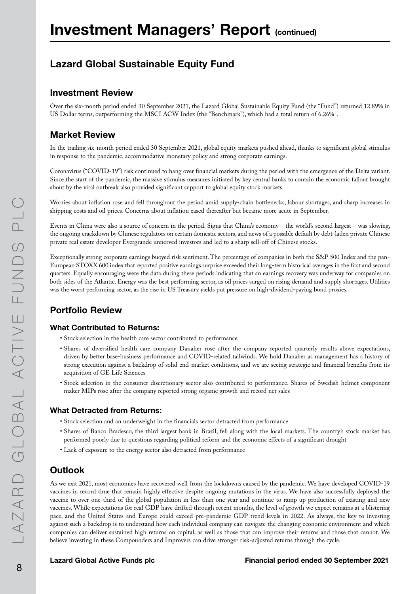## Lazard Global Sustainable Equity Fund

#### Investment Review

Over the six-month period ended 30 September 2021, the Lazard Global Sustainable Equity Fund (the "Fund") returned 12.89% in US Dollar terms, outperforming the MSCI ACW Index (the "Benchmark"), which had a total return of 6.26%<sup>1</sup>.

### Market Review

In the trailing six-month period ended 30 September 2021, global equity markets pushed ahead, thanks to significant global stimulus in response to the pandemic, accommodative monetary policy and strong corporate earnings.

Coronavirus ("COVID-19") risk continued to hang over financial markets during the period with the emergence of the Delta variant. Since the start of the pandemic, the massive stimulus measures initiated by key central banks to contain the economic fallout brought about by the viral outbreak also provided significant support to global equity stock markets.

Worries about inflation rose and fell throughout the period amid supply-chain bottlenecks, labour shortages, and sharp increases in shipping costs and oil prices. Concerns about inflation eased thereafter but became more acute in September.

Events in China were also a source of concern in the period. Signs that China's economy – the world's second largest – was slowing, the ongoing crackdown by Chinese regulators on certain domestic sectors, and news of a possible default by debt-laden private Chinese private real estate developer Evergrande unnerved investors and led to a sharp sell-off of Chinese stocks.

Exceptionally strong corporate earnings buoyed risk sentiment. The percentage of companies in both the S&P 500 Index and the pan-European STOXX 600 index that reported positive earnings surprise exceeded their long-term historical averages in the first and second quarters. Equally encouraging were the data during these periods indicating that an earnings recovery was underway for companies on both sides of the Atlantic. Energy was the best performing sector, as oil prices surged on rising demand and supply shortages. Utilities was the worst performing sector, as the rise in US Treasury yields put pressure on high-dividend-paying bond proxies.

### Portfolio Review

#### What Contributed to Returns:

- Stock selection in the health care sector contributed to performance
- Shares of diversified health care company Danaher rose after the company reported quarterly results above expectations, driven by better base-business performance and COVID-related tailwinds. We hold Danaher as management has a history of strong execution against a backdrop of solid end-market conditions, and we are seeing strategic and financial benefits from its acquisition of GE Life Sciences
- Stock selection in the consumer discretionary sector also contributed to performance. Shares of Swedish helmet component maker MIPs rose after the company reported strong organic growth and record net sales

#### What Detracted from Returns:

- Stock selection and an underweight in the financials sector detracted from performance
- Shares of Banco Bradesco, the third largest bank in Brazil, fell along with the local markets. The country's stock market has performed poorly due to questions regarding political reform and the economic effects of a significant drought
- Lack of exposure to the energy sector also detracted from performance

### **Outlook**

As we exit 2021, most economies have recovered well from the lockdowns caused by the pandemic. We have developed COVID-19 vaccines in record time that remain highly effective despite ongoing mutations in the virus. We have also successfully deployed the vaccine to over one-third of the global population in less than one year and continue to ramp up production of existing and new vaccines. While expectations for real GDP have drifted through recent months, the level of growth we expect remains at a blistering pace, and the United States and Europe could exceed pre-pandemic GDP trend levels in 2022. As always, the key to investing against such a backdrop is to understand how each individual company can navigate the changing economic environment and which companies can deliver sustained high returns on capital, as well as those that can improve their returns and those that cannot. We believe investing in these Compounders and Improvers can drive stronger risk-adjusted returns through the cycle.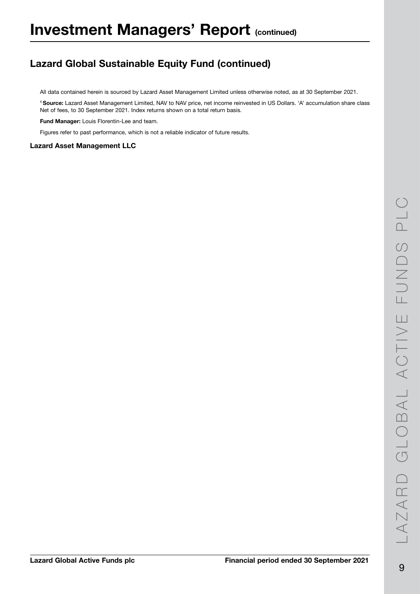## Lazard Global Sustainable Equity Fund (continued)

All data contained herein is sourced by Lazard Asset Management Limited unless otherwise noted, as at 30 September 2021.

1 Source: Lazard Asset Management Limited, NAV to NAV price, net income reinvested in US Dollars. 'A' accumulation share class Net of fees, to 30 September 2021. Index returns shown on a total return basis.

Fund Manager: Louis Florentin-Lee and team.

Figures refer to past performance, which is not a reliable indicator of future results.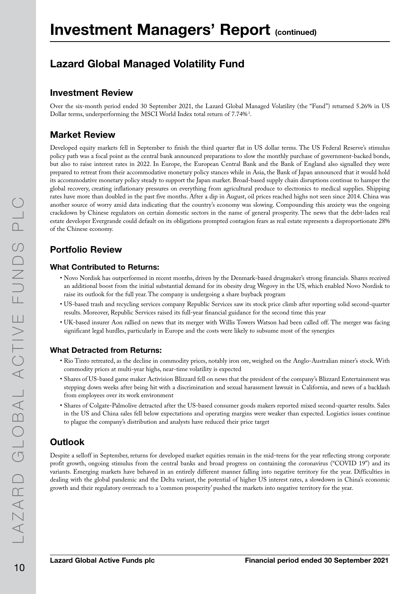## Lazard Global Managed Volatility Fund

#### Investment Review

Over the six-month period ended 30 September 2021, the Lazard Global Managed Volatility (the "Fund") returned 5.26% in US Dollar terms, underperforming the MSCI World Index total return of  $7.74\%$ <sup>1</sup>.

### Market Review

Developed equity markets fell in September to finish the third quarter flat in US dollar terms. The US Federal Reserve's stimulus policy path was a focal point as the central bank announced preparations to slow the monthly purchase of government-backed bonds, but also to raise interest rates in 2022. In Europe, the European Central Bank and the Bank of England also signalled they were prepared to retreat from their accommodative monetary policy stances while in Asia, the Bank of Japan announced that it would hold its accommodative monetary policy steady to support the Japan market. Broad-based supply chain disruptions continue to hamper the global recovery, creating inflationary pressures on everything from agricultural produce to electronics to medical supplies. Shipping rates have more than doubled in the past five months. After a dip in August, oil prices reached highs not seen since 2014. China was another source of worry amid data indicating that the country's economy was slowing. Compounding this anxiety was the ongoing crackdown by Chinese regulators on certain domestic sectors in the name of general prosperity. The news that the debt-laden real estate developer Evergrande could default on its obligations prompted contagion fears as real estate represents a disproportionate 28% of the Chinese economy.

### Portfolio Review

#### What Contributed to Returns:

- Novo Nordisk has outperformed in recent months, driven by the Denmark-based drugmaker's strong financials. Shares received an additional boost from the initial substantial demand for its obesity drug Wegovy in the US, which enabled Novo Nordisk to raise its outlook for the full year. The company is undergoing a share buyback program
- US-based trash and recycling services company Republic Services saw its stock price climb after reporting solid second-quarter results. Moreover, Republic Services raised its full-year financial guidance for the second time this year
- UK-based insurer Aon rallied on news that its merger with Willis Towers Watson had been called off. The merger was facing significant legal hurdles, particularly in Europe and the costs were likely to subsume most of the synergies

#### What Detracted from Returns:

- Rio Tinto retreated, as the decline in commodity prices, notably iron ore, weighed on the Anglo-Australian miner's stock. With commodity prices at multi-year highs, near-time volatility is expected
- Shares of US-based game maker Activision Blizzard fell on news that the president of the company's Blizzard Entertainment was stepping down weeks after being hit with a discrimination and sexual harassment lawsuit in California, and news of a backlash from employees over its work environment
- Shares of Colgate-Palmolive detracted after the US-based consumer goods makers reported mixed second-quarter results. Sales in the US and China sales fell below expectations and operating margins were weaker than expected. Logistics issues continue to plague the company's distribution and analysts have reduced their price target

### Outlook

Despite a selloff in September, returns for developed market equities remain in the mid-teens for the year reflecting strong corporate profit growth, ongoing stimulus from the central banks and broad progress on containing the coronavirus ("COVID 19") and its variants. Emerging markets have behaved in an entirely different manner falling into negative territory for the year. Difficulties in dealing with the global pandemic and the Delta variant, the potential of higher US interest rates, a slowdown in China's economic growth and their regulatory overreach to a 'common prosperity' pushed the markets into negative territory for the year.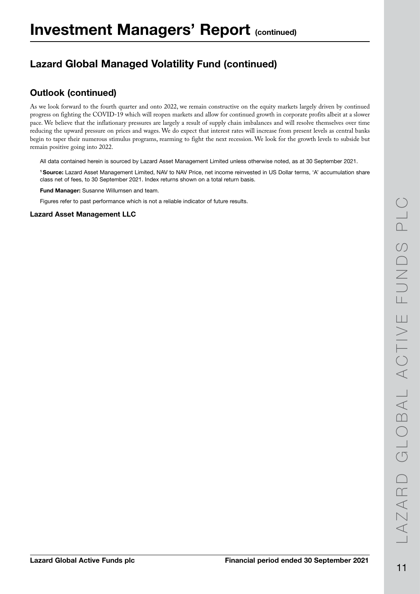## Lazard Global Managed Volatility Fund (continued)

### Outlook (continued)

As we look forward to the fourth quarter and onto 2022, we remain constructive on the equity markets largely driven by continued progress on fighting the COVID-19 which will reopen markets and allow for continued growth in corporate profits albeit at a slower pace. We believe that the inflationary pressures are largely a result of supply chain imbalances and will resolve themselves over time reducing the upward pressure on prices and wages. We do expect that interest rates will increase from present levels as central banks begin to taper their numerous stimulus programs, rearming to fight the next recession. We look for the growth levels to subside but remain positive going into 2022.

All data contained herein is sourced by Lazard Asset Management Limited unless otherwise noted, as at 30 September 2021.

1 Source: Lazard Asset Management Limited, NAV to NAV Price, net income reinvested in US Dollar terms, 'A' accumulation share class net of fees, to 30 September 2021. Index returns shown on a total return basis.

Fund Manager: Susanne Willumsen and team.

Figures refer to past performance which is not a reliable indicator of future results.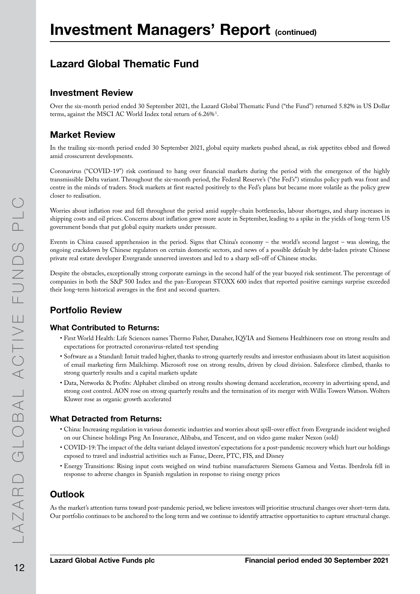## Lazard Global Thematic Fund

### Investment Review

Over the six-month period ended 30 September 2021, the Lazard Global Thematic Fund ("the Fund") returned 5.82% in US Dollar terms, against the MSCI AC World Index total return of  $6.26\%$ <sup>1</sup>.

### Market Review

In the trailing six-month period ended 30 September 2021, global equity markets pushed ahead, as risk appetites ebbed and flowed amid crosscurrent developments.

Coronavirus ("COVID-19") risk continued to hang over financial markets during the period with the emergence of the highly transmissible Delta variant. Throughout the six-month period, the Federal Reserve's ("the Fed's") stimulus policy path was front and centre in the minds of traders. Stock markets at first reacted positively to the Fed's plans but became more volatile as the policy grew closer to realisation.

Worries about inflation rose and fell throughout the period amid supply-chain bottlenecks, labour shortages, and sharp increases in shipping costs and oil prices. Concerns about inflation grew more acute in September, leading to a spike in the yields of long-term US government bonds that put global equity markets under pressure.

Events in China caused apprehension in the period. Signs that China's economy – the world's second largest – was slowing, the ongoing crackdown by Chinese regulators on certain domestic sectors, and news of a possible default by debt-laden private Chinese private real estate developer Evergrande unnerved investors and led to a sharp sell-off of Chinese stocks.

Despite the obstacles, exceptionally strong corporate earnings in the second half of the year buoyed risk sentiment. The percentage of companies in both the S&P 500 Index and the pan-European STOXX 600 index that reported positive earnings surprise exceeded their long-term historical averages in the first and second quarters.

### Portfolio Review

#### What Contributed to Returns:

- First World Health: Life Sciences names Thermo Fisher, Danaher, IQVIA and Siemens Healthineers rose on strong results and expectations for protracted coronavirus-related test spending
- Software as a Standard: Intuit traded higher, thanks to strong quarterly results and investor enthusiasm about its latest acquisition of email marketing firm Mailchimp. Microsoft rose on strong results, driven by cloud division. Salesforce climbed, thanks to strong quarterly results and a capital markets update
- Data, Networks & Profits: Alphabet climbed on strong results showing demand acceleration, recovery in advertising spend, and strong cost control. AON rose on strong quarterly results and the termination of its merger with Willis Towers Watson. Wolters Kluwer rose as organic growth accelerated

#### What Detracted from Returns:

- China: Increasing regulation in various domestic industries and worries about spill-over effect from Evergrande incident weighed on our Chinese holdings Ping An Insurance, Alibaba, and Tencent, and on video game maker Nexon (sold)
- COVID-19: The impact of the delta variant delayed investors' expectations for a post-pandemic recovery which hurt our holdings exposed to travel and industrial activities such as Fanuc, Deere, PTC, FIS, and Disney
- Energy Transitions: Rising input costs weighed on wind turbine manufacturers Siemens Gamesa and Vestas. Iberdrola fell in response to adverse changes in Spanish regulation in response to rising energy prices

### **Outlook**

As the market's attention turns toward post-pandemic period, we believe investors will prioritise structural changes over short-term data. Our portfolio continues to be anchored to the long term and we continue to identify attractive opportunities to capture structural change.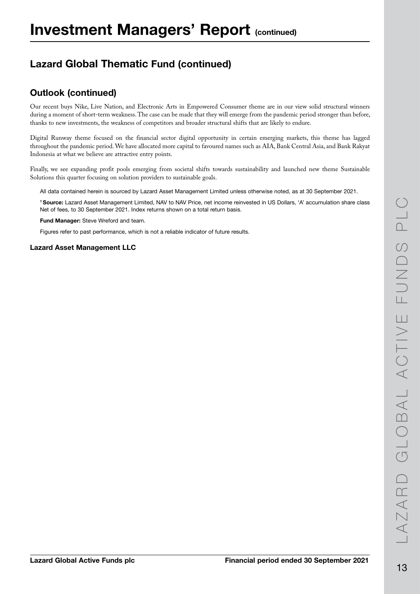## Lazard Global Thematic Fund (continued)

### Outlook (continued)

Our recent buys Nike, Live Nation, and Electronic Arts in Empowered Consumer theme are in our view solid structural winners during a moment of short-term weakness. The case can be made that they will emerge from the pandemic period stronger than before, thanks to new investments, the weakness of competitors and broader structural shifts that are likely to endure.

Digital Runway theme focused on the financial sector digital opportunity in certain emerging markets, this theme has lagged throughout the pandemic period. We have allocated more capital to favoured names such as AIA, Bank Central Asia, and Bank Rakyat Indonesia at what we believe are attractive entry points.

Finally, we see expanding profit pools emerging from societal shifts towards sustainability and launched new theme Sustainable Solutions this quarter focusing on solution providers to sustainable goals.

All data contained herein is sourced by Lazard Asset Management Limited unless otherwise noted, as at 30 September 2021.

1 Source: Lazard Asset Management Limited, NAV to NAV Price, net income reinvested in US Dollars, 'A' accumulation share class Net of fees, to 30 September 2021. Index returns shown on a total return basis.

Fund Manager: Steve Wreford and team.

Figures refer to past performance, which is not a reliable indicator of future results.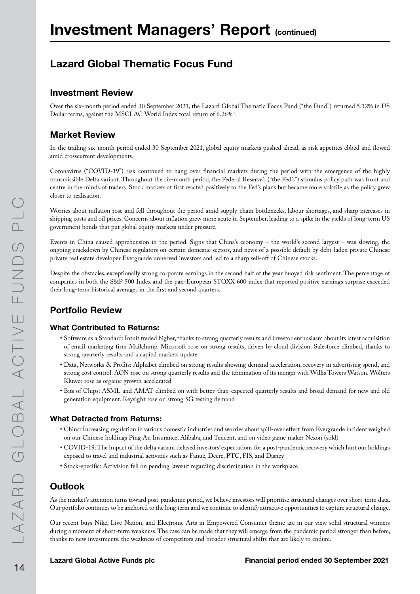## Lazard Global Thematic Focus Fund

### Investment Review

Over the six-month period ended 30 September 2021, the Lazard Global Thematic Focus Fund ("the Fund") returned 5.12% in US Dollar terms, against the MSCI AC World Index total return of  $6.26\%$ <sup>1</sup>.

### Market Review

In the trailing six-month period ended 30 September 2021, global equity markets pushed ahead, as risk appetites ebbed and flowed amid crosscurrent developments.

Coronavirus ("COVID-19") risk continued to hang over financial markets during the period with the emergence of the highly transmissible Delta variant. Throughout the six-month period, the Federal Reserve's ("the Fed's") stimulus policy path was front and centre in the minds of traders. Stock markets at first reacted positively to the Fed's plans but became more volatile as the policy grew closer to realisation.

Worries about inflation rose and fell throughout the period amid supply-chain bottlenecks, labour shortages, and sharp increases in shipping costs and oil prices. Concerns about inflation grew more acute in September, leading to a spike in the yields of long-term US government bonds that put global equity markets under pressure.

Events in China caused apprehension in the period. Signs that China's economy – the world's second largest – was slowing, the ongoing crackdown by Chinese regulators on certain domestic sectors, and news of a possible default by debt-laden private Chinese private real estate developer Evergrande unnerved investors and led to a sharp sell-off of Chinese stocks.

Despite the obstacles, exceptionally strong corporate earnings in the second half of the year buoyed risk sentiment. The percentage of companies in both the S&P 500 Index and the pan-European STOXX 600 index that reported positive earnings surprise exceeded their long-term historical averages in the first and second quarters.

### Portfolio Review

#### What Contributed to Returns:

- Software as a Standard: Intuit traded higher, thanks to strong quarterly results and investor enthusiasm about its latest acquisition of email marketing firm Mailchimp. Microsoft rose on strong results, driven by cloud division. Salesforce climbed, thanks to strong quarterly results and a capital markets update
- Data, Networks & Profits: Alphabet climbed on strong results showing demand acceleration, recovery in advertising spend, and strong cost control. AON rose on strong quarterly results and the termination of its merger with Willis Towers Watson. Wolters Kluwer rose as organic growth accelerated
- Bits of Chips: ASML and AMAT climbed on with better-than-expected quarterly results and broad demand for new and old generation equipment. Keysight rose on strong 5G testing demand

#### What Detracted from Returns:

- China: Increasing regulation in various domestic industries and worries about spill-over effect from Evergrande incident weighed on our Chinese holdings Ping An Insurance, Alibaba, and Tencent, and on video game maker Nexon (sold)
- COVID-19: The impact of the delta variant delayed investors' expectations for a post-pandemic recovery which hurt our holdings exposed to travel and industrial activities such as Fanuc, Deere, PTC, FIS, and Disney
- Stock-specific: Activision fell on pending lawsuit regarding discrimination in the workplace

### Outlook

As the market's attention turns toward post-pandemic period, we believe investors will prioritise structural changes over short-term data. Our portfolio continues to be anchored to the long term and we continue to identify attractive opportunities to capture structural change.

Our recent buys Nike, Live Nation, and Electronic Arts in Empowered Consumer theme are in our view solid structural winners during a moment of short-term weakness. The case can be made that they will emerge from the pandemic period stronger than before, thanks to new investments, the weakness of competitors and broader structural shifts that are likely to endure.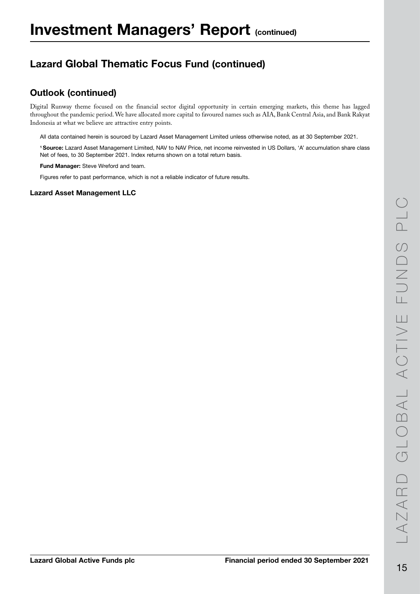## Lazard Global Thematic Focus Fund (continued)

### Outlook (continued)

Digital Runway theme focused on the financial sector digital opportunity in certain emerging markets, this theme has lagged throughout the pandemic period. We have allocated more capital to favoured names such as AIA, Bank Central Asia, and Bank Rakyat Indonesia at what we believe are attractive entry points.

All data contained herein is sourced by Lazard Asset Management Limited unless otherwise noted, as at 30 September 2021.

1 Source: Lazard Asset Management Limited, NAV to NAV Price, net income reinvested in US Dollars, 'A' accumulation share class Net of fees, to 30 September 2021. Index returns shown on a total return basis.

Fund Manager: Steve Wreford and team.

Figures refer to past performance, which is not a reliable indicator of future results.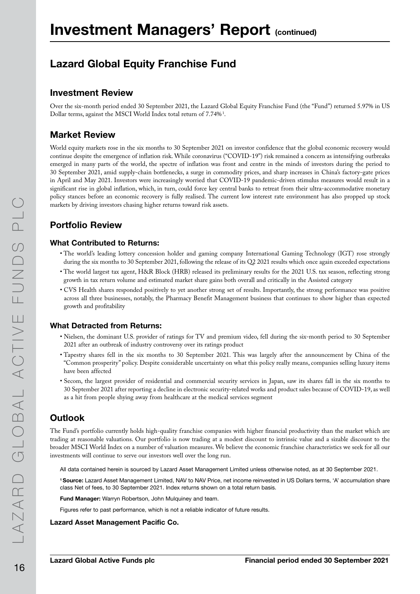## Lazard Global Equity Franchise Fund

#### Investment Review

Over the six-month period ended 30 September 2021, the Lazard Global Equity Franchise Fund (the "Fund") returned 5.97% in US Dollar terms, against the MSCI World Index total return of  $7.74\%$ <sup>1</sup>.

### Market Review

World equity markets rose in the six months to 30 September 2021 on investor confidence that the global economic recovery would continue despite the emergence of inflation risk. While coronavirus ("COVID-19") risk remained a concern as intensifying outbreaks emerged in many parts of the world, the spectre of inflation was front and centre in the minds of investors during the period to 30 September 2021, amid supply-chain bottlenecks, a surge in commodity prices, and sharp increases in China's factory-gate prices in April and May 2021. Investors were increasingly worried that COVID-19 pandemic-driven stimulus measures would result in a significant rise in global inflation, which, in turn, could force key central banks to retreat from their ultra-accommodative monetary policy stances before an economic recovery is fully realised. The current low interest rate environment has also propped up stock markets by driving investors chasing higher returns toward risk assets.

### Portfolio Review

#### What Contributed to Returns:

- The world's leading lottery concession holder and gaming company International Gaming Technology (IGT) rose strongly during the six months to 30 September 2021, following the release of its Q2 2021 results which once again exceeded expectations
- The world largest tax agent, H&R Block (HRB) released its preliminary results for the 2021 U.S. tax season, reflecting strong growth in tax return volume and estimated market share gains both overall and critically in the Assisted category
- CVS Health shares responded positively to yet another strong set of results. Importantly, the strong performance was positive across all three businesses, notably, the Pharmacy Benefit Management business that continues to show higher than expected growth and profitability

#### What Detracted from Returns:

- Nielsen, the dominant U.S. provider of ratings for TV and premium video, fell during the six-month period to 30 September 2021 after an outbreak of industry controversy over its ratings product
- Tapestry shares fell in the six months to 30 September 2021. This was largely after the announcement by China of the "Common prosperity" policy. Despite considerable uncertainty on what this policy really means, companies selling luxury items have been affected
- Secom, the largest provider of residential and commercial security services in Japan, saw its shares fall in the six months to 30 September 2021 after reporting a decline in electronic security-related works and product sales because of COVID-19, as well as a hit from people shying away from healthcare at the medical services segment

### **Outlook**

The Fund's portfolio currently holds high-quality franchise companies with higher financial productivity than the market which are trading at reasonable valuations. Our portfolio is now trading at a modest discount to intrinsic value and a sizable discount to the broader MSCI World Index on a number of valuation measures. We believe the economic franchise characteristics we seek for all our investments will continue to serve our investors well over the long run.

All data contained herein is sourced by Lazard Asset Management Limited unless otherwise noted, as at 30 September 2021.

1 Source: Lazard Asset Management Limited, NAV to NAV Price, net income reinvested in US Dollars terms, 'A' accumulation share class Net of fees, to 30 September 2021. Index returns shown on a total return basis.

Fund Manager: Warryn Robertson, John Mulquiney and team.

Figures refer to past performance, which is not a reliable indicator of future results.

#### Lazard Asset Management Pacific Co.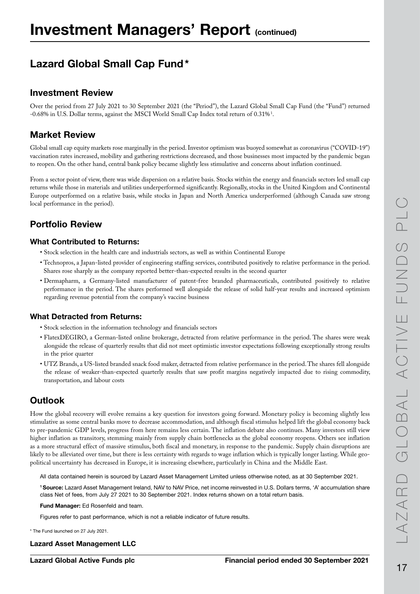## Lazard Global Small Cap Fund\*

### Investment Review

Over the period from 27 July 2021 to 30 September 2021 (the "Period"), the Lazard Global Small Cap Fund (the "Fund") returned -0.68% in U.S. Dollar terms, against the MSCI World Small Cap Index total return of 0.31%  $^1$ .

### Market Review

Global small cap equity markets rose marginally in the period. Investor optimism was buoyed somewhat as coronavirus ("COVID-19") vaccination rates increased, mobility and gathering restrictions decreased, and those businesses most impacted by the pandemic began to reopen. On the other hand, central bank policy became slightly less stimulative and concerns about inflation continued.

From a sector point of view, there was wide dispersion on a relative basis. Stocks within the energy and financials sectors led small cap returns while those in materials and utilities underperformed significantly. Regionally, stocks in the United Kingdom and Continental Europe outperformed on a relative basis, while stocks in Japan and North America underperformed (although Canada saw strong local performance in the period).

### Portfolio Review

#### What Contributed to Returns:

- Stock selection in the health care and industrials sectors, as well as within Continental Europe
- Technopros, a Japan-listed provider of engineering staffing services, contributed positively to relative performance in the period. Shares rose sharply as the company reported better-than-expected results in the second quarter
- Dermapharm, a Germany-listed manufacturer of patent-free branded pharmaceuticals, contributed positively to relative performance in the period. The shares performed well alongside the release of solid half-year results and increased optimism regarding revenue potential from the company's vaccine business

#### What Detracted from Returns:

- Stock selection in the information technology and financials sectors
- FlatexDEGIRO, a German-listed online brokerage, detracted from relative performance in the period. The shares were weak alongside the release of quarterly results that did not meet optimistic investor expectations following exceptionally strong results in the prior quarter
- UTZ Brands, a US-listed branded snack food maker, detracted from relative performance in the period. The shares fell alongside the release of weaker-than-expected quarterly results that saw profit margins negatively impacted due to rising commodity, transportation, and labour costs

### **Outlook**

How the global recovery will evolve remains a key question for investors going forward. Monetary policy is becoming slightly less stimulative as some central banks move to decrease accommodation, and although fiscal stimulus helped lift the global economy back to pre-pandemic GDP levels, progress from here remains less certain. The inflation debate also continues. Many investors still view higher inflation as transitory, stemming mainly from supply chain bottlenecks as the global economy reopens. Others see inflation as a more structural effect of massive stimulus, both fiscal and monetary, in response to the pandemic. Supply chain disruptions are likely to be alleviated over time, but there is less certainty with regards to wage inflation which is typically longer lasting. While geopolitical uncertainty has decreased in Europe, it is increasing elsewhere, particularly in China and the Middle East.

All data contained herein is sourced by Lazard Asset Management Limited unless otherwise noted, as at 30 September 2021.

1 Source: Lazard Asset Management Ireland, NAV to NAV Price, net income reinvested in U.S. Dollars terms, 'A' accumulation share class Net of fees, from July 27 2021 to 30 September 2021. Index returns shown on a total return basis.

Fund Manager: Ed Rosenfeld and team.

Figures refer to past performance, which is not a reliable indicator of future results.

\* The Fund launched on 27 July 2021.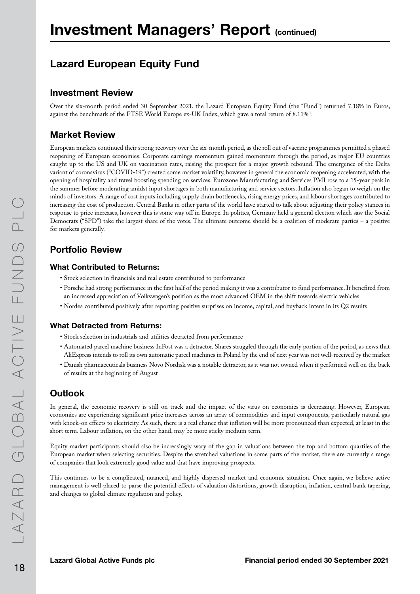## Lazard European Equity Fund

### Investment Review

Over the six-month period ended 30 September 2021, the Lazard European Equity Fund (the "Fund") returned 7.18% in Euros, against the benchmark of the FTSE World Europe ex-UK Index, which gave a total return of  $8.11\%$ <sup>1</sup>.

### Market Review

European markets continued their strong recovery over the six-month period, as the roll out of vaccine programmes permitted a phased reopening of European economies. Corporate earnings momentum gained momentum through the period, as major EU countries caught up to the US and UK on vaccination rates, raising the prospect for a major growth rebound. The emergence of the Delta variant of coronavirus ("COVID-19") created some market volatility, however in general the economic reopening accelerated, with the opening of hospitality and travel boosting spending on services. Eurozone Manufacturing and Services PMI rose to a 15-year peak in the summer before moderating amidst input shortages in both manufacturing and service sectors. Inflation also began to weigh on the minds of investors. A range of cost inputs including supply chain bottlenecks, rising energy prices, and labour shortages contributed to increasing the cost of production. Central Banks in other parts of the world have started to talk about adjusting their policy stances in response to price increases, however this is some way off in Europe. In politics, Germany held a general election which saw the Social Democrats ("SPD") take the largest share of the votes. The ultimate outcome should be a coalition of moderate parties – a positive for markets generally.

### Portfolio Review

#### What Contributed to Returns:

- Stock selection in financials and real estate contributed to performance
- Porsche had strong performance in the first half of the period making it was a contributor to fund performance. It benefited from an increased appreciation of Volkswagen's position as the most advanced OEM in the shift towards electric vehicles
- Nordea contributed positively after reporting positive surprises on income, capital, and buyback intent in its Q2 results

#### What Detracted from Returns:

- Stock selection in industrials and utilities detracted from performance
- Automated parcel machine business InPost was a detractor. Shares struggled through the early portion of the period, as news that AliExpress intends to roll its own automatic parcel machines in Poland by the end of next year was not well-received by the market
- Danish pharmaceuticals business Novo Nordisk was a notable detractor, as it was not owned when it performed well on the back of results at the beginning of August

### **Outlook**

In general, the economic recovery is still on track and the impact of the virus on economies is decreasing. However, European economies are experiencing significant price increases across an array of commodities and input components, particularly natural gas with knock-on effects to electricity. As such, there is a real chance that inflation will be more pronounced than expected, at least in the short term. Labour inflation, on the other hand, may be more sticky medium term.

Equity market participants should also be increasingly wary of the gap in valuations between the top and bottom quartiles of the European market when selecting securities. Despite the stretched valuations in some parts of the market, there are currently a range of companies that look extremely good value and that have improving prospects.

This continues to be a complicated, nuanced, and highly dispersed market and economic situation. Once again, we believe active management is well placed to parse the potential effects of valuation distortions, growth disruption, inflation, central bank tapering, and changes to global climate regulation and policy.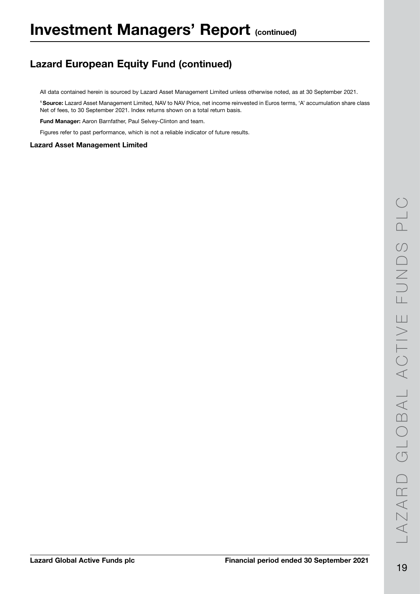## Lazard European Equity Fund (continued)

All data contained herein is sourced by Lazard Asset Management Limited unless otherwise noted, as at 30 September 2021.

1 Source: Lazard Asset Management Limited, NAV to NAV Price, net income reinvested in Euros terms, 'A' accumulation share class Net of fees, to 30 September 2021. Index returns shown on a total return basis.

Fund Manager: Aaron Barnfather, Paul Selvey-Clinton and team.

Figures refer to past performance, which is not a reliable indicator of future results.

#### Lazard Asset Management Limited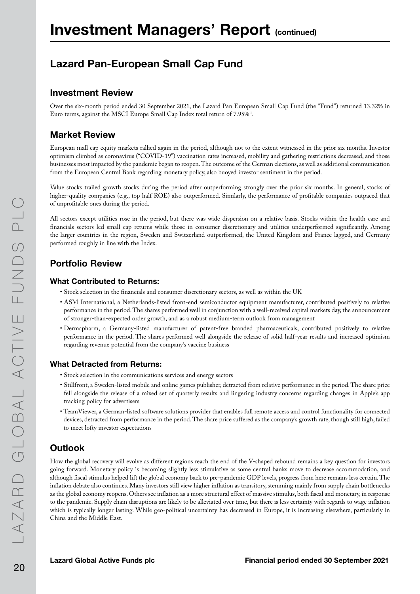## Lazard Pan-European Small Cap Fund

### Investment Review

Over the six-month period ended 30 September 2021, the Lazard Pan European Small Cap Fund (the "Fund") returned 13.32% in Euro terms, against the MSCI Europe Small Cap Index total return of 7.95%1 .

### Market Review

European mall cap equity markets rallied again in the period, although not to the extent witnessed in the prior six months. Investor optimism climbed as coronavirus ("COVID-19") vaccination rates increased, mobility and gathering restrictions decreased, and those businesses most impacted by the pandemic began to reopen. The outcome of the German elections, as well as additional communication from the European Central Bank regarding monetary policy, also buoyed investor sentiment in the period.

Value stocks trailed growth stocks during the period after outperforming strongly over the prior six months. In general, stocks of higher-quality companies (e.g., top half ROE) also outperformed. Similarly, the performance of profitable companies outpaced that of unprofitable ones during the period.

All sectors except utilities rose in the period, but there was wide dispersion on a relative basis. Stocks within the health care and financials sectors led small cap returns while those in consumer discretionary and utilities underperformed significantly. Among the larger countries in the region, Sweden and Switzerland outperformed, the United Kingdom and France lagged, and Germany performed roughly in line with the Index.

### Portfolio Review

#### What Contributed to Returns:

- Stock selection in the financials and consumer discretionary sectors, as well as within the UK
- ASM International, a Netherlands-listed front-end semiconductor equipment manufacturer, contributed positively to relative performance in the period. The shares performed well in conjunction with a well-received capital markets day, the announcement of stronger-than-expected order growth, and as a robust medium-term outlook from management
- Dermapharm, a Germany-listed manufacturer of patent-free branded pharmaceuticals, contributed positively to relative performance in the period. The shares performed well alongside the release of solid half-year results and increased optimism regarding revenue potential from the company's vaccine business

#### What Detracted from Returns:

- Stock selection in the communications services and energy sectors
- Stillfront, a Sweden-listed mobile and online games publisher, detracted from relative performance in the period. The share price fell alongside the release of a mixed set of quarterly results and lingering industry concerns regarding changes in Apple's app tracking policy for advertisers
- TeamViewer, a German-listed software solutions provider that enables full remote access and control functionality for connected devices, detracted from performance in the period. The share price suffered as the company's growth rate, though still high, failed to meet lofty investor expectations

### **Outlook**

How the global recovery will evolve as different regions reach the end of the V-shaped rebound remains a key question for investors going forward. Monetary policy is becoming slightly less stimulative as some central banks move to decrease accommodation, and although fiscal stimulus helped lift the global economy back to pre-pandemic GDP levels, progress from here remains less certain. The inflation debate also continues. Many investors still view higher inflation as transitory, stemming mainly from supply chain bottlenecks as the global economy reopens. Others see inflation as a more structural effect of massive stimulus, both fiscal and monetary, in response to the pandemic. Supply chain disruptions are likely to be alleviated over time, but there is less certainty with regards to wage inflation which is typically longer lasting. While geo-political uncertainty has decreased in Europe, it is increasing elsewhere, particularly in China and the Middle East.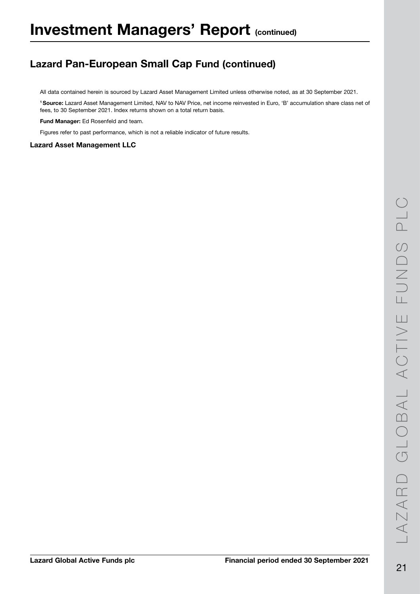## Lazard Pan-European Small Cap Fund (continued)

All data contained herein is sourced by Lazard Asset Management Limited unless otherwise noted, as at 30 September 2021.

1 Source: Lazard Asset Management Limited, NAV to NAV Price, net income reinvested in Euro, 'B' accumulation share class net of fees, to 30 September 2021. Index returns shown on a total return basis.

Fund Manager: Ed Rosenfeld and team.

Figures refer to past performance, which is not a reliable indicator of future results.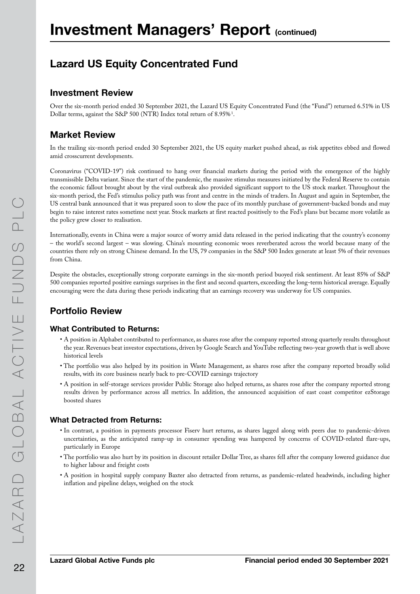## Lazard US Equity Concentrated Fund

#### Investment Review

Over the six-month period ended 30 September 2021, the Lazard US Equity Concentrated Fund (the "Fund") returned 6.51% in US Dollar terms, against the S&P 500 (NTR) Index total return of  $8.95\%$ <sup>1</sup>.

### Market Review

In the trailing six-month period ended 30 September 2021, the US equity market pushed ahead, as risk appetites ebbed and flowed amid crosscurrent developments.

Coronavirus ("COVID-19") risk continued to hang over financial markets during the period with the emergence of the highly transmissible Delta variant. Since the start of the pandemic, the massive stimulus measures initiated by the Federal Reserve to contain the economic fallout brought about by the viral outbreak also provided significant support to the US stock market. Throughout the six-month period, the Fed's stimulus policy path was front and centre in the minds of traders. In August and again in September, the US central bank announced that it was prepared soon to slow the pace of its monthly purchase of government-backed bonds and may begin to raise interest rates sometime next year. Stock markets at first reacted positively to the Fed's plans but became more volatile as the policy grew closer to realisation.

Internationally, events in China were a major source of worry amid data released in the period indicating that the country's economy – the world's second largest – was slowing. China's mounting economic woes reverberated across the world because many of the countries there rely on strong Chinese demand. In the US, 79 companies in the S&P 500 Index generate at least 5% of their revenues from China.

Despite the obstacles, exceptionally strong corporate earnings in the six-month period buoyed risk sentiment. At least 85% of S&P 500 companies reported positive earnings surprises in the first and second quarters, exceeding the long-term historical average. Equally encouraging were the data during these periods indicating that an earnings recovery was underway for US companies.

### Portfolio Review

#### What Contributed to Returns:

- A position in Alphabet contributed to performance, as shares rose after the company reported strong quarterly results throughout the year. Revenues beat investor expectations, driven by Google Search and YouTube reflecting two-year growth that is well above historical levels
- The portfolio was also helped by its position in Waste Management, as shares rose after the company reported broadly solid results, with its core business nearly back to pre-COVID earnings trajectory
- A position in self-storage services provider Public Storage also helped returns, as shares rose after the company reported strong results driven by performance across all metrics. In addition, the announced acquisition of east coast competitor ezStorage boosted shares

#### What Detracted from Returns:

- In contrast, a position in payments processor Fiserv hurt returns, as shares lagged along with peers due to pandemic-driven uncertainties, as the anticipated ramp-up in consumer spending was hampered by concerns of COVID-related flare-ups, particularly in Europe
- The portfolio was also hurt by its position in discount retailer Dollar Tree, as shares fell after the company lowered guidance due to higher labour and freight costs
- A position in hospital supply company Baxter also detracted from returns, as pandemic-related headwinds, including higher inflation and pipeline delays, weighed on the stock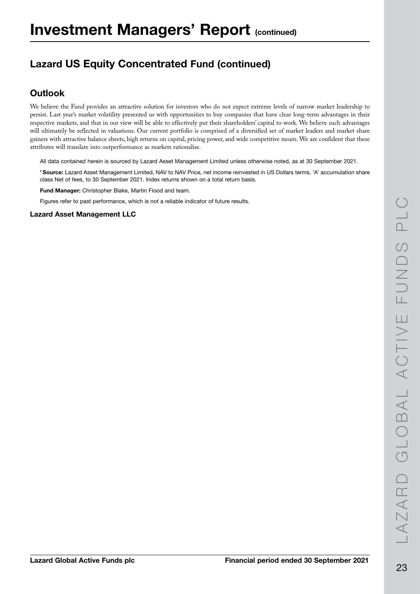## Lazard US Equity Concentrated Fund (continued)

### **Outlook**

We believe the Fund provides an attractive solution for investors who do not expect extreme levels of narrow market leadership to persist. Last year's market volatility presented us with opportunities to buy companies that have clear long-term advantages in their respective markets, and that in our view will be able to effectively put their shareholders' capital to work. We believe such advantages will ultimately be reflected in valuations. Our current portfolio is comprised of a diversified set of market leaders and market share gainers with attractive balance sheets, high returns on capital, pricing power, and wide competitive moats. We are confident that these attributes will translate into outperformance as markets rationalise.

All data contained herein is sourced by Lazard Asset Management Limited unless otherwise noted, as at 30 September 2021.

1 Source: Lazard Asset Management Limited, NAV to NAV Price, net income reinvested in US Dollars terms, 'A' accumulation share class Net of fees, to 30 September 2021. Index returns shown on a total return basis.

Fund Manager: Christopher Blake, Martin Flood and team.

Figures refer to past performance, which is not a reliable indicator of future results.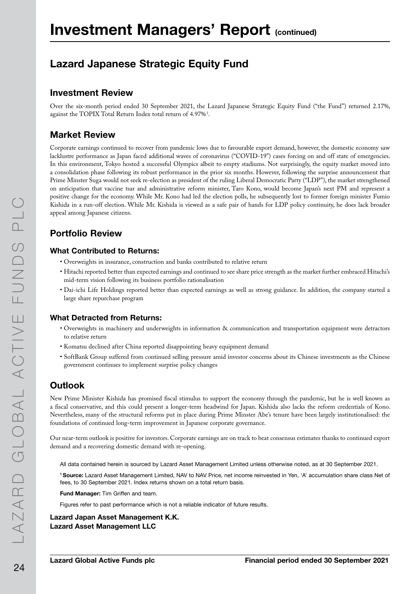## Lazard Japanese Strategic Equity Fund

#### Investment Review

Over the six-month period ended 30 September 2021, the Lazard Japanese Strategic Equity Fund ("the Fund") returned 2.17%, against the TOPIX Total Return Index total return of  $4.97\%$ <sup>1</sup>.

### Market Review

Corporate earnings continued to recover from pandemic lows due to favourable export demand, however, the domestic economy saw lacklustre performance as Japan faced additional waves of coronavirus ("COVID-19") cases forcing on and off state of emergencies. In this environment, Tokyo hosted a successful Olympics albeit to empty stadiums. Not surprisingly, the equity market moved into a consolidation phase following its robust performance in the prior six months. However, following the surprise announcement that Prime Minster Suga would not seek re-election as president of the ruling Liberal Democratic Party ("LDP"), the market strengthened on anticipation that vaccine tsar and administrative reform minister, Taro Kono, would become Japan's next PM and represent a positive change for the economy. While Mr. Kono had led the election polls, he subsequently lost to former foreign minister Fumio Kishida in a run-off election. While Mr. Kishida is viewed as a safe pair of hands for LDP policy continuity, he does lack broader appeal among Japanese citizens.

### Portfolio Review

#### What Contributed to Returns:

- Overweights in insurance, construction and banks contributed to relative return
- Hitachi reported better than expected earnings and continued to see share price strength as the market further embraced Hitachi's mid-term vision following its business portfolio rationalisation
- Dai-ichi Life Holdings reported better than expected earnings as well as strong guidance. In addition, the company started a large share repurchase program

#### What Detracted from Returns:

- Overweights in machinery and underweights in information & communication and transportation equipment were detractors to relative return
- Komatsu declined after China reported disappointing heavy equipment demand
- SoftBank Group suffered from continued selling pressure amid investor concerns about its Chinese investments as the Chinese government continues to implement surprise policy changes

### **Outlook**

New Prime Minister Kishida has promised fiscal stimulus to support the economy through the pandemic, but he is well known as a fiscal conservative, and this could present a longer-term headwind for Japan. Kishida also lacks the reform credentials of Kono. Nevertheless, many of the structural reforms put in place during Prime Minster Abe's tenure have been largely institutionalised: the foundations of continued long-term improvement in Japanese corporate governance.

Our near-term outlook is positive for investors. Corporate earnings are on track to beat consensus estimates thanks to continued export demand and a recovering domestic demand with re-opening.

All data contained herein is sourced by Lazard Asset Management Limited unless otherwise noted, as at 30 September 2021.

1 Source: Lazard Asset Management Limited, NAV to NAV Price, net income reinvested in Yen, 'A' accumulation share class Net of fees, to 30 September 2021. Index returns shown on a total return basis.

Fund Manager: Tim Griffen and team.

Figures refer to past performance which is not a reliable indicator of future results.

Lazard Japan Asset Management K.K. Lazard Asset Management LLC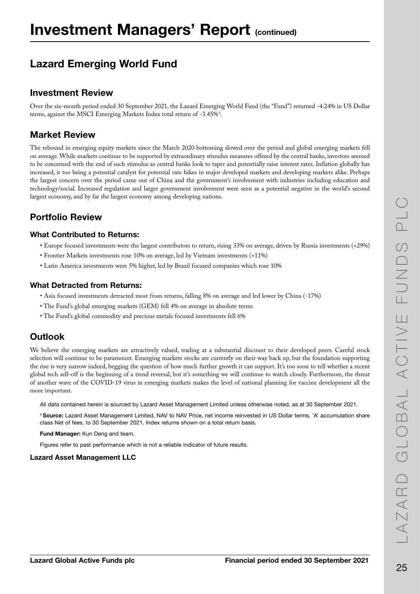## Lazard Emerging World Fund

### Investment Review

Over the six-month period ended 30 September 2021, the Lazard Emerging World Fund (the "Fund") returned -4.24% in US Dollar terms, against the MSCI Emerging Markets Index total return of -3.45% $^{\rm 1}.$ 

### Market Review

The rebound in emerging equity markets since the March 2020 bottoming slowed over the period and global emerging markets fell on average. While markets continue to be supported by extraordinary stimulus measures offered by the central banks, investors seemed to be concerned with the end of such stimulus as central banks look to taper and potentially raise interest rates. Inflation globally has increased, it too being a potential catalyst for potential rate hikes in major developed markets and developing markets alike. Perhaps the largest concern over the period came out of China and the government's involvement with industries including education and technology/social. Increased regulation and larger government involvement were seen as a potential negative in the world's second largest economy, and by far the largest economy among developing nations.

### Portfolio Review

#### What Contributed to Returns:

- Europe focused investments were the largest contributors to return, rising 33% on average, driven by Russia investments (+29%)
- Frontier Markets investments rose 10% on average, led by Vietnam investments (+11%)
- Latin America investments were 5% higher, led by Brazil focused companies which rose 10%

#### What Detracted from Returns:

- Asia focused investments detracted most from returns, falling 8% on average and led lower by China (-17%)
- The Fund's global emerging markets (GEM) fell 4% on average in absolute terms
- The Fund's global commodity and precious metals focused investments fell 6%

### **Outlook**

We believe the emerging markets are attractively valued, trading at a substantial discount to their developed peers. Careful stock selection will continue to be paramount. Emerging markets stocks are currently on their way back up, but the foundation supporting the rise is very narrow indeed, begging the question of how much further growth it can support. It's too soon to tell whether a recent global tech sell-off is the beginning of a trend reversal, but it's something we will continue to watch closely. Furthermore, the threat of another wave of the COVID-19 virus in emerging markets makes the level of national planning for vaccine development all the more important.

All data contained herein is sourced by Lazard Asset Management Limited unless otherwise noted, as at 30 September 2021.

1 Source: Lazard Asset Management Limited, NAV to NAV Price, net income reinvested in US Dollar terms, 'A' accumulation share class Net of fees, to 30 September 2021. Index returns shown on a total return basis.

Fund Manager: Kun Deng and team.

Figures refer to past performance which is not a reliable indicator of future results.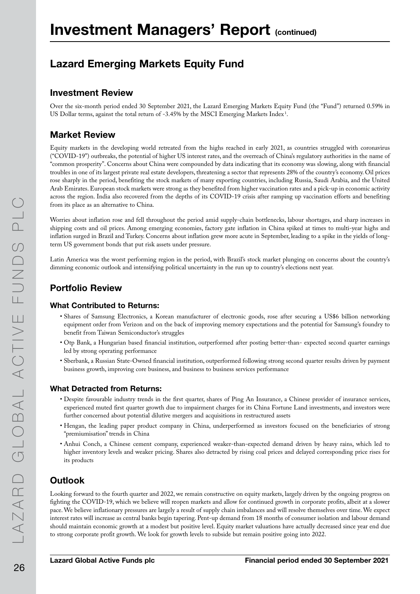## Lazard Emerging Markets Equity Fund

### Investment Review

Over the six-month period ended 30 September 2021, the Lazard Emerging Markets Equity Fund (the "Fund") returned 0.59% in US Dollar terms, against the total return of -3.45% by the MSCI Emerging Markets Index<sup>1</sup>.

### Market Review

Equity markets in the developing world retreated from the highs reached in early 2021, as countries struggled with coronavirus ("COVID-19") outbreaks, the potential of higher US interest rates, and the overreach of China's regulatory authorities in the name of "common prosperity". Concerns about China were compounded by data indicating that its economy was slowing, along with financial troubles in one of its largest private real estate developers, threatening a sector that represents 28% of the country's economy. Oil prices rose sharply in the period, benefiting the stock markets of many exporting countries, including Russia, Saudi Arabia, and the United Arab Emirates. European stock markets were strong as they benefited from higher vaccination rates and a pick-up in economic activity across the region. India also recovered from the depths of its COVID-19 crisis after ramping up vaccination efforts and benefiting from its place as an alternative to China.

Worries about inflation rose and fell throughout the period amid supply-chain bottlenecks, labour shortages, and sharp increases in shipping costs and oil prices. Among emerging economies, factory gate inflation in China spiked at times to multi-year highs and inflation surged in Brazil and Turkey. Concerns about inflation grew more acute in September, leading to a spike in the yields of longterm US government bonds that put risk assets under pressure.

Latin America was the worst performing region in the period, with Brazil's stock market plunging on concerns about the country's dimming economic outlook and intensifying political uncertainty in the run up to country's elections next year.

### Portfolio Review

#### What Contributed to Returns:

- Shares of Samsung Electronics, a Korean manufacturer of electronic goods, rose after securing a US\$6 billion networking equipment order from Verizon and on the back of improving memory expectations and the potential for Samsung's foundry to benefit from Taiwan Semiconductor's struggles
- Otp Bank, a Hungarian based financial institution, outperformed after posting better-than- expected second quarter earnings led by strong operating performance
- Sberbank, a Russian State-Owned financial institution, outperformed following strong second quarter results driven by payment business growth, improving core business, and business to business services performance

#### What Detracted from Returns:

- Despite favourable industry trends in the first quarter, shares of Ping An Insurance, a Chinese provider of insurance services, experienced muted first quarter growth due to impairment charges for its China Fortune Land investments, and investors were further concerned about potential dilutive mergers and acquisitions in restructured assets
- Hengan, the leading paper product company in China, underperformed as investors focused on the beneficiaries of strong "premiumisation" trends in China
- Anhui Conch, a Chinese cement company, experienced weaker-than-expected demand driven by heavy rains, which led to higher inventory levels and weaker pricing. Shares also detracted by rising coal prices and delayed corresponding price rises for its products

### **Outlook**

Looking forward to the fourth quarter and 2022, we remain constructive on equity markets, largely driven by the ongoing progress on fighting the COVID-19, which we believe will reopen markets and allow for continued growth in corporate profits, albeit at a slower pace. We believe inflationary pressures are largely a result of supply chain imbalances and will resolve themselves over time. We expect interest rates will increase as central banks begin tapering. Pent-up demand from 18 months of consumer isolation and labour demand should maintain economic growth at a modest but positive level. Equity market valuations have actually decreased since year end due to strong corporate profit growth. We look for growth levels to subside but remain positive going into 2022.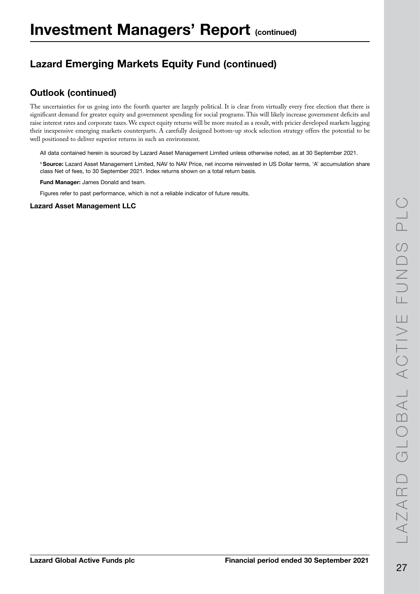## Lazard Emerging Markets Equity Fund (continued)

### Outlook (continued)

The uncertainties for us going into the fourth quarter are largely political. It is clear from virtually every free election that there is significant demand for greater equity and government spending for social programs. This will likely increase government deficits and raise interest rates and corporate taxes. We expect equity returns will be more muted as a result, with pricier developed markets lagging their inexpensive emerging markets counterparts. A carefully designed bottom-up stock selection strategy offers the potential to be well positioned to deliver superior returns in such an environment.

All data contained herein is sourced by Lazard Asset Management Limited unless otherwise noted, as at 30 September 2021.

1 Source: Lazard Asset Management Limited, NAV to NAV Price, net income reinvested in US Dollar terms, 'A' accumulation share class Net of fees, to 30 September 2021. Index returns shown on a total return basis.

Fund Manager: James Donald and team.

Figures refer to past performance, which is not a reliable indicator of future results.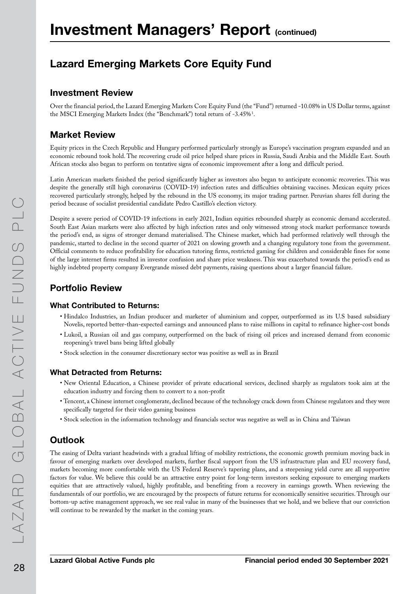## Lazard Emerging Markets Core Equity Fund

### Investment Review

Over the financial period, the Lazard Emerging Markets Core Equity Fund (the "Fund") returned -10.08% in US Dollar terms, against the MSCI Emerging Markets Index (the "Benchmark") total return of -3.45%<sup>1</sup>.

### Market Review

Equity prices in the Czech Republic and Hungary performed particularly strongly as Europe's vaccination program expanded and an economic rebound took hold. The recovering crude oil price helped share prices in Russia, Saudi Arabia and the Middle East. South African stocks also began to perform on tentative signs of economic improvement after a long and difficult period.

Latin American markets finished the period significantly higher as investors also began to anticipate economic recoveries. This was despite the generally still high coronavirus (COVID-19) infection rates and difficulties obtaining vaccines. Mexican equity prices recovered particularly strongly, helped by the rebound in the US economy, its major trading partner. Peruvian shares fell during the period because of socialist presidential candidate Pedro Castillo's election victory.

Despite a severe period of COVID-19 infections in early 2021, Indian equities rebounded sharply as economic demand accelerated. South East Asian markets were also affected by high infection rates and only witnessed strong stock market performance towards the period's end, as signs of stronger demand materialised. The Chinese market, which had performed relatively well through the pandemic, started to decline in the second quarter of 2021 on slowing growth and a changing regulatory tone from the government. Official comments to reduce profitability for education tutoring firms, restricted gaming for children and considerable fines for some of the large internet firms resulted in investor confusion and share price weakness. This was exacerbated towards the period's end as highly indebted property company Evergrande missed debt payments, raising questions about a larger financial failure.

### Portfolio Review

#### What Contributed to Returns:

- Hindalco Industries, an Indian producer and marketer of aluminium and copper, outperformed as its U.S based subsidiary Novelis, reported better-than-expected earnings and announced plans to raise millions in capital to refinance higher-cost bonds
- Lukoil, a Russian oil and gas company, outperformed on the back of rising oil prices and increased demand from economic reopening's travel bans being lifted globally
- Stock selection in the consumer discretionary sector was positive as well as in Brazil

#### What Detracted from Returns:

- New Oriental Education, a Chinese provider of private educational services, declined sharply as regulators took aim at the education industry and forcing them to convert to a non-profit
- Tencent, a Chinese internet conglomerate, declined because of the technology crack down from Chinese regulators and they were specifically targeted for their video gaming business
- Stock selection in the information technology and financials sector was negative as well as in China and Taiwan

### **Outlook**

The easing of Delta variant headwinds with a gradual lifting of mobility restrictions, the economic growth premium moving back in favour of emerging markets over developed markets, further fiscal support from the US infrastructure plan and EU recovery fund, markets becoming more comfortable with the US Federal Reserve's tapering plans, and a steepening yield curve are all supportive factors for value. We believe this could be an attractive entry point for long-term investors seeking exposure to emerging markets equities that are attractively valued, highly profitable, and benefiting from a recovery in earnings growth. When reviewing the fundamentals of our portfolio, we are encouraged by the prospects of future returns for economically sensitive securities. Through our bottom-up active management approach, we see real value in many of the businesses that we hold, and we believe that our conviction will continue to be rewarded by the market in the coming years.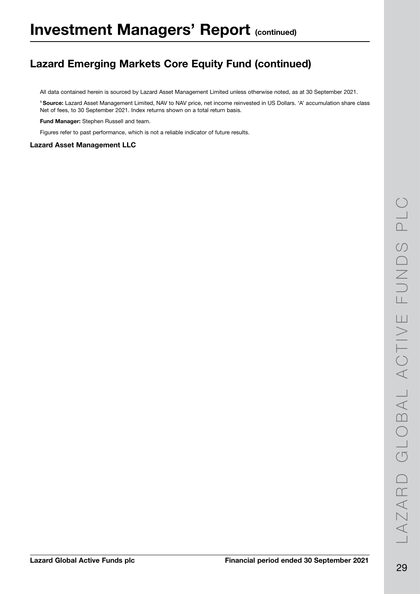## Lazard Emerging Markets Core Equity Fund (continued)

All data contained herein is sourced by Lazard Asset Management Limited unless otherwise noted, as at 30 September 2021.

1 Source: Lazard Asset Management Limited, NAV to NAV price, net income reinvested in US Dollars. 'A' accumulation share class Net of fees, to 30 September 2021. Index returns shown on a total return basis.

Fund Manager: Stephen Russell and team.

Figures refer to past performance, which is not a reliable indicator of future results.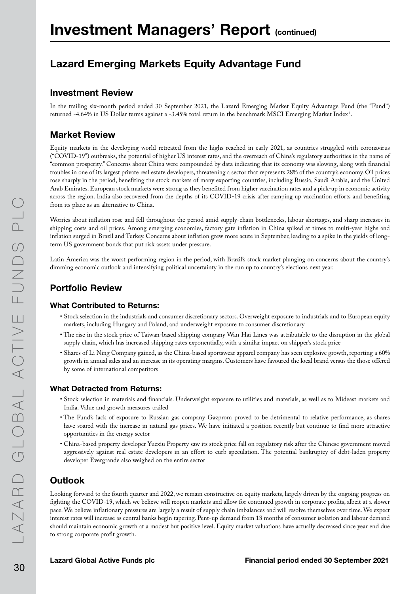## Lazard Emerging Markets Equity Advantage Fund

### Investment Review

In the trailing six-month period ended 30 September 2021, the Lazard Emerging Market Equity Advantage Fund (the "Fund") returned -4.64% in US Dollar terms against a -3.45% total return in the benchmark MSCI Emerging Market Index !.

### Market Review

Equity markets in the developing world retreated from the highs reached in early 2021, as countries struggled with coronavirus ("COVID-19") outbreaks, the potential of higher US interest rates, and the overreach of China's regulatory authorities in the name of "common prosperity." Concerns about China were compounded by data indicating that its economy was slowing, along with financial troubles in one of its largest private real estate developers, threatening a sector that represents 28% of the country's economy. Oil prices rose sharply in the period, benefiting the stock markets of many exporting countries, including Russia, Saudi Arabia, and the United Arab Emirates. European stock markets were strong as they benefited from higher vaccination rates and a pick-up in economic activity across the region. India also recovered from the depths of its COVID-19 crisis after ramping up vaccination efforts and benefiting from its place as an alternative to China.

Worries about inflation rose and fell throughout the period amid supply-chain bottlenecks, labour shortages, and sharp increases in shipping costs and oil prices. Among emerging economies, factory gate inflation in China spiked at times to multi-year highs and inflation surged in Brazil and Turkey. Concerns about inflation grew more acute in September, leading to a spike in the yields of longterm US government bonds that put risk assets under pressure.

Latin America was the worst performing region in the period, with Brazil's stock market plunging on concerns about the country's dimming economic outlook and intensifying political uncertainty in the run up to country's elections next year.

### Portfolio Review

#### What Contributed to Returns:

- Stock selection in the industrials and consumer discretionary sectors. Overweight exposure to industrials and to European equity markets, including Hungary and Poland, and underweight exposure to consumer discretionary
- The rise in the stock price of Taiwan-based shipping company Wan Hai Lines was attributable to the disruption in the global supply chain, which has increased shipping rates exponentially, with a similar impact on shipper's stock price
- Shares of Li Ning Company gained, as the China-based sportswear apparel company has seen explosive growth, reporting a 60% growth in annual sales and an increase in its operating margins. Customers have favoured the local brand versus the those offered by some of international competitors

#### What Detracted from Returns:

- Stock selection in materials and financials. Underweight exposure to utilities and materials, as well as to Mideast markets and India. Value and growth measures trailed
- The Fund's lack of exposure to Russian gas company Gazprom proved to be detrimental to relative performance, as shares have soared with the increase in natural gas prices. We have initiated a position recently but continue to find more attractive opportunities in the energy sector
- China-based property developer Yuexiu Property saw its stock price fall on regulatory risk after the Chinese government moved aggressively against real estate developers in an effort to curb speculation. The potential bankruptcy of debt-laden property developer Evergrande also weighed on the entire sector

### **Outlook**

Looking forward to the fourth quarter and 2022, we remain constructive on equity markets, largely driven by the ongoing progress on fighting the COVID-19, which we believe will reopen markets and allow for continued growth in corporate profits, albeit at a slower pace. We believe inflationary pressures are largely a result of supply chain imbalances and will resolve themselves over time. We expect interest rates will increase as central banks begin tapering. Pent-up demand from 18 months of consumer isolation and labour demand should maintain economic growth at a modest but positive level. Equity market valuations have actually decreased since year end due to strong corporate profit growth.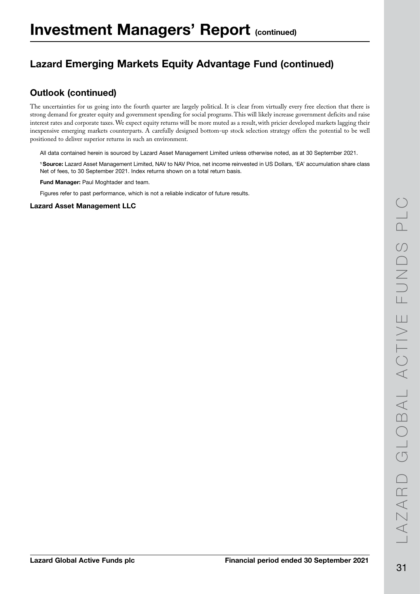## Lazard Emerging Markets Equity Advantage Fund (continued)

### Outlook (continued)

The uncertainties for us going into the fourth quarter are largely political. It is clear from virtually every free election that there is strong demand for greater equity and government spending for social programs. This will likely increase government deficits and raise interest rates and corporate taxes. We expect equity returns will be more muted as a result, with pricier developed markets lagging their inexpensive emerging markets counterparts. A carefully designed bottom-up stock selection strategy offers the potential to be well positioned to deliver superior returns in such an environment.

All data contained herein is sourced by Lazard Asset Management Limited unless otherwise noted, as at 30 September 2021.

1 Source: Lazard Asset Management Limited, NAV to NAV Price, net income reinvested in US Dollars, 'EA' accumulation share class Net of fees, to 30 September 2021. Index returns shown on a total return basis.

Fund Manager: Paul Moghtader and team.

Figures refer to past performance, which is not a reliable indicator of future results.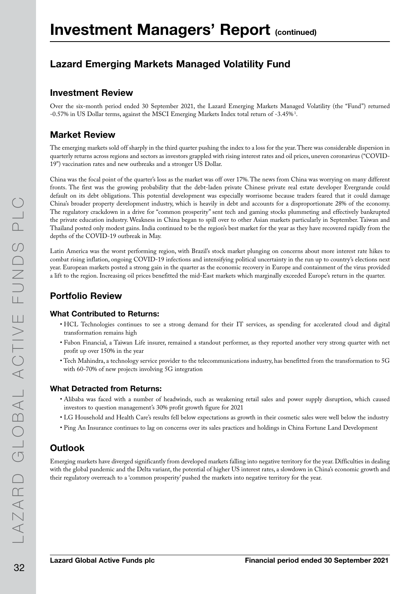## Lazard Emerging Markets Managed Volatility Fund

#### Investment Review

Over the six-month period ended 30 September 2021, the Lazard Emerging Markets Managed Volatility (the "Fund") returned -0.57% in US Dollar terms, against the MSCI Emerging Markets Index total return of -3.45% $^1$ .

### Market Review

The emerging markets sold off sharply in the third quarter pushing the index to a loss for the year. There was considerable dispersion in quarterly returns across regions and sectors as investors grappled with rising interest rates and oil prices, uneven coronavirus ("COVID-19") vaccination rates and new outbreaks and a stronger US Dollar.

China was the focal point of the quarter's loss as the market was off over 17%. The news from China was worrying on many different fronts. The first was the growing probability that the debt-laden private Chinese private real estate developer Evergrande could default on its debt obligations. This potential development was especially worrisome because traders feared that it could damage China's broader property development industry, which is heavily in debt and accounts for a disproportionate 28% of the economy. The regulatory crackdown in a drive for "common prosperity" sent tech and gaming stocks plummeting and effectively bankrupted the private education industry. Weakness in China began to spill over to other Asian markets particularly in September. Taiwan and Thailand posted only modest gains. India continued to be the region's best market for the year as they have recovered rapidly from the depths of the COVID-19 outbreak in May.

Latin America was the worst performing region, with Brazil's stock market plunging on concerns about more interest rate hikes to combat rising inflation, ongoing COVID-19 infections and intensifying political uncertainty in the run up to country's elections next year. European markets posted a strong gain in the quarter as the economic recovery in Europe and containment of the virus provided a lift to the region. Increasing oil prices benefitted the mid-East markets which marginally exceeded Europe's return in the quarter.

### Portfolio Review

#### What Contributed to Returns:

- HCL Technologies continues to see a strong demand for their IT services, as spending for accelerated cloud and digital transformation remains high
- Fubon Financial, a Taiwan Life insurer, remained a standout performer, as they reported another very strong quarter with net profit up over 150% in the year
- Tech Mahindra, a technology service provider to the telecommunications industry, has benefitted from the transformation to 5G with 60-70% of new projects involving 5G integration

#### What Detracted from Returns:

- Alibaba was faced with a number of headwinds, such as weakening retail sales and power supply disruption, which caused investors to question management's 30% profit growth figure for 2021
- LG Household and Health Care's results fell below expectations as growth in their cosmetic sales were well below the industry
- Ping An Insurance continues to lag on concerns over its sales practices and holdings in China Fortune Land Development

### **Outlook**

Emerging markets have diverged significantly from developed markets falling into negative territory for the year. Difficulties in dealing with the global pandemic and the Delta variant, the potential of higher US interest rates, a slowdown in China's economic growth and their regulatory overreach to a 'common prosperity' pushed the markets into negative territory for the year.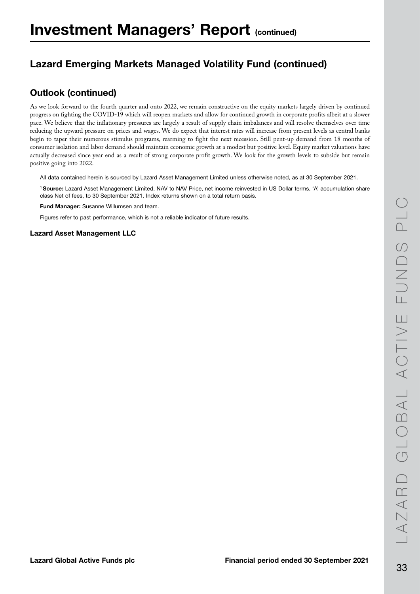## Lazard Emerging Markets Managed Volatility Fund (continued)

### Outlook (continued)

As we look forward to the fourth quarter and onto 2022, we remain constructive on the equity markets largely driven by continued progress on fighting the COVID-19 which will reopen markets and allow for continued growth in corporate profits albeit at a slower pace. We believe that the inflationary pressures are largely a result of supply chain imbalances and will resolve themselves over time reducing the upward pressure on prices and wages. We do expect that interest rates will increase from present levels as central banks begin to taper their numerous stimulus programs, rearming to fight the next recession. Still pent-up demand from 18 months of consumer isolation and labor demand should maintain economic growth at a modest but positive level. Equity market valuations have actually decreased since year end as a result of strong corporate profit growth. We look for the growth levels to subside but remain positive going into 2022.

All data contained herein is sourced by Lazard Asset Management Limited unless otherwise noted, as at 30 September 2021.

1 Source: Lazard Asset Management Limited, NAV to NAV Price, net income reinvested in US Dollar terms, 'A' accumulation share class Net of fees, to 30 September 2021. Index returns shown on a total return basis.

Fund Manager: Susanne Willumsen and team.

Figures refer to past performance, which is not a reliable indicator of future results.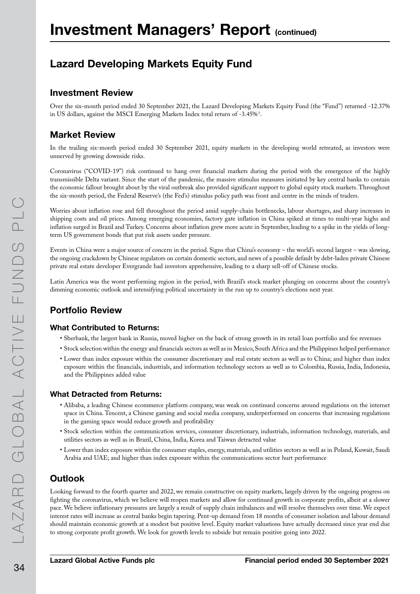## Lazard Developing Markets Equity Fund

### Investment Review

Over the six-month period ended 30 September 2021, the Lazard Developing Markets Equity Fund (the "Fund") returned -12.37% in US dollars, against the MSCI Emerging Markets Index total return of -3.45% $^1$ .

### Market Review

In the trailing six-month period ended 30 September 2021, equity markets in the developing world retreated, as investors were unnerved by growing downside risks.

Coronavirus ("COVID-19") risk continued to hang over financial markets during the period with the emergence of the highly transmissible Delta variant. Since the start of the pandemic, the massive stimulus measures initiated by key central banks to contain the economic fallout brought about by the viral outbreak also provided significant support to global equity stock markets. Throughout the six-month period, the Federal Reserve's (the Fed's) stimulus policy path was front and centre in the minds of traders.

Worries about inflation rose and fell throughout the period amid supply-chain bottlenecks, labour shortages, and sharp increases in shipping costs and oil prices. Among emerging economies, factory gate inflation in China spiked at times to multi-year highs and inflation surged in Brazil and Turkey. Concerns about inflation grew more acute in September, leading to a spike in the yields of longterm US government bonds that put risk assets under pressure.

Events in China were a major source of concern in the period. Signs that China's economy – the world's second largest – was slowing, the ongoing crackdown by Chinese regulators on certain domestic sectors, and news of a possible default by debt-laden private Chinese private real estate developer Evergrande had investors apprehensive, leading to a sharp sell-off of Chinese stocks.

Latin America was the worst performing region in the period, with Brazil's stock market plunging on concerns about the country's dimming economic outlook and intensifying political uncertainty in the run up to country's elections next year.

### Portfolio Review

#### What Contributed to Returns:

- Sberbank, the largest bank in Russia, moved higher on the back of strong growth in its retail loan portfolio and fee revenues
- Stock selection within the energy and financials sectors as well as in Mexico, South Africa and the Philippines helped performance
- Lower than index exposure within the consumer discretionary and real estate sectors as well as to China; and higher than index exposure within the financials, industrials, and information technology sectors as well as to Colombia, Russia, India, Indonesia, and the Philippines added value

#### What Detracted from Returns:

- Alibaba, a leading Chinese ecommerce platform company, was weak on continued concerns around regulations on the internet space in China. Tencent, a Chinese gaming and social media company, underperformed on concerns that increasing regulations in the gaming space would reduce growth and profitability
- Stock selection within the communication services, consumer discretionary, industrials, information technology, materials, and utilities sectors as well as in Brazil, China, India, Korea and Taiwan detracted value
- Lower than index exposure within the consumer staples, energy, materials, and utilities sectors as well as in Poland, Kuwait, Saudi Arabia and UAE; and higher than index exposure within the communications sector hurt performance

### **Outlook**

Looking forward to the fourth quarter and 2022, we remain constructive on equity markets, largely driven by the ongoing progress on fighting the coronavirus, which we believe will reopen markets and allow for continued growth in corporate profits, albeit at a slower pace. We believe inflationary pressures are largely a result of supply chain imbalances and will resolve themselves over time. We expect interest rates will increase as central banks begin tapering. Pent-up demand from 18 months of consumer isolation and labour demand should maintain economic growth at a modest but positive level. Equity market valuations have actually decreased since year end due to strong corporate profit growth. We look for growth levels to subside but remain positive going into 2022.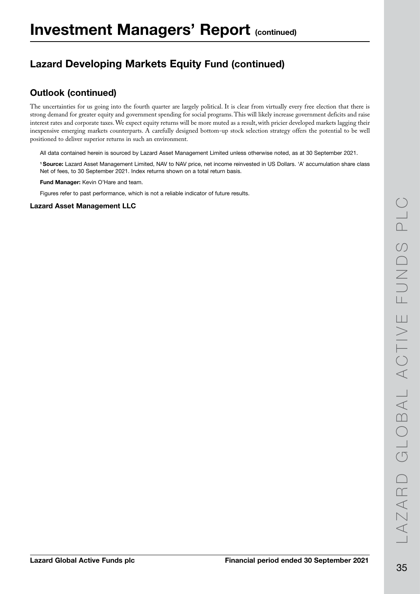## Lazard Developing Markets Equity Fund (continued)

### Outlook (continued)

The uncertainties for us going into the fourth quarter are largely political. It is clear from virtually every free election that there is strong demand for greater equity and government spending for social programs. This will likely increase government deficits and raise interest rates and corporate taxes. We expect equity returns will be more muted as a result, with pricier developed markets lagging their inexpensive emerging markets counterparts. A carefully designed bottom-up stock selection strategy offers the potential to be well positioned to deliver superior returns in such an environment.

All data contained herein is sourced by Lazard Asset Management Limited unless otherwise noted, as at 30 September 2021.

1 Source: Lazard Asset Management Limited, NAV to NAV price, net income reinvested in US Dollars. 'A' accumulation share class Net of fees, to 30 September 2021. Index returns shown on a total return basis.

Fund Manager: Kevin O'Hare and team.

Figures refer to past performance, which is not a reliable indicator of future results.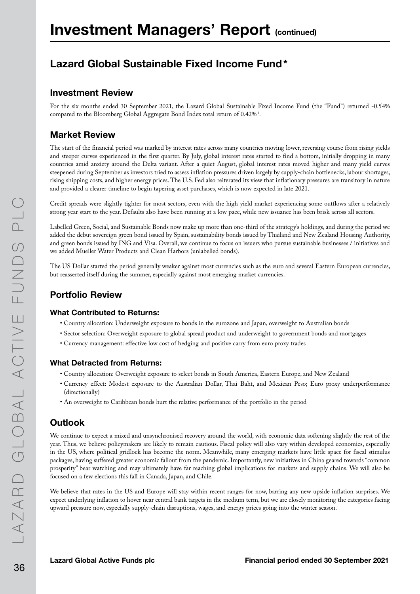## Lazard Global Sustainable Fixed Income Fund\*

### Investment Review

For the six months ended 30 September 2021, the Lazard Global Sustainable Fixed Income Fund (the "Fund") returned -0.54% compared to the Bloomberg Global Aggregate Bond Index total return of  $0.42\%$   $^{1}$ .

### Market Review

The start of the financial period was marked by interest rates across many countries moving lower, reversing course from rising yields and steeper curves experienced in the first quarter. By July, global interest rates started to find a bottom, initially dropping in many countries amid anxiety around the Delta variant. After a quiet August, global interest rates moved higher and many yield curves steepened during September as investors tried to assess inflation pressures driven largely by supply-chain bottlenecks, labour shortages, rising shipping costs, and higher energy prices. The U.S. Fed also reiterated its view that inflationary pressures are transitory in nature and provided a clearer timeline to begin tapering asset purchases, which is now expected in late 2021.

Credit spreads were slightly tighter for most sectors, even with the high yield market experiencing some outflows after a relatively strong year start to the year. Defaults also have been running at a low pace, while new issuance has been brisk across all sectors.

Labelled Green, Social, and Sustainable Bonds now make up more than one-third of the strategy's holdings, and during the period we added the debut sovereign green bond issued by Spain, sustainability bonds issued by Thailand and New Zealand Housing Authority, and green bonds issued by ING and Visa. Overall, we continue to focus on issuers who pursue sustainable businesses / initiatives and we added Mueller Water Products and Clean Harbors (unlabelled bonds).

The US Dollar started the period generally weaker against most currencies such as the euro and several Eastern European currencies, but reasserted itself during the summer, especially against most emerging market currencies.

### Portfolio Review

#### What Contributed to Returns:

- Country allocation: Underweight exposure to bonds in the eurozone and Japan, overweight to Australian bonds
- Sector selection: Overweight exposure to global spread product and underweight to government bonds and mortgages
- Currency management: effective low cost of hedging and positive carry from euro proxy trades

#### What Detracted from Returns:

- Country allocation: Overweight exposure to select bonds in South America, Eastern Europe, and New Zealand
- Currency effect: Modest exposure to the Australian Dollar, Thai Baht, and Mexican Peso; Euro proxy underperformance (directionally)
- An overweight to Caribbean bonds hurt the relative performance of the portfolio in the period

### **Outlook**

We continue to expect a mixed and unsynchronised recovery around the world, with economic data softening slightly the rest of the year. Thus, we believe policymakers are likely to remain cautious. Fiscal policy will also vary within developed economies, especially in the US, where political gridlock has become the norm. Meanwhile, many emerging markets have little space for fiscal stimulus packages, having suffered greater economic fallout from the pandemic. Importantly, new initiatives in China geared towards "common prosperity" bear watching and may ultimately have far reaching global implications for markets and supply chains. We will also be focused on a few elections this fall in Canada, Japan, and Chile.

We believe that rates in the US and Europe will stay within recent ranges for now, barring any new upside inflation surprises. We expect underlying inflation to hover near central bank targets in the medium term, but we are closely monitoring the categories facing upward pressure now, especially supply-chain disruptions, wages, and energy prices going into the winter season.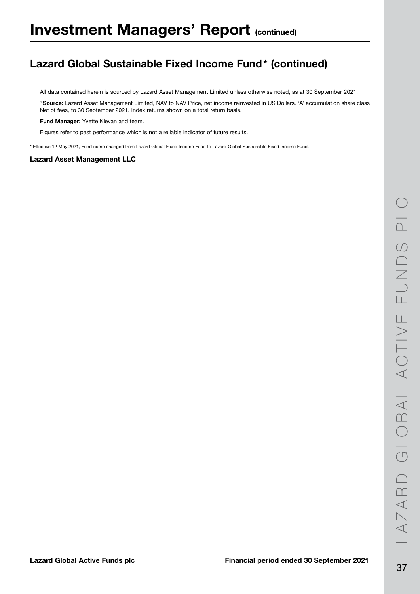# Lazard Global Sustainable Fixed Income Fund\* (continued)

All data contained herein is sourced by Lazard Asset Management Limited unless otherwise noted, as at 30 September 2021.

1 Source: Lazard Asset Management Limited, NAV to NAV Price, net income reinvested in US Dollars. 'A' accumulation share class Net of fees, to 30 September 2021. Index returns shown on a total return basis.

Fund Manager: Yvette Klevan and team.

Figures refer to past performance which is not a reliable indicator of future results.

\* Effective 12 May 2021, Fund name changed from Lazard Global Fixed Income Fund to Lazard Global Sustainable Fixed Income Fund.

#### Lazard Asset Management LLC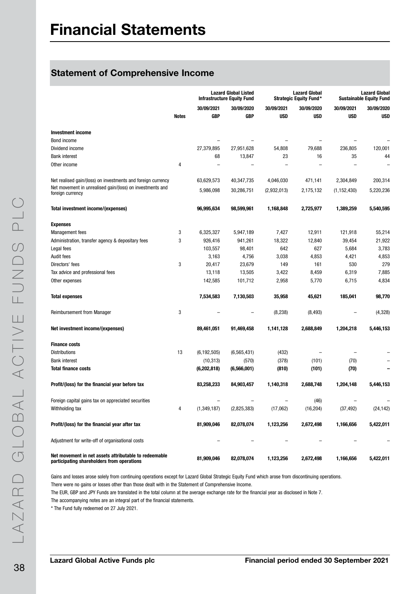## Statement of Comprehensive Income

|                                                                                                     |       |               | <b>Lazard Global Listed</b><br><b>Infrastructure Equity Fund</b> |             | <b>Lazard Global</b><br><b>Strategic Equity Fund*</b> | <b>Lazard Global</b><br><b>Sustainable Equity Fund</b> |            |
|-----------------------------------------------------------------------------------------------------|-------|---------------|------------------------------------------------------------------|-------------|-------------------------------------------------------|--------------------------------------------------------|------------|
|                                                                                                     |       | 30/09/2021    | 30/09/2020                                                       | 30/09/2021  | 30/09/2020                                            | 30/09/2021                                             | 30/09/2020 |
|                                                                                                     | Notes | <b>GBP</b>    | <b>GBP</b>                                                       | <b>USD</b>  | <b>USD</b>                                            | <b>USD</b>                                             | <b>USD</b> |
|                                                                                                     |       |               |                                                                  |             |                                                       |                                                        |            |
| <b>Investment income</b>                                                                            |       |               |                                                                  |             |                                                       |                                                        |            |
| Bond income                                                                                         |       |               |                                                                  |             |                                                       |                                                        |            |
| Dividend income                                                                                     |       | 27,379,895    | 27,951,628                                                       | 54,808      | 79,688                                                | 236,805                                                | 120,001    |
| <b>Bank interest</b>                                                                                |       | 68            | 13,847                                                           | 23          | 16                                                    | 35                                                     | 44         |
| Other income                                                                                        | 4     |               |                                                                  |             |                                                       |                                                        |            |
| Net realised gain/(loss) on investments and foreign currency                                        |       | 63,629,573    | 40,347,735                                                       | 4,046,030   | 471,141                                               | 2,304,849                                              | 200,314    |
| Net movement in unrealised gain/(loss) on investments and<br>foreign currency                       |       | 5,986,098     | 30,286,751                                                       | (2,932,013) | 2,175,132                                             | (1, 152, 430)                                          | 5,220,236  |
| Total investment income/(expenses)                                                                  |       | 96,995,634    | 98,599,961                                                       | 1,168,848   | 2,725,977                                             | 1,389,259                                              | 5,540,595  |
| <b>Expenses</b>                                                                                     |       |               |                                                                  |             |                                                       |                                                        |            |
| <b>Management fees</b>                                                                              | 3     | 6,325,327     | 5,947,189                                                        | 7,427       | 12,911                                                | 121,918                                                | 55,214     |
| Administration, transfer agency & depositary fees                                                   | 3     | 926,416       | 941,261                                                          | 18,322      | 12,840                                                | 39,454                                                 | 21,922     |
| Legal fees                                                                                          |       | 103,557       | 98,401                                                           | 642         | 627                                                   | 5,684                                                  | 3,783      |
| <b>Audit fees</b>                                                                                   |       | 3,163         | 4,756                                                            | 3,038       | 4,853                                                 | 4,421                                                  | 4,853      |
| Directors' fees                                                                                     | 3     | 20,417        | 23,679                                                           | 149         | 161                                                   | 530                                                    | 279        |
| Tax advice and professional fees                                                                    |       | 13,118        | 13,505                                                           | 3,422       | 8,459                                                 | 6,319                                                  | 7,885      |
| Other expenses                                                                                      |       | 142,585       | 101,712                                                          | 2,958       | 5,770                                                 | 6,715                                                  | 4,834      |
| <b>Total expenses</b>                                                                               |       | 7,534,583     | 7,130,503                                                        | 35,958      | 45,621                                                | 185,041                                                | 98,770     |
| <b>Reimbursement from Manager</b>                                                                   | 3     |               |                                                                  | (8, 238)    | (8, 493)                                              |                                                        | (4,328)    |
| Net investment income/(expenses)                                                                    |       | 89,461,051    | 91,469,458                                                       | 1,141,128   | 2,688,849                                             | 1,204,218                                              | 5,446,153  |
| <b>Finance costs</b>                                                                                |       |               |                                                                  |             |                                                       |                                                        |            |
| <b>Distributions</b>                                                                                | 13    | (6, 192, 505) | (6, 565, 431)                                                    | (432)       |                                                       |                                                        |            |
| <b>Bank interest</b>                                                                                |       | (10, 313)     | (570)                                                            | (378)       | (101)                                                 | (70)                                                   |            |
| <b>Total finance costs</b>                                                                          |       | (6, 202, 818) | (6,566,001)                                                      | (810)       | (101)                                                 | (70)                                                   |            |
| Profit/(loss) for the financial year before tax                                                     |       | 83,258,233    | 84,903,457                                                       | 1,140,318   | 2,688,748                                             | 1,204,148                                              | 5,446,153  |
| Foreign capital gains tax on appreciated securities                                                 |       |               |                                                                  |             | (46)                                                  |                                                        |            |
| Withholding tax                                                                                     | 4     | (1,349,187)   | (2,825,383)                                                      | (17,062)    | (16, 204)                                             | (37, 492)                                              | (24, 142)  |
|                                                                                                     |       |               |                                                                  |             |                                                       |                                                        |            |
| Profit/(loss) for the financial year after tax                                                      |       | 81,909,046    | 82,078,074                                                       | 1,123,256   | 2,672,498                                             | 1,166,656                                              | 5,422,011  |
| Adjustment for write-off of organisational costs                                                    |       |               |                                                                  |             |                                                       |                                                        |            |
| Net movement in net assets attributable to redeemable<br>participating shareholders from operations |       | 81,909,046    | 82,078,074                                                       | 1,123,256   | 2,672,498                                             | 1,166,656                                              | 5,422,011  |

Gains and losses arose solely from continuing operations except for Lazard Global Strategic Equity Fund which arose from discontinuing operations.

There were no gains or losses other than those dealt with in the Statement of Comprehensive Income.

The EUR, GBP and JPY Funds are translated in the total column at the average exchange rate for the financial year as disclosed in Note 7.

The accompanying notes are an integral part of the financial statements.

\* The Fund fully redeemed on 27 July 2021.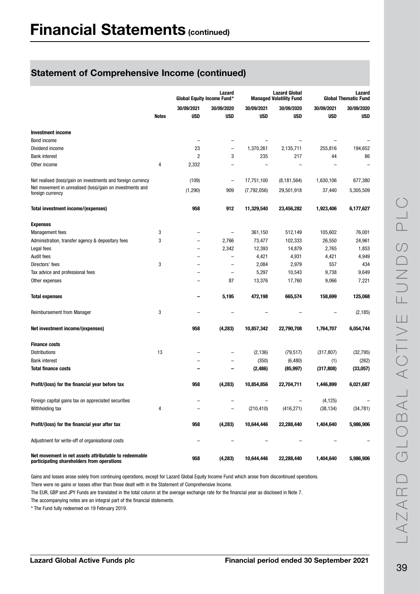|                                                                                                     |              | Global Equity Income Fund* | Lazard                   |             | <b>Lazard Global</b><br><b>Managed Volatility Fund</b> | Lazard<br><b>Global Thematic Fund</b> |            |  |
|-----------------------------------------------------------------------------------------------------|--------------|----------------------------|--------------------------|-------------|--------------------------------------------------------|---------------------------------------|------------|--|
|                                                                                                     |              | 30/09/2021                 | 30/09/2020               | 30/09/2021  | 30/09/2020                                             | 30/09/2021                            | 30/09/2020 |  |
|                                                                                                     | <b>Notes</b> | <b>USD</b>                 | <b>USD</b>               | <b>USD</b>  | <b>USD</b>                                             | <b>USD</b>                            | <b>USD</b> |  |
|                                                                                                     |              |                            |                          |             |                                                        |                                       |            |  |
| <b>Investment income</b>                                                                            |              |                            |                          |             |                                                        |                                       |            |  |
| Bond income                                                                                         |              |                            |                          |             |                                                        |                                       |            |  |
| Dividend income                                                                                     |              | 23                         | -                        | 1,370,261   | 2,135,711                                              | 255,816                               | 194,652    |  |
| <b>Bank interest</b>                                                                                |              | 2                          | 3                        | 235         | 217                                                    | 44                                    | 86         |  |
| Other income                                                                                        | 4            | 2,332                      |                          |             |                                                        |                                       |            |  |
| Net realised (loss)/gain on investments and foreign currency                                        |              | (109)                      | $\qquad \qquad -$        | 17,751,100  | (8, 181, 564)                                          | 1,630,106                             | 677,380    |  |
| Net movement in unrealised (loss)/gain on investments and<br>foreign currency                       |              | (1, 290)                   | 909                      | (7,792,056) | 29,501,918                                             | 37,440                                | 5,305,509  |  |
| Total investment income/(expenses)                                                                  |              | 958                        | 912                      | 11,329,540  | 23,456,282                                             | 1,923,406                             | 6,177,627  |  |
| <b>Expenses</b>                                                                                     |              |                            |                          |             |                                                        |                                       |            |  |
| <b>Management</b> fees                                                                              | 3            |                            | $\qquad \qquad -$        | 361,150     | 512,149                                                | 105,602                               | 76,001     |  |
| Administration, transfer agency & depositary fees                                                   | 3            |                            | 2,766                    | 73,477      | 102,333                                                | 26,550                                | 24,961     |  |
| Legal fees                                                                                          |              | -                          | 2,342                    | 12,393      | 14,879                                                 | 2,765                                 | 1,853      |  |
| Audit fees                                                                                          |              |                            | $\qquad \qquad -$        | 4,421       | 4,931                                                  | 4,421                                 | 4,949      |  |
| Directors' fees                                                                                     | 3            |                            |                          | 2,084       | 2,979                                                  | 557                                   | 434        |  |
| Tax advice and professional fees                                                                    |              |                            | $\overline{\phantom{a}}$ | 5,297       | 10,543                                                 | 9,738                                 | 9,649      |  |
| Other expenses                                                                                      |              |                            | 87                       | 13,376      | 17,760                                                 | 9,066                                 | 7,221      |  |
| <b>Total expenses</b>                                                                               |              |                            | 5,195                    | 472,198     | 665,574                                                | 158,699                               | 125,068    |  |
| <b>Reimbursement from Manager</b>                                                                   | 3            |                            |                          |             |                                                        |                                       | (2, 185)   |  |
| Net investment income/(expenses)                                                                    |              | 958                        | (4, 283)                 | 10,857,342  | 22,790,708                                             | 1,764,707                             | 6,054,744  |  |
| <b>Finance costs</b>                                                                                |              |                            |                          |             |                                                        |                                       |            |  |
| <b>Distributions</b>                                                                                | 13           |                            |                          | (2, 136)    | (79, 517)                                              | (317, 807)                            | (32, 795)  |  |
| <b>Bank interest</b>                                                                                |              |                            |                          | (350)       | (6, 480)                                               | (1)                                   | (262)      |  |
| <b>Total finance costs</b>                                                                          |              |                            |                          | (2, 486)    | (85, 997)                                              | (317, 808)                            | (33,057)   |  |
| Profit/(loss) for the financial year before tax                                                     |              | 958                        | (4, 283)                 | 10,854,856  | 22,704,711                                             | 1,446,899                             | 6,021,687  |  |
| Foreign capital gains tax on appreciated securities                                                 |              |                            |                          |             |                                                        | (4, 125)                              |            |  |
| Withholding tax                                                                                     | 4            |                            | -                        | (210, 410)  | (416, 271)                                             | (38, 134)                             | (34, 781)  |  |
|                                                                                                     |              |                            |                          |             |                                                        |                                       |            |  |
| Profit/(loss) for the financial year after tax                                                      |              | 958                        | (4, 283)                 | 10,644,446  | 22,288,440                                             | 1,404,640                             | 5,986,906  |  |
| Adjustment for write-off of organisational costs                                                    |              |                            |                          |             |                                                        |                                       |            |  |
| Net movement in net assets attributable to redeemable<br>participating shareholders from operations |              | 958                        | (4, 283)                 | 10,644,446  | 22,288,440                                             | 1,404,640                             | 5,986,906  |  |

Gains and losses arose solely from continuing operations, except for Lazard Global Equity Income Fund which arose from discontinued operations.

There were no gains or losses other than those dealt with in the Statement of Comprehensive Income.

The EUR, GBP and JPY Funds are translated in the total column at the average exchange rate for the financial year as disclosed in Note 7.

The accompanying notes are an integral part of the financial statements.

\* The Fund fully redeemed on 19 February 2019.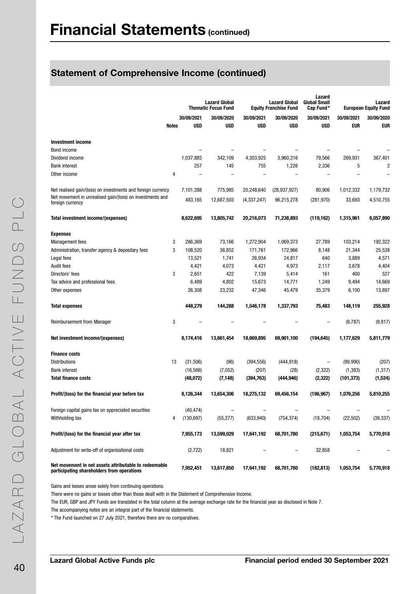|                                                                                                     |       | <b>Lazard Global</b><br><b>Thematic Focus Fund</b> |            |               | <b>Lazard Global</b><br><b>Equity Franchise Fund</b> | Lazard<br><b>Global Small</b><br>Cap Fund* | Lazard<br><b>European Equity Fund</b> |            |  |
|-----------------------------------------------------------------------------------------------------|-------|----------------------------------------------------|------------|---------------|------------------------------------------------------|--------------------------------------------|---------------------------------------|------------|--|
|                                                                                                     |       | 30/09/2021                                         | 30/09/2020 | 30/09/2021    | 30/09/2020                                           | 30/09/2021                                 | 30/09/2021                            | 30/09/2020 |  |
|                                                                                                     | Notes | <b>USD</b>                                         | <b>USD</b> | <b>USD</b>    | <b>USD</b>                                           | <b>USD</b>                                 | <b>EUR</b>                            | <b>EUR</b> |  |
| <b>Investment income</b>                                                                            |       |                                                    |            |               |                                                      |                                            |                                       |            |  |
| Bond income                                                                                         |       |                                                    |            | -             |                                                      |                                            |                                       |            |  |
| Dividend income                                                                                     |       | 1,037,885                                          | 342,109    | 4,303,925     | 3,960,316                                            | 79,566                                     | 269,931                               | 367,401    |  |
| <b>Bank interest</b>                                                                                |       | 257                                                | 145        | 755           | 1,226                                                | 2,336                                      | 5                                     | 2          |  |
| Other income                                                                                        | 4     |                                                    |            |               |                                                      |                                            |                                       |            |  |
| Net realised gain/(loss) on investments and foreign currency                                        |       | 7,101,388                                          | 775,985    | 20,248,640    | (28, 937, 927)                                       | 80,906                                     | 1,012,332                             | 1,179,732  |  |
| Net movement in unrealised gain/(loss) on investments and<br>foreign currency                       |       | 483,165                                            | 12,687,503 | (4, 337, 247) | 96,215,278                                           | (281, 970)                                 | 33,693                                | 4,510,755  |  |
| Total investment income/(expenses)                                                                  |       | 8,622,695                                          | 13,805,742 | 20,216,073    | 71,238,893                                           | (119, 162)                                 | 1,315,961                             | 6,057,890  |  |
| <b>Expenses</b>                                                                                     |       |                                                    |            |               |                                                      |                                            |                                       |            |  |
| <b>Management fees</b>                                                                              | 3     | 286,369                                            | 73,166     | 1,272,904     | 1,069,373                                            | 27,789                                     | 103,214                               | 192,322    |  |
| Administration, transfer agency & depositary fees                                                   | 3     | 108,520                                            | 36,852     | 171,761       | 172,966                                              | 8,148                                      | 21,344                                | 25,538     |  |
| Legal fees                                                                                          |       | 13,521                                             | 1,741      | 26,934        | 24,817                                               | 640                                        | 3,889                                 | 4,571      |  |
| <b>Audit fees</b>                                                                                   |       | 4,421                                              | 4,073      | 4,421         | 4,973                                                | 2,117                                      | 3,678                                 | 4,404      |  |
| Directors' fees                                                                                     | 3     | 2,651                                              | 422        | 7,139         | 5,414                                                | 161                                        | 400                                   | 527        |  |
| Tax advice and professional fees                                                                    |       | 6,489                                              | 4,802      | 15,673        | 14,771                                               | 1,249                                      | 9,494                                 | 14,669     |  |
| Other expenses                                                                                      |       | 26,308                                             | 23,232     | 47,346        | 45,479                                               | 35,379                                     | 6,100                                 | 13,897     |  |
| <b>Total expenses</b>                                                                               |       | 448,279                                            | 144,288    | 1,546,178     | 1,337,793                                            | 75,483                                     | 148,119                               | 255,928    |  |
| <b>Reimbursement from Manager</b>                                                                   | 3     |                                                    |            |               |                                                      |                                            | (9,787)                               | (9, 817)   |  |
| Net investment income/(expenses)                                                                    |       | 8,174,416                                          | 13,661,454 | 18,669,895    | 69,901,100                                           | (194, 645)                                 | 1,177,629                             | 5,811,779  |  |
| <b>Finance costs</b>                                                                                |       |                                                    |            |               |                                                      |                                            |                                       |            |  |
| <b>Distributions</b>                                                                                | 13    | (31, 506)                                          | (96)       | (394, 556)    | (444, 918)                                           | $\qquad \qquad -$                          | (99, 990)                             | (207)      |  |
| <b>Bank interest</b>                                                                                |       | (16, 566)                                          | (7,052)    | (207)         | (28)                                                 | (2, 322)                                   | (1, 383)                              | (1, 317)   |  |
| <b>Total finance costs</b>                                                                          |       | (48,072)                                           | (7, 148)   | (394, 763)    | (444, 946)                                           | (2, 322)                                   | (101, 373)                            | (1,524)    |  |
| Profit/(loss) for the financial year before tax                                                     |       | 8,126,344                                          | 13,654,306 | 18,275,132    | 69,456,154                                           | (196, 967)                                 | 1,076,256                             | 5,810,255  |  |
| Foreign capital gains tax on appreciated securities                                                 |       | (40, 474)                                          |            |               |                                                      |                                            |                                       |            |  |
| Withholding tax                                                                                     | 4     | (130, 697)                                         | (55, 277)  | (633, 940)    | (754, 374)                                           | (18, 704)                                  | (22, 502)                             | (39, 337)  |  |
| Profit/(loss) for the financial year after tax                                                      |       | 7,955,173                                          | 13,599,029 | 17,641,192    | 68,701,780                                           | (215, 671)                                 | 1,053,754                             | 5,770,918  |  |
| Adjustment for write-off of organisational costs                                                    |       | (2,722)                                            | 18,821     |               | $\overline{\phantom{0}}$                             | 32,858                                     |                                       |            |  |
| Net movement in net assets attributable to redeemable<br>participating shareholders from operations |       | 7,952,451                                          | 13,617,850 | 17,641,192    | 68,701,780                                           | (182, 813)                                 | 1,053,754                             | 5,770,918  |  |

Gains and losses arose solely from continuing operations.

There were no gains or losses other than those dealt with in the Statement of Comprehensive Income.

The EUR, GBP and JPY Funds are translated in the total column at the average exchange rate for the financial year as disclosed in Note 7.

The accompanying notes are an integral part of the financial statements.

\* The Fund launched on 27 July 2021, therefore there are no comparatives.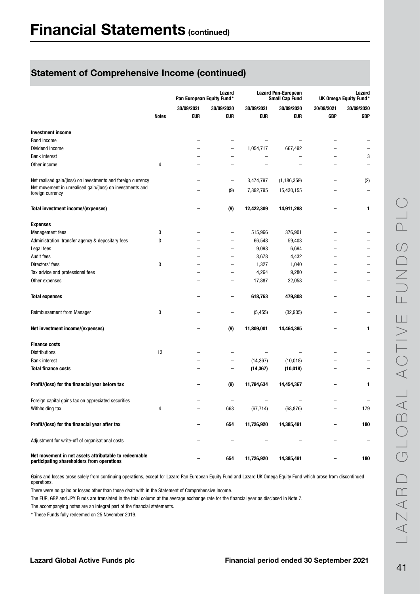|                                                                                                     |              | Lazard<br>Pan European Equity Fund* |                   |            | <b>Lazard Pan-European</b><br><b>Small Cap Fund</b> | Lazard<br>UK Omega Equity Fund* |            |
|-----------------------------------------------------------------------------------------------------|--------------|-------------------------------------|-------------------|------------|-----------------------------------------------------|---------------------------------|------------|
|                                                                                                     |              | 30/09/2021                          | 30/09/2020        | 30/09/2021 | 30/09/2020                                          | 30/09/2021                      | 30/09/2020 |
|                                                                                                     | <b>Notes</b> | <b>EUR</b>                          | <b>EUR</b>        | <b>EUR</b> | eur                                                 | <b>GBP</b>                      | <b>GBP</b> |
| <b>Investment income</b>                                                                            |              |                                     |                   |            |                                                     |                                 |            |
| Bond income                                                                                         |              |                                     |                   |            |                                                     |                                 |            |
| Dividend income                                                                                     |              |                                     |                   | 1,054,717  | 667,492                                             |                                 |            |
| <b>Bank interest</b>                                                                                |              |                                     |                   |            |                                                     |                                 | 3          |
| Other income                                                                                        | 4            |                                     |                   |            |                                                     |                                 |            |
| Net realised gain/(loss) on investments and foreign currency                                        |              |                                     | $\qquad \qquad -$ | 3,474,797  | (1, 186, 359)                                       |                                 | (2)        |
| Net movement in unrealised gain/(loss) on investments and<br>foreign currency                       |              |                                     | (9)               | 7,892,795  | 15,430,155                                          |                                 |            |
| Total investment income/(expenses)                                                                  |              |                                     | (9)               | 12,422,309 | 14,911,288                                          |                                 | 1          |
| <b>Expenses</b>                                                                                     |              |                                     |                   |            |                                                     |                                 |            |
| <b>Management</b> fees                                                                              | 3            |                                     |                   | 515,966    | 376,901                                             |                                 |            |
| Administration, transfer agency & depositary fees                                                   | 3            |                                     |                   | 66,548     | 59,403                                              |                                 |            |
| Legal fees                                                                                          |              | −                                   |                   | 9,093      | 6,694                                               | $\overline{\phantom{0}}$        |            |
| Audit fees                                                                                          |              |                                     |                   | 3,678      | 4,432                                               |                                 |            |
| Directors' fees                                                                                     | 3            |                                     |                   | 1,327      | 1,040                                               |                                 |            |
| Tax advice and professional fees                                                                    |              |                                     |                   | 4,264      | 9,280                                               |                                 |            |
| Other expenses                                                                                      |              |                                     |                   | 17,887     | 22,058                                              |                                 |            |
| <b>Total expenses</b>                                                                               |              |                                     |                   | 618,763    | 479,808                                             |                                 |            |
| Reimbursement from Manager                                                                          | 3            |                                     |                   | (5, 455)   | (32, 905)                                           |                                 |            |
| Net investment income/(expenses)                                                                    |              |                                     | (9)               | 11,809,001 | 14,464,385                                          |                                 | 1          |
| <b>Finance costs</b>                                                                                |              |                                     |                   |            |                                                     |                                 |            |
| <b>Distributions</b>                                                                                | 13           |                                     |                   |            |                                                     |                                 |            |
| <b>Bank interest</b>                                                                                |              |                                     |                   | (14, 367)  | (10, 018)                                           |                                 |            |
| <b>Total finance costs</b>                                                                          |              |                                     |                   | (14, 367)  | (10, 018)                                           |                                 |            |
| Profit/(loss) for the financial year before tax                                                     |              |                                     | (9)               | 11,794,634 | 14,454,367                                          |                                 | 1          |
| Foreign capital gains tax on appreciated securities                                                 |              |                                     |                   |            |                                                     |                                 |            |
| Withholding tax                                                                                     | 4            |                                     | 663               | (67, 714)  | (68, 876)                                           |                                 | 179        |
| Profit/(loss) for the financial year after tax                                                      |              |                                     | 654               | 11,726,920 | 14,385,491                                          |                                 | 180        |
| Adjustment for write-off of organisational costs                                                    |              |                                     | $\overline{a}$    |            |                                                     |                                 |            |
| Net movement in net assets attributable to redeemable<br>participating shareholders from operations |              |                                     | 654               | 11,726,920 | 14,385,491                                          |                                 | 180        |

Gains and losses arose solely from continuing operations, except for Lazard Pan European Equity Fund and Lazard UK Omega Equity Fund which arose from discontinued operations.

There were no gains or losses other than those dealt with in the Statement of Comprehensive Income.

The EUR, GBP and JPY Funds are translated in the total column at the average exchange rate for the financial year as disclosed in Note 7.

The accompanying notes are an integral part of the financial statements.

\* These Funds fully redeemed on 25 November 2019.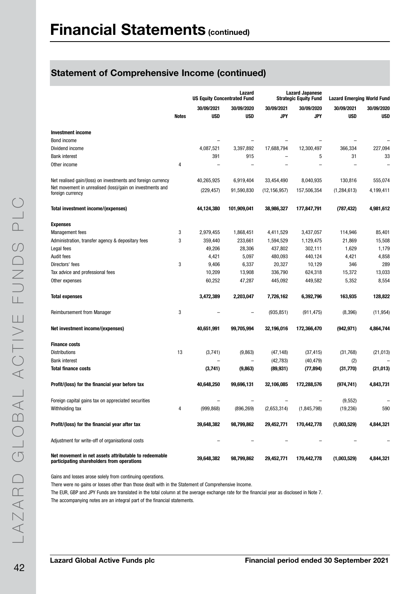|                                                                                                     |              | <b>US Equity Concentrated Fund</b> | Lazard                   |                | <b>Lazard Japanese</b><br><b>Strategic Equity Fund</b> |               | <b>Lazard Emerging World Fund</b> |  |
|-----------------------------------------------------------------------------------------------------|--------------|------------------------------------|--------------------------|----------------|--------------------------------------------------------|---------------|-----------------------------------|--|
|                                                                                                     |              | 30/09/2021                         | 30/09/2020               | 30/09/2021     | 30/09/2020                                             | 30/09/2021    | 30/09/2020                        |  |
|                                                                                                     | <b>Notes</b> | <b>USD</b>                         | <b>USD</b>               | <b>JPY</b>     | <b>JPY</b>                                             | <b>USD</b>    | <b>USD</b>                        |  |
| <b>Investment income</b>                                                                            |              |                                    |                          |                |                                                        |               |                                   |  |
| Bond income                                                                                         |              |                                    |                          |                |                                                        |               |                                   |  |
| Dividend income                                                                                     |              | 4,087,521                          | 3,397,892                | 17,688,794     | 12,300,497                                             | 366,334       | 227,094                           |  |
| <b>Bank interest</b>                                                                                |              | 391                                | 915                      |                | 5                                                      | 31            | 33                                |  |
| Other income                                                                                        | 4            |                                    |                          |                |                                                        |               |                                   |  |
|                                                                                                     |              |                                    |                          |                |                                                        |               |                                   |  |
| Net realised gain/(loss) on investments and foreign currency                                        |              | 40,265,925                         | 6,919,404                | 33,454,490     | 8,040,935                                              | 130,816       | 555,074                           |  |
| Net movement in unrealised (loss)/gain on investments and<br>foreign currency                       |              | (229, 457)                         | 91,590,830               | (12, 156, 957) | 157,506,354                                            | (1, 284, 613) | 4,199,411                         |  |
| Total investment income/(expenses)                                                                  |              | 44,124,380                         | 101,909,041              | 38,986,327     | 177,847,791                                            | (787, 432)    | 4,981,612                         |  |
| <b>Expenses</b>                                                                                     |              |                                    |                          |                |                                                        |               |                                   |  |
| <b>Management</b> fees                                                                              | 3            | 2,979,455                          | 1,868,451                | 4,411,529      | 3,437,057                                              | 114,946       | 85,401                            |  |
| Administration, transfer agency & depositary fees                                                   | 3            | 359,440                            | 233,661                  | 1,594,529      | 1,129,475                                              | 21,869        | 15,508                            |  |
| Legal fees                                                                                          |              | 49,206                             | 28,306                   | 437,802        | 302,111                                                | 1,629         | 1,179                             |  |
| <b>Audit fees</b>                                                                                   |              | 4,421                              | 5,097                    | 480,093        | 440,124                                                | 4,421         | 4,858                             |  |
| Directors' fees                                                                                     | 3            | 9,406                              | 6,337                    | 20,327         | 10,129                                                 | 346           | 289                               |  |
| Tax advice and professional fees                                                                    |              | 10,209                             | 13,908                   | 336,790        | 624,318                                                | 15,372        | 13,033                            |  |
| Other expenses                                                                                      |              | 60,252                             | 47,287                   | 445,092        | 449,582                                                | 5,352         | 8,554                             |  |
| <b>Total expenses</b>                                                                               |              | 3,472,389                          | 2,203,047                | 7,726,162      | 6,392,796                                              | 163,935       | 128,822                           |  |
| <b>Reimbursement from Manager</b>                                                                   | 3            |                                    |                          | (935, 851)     | (911, 475)                                             | (8, 396)      | (11, 954)                         |  |
| Net investment income/(expenses)                                                                    |              | 40,651,991                         | 99,705,994               | 32,196,016     | 172,366,470                                            | (942, 971)    | 4,864,744                         |  |
| <b>Finance costs</b>                                                                                |              |                                    |                          |                |                                                        |               |                                   |  |
| <b>Distributions</b>                                                                                | 13           | (3,741)                            | (9,863)                  | (47, 148)      | (37, 415)                                              | (31,768)      | (21, 013)                         |  |
| <b>Bank interest</b>                                                                                |              |                                    | $\overline{\phantom{0}}$ | (42, 783)      | (40, 479)                                              | (2)           |                                   |  |
| <b>Total finance costs</b>                                                                          |              | (3,741)                            | (9,863)                  | (89, 931)      | (77, 894)                                              | (31, 770)     | (21, 013)                         |  |
| Profit/(loss) for the financial year before tax                                                     |              | 40,648,250                         | 99,696,131               | 32,106,085     | 172,288,576                                            | (974, 741)    | 4,843,731                         |  |
| Foreign capital gains tax on appreciated securities                                                 |              |                                    |                          |                |                                                        | (9, 552)      |                                   |  |
| Withholding tax                                                                                     | 4            | (999, 868)                         | (896, 269)               | (2,653,314)    | (1, 845, 798)                                          | (19, 236)     | 590                               |  |
|                                                                                                     |              |                                    |                          |                |                                                        |               |                                   |  |
| Profit/(loss) for the financial year after tax                                                      |              | 39,648,382                         | 98,799,862               | 29,452,771     | 170,442,778                                            | (1,003,529)   | 4,844,321                         |  |
| Adjustment for write-off of organisational costs                                                    |              |                                    |                          |                |                                                        |               |                                   |  |
| Net movement in net assets attributable to redeemable<br>participating shareholders from operations |              | 39,648,382                         | 98,799,862               | 29,452,771     | 170,442,778                                            | (1,003,529)   | 4,844,321                         |  |

Gains and losses arose solely from continuing operations.

There were no gains or losses other than those dealt with in the Statement of Comprehensive Income.

The EUR, GBP and JPY Funds are translated in the total column at the average exchange rate for the financial year as disclosed in Note 7.

The accompanying notes are an integral part of the financial statements.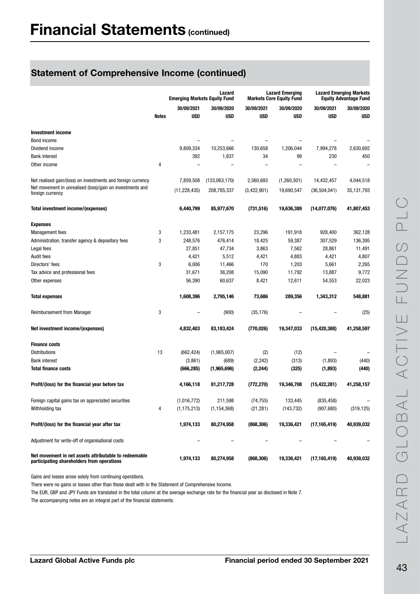|                                                                                                     |       | <b>Emerging Markets Equity Fund</b> | Lazard        |               | <b>Lazard Emerging</b><br><b>Markets Core Equity Fund</b> | <b>Lazard Emerging Markets</b><br><b>Equity Advantage Fund</b> |            |
|-----------------------------------------------------------------------------------------------------|-------|-------------------------------------|---------------|---------------|-----------------------------------------------------------|----------------------------------------------------------------|------------|
|                                                                                                     |       | 30/09/2021                          | 30/09/2020    | 30/09/2021    | 30/09/2020                                                | 30/09/2021                                                     | 30/09/2020 |
|                                                                                                     | Notes | <b>USD</b>                          | <b>USD</b>    | USD           | <b>USD</b>                                                | USD                                                            | USD        |
| <b>Investment income</b>                                                                            |       |                                     |               |               |                                                           |                                                                |            |
| Bond income                                                                                         |       |                                     |               |               |                                                           |                                                                |            |
| Dividend income                                                                                     |       | 9,809,334                           | 10,253,666    | 130,658       | 1,206,044                                                 | 7,994,278                                                      | 2,630,692  |
| <b>Bank interest</b>                                                                                |       | 392                                 | 1,837         | 34            | 99                                                        | 230                                                            | 450        |
| Other income                                                                                        | 4     |                                     |               |               |                                                           |                                                                |            |
| Net realised gain/(loss) on investments and foreign currency                                        |       | 7,859,508                           | (133,063,170) | 2,560,693     | (1,260,301)                                               | 14,432,457                                                     | 4,044,518  |
| Net movement in unrealised (loss)/gain on investments and<br>foreign currency                       |       | (11, 228, 435)                      | 208,785,337   | (3, 422, 901) | 19,690,547                                                | (36, 504, 041)                                                 | 35,131,793 |
| Total investment income/(expenses)                                                                  |       | 6,440,799                           | 85,977,670    | (731, 516)    | 19,636,389                                                | (14,077,076)                                                   | 41,807,453 |
| <b>Expenses</b>                                                                                     |       |                                     |               |               |                                                           |                                                                |            |
| <b>Management</b> fees                                                                              | 3     | 1,233,481                           | 2,157,175     | 23,296        | 191,918                                                   | 928,400                                                        | 362,128    |
| Administration, transfer agency & depositary fees                                                   | 3     | 248,576                             | 476,414       | 18,425        | 59,387                                                    | 307,529                                                        | 136,395    |
| Legal fees                                                                                          |       | 27,851                              | 47,734        | 3,863         | 7,562                                                     | 28,861                                                         | 11,491     |
| Audit fees                                                                                          |       | 4,421                               | 5,512         | 4,421         | 4,883                                                     | 4,421                                                          | 4,807      |
| Directors' fees                                                                                     | 3     | 6,006                               | 11,466        | 170           | 1,203                                                     | 5,661                                                          | 2,265      |
| Tax advice and professional fees                                                                    |       | 31,671                              | 36,208        | 15,090        | 11,792                                                    | 13,887                                                         | 9,772      |
| Other expenses                                                                                      |       | 56,390                              | 60,637        | 8,421         | 12,611                                                    | 54,553                                                         | 22,023     |
| <b>Total expenses</b>                                                                               |       | 1,608,396                           | 2,795,146     | 73,686        | 289,356                                                   | 1,343,312                                                      | 548,881    |
| <b>Reimbursement from Manager</b>                                                                   | 3     |                                     | (900)         | (35, 176)     |                                                           |                                                                | (25)       |
| Net investment income/(expenses)                                                                    |       | 4,832,403                           | 83,183,424    | (770,026)     | 19,347,033                                                | (15, 420, 388)                                                 | 41,258,597 |
| <b>Finance costs</b>                                                                                |       |                                     |               |               |                                                           |                                                                |            |
| <b>Distributions</b>                                                                                | 13    | (662, 424)                          | (1,965,007)   | (2)           | (12)                                                      |                                                                |            |
| <b>Bank interest</b>                                                                                |       | (3,861)                             | (689)         | (2, 242)      | (313)                                                     | (1,893)                                                        | (440)      |
| <b>Total finance costs</b>                                                                          |       | (666, 285)                          | (1,965,696)   | (2, 244)      | (325)                                                     | (1,893)                                                        | (440)      |
| Profit/(loss) for the financial year before tax                                                     |       | 4,166,118                           | 81,217,728    | (772, 270)    | 19,346,708                                                | (15, 422, 281)                                                 | 41,258,157 |
| Foreign capital gains tax on appreciated securities                                                 |       | (1,016,772)                         | 211,598       | (74, 755)     | 133,445                                                   | (835, 458)                                                     |            |
| Withholding tax                                                                                     | 4     | (1, 175, 213)                       | (1, 154, 368) | (21, 281)     | (143, 732)                                                | (907, 680)                                                     | (319, 125) |
| Profit/(loss) for the financial year after tax                                                      |       | 1,974,133                           | 80,274,958    | (868, 306)    | 19,336,421                                                | (17, 165, 419)                                                 | 40,939,032 |
| Adjustment for write-off of organisational costs                                                    |       |                                     |               |               |                                                           |                                                                |            |
| Net movement in net assets attributable to redeemable<br>participating shareholders from operations |       | 1,974,133                           | 80,274,958    | (868, 306)    | 19,336,421                                                | (17, 165, 419)                                                 | 40,939,032 |

Gains and losses arose solely from continuing operations.

There were no gains or losses other than those dealt with in the Statement of Comprehensive Income.

The EUR, GBP and JPY Funds are translated in the total column at the average exchange rate for the financial year as disclosed in Note 7.

The accompanying notes are an integral part of the financial statements.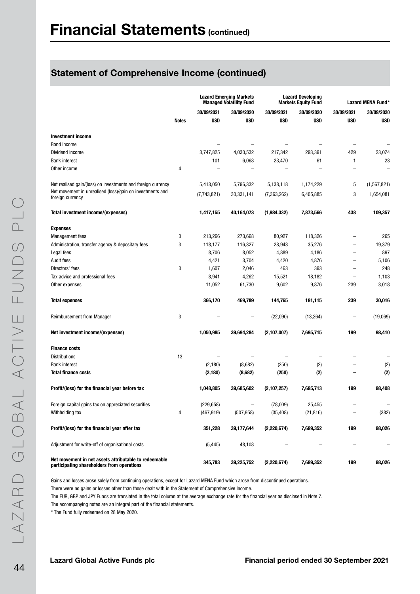|                                                                                                     |              |             | <b>Lazard Emerging Markets</b><br><b>Managed Volatility Fund</b> | <b>Lazard Developing</b><br><b>Markets Equity Fund</b> |            |                          | Lazard MENA Fund* |
|-----------------------------------------------------------------------------------------------------|--------------|-------------|------------------------------------------------------------------|--------------------------------------------------------|------------|--------------------------|-------------------|
|                                                                                                     |              | 30/09/2021  | 30/09/2020                                                       | 30/09/2021                                             | 30/09/2020 | 30/09/2021               | 30/09/2020        |
|                                                                                                     | <b>Notes</b> | <b>USD</b>  | <b>USD</b>                                                       | <b>USD</b>                                             | <b>USD</b> | <b>USD</b>               | <b>USD</b>        |
| <b>Investment income</b>                                                                            |              |             |                                                                  |                                                        |            |                          |                   |
| Bond income                                                                                         |              |             |                                                                  |                                                        |            | $\overline{\phantom{0}}$ |                   |
| Dividend income                                                                                     |              | 3,747,825   | 4,030,532                                                        | 217,342                                                | 293,391    | 429                      | 23,074            |
| <b>Bank interest</b>                                                                                |              | 101         | 6,068                                                            | 23,470                                                 | 61         | 1                        | 23                |
| Other income                                                                                        | 4            |             |                                                                  |                                                        |            |                          |                   |
| Net realised gain/(loss) on investments and foreign currency                                        |              | 5,413,050   | 5,796,332                                                        | 5,138,118                                              | 1,174,229  | 5                        | (1, 567, 821)     |
| Net movement in unrealised (loss)/gain on investments and<br>foreign currency                       |              | (7,743,821) | 30,331,141                                                       | (7, 363, 262)                                          | 6,405,885  | 3                        | 1,654,081         |
| Total investment income/(expenses)                                                                  |              | 1,417,155   | 40,164,073                                                       | (1,984,332)                                            | 7,873,566  | 438                      | 109,357           |
| <b>Expenses</b>                                                                                     |              |             |                                                                  |                                                        |            |                          |                   |
| <b>Management fees</b>                                                                              | 3            | 213,266     | 273,668                                                          | 80,927                                                 | 118,326    | -                        | 265               |
| Administration, transfer agency & depositary fees                                                   | 3            | 118,177     | 116,327                                                          | 28,943                                                 | 35,276     | -                        | 19,379            |
| Legal fees                                                                                          |              | 8,706       | 8,052                                                            | 4,889                                                  | 4,186      | $\overline{\phantom{0}}$ | 897               |
| <b>Audit fees</b>                                                                                   |              | 4,421       | 3,704                                                            | 4,420                                                  | 4,876      | $\overline{\phantom{0}}$ | 5,106             |
| Directors' fees                                                                                     | 3            | 1,607       | 2,046                                                            | 463                                                    | 393        | $\overline{\phantom{0}}$ | 248               |
| Tax advice and professional fees                                                                    |              | 8,941       | 4,262                                                            | 15,521                                                 | 18,182     | -                        | 1,103             |
| Other expenses                                                                                      |              | 11,052      | 61,730                                                           | 9,602                                                  | 9,876      | 239                      | 3,018             |
| <b>Total expenses</b>                                                                               |              | 366,170     | 469,789                                                          | 144,765                                                | 191,115    | 239                      | 30,016            |
| <b>Reimbursement from Manager</b>                                                                   | 3            |             | $\overline{\phantom{0}}$                                         | (22,090)                                               | (13, 264)  | -                        | (19,069)          |
| Net investment income/(expenses)                                                                    |              | 1,050,985   | 39,694,284                                                       | (2,107,007)                                            | 7,695,715  | 199                      | 98,410            |
| <b>Finance costs</b>                                                                                |              |             |                                                                  |                                                        |            |                          |                   |
| Distributions                                                                                       | 13           |             |                                                                  |                                                        |            |                          |                   |
| <b>Bank interest</b>                                                                                |              | (2, 180)    | (8,682)                                                          | (250)                                                  | (2)        |                          | (2)               |
| <b>Total finance costs</b>                                                                          |              | (2, 180)    | (8,682)                                                          | (250)                                                  | (2)        |                          | (2)               |
| Profit/(loss) for the financial year before tax                                                     |              | 1,048,805   | 39,685,602                                                       | (2,107,257)                                            | 7,695,713  | 199                      | 98,408            |
| Foreign capital gains tax on appreciated securities                                                 |              | (229, 658)  |                                                                  | (78,009)                                               | 25,455     |                          |                   |
| Withholding tax                                                                                     | 4            | (467, 919)  | (507, 958)                                                       | (35, 408)                                              | (21, 816)  |                          | (382)             |
| Profit/(loss) for the financial year after tax                                                      |              | 351,228     | 39,177,644                                                       | (2, 220, 674)                                          | 7,699,352  | 199                      | 98,026            |
| Adjustment for write-off of organisational costs                                                    |              | (5, 445)    | 48,108                                                           |                                                        |            |                          |                   |
| Net movement in net assets attributable to redeemable<br>participating shareholders from operations |              | 345,783     | 39,225,752                                                       | (2, 220, 674)                                          | 7,699,352  | 199                      | 98,026            |

Gains and losses arose solely from continuing operations, except for Lazard MENA Fund which arose from discontinued operations.

There were no gains or losses other than those dealt with in the Statement of Comprehensive Income.

The EUR, GBP and JPY Funds are translated in the total column at the average exchange rate for the financial year as disclosed in Note 7.

The accompanying notes are an integral part of the financial statements.

\* The Fund fully redeemed on 28 May 2020.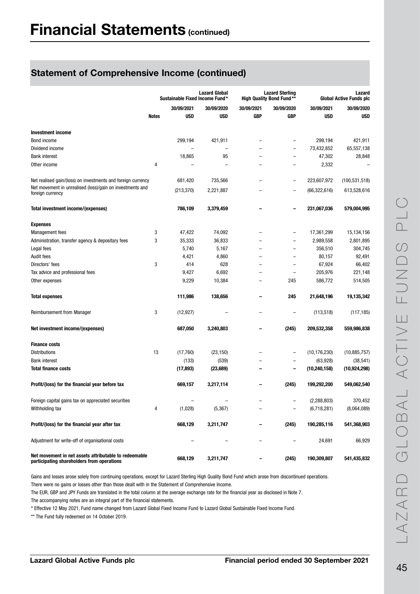|                                                                                                     |              | Sustainable Fixed Income Fund* | <b>Lazard Global</b>     |                          | <b>Lazard Sterling</b><br><b>High Quality Bond Fund**</b> | Lazard<br><b>Global Active Funds plc</b> |                 |  |
|-----------------------------------------------------------------------------------------------------|--------------|--------------------------------|--------------------------|--------------------------|-----------------------------------------------------------|------------------------------------------|-----------------|--|
|                                                                                                     |              | 30/09/2021                     | 30/09/2020               | 30/09/2021               | 30/09/2020                                                | 30/09/2021                               | 30/09/2020      |  |
|                                                                                                     | <b>Notes</b> | <b>USD</b>                     | <b>USD</b>               | <b>GBP</b>               | <b>GBP</b>                                                | <b>USD</b>                               | <b>USD</b>      |  |
|                                                                                                     |              |                                |                          |                          |                                                           |                                          |                 |  |
| <b>Investment income</b>                                                                            |              |                                |                          |                          |                                                           |                                          |                 |  |
| Bond income                                                                                         |              | 299,194                        | 421,911                  |                          |                                                           | 299,194                                  | 421,911         |  |
| Dividend income                                                                                     |              |                                | $\overline{\phantom{0}}$ |                          | $\overline{a}$                                            | 73,432,852                               | 65,557,138      |  |
| <b>Bank interest</b>                                                                                |              | 18,865                         | 95                       |                          | -                                                         | 47,302                                   | 28,848          |  |
| Other income                                                                                        | 4            |                                | $\overline{\phantom{0}}$ |                          |                                                           | 2,332                                    |                 |  |
| Net realised gain/(loss) on investments and foreign currency                                        |              | 681,420                        | 735,566                  |                          | $\overline{\phantom{0}}$                                  | 223,607,972                              | (100, 531, 518) |  |
| Net movement in unrealised (loss)/gain on investments and<br>foreign currency                       |              | (213, 370)                     | 2,221,887                |                          | $\overline{\phantom{0}}$                                  | (66, 322, 616)                           | 613,528,616     |  |
| Total investment income/(expenses)                                                                  |              | 786,109                        | 3,379,459                |                          | -                                                         | 231,067,036                              | 579,004,995     |  |
| <b>Expenses</b>                                                                                     |              |                                |                          |                          |                                                           |                                          |                 |  |
| <b>Management</b> fees                                                                              | 3            | 47,422                         | 74,092                   |                          | -                                                         | 17,361,299                               | 15,134,156      |  |
| Administration, transfer agency & depositary fees                                                   | 3            | 35,333                         | 36,833                   |                          | -                                                         | 2,989,558                                | 2,801,895       |  |
| Legal fees                                                                                          |              | 5,740                          | 5,167                    |                          | -                                                         | 356,510                                  | 304,745         |  |
| <b>Audit fees</b>                                                                                   |              | 4,421                          | 4,860                    |                          | -                                                         | 80,157                                   | 92,491          |  |
| Directors' fees                                                                                     | 3            | 414                            | 628                      |                          | $\overline{\phantom{0}}$                                  | 67,924                                   | 66,402          |  |
| Tax advice and professional fees                                                                    |              | 9,427                          | 6,692                    |                          | $\overline{\phantom{0}}$                                  | 205,976                                  | 221,148         |  |
| Other expenses                                                                                      |              | 9,229                          | 10,384                   | $\overline{\phantom{0}}$ | 245                                                       | 586,772                                  | 514,505         |  |
| <b>Total expenses</b>                                                                               |              | 111,986                        | 138,656                  |                          | 245                                                       | 21,648,196                               | 19,135,342      |  |
| Reimbursement from Manager                                                                          | 3            | (12, 927)                      |                          |                          | -                                                         | (113, 518)                               | (117, 185)      |  |
| Net investment income/(expenses)                                                                    |              | 687,050                        | 3,240,803                |                          | (245)                                                     | 209,532,358                              | 559,986,838     |  |
| <b>Finance costs</b>                                                                                |              |                                |                          |                          |                                                           |                                          |                 |  |
| <b>Distributions</b>                                                                                | 13           | (17,760)                       | (23, 150)                |                          | $\overline{\phantom{0}}$                                  | (10, 176, 230)                           | (10, 885, 757)  |  |
| <b>Bank interest</b>                                                                                |              | (133)                          | (539)                    |                          |                                                           | (63, 928)                                | (38, 541)       |  |
| <b>Total finance costs</b>                                                                          |              | (17, 893)                      | (23, 689)                |                          | $\overline{\phantom{0}}$                                  | (10, 240, 158)                           | (10, 924, 298)  |  |
| Profit/(loss) for the financial year before tax                                                     |              | 669,157                        | 3,217,114                |                          | (245)                                                     | 199,292,200                              | 549,062,540     |  |
| Foreign capital gains tax on appreciated securities                                                 |              |                                |                          |                          |                                                           | (2, 288, 803)                            | 370,452         |  |
| Withholding tax                                                                                     | 4            | (1,028)                        | (5, 367)                 |                          |                                                           | (6,718,281)                              | (8,064,089)     |  |
| Profit/(loss) for the financial year after tax                                                      |              | 668,129                        | 3,211,747                |                          | (245)                                                     | 190,285,116                              | 541,368,903     |  |
| Adjustment for write-off of organisational costs                                                    |              |                                |                          | -                        |                                                           | 24,691                                   | 66,929          |  |
| Net movement in net assets attributable to redeemable<br>participating shareholders from operations |              | 668,129                        | 3,211,747                |                          | (245)                                                     | 190,309,807                              | 541,435,832     |  |

Gains and losses arose solely from continuing operations, except for Lazard Sterling High Quality Bond Fund which arose from discontinued operations.

There were no gains or losses other than those dealt with in the Statement of Comprehensive Income.

The EUR, GBP and JPY Funds are translated in the total column at the average exchange rate for the financial year as disclosed in Note 7.

The accompanying notes are an integral part of the financial statements.

\* Effective 12 May 2021, Fund name changed from Lazard Global Fixed Income Fund to Lazard Global Sustainable Fixed Income Fund.

\*\* The Fund fully redeemed on 14 October 2019.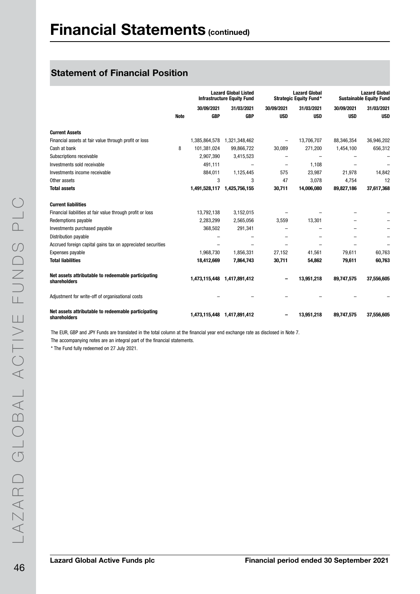## Statement of Financial Position

|                                                                     |             |               | <b>Lazard Global Listed</b><br><b>Infrastructure Equity Fund</b> |            | <b>Lazard Global</b><br><b>Strategic Equity Fund*</b> | <b>Lazard Global</b><br><b>Sustainable Equity Fund</b> |            |  |
|---------------------------------------------------------------------|-------------|---------------|------------------------------------------------------------------|------------|-------------------------------------------------------|--------------------------------------------------------|------------|--|
|                                                                     |             | 30/09/2021    | 31/03/2021                                                       | 30/09/2021 | 31/03/2021                                            | 30/09/2021                                             | 31/03/2021 |  |
|                                                                     | <b>Note</b> | <b>GBP</b>    | <b>GBP</b>                                                       | <b>USD</b> | <b>USD</b>                                            | <b>USD</b>                                             | <b>USD</b> |  |
| <b>Current Assets</b>                                               |             |               |                                                                  |            |                                                       |                                                        |            |  |
| Financial assets at fair value through profit or loss               |             | 1,385,864,578 | 1,321,348,462                                                    |            | 13,706,707                                            | 88,346,354                                             | 36,946,202 |  |
| Cash at bank                                                        | 8           | 101,381,024   | 99,866,722                                                       | 30,089     | 271,200                                               | 1,454,100                                              | 656,312    |  |
| Subscriptions receivable                                            |             | 2,907,390     | 3,415,523                                                        |            | $\overline{\phantom{0}}$                              |                                                        |            |  |
| Investments sold receivable                                         |             | 491,111       |                                                                  |            | 1.108                                                 |                                                        |            |  |
| Investments income receivable                                       |             | 884,011       | 1,125,445                                                        | 575        | 23.987                                                | 21,978                                                 | 14.842     |  |
| Other assets                                                        |             | 3             | 3                                                                | 47         | 3,078                                                 | 4,754                                                  | 12         |  |
| <b>Total assets</b>                                                 |             | 1,491,528,117 | 1,425,756,155                                                    | 30,711     | 14,006,080                                            | 89,827,186                                             | 37,617,368 |  |
| <b>Current liabilities</b>                                          |             |               |                                                                  |            |                                                       |                                                        |            |  |
| Financial liabilities at fair value through profit or loss          |             | 13,792,138    | 3,152,015                                                        |            |                                                       |                                                        |            |  |
| Redemptions payable                                                 |             | 2,283,299     | 2,565,056                                                        | 3,559      | 13,301                                                |                                                        |            |  |
| Investments purchased payable                                       |             | 368,502       | 291,341                                                          |            |                                                       |                                                        |            |  |
| Distribution payable                                                |             |               |                                                                  |            |                                                       |                                                        |            |  |
| Accrued foreign capital gains tax on appreciated securities         |             |               |                                                                  |            |                                                       |                                                        |            |  |
| Expenses payable                                                    |             | 1,968,730     | 1,856,331                                                        | 27,152     | 41,561                                                | 79,611                                                 | 60,763     |  |
| <b>Total liabilities</b>                                            |             | 18,412,669    | 7,864,743                                                        | 30,711     | 54,862                                                | 79,611                                                 | 60,763     |  |
| Net assets attributable to redeemable participating<br>shareholders |             |               | 1,473,115,448 1,417,891,412                                      |            | 13,951,218                                            | 89,747,575                                             | 37,556,605 |  |
| Adjustment for write-off of organisational costs                    |             |               |                                                                  |            |                                                       |                                                        |            |  |
| Net assets attributable to redeemable participating<br>shareholders |             |               | 1,473,115,448 1,417,891,412                                      |            | 13,951,218                                            | 89,747,575                                             | 37,556,605 |  |

The EUR, GBP and JPY Funds are translated in the total column at the financial year end exchange rate as disclosed in Note 7. The accompanying notes are an integral part of the financial statements.

\* The Fund fully redeemed on 27 July 2021.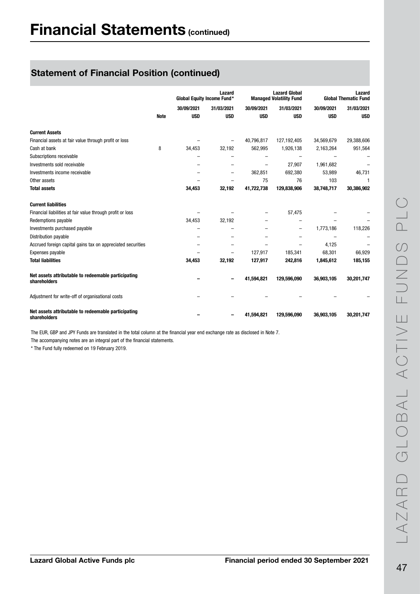|                                                                     |             | <b>Global Equity Income Fund*</b> | Lazard                   |            | <b>Lazard Global</b><br><b>Managed Volatility Fund</b> | Lazard<br><b>Global Thematic Fund</b> |            |  |
|---------------------------------------------------------------------|-------------|-----------------------------------|--------------------------|------------|--------------------------------------------------------|---------------------------------------|------------|--|
|                                                                     |             | 30/09/2021                        | 31/03/2021               | 30/09/2021 | 31/03/2021                                             | 30/09/2021                            | 31/03/2021 |  |
|                                                                     | <b>Note</b> | <b>USD</b>                        | <b>USD</b>               | <b>USD</b> | <b>USD</b>                                             | <b>USD</b>                            | <b>USD</b> |  |
| <b>Current Assets</b>                                               |             |                                   |                          |            |                                                        |                                       |            |  |
| Financial assets at fair value through profit or loss               |             |                                   | $\overline{\phantom{0}}$ | 40.796.817 | 127,192,405                                            | 34,569,679                            | 29,388,606 |  |
| Cash at bank                                                        | 8           | 34,453                            | 32,192                   | 562,995    | 1,926,138                                              | 2,163,264                             | 951,564    |  |
| Subscriptions receivable                                            |             |                                   |                          |            |                                                        |                                       |            |  |
| Investments sold receivable                                         |             |                                   |                          |            | 27,907                                                 | 1,961,682                             |            |  |
| Investments income receivable                                       |             |                                   | -                        | 362,851    | 692,380                                                | 53,989                                | 46,731     |  |
| Other assets                                                        |             |                                   |                          | 75         | 76                                                     | 103                                   | 1          |  |
| <b>Total assets</b>                                                 |             | 34,453                            | 32,192                   | 41,722,738 | 129,838,906                                            | 38,748,717                            | 30,386,902 |  |
| <b>Current liabilities</b>                                          |             |                                   |                          |            |                                                        |                                       |            |  |
| Financial liabilities at fair value through profit or loss          |             |                                   |                          |            | 57,475                                                 |                                       |            |  |
| Redemptions payable                                                 |             | 34,453                            | 32,192                   |            |                                                        |                                       |            |  |
| Investments purchased payable                                       |             |                                   |                          |            | $\overline{\phantom{0}}$                               | 1,773,186                             | 118,226    |  |
| Distribution payable                                                |             |                                   |                          |            |                                                        |                                       |            |  |
| Accrued foreign capital gains tax on appreciated securities         |             |                                   |                          |            |                                                        | 4,125                                 |            |  |
| Expenses payable                                                    |             |                                   |                          | 127,917    | 185,341                                                | 68,301                                | 66,929     |  |
| <b>Total liabilities</b>                                            |             | 34,453                            | 32,192                   | 127,917    | 242,816                                                | 1,845,612                             | 185,155    |  |
| Net assets attributable to redeemable participating<br>shareholders |             |                                   |                          | 41.594.821 | 129,596,090                                            | 36,903,105                            | 30,201,747 |  |
| Adjustment for write-off of organisational costs                    |             |                                   |                          |            |                                                        |                                       |            |  |
| Net assets attributable to redeemable participating<br>shareholders |             |                                   |                          | 41,594,821 | 129,596,090                                            | 36,903,105                            | 30,201,747 |  |

The EUR, GBP and JPY Funds are translated in the total column at the financial year end exchange rate as disclosed in Note 7.

The accompanying notes are an integral part of the financial statements.

\* The Fund fully redeemed on 19 February 2019.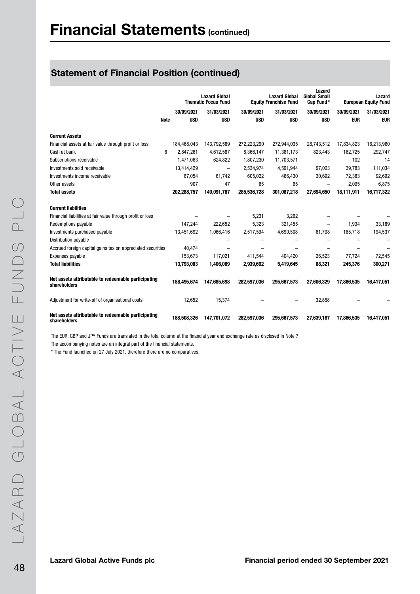|                                                                     |             | <b>Lazard Global</b><br><b>Thematic Focus Fund</b> |             | <b>Lazard Global</b><br><b>Equity Franchise Fund</b> | Lazard<br><b>Global Small</b><br>Cap Fund* | Lazard<br><b>European Equity Fund</b> |            |
|---------------------------------------------------------------------|-------------|----------------------------------------------------|-------------|------------------------------------------------------|--------------------------------------------|---------------------------------------|------------|
|                                                                     | 30/09/2021  | 31/03/2021                                         | 30/09/2021  | 31/03/2021                                           | 30/09/2021                                 | 30/09/2021                            | 31/03/2021 |
| <b>Note</b>                                                         | <b>USD</b>  | <b>USD</b>                                         | <b>USD</b>  | <b>USD</b>                                           | <b>USD</b>                                 | <b>EUR</b>                            | <b>EUR</b> |
| <b>Current Assets</b>                                               |             |                                                    |             |                                                      |                                            |                                       |            |
| Financial assets at fair value through profit or loss               | 184.468.043 | 143,792,589                                        | 272,223,290 | 272,944,035                                          | 26,743,512                                 | 17,834,823                            | 16,213,960 |
| 8<br>Cash at bank                                                   | 2.847.261   | 4,612,587                                          | 8,366,147   | 11,381,173                                           | 823,443                                    | 162.725                               | 292,747    |
| Subscriptions receivable                                            | 1,471,063   | 624,822                                            | 1,807,230   | 11,703,571                                           | $\overline{\phantom{0}}$                   | 102                                   | 14         |
| Investments sold receivable                                         | 13,414,429  | $\overline{\phantom{0}}$                           | 2,534,974   | 4,591,944                                            | 97,003                                     | 39,783                                | 111,034    |
| Investments income receivable                                       | 87,054      | 61,742                                             | 605,022     | 466,430                                              | 30,692                                     | 72,383                                | 92,692     |
| Other assets                                                        | 907         | 47                                                 | 65          | 65                                                   | $\overline{\phantom{0}}$                   | 2,095                                 | 6,875      |
| <b>Total assets</b>                                                 | 202,288,757 | 149,091,787                                        | 285,536,728 | 301,087,218                                          | 27,694,650                                 | 18,111,911                            | 16,717,322 |
| <b>Current liabilities</b>                                          |             |                                                    |             |                                                      |                                            |                                       |            |
| Financial liabilities at fair value through profit or loss          |             |                                                    | 5,231       | 3,262                                                |                                            |                                       |            |
| Redemptions payable                                                 | 147.244     | 222.652                                            | 5,323       | 321.455                                              |                                            | 1.934                                 | 33,189     |
| Investments purchased payable                                       | 13,451,692  | 1,066,416                                          | 2,517,594   | 4,690,508                                            | 61,798                                     | 165.718                               | 194,537    |
| Distribution payable                                                |             | ۰                                                  | -           |                                                      | $\overline{\phantom{0}}$                   |                                       |            |
| Accrued foreign capital gains tax on appreciated securities         | 40,474      |                                                    |             |                                                      |                                            |                                       |            |
| Expenses payable                                                    | 153,673     | 117,021                                            | 411,544     | 404.420                                              | 26,523                                     | 77,724                                | 72,545     |
| <b>Total liabilities</b>                                            | 13,793,083  | 1,406,089                                          | 2,939,692   | 5,419,645                                            | 88,321                                     | 245,376                               | 300,271    |
| Net assets attributable to redeemable participating<br>shareholders | 188,495,674 | 147,685,698                                        | 282,597,036 | 295,667,573                                          | 27,606,329                                 | 17,866,535                            | 16,417,051 |
| Adjustment for write-off of organisational costs                    | 12,652      | 15,374                                             |             |                                                      | 32,858                                     |                                       |            |
| Net assets attributable to redeemable participating<br>shareholders | 188,508,326 | 147,701,072                                        | 282,597,036 | 295,667,573                                          | 27,639,187                                 | 17,866,535                            | 16,417,051 |

The EUR, GBP and JPY Funds are translated in the total column at the financial year end exchange rate as disclosed in Note 7.

The accompanying notes are an integral part of the financial statements.

\* The Fund launched on 27 July 2021, therefore there are no comparatives.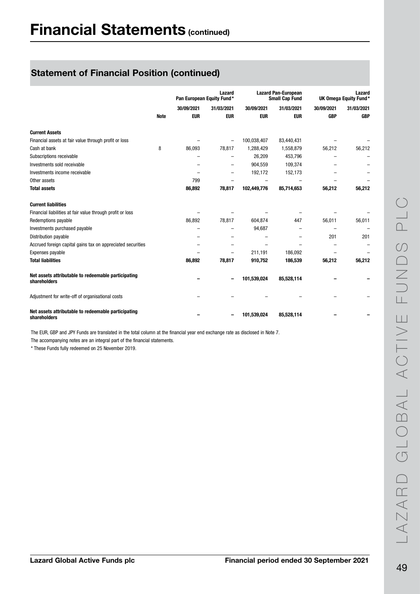|                                                                     |             | Lazard<br>Pan European Equity Fund* |            | <b>Lazard Pan-European</b><br><b>Small Cap Fund</b> |            | Lazard<br>UK Omega Equity Fund* |            |
|---------------------------------------------------------------------|-------------|-------------------------------------|------------|-----------------------------------------------------|------------|---------------------------------|------------|
|                                                                     |             | 30/09/2021                          | 31/03/2021 | 30/09/2021                                          | 31/03/2021 | 30/09/2021                      | 31/03/2021 |
|                                                                     | <b>Note</b> | <b>EUR</b>                          | <b>EUR</b> | <b>EUR</b>                                          | <b>EUR</b> | <b>GBP</b>                      | <b>GBP</b> |
| <b>Current Assets</b>                                               |             |                                     |            |                                                     |            |                                 |            |
| Financial assets at fair value through profit or loss               |             |                                     | -          | 100,038,407                                         | 83,440,431 |                                 |            |
| Cash at bank                                                        | 8           | 86,093                              | 78,817     | 1,288,429                                           | 1,558,879  | 56,212                          | 56,212     |
| Subscriptions receivable                                            |             |                                     |            | 26,209                                              | 453,796    |                                 |            |
| Investments sold receivable                                         |             |                                     |            | 904,559                                             | 109,374    |                                 |            |
| Investments income receivable                                       |             |                                     |            | 192,172                                             | 152,173    |                                 |            |
| Other assets                                                        |             | 799                                 |            |                                                     |            |                                 |            |
| <b>Total assets</b>                                                 |             | 86,892                              | 78,817     | 102,449,776                                         | 85,714,653 | 56,212                          | 56,212     |
| <b>Current liabilities</b>                                          |             |                                     |            |                                                     |            |                                 |            |
| Financial liabilities at fair value through profit or loss          |             |                                     |            |                                                     |            |                                 |            |
| Redemptions payable                                                 |             | 86,892                              | 78,817     | 604,874                                             | 447        | 56,011                          | 56,011     |
| Investments purchased payable                                       |             |                                     |            | 94,687                                              |            |                                 |            |
| Distribution payable                                                |             |                                     | -          |                                                     |            | 201                             | 201        |
| Accrued foreign capital gains tax on appreciated securities         |             |                                     |            |                                                     |            |                                 |            |
| Expenses payable                                                    |             |                                     |            | 211,191                                             | 186,092    |                                 |            |
| <b>Total liabilities</b>                                            |             | 86,892                              | 78,817     | 910,752                                             | 186,539    | 56,212                          | 56,212     |
| Net assets attributable to redeemable participating<br>shareholders |             |                                     |            | 101,539,024                                         | 85,528,114 |                                 |            |
| Adjustment for write-off of organisational costs                    |             |                                     |            |                                                     |            |                                 |            |
| Net assets attributable to redeemable participating<br>shareholders |             |                                     |            | 101,539,024                                         | 85,528,114 |                                 |            |

The EUR, GBP and JPY Funds are translated in the total column at the financial year end exchange rate as disclosed in Note 7.

The accompanying notes are an integral part of the financial statements.

\* These Funds fully redeemed on 25 November 2019.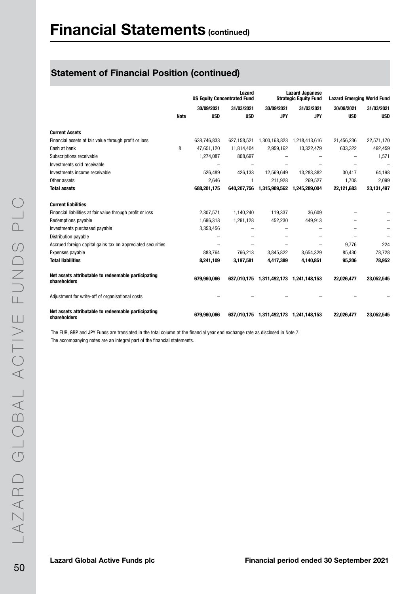|                                                                     |             | Lazard<br><b>US Equity Concentrated Fund</b> |             |                                         | <b>Lazard Japanese</b><br><b>Strategic Equity Fund</b> | <b>Lazard Emerging World Fund</b> |              |
|---------------------------------------------------------------------|-------------|----------------------------------------------|-------------|-----------------------------------------|--------------------------------------------------------|-----------------------------------|--------------|
|                                                                     |             | 30/09/2021                                   | 31/03/2021  | 30/09/2021                              | 31/03/2021                                             | 30/09/2021                        | 31/03/2021   |
|                                                                     | <b>Note</b> | <b>USD</b>                                   | <b>USD</b>  | <b>JPY</b>                              | <b>JPY</b>                                             | <b>USD</b>                        | <b>USD</b>   |
| <b>Current Assets</b>                                               |             |                                              |             |                                         |                                                        |                                   |              |
| Financial assets at fair value through profit or loss               |             | 638,746,833                                  | 627,158,521 | 1,300,168,823 1,218,413,616             |                                                        | 21,456,236                        | 22,571,170   |
| Cash at bank                                                        | 8           | 47,651,120                                   | 11,814,404  | 2,959,162                               | 13,322,479                                             | 633,322                           | 492,459      |
| Subscriptions receivable                                            |             | 1,274,087                                    | 808,697     |                                         |                                                        |                                   | 1,571        |
| Investments sold receivable                                         |             |                                              |             |                                         |                                                        |                                   |              |
| Investments income receivable                                       |             | 526,489                                      | 426,133     | 12,569,649                              | 13,283,382                                             | 30,417                            | 64,198       |
| Other assets                                                        |             | 2,646                                        | 1           | 211,928                                 | 269,527                                                | 1,708                             | 2,099        |
| <b>Total assets</b>                                                 |             | 688,201,175                                  | 640,207,756 | 1,315,909,562                           | 1,245,289,004                                          | 22,121,683                        | 23, 131, 497 |
| <b>Current liabilities</b>                                          |             |                                              |             |                                         |                                                        |                                   |              |
| Financial liabilities at fair value through profit or loss          |             | 2,307,571                                    | 1,140,240   | 119,337                                 | 36,609                                                 |                                   |              |
| Redemptions payable                                                 |             | 1,696,318                                    | 1,291,128   | 452,230                                 | 449.913                                                |                                   |              |
| Investments purchased payable                                       |             | 3,353,456                                    |             |                                         |                                                        |                                   |              |
| Distribution payable                                                |             |                                              |             |                                         |                                                        |                                   |              |
| Accrued foreign capital gains tax on appreciated securities         |             |                                              |             |                                         |                                                        | 9,776                             | 224          |
| Expenses payable                                                    |             | 883,764                                      | 766,213     | 3,845,822                               | 3,654,329                                              | 85,430                            | 78,728       |
| <b>Total liabilities</b>                                            |             | 8,241,109                                    | 3,197,581   | 4,417,389                               | 4,140,851                                              | 95,206                            | 78,952       |
| Net assets attributable to redeemable participating<br>shareholders |             | 679,960,066                                  |             | 637,010,175 1,311,492,173 1,241,148,153 |                                                        | 22,026,477                        | 23,052,545   |
| Adjustment for write-off of organisational costs                    |             |                                              |             |                                         |                                                        |                                   |              |
| Net assets attributable to redeemable participating<br>shareholders |             | 679,960,066                                  | 637,010,175 | 1,311,492,173 1,241,148,153             |                                                        | 22,026,477                        | 23,052,545   |

The EUR, GBP and JPY Funds are translated in the total column at the financial year end exchange rate as disclosed in Note 7. The accompanying notes are an integral part of the financial statements.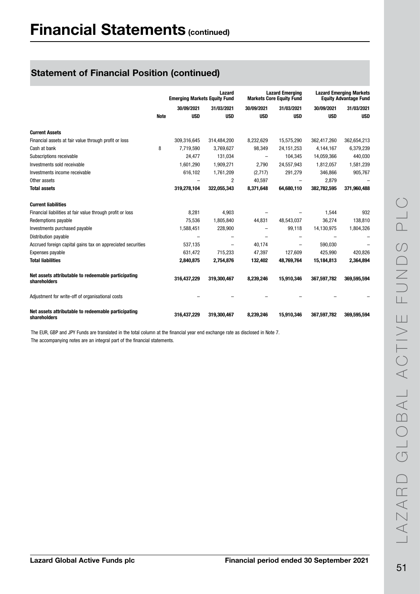|                                                                     |             | Lazard<br><b>Emerging Markets Equity Fund</b> |             |            | <b>Lazard Emerging</b><br><b>Markets Core Equity Fund</b> | <b>Lazard Emerging Markets</b><br><b>Equity Advantage Fund</b> |             |  |
|---------------------------------------------------------------------|-------------|-----------------------------------------------|-------------|------------|-----------------------------------------------------------|----------------------------------------------------------------|-------------|--|
|                                                                     |             | 30/09/2021                                    | 31/03/2021  | 30/09/2021 | 31/03/2021                                                | 30/09/2021                                                     | 31/03/2021  |  |
|                                                                     | <b>Note</b> | <b>USD</b>                                    | <b>USD</b>  | <b>USD</b> | <b>USD</b>                                                | <b>USD</b>                                                     | <b>USD</b>  |  |
| <b>Current Assets</b>                                               |             |                                               |             |            |                                                           |                                                                |             |  |
| Financial assets at fair value through profit or loss               |             | 309.316,645                                   | 314,484,200 | 8,232,629  | 15,575,290                                                | 362,417,260                                                    | 362,654,213 |  |
| Cash at bank                                                        | 8           | 7,719,590                                     | 3,769,627   | 98,349     | 24, 151, 253                                              | 4,144,167                                                      | 6,379,239   |  |
| Subscriptions receivable                                            |             | 24,477                                        | 131,034     | -          | 104,345                                                   | 14,059,366                                                     | 440,030     |  |
| Investments sold receivable                                         |             | 1,601,290                                     | 1,909,271   | 2,790      | 24,557,943                                                | 1,812,057                                                      | 1,581,239   |  |
| Investments income receivable                                       |             | 616,102                                       | 1,761,209   | (2,717)    | 291,279                                                   | 346,866                                                        | 905,767     |  |
| Other assets                                                        |             |                                               | 2           | 40,597     |                                                           | 2,879                                                          |             |  |
| <b>Total assets</b>                                                 |             | 319,278,104                                   | 322,055,343 | 8,371,648  | 64,680,110                                                | 382,782,595                                                    | 371,960,488 |  |
| <b>Current liabilities</b>                                          |             |                                               |             |            |                                                           |                                                                |             |  |
| Financial liabilities at fair value through profit or loss          |             | 8,281                                         | 4,903       |            |                                                           | 1,544                                                          | 932         |  |
| Redemptions payable                                                 |             | 75,536                                        | 1,805,840   | 44,831     | 48,543,037                                                | 36,274                                                         | 138,810     |  |
| Investments purchased payable                                       |             | 1,588,451                                     | 228,900     |            | 99,118                                                    | 14,130,975                                                     | 1,804,326   |  |
| Distribution payable                                                |             |                                               |             |            |                                                           |                                                                |             |  |
| Accrued foreign capital gains tax on appreciated securities         |             | 537,135                                       | -           | 40,174     | $\overline{\phantom{0}}$                                  | 590,030                                                        |             |  |
| Expenses payable                                                    |             | 631,472                                       | 715.233     | 47,397     | 127.609                                                   | 425.990                                                        | 420,826     |  |
| <b>Total liabilities</b>                                            |             | 2,840,875                                     | 2,754,876   | 132,402    | 48,769,764                                                | 15,184,813                                                     | 2,364,894   |  |
| Net assets attributable to redeemable participating<br>shareholders |             | 316,437,229                                   | 319,300,467 | 8.239.246  | 15.910.346                                                | 367,597,782                                                    | 369.595.594 |  |
| Adjustment for write-off of organisational costs                    |             |                                               |             |            |                                                           |                                                                |             |  |
| Net assets attributable to redeemable participating<br>shareholders |             | 316,437,229                                   | 319,300,467 | 8,239,246  | 15,910,346                                                | 367,597,782                                                    | 369,595,594 |  |

The EUR, GBP and JPY Funds are translated in the total column at the financial year end exchange rate as disclosed in Note 7. The accompanying notes are an integral part of the financial statements.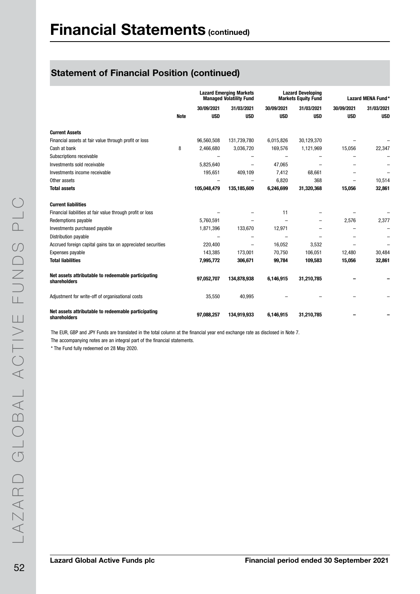|                                                                     |             | <b>Lazard Emerging Markets</b><br><b>Managed Volatility Fund</b> |                          | <b>Lazard Developing</b><br><b>Markets Equity Fund</b> |            | Lazard MENA Fund* |            |
|---------------------------------------------------------------------|-------------|------------------------------------------------------------------|--------------------------|--------------------------------------------------------|------------|-------------------|------------|
|                                                                     |             | 30/09/2021                                                       | 31/03/2021               | 30/09/2021                                             | 31/03/2021 | 30/09/2021        | 31/03/2021 |
|                                                                     | <b>Note</b> | <b>USD</b>                                                       | <b>USD</b>               | <b>USD</b>                                             | <b>USD</b> | <b>USD</b>        | <b>USD</b> |
|                                                                     |             |                                                                  |                          |                                                        |            |                   |            |
| <b>Current Assets</b>                                               |             |                                                                  |                          |                                                        |            |                   |            |
| Financial assets at fair value through profit or loss               |             | 96,560,508                                                       | 131,739,780              | 6,015,826                                              | 30,129,370 |                   |            |
| Cash at bank                                                        | 8           | 2,466,680                                                        | 3,036,720                | 169,576                                                | 1,121,969  | 15,056            | 22,347     |
| Subscriptions receivable                                            |             |                                                                  |                          |                                                        |            |                   |            |
| Investments sold receivable                                         |             | 5,825,640                                                        |                          | 47,065                                                 |            |                   |            |
| Investments income receivable                                       |             | 195,651                                                          | 409,109                  | 7,412                                                  | 68,661     |                   |            |
| Other assets                                                        |             |                                                                  |                          | 6,820                                                  | 368        |                   | 10,514     |
| <b>Total assets</b>                                                 |             | 105,048,479                                                      | 135,185,609              | 6,246,699                                              | 31,320,368 | 15,056            | 32,861     |
| <b>Current liabilities</b>                                          |             |                                                                  |                          |                                                        |            |                   |            |
| Financial liabilities at fair value through profit or loss          |             |                                                                  |                          | 11                                                     |            |                   |            |
| Redemptions payable                                                 |             | 5,760,591                                                        |                          |                                                        |            | 2,576             | 2,377      |
| Investments purchased payable                                       |             | 1,871,396                                                        | 133,670                  | 12,971                                                 |            |                   |            |
| Distribution payable                                                |             |                                                                  |                          |                                                        |            |                   |            |
| Accrued foreign capital gains tax on appreciated securities         |             | 220,400                                                          | $\overline{\phantom{m}}$ | 16,052                                                 | 3,532      |                   |            |
| Expenses payable                                                    |             | 143,385                                                          | 173,001                  | 70,750                                                 | 106,051    | 12,480            | 30,484     |
| <b>Total liabilities</b>                                            |             | 7,995,772                                                        | 306,671                  | 99,784                                                 | 109,583    | 15,056            | 32,861     |
| Net assets attributable to redeemable participating<br>shareholders |             | 97,052,707                                                       | 134,878,938              | 6,146,915                                              | 31,210,785 |                   |            |
| Adjustment for write-off of organisational costs                    |             | 35,550                                                           | 40,995                   |                                                        |            |                   |            |
| Net assets attributable to redeemable participating<br>shareholders |             | 97,088,257                                                       | 134,919,933              | 6.146.915                                              | 31,210,785 |                   |            |

The EUR, GBP and JPY Funds are translated in the total column at the financial year end exchange rate as disclosed in Note 7. The accompanying notes are an integral part of the financial statements.

\* The Fund fully redeemed on 28 May 2020.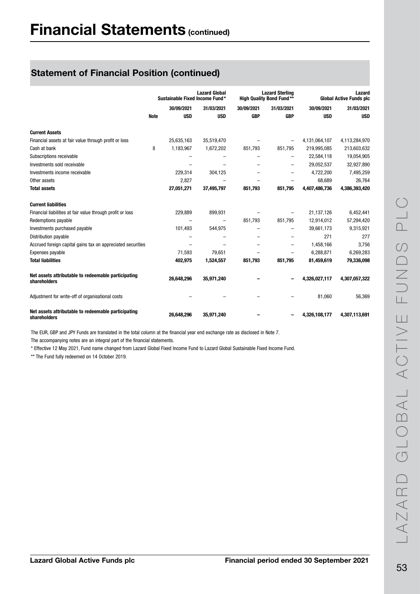|                                                                     |             | Sustainable Fixed Income Fund* | <b>Lazard Global</b>     |            | <b>Lazard Sterling</b><br><b>High Quality Bond Fund**</b> |               | Lazard<br><b>Global Active Funds plc</b> |
|---------------------------------------------------------------------|-------------|--------------------------------|--------------------------|------------|-----------------------------------------------------------|---------------|------------------------------------------|
|                                                                     |             | 30/09/2021                     | 31/03/2021               | 30/09/2021 | 31/03/2021                                                | 30/09/2021    | 31/03/2021                               |
|                                                                     | <b>Note</b> | <b>USD</b>                     | <b>USD</b>               | <b>GBP</b> | <b>GBP</b>                                                | <b>USD</b>    | <b>USD</b>                               |
| <b>Current Assets</b>                                               |             |                                |                          |            |                                                           |               |                                          |
| Financial assets at fair value through profit or loss               |             | 25,635,163                     | 35,519,470               |            |                                                           | 4,131,064,107 | 4,113,284,970                            |
| Cash at bank                                                        | 8           | 1,183,967                      | 1,672,202                | 851,793    | 851,795                                                   | 219,995,085   | 213,603,632                              |
| Subscriptions receivable                                            |             |                                |                          |            | $\overline{\phantom{0}}$                                  | 22,584,118    | 19,054,905                               |
| Investments sold receivable                                         |             |                                |                          |            | $\overline{\phantom{0}}$                                  | 29,052,537    | 32,927,890                               |
| Investments income receivable                                       |             | 229,314                        | 304,125                  |            |                                                           | 4,722,200     | 7,495,259                                |
| Other assets                                                        |             | 2,827                          |                          |            |                                                           | 68,689        | 26,764                                   |
| <b>Total assets</b>                                                 |             | 27,051,271                     | 37,495,797               | 851.793    | 851.795                                                   | 4,407,486,736 | 4,386,393,420                            |
| <b>Current liabilities</b>                                          |             |                                |                          |            |                                                           |               |                                          |
| Financial liabilities at fair value through profit or loss          |             | 229,889                        | 899,931                  |            |                                                           | 21,137,126    | 6,452,441                                |
| Redemptions payable                                                 |             |                                | $\overline{\phantom{0}}$ | 851,793    | 851,795                                                   | 12,914,012    | 57,294,420                               |
| Investments purchased payable                                       |             | 101,493                        | 544,975                  |            | $\overline{\phantom{0}}$                                  | 39,661,173    | 9,315,921                                |
| Distribution payable                                                |             |                                |                          |            | -                                                         | 271           | 277                                      |
| Accrued foreign capital gains tax on appreciated securities         |             | $\overline{\phantom{0}}$       |                          |            | $\overline{\phantom{0}}$                                  | 1,458,166     | 3,756                                    |
| Expenses payable                                                    |             | 71,593                         | 79,651                   |            |                                                           | 6,288,871     | 6,269,283                                |
| <b>Total liabilities</b>                                            |             | 402,975                        | 1,524,557                | 851,793    | 851,795                                                   | 81,459,619    | 79,336,098                               |
| Net assets attributable to redeemable participating<br>shareholders |             | 26,648,296                     | 35,971,240               |            |                                                           | 4,326,027,117 | 4,307,057,322                            |
| Adjustment for write-off of organisational costs                    |             |                                |                          |            |                                                           | 81,060        | 56,369                                   |
| Net assets attributable to redeemable participating<br>shareholders |             | 26,648,296                     | 35,971,240               |            |                                                           | 4,326,108,177 | 4,307,113,691                            |

The EUR, GBP and JPY Funds are translated in the total column at the financial year end exchange rate as disclosed in Note 7.

The accompanying notes are an integral part of the financial statements.

\* Effective 12 May 2021, Fund name changed from Lazard Global Fixed Income Fund to Lazard Global Sustainable Fixed Income Fund.

\*\* The Fund fully redeemed on 14 October 2019.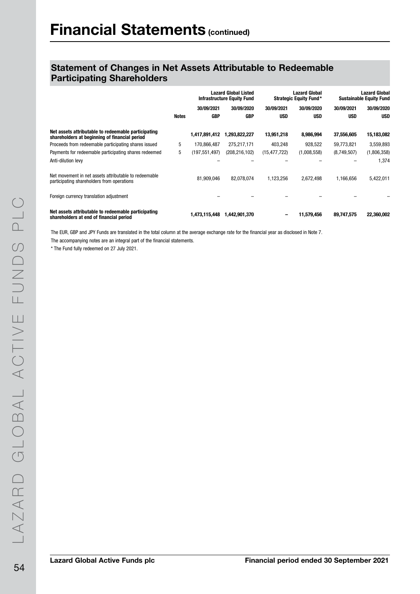|                                                                                                      | <b>Lazard Global Listed</b><br><b>Infrastructure Equity Fund</b> |               |               |                | <b>Lazard Global</b><br><b>Strategic Equity Fund*</b> | <b>Lazard Global</b><br><b>Sustainable Equity Fund</b> |             |
|------------------------------------------------------------------------------------------------------|------------------------------------------------------------------|---------------|---------------|----------------|-------------------------------------------------------|--------------------------------------------------------|-------------|
|                                                                                                      |                                                                  | 30/09/2021    | 30/09/2020    | 30/09/2021     | 30/09/2020                                            | 30/09/2021                                             | 30/09/2020  |
|                                                                                                      | <b>Notes</b>                                                     | <b>GBP</b>    | <b>GBP</b>    | <b>USD</b>     | <b>USD</b>                                            | <b>USD</b>                                             | <b>USD</b>  |
| Net assets attributable to redeemable participating<br>shareholders at beginning of financial period |                                                                  | 1,417,891,412 | 1,293,822,227 | 13,951,218     | 8,986,994                                             | 37,556,605                                             | 15,183,082  |
| Proceeds from redeemable participating shares issued                                                 | 5                                                                | 170.866.487   | 275,217,171   | 403,248        | 928.522                                               | 59,773,821                                             | 3,559,893   |
| Payments for redeemable participating shares redeemed                                                | 5                                                                | (197,551,497) | (208,216,102) | (15, 477, 722) | (1,008,558)                                           | (8,749,507)                                            | (1,806,358) |
| Anti-dilution levy                                                                                   |                                                                  |               |               |                |                                                       |                                                        | 1,374       |
| Net movement in net assets attributable to redeemable<br>participating shareholders from operations  |                                                                  | 81.909.046    | 82,078,074    | 1,123,256      | 2,672,498                                             | 1,166,656                                              | 5,422,011   |
| Foreign currency translation adjustment                                                              |                                                                  |               |               |                |                                                       |                                                        |             |
| Net assets attributable to redeemable participating<br>shareholders at end of financial period       |                                                                  | 1,473,115,448 | 1,442,901,370 |                | 11,579,456                                            | 89,747,575                                             | 22,360,002  |

The EUR, GBP and JPY Funds are translated in the total column at the average exchange rate for the financial year as disclosed in Note 7. The accompanying notes are an integral part of the financial statements.

\* The Fund fully redeemed on 27 July 2021.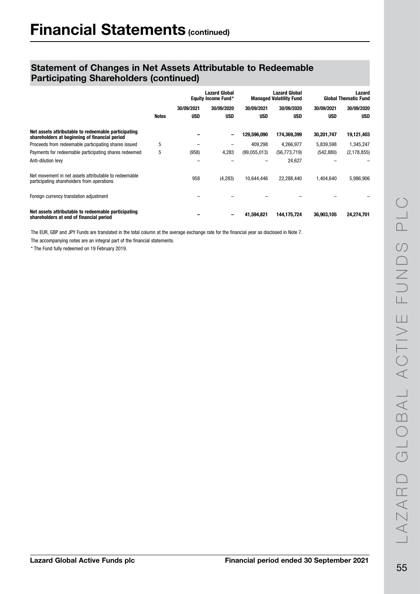|                                                                                                      |              | <b>Lazard Global</b><br><b>Equity Income Fund*</b> |            | <b>Lazard Global</b><br><b>Managed Volatility Fund</b> |                | Lazard<br><b>Global Thematic Fund</b> |               |
|------------------------------------------------------------------------------------------------------|--------------|----------------------------------------------------|------------|--------------------------------------------------------|----------------|---------------------------------------|---------------|
|                                                                                                      |              | 30/09/2021                                         | 30/09/2020 | 30/09/2021                                             | 30/09/2020     | 30/09/2021                            | 30/09/2020    |
|                                                                                                      | <b>Notes</b> | <b>USD</b>                                         | <b>USD</b> | <b>USD</b>                                             | <b>USD</b>     | <b>USD</b>                            | <b>USD</b>    |
| Net assets attributable to redeemable participating<br>shareholders at beginning of financial period |              |                                                    | -          | 129.596.090                                            | 174,369,399    | 30,201,747                            | 19,121,403    |
| Proceeds from redeemable participating shares issued                                                 | 5            |                                                    |            | 409.298                                                | 4,266,977      | 5,839,598                             | 1,345,247     |
| Payments for redeemable participating shares redeemed                                                | 5            | (958)                                              | 4,283      | (99,055,013)                                           | (56, 773, 719) | (542, 880)                            | (2, 178, 855) |
| Anti-dilution levy                                                                                   |              |                                                    |            |                                                        | 24,627         |                                       |               |
| Net movement in net assets attributable to redeemable<br>participating shareholders from operations  |              | 958                                                | (4, 283)   | 10,644,446                                             | 22,288,440     | 1,404,640                             | 5,986,906     |
| Foreign currency translation adjustment                                                              |              |                                                    |            |                                                        |                |                                       |               |
| Net assets attributable to redeemable participating<br>shareholders at end of financial period       |              |                                                    |            | 41,594,821                                             | 144,175,724    | 36,903,105                            | 24,274,701    |

The EUR, GBP and JPY Funds are translated in the total column at the average exchange rate for the financial year as disclosed in Note 7.

The accompanying notes are an integral part of the financial statements.

\* The Fund fully redeemed on 19 February 2019.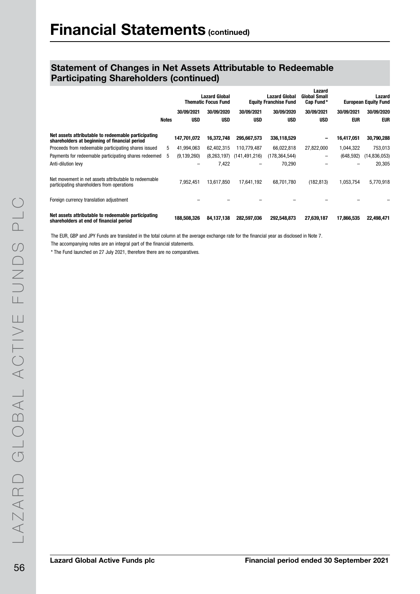|                                                                                                      |       |               | <b>Lazard Global</b><br><b>Thematic Focus Fund</b> |                 | <b>Lazard Global</b><br><b>Equity Franchise Fund</b> | Lazard<br><b>Global Small</b><br>Cap Fund* | Lazard<br><b>European Equity Fund</b> |              |
|------------------------------------------------------------------------------------------------------|-------|---------------|----------------------------------------------------|-----------------|------------------------------------------------------|--------------------------------------------|---------------------------------------|--------------|
|                                                                                                      |       | 30/09/2021    | 30/09/2020                                         | 30/09/2021      | 30/09/2020                                           | 30/09/2021                                 | 30/09/2021                            | 30/09/2020   |
|                                                                                                      | Notes | <b>USD</b>    | <b>USD</b>                                         | <b>USD</b>      | <b>USD</b>                                           | <b>USD</b>                                 | <b>EUR</b>                            | EUR          |
| Net assets attributable to redeemable participating<br>shareholders at beginning of financial period |       | 147,701,072   | 16,372,748                                         | 295,667,573     | 336,118,529                                          | $\qquad \qquad$                            | 16,417,051                            | 30,790,288   |
| Proceeds from redeemable participating shares issued                                                 | 5     | 41.994.063    | 62,402,315                                         | 110,779,487     | 66,022,818                                           | 27,822,000                                 | 1,044,322                             | 753,013      |
| Payments for redeemable participating shares redeemed                                                | 5     | (9, 139, 260) | (8, 263, 197)                                      | (141, 491, 216) | (178, 364, 544)                                      | $\qquad \qquad -$                          | (648, 592)                            | (14,836,053) |
| Anti-dilution levy                                                                                   |       |               | 7,422                                              |                 | 70,290                                               |                                            |                                       | 20,305       |
| Net movement in net assets attributable to redeemable<br>participating shareholders from operations  |       | 7,952,451     | 13,617,850                                         | 17,641,192      | 68,701,780                                           | (182, 813)                                 | 1,053,754                             | 5,770,918    |
| Foreign currency translation adjustment                                                              |       |               |                                                    |                 |                                                      |                                            |                                       |              |
| Net assets attributable to redeemable participating<br>shareholders at end of financial period       |       | 188,508,326   | 84,137,138                                         | 282,597,036     | 292,548,873                                          | 27,639,187                                 | 17,866,535                            | 22,498,471   |

The EUR, GBP and JPY Funds are translated in the total column at the average exchange rate for the financial year as disclosed in Note 7.

The accompanying notes are an integral part of the financial statements.

\* The Fund launched on 27 July 2021, therefore there are no comparatives.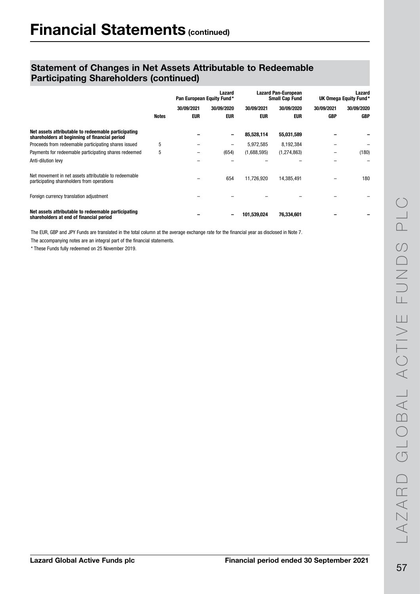|                                                                                                      | Lazard<br>Pan European Equity Fund* |            |            |             | <b>Lazard Pan-European</b><br><b>Small Cap Fund</b> | Lazard<br>UK Omega Equity Fund* |            |
|------------------------------------------------------------------------------------------------------|-------------------------------------|------------|------------|-------------|-----------------------------------------------------|---------------------------------|------------|
|                                                                                                      |                                     | 30/09/2021 | 30/09/2020 | 30/09/2021  | 30/09/2020                                          | 30/09/2021                      | 30/09/2020 |
|                                                                                                      | Notes                               | <b>EUR</b> | <b>EUR</b> | <b>EUR</b>  | eur                                                 | <b>GBP</b>                      | <b>GBP</b> |
| Net assets attributable to redeemable participating<br>shareholders at beginning of financial period |                                     |            | -          | 85,528,114  | 55,031,589                                          |                                 |            |
| Proceeds from redeemable participating shares issued                                                 | 5                                   |            | -          | 5,972,585   | 8,192,384                                           |                                 |            |
| Payments for redeemable participating shares redeemed                                                | 5                                   |            | (654)      | (1,688,595) | (1, 274, 863)                                       |                                 | (180)      |
| Anti-dilution levy                                                                                   |                                     |            |            |             |                                                     |                                 |            |
| Net movement in net assets attributable to redeemable<br>participating shareholders from operations  |                                     |            | 654        | 11,726,920  | 14,385,491                                          |                                 | 180        |
| Foreign currency translation adjustment                                                              |                                     |            |            |             |                                                     |                                 |            |
| Net assets attributable to redeemable participating<br>shareholders at end of financial period       |                                     |            | -          | 101,539,024 | 76,334,601                                          |                                 |            |

The EUR, GBP and JPY Funds are translated in the total column at the average exchange rate for the financial year as disclosed in Note 7.

The accompanying notes are an integral part of the financial statements.

\* These Funds fully redeemed on 25 November 2019.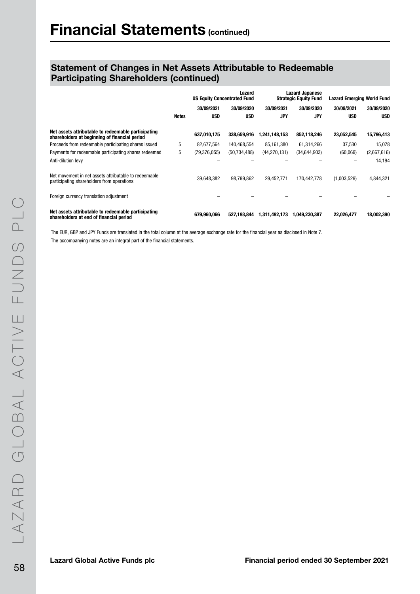|                                                                                                      |              | Lazard<br><b>US Equity Concentrated Fund</b> |                | <b>Lazard Japanese</b><br><b>Strategic Equity Fund</b> |                | <b>Lazard Emerging World Fund</b> |             |
|------------------------------------------------------------------------------------------------------|--------------|----------------------------------------------|----------------|--------------------------------------------------------|----------------|-----------------------------------|-------------|
|                                                                                                      |              | 30/09/2021                                   | 30/09/2020     | 30/09/2021                                             | 30/09/2020     | 30/09/2021                        | 30/09/2020  |
|                                                                                                      | <b>Notes</b> | <b>USD</b>                                   | <b>USD</b>     | <b>JPY</b>                                             | <b>JPY</b>     | <b>USD</b>                        | <b>USD</b>  |
| Net assets attributable to redeemable participating<br>shareholders at beginning of financial period |              | 637,010,175                                  | 338,659,916    | ,241,148,153                                           | 852,118,246    | 23,052,545                        | 15,796,413  |
| Proceeds from redeemable participating shares issued                                                 | 5            | 82,677,564                                   | 140,468,554    | 85,161,380                                             | 61,314,266     | 37,530                            | 15,078      |
| Payments for redeemable participating shares redeemed                                                | 5            | (79, 376, 055)                               | (50, 734, 488) | (44, 270, 131)                                         | (34, 644, 903) | (60, 069)                         | (2,667,616) |
| Anti-dilution levy                                                                                   |              |                                              |                |                                                        |                |                                   | 14,194      |
| Net movement in net assets attributable to redeemable<br>participating shareholders from operations  |              | 39,648,382                                   | 98,799,862     | 29,452,771                                             | 170.442.778    | (1,003,529)                       | 4,844,321   |
| Foreign currency translation adjustment                                                              |              |                                              |                |                                                        |                |                                   |             |
| Net assets attributable to redeemable participating<br>shareholders at end of financial period       |              | 679,960,066                                  | 527,193,844    | 1,311,492,173                                          | 1,049,230,387  | 22,026,477                        | 18,002,390  |

The EUR, GBP and JPY Funds are translated in the total column at the average exchange rate for the financial year as disclosed in Note 7. The accompanying notes are an integral part of the financial statements.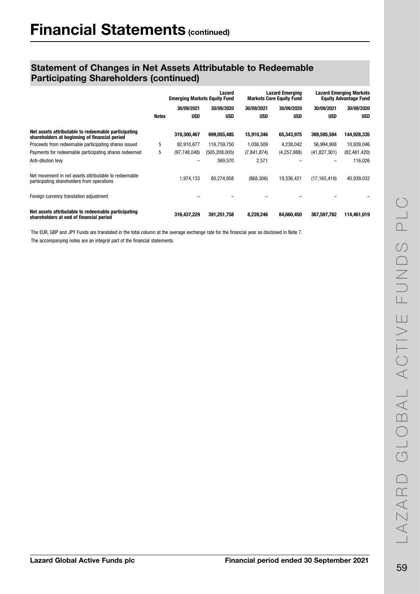|                                                                                                      |       | Lazard<br><b>Emerging Markets Equity Fund</b> |                 | <b>Lazard Emerging</b><br><b>Markets Core Equity Fund</b> |               | <b>Lazard Emerging Markets</b><br><b>Equity Advantage Fund</b> |                |
|------------------------------------------------------------------------------------------------------|-------|-----------------------------------------------|-----------------|-----------------------------------------------------------|---------------|----------------------------------------------------------------|----------------|
|                                                                                                      |       | 30/09/2021                                    | 30/09/2020      | 30/09/2021                                                | 30/09/2020    | 30/09/2021                                                     | 30/09/2020     |
|                                                                                                      | Notes | <b>USD</b>                                    | <b>USD</b>      | <b>USD</b>                                                | <b>USD</b>    | <b>USD</b>                                                     | <b>USD</b>     |
| Net assets attributable to redeemable participating<br>shareholders at beginning of financial period |       | 319,300,467                                   | 699,055,485     | 15,910,346                                                | 65,343,975    | 369,595,594                                                    | 144,928,335    |
| Proceeds from redeemable participating shares issued                                                 | 5     | 92.910.677                                    | 116,759,750     | 1,036,509                                                 | 4,238,042     | 56,994,908                                                     | 10,939,046     |
| Payments for redeemable participating shares redeemed                                                | 5     | (97, 748, 048)                                | (505, 208, 005) | (7, 841, 874)                                             | (4, 257, 988) | (41, 827, 301)                                                 | (82, 461, 420) |
| Anti-dilution levy                                                                                   |       |                                               | 369,570         | 2,571                                                     |               |                                                                | 116,026        |
| Net movement in net assets attributable to redeemable<br>participating shareholders from operations  |       | 1,974,133                                     | 80.274.958      | (868, 306)                                                | 19,336,421    | (17, 165, 419)                                                 | 40,939,032     |
| Foreign currency translation adjustment                                                              |       |                                               |                 |                                                           |               |                                                                |                |
| Net assets attributable to redeemable participating<br>shareholders at end of financial period       |       | 316,437,229                                   | 391,251,758     | 8,239,246                                                 | 84,660,450    | 367,597,782                                                    | 114,461,019    |

The EUR, GBP and JPY Funds are translated in the total column at the average exchange rate for the financial year as disclosed in Note 7. The accompanying notes are an integral part of the financial statements.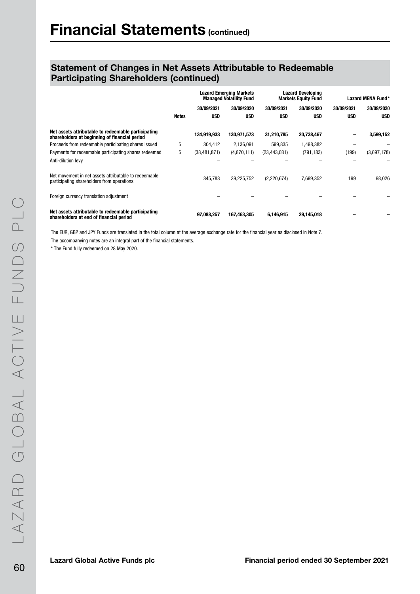|                                                                                                      |       | <b>Lazard Emerging Markets</b><br><b>Managed Volatility Fund</b> |             | <b>Lazard Developing</b><br><b>Markets Equity Fund</b> |            | Lazard MENA Fund* |             |
|------------------------------------------------------------------------------------------------------|-------|------------------------------------------------------------------|-------------|--------------------------------------------------------|------------|-------------------|-------------|
|                                                                                                      |       | 30/09/2021                                                       | 30/09/2020  | 30/09/2021                                             | 30/09/2020 | 30/09/2021        | 30/09/2020  |
|                                                                                                      | Notes | <b>USD</b>                                                       | <b>USD</b>  | <b>USD</b>                                             | <b>USD</b> | <b>USD</b>        | <b>USD</b>  |
| Net assets attributable to redeemable participating<br>shareholders at beginning of financial period |       | 134,919,933                                                      | 130,971,573 | 31,210,785                                             | 20,738,467 |                   | 3,599,152   |
| Proceeds from redeemable participating shares issued                                                 | 5     | 304,412                                                          | 2,136,091   | 599,835                                                | 1,498,382  |                   |             |
| Payments for redeemable participating shares redeemed                                                | 5     | (38, 481, 871)                                                   | (4,870,111) | (23, 443, 031)                                         | (791, 183) | (199)             | (3,697,178) |
| Anti-dilution levy                                                                                   |       |                                                                  |             |                                                        |            |                   |             |
| Net movement in net assets attributable to redeemable<br>participating shareholders from operations  |       | 345.783                                                          | 39,225,752  | (2,220,674)                                            | 7,699,352  | 199               | 98,026      |
| Foreign currency translation adjustment                                                              |       |                                                                  |             |                                                        |            |                   |             |
| Net assets attributable to redeemable participating<br>shareholders at end of financial period       |       | 97,088,257                                                       | 167,463,305 | 6,146,915                                              | 29,145,018 |                   |             |

The EUR, GBP and JPY Funds are translated in the total column at the average exchange rate for the financial year as disclosed in Note 7. The accompanying notes are an integral part of the financial statements.

\* The Fund fully redeemed on 28 May 2020.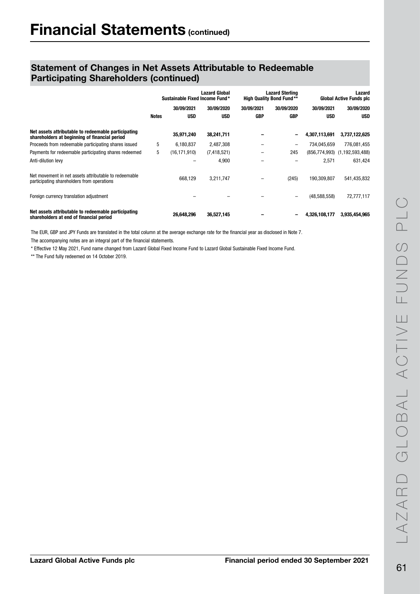|                                                                                                      |              |                | <b>Lazard Global</b><br>Sustainable Fixed Income Fund* |            | Lazard Sterling<br><b>High Quality Bond Fund**</b> |               | Lazard<br><b>Global Active Funds plc</b> |
|------------------------------------------------------------------------------------------------------|--------------|----------------|--------------------------------------------------------|------------|----------------------------------------------------|---------------|------------------------------------------|
|                                                                                                      |              | 30/09/2021     | 30/09/2020                                             | 30/09/2021 | 30/09/2020                                         | 30/09/2021    | 30/09/2020                               |
|                                                                                                      | <b>Notes</b> | <b>USD</b>     | <b>USD</b>                                             | GBP        | <b>GBP</b>                                         | <b>USD</b>    | <b>USD</b>                               |
| Net assets attributable to redeemable participating<br>shareholders at beginning of financial period |              | 35,971,240     | 38,241,711                                             |            | -                                                  | 4,307,113,691 | 3,737,122,625                            |
| Proceeds from redeemable participating shares issued                                                 | 5            | 6,180,837      | 2,487,308                                              |            | $\qquad \qquad -$                                  | 734.045.659   | 776,081,455                              |
| Payments for redeemable participating shares redeemed                                                | 5            | (16, 171, 910) | (7, 418, 521)                                          |            | 245                                                |               | $(856, 774, 993)$ $(1, 192, 593, 488)$   |
| Anti-dilution levy                                                                                   |              |                | 4,900                                                  |            |                                                    | 2.571         | 631.424                                  |
| Net movement in net assets attributable to redeemable<br>participating shareholders from operations  |              | 668.129        | 3.211.747                                              |            | (245)                                              | 190.309.807   | 541,435,832                              |
| Foreign currency translation adjustment                                                              |              |                |                                                        |            | -                                                  | (48,588,558)  | 72,777,117                               |
| Net assets attributable to redeemable participating<br>shareholders at end of financial period       |              | 26,648,296     | 36,527,145                                             |            |                                                    | 4,326,108,177 | 3,935,454,965                            |

The EUR, GBP and JPY Funds are translated in the total column at the average exchange rate for the financial year as disclosed in Note 7.

The accompanying notes are an integral part of the financial statements.

\* Effective 12 May 2021, Fund name changed from Lazard Global Fixed Income Fund to Lazard Global Sustainable Fixed Income Fund.

\*\* The Fund fully redeemed on 14 October 2019.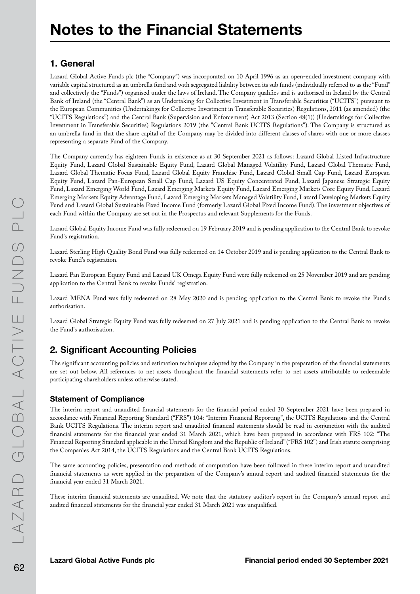## 1. General

Lazard Global Active Funds plc (the "Company") was incorporated on 10 April 1996 as an open-ended investment company with variable capital structured as an umbrella fund and with segregated liability between its sub funds (individually referred to as the "Fund" and collectively the "Funds") organised under the laws of Ireland. The Company qualifies and is authorised in Ireland by the Central Bank of Ireland (the "Central Bank") as an Undertaking for Collective Investment in Transferable Securities ("UCITS") pursuant to the European Communities (Undertakings for Collective Investment in Transferable Securities) Regulations, 2011 (as amended) (the "UCITS Regulations") and the Central Bank (Supervision and Enforcement) Act 2013 (Section 48(1)) (Undertakings for Collective Investment in Transferable Securities) Regulations 2019 (the "Central Bank UCITS Regulations"). The Company is structured as an umbrella fund in that the share capital of the Company may be divided into different classes of shares with one or more classes representing a separate Fund of the Company.

The Company currently has eighteen Funds in existence as at 30 September 2021 as follows: Lazard Global Listed Infrastructure Equity Fund, Lazard Global Sustainable Equity Fund, Lazard Global Managed Volatility Fund, Lazard Global Thematic Fund, Lazard Global Thematic Focus Fund, Lazard Global Equity Franchise Fund, Lazard Global Small Cap Fund, Lazard European Equity Fund, Lazard Pan-European Small Cap Fund, Lazard US Equity Concentrated Fund, Lazard Japanese Strategic Equity Fund, Lazard Emerging World Fund, Lazard Emerging Markets Equity Fund, Lazard Emerging Markets Core Equity Fund, Lazard Emerging Markets Equity Advantage Fund, Lazard Emerging Markets Managed Volatility Fund, Lazard Developing Markets Equity Fund and Lazard Global Sustainable Fixed Income Fund (formerly Lazard Global Fixed Income Fund). The investment objectives of each Fund within the Company are set out in the Prospectus and relevant Supplements for the Funds.

Lazard Global Equity Income Fund was fully redeemed on 19 February 2019 and is pending application to the Central Bank to revoke Fund's registration.

Lazard Sterling High Quality Bond Fund was fully redeemed on 14 October 2019 and is pending application to the Central Bank to revoke Fund's registration.

Lazard Pan European Equity Fund and Lazard UK Omega Equity Fund were fully redeemed on 25 November 2019 and are pending application to the Central Bank to revoke Funds' registration.

Lazard MENA Fund was fully redeemed on 28 May 2020 and is pending application to the Central Bank to revoke the Fund's authorisation.

Lazard Global Strategic Equity Fund was fully redeemed on 27 July 2021 and is pending application to the Central Bank to revoke the Fund's authorisation.

# 2. Significant Accounting Policies

The significant accounting policies and estimation techniques adopted by the Company in the preparation of the financial statements are set out below. All references to net assets throughout the financial statements refer to net assets attributable to redeemable participating shareholders unless otherwise stated.

### Statement of Compliance

The interim report and unaudited financial statements for the financial period ended 30 September 2021 have been prepared in accordance with Financial Reporting Standard ("FRS") 104: "Interim Financial Reporting", the UCITS Regulations and the Central Bank UCITS Regulations. The interim report and unaudited financial statements should be read in conjunction with the audited financial statements for the financial year ended 31 March 2021, which have been prepared in accordance with FRS 102: "The Financial Reporting Standard applicable in the United Kingdom and the Republic of Ireland'' ("FRS 102") and Irish statute comprising the Companies Act 2014, the UCITS Regulations and the Central Bank UCITS Regulations.

The same accounting policies, presentation and methods of computation have been followed in these interim report and unaudited financial statements as were applied in the preparation of the Company's annual report and audited financial statements for the financial year ended 31 March 2021.

These interim financial statements are unaudited. We note that the statutory auditor's report in the Company's annual report and audited financial statements for the financial year ended 31 March 2021 was unqualified.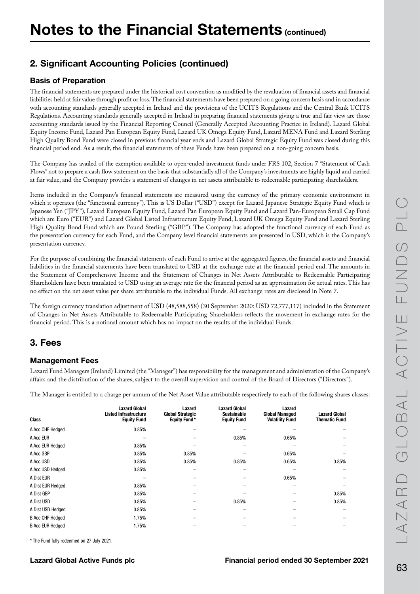# 2. Significant Accounting Policies (continued)

### Basis of Preparation

The financial statements are prepared under the historical cost convention as modified by the revaluation of financial assets and financial liabilities held at fair value through profit or loss. The financial statements have been prepared on a going concern basis and in accordance with accounting standards generally accepted in Ireland and the provisions of the UCITS Regulations and the Central Bank UCITS Regulations. Accounting standards generally accepted in Ireland in preparing financial statements giving a true and fair view are those accounting standards issued by the Financial Reporting Council (Generally Accepted Accounting Practice in Ireland). Lazard Global Equity Income Fund, Lazard Pan European Equity Fund, Lazard UK Omega Equity Fund, Lazard MENA Fund and Lazard Sterling High Quality Bond Fund were closed in previous financial year ends and Lazard Global Strategic Equity Fund was closed during this financial period end. As a result, the financial statements of these Funds have been prepared on a non-going concern basis.

The Company has availed of the exemption available to open-ended investment funds under FRS 102, Section 7 "Statement of Cash Flows" not to prepare a cash flow statement on the basis that substantially all of the Company's investments are highly liquid and carried at fair value, and the Company provides a statement of changes in net assets attributable to redeemable participating shareholders.

Items included in the Company's financial statements are measured using the currency of the primary economic environment in which it operates (the "functional currency"). This is US Dollar ("USD") except for Lazard Japanese Strategic Equity Fund which is Japanese Yen ("JPY"), Lazard European Equity Fund, Lazard Pan European Equity Fund and Lazard Pan-European Small Cap Fund which are Euro ("EUR") and Lazard Global Listed Infrastructure Equity Fund, Lazard UK Omega Equity Fund and Lazard Sterling High Quality Bond Fund which are Pound Sterling ("GBP"). The Company has adopted the functional currency of each Fund as the presentation currency for each Fund, and the Company level financial statements are presented in USD, which is the Company's presentation currency.

For the purpose of combining the financial statements of each Fund to arrive at the aggregated figures, the financial assets and financial liabilities in the financial statements have been translated to USD at the exchange rate at the financial period end. The amounts in the Statement of Comprehensive Income and the Statement of Changes in Net Assets Attributable to Redeemable Participating Shareholders have been translated to USD using an average rate for the financial period as an approximation for actual rates. This has no effect on the net asset value per share attributable to the individual Funds. All exchange rates are disclosed in Note 7.

The foreign currency translation adjustment of USD (48,588,558) (30 September 2020: USD 72,777,117) included in the Statement of Changes in Net Assets Attributable to Redeemable Participating Shareholders reflects the movement in exchange rates for the financial period. This is a notional amount which has no impact on the results of the individual Funds.

## 3. Fees

### Management Fees

Lazard Fund Managers (Ireland) Limited (the "Manager") has responsibility for the management and administration of the Company's affairs and the distribution of the shares, subject to the overall supervision and control of the Board of Directors ("Directors").

The Manager is entitled to a charge per annum of the Net Asset Value attributable respectively to each of the following shares classes:

| <b>Class</b>            | <b>Lazard Global</b><br><b>Listed Infrastructure</b><br><b>Equity Fund</b> | Lazard<br><b>Global Strategic</b><br>Equity Fund* | <b>Lazard Global</b><br><b>Sustainable</b><br><b>Equity Fund</b> | Lazard<br><b>Global Managed</b><br><b>Volatility Fund</b> | <b>Lazard Global</b><br>Thematic Fund |
|-------------------------|----------------------------------------------------------------------------|---------------------------------------------------|------------------------------------------------------------------|-----------------------------------------------------------|---------------------------------------|
| A Acc CHF Hedged        | 0.85%                                                                      |                                                   |                                                                  |                                                           |                                       |
| A Acc EUR               |                                                                            |                                                   | 0.85%                                                            | 0.65%                                                     |                                       |
| A Acc EUR Hedged        | 0.85%                                                                      |                                                   |                                                                  |                                                           |                                       |
| A Acc GBP               | 0.85%                                                                      | 0.85%                                             |                                                                  | 0.65%                                                     |                                       |
| A Acc USD               | 0.85%                                                                      | 0.85%                                             | 0.85%                                                            | 0.65%                                                     | 0.85%                                 |
| A Acc USD Hedged        | 0.85%                                                                      |                                                   |                                                                  |                                                           |                                       |
| A Dist EUR              |                                                                            |                                                   |                                                                  | 0.65%                                                     |                                       |
| A Dist EUR Hedged       | 0.85%                                                                      |                                                   |                                                                  |                                                           |                                       |
| A Dist GBP              | 0.85%                                                                      |                                                   |                                                                  |                                                           | 0.85%                                 |
| A Dist USD              | 0.85%                                                                      |                                                   | 0.85%                                                            |                                                           | 0.85%                                 |
| A Dist USD Hedged       | 0.85%                                                                      |                                                   |                                                                  |                                                           |                                       |
| <b>B Acc CHF Hedged</b> | 1.75%                                                                      |                                                   |                                                                  |                                                           |                                       |
| <b>B Acc EUR Hedged</b> | 1.75%                                                                      |                                                   |                                                                  |                                                           |                                       |

\* The Fund fully redeemed on 27 July 2021.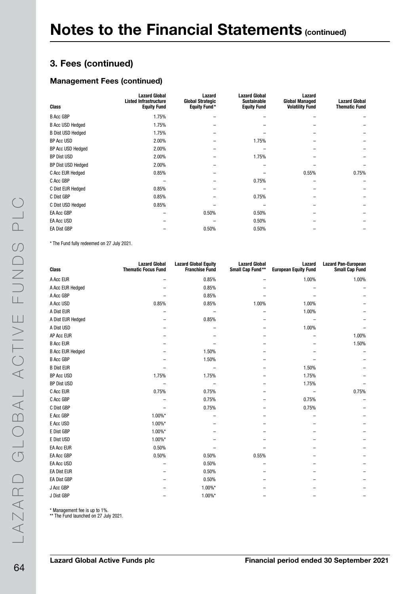#### Management Fees (continued)

| <b>Class</b>             | <b>Lazard Global</b><br><b>Listed Infrastructure</b><br><b>Equity Fund</b> | Lazard<br><b>Global Strategic</b><br><b>Equity Fund*</b> | <b>Lazard Global</b><br><b>Sustainable</b><br><b>Equity Fund</b> | Lazard<br><b>Global Managed</b><br><b>Volatility Fund</b> | <b>Lazard Global</b><br><b>Thematic Fund</b> |
|--------------------------|----------------------------------------------------------------------------|----------------------------------------------------------|------------------------------------------------------------------|-----------------------------------------------------------|----------------------------------------------|
| <b>B Acc GBP</b>         | 1.75%                                                                      |                                                          |                                                                  |                                                           |                                              |
| <b>B Acc USD Hedged</b>  | 1.75%                                                                      |                                                          |                                                                  |                                                           |                                              |
| <b>B Dist USD Hedged</b> | 1.75%                                                                      |                                                          |                                                                  |                                                           |                                              |
| BP Acc USD               | 2.00%                                                                      |                                                          | 1.75%                                                            |                                                           |                                              |
| BP Acc USD Hedged        | 2.00%                                                                      |                                                          |                                                                  |                                                           |                                              |
| BP Dist USD              | 2.00%                                                                      |                                                          | 1.75%                                                            |                                                           |                                              |
| BP Dist USD Hedged       | 2.00%                                                                      |                                                          |                                                                  |                                                           |                                              |
| C Acc EUR Hedged         | 0.85%                                                                      |                                                          |                                                                  | 0.55%                                                     | 0.75%                                        |
| C Acc GBP                |                                                                            |                                                          | 0.75%                                                            |                                                           |                                              |
| C Dist EUR Hedged        | 0.85%                                                                      |                                                          |                                                                  |                                                           |                                              |
| C Dist GBP               | 0.85%                                                                      |                                                          | 0.75%                                                            |                                                           |                                              |
| C Dist USD Hedged        | 0.85%                                                                      |                                                          |                                                                  |                                                           |                                              |
| EA Acc GBP               |                                                                            | 0.50%                                                    | 0.50%                                                            |                                                           |                                              |
| EA Acc USD               |                                                                            |                                                          | 0.50%                                                            |                                                           |                                              |
| EA Dist GBP              |                                                                            | 0.50%                                                    | 0.50%                                                            |                                                           |                                              |

\* The Fund fully redeemed on 27 July 2021.

| <b>Class</b>            | <b>Lazard Global</b><br><b>Thematic Focus Fund</b> | <b>Lazard Global Equity</b><br><b>Franchise Fund</b> | <b>Lazard Global</b><br>Small Cap Fund** | Lazard<br><b>European Equity Fund</b> | <b>Lazard Pan-European</b><br><b>Small Cap Fund</b> |
|-------------------------|----------------------------------------------------|------------------------------------------------------|------------------------------------------|---------------------------------------|-----------------------------------------------------|
| A Acc EUR               |                                                    | 0.85%                                                |                                          | 1.00%                                 | 1.00%                                               |
| A Acc EUR Hedged        |                                                    | 0.85%                                                |                                          |                                       |                                                     |
| A Acc GBP               |                                                    | 0.85%                                                |                                          |                                       |                                                     |
| A Acc USD               | 0.85%                                              | 0.85%                                                | 1.00%                                    | 1.00%                                 |                                                     |
| A Dist EUR              |                                                    |                                                      |                                          | 1.00%                                 |                                                     |
| A Dist EUR Hedged       |                                                    | 0.85%                                                |                                          |                                       |                                                     |
| A Dist USD              |                                                    |                                                      |                                          | 1.00%                                 |                                                     |
| AP Acc EUR              |                                                    |                                                      |                                          |                                       | 1.00%                                               |
| <b>B Acc EUR</b>        |                                                    |                                                      |                                          |                                       | 1.50%                                               |
| <b>B Acc EUR Hedged</b> |                                                    | 1.50%                                                |                                          |                                       |                                                     |
| <b>B Acc GBP</b>        |                                                    | 1.50%                                                |                                          |                                       |                                                     |
| <b>B Dist EUR</b>       |                                                    |                                                      |                                          | 1.50%                                 |                                                     |
| BP Acc USD              | 1.75%                                              | 1.75%                                                |                                          | 1.75%                                 |                                                     |
| BP Dist USD             |                                                    |                                                      |                                          | 1.75%                                 |                                                     |
| C Acc EUR               | 0.75%                                              | 0.75%                                                |                                          |                                       | 0.75%                                               |
| C Acc GBP               |                                                    | 0.75%                                                |                                          | 0.75%                                 |                                                     |
| C Dist GBP              |                                                    | 0.75%                                                |                                          | 0.75%                                 |                                                     |
| E Acc GBP               | 1.00%*                                             |                                                      |                                          |                                       |                                                     |
| E Acc USD               | 1.00%*                                             |                                                      |                                          |                                       |                                                     |
| E Dist GBP              | 1.00%*                                             |                                                      |                                          |                                       |                                                     |
| E Dist USD              | 1.00%*                                             |                                                      |                                          |                                       |                                                     |
| <b>EA Acc EUR</b>       | 0.50%                                              |                                                      |                                          |                                       |                                                     |
| EA Acc GBP              | 0.50%                                              | 0.50%                                                | 0.55%                                    |                                       |                                                     |
| EA Acc USD              |                                                    | 0.50%                                                |                                          |                                       |                                                     |
| <b>EA Dist EUR</b>      |                                                    | 0.50%                                                |                                          |                                       |                                                     |
| <b>EA Dist GBP</b>      |                                                    | 0.50%                                                |                                          |                                       |                                                     |
| J Acc GBP               |                                                    | 1.00%*                                               |                                          |                                       |                                                     |
| J Dist GBP              |                                                    | 1.00%*                                               |                                          |                                       |                                                     |

\* Management fee is up to 1%.

\*\* The Fund launched on 27 July 2021.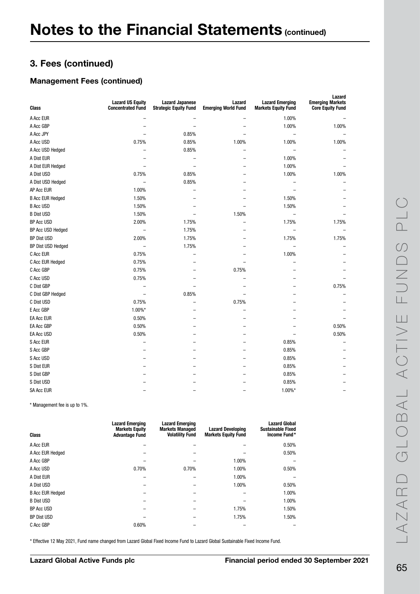### Management Fees (continued)

| Class                   | <b>Lazard US Equity</b><br><b>Concentrated Fund</b> | <b>Lazard Japanese</b><br><b>Strategic Equity Fund</b> | Lazard<br><b>Emerging World Fund</b> | <b>Lazard Emerging</b><br><b>Markets Equity Fund</b> | Lazard<br><b>Emerging Markets</b><br><b>Core Equity Fund</b> |
|-------------------------|-----------------------------------------------------|--------------------------------------------------------|--------------------------------------|------------------------------------------------------|--------------------------------------------------------------|
| A Acc EUR               |                                                     |                                                        |                                      | 1.00%                                                |                                                              |
| A Acc GBP               |                                                     | $\overline{a}$                                         |                                      | 1.00%                                                | 1.00%                                                        |
| A Acc JPY               |                                                     | 0.85%                                                  |                                      | $\qquad \qquad -$                                    |                                                              |
| A Acc USD               | 0.75%                                               | 0.85%                                                  | 1.00%                                | 1.00%                                                | 1.00%                                                        |
| A Acc USD Hedged        |                                                     | 0.85%                                                  |                                      | $\overline{\phantom{0}}$                             |                                                              |
| A Dist EUR              |                                                     | -                                                      |                                      | 1.00%                                                |                                                              |
| A Dist EUR Hedged       |                                                     | $\overline{\phantom{0}}$                               |                                      | 1.00%                                                |                                                              |
| A Dist USD              | 0.75%                                               | 0.85%                                                  |                                      | 1.00%                                                | 1.00%                                                        |
| A Dist USD Hedged       | $\overline{\phantom{0}}$                            | 0.85%                                                  |                                      | $\overline{\phantom{0}}$                             |                                                              |
| AP Acc EUR              | 1.00%                                               |                                                        |                                      | $\overline{\phantom{0}}$                             |                                                              |
| <b>B Acc EUR Hedged</b> | 1.50%                                               |                                                        |                                      | 1.50%                                                |                                                              |
| <b>B Acc USD</b>        | 1.50%                                               |                                                        |                                      | 1.50%                                                |                                                              |
| <b>B Dist USD</b>       | 1.50%                                               | -                                                      | 1.50%                                | $\overline{\phantom{0}}$                             |                                                              |
| <b>BP Acc USD</b>       | 2.00%                                               | 1.75%                                                  |                                      | 1.75%                                                | 1.75%                                                        |
| BP Acc USD Hedged       | $\qquad \qquad -$                                   | 1.75%                                                  |                                      |                                                      |                                                              |
| <b>BP Dist USD</b>      | 2.00%                                               | 1.75%                                                  |                                      | 1.75%                                                | 1.75%                                                        |
| BP Dist USD Hedged      | $\overline{\phantom{0}}$                            | 1.75%                                                  |                                      |                                                      |                                                              |
| C Acc EUR               | 0.75%                                               |                                                        |                                      | 1.00%                                                |                                                              |
| C Acc EUR Hedged        | 0.75%                                               | -                                                      |                                      |                                                      |                                                              |
| C Acc GBP               | 0.75%                                               |                                                        | 0.75%                                |                                                      |                                                              |
| C Acc USD               | 0.75%                                               |                                                        |                                      |                                                      |                                                              |
| C Dist GBP              | $\overline{\phantom{0}}$                            | $\overline{\phantom{0}}$                               | $\overline{\phantom{0}}$             |                                                      | 0.75%                                                        |
| C Dist GBP Hedged       | -                                                   | 0.85%                                                  | -                                    |                                                      |                                                              |
| C Dist USD              | 0.75%                                               |                                                        | 0.75%                                |                                                      |                                                              |
| E Acc GBP               | $1.00\%$ *                                          | ÷                                                      |                                      |                                                      |                                                              |
| <b>EA Acc EUR</b>       | 0.50%                                               |                                                        |                                      |                                                      |                                                              |
| EA Acc GBP              | 0.50%                                               |                                                        |                                      |                                                      | 0.50%                                                        |
| <b>EA Acc USD</b>       | 0.50%                                               |                                                        |                                      |                                                      | 0.50%                                                        |
| S Acc EUR               |                                                     |                                                        |                                      | 0.85%                                                |                                                              |
| S Acc GBP               | $\overline{\phantom{0}}$                            |                                                        |                                      | 0.85%                                                |                                                              |
| S Acc USD               | -                                                   |                                                        |                                      | 0.85%                                                |                                                              |
| S Dist EUR              |                                                     |                                                        |                                      | 0.85%                                                |                                                              |
| S Dist GBP              |                                                     |                                                        |                                      | 0.85%                                                |                                                              |
| S Dist USD              |                                                     |                                                        |                                      | 0.85%                                                |                                                              |
| <b>SA Acc EUR</b>       |                                                     |                                                        | −                                    | $1.00\%$ *                                           |                                                              |

\* Management fee is up to 1%.

| <b>Class</b>            | <b>Lazard Emerging</b><br><b>Markets Equity</b><br><b>Advantage Fund</b> | <b>Lazard Emerging</b><br><b>Markets Managed</b><br><b>Volatility Fund</b> | <b>Lazard Developing</b><br><b>Markets Equity Fund</b> | <b>Lazard Global</b><br><b>Sustainable Fixed</b><br>Income Fund* |
|-------------------------|--------------------------------------------------------------------------|----------------------------------------------------------------------------|--------------------------------------------------------|------------------------------------------------------------------|
| A Acc EUR               |                                                                          |                                                                            |                                                        | 0.50%                                                            |
| A Acc EUR Hedged        |                                                                          |                                                                            |                                                        | 0.50%                                                            |
| A Acc GBP               |                                                                          |                                                                            | 1.00%                                                  |                                                                  |
| A Acc USD               | 0.70%                                                                    | 0.70%                                                                      | 1.00%                                                  | 0.50%                                                            |
| A Dist EUR              |                                                                          |                                                                            | 1.00%                                                  |                                                                  |
| A Dist USD              |                                                                          |                                                                            | 1.00%                                                  | 0.50%                                                            |
| <b>B Acc EUR Hedged</b> |                                                                          |                                                                            |                                                        | 1.00%                                                            |
| <b>B</b> Dist USD       |                                                                          |                                                                            |                                                        | 1.00%                                                            |
| BP Acc USD              |                                                                          |                                                                            | 1.75%                                                  | 1.50%                                                            |
| <b>BP Dist USD</b>      |                                                                          |                                                                            | 1.75%                                                  | 1.50%                                                            |
| C Acc GBP               | 0.60%                                                                    |                                                                            |                                                        |                                                                  |

\* Effective 12 May 2021, Fund name changed from Lazard Global Fixed Income Fund to Lazard Global Sustainable Fixed Income Fund.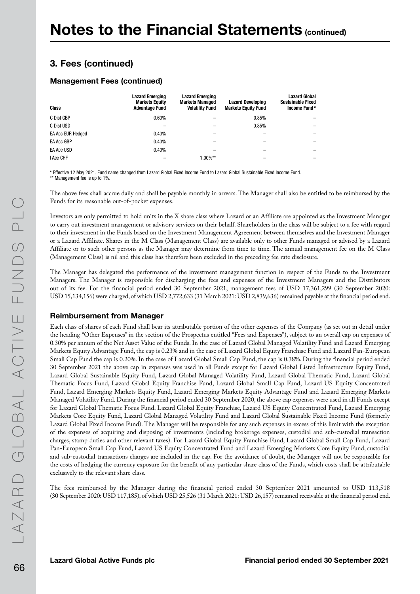#### Management Fees (continued)

| <b>Class</b>      | <b>Lazard Emerging</b><br><b>Markets Equity</b><br><b>Advantage Fund</b> | <b>Lazard Emerging</b><br><b>Markets Managed</b><br><b>Volatility Fund</b> | <b>Lazard Developing</b><br><b>Markets Equity Fund</b> | <b>Lazard Global</b><br><b>Sustainable Fixed</b><br>Income Fund* |
|-------------------|--------------------------------------------------------------------------|----------------------------------------------------------------------------|--------------------------------------------------------|------------------------------------------------------------------|
| C Dist GBP        | 0.60%                                                                    |                                                                            | 0.85%                                                  |                                                                  |
| C Dist USD        |                                                                          |                                                                            | 0.85%                                                  |                                                                  |
| EA Acc EUR Hedged | 0.40%                                                                    |                                                                            |                                                        |                                                                  |
| EA Acc GBP        | 0.40%                                                                    |                                                                            |                                                        |                                                                  |
| <b>EA Acc USD</b> | 0.40%                                                                    |                                                                            |                                                        |                                                                  |
| I Acc CHF         |                                                                          | $1.00\%**$                                                                 |                                                        |                                                                  |

\* Effective 12 May 2021, Fund name changed from Lazard Global Fixed Income Fund to Lazard Global Sustainable Fixed Income Fund. \*\* Management fee is up to 1%.

The above fees shall accrue daily and shall be payable monthly in arrears. The Manager shall also be entitled to be reimbursed by the Funds for its reasonable out-of-pocket expenses.

Investors are only permitted to hold units in the X share class where Lazard or an Affiliate are appointed as the Investment Manager to carry out investment management or advisory services on their behalf. Shareholders in the class will be subject to a fee with regard to their investment in the Funds based on the Investment Management Agreement between themselves and the Investment Manager or a Lazard Affiliate. Shares in the M Class (Management Class) are available only to other Funds managed or advised by a Lazard Affiliate or to such other persons as the Manager may determine from time to time. The annual management fee on the M Class (Management Class) is nil and this class has therefore been excluded in the preceding fee rate disclosure.

The Manager has delegated the performance of the investment management function in respect of the Funds to the Investment Managers. The Manager is responsible for discharging the fees and expenses of the Investment Managers and the Distributors out of its fee. For the financial period ended 30 September 2021, management fees of USD 17,361,299 (30 September 2020: USD 15,134,156) were charged, of which USD 2,772,633 (31 March 2021: USD 2,839,636) remained payable at the financial period end.

#### Reimbursement from Manager

Each class of shares of each Fund shall bear its attributable portion of the other expenses of the Company (as set out in detail under the heading "Other Expenses" in the section of the Prospectus entitled "Fees and Expenses"), subject to an overall cap on expenses of 0.30% per annum of the Net Asset Value of the Funds. In the case of Lazard Global Managed Volatility Fund and Lazard Emerging Markets Equity Advantage Fund, the cap is 0.23% and in the case of Lazard Global Equity Franchise Fund and Lazard Pan-European Small Cap Fund the cap is 0.20%. In the case of Lazard Global Small Cap Fund, the cap is 0.38%. During the financial period ended 30 September 2021 the above cap in expenses was used in all Funds except for Lazard Global Listed Infrastructure Equity Fund, Lazard Global Sustainable Equity Fund, Lazard Global Managed Volatility Fund, Lazard Global Thematic Fund, Lazard Global Thematic Focus Fund, Lazard Global Equity Franchise Fund, Lazard Global Small Cap Fund, Lazard US Equity Concentrated Fund, Lazard Emerging Markets Equity Fund, Lazard Emerging Markets Equity Advantage Fund and Lazard Emerging Markets Managed Volatility Fund. During the financial period ended 30 September 2020, the above cap expenses were used in all Funds except for Lazard Global Thematic Focus Fund, Lazard Global Equity Franchise, Lazard US Equity Concentrated Fund, Lazard Emerging Markets Core Equity Fund, Lazard Global Managed Volatility Fund and Lazard Global Sustainable Fixed Income Fund (formerly Lazard Global Fixed Income Fund). The Manager will be responsible for any such expenses in excess of this limit with the exception of the expenses of acquiring and disposing of investments (including brokerage expenses, custodial and sub-custodial transaction charges, stamp duties and other relevant taxes). For Lazard Global Equity Franchise Fund, Lazard Global Small Cap Fund, Lazard Pan-European Small Cap Fund, Lazard US Equity Concentrated Fund and Lazard Emerging Markets Core Equity Fund, custodial and sub-custodial transactions charges are included in the cap. For the avoidance of doubt, the Manager will not be responsible for the costs of hedging the currency exposure for the benefit of any particular share class of the Funds, which costs shall be attributable exclusively to the relevant share class.

The fees reimbursed by the Manager during the financial period ended 30 September 2021 amounted to USD 113,518 (30 September 2020: USD 117,185), of which USD 25,526 (31 March 2021: USD 26,157) remained receivable at the financial period end.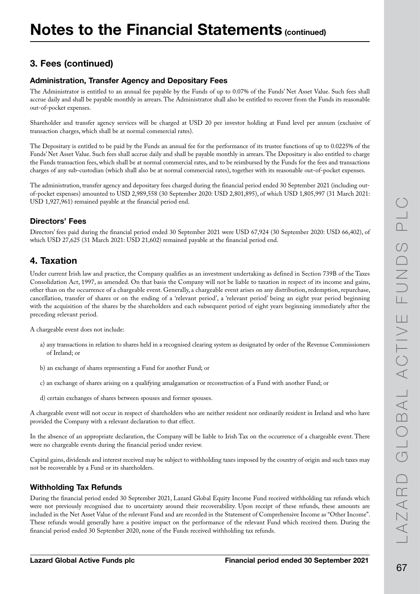### Administration, Transfer Agency and Depositary Fees

The Administrator is entitled to an annual fee payable by the Funds of up to 0.07% of the Funds' Net Asset Value. Such fees shall accrue daily and shall be payable monthly in arrears. The Administrator shall also be entitled to recover from the Funds its reasonable out-of-pocket expenses.

Shareholder and transfer agency services will be charged at USD 20 per investor holding at Fund level per annum (exclusive of transaction charges, which shall be at normal commercial rates).

The Depositary is entitled to be paid by the Funds an annual fee for the performance of its trustee functions of up to 0.0225% of the Funds' Net Asset Value. Such fees shall accrue daily and shall be payable monthly in arrears. The Depositary is also entitled to charge the Funds transaction fees, which shall be at normal commercial rates, and to be reimbursed by the Funds for the fees and transactions charges of any sub-custodian (which shall also be at normal commercial rates), together with its reasonable out-of-pocket expenses.

The administration, transfer agency and depositary fees charged during the financial period ended 30 September 2021 (including outof-pocket expenses) amounted to USD 2,989,558 (30 September 2020: USD 2,801,895), of which USD 1,805,997 (31 March 2021: USD 1,927,961) remained payable at the financial period end.

### Directors' Fees

Directors' fees paid during the financial period ended 30 September 2021 were USD 67,924 (30 September 2020: USD 66,402), of which USD 27,625 (31 March 2021: USD 21,602) remained payable at the financial period end.

### 4. Taxation

Under current Irish law and practice, the Company qualifies as an investment undertaking as defined in Section 739B of the Taxes Consolidation Act, 1997, as amended. On that basis the Company will not be liable to taxation in respect of its income and gains, other than on the occurrence of a chargeable event. Generally, a chargeable event arises on any distribution, redemption, repurchase, cancellation, transfer of shares or on the ending of a 'relevant period', a 'relevant period' being an eight year period beginning with the acquisition of the shares by the shareholders and each subsequent period of eight years beginning immediately after the preceding relevant period.

A chargeable event does not include:

- a) any transactions in relation to shares held in a recognised clearing system as designated by order of the Revenue Commissioners of Ireland; or
- b) an exchange of shares representing a Fund for another Fund; or
- c) an exchange of shares arising on a qualifying amalgamation or reconstruction of a Fund with another Fund; or
- d) certain exchanges of shares between spouses and former spouses.

A chargeable event will not occur in respect of shareholders who are neither resident nor ordinarily resident in Ireland and who have provided the Company with a relevant declaration to that effect.

In the absence of an appropriate declaration, the Company will be liable to Irish Tax on the occurrence of a chargeable event. There were no chargeable events during the financial period under review.

Capital gains, dividends and interest received may be subject to withholding taxes imposed by the country of origin and such taxes may not be recoverable by a Fund or its shareholders.

#### Withholding Tax Refunds

During the financial period ended 30 September 2021, Lazard Global Equity Income Fund received withholding tax refunds which were not previously recognised due to uncertainty around their recoverability. Upon receipt of these refunds, these amounts are included in the Net Asset Value of the relevant Fund and are recorded in the Statement of Comprehensive Income as "Other Income". These refunds would generally have a positive impact on the performance of the relevant Fund which received them. During the financial period ended 30 September 2020, none of the Funds received withholding tax refunds.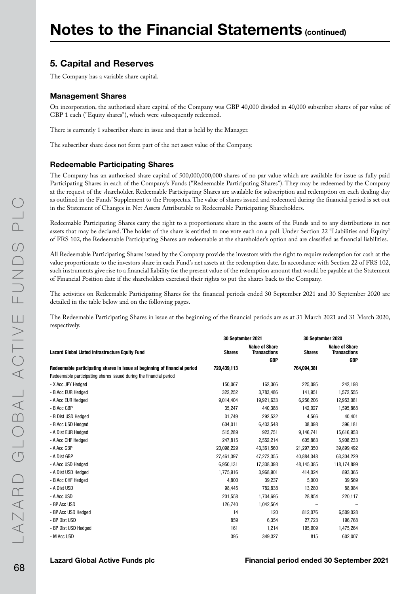## 5. Capital and Reserves

The Company has a variable share capital.

#### Management Shares

On incorporation, the authorised share capital of the Company was GBP 40,000 divided in 40,000 subscriber shares of par value of GBP 1 each ("Equity shares"), which were subsequently redeemed.

There is currently 1 subscriber share in issue and that is held by the Manager.

The subscriber share does not form part of the net asset value of the Company.

#### Redeemable Participating Shares

The Company has an authorised share capital of 500,000,000,000 shares of no par value which are available for issue as fully paid Participating Shares in each of the Company's Funds ("Redeemable Participating Shares"). They may be redeemed by the Company at the request of the shareholder. Redeemable Participating Shares are available for subscription and redemption on each dealing day as outlined in the Funds' Supplement to the Prospectus. The value of shares issued and redeemed during the financial period is set out in the Statement of Changes in Net Assets Attributable to Redeemable Participating Shareholders.

Redeemable Participating Shares carry the right to a proportionate share in the assets of the Funds and to any distributions in net assets that may be declared. The holder of the share is entitled to one vote each on a poll. Under Section 22 "Liabilities and Equity" of FRS 102, the Redeemable Participating Shares are redeemable at the shareholder's option and are classified as financial liabilities.

All Redeemable Participating Shares issued by the Company provide the investors with the right to require redemption for cash at the value proportionate to the investors share in each Fund's net assets at the redemption date. In accordance with Section 22 of FRS 102, such instruments give rise to a financial liability for the present value of the redemption amount that would be payable at the Statement of Financial Position date if the shareholders exercised their rights to put the shares back to the Company.

The activities on Redeemable Participating Shares for the financial periods ended 30 September 2021 and 30 September 2020 are detailed in the table below and on the following pages.

The Redeemable Participating Shares in issue at the beginning of the financial periods are as at 31 March 2021 and 31 March 2020, respectively.

|                                                                           | 30 September 2021 |                                                            | 30 September 2020 |                                                            |
|---------------------------------------------------------------------------|-------------------|------------------------------------------------------------|-------------------|------------------------------------------------------------|
| <b>Lazard Global Listed Infrastructure Equity Fund</b>                    | <b>Shares</b>     | <b>Value of Share</b><br><b>Transactions</b><br><b>GBP</b> | <b>Shares</b>     | <b>Value of Share</b><br><b>Transactions</b><br><b>GBP</b> |
| Redeemable participating shares in issue at beginning of financial period | 720,439,113       |                                                            | 764,094,381       |                                                            |
| Redeemable participating shares issued during the financial period        |                   |                                                            |                   |                                                            |
| - X Acc JPY Hedged                                                        | 150,067           | 162,366                                                    | 225,095           | 242,198                                                    |
| - B Acc EUR Hedged                                                        | 322,252           | 3,783,486                                                  | 141,951           | 1,572,555                                                  |
| - A Acc EUR Hedged                                                        | 9,014,404         | 19,921,633                                                 | 6,256,206         | 12,953,081                                                 |
| - B Acc GBP                                                               | 35,247            | 440,388                                                    | 142,027           | 1,595,868                                                  |
| - B Dist USD Hedged                                                       | 31,749            | 292,532                                                    | 4,566             | 40,401                                                     |
| - B Acc USD Hedged                                                        | 604,011           | 6,433,548                                                  | 38,098            | 396,181                                                    |
| - A Dist EUR Hedged                                                       | 515,289           | 923,751                                                    | 9,146,741         | 15,616,953                                                 |
| - A Acc CHF Hedged                                                        | 247,815           | 2,552,214                                                  | 605,863           | 5,908,233                                                  |
| - A Acc GBP                                                               | 20,098,229        | 43,361,560                                                 | 21,297,350        | 39,899,492                                                 |
| - A Dist GBP                                                              | 27,461,397        | 47,272,355                                                 | 40,884,348        | 63,304,229                                                 |
| - A Acc USD Hedged                                                        | 6,950,131         | 17,338,393                                                 | 48,145,385        | 118,174,899                                                |
| - A Dist USD Hedged                                                       | 1,775,916         | 3,968,901                                                  | 414,024           | 893,365                                                    |
| - B Acc CHF Hedged                                                        | 4,800             | 39,237                                                     | 5,000             | 39,569                                                     |
| - A Dist USD                                                              | 98,445            | 782,838                                                    | 13,280            | 88,084                                                     |
| - A Acc USD                                                               | 201,558           | 1,734,695                                                  | 28,854            | 220,117                                                    |
| - BP Acc USD                                                              | 126,740           | 1,042,564                                                  |                   |                                                            |
| - BP Acc USD Hedged                                                       | 14                | 120                                                        | 812,076           | 6,509,028                                                  |
| - BP Dist USD                                                             | 859               | 6,354                                                      | 27,723            | 196,768                                                    |
| - BP Dist USD Hedged                                                      | 161               | 1,214                                                      | 195,909           | 1,475,264                                                  |
| - M Acc USD                                                               | 395               | 349,327                                                    | 815               | 602,007                                                    |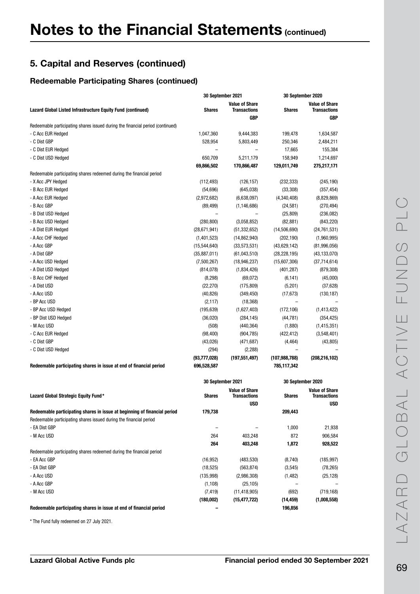#### Redeemable Participating Shares (continued)

|                                                                                | 30 September 2021        |                                              | 30 September 2020 |                                              |
|--------------------------------------------------------------------------------|--------------------------|----------------------------------------------|-------------------|----------------------------------------------|
| Lazard Global Listed Infrastructure Equity Fund (continued)                    | <b>Shares</b>            | <b>Value of Share</b><br><b>Transactions</b> | <b>Shares</b>     | <b>Value of Share</b><br><b>Transactions</b> |
|                                                                                |                          | <b>GBP</b>                                   |                   | <b>GBP</b>                                   |
| Redeemable participating shares issued during the financial period (continued) |                          |                                              |                   |                                              |
| - C Acc EUR Hedged                                                             | 1,047,360                | 9,444,383                                    | 199,478           | 1,634,587                                    |
| - C Dist GBP                                                                   | 528,954                  | 5,803,449                                    | 250,346           | 2,484,211                                    |
| - C Dist EUR Hedged                                                            |                          |                                              | 17,665            | 155,384                                      |
| - C Dist USD Hedged                                                            | 650,709                  | 5,211,179                                    | 158,949           | 1,214,697                                    |
|                                                                                | 69,866,502               | 170,866,487                                  | 129,011,749       | 275,217,171                                  |
| Redeemable participating shares redeemed during the financial period           |                          |                                              |                   |                                              |
| - X Acc JPY Hedged                                                             | (112, 493)               | (126, 157)                                   | (232, 333)        | (245, 190)                                   |
| - B Acc EUR Hedged                                                             | (54, 696)                | (645, 038)                                   | (33, 308)         | (357, 454)                                   |
| - A Acc EUR Hedged                                                             | (2,972,682)              | (6,638,097)                                  | (4,340,408)       | (8,829,869)                                  |
| - B Acc GBP                                                                    | (89, 499)                | (1, 146, 686)                                | (24, 581)         | (270, 494)                                   |
| - B Dist USD Hedged                                                            | $\overline{\phantom{0}}$ |                                              | (25, 809)         | (236, 082)                                   |
| - B Acc USD Hedged                                                             | (280, 800)               | (3,058,852)                                  | (82, 881)         | (843, 220)                                   |
| - A Dist EUR Hedged                                                            | (28, 671, 941)           | (51, 332, 652)                               | (14,506,690)      | (24, 761, 531)                               |
| - A Acc CHF Hedged                                                             | (1,401,523)              | (14, 862, 940)                               | (202, 190)        | (1,960,995)                                  |
| - A Acc GBP                                                                    | (15,544,640)             | (33,573,531)                                 | (43,629,142)      | (81,996,056)                                 |
| - A Dist GBP                                                                   | (35, 887, 011)           | (61,043,510)                                 | (28, 228, 195)    | (43, 133, 070)                               |
| - A Acc USD Hedged                                                             | (7,500,267)              | (18, 946, 237)                               | (15,607,306)      | (37, 714, 614)                               |
| - A Dist USD Hedged                                                            | (814, 078)               | (1,834,426)                                  | (401, 287)        | (879, 308)                                   |
| - B Acc CHF Hedged                                                             | (8, 298)                 | (69, 072)                                    | (6, 141)          | (45,000)                                     |
| - A Dist USD                                                                   | (22, 270)                | (175, 809)                                   | (5,201)           | (37, 628)                                    |
| - A Acc USD                                                                    | (40, 826)                | (349, 450)                                   | (17, 673)         | (130, 187)                                   |
| - BP Acc USD                                                                   | (2, 117)                 | (18, 368)                                    |                   |                                              |
| - BP Acc USD Hedged                                                            | (195, 639)               | (1,627,403)                                  | (172, 106)        | (1, 413, 422)                                |
| - BP Dist USD Hedged                                                           | (36, 020)                | (284, 145)                                   | (44, 781)         | (354, 425)                                   |
| - M Acc USD                                                                    | (508)                    | (440, 364)                                   | (1,880)           | (1, 415, 351)                                |
| - C Acc EUR Hedged                                                             | (98, 400)                | (904, 785)                                   | (422, 412)        | (3,548,401)                                  |
| - C Dist GBP                                                                   | (43, 026)                | (471, 687)                                   | (4, 464)          | (43, 805)                                    |
| - C Dist USD Hedged                                                            | (294)                    | (2, 288)                                     |                   |                                              |
|                                                                                | (93, 777, 028)           | (197, 551, 497)                              | (107, 988, 788)   | (208, 216, 102)                              |
| Redeemable participating shares in issue at end of financial period            | 696,528,587              |                                              | 785,117,342       |                                              |
|                                                                                |                          |                                              |                   |                                              |

|                                                                           | 30 September 2021 |                                              | 30 September 2020 |                                       |
|---------------------------------------------------------------------------|-------------------|----------------------------------------------|-------------------|---------------------------------------|
| Lazard Global Strategic Equity Fund*                                      | <b>Shares</b>     | <b>Value of Share</b><br><b>Transactions</b> | <b>Shares</b>     | <b>Value of Share</b><br>Transactions |
|                                                                           |                   | <b>USD</b>                                   |                   | <b>USD</b>                            |
| Redeemable participating shares in issue at beginning of financial period | 179,738           |                                              | 209,443           |                                       |
| Redeemable participating shares issued during the financial period        |                   |                                              |                   |                                       |
| - EA Dist GBP                                                             |                   |                                              | 1,000             | 21,938                                |
| - M Acc USD                                                               | 264               | 403,248                                      | 872               | 906,584                               |
|                                                                           | 264               | 403,248                                      | 1,872             | 928,522                               |
| Redeemable participating shares redeemed during the financial period      |                   |                                              |                   |                                       |
| - EA Acc GBP                                                              | (16, 952)         | (483, 530)                                   | (8,740)           | (185, 997)                            |
| - EA Dist GBP                                                             | (18, 525)         | (563, 874)                                   | (3, 545)          | (78, 265)                             |
| - A Acc USD                                                               | (135,998)         | (2,986,308)                                  | (1, 482)          | (25, 128)                             |
| - A Acc GBP                                                               | (1, 108)          | (25, 105)                                    |                   |                                       |
| - M Acc USD                                                               | (7, 419)          | (11, 418, 905)                               | (692)             | (719, 168)                            |
|                                                                           | (180,002)         | (15, 477, 722)                               | (14, 459)         | (1,008,558)                           |
| Redeemable participating shares in issue at end of financial period       |                   |                                              | 196,856           |                                       |

\* The Fund fully redeemed on 27 July 2021.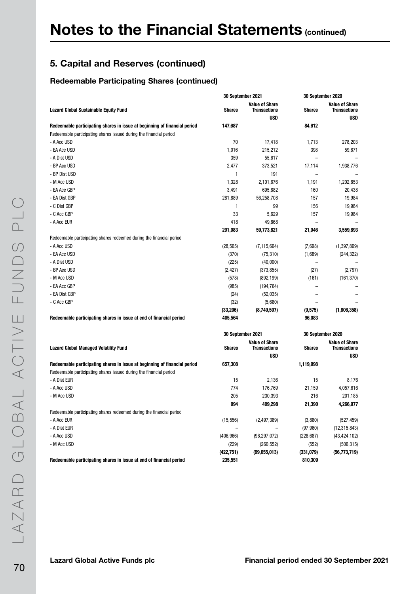### Redeemable Participating Shares (continued)

| <b>Value of Share</b><br><b>Value of Share</b><br><b>Shares</b><br><b>Transactions</b><br><b>Shares</b><br><b>Transactions</b><br><b>Lazard Global Sustainable Equity Fund</b><br><b>USD</b><br><b>USD</b><br>147,687<br>Redeemable participating shares in issue at beginning of financial period<br>84,612<br>Redeemable participating shares issued during the financial period<br>- A Acc USD<br>70<br>278,203<br>17,418<br>1,713<br>398<br>- EA Acc USD<br>1,016<br>215,212<br>59,671<br>- A Dist USD<br>359<br>55,617<br>$\equiv$<br>- BP Acc USD<br>2,477<br>17,114<br>373,521<br>1,938,776<br>- BP Dist USD<br>1<br>191<br>$\overline{a}$<br>1,328<br>1,202,853<br>- M Acc USD<br>2,101,676<br>1,191<br>- EA Acc GBP<br>3,491<br>695,882<br>160<br>20,438<br>- EA Dist GBP<br>281,889<br>157<br>19,984<br>56,258,708<br>- C Dist GBP<br>1<br>99<br>156<br>19,984<br>33<br>19,984<br>- C Acc GBP<br>5,629<br>157<br>- A Acc EUR<br>418<br>49,868<br>291,083<br>21,046<br>3,559,893<br>59,773,821<br>Redeemable participating shares redeemed during the financial period<br>- A Acc USD<br>(28, 565)<br>(7,698)<br>(1, 397, 869)<br>(7, 115, 664)<br>- EA Acc USD<br>(370)<br>(75, 310)<br>(1,689)<br>(244, 322)<br>- A Dist USD<br>(225)<br>(40,000)<br>$\overline{\phantom{0}}$<br>- BP Acc USD<br>(2, 427)<br>(373, 855)<br>(27)<br>(2,797)<br>- M Acc USD<br>(578)<br>(892, 199)<br>(161)<br>(161, 370)<br>- EA Acc GBP<br>(985)<br>(194, 764)<br>- EA Dist GBP<br>(24)<br>(52,035)<br>- C Acc GBP<br>(32)<br>(5,680)<br>(33, 206)<br>(8,749,507)<br>(1,806,358)<br>(9,575)<br>Redeemable participating shares in issue at end of financial period<br>405,564<br>96,083<br>30 September 2020<br>30 September 2021<br><b>Value of Share</b><br><b>Value of Share</b><br><b>Transactions</b><br><b>Lazard Global Managed Volatility Fund</b><br><b>Shares</b><br><b>Shares</b><br><b>Transactions</b><br><b>USD</b><br><b>USD</b><br>657,308<br>1,119,998<br>Redeemable participating shares in issue at beginning of financial period<br>Redeemable participating shares issued during the financial period<br>- A Dist EUR<br>15<br>2,136<br>15<br>8,176<br>- A Acc USD<br>774<br>176,769<br>21,159<br>4,057,616<br>- M Acc USD<br>205<br>230,393<br>216<br>201,185<br>994<br>409,298<br>21,390<br>4,266,977<br>Redeemable participating shares redeemed during the financial period<br>- A Acc EUR<br>(15, 556)<br>(3,880)<br>(527, 459)<br>(2,497,389)<br>- A Dist EUR<br>(97, 960)<br>(12, 315, 843)<br>- A Acc USD<br>(406, 966)<br>(96, 297, 072)<br>(228, 687)<br>(43, 424, 102)<br>- M Acc USD<br>(229)<br>(260, 552)<br>(552)<br>(506, 315)<br>(422, 751)<br>(99,055,013)<br>(331,079)<br>(56, 773, 719) |                                                                     | 30 September 2021 | 30 September 2020 |  |
|-----------------------------------------------------------------------------------------------------------------------------------------------------------------------------------------------------------------------------------------------------------------------------------------------------------------------------------------------------------------------------------------------------------------------------------------------------------------------------------------------------------------------------------------------------------------------------------------------------------------------------------------------------------------------------------------------------------------------------------------------------------------------------------------------------------------------------------------------------------------------------------------------------------------------------------------------------------------------------------------------------------------------------------------------------------------------------------------------------------------------------------------------------------------------------------------------------------------------------------------------------------------------------------------------------------------------------------------------------------------------------------------------------------------------------------------------------------------------------------------------------------------------------------------------------------------------------------------------------------------------------------------------------------------------------------------------------------------------------------------------------------------------------------------------------------------------------------------------------------------------------------------------------------------------------------------------------------------------------------------------------------------------------------------------------------------------------------------------------------------------------------------------------------------------------------------------------------------------------------------------------------------------------------------------------------------------------------------------------------------------------------------------------------------------------------------------------------------------------------------------------------------------------------------------------------------------------------------------------------------------------------------------------------------------------------------------------------------------------|---------------------------------------------------------------------|-------------------|-------------------|--|
|                                                                                                                                                                                                                                                                                                                                                                                                                                                                                                                                                                                                                                                                                                                                                                                                                                                                                                                                                                                                                                                                                                                                                                                                                                                                                                                                                                                                                                                                                                                                                                                                                                                                                                                                                                                                                                                                                                                                                                                                                                                                                                                                                                                                                                                                                                                                                                                                                                                                                                                                                                                                                                                                                                                             |                                                                     |                   |                   |  |
|                                                                                                                                                                                                                                                                                                                                                                                                                                                                                                                                                                                                                                                                                                                                                                                                                                                                                                                                                                                                                                                                                                                                                                                                                                                                                                                                                                                                                                                                                                                                                                                                                                                                                                                                                                                                                                                                                                                                                                                                                                                                                                                                                                                                                                                                                                                                                                                                                                                                                                                                                                                                                                                                                                                             |                                                                     |                   |                   |  |
|                                                                                                                                                                                                                                                                                                                                                                                                                                                                                                                                                                                                                                                                                                                                                                                                                                                                                                                                                                                                                                                                                                                                                                                                                                                                                                                                                                                                                                                                                                                                                                                                                                                                                                                                                                                                                                                                                                                                                                                                                                                                                                                                                                                                                                                                                                                                                                                                                                                                                                                                                                                                                                                                                                                             |                                                                     |                   |                   |  |
|                                                                                                                                                                                                                                                                                                                                                                                                                                                                                                                                                                                                                                                                                                                                                                                                                                                                                                                                                                                                                                                                                                                                                                                                                                                                                                                                                                                                                                                                                                                                                                                                                                                                                                                                                                                                                                                                                                                                                                                                                                                                                                                                                                                                                                                                                                                                                                                                                                                                                                                                                                                                                                                                                                                             |                                                                     |                   |                   |  |
|                                                                                                                                                                                                                                                                                                                                                                                                                                                                                                                                                                                                                                                                                                                                                                                                                                                                                                                                                                                                                                                                                                                                                                                                                                                                                                                                                                                                                                                                                                                                                                                                                                                                                                                                                                                                                                                                                                                                                                                                                                                                                                                                                                                                                                                                                                                                                                                                                                                                                                                                                                                                                                                                                                                             |                                                                     |                   |                   |  |
|                                                                                                                                                                                                                                                                                                                                                                                                                                                                                                                                                                                                                                                                                                                                                                                                                                                                                                                                                                                                                                                                                                                                                                                                                                                                                                                                                                                                                                                                                                                                                                                                                                                                                                                                                                                                                                                                                                                                                                                                                                                                                                                                                                                                                                                                                                                                                                                                                                                                                                                                                                                                                                                                                                                             |                                                                     |                   |                   |  |
|                                                                                                                                                                                                                                                                                                                                                                                                                                                                                                                                                                                                                                                                                                                                                                                                                                                                                                                                                                                                                                                                                                                                                                                                                                                                                                                                                                                                                                                                                                                                                                                                                                                                                                                                                                                                                                                                                                                                                                                                                                                                                                                                                                                                                                                                                                                                                                                                                                                                                                                                                                                                                                                                                                                             |                                                                     |                   |                   |  |
|                                                                                                                                                                                                                                                                                                                                                                                                                                                                                                                                                                                                                                                                                                                                                                                                                                                                                                                                                                                                                                                                                                                                                                                                                                                                                                                                                                                                                                                                                                                                                                                                                                                                                                                                                                                                                                                                                                                                                                                                                                                                                                                                                                                                                                                                                                                                                                                                                                                                                                                                                                                                                                                                                                                             |                                                                     |                   |                   |  |
|                                                                                                                                                                                                                                                                                                                                                                                                                                                                                                                                                                                                                                                                                                                                                                                                                                                                                                                                                                                                                                                                                                                                                                                                                                                                                                                                                                                                                                                                                                                                                                                                                                                                                                                                                                                                                                                                                                                                                                                                                                                                                                                                                                                                                                                                                                                                                                                                                                                                                                                                                                                                                                                                                                                             |                                                                     |                   |                   |  |
|                                                                                                                                                                                                                                                                                                                                                                                                                                                                                                                                                                                                                                                                                                                                                                                                                                                                                                                                                                                                                                                                                                                                                                                                                                                                                                                                                                                                                                                                                                                                                                                                                                                                                                                                                                                                                                                                                                                                                                                                                                                                                                                                                                                                                                                                                                                                                                                                                                                                                                                                                                                                                                                                                                                             |                                                                     |                   |                   |  |
|                                                                                                                                                                                                                                                                                                                                                                                                                                                                                                                                                                                                                                                                                                                                                                                                                                                                                                                                                                                                                                                                                                                                                                                                                                                                                                                                                                                                                                                                                                                                                                                                                                                                                                                                                                                                                                                                                                                                                                                                                                                                                                                                                                                                                                                                                                                                                                                                                                                                                                                                                                                                                                                                                                                             |                                                                     |                   |                   |  |
|                                                                                                                                                                                                                                                                                                                                                                                                                                                                                                                                                                                                                                                                                                                                                                                                                                                                                                                                                                                                                                                                                                                                                                                                                                                                                                                                                                                                                                                                                                                                                                                                                                                                                                                                                                                                                                                                                                                                                                                                                                                                                                                                                                                                                                                                                                                                                                                                                                                                                                                                                                                                                                                                                                                             |                                                                     |                   |                   |  |
|                                                                                                                                                                                                                                                                                                                                                                                                                                                                                                                                                                                                                                                                                                                                                                                                                                                                                                                                                                                                                                                                                                                                                                                                                                                                                                                                                                                                                                                                                                                                                                                                                                                                                                                                                                                                                                                                                                                                                                                                                                                                                                                                                                                                                                                                                                                                                                                                                                                                                                                                                                                                                                                                                                                             |                                                                     |                   |                   |  |
|                                                                                                                                                                                                                                                                                                                                                                                                                                                                                                                                                                                                                                                                                                                                                                                                                                                                                                                                                                                                                                                                                                                                                                                                                                                                                                                                                                                                                                                                                                                                                                                                                                                                                                                                                                                                                                                                                                                                                                                                                                                                                                                                                                                                                                                                                                                                                                                                                                                                                                                                                                                                                                                                                                                             |                                                                     |                   |                   |  |
|                                                                                                                                                                                                                                                                                                                                                                                                                                                                                                                                                                                                                                                                                                                                                                                                                                                                                                                                                                                                                                                                                                                                                                                                                                                                                                                                                                                                                                                                                                                                                                                                                                                                                                                                                                                                                                                                                                                                                                                                                                                                                                                                                                                                                                                                                                                                                                                                                                                                                                                                                                                                                                                                                                                             |                                                                     |                   |                   |  |
|                                                                                                                                                                                                                                                                                                                                                                                                                                                                                                                                                                                                                                                                                                                                                                                                                                                                                                                                                                                                                                                                                                                                                                                                                                                                                                                                                                                                                                                                                                                                                                                                                                                                                                                                                                                                                                                                                                                                                                                                                                                                                                                                                                                                                                                                                                                                                                                                                                                                                                                                                                                                                                                                                                                             |                                                                     |                   |                   |  |
|                                                                                                                                                                                                                                                                                                                                                                                                                                                                                                                                                                                                                                                                                                                                                                                                                                                                                                                                                                                                                                                                                                                                                                                                                                                                                                                                                                                                                                                                                                                                                                                                                                                                                                                                                                                                                                                                                                                                                                                                                                                                                                                                                                                                                                                                                                                                                                                                                                                                                                                                                                                                                                                                                                                             |                                                                     |                   |                   |  |
|                                                                                                                                                                                                                                                                                                                                                                                                                                                                                                                                                                                                                                                                                                                                                                                                                                                                                                                                                                                                                                                                                                                                                                                                                                                                                                                                                                                                                                                                                                                                                                                                                                                                                                                                                                                                                                                                                                                                                                                                                                                                                                                                                                                                                                                                                                                                                                                                                                                                                                                                                                                                                                                                                                                             |                                                                     |                   |                   |  |
|                                                                                                                                                                                                                                                                                                                                                                                                                                                                                                                                                                                                                                                                                                                                                                                                                                                                                                                                                                                                                                                                                                                                                                                                                                                                                                                                                                                                                                                                                                                                                                                                                                                                                                                                                                                                                                                                                                                                                                                                                                                                                                                                                                                                                                                                                                                                                                                                                                                                                                                                                                                                                                                                                                                             |                                                                     |                   |                   |  |
|                                                                                                                                                                                                                                                                                                                                                                                                                                                                                                                                                                                                                                                                                                                                                                                                                                                                                                                                                                                                                                                                                                                                                                                                                                                                                                                                                                                                                                                                                                                                                                                                                                                                                                                                                                                                                                                                                                                                                                                                                                                                                                                                                                                                                                                                                                                                                                                                                                                                                                                                                                                                                                                                                                                             |                                                                     |                   |                   |  |
|                                                                                                                                                                                                                                                                                                                                                                                                                                                                                                                                                                                                                                                                                                                                                                                                                                                                                                                                                                                                                                                                                                                                                                                                                                                                                                                                                                                                                                                                                                                                                                                                                                                                                                                                                                                                                                                                                                                                                                                                                                                                                                                                                                                                                                                                                                                                                                                                                                                                                                                                                                                                                                                                                                                             |                                                                     |                   |                   |  |
|                                                                                                                                                                                                                                                                                                                                                                                                                                                                                                                                                                                                                                                                                                                                                                                                                                                                                                                                                                                                                                                                                                                                                                                                                                                                                                                                                                                                                                                                                                                                                                                                                                                                                                                                                                                                                                                                                                                                                                                                                                                                                                                                                                                                                                                                                                                                                                                                                                                                                                                                                                                                                                                                                                                             |                                                                     |                   |                   |  |
|                                                                                                                                                                                                                                                                                                                                                                                                                                                                                                                                                                                                                                                                                                                                                                                                                                                                                                                                                                                                                                                                                                                                                                                                                                                                                                                                                                                                                                                                                                                                                                                                                                                                                                                                                                                                                                                                                                                                                                                                                                                                                                                                                                                                                                                                                                                                                                                                                                                                                                                                                                                                                                                                                                                             |                                                                     |                   |                   |  |
|                                                                                                                                                                                                                                                                                                                                                                                                                                                                                                                                                                                                                                                                                                                                                                                                                                                                                                                                                                                                                                                                                                                                                                                                                                                                                                                                                                                                                                                                                                                                                                                                                                                                                                                                                                                                                                                                                                                                                                                                                                                                                                                                                                                                                                                                                                                                                                                                                                                                                                                                                                                                                                                                                                                             |                                                                     |                   |                   |  |
|                                                                                                                                                                                                                                                                                                                                                                                                                                                                                                                                                                                                                                                                                                                                                                                                                                                                                                                                                                                                                                                                                                                                                                                                                                                                                                                                                                                                                                                                                                                                                                                                                                                                                                                                                                                                                                                                                                                                                                                                                                                                                                                                                                                                                                                                                                                                                                                                                                                                                                                                                                                                                                                                                                                             |                                                                     |                   |                   |  |
|                                                                                                                                                                                                                                                                                                                                                                                                                                                                                                                                                                                                                                                                                                                                                                                                                                                                                                                                                                                                                                                                                                                                                                                                                                                                                                                                                                                                                                                                                                                                                                                                                                                                                                                                                                                                                                                                                                                                                                                                                                                                                                                                                                                                                                                                                                                                                                                                                                                                                                                                                                                                                                                                                                                             |                                                                     |                   |                   |  |
|                                                                                                                                                                                                                                                                                                                                                                                                                                                                                                                                                                                                                                                                                                                                                                                                                                                                                                                                                                                                                                                                                                                                                                                                                                                                                                                                                                                                                                                                                                                                                                                                                                                                                                                                                                                                                                                                                                                                                                                                                                                                                                                                                                                                                                                                                                                                                                                                                                                                                                                                                                                                                                                                                                                             |                                                                     |                   |                   |  |
|                                                                                                                                                                                                                                                                                                                                                                                                                                                                                                                                                                                                                                                                                                                                                                                                                                                                                                                                                                                                                                                                                                                                                                                                                                                                                                                                                                                                                                                                                                                                                                                                                                                                                                                                                                                                                                                                                                                                                                                                                                                                                                                                                                                                                                                                                                                                                                                                                                                                                                                                                                                                                                                                                                                             |                                                                     |                   |                   |  |
|                                                                                                                                                                                                                                                                                                                                                                                                                                                                                                                                                                                                                                                                                                                                                                                                                                                                                                                                                                                                                                                                                                                                                                                                                                                                                                                                                                                                                                                                                                                                                                                                                                                                                                                                                                                                                                                                                                                                                                                                                                                                                                                                                                                                                                                                                                                                                                                                                                                                                                                                                                                                                                                                                                                             |                                                                     |                   |                   |  |
|                                                                                                                                                                                                                                                                                                                                                                                                                                                                                                                                                                                                                                                                                                                                                                                                                                                                                                                                                                                                                                                                                                                                                                                                                                                                                                                                                                                                                                                                                                                                                                                                                                                                                                                                                                                                                                                                                                                                                                                                                                                                                                                                                                                                                                                                                                                                                                                                                                                                                                                                                                                                                                                                                                                             |                                                                     |                   |                   |  |
|                                                                                                                                                                                                                                                                                                                                                                                                                                                                                                                                                                                                                                                                                                                                                                                                                                                                                                                                                                                                                                                                                                                                                                                                                                                                                                                                                                                                                                                                                                                                                                                                                                                                                                                                                                                                                                                                                                                                                                                                                                                                                                                                                                                                                                                                                                                                                                                                                                                                                                                                                                                                                                                                                                                             |                                                                     |                   |                   |  |
|                                                                                                                                                                                                                                                                                                                                                                                                                                                                                                                                                                                                                                                                                                                                                                                                                                                                                                                                                                                                                                                                                                                                                                                                                                                                                                                                                                                                                                                                                                                                                                                                                                                                                                                                                                                                                                                                                                                                                                                                                                                                                                                                                                                                                                                                                                                                                                                                                                                                                                                                                                                                                                                                                                                             |                                                                     |                   |                   |  |
|                                                                                                                                                                                                                                                                                                                                                                                                                                                                                                                                                                                                                                                                                                                                                                                                                                                                                                                                                                                                                                                                                                                                                                                                                                                                                                                                                                                                                                                                                                                                                                                                                                                                                                                                                                                                                                                                                                                                                                                                                                                                                                                                                                                                                                                                                                                                                                                                                                                                                                                                                                                                                                                                                                                             |                                                                     |                   |                   |  |
|                                                                                                                                                                                                                                                                                                                                                                                                                                                                                                                                                                                                                                                                                                                                                                                                                                                                                                                                                                                                                                                                                                                                                                                                                                                                                                                                                                                                                                                                                                                                                                                                                                                                                                                                                                                                                                                                                                                                                                                                                                                                                                                                                                                                                                                                                                                                                                                                                                                                                                                                                                                                                                                                                                                             |                                                                     |                   |                   |  |
|                                                                                                                                                                                                                                                                                                                                                                                                                                                                                                                                                                                                                                                                                                                                                                                                                                                                                                                                                                                                                                                                                                                                                                                                                                                                                                                                                                                                                                                                                                                                                                                                                                                                                                                                                                                                                                                                                                                                                                                                                                                                                                                                                                                                                                                                                                                                                                                                                                                                                                                                                                                                                                                                                                                             |                                                                     |                   |                   |  |
|                                                                                                                                                                                                                                                                                                                                                                                                                                                                                                                                                                                                                                                                                                                                                                                                                                                                                                                                                                                                                                                                                                                                                                                                                                                                                                                                                                                                                                                                                                                                                                                                                                                                                                                                                                                                                                                                                                                                                                                                                                                                                                                                                                                                                                                                                                                                                                                                                                                                                                                                                                                                                                                                                                                             |                                                                     |                   |                   |  |
|                                                                                                                                                                                                                                                                                                                                                                                                                                                                                                                                                                                                                                                                                                                                                                                                                                                                                                                                                                                                                                                                                                                                                                                                                                                                                                                                                                                                                                                                                                                                                                                                                                                                                                                                                                                                                                                                                                                                                                                                                                                                                                                                                                                                                                                                                                                                                                                                                                                                                                                                                                                                                                                                                                                             |                                                                     |                   |                   |  |
|                                                                                                                                                                                                                                                                                                                                                                                                                                                                                                                                                                                                                                                                                                                                                                                                                                                                                                                                                                                                                                                                                                                                                                                                                                                                                                                                                                                                                                                                                                                                                                                                                                                                                                                                                                                                                                                                                                                                                                                                                                                                                                                                                                                                                                                                                                                                                                                                                                                                                                                                                                                                                                                                                                                             |                                                                     |                   |                   |  |
|                                                                                                                                                                                                                                                                                                                                                                                                                                                                                                                                                                                                                                                                                                                                                                                                                                                                                                                                                                                                                                                                                                                                                                                                                                                                                                                                                                                                                                                                                                                                                                                                                                                                                                                                                                                                                                                                                                                                                                                                                                                                                                                                                                                                                                                                                                                                                                                                                                                                                                                                                                                                                                                                                                                             |                                                                     |                   |                   |  |
|                                                                                                                                                                                                                                                                                                                                                                                                                                                                                                                                                                                                                                                                                                                                                                                                                                                                                                                                                                                                                                                                                                                                                                                                                                                                                                                                                                                                                                                                                                                                                                                                                                                                                                                                                                                                                                                                                                                                                                                                                                                                                                                                                                                                                                                                                                                                                                                                                                                                                                                                                                                                                                                                                                                             |                                                                     |                   |                   |  |
|                                                                                                                                                                                                                                                                                                                                                                                                                                                                                                                                                                                                                                                                                                                                                                                                                                                                                                                                                                                                                                                                                                                                                                                                                                                                                                                                                                                                                                                                                                                                                                                                                                                                                                                                                                                                                                                                                                                                                                                                                                                                                                                                                                                                                                                                                                                                                                                                                                                                                                                                                                                                                                                                                                                             |                                                                     |                   |                   |  |
|                                                                                                                                                                                                                                                                                                                                                                                                                                                                                                                                                                                                                                                                                                                                                                                                                                                                                                                                                                                                                                                                                                                                                                                                                                                                                                                                                                                                                                                                                                                                                                                                                                                                                                                                                                                                                                                                                                                                                                                                                                                                                                                                                                                                                                                                                                                                                                                                                                                                                                                                                                                                                                                                                                                             |                                                                     |                   |                   |  |
|                                                                                                                                                                                                                                                                                                                                                                                                                                                                                                                                                                                                                                                                                                                                                                                                                                                                                                                                                                                                                                                                                                                                                                                                                                                                                                                                                                                                                                                                                                                                                                                                                                                                                                                                                                                                                                                                                                                                                                                                                                                                                                                                                                                                                                                                                                                                                                                                                                                                                                                                                                                                                                                                                                                             | Redeemable participating shares in issue at end of financial period | 235,551           | 810,309           |  |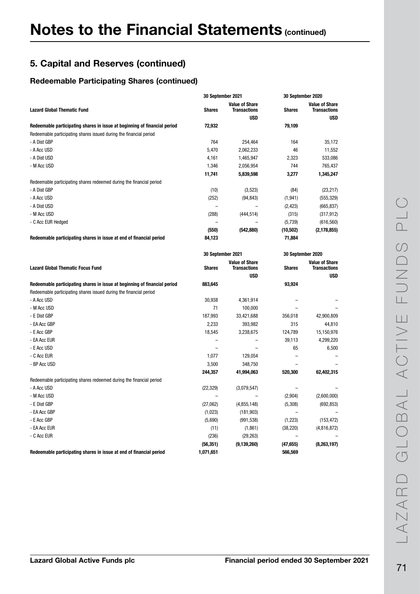#### Redeemable Participating Shares (continued)

|                                                                           | 30 September 2021        |                                                            | 30 September 2020        |                                                            |
|---------------------------------------------------------------------------|--------------------------|------------------------------------------------------------|--------------------------|------------------------------------------------------------|
| <b>Lazard Global Thematic Fund</b>                                        | <b>Shares</b>            | <b>Value of Share</b><br><b>Transactions</b><br><b>USD</b> | <b>Shares</b>            | <b>Value of Share</b><br><b>Transactions</b><br><b>USD</b> |
| Redeemable participating shares in issue at beginning of financial period | 72,932                   |                                                            | 79,109                   |                                                            |
| Redeemable participating shares issued during the financial period        |                          |                                                            |                          |                                                            |
| - A Dist GBP                                                              | 764                      | 254,464                                                    | 164                      | 35,172                                                     |
| - A Acc USD                                                               | 5,470                    | 2,062,233                                                  | 46                       | 11,552                                                     |
| - A Dist USD                                                              |                          |                                                            |                          |                                                            |
| - M Acc USD                                                               | 4,161                    | 1,465,947                                                  | 2,323<br>744             | 533,086                                                    |
|                                                                           | 1,346                    | 2,056,954                                                  |                          | 765,437                                                    |
|                                                                           | 11,741                   | 5,839,598                                                  | 3,277                    | 1,345,247                                                  |
| Redeemable participating shares redeemed during the financial period      |                          |                                                            |                          |                                                            |
| - A Dist GBP                                                              | (10)                     | (3,523)                                                    | (84)                     | (23, 217)                                                  |
| - A Acc USD                                                               | (252)                    | (94, 843)                                                  | (1, 941)                 | (555, 329)                                                 |
| - A Dist USD                                                              |                          |                                                            | (2, 423)                 | (665, 837)                                                 |
| - M Acc USD                                                               | (288)                    | (444, 514)                                                 | (315)                    | (317, 912)                                                 |
| - C Acc EUR Hedged                                                        |                          |                                                            | (5,739)                  | (616, 560)                                                 |
|                                                                           | (550)                    | (542, 880)                                                 | (10,502)                 | (2, 178, 855)                                              |
| Redeemable participating shares in issue at end of financial period       | 84,123                   |                                                            | 71,884                   |                                                            |
|                                                                           | <b>30 September 2021</b> |                                                            | 30 September 2020        |                                                            |
|                                                                           |                          | <b>Value of Share</b>                                      |                          | <b>Value of Share</b>                                      |
| <b>Lazard Global Thematic Focus Fund</b>                                  | <b>Shares</b>            | <b>Transactions</b>                                        | <b>Shares</b>            | <b>Transactions</b>                                        |
|                                                                           |                          | <b>USD</b>                                                 |                          | <b>USD</b>                                                 |
| Redeemable participating shares in issue at beginning of financial period | 883,645                  |                                                            | 93,924                   |                                                            |
| Redeemable participating shares issued during the financial period        |                          |                                                            |                          |                                                            |
| - A Acc USD                                                               | 30,938                   | 4,361,914                                                  |                          |                                                            |
| - M Acc USD                                                               | 71                       | 100,000                                                    | $\overline{\phantom{0}}$ |                                                            |
| - E Dist GBP                                                              | 187,993                  | 33,421,688                                                 | 356,018                  | 42,900,809                                                 |
| - EA Acc GBP                                                              | 2,233                    | 393,982                                                    | 315                      | 44,810                                                     |
| - E Acc GBP                                                               | 18,545                   | 3,238,675                                                  | 124,789                  | 15,150,976                                                 |
| - EA Acc EUR                                                              |                          |                                                            | 39,113                   | 4,299,220                                                  |
| - E Acc USD                                                               |                          |                                                            | 65                       | 6,500                                                      |
| - C Acc EUR                                                               | 1,077                    | 129,054                                                    |                          |                                                            |
| - BP Acc USD                                                              | 3,500                    | 348,750                                                    |                          |                                                            |
|                                                                           | 244,357                  | 41,994,063                                                 | 520,300                  | 62,402,315                                                 |
| Redeemable participating shares redeemed during the financial period      |                          |                                                            |                          |                                                            |
| - A Acc USD                                                               | (22, 329)                | (3,079,547)                                                |                          |                                                            |
| - M Acc USD                                                               |                          |                                                            | (2,904)                  | (2,600,000)                                                |
| - E Dist GBP                                                              | (27,062)                 | (4,855,148)                                                | (5,308)                  | (692, 853)                                                 |
| - EA Acc GBP                                                              | (1,023)                  | (181, 903)                                                 |                          |                                                            |
| - E Acc GBP                                                               | (5,690)                  | (991, 538)                                                 | (1,223)                  | (153, 472)                                                 |
| - EA Acc EUR                                                              | (11)                     | (1,861)                                                    | (38, 220)                | (4,816,872)                                                |
| - C Acc EUR                                                               | (236)                    | (29, 263)                                                  |                          |                                                            |
|                                                                           | (56, 351)                | (9, 139, 260)                                              | (47, 655)                | (8,263,197)                                                |
| Redeemable participating shares in issue at end of financial period       | 1.071.651                |                                                            | 566.569                  |                                                            |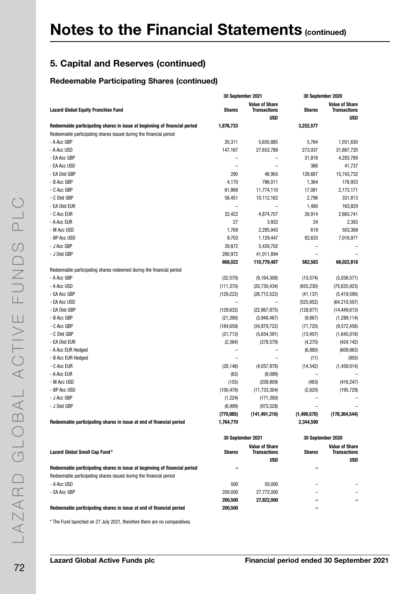### Redeemable Participating Shares (continued)

|                                                                           | 30 September 2021        |                                              | 30 September 2020        |                                       |
|---------------------------------------------------------------------------|--------------------------|----------------------------------------------|--------------------------|---------------------------------------|
| <b>Lazard Global Equity Franchise Fund</b>                                | <b>Shares</b>            | <b>Value of Share</b><br><b>Transactions</b> | Shares                   | <b>Value of Share</b><br>Transactions |
| Redeemable participating shares in issue at beginning of financial period | 1,876,733                | USD                                          | 3,252,577                | <b>USD</b>                            |
| Redeemable participating shares issued during the financial period        |                          |                                              |                          |                                       |
| - A Acc GBP                                                               | 20,311                   | 5,650,885                                    | 5,764                    | 1,051,630                             |
| - A Acc USD                                                               | 147,167                  | 27,653,789                                   | 273,037                  | 31,867,720                            |
| - EA Acc GBP                                                              |                          |                                              | 31,818                   | 4,283,789                             |
| - EA Acc USD                                                              |                          |                                              | 366                      | 41,737                                |
| - EA Dist GBP                                                             | 290                      | 46,905                                       | 128,687                  | 15,743,732                            |
| - B Acc GBP                                                               | 4,170                    | 786,011                                      | 1,364                    | 176,933                               |
| - C Acc GBP                                                               | 61,868                   | 11,774,110                                   | 17,081                   | 2,173,171                             |
| - C Dist GBP                                                              | 58,451                   | 10,112,162                                   | 2,796                    | 331,813                               |
| - EA Dist EUR                                                             | $\overline{\phantom{0}}$ | $\overline{\phantom{0}}$                     | 1,480                    | 163,829                               |
| - C Acc EUR                                                               | 33,422                   | 4,874,707                                    | 26,914                   | 2,665,741                             |
| - A Acc EUR                                                               | 27                       | 3,932                                        | 24                       | 2,383                                 |
| - M Acc USD                                                               | 1,769                    | 2,295,943                                    | 619                      | 503,369                               |
| - BP Acc USD                                                              | 9,703                    | 1,129,447                                    | 92,633                   | 7,016,971                             |
| - J Acc GBP                                                               | 39,872                   | 5,439,702                                    |                          |                                       |
| - J Dist GBP                                                              | 290,972                  | 41,011,894                                   |                          |                                       |
|                                                                           | 668,022                  | 110,779,487                                  | 582,583                  | 66,022,818                            |
| Redeemable participating shares redeemed during the financial period      |                          |                                              |                          |                                       |
| - A Acc GBP                                                               | (32, 570)                | (9, 164, 308)                                | (15, 574)                | (3,036,571)                           |
| - A Acc USD                                                               | (111, 370)               | (20, 730, 434)                               | (655, 230)               | (75,635,923)                          |
| - EA Acc GBP                                                              | (129, 222)               | (26, 712, 522)                               | (41, 137)                | (5,419,590)                           |
| - EA Acc USD                                                              |                          |                                              | (525, 952)               | (64, 210, 507)                        |
| - EA Dist GBP                                                             | (129, 632)               | (22, 867, 875)                               | (128, 877)               | (14, 449, 613)                        |
| - B Acc GBP                                                               | (21, 390)                | (3,948,467)                                  | (9,867)                  | (1,289,114)                           |
| - C Acc GBP                                                               | (184, 659)               |                                              |                          |                                       |
| - C Dist GBP                                                              | (31, 713)                | (34, 879, 722)                               | (71, 720)                | (9,572,458)                           |
| - EA Dist EUR                                                             |                          | (5,654,391)                                  | (13, 407)                | (1,645,018)                           |
|                                                                           | (2, 364)                 | (378, 579)                                   | (4,270)                  | (424, 142)                            |
| - A Acc EUR Hedged                                                        |                          |                                              | (6,880)                  | (609, 663)                            |
| - B Acc EUR Hedged                                                        | $\overline{\phantom{0}}$ |                                              | (11)                     | (955)                                 |
| - C Acc EUR                                                               | (28, 148)                | (4,057,878)                                  | (14, 542)                | (1,459,014)                           |
| - A Acc EUR                                                               | (63)                     | (9,099)                                      | $\overline{\phantom{0}}$ |                                       |
| - M Acc USD                                                               | (155)                    | (209, 809)                                   | (483)                    | (416, 247)                            |
| - BP Acc USD                                                              | (100, 476)               | (11, 733, 304)                               | (2,620)                  | (195, 729)                            |
| - J Acc GBP                                                               | (1,224)                  | (171, 300)                                   |                          |                                       |
| - J Dist GBP                                                              | (6,999)                  | (973, 528)                                   |                          |                                       |
|                                                                           | (779, 985)               | (141, 491, 216)                              | (1,490,570)              | (178, 364, 544)                       |
| Redeemable participating shares in issue at end of financial period       | 1,764,770                |                                              | 2,344,590                |                                       |
|                                                                           | 30 September 2021        |                                              |                          | 30 September 2020                     |
|                                                                           |                          | <b>Value of Share</b>                        |                          | <b>Value of Share</b>                 |
| Lazard Global Small Cap Fund*                                             | <b>Shares</b>            | <b>Transactions</b><br><b>USD</b>            | <b>Shares</b>            | <b>Transactions</b><br>USD            |
| Redeemable participating shares in issue at beginning of financial period |                          |                                              |                          |                                       |
| Redeemable participating shares issued during the financial period        |                          |                                              |                          |                                       |
| - A Acc USD                                                               | 500                      | 50,000                                       |                          |                                       |
| - EA Acc GBP                                                              | 200,000                  | 27,772,000                                   |                          |                                       |

\* The Fund launched on 27 July 2021, therefore there are no comparatives.

Redeemable participating shares in issue at end of financial period 200,500 –

200,500 27,822,000 – –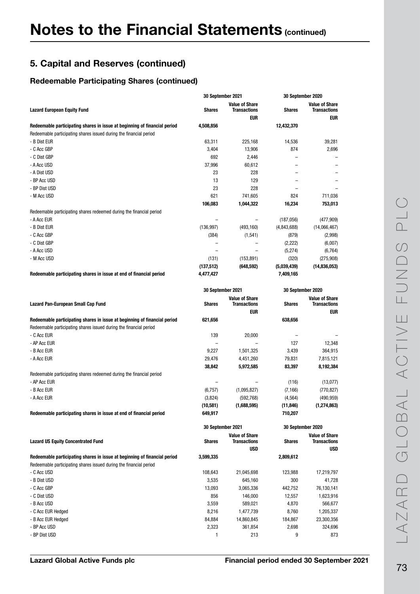|                                                                                                                                                 | <b>30 September 2021</b> |                                                     | 30 September 2020        |                                                            |
|-------------------------------------------------------------------------------------------------------------------------------------------------|--------------------------|-----------------------------------------------------|--------------------------|------------------------------------------------------------|
| <b>Lazard European Equity Fund</b>                                                                                                              | <b>Shares</b>            | <b>Value of Share</b><br><b>Transactions</b><br>eur | <b>Shares</b>            | <b>Value of Share</b><br><b>Transactions</b><br><b>EUR</b> |
| Redeemable participating shares in issue at beginning of financial period<br>Redeemable participating shares issued during the financial period | 4,508,856                |                                                     | 12,432,370               |                                                            |
| - B Dist EUR                                                                                                                                    | 63,311                   | 225,168                                             | 14,536                   | 39,281                                                     |
| - C Acc GBP                                                                                                                                     |                          |                                                     | 874                      |                                                            |
|                                                                                                                                                 | 3,404                    | 13,906                                              |                          | 2,696                                                      |
| - C Dist GBP                                                                                                                                    | 692                      | 2,446                                               |                          |                                                            |
| - A Acc USD                                                                                                                                     | 37,996                   | 60,612                                              |                          |                                                            |
| - A Dist USD                                                                                                                                    | 23                       | 228                                                 |                          |                                                            |
| - BP Acc USD                                                                                                                                    | 13                       | 129                                                 | $\overline{\phantom{0}}$ |                                                            |
| - BP Dist USD                                                                                                                                   | 23                       | 228                                                 |                          |                                                            |
| - M Acc USD                                                                                                                                     | 621                      | 741,605                                             | 824                      | 711,036                                                    |
|                                                                                                                                                 | 106,083                  | 1,044,322                                           | 16,234                   | 753,013                                                    |
| Redeemable participating shares redeemed during the financial period                                                                            |                          |                                                     |                          |                                                            |
| - A Acc EUR                                                                                                                                     |                          |                                                     | (187, 056)               | (477, 909)                                                 |
| - B Dist EUR                                                                                                                                    | (136, 997)               | (493, 160)                                          | (4,843,688)              | (14,066,467)                                               |
| - C Acc GBP                                                                                                                                     | (384)                    | (1,541)                                             | (879)                    | (2,998)                                                    |
| - C Dist GBP                                                                                                                                    |                          |                                                     | (2, 222)                 | (6,007)                                                    |
| - A Acc USD                                                                                                                                     | $\equiv$                 | $\equiv$                                            | (5,274)                  | (6, 764)                                                   |
| - M Acc USD                                                                                                                                     | (131)                    | (153, 891)                                          | (320)                    | (275,908)                                                  |
|                                                                                                                                                 | (137,512)                | (648, 592)                                          | (5,039,439)              | (14, 836, 053)                                             |
| Redeemable participating shares in issue at end of financial period                                                                             | 4,477,427                |                                                     | 7,409,165                |                                                            |
|                                                                                                                                                 |                          |                                                     |                          |                                                            |
|                                                                                                                                                 | 30 September 2021        |                                                     | 30 September 2020        |                                                            |
| Lazard Pan-European Small Cap Fund                                                                                                              | <b>Shares</b>            | <b>Value of Share</b><br><b>Transactions</b>        | <b>Shares</b>            | <b>Value of Share</b><br><b>Transactions</b>               |
|                                                                                                                                                 |                          | <b>EUR</b>                                          |                          | <b>EUR</b>                                                 |
| Redeemable participating shares in issue at beginning of financial period<br>Redeemable participating shares issued during the financial period | 621,656                  |                                                     | 638,656                  |                                                            |
| - C Acc EUR                                                                                                                                     | 139                      | 20,000                                              |                          |                                                            |
| - AP Acc EUR                                                                                                                                    |                          |                                                     | 127                      | 12,348                                                     |
| - B Acc EUR                                                                                                                                     | 9,227                    | 1,501,325                                           | 3,439                    | 364,915                                                    |
| - A Acc EUR                                                                                                                                     | 29,476                   | 4,451,260                                           | 79,831                   | 7,815,121                                                  |
|                                                                                                                                                 | 38,842                   | 5,972,585                                           | 83,397                   | 8,192,384                                                  |
| Redeemable participating shares redeemed during the financial period                                                                            |                          |                                                     |                          |                                                            |
| - AP Acc EUR                                                                                                                                    |                          |                                                     | (116)                    | (13, 077)                                                  |
| - B Acc EUR                                                                                                                                     | (6, 757)                 | (1,095,827)                                         | (7, 166)                 | (770, 827)                                                 |
| - A Acc EUR                                                                                                                                     | (3,824)                  | (592, 768)                                          | (4, 564)                 | (490, 959)                                                 |
|                                                                                                                                                 | (10, 581)                | (1,688,595)                                         | (11, 846)                | (1, 274, 863)                                              |
| Redeemable participating shares in issue at end of financial period                                                                             | 649,917                  |                                                     | 710,207                  |                                                            |
|                                                                                                                                                 |                          |                                                     |                          |                                                            |
|                                                                                                                                                 |                          | 30 September 2021                                   | 30 September 2020        |                                                            |
| <b>Lazard US Equity Concentrated Fund</b>                                                                                                       | <b>Shares</b>            | <b>Value of Share</b><br><b>Transactions</b>        | Shares                   | <b>Value of Share</b><br><b>Transactions</b>               |
| Redeemable participating shares in issue at beginning of financial period                                                                       | 3,599,335                | USD                                                 | 2,809,612                | USD                                                        |
| Redeemable participating shares issued during the financial period                                                                              |                          |                                                     |                          |                                                            |
| - C Acc USD                                                                                                                                     | 108,643                  | 21,045,698                                          | 123,988                  | 17,219,797                                                 |
| - B Dist USD                                                                                                                                    | 3,535                    | 645,160                                             | 300                      | 41,728                                                     |
| - C Acc GBP                                                                                                                                     | 13,093                   | 3,065,336                                           | 442,752                  | 76,130,141                                                 |
| - C Dist USD                                                                                                                                    | 856                      | 146,000                                             | 12,557                   | 1,623,916                                                  |
| - B Acc USD                                                                                                                                     | 3,559                    | 589,021                                             | 4,870                    |                                                            |
|                                                                                                                                                 |                          |                                                     |                          | 566,677                                                    |
| - C Acc EUR Hedged                                                                                                                              | 8,216                    | 1,477,739                                           | 8,760                    | 1,205,337                                                  |
| - B Acc EUR Hedged                                                                                                                              | 84,884                   | 14,860,845                                          | 184,867                  | 23,300,356                                                 |
| - BP Acc USD                                                                                                                                    | 2,323                    | 361,854                                             | 2,698                    | 324,696                                                    |
| - BP Dist USD                                                                                                                                   |                          | 213                                                 | 9                        | 873                                                        |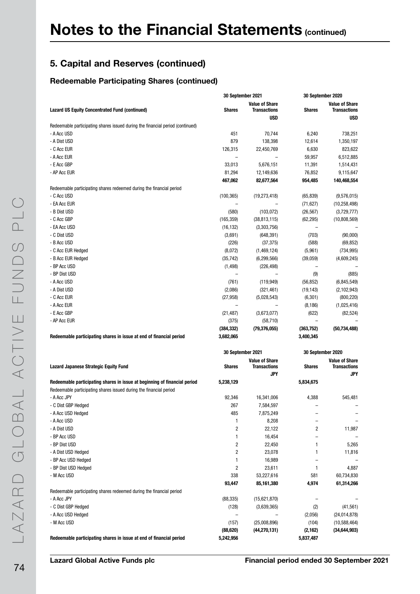|                                                                                | 30 September 2021       |                                              |                | 30 September 2020                            |
|--------------------------------------------------------------------------------|-------------------------|----------------------------------------------|----------------|----------------------------------------------|
| <b>Lazard US Equity Concentrated Fund (continued)</b>                          | <b>Shares</b>           | <b>Value of Share</b><br><b>Transactions</b> | <b>Shares</b>  | <b>Value of Share</b><br><b>Transactions</b> |
|                                                                                |                         | <b>USD</b>                                   |                | <b>USD</b>                                   |
| Redeemable participating shares issued during the financial period (continued) |                         |                                              |                |                                              |
| - A Acc USD                                                                    | 451                     | 70,744                                       | 6,240          | 738,251                                      |
| - A Dist USD                                                                   | 879                     | 138,398                                      | 12,614         | 1,350,197                                    |
| - C Acc EUR                                                                    | 126,315                 | 22,450,769                                   | 6,630          | 823,622                                      |
| - A Acc EUR                                                                    |                         |                                              | 59,957         | 6,512,885                                    |
| - E Acc GBP                                                                    | 33,013                  | 5,676,151                                    | 11,391         | 1,514,431                                    |
| - AP Acc EUR                                                                   | 81,294                  | 12,149,636                                   | 76,852         | 9,115,647                                    |
|                                                                                | 467,062                 | 82,677,564                                   | 954,485        | 140,468,554                                  |
| Redeemable participating shares redeemed during the financial period           |                         |                                              |                |                                              |
| - C Acc USD                                                                    | (100, 365)              | (19, 273, 418)                               | (65, 839)      | (9,576,015)                                  |
| - EA Acc EUR                                                                   |                         |                                              | (71, 627)      | (10, 258, 498)                               |
| - B Dist USD                                                                   | (580)                   | (103, 072)                                   | (26, 567)      | (3,729,777)                                  |
| - C Acc GBP                                                                    | (165, 359)              | (38, 813, 115)                               | (62, 295)      | (10,808,569)                                 |
| - EA Acc USD                                                                   | (16, 132)               | (3,303,756)                                  |                |                                              |
| - C Dist USD                                                                   | (3,691)                 | (648, 391)                                   | (703)          | (90,000)                                     |
| - B Acc USD                                                                    | (226)                   | (37, 375)                                    | (588)          | (69, 852)                                    |
| - C Acc EUR Hedged                                                             | (8,072)                 | (1,469,124)                                  | (5,961)        | (734, 995)                                   |
| - B Acc EUR Hedged                                                             | (35, 742)               | (6, 299, 566)                                | (39,059)       | (4,609,245)                                  |
| - BP Acc USD                                                                   | (1, 498)                | (226, 498)                                   | $\overline{a}$ |                                              |
| - BP Dist USD                                                                  | $\overline{a}$          | $\overline{\phantom{0}}$                     | (9)            | (885)                                        |
| - A Acc USD                                                                    | (761)                   | (119, 949)                                   | (56, 852)      | (6,845,549)                                  |
| - A Dist USD                                                                   | (2,086)                 | (321, 461)                                   | (19, 143)      | (2, 102, 943)                                |
| - C Acc EUR                                                                    | (27, 958)               | (5,028,543)                                  | (6, 301)       | (800, 220)                                   |
| - A Acc EUR                                                                    |                         |                                              | (8, 186)       | (1,025,416)                                  |
| - E Acc GBP                                                                    | (21, 487)               | (3,673,077)                                  | (622)          | (82, 524)                                    |
| - AP Acc EUR                                                                   | (375)                   | (58, 710)                                    |                |                                              |
|                                                                                | (384, 332)              | (79, 376, 055)                               | (363,752)      | (50, 734, 488)                               |
| Redeemable participating shares in issue at end of financial period            | 3,682,065               |                                              | 3,400,345      |                                              |
|                                                                                |                         |                                              |                |                                              |
|                                                                                |                         | 30 September 2021                            |                | 30 September 2020                            |
| <b>Lazard Japanese Strategic Equity Fund</b>                                   | <b>Shares</b>           | <b>Value of Share</b><br><b>Transactions</b> | <b>Shares</b>  | <b>Value of Share</b><br><b>Transactions</b> |
|                                                                                |                         | JPY                                          |                | JPY                                          |
| Redeemable participating shares in issue at beginning of financial period      | 5,238,129               |                                              | 5,834,675      |                                              |
| Redeemable participating shares issued during the financial period             |                         |                                              |                |                                              |
| - A Acc JPY                                                                    | 92,346                  | 16,341,006                                   | 4,388          | 545,481                                      |
| - C Dist GBP Hedged                                                            | 267                     | 7,584,597                                    |                |                                              |
| - A Acc USD Hedged                                                             | 485                     | 7,875,249                                    |                |                                              |
| - A Acc USD                                                                    | 1                       | 8,208                                        |                |                                              |
| - A Dist USD                                                                   | $\overline{c}$          | 22,122                                       | 2              | 11,987                                       |
| - BP Acc USD                                                                   | 1                       | 16,454                                       |                |                                              |
| - BP Dist USD                                                                  | $\overline{\mathbf{c}}$ | 22,450                                       | 1              | 5,265                                        |
| - A Dist USD Hedged                                                            | 2                       | 23,078                                       | 1              | 11,816                                       |
|                                                                                | 1                       |                                              |                |                                              |
| - BP Acc USD Hedged                                                            |                         | 16,989                                       |                |                                              |
| - BP Dist USD Hedged                                                           | 2                       | 23,611                                       | 1              | 4,887                                        |
| - M Acc USD                                                                    | 338                     | 53,227,616                                   | 581            | 60,734,830                                   |
|                                                                                | 93,447                  | 85,161,380                                   | 4,974          | 61,314,266                                   |
| Redeemable participating shares redeemed during the financial period           |                         |                                              |                |                                              |
| - A Acc JPY                                                                    | (88, 335)               | (15,621,870)                                 |                |                                              |
| - C Dist GBP Hedged                                                            | (128)                   | (3,639,365)                                  | (2)            | (41, 561)                                    |
| - A Acc USD Hedged                                                             | $\qquad \qquad -$       |                                              | (2,056)        | (24, 014, 878)                               |
| - M Acc USD                                                                    | (157)                   | (25,008,896)                                 | (104)          | (10, 588, 464)                               |
|                                                                                | (88, 620)               | (44, 270, 131)                               | (2, 162)       | (34, 644, 903)                               |
| Redeemable participating shares in issue at end of financial period            | 5,242,956               |                                              | 5,837,487      |                                              |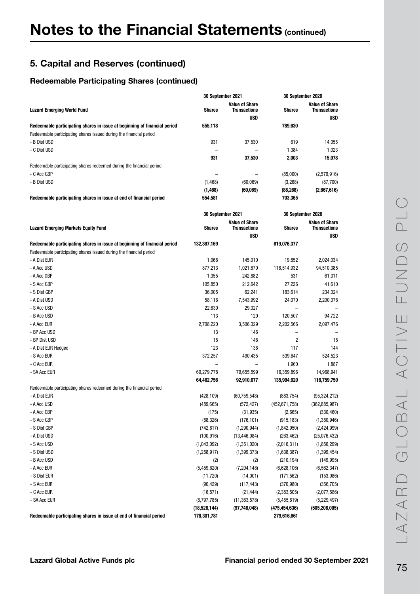|                                                                                                                                                 | 30 September 2021  |                                              | 30 September 2020          |                                              |
|-------------------------------------------------------------------------------------------------------------------------------------------------|--------------------|----------------------------------------------|----------------------------|----------------------------------------------|
| <b>Lazard Emerging World Fund</b>                                                                                                               | Shares             | <b>Value of Share</b><br><b>Transactions</b> | <b>Shares</b>              | <b>Value of Share</b><br><b>Transactions</b> |
| Redeemable participating shares in issue at beginning of financial period<br>Redeemable participating shares issued during the financial period | 555,118            | <b>USD</b>                                   | 789,630                    | <b>USD</b>                                   |
| - B Dist USD                                                                                                                                    | 931                | 37,530                                       | 619                        | 14,055                                       |
| - C Dist USD                                                                                                                                    |                    |                                              | 1,384                      | 1,023                                        |
|                                                                                                                                                 | 931                | 37,530                                       | 2,003                      | 15,078                                       |
| Redeemable participating shares redeemed during the financial period                                                                            |                    |                                              |                            |                                              |
| - C Acc GBP                                                                                                                                     |                    |                                              | (85,000)                   | (2,579,916)                                  |
| - B Dist USD                                                                                                                                    | (1, 468)           | (60,069)                                     | (3,268)                    | (87,700)                                     |
|                                                                                                                                                 | (1, 468)           | (60, 069)                                    | (88, 268)                  | (2,667,616)                                  |
| Redeemable participating shares in issue at end of financial period                                                                             | 554,581            |                                              | 703,365                    |                                              |
|                                                                                                                                                 | 30 September 2021  |                                              | 30 September 2020          |                                              |
| <b>Lazard Emerging Markets Equity Fund</b>                                                                                                      | Shares             | <b>Value of Share</b><br><b>Transactions</b> | <b>Shares</b>              | <b>Value of Share</b><br>Transactions        |
|                                                                                                                                                 |                    | <b>USD</b>                                   |                            | <b>USD</b>                                   |
| Redeemable participating shares in issue at beginning of financial period<br>Redeemable participating shares issued during the financial period | 132,367,169        |                                              | 619,076,377                |                                              |
| - A Dist EUR                                                                                                                                    | 1,068              | 145,010                                      | 19,852                     | 2,024,034                                    |
| - A Acc USD                                                                                                                                     | 877,213            | 1,021,670                                    | 116,514,932                | 94,510,385                                   |
| - A Acc GBP                                                                                                                                     | 1,355              | 242,882                                      | 531                        | 61,311                                       |
| - S Acc GBP                                                                                                                                     | 105,850            | 212,642                                      | 27,226                     | 41,610                                       |
| - S Dist GBP                                                                                                                                    | 36,005             | 62,241                                       | 183,614                    | 234,324                                      |
| - A Dist USD                                                                                                                                    | 58,116             | 7,543,992                                    | 24,070                     | 2,200,378                                    |
| - S Acc USD                                                                                                                                     | 22,630             | 29,327                                       |                            |                                              |
| - B Acc USD                                                                                                                                     | 113                | 120                                          | 120,507                    | 94,722                                       |
| - A Acc EUR                                                                                                                                     | 2,708,220          | 3,506,329                                    | 2,202,566                  | 2,097,476                                    |
| - BP Acc USD                                                                                                                                    | 13                 | 146                                          |                            |                                              |
| - BP Dist USD                                                                                                                                   | 15                 | 148                                          | 2                          | 15                                           |
| - A Dist EUR Hedged                                                                                                                             | 123                | 136                                          | 117                        | 144                                          |
| - S Acc EUR                                                                                                                                     | 372,257            | 490,435                                      | 539,647                    | 524,523                                      |
| - C Acc EUR                                                                                                                                     | -                  |                                              | 1,960                      | 1,887                                        |
| - SA Acc EUR                                                                                                                                    | 60,279,778         | 79,655,599                                   | 16,359,896                 | 14,968,941                                   |
|                                                                                                                                                 | 64,462,756         | 92,910,677                                   | 135,994,920                | 116,759,750                                  |
| Redeemable participating shares redeemed during the financial period                                                                            |                    |                                              |                            |                                              |
| - A Dist EUR                                                                                                                                    | (428, 109)         | (60, 759, 548)                               | (883, 754)                 | (95, 324, 212)                               |
| - A Acc USD                                                                                                                                     | (489, 665)         | (572, 427)                                   | (452, 671, 758)            | (362, 885, 987)                              |
| - A Acc GBP                                                                                                                                     | (175)              | (31, 935)                                    | (2,665)                    | (330, 460)                                   |
| - S Acc GBP                                                                                                                                     | (88, 326)          | (176, 101)                                   | (915, 183)                 | (1,380,946)                                  |
| - S Dist GBP                                                                                                                                    | (742, 817)         | (1, 290, 944)                                | (1,842,950)                | (2,424,999)<br>(25,076,432)                  |
| - A Dist USD<br>- S Acc USD                                                                                                                     | (100, 916)         | (13, 446, 084)                               | (263, 462)                 |                                              |
| - S Dist USD                                                                                                                                    | (1,043,092)        | (1, 351, 020)                                | (2,016,311)<br>(1,638,387) | (1,856,299)                                  |
| - B Acc USD                                                                                                                                     | (1,258,917)<br>(2) | (1,399,373)<br>(2)                           | (210, 194)                 | (1, 399, 454)<br>(149, 995)                  |
| - A Acc EUR                                                                                                                                     | (5,459,620)        | (7, 204, 148)                                | (6,628,106)                | (6, 562, 347)                                |
| - S Dist EUR                                                                                                                                    | (11, 720)          | (14,001)                                     | (171, 562)                 | (153,086)                                    |
| - S Acc EUR                                                                                                                                     | (90, 429)          | (117, 443)                                   | (370, 980)                 | (356, 705)                                   |
| - C Acc EUR                                                                                                                                     | (16, 571)          | (21, 444)                                    | (2,383,505)                | (2,077,586)                                  |
| - SA Acc EUR                                                                                                                                    | (8,797,785)        | (11, 363, 578)                               | (5,455,819)                | (5,229,497)                                  |
|                                                                                                                                                 | (18,528,144)       | (97,748,048)                                 | (475, 454, 636)            | (505, 208, 005)                              |
| Redeemable participating shares in issue at end of financial period                                                                             | 178,301,781        |                                              | 279,616,661                |                                              |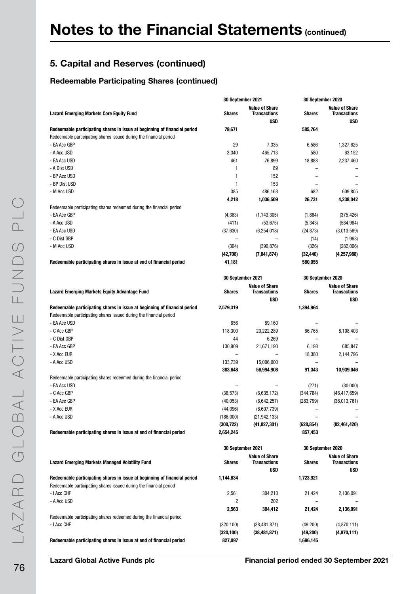|                                                                                                                                                 |                          | 30 September 2021                            |                          | 30 September 2020                            |
|-------------------------------------------------------------------------------------------------------------------------------------------------|--------------------------|----------------------------------------------|--------------------------|----------------------------------------------|
| <b>Lazard Emerging Markets Core Equity Fund</b>                                                                                                 | <b>Shares</b>            | <b>Value of Share</b><br><b>Transactions</b> | <b>Shares</b>            | <b>Value of Share</b><br><b>Transactions</b> |
|                                                                                                                                                 |                          | <b>USD</b>                                   |                          | <b>USD</b>                                   |
| Redeemable participating shares in issue at beginning of financial period                                                                       | 79,671                   |                                              | 585,764                  |                                              |
| Redeemable participating shares issued during the financial period<br>- EA Acc GBP                                                              | 29                       | 7,335                                        |                          |                                              |
|                                                                                                                                                 |                          |                                              | 6,586                    | 1,327,625                                    |
| - A Acc USD<br>- EA Acc USD                                                                                                                     | 3,340<br>461             | 465,713                                      | 580                      | 63,152                                       |
| - A Dist USD                                                                                                                                    | 1                        | 76,899<br>89                                 | 18,883                   | 2,237,460                                    |
| - BP Acc USD                                                                                                                                    | 1                        | 152                                          | -                        |                                              |
| - BP Dist USD                                                                                                                                   | $\mathbf{1}$             | 153                                          |                          |                                              |
| - M Acc USD                                                                                                                                     | 385                      | 486,168                                      | 682                      | 609,805                                      |
|                                                                                                                                                 | 4,218                    | 1,036,509                                    | 26,731                   | 4,238,042                                    |
| Redeemable participating shares redeemed during the financial period                                                                            |                          |                                              |                          |                                              |
| - EA Acc GBP                                                                                                                                    | (4, 363)                 | (1, 143, 305)                                | (1,884)                  | (375, 426)                                   |
| - A Acc USD                                                                                                                                     | (411)                    |                                              |                          |                                              |
|                                                                                                                                                 |                          | (53, 675)                                    | (5, 343)                 | (584, 964)                                   |
| - EA Acc USD                                                                                                                                    | (37, 630)                | (6, 254, 018)                                | (24, 873)                | (3,013,569)                                  |
| - C Dist GBP                                                                                                                                    |                          |                                              | (14)                     | (1, 963)                                     |
| - M Acc USD                                                                                                                                     | (304)                    | (390, 876)                                   | (326)                    | (282,066)                                    |
|                                                                                                                                                 | (42, 708)                | (7, 841, 874)                                | (32, 440)                | (4,257,988)                                  |
| Redeemable participating shares in issue at end of financial period                                                                             | 41,181                   |                                              | 580,055                  |                                              |
|                                                                                                                                                 |                          | 30 September 2021                            |                          | 30 September 2020                            |
|                                                                                                                                                 |                          | <b>Value of Share</b>                        |                          | <b>Value of Share</b>                        |
| <b>Lazard Emerging Markets Equity Advantage Fund</b>                                                                                            | <b>Shares</b>            | <b>Transactions</b>                          | <b>Shares</b>            | <b>Transactions</b>                          |
|                                                                                                                                                 |                          | USD                                          |                          | USD                                          |
| Redeemable participating shares in issue at beginning of financial period<br>Redeemable participating shares issued during the financial period | 2,579,319                |                                              | 1,394,964                |                                              |
| - EA Acc USD                                                                                                                                    | 656                      | 89,160                                       |                          |                                              |
| - C Acc GBP                                                                                                                                     | 118,300                  | 20,222,289                                   | 66,765                   | 8,108,403                                    |
| - C Dist GBP                                                                                                                                    | 44                       | 6,269                                        |                          |                                              |
| - EA Acc GBP                                                                                                                                    | 130,909                  | 21,671,190                                   | 6,198                    | 685,847                                      |
| - X Acc EUR                                                                                                                                     | $\overline{a}$           |                                              | 18,380                   | 2,144,796                                    |
| - A Acc USD                                                                                                                                     | 133,739                  | 15,006,000                                   | $\overline{\phantom{0}}$ |                                              |
|                                                                                                                                                 | 383,648                  | 56,994,908                                   | 91,343                   | 10,939,046                                   |
| Redeemable participating shares redeemed during the financial period                                                                            |                          |                                              |                          |                                              |
| - EA Acc USD                                                                                                                                    | $\overline{\phantom{0}}$ |                                              | (271)                    | (30,000)                                     |
| - C Acc GBP                                                                                                                                     | (38, 573)                | (6,635,172)                                  | (344, 784)               | (46, 417, 659)                               |
| - EA Acc GBP                                                                                                                                    | (40, 053)                | (6,642,257)                                  | (283, 799)               | (36,013,761)                                 |
| - X Acc EUR                                                                                                                                     | (44,096)                 | (6,607,739)                                  | $\overline{\phantom{0}}$ |                                              |
| - A Acc USD                                                                                                                                     | (186,000)                | (21, 942, 133)                               | $\overline{\phantom{0}}$ |                                              |
|                                                                                                                                                 | (308, 722)               | (41, 827, 301)                               | (628, 854)               | (82, 461, 420)                               |
| Redeemable participating shares in issue at end of financial period                                                                             | 2,654,245                |                                              | 857,453                  |                                              |
|                                                                                                                                                 |                          |                                              |                          |                                              |
|                                                                                                                                                 |                          | 30 September 2021                            |                          | 30 September 2020                            |
| <b>Lazard Emerging Markets Managed Volatility Fund</b>                                                                                          | Shares                   | <b>Value of Share</b><br><b>Transactions</b> | <b>Shares</b>            | <b>Value of Share</b><br>Transactions        |
|                                                                                                                                                 |                          | <b>USD</b>                                   |                          | USD                                          |
| Redeemable participating shares in issue at beginning of financial period                                                                       | 1,144,634                |                                              | 1,723,921                |                                              |
| Redeemable participating shares issued during the financial period                                                                              |                          |                                              |                          |                                              |
| - I Acc CHF                                                                                                                                     | 2,561                    | 304,210                                      | 21,424                   | 2,136,091                                    |
| - A Acc USD                                                                                                                                     | 2                        | 202                                          |                          |                                              |
|                                                                                                                                                 |                          | 304,412                                      |                          | 2,136,091                                    |
|                                                                                                                                                 | 2,563                    |                                              | 21,424                   |                                              |
| Redeemable participating shares redeemed during the financial period<br>- I Acc CHF                                                             |                          |                                              |                          |                                              |
|                                                                                                                                                 | (320, 100)               | (38, 481, 871)                               | (49,200)                 | (4,870,111)                                  |
|                                                                                                                                                 | (320, 100)               | (38, 481, 871)                               | (49,200)                 | (4,870,111)                                  |
| Redeemable participating shares in issue at end of financial period                                                                             | 827,097                  |                                              | 1,696,145                |                                              |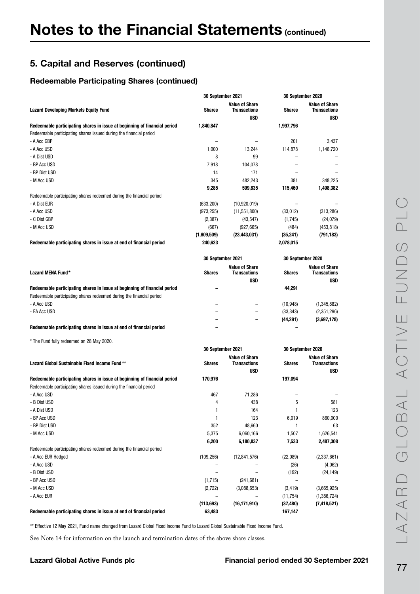#### Redeemable Participating Shares (continued)

|                                                                                                                                                   | 30 September 2021    |                                                            | 30 September 2020    |                                                            |
|---------------------------------------------------------------------------------------------------------------------------------------------------|----------------------|------------------------------------------------------------|----------------------|------------------------------------------------------------|
| <b>Lazard Developing Markets Equity Fund</b>                                                                                                      | <b>Shares</b>        | <b>Value of Share</b><br><b>Transactions</b><br><b>USD</b> | <b>Shares</b>        | <b>Value of Share</b><br><b>Transactions</b><br><b>USD</b> |
| Redeemable participating shares in issue at beginning of financial period                                                                         | 1,840,847            |                                                            | 1,997,796            |                                                            |
| Redeemable participating shares issued during the financial period                                                                                |                      |                                                            |                      |                                                            |
| - A Acc GBP                                                                                                                                       | -                    |                                                            | 201                  | 3,437                                                      |
| - A Acc USD                                                                                                                                       | 1,000                | 13,244                                                     | 114,878              | 1,146,720                                                  |
| - A Dist USD                                                                                                                                      | 8                    | 99                                                         |                      |                                                            |
| - BP Acc USD                                                                                                                                      | 7,918                | 104,078                                                    |                      |                                                            |
| - BP Dist USD                                                                                                                                     | 14                   | 171                                                        |                      |                                                            |
| - M Acc USD                                                                                                                                       | 345                  | 482,243                                                    | 381                  | 348,225                                                    |
|                                                                                                                                                   | 9,285                | 599,835                                                    | 115,460              | 1,498,382                                                  |
| Redeemable participating shares redeemed during the financial period                                                                              |                      |                                                            |                      |                                                            |
| - A Dist EUR                                                                                                                                      | (633, 200)           | (10,920,019)                                               |                      |                                                            |
| - A Acc USD                                                                                                                                       | (973, 255)           | (11, 551, 800)                                             | (33,012)             | (313, 286)                                                 |
| - C Dist GBP                                                                                                                                      | (2, 387)             | (43, 547)                                                  | (1,745)              | (24, 079)                                                  |
| - M Acc USD                                                                                                                                       | (667)                | (927, 665)                                                 | (484)                | (453, 818)                                                 |
|                                                                                                                                                   | (1,609,509)          | (23, 443, 031)                                             | (35, 241)            | (791,183)                                                  |
| Redeemable participating shares in issue at end of financial period                                                                               | 240,623              |                                                            | 2,078,015            |                                                            |
|                                                                                                                                                   |                      |                                                            |                      |                                                            |
|                                                                                                                                                   | 30 September 2021    |                                                            | 30 September 2020    |                                                            |
| Lazard MENA Fund*                                                                                                                                 | <b>Shares</b>        | <b>Value of Share</b><br><b>Transactions</b>               | <b>Shares</b>        | <b>Value of Share</b><br><b>Transactions</b>               |
|                                                                                                                                                   |                      | <b>USD</b>                                                 |                      | <b>USD</b>                                                 |
| Redeemable participating shares in issue at beginning of financial period<br>Redeemable participating shares redeemed during the financial period |                      |                                                            | 44,291               |                                                            |
| - A Acc USD                                                                                                                                       |                      |                                                            | (10, 948)            | (1, 345, 882)                                              |
| - EA Acc USD                                                                                                                                      |                      |                                                            | (33, 343)            | (2,351,296)                                                |
|                                                                                                                                                   | ۰                    |                                                            | (44, 291)            | (3,697,178)                                                |
| Redeemable participating shares in issue at end of financial period                                                                               |                      |                                                            |                      |                                                            |
| * The Fund fully redeemed on 28 May 2020.                                                                                                         |                      |                                                            |                      |                                                            |
|                                                                                                                                                   | 30 September 2021    |                                                            | 30 September 2020    |                                                            |
| Lazard Global Sustainable Fixed Income Fund**                                                                                                     | <b>Shares</b>        | <b>Value of Share</b><br><b>Transactions</b>               | <b>Shares</b>        | <b>Value of Share</b><br><b>Transactions</b>               |
|                                                                                                                                                   |                      | <b>USD</b>                                                 |                      | USD                                                        |
| Redeemable participating shares in issue at beginning of financial period<br>Redeemable participating shares issued during the financial period   | 170,976              |                                                            | 197,094              |                                                            |
| - A Acc USD                                                                                                                                       | 467                  | 71,286                                                     |                      |                                                            |
| - B Dist USD                                                                                                                                      | 4                    | 438                                                        | 5                    | 581                                                        |
| - A Dist USD                                                                                                                                      |                      | 164                                                        |                      | 123                                                        |
| - BP Acc USD                                                                                                                                      | 1                    | 123                                                        | 6,019                | 860,000                                                    |
| - BP Dist USD                                                                                                                                     | 352                  | 48,660                                                     | 1                    | 63                                                         |
| - M Acc USD                                                                                                                                       | 5,375                | 6,060,166                                                  | 1,507                | 1,626,541                                                  |
|                                                                                                                                                   | 6,200                | 6,180,837                                                  | 7,533                | 2,487,308                                                  |
| Redeemable participating shares redeemed during the financial period                                                                              |                      |                                                            |                      |                                                            |
| - A Acc EUR Hedged                                                                                                                                | (109, 256)           | (12, 841, 576)                                             | (22,089)             | (2, 337, 661)                                              |
| - A Acc USD                                                                                                                                       |                      |                                                            | (26)                 | (4,062)                                                    |
| - B Dist USD                                                                                                                                      |                      |                                                            | (192)                | (24, 149)                                                  |
| - BP Acc USD                                                                                                                                      | (1,715)              | (241, 681)                                                 |                      |                                                            |
| - M Acc USD                                                                                                                                       | (2, 722)             | (3,088,653)                                                | (3, 419)             | (3,665,925)                                                |
| - A Acc EUR                                                                                                                                       |                      |                                                            | (11, 754)            | (1,386,724)                                                |
| Redeemable participating shares in issue at end of financial period                                                                               | (113, 693)<br>63,483 | (16, 171, 910)                                             | (37, 480)<br>167,147 | (7, 418, 521)                                              |

\*\* Effective 12 May 2021, Fund name changed from Lazard Global Fixed Income Fund to Lazard Global Sustainable Fixed Income Fund.

See Note 14 for information on the launch and termination dates of the above share classes.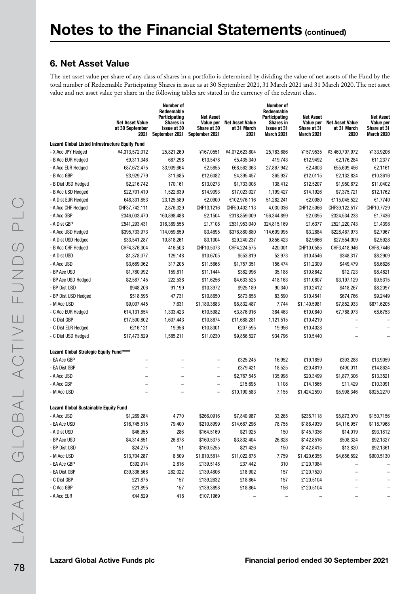### 6. Net Asset Value

The net asset value per share of any class of shares in a portfolio is determined by dividing the value of net assets of the Fund by the total number of Redeemable Participating Shares in issue as at 30 September 2021, 31 March 2021 and 31 March 2020. The net asset value and net asset value per share in the following tables are stated in the currency of the relevant class.

|                                                        | <b>Net Asset Value</b><br>at 30 September<br>2021 | Number of<br>Redeemable<br><b>Participating</b><br><b>Shares in</b><br>issue at 30<br>September 2021 | <b>Net Asset</b><br>Value per<br>Share at 30<br>September 2021 | <b>Net Asset Value</b><br>at 31 March<br>2021 | Number of<br>Redeemable<br><b>Participating</b><br><b>Shares in</b><br>issue at 31<br>March 2021 | <b>Net Asset</b><br>Value per<br>Share at 31<br>March 2021 | <b>Net Asset Value</b><br>at 31 March<br>2020 | <b>Net Asset</b><br>Value per<br>Share at 31<br><b>March 2020</b> |
|--------------------------------------------------------|---------------------------------------------------|------------------------------------------------------------------------------------------------------|----------------------------------------------------------------|-----------------------------------------------|--------------------------------------------------------------------------------------------------|------------------------------------------------------------|-----------------------------------------------|-------------------------------------------------------------------|
| <b>Lazard Global Listed Infrastructure Equity Fund</b> |                                                   |                                                                                                      |                                                                |                                               |                                                                                                  |                                                            |                                               |                                                                   |
| - X Acc JPY Hedged                                     | ¥4,313,572,012                                    | 25,821,260                                                                                           | ¥167.0551                                                      | ¥4,072,623,804                                | 25,783,686                                                                                       | ¥157.9535                                                  | ¥3,460,707,972                                | ¥133.9206                                                         |
| - B Acc EUR Hedged                                     | €9,311,346                                        | 687,298                                                                                              | €13.5478                                                       | €5,435,340                                    | 419,743                                                                                          | €12.9492                                                   | €2,176,284                                    | €11.2377                                                          |
| - A Acc EUR Hedged                                     | €87,672,475                                       | 33,909,664                                                                                           | €2.5855                                                        | €68,562,363                                   | 27,867,942                                                                                       | €2.4603                                                    | €55,609,456                                   | €2.1161                                                           |
| - B Acc GBP                                            | £3,929,779                                        | 311,685                                                                                              | £12.6082                                                       | £4,395,457                                    | 365,937                                                                                          | £12.0115                                                   | £2,132,824                                    | £10.3616                                                          |
| - B Dist USD Hedged                                    | \$2,216,742                                       | 170,161                                                                                              | \$13.0273                                                      | \$1,733,008                                   | 138,412                                                                                          | \$12.5207                                                  | \$1,950,672                                   | \$11.0402                                                         |
| - B Acc USD Hedged                                     | \$22,701,410                                      | 1,522,639                                                                                            | \$14.9093                                                      | \$17,023,027                                  | 1,199,427                                                                                        | \$14.1926                                                  | \$7,375,721                                   | \$12.1762                                                         |
| - A Dist EUR Hedged                                    | €48,331,853                                       | 23,125,589                                                                                           | €2.0900                                                        | €102,976,116                                  | 51,282,241                                                                                       | €2.0080                                                    | €115,045,522                                  | €1.7740                                                           |
| - A Acc CHF Hedged                                     | CHF37,742,111                                     | 2,876,329                                                                                            | CHF13.1216                                                     | CHF50,402,113                                 | 4,030,036                                                                                        | CHF12.5066                                                 | CHF39,122,517                                 | CHF10.7729                                                        |
| - A Acc GBP                                            | £346,003,470                                      | 160,898,488                                                                                          | £2.1504                                                        | £318,859,009                                  | 156,344,899                                                                                      | £2.0395                                                    | £324,534,233                                  | £1.7436                                                           |
| - A Dist GBP                                           | £541,293,431                                      | 316,389,555                                                                                          | £1.7108                                                        | £531,953,040                                  | 324,815,169                                                                                      | £1.6377                                                    | £521,220,743                                  | £1.4398                                                           |
| - A Acc USD Hedged                                     | \$395,733,973                                     | 114,059,859                                                                                          | \$3.4695                                                       | \$376,880,880                                 | 114,609,995                                                                                      | \$3.2884                                                   | \$228,467,973                                 | \$2.7967                                                          |
| - A Dist USD Hedged                                    | \$33,541,287                                      | 10,818,261                                                                                           | \$3.1004                                                       | \$29,240,237                                  | 9,856,423                                                                                        | \$2.9666                                                   | \$27,554,009                                  | \$2.5928                                                          |
| - B Acc CHF Hedged                                     | CHF4,376,304                                      | 416,503                                                                                              | CHF10.5073                                                     | CHF4,224,575                                  | 420,001                                                                                          | CHF10.0585                                                 | CHF3,418,946                                  | CHF8.7446                                                         |
| - A Dist USD                                           | \$1,378,077                                       | 129,148                                                                                              | \$10.6705                                                      | \$553,819                                     | 52,973                                                                                           | \$10.4546                                                  | \$348,317                                     | \$8.2909                                                          |
| - A Acc USD                                            | \$3,669,062                                       | 317,205                                                                                              | \$11.5668                                                      | \$1,757,351                                   | 156,474                                                                                          | \$11.2309                                                  | \$449,479                                     | \$8.6626                                                          |
| - BP Acc USD                                           | \$1,780,992                                       | 159,811                                                                                              | \$11.1444                                                      | \$382,996                                     | 35,188                                                                                           | \$10.8842                                                  | \$12,723                                      | \$8.4821                                                          |
| - BP Acc USD Hedged                                    | \$2,587,145                                       | 222,538                                                                                              | \$11.6256                                                      | \$4,633,525                                   | 418,163                                                                                          | \$11.0807                                                  | \$3,197,129                                   | \$9.5315                                                          |
| - BP Dist USD                                          | \$948,206                                         | 91,199                                                                                               | \$10.3972                                                      | \$925,189                                     | 90,340                                                                                           | \$10.2412                                                  | \$418,267                                     | \$8.2097                                                          |
| - BP Dist USD Hedged                                   | \$518,595                                         | 47,731                                                                                               | \$10.8650                                                      | \$873,858                                     | 83,590                                                                                           | \$10.4541                                                  | \$674,766                                     | \$9.2449                                                          |
| - M Acc USD                                            | \$9,007,445                                       | 7,631                                                                                                | \$1,180.3883                                                   | \$8,832,487                                   | 7,744                                                                                            | \$1,140.5981                                               | \$7,852,933                                   | \$871.6205                                                        |
| - C Acc EUR Hedged                                     | €14,131,854                                       | 1,333,423                                                                                            | €10.5982                                                       | €3,876,916                                    | 384,463                                                                                          | €10.0840                                                   | €7,788,973                                    | €8.6753                                                           |
| - C Dist GBP                                           | £17,500,802                                       | 1,607,443                                                                                            | £10.8874                                                       | £11,688,281                                   | 1,121,515                                                                                        | £10.4219                                                   |                                               |                                                                   |
| - C Dist EUR Hedged                                    | €216,121                                          | 19,956                                                                                               | €10.8301                                                       | €207,595                                      | 19,956                                                                                           | €10.4028                                                   | $\overline{\phantom{0}}$                      |                                                                   |
| - C Dist USD Hedged                                    | \$17,473,829                                      | 1,585,211                                                                                            | \$11.0230                                                      | \$9,856,527                                   | 934,796                                                                                          | \$10.5440                                                  |                                               |                                                                   |
| Lazard Global Strategic Equity Fund****                |                                                   |                                                                                                      |                                                                |                                               |                                                                                                  |                                                            |                                               |                                                                   |
| - EA Acc GBP                                           | $\overline{\phantom{0}}$                          | $\overline{\phantom{0}}$                                                                             | -                                                              | £325,245                                      | 16,952                                                                                           | £19.1859                                                   | £393,288                                      | £13.9059                                                          |
| - EA Dist GBP                                          |                                                   |                                                                                                      | $\qquad \qquad -$                                              | £379,421                                      | 18,525                                                                                           | £20.4819                                                   | £490,011                                      | £14.8624                                                          |
| - A Acc USD                                            |                                                   | -                                                                                                    | -                                                              | \$2,767,545                                   | 135,998                                                                                          | \$20.3499                                                  | \$1,877,306                                   | \$13.3521                                                         |
| - A Acc GBP                                            |                                                   | $\overline{\phantom{0}}$                                                                             | $\overline{\phantom{0}}$                                       | £15,695                                       | 1,108                                                                                            | £14.1565                                                   | £11,429                                       | £10.3091                                                          |
| - M Acc USD                                            |                                                   |                                                                                                      | $\overline{\phantom{0}}$                                       | \$10,190,583                                  | 7,155                                                                                            | \$1,424.2590                                               | \$5,998,346                                   | \$925.2270                                                        |
| <b>Lazard Global Sustainable Equity Fund</b>           |                                                   |                                                                                                      |                                                                |                                               |                                                                                                  |                                                            |                                               |                                                                   |
| - A Acc USD                                            | \$1,269,284                                       | 4,770                                                                                                | \$266.0916                                                     | \$7,840,987                                   | 33,265                                                                                           | \$235.7118                                                 | \$5,873,070                                   | \$150.7156                                                        |
| - EA Acc USD                                           | \$16,745,515                                      | 79,400                                                                                               | \$210.8999                                                     | \$14,687,296                                  | 78,755                                                                                           | \$186.4939                                                 | \$4,116,957                                   | \$118.7968                                                        |
| - A Dist USD                                           | \$46,955                                          | 286                                                                                                  | \$164.5169                                                     | \$21,925                                      | 150                                                                                              | \$145.7336                                                 | \$14,019                                      | \$93.1812                                                         |
| - BP Acc USD                                           | \$4,314,851                                       | 26,878                                                                                               | \$160.5375                                                     | \$3,832,404                                   | 26,828                                                                                           | \$142.8516                                                 | \$508,324                                     | \$92.1327                                                         |
| - BP Dist USD                                          | \$24,275                                          | 151                                                                                                  | \$160.5255                                                     | \$21,426                                      | 150                                                                                              | \$142.8415                                                 | \$13,820                                      | \$92.1361                                                         |
| - M Acc USD                                            | \$13,704,287                                      | 8,509                                                                                                | \$1,610.5814                                                   | \$11,022,878                                  | 7,759                                                                                            | \$1,420.6355                                               | \$4,656,892                                   | \$900.5130                                                        |
| - EA Acc GBP                                           | £392,914                                          | 2,816                                                                                                | £139.5148                                                      | £37,442                                       | 310                                                                                              | £120.7084                                                  |                                               |                                                                   |
| - EA Dist GBP                                          | £39,336,568                                       | 282,022                                                                                              | £139.4806                                                      | £18,902                                       | 157                                                                                              | £120.7520                                                  | $\overline{\phantom{0}}$                      |                                                                   |
| - C Dist GBP                                           | £21,875                                           | 157                                                                                                  | £139.2632                                                      | £18,864                                       | 157                                                                                              | £120.5104                                                  |                                               |                                                                   |
| - C Acc GBP                                            | £21,895                                           | 157                                                                                                  | £139.3898                                                      | £18,864                                       | 156                                                                                              | £120.5104                                                  |                                               |                                                                   |
| - A Acc EUR                                            | €44,829                                           | 418                                                                                                  | €107.1969                                                      |                                               |                                                                                                  |                                                            |                                               |                                                                   |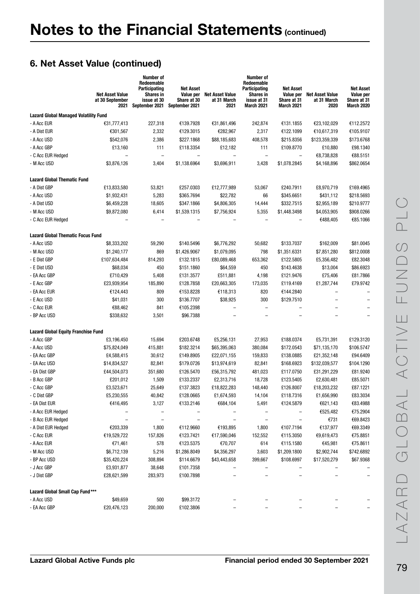|                                              | <b>Net Asset Value</b><br>at 30 September<br>2021 | Number of<br>Redeemable<br><b>Participating</b><br><b>Shares in</b><br>issue at 30<br>September 2021 | <b>Net Asset</b><br>Value per<br>Share at 30<br>September 2021 | <b>Net Asset Value</b><br>at 31 March<br>2021 | Number of<br>Redeemable<br>Participating<br><b>Shares in</b><br>issue at 31<br>March 2021 | <b>Net Asset</b><br>Value per<br>Share at 31<br>March 2021 | <b>Net Asset Value</b><br>at 31 March<br>2020 | <b>Net Asset</b><br>Value per<br>Share at 31<br>March 2020 |
|----------------------------------------------|---------------------------------------------------|------------------------------------------------------------------------------------------------------|----------------------------------------------------------------|-----------------------------------------------|-------------------------------------------------------------------------------------------|------------------------------------------------------------|-----------------------------------------------|------------------------------------------------------------|
| <b>Lazard Global Managed Volatility Fund</b> |                                                   |                                                                                                      |                                                                |                                               |                                                                                           |                                                            |                                               |                                                            |
| - A Acc EUR                                  | €31,777,413                                       | 227,318                                                                                              | €139.7928                                                      | €31,861,496                                   | 242,874                                                                                   | €131.1855                                                  | €23,102,029                                   | €112.2572                                                  |
| - A Dist EUR                                 | €301,567                                          | 2,332                                                                                                | €129.3015                                                      | €282,967                                      | 2,317                                                                                     | €122.1099                                                  | €10,617,319                                   | €105.9107                                                  |
| - A Acc USD                                  | \$542,076                                         | 2,386                                                                                                | \$227.1868                                                     | \$88,185,683                                  | 408,578                                                                                   | \$215.8356                                                 | \$123,359,339                                 | \$173.6768                                                 |
| - A Acc GBP                                  | £13,160                                           | 111                                                                                                  | £118.3354                                                      | £12,182                                       | 111                                                                                       | £109.8770                                                  | £10,880                                       | £98.1340                                                   |
| - C Acc EUR Hedged                           |                                                   | $\qquad \qquad -$                                                                                    |                                                                | $\overline{\phantom{0}}$                      | $\overline{\phantom{0}}$                                                                  | $\overline{\phantom{0}}$                                   | €8,738,828                                    | €88.5151                                                   |
| - M Acc USD                                  | \$3,876,126                                       | 3,404                                                                                                | \$1,138.6964                                                   | \$3,696,911                                   | 3,428                                                                                     | \$1,078.2845                                               | \$4,168,896                                   | \$862.0654                                                 |
| <b>Lazard Global Thematic Fund</b>           |                                                   |                                                                                                      |                                                                |                                               |                                                                                           |                                                            |                                               |                                                            |
| - A Dist GBP                                 | £13,833,580                                       | 53,821                                                                                               | £257.0303                                                      | £12,777,989                                   | 53,067                                                                                    | £240.7911                                                  | £8,970,719                                    | £169.4965                                                  |
| - A Acc USD                                  | \$1,932,431                                       | 5,283                                                                                                | \$365.7694                                                     | \$22,782                                      | 66                                                                                        | \$345.6651                                                 | \$431,112                                     | \$218.5693                                                 |
| - A Dist USD                                 | \$6,459,228                                       | 18,605                                                                                               | \$347.1866                                                     | \$4,806,305                                   | 14,444                                                                                    | \$332.7515                                                 | \$2,955,189                                   | \$210.9777                                                 |
| - M Acc USD                                  | \$9,872,080                                       | 6,414                                                                                                | \$1,539.1315                                                   | \$7,756,924                                   | 5,355                                                                                     | \$1,448.3498                                               | \$4,053,905                                   | \$908.0266                                                 |
| - C Acc EUR Hedged                           |                                                   |                                                                                                      |                                                                |                                               |                                                                                           |                                                            | €488,405                                      | €85.1066                                                   |
| <b>Lazard Global Thematic Focus Fund</b>     |                                                   |                                                                                                      |                                                                |                                               |                                                                                           |                                                            |                                               |                                                            |
| - A Acc USD                                  | \$8,333,202                                       | 59,290                                                                                               | \$140.5496                                                     | \$6,776,292                                   | 50,682                                                                                    | \$133.7037                                                 | \$162,009                                     | \$81.0045                                                  |
| - M Acc USD                                  | \$1,240,177                                       | 869                                                                                                  | \$1,426.9067                                                   | \$1,079,095                                   | 798                                                                                       | \$1,351.6331                                               | \$7,851,280                                   | \$812.0008                                                 |
| - E Dist GBP                                 | £107,634,484                                      | 814,293                                                                                              | £132.1815                                                      | £80,089,468                                   | 653,362                                                                                   | £122.5805                                                  | £5,356,482                                    | £82.3048                                                   |
| - E Dist USD                                 | \$68,034                                          | 450                                                                                                  | \$151.1860                                                     | \$64,559                                      | 450                                                                                       | \$143.4638                                                 | \$13,004                                      | \$86.6923                                                  |
| - EA Acc GBP                                 | £710,429                                          | 5,408                                                                                                | £131.3577                                                      | £511,881                                      | 4,198                                                                                     | £121.9476                                                  | £75,406                                       | £81.7866                                                   |
| - E Acc GBP                                  | £23,939,954                                       | 185,890                                                                                              | £128.7858                                                      | £20,663,305                                   | 173,035                                                                                   | £119.4169                                                  | £1,287,744                                    | £79.9742                                                   |
| - EA Acc EUR                                 | €124,443                                          | 809                                                                                                  | €153.8228                                                      | €118,313                                      | 820                                                                                       | €144.2840                                                  |                                               |                                                            |
| - E Acc USD                                  | \$41,031                                          | 300                                                                                                  | \$136.7707                                                     | \$38,925                                      | 300                                                                                       | \$129.7510                                                 | $\overline{\phantom{0}}$                      |                                                            |
| - C Acc EUR                                  | €88,462                                           | 841                                                                                                  | €105.2398                                                      |                                               | $\overline{a}$                                                                            |                                                            |                                               |                                                            |
| - BP Acc USD                                 | \$338,632                                         | 3,501                                                                                                | \$96.7388                                                      |                                               |                                                                                           |                                                            |                                               |                                                            |
| <b>Lazard Global Equity Franchise Fund</b>   |                                                   |                                                                                                      |                                                                |                                               |                                                                                           |                                                            |                                               |                                                            |
| - A Acc GBP                                  | £3,196,450                                        | 15,694                                                                                               | £203.6748                                                      | £5,256,131                                    | 27,953                                                                                    | £188.0374                                                  | £5,731,391                                    | £129.3120                                                  |
| - A Acc USD                                  | \$75,824,049                                      | 415,881                                                                                              | \$182.3214                                                     | \$65,395,063                                  | 380,084                                                                                   | \$172.0543                                                 | \$71,135,170                                  | \$106.5747                                                 |
| - EA Acc GBP                                 | £4,588,415                                        | 30,612                                                                                               | £149.8905                                                      | £22,071,155                                   | 159,833                                                                                   | £138.0885                                                  | £21,352,148                                   | £94.6409                                                   |
| - EA Acc USD                                 | \$14,834,527                                      | 82,841                                                                                               | \$179.0726                                                     | \$13,974,619                                  | 82,841                                                                                    | \$168.6923                                                 | \$132,039,577                                 | \$104.1290                                                 |
| - EA Dist GBP                                | £44,504,073                                       | 351,680                                                                                              | £126.5470                                                      | £56,315,792                                   | 481,023                                                                                   | £117.0750                                                  | £31,291,229                                   | £81.9240                                                   |
| - B Acc GBP                                  | £201,012                                          | 1,509                                                                                                | £133.2337                                                      | £2,313,716                                    | 18,728                                                                                    | £123.5405                                                  | £2,630,481                                    | £85.5071                                                   |
| - C Acc GBP                                  | £3,523,671                                        | 25,649                                                                                               | £137.3823                                                      | £18,822,283                                   | 148,440                                                                                   | £126.8007                                                  | £18,203,232                                   | £87.1221                                                   |
| - C Dist GBP                                 | £5,230,555                                        | 40,842                                                                                               | £128.0665                                                      | £1,674,593                                    | 14,104                                                                                    | £118.7316                                                  | £1,656,990                                    | £83.3034                                                   |
| - EA Dist EUR                                | €416,495                                          | 3,127                                                                                                | €133.2146                                                      | €684,104                                      | 5,491                                                                                     | €124.5879                                                  | €621,143                                      | €83.4988                                                   |
| - A Acc EUR Hedged                           |                                                   |                                                                                                      |                                                                |                                               |                                                                                           |                                                            | €525,482                                      | €75.2904                                                   |
| - B Acc EUR Hedged                           |                                                   |                                                                                                      |                                                                |                                               |                                                                                           |                                                            | €731                                          | €69.8423                                                   |
| - A Dist EUR Hedged                          | €203,339                                          | 1,800                                                                                                | €112.9660                                                      | €193,895                                      | 1,800                                                                                     | €107.7194                                                  | €137,977                                      | €69.3349                                                   |
| - C Acc EUR                                  | €19,529,722                                       | 157,826                                                                                              | €123.7421                                                      | €17,590,046                                   | 152,552                                                                                   | €115.3050                                                  | €9,619,473                                    | €75.8851                                                   |
| - A Acc EUR                                  | €71,461                                           | 578                                                                                                  | €123.5375                                                      | €70,707                                       | 614                                                                                       | €115.1580                                                  | €45,981                                       | €75.8611                                                   |
| - M Acc USD                                  | \$6,712,139                                       | 5,216                                                                                                | \$1,286.8049                                                   | \$4,356,297                                   | 3,603                                                                                     | \$1,209.1800                                               | \$2,902,744                                   | \$742.6892                                                 |
| - BP Acc USD                                 | \$35,420,224                                      | 308,894                                                                                              | \$114.6679                                                     | \$43,443,658                                  | 399,667                                                                                   | \$108.6997                                                 | \$17,520,279                                  | \$67.9368                                                  |
| - J Acc GBP                                  | £3,931,877                                        | 38,648                                                                                               | £101.7358                                                      |                                               |                                                                                           |                                                            |                                               |                                                            |
| - J Dist GBP                                 | £28,621,599                                       | 283,973                                                                                              | £100.7898                                                      |                                               | -                                                                                         |                                                            |                                               |                                                            |
| Lazard Global Small Cap Fund***              |                                                   |                                                                                                      |                                                                |                                               |                                                                                           |                                                            |                                               |                                                            |
| - A Acc USD                                  | \$49,659                                          | 500                                                                                                  | \$99.3172                                                      |                                               |                                                                                           |                                                            |                                               |                                                            |
| - EA Acc GBP                                 | £20,476,123                                       | 200,000                                                                                              | £102.3806                                                      |                                               |                                                                                           |                                                            |                                               |                                                            |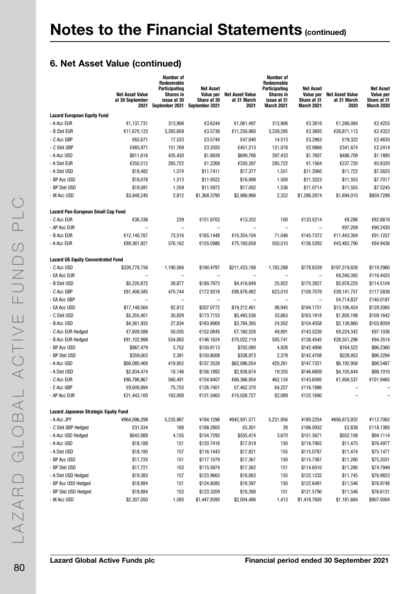|                                              | <b>Net Asset Value</b><br>at 30 September<br>2021 | <b>Number of</b><br>Redeemable<br>Participating<br>Shares in<br>issue at 30<br>September 2021 | <b>Net Asset</b><br>Value per<br>Share at 30<br>September 2021 | <b>Net Asset Value</b><br>at 31 March<br>2021 | <b>Number of</b><br>Redeemable<br>Participating<br><b>Shares in</b><br>issue at 31<br><b>March 2021</b> | <b>Net Asset</b><br>Value per<br>Share at 31<br>March 2021 | <b>Net Asset Value</b><br>at 31 March<br>2020 | <b>Net Asset</b><br>Value per<br>Share at 31<br><b>March 2020</b> |
|----------------------------------------------|---------------------------------------------------|-----------------------------------------------------------------------------------------------|----------------------------------------------------------------|-----------------------------------------------|---------------------------------------------------------------------------------------------------------|------------------------------------------------------------|-----------------------------------------------|-------------------------------------------------------------------|
| <b>Lazard European Equity Fund</b>           |                                                   |                                                                                               |                                                                |                                               |                                                                                                         |                                                            |                                               |                                                                   |
| - A Acc EUR                                  | €1,137,731                                        | 313,906                                                                                       | €3.6244                                                        | €1,061,497                                    | 313,906                                                                                                 | €3.3816                                                    | €1,266,084                                    | €2.4255                                                           |
| - B Dist EUR                                 | €11,670,123                                       | 3,265,609                                                                                     | €3.5736                                                        | €11,250,960                                   | 3,339,295                                                                                               | €3.3693                                                    | €26,871,113                                   | €2.4322                                                           |
| - C Acc GBP                                  | £62,671                                           | 17,533                                                                                        | £3.5744                                                        | £47,840                                       | 14,513                                                                                                  | £3.2963                                                    | £19,322                                       | £2.4635                                                           |
| - C Dist GBP                                 | £485,971                                          | 151,769                                                                                       | £3.2020                                                        | £451,213                                      | 151,078                                                                                                 | £2.9866                                                    | £341,674                                      | £2.2414                                                           |
| - A Acc USD                                  | \$811,616                                         | 435,430                                                                                       | \$1.8639                                                       | \$699,766                                     | 397,433                                                                                                 | \$1.7607                                                   | \$486,709                                     | \$1.1880                                                          |
| - A Dist EUR                                 | €350,512                                          | 285,722                                                                                       | €1.2268                                                        | €330,397                                      | 285,722                                                                                                 | €1.1564                                                    | €237,720                                      | €0.8320                                                           |
| - A Dist USD                                 | \$18,482                                          | 1,574                                                                                         | \$11.7411                                                      | \$17,377                                      | 1,551                                                                                                   | \$11.2060                                                  | \$11,722                                      | \$7.5825                                                          |
| - BP Acc USD                                 | \$18,078                                          | 1,513                                                                                         | \$11.9522                                                      | \$16,998                                      | 1,500                                                                                                   | \$11.3323                                                  | \$11,553                                      | \$7.7017                                                          |
| - BP Dist USD                                | \$18,081                                          | 1,559                                                                                         | \$11.5972                                                      | \$17,002                                      | 1,536                                                                                                   | \$11.0714                                                  | \$11,555                                      | \$7.5245                                                          |
| - M Acc USD                                  | \$3,848,240                                       | 2,812                                                                                         | \$1,368.3790                                                   | \$2,986,966                                   | 2,322                                                                                                   | \$1,286.2874                                               | \$1,694,010                                   | \$859.7299                                                        |
| Lazard Pan-European Small Cap Fund           |                                                   |                                                                                               |                                                                |                                               |                                                                                                         |                                                            |                                               |                                                                   |
| - C Acc EUR                                  | €36,336                                           | 239                                                                                           | €151.8702                                                      | €13,352                                       | 100                                                                                                     | €133.5214                                                  | €8,286                                        | €82.8618                                                          |
| - AP Acc EUR                                 |                                                   | $\qquad \qquad -$                                                                             | $\overline{\phantom{0}}$                                       | $\overline{a}$                                | $\qquad \qquad -$                                                                                       | $\qquad \qquad -$                                          | €97,209                                       | €90.2430                                                          |
| - B Acc EUR                                  | €12,140,767                                       | 73,516                                                                                        | €165.1448                                                      | €10,354,104                                   | 71,046                                                                                                  | €145.7372                                                  | €11,443,304                                   | €91.1257                                                          |
| - A Acc EUR                                  | €89,361,921                                       | 576,162                                                                                       | €155.0986                                                      | €75,160,659                                   | 550,510                                                                                                 | €136.5292                                                  | €43,482,790                                   | €84.9436                                                          |
| <b>Lazard US Equity Concentrated Fund</b>    |                                                   |                                                                                               |                                                                |                                               |                                                                                                         |                                                            |                                               |                                                                   |
| - C Acc USD                                  | \$226,778,756                                     | 1,190,566                                                                                     | \$190.4797                                                     | \$211,433,168                                 | 1,182,288                                                                                               | \$178.8339                                                 | \$197,319,826                                 | \$119.2960                                                        |
| - EA Acc EUR                                 |                                                   | $\overline{\phantom{0}}$                                                                      | $\overline{\phantom{0}}$                                       | $\overline{\phantom{0}}$                      | $\overline{a}$                                                                                          | $\overline{\phantom{0}}$                                   | €8,340,392                                    | €116.4425                                                         |
| - B Dist USD                                 | \$5,220,872                                       | 28,877                                                                                        | \$180.7973                                                     | \$4,416,649                                   | 25,922                                                                                                  | \$170.3827                                                 | \$5,978,225                                   | \$114.5104                                                        |
| - C Acc GBP                                  | £81,406,585                                       | 470,744                                                                                       | £172.9318                                                      | £98,876,482                                   | 623,010                                                                                                 | £158.7076                                                  | £39,141,757                                   | £117.5838                                                         |
| - EA Acc GBP                                 |                                                   | $\overline{\phantom{0}}$                                                                      | $\qquad \qquad -$                                              |                                               |                                                                                                         | $\overline{\phantom{0}}$                                   | £4,714,837                                    | £140.0187                                                         |
| - EA Acc USD                                 | \$17,148,564                                      | 82,812                                                                                        | \$207.0772                                                     | \$19,212,461                                  | 98,945                                                                                                  | \$194.1731                                                 | \$13,186,424                                  | \$129.2065                                                        |
| - C Dist USD                                 | \$5,355,401                                       | 30,829                                                                                        | \$173.7153                                                     | \$5,493,536                                   | 33,663                                                                                                  | \$163.1918                                                 | \$1,850,198                                   | \$109.1642                                                        |
| - B Acc USD                                  | \$4,561,935                                       | 27,834                                                                                        | \$163.8969                                                     | \$3,784,395                                   | 24,502                                                                                                  | \$154.4558                                                 | \$2,138,860                                   | \$103.8059                                                        |
| - C Acc EUR Hedged                           | €7,609,586                                        | 50,035                                                                                        | €152.0845                                                      | €7,160,526                                    | 49,891                                                                                                  | €143.5226                                                  | €9,224,342                                    | €97.1036                                                          |
| - B Acc EUR Hedged                           | €81,102,998                                       | 554,883                                                                                       | €146.1624                                                      | €70,022,119                                   | 505,741                                                                                                 | €138.4545                                                  | €28,551,296                                   | €94.3514                                                          |
| - BP Acc USD                                 | \$867,479                                         | 5,752                                                                                         | \$150.8113                                                     | \$702,090                                     | 4,928                                                                                                   | \$142.4806                                                 | \$164,522                                     | \$96.2360                                                         |
| - BP Dist USD                                | \$359,003                                         | 2,381                                                                                         | \$150.8008                                                     | \$338,973                                     | 2,379                                                                                                   | \$142.4708                                                 | \$228,953                                     | \$96.2294                                                         |
| - A Acc USD                                  | \$66,080,468                                      | 419,952                                                                                       | \$157.3526                                                     | \$62,086,054                                  | 420,261                                                                                                 | \$147.7321                                                 | \$6,192,956                                   | \$98.5487                                                         |
| - A Dist USD                                 | \$2,834,474                                       | 18,148                                                                                        | \$156.1892                                                     | \$2,838,674                                   | 19,355                                                                                                  | \$146.6609                                                 | \$4,105,844                                   | \$98.1010                                                         |
| - C Acc EUR                                  | €86,786,867                                       | 560,491                                                                                       | €154.8407                                                      | €66,366,854                                   | 462,134                                                                                                 | €143.6095                                                  | €1,956,537                                    | €101.9465                                                         |
| - E Acc GBP                                  | £9,600,894                                        | 75,753                                                                                        | £126.7401                                                      | £7,462,370                                    | 64,227                                                                                                  | £116.1886                                                  |                                               |                                                                   |
| - AP Acc EUR                                 | €21,443,100                                       | 163,008                                                                                       | €131.5463                                                      | €10,028,727                                   | 82,089                                                                                                  | €122.1690                                                  |                                               |                                                                   |
| <b>Lazard Japanese Strategic Equity Fund</b> |                                                   |                                                                                               |                                                                |                                               |                                                                                                         |                                                            |                                               |                                                                   |
| - A Acc JPY                                  | ¥964,096,298                                      | 5,235,967                                                                                     | ¥184.1296                                                      | ¥942,931,571                                  | 5,231,956                                                                                               | ¥180.2254                                                  | ¥656,673,932                                  | ¥112.7062                                                         |
| - C Dist GBP Hedged                          | £31,534                                           | 168                                                                                           | £188.2805                                                      | £5,301                                        | 28                                                                                                      | £186.0932                                                  | £2,838                                        | £118.1385                                                         |
| - A Acc USD Hedged                           | \$642,888                                         | 4,155                                                                                         | \$154.7292                                                     | \$555,474                                     | 3,670                                                                                                   | \$151.3671                                                 | \$552,108                                     | \$94.1114                                                         |
| - A Acc USD                                  | \$18,188                                          | 151                                                                                           | \$120.7416                                                     | \$17,819                                      | 150                                                                                                     | \$118.7902                                                 | \$11,475                                      | \$76.4977                                                         |
| - A Dist USD                                 | \$18,190                                          | 157                                                                                           | \$116.1443                                                     | \$17,821                                      | 155                                                                                                     | \$115.0787                                                 | \$11,474                                      | \$75.1471                                                         |
| - BP Acc USD                                 | \$17,720                                          | 151                                                                                           | \$117.1079                                                     | \$17,361                                      | 150                                                                                                     | \$115.7367                                                 | \$11,280                                      | \$75.2031                                                         |
| - BP Dist USD                                | \$17,721                                          | 153                                                                                           | \$115.5974                                                     | \$17,362                                      | 151                                                                                                     | \$114.6010                                                 | \$11,280                                      | \$74.7949                                                         |
| - A Dist USD Hedged                          | \$19,383                                          | 157                                                                                           | \$123.9663                                                     | \$18,883                                      | 155                                                                                                     | \$122.1232                                                 | \$11,745                                      | \$76.9823                                                         |
| - BP Acc USD Hedged                          | \$18,884                                          | 151                                                                                           | \$124.8085                                                     | \$18,397                                      | 150                                                                                                     | \$122.6481                                                 | \$11,546                                      | \$76.9748                                                         |
| - BP Dist USD Hedged                         | \$18,884                                          | 153                                                                                           | \$123.3209                                                     | \$18,398                                      | 151                                                                                                     | \$121.5790                                                 | \$11,546                                      | \$76.6131                                                         |
| - M Acc USD                                  | \$2,307,050                                       | 1,593                                                                                         | \$1,447.9395                                                   | \$2,004,486                                   | 1,413                                                                                                   | \$1,418.7605                                               | \$1,181,684                                   | \$907.0004                                                        |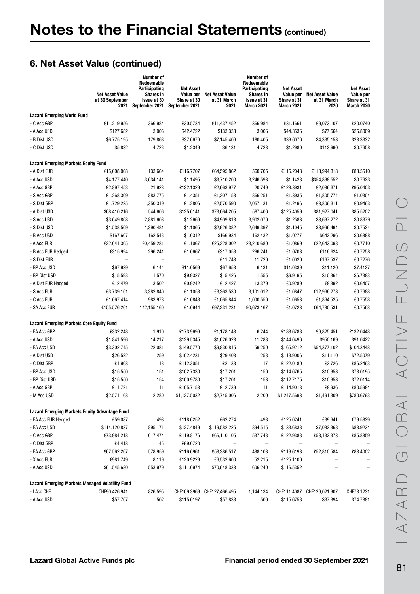|                                                        | <b>Net Asset Value</b><br>at 30 September<br>2021 | Number of<br>Redeemable<br>Participating<br><b>Shares in</b><br>issue at 30<br>September 2021 | <b>Net Asset</b><br>Value per<br>Share at 30<br>September 2021 | <b>Net Asset Value</b><br>at 31 March<br>2021 | Number of<br>Redeemable<br>Participating<br><b>Shares in</b><br>issue at 31<br>March 2021 | Net Asset<br>Value per<br>Share at 31<br>March 2021 | <b>Net Asset Value</b><br>at 31 March<br>2020 | <b>Net Asset</b><br>Value per<br>Share at 31<br>March 2020 |
|--------------------------------------------------------|---------------------------------------------------|-----------------------------------------------------------------------------------------------|----------------------------------------------------------------|-----------------------------------------------|-------------------------------------------------------------------------------------------|-----------------------------------------------------|-----------------------------------------------|------------------------------------------------------------|
| <b>Lazard Emerging World Fund</b>                      |                                                   |                                                                                               |                                                                |                                               |                                                                                           |                                                     |                                               |                                                            |
| - C Acc GBP                                            | £11,219,956                                       | 366,984                                                                                       | £30.5734                                                       | £11,437,452                                   | 366,984                                                                                   | £31.1661                                            | £9,073,107                                    | £20.0740                                                   |
| - A Acc USD                                            | \$127,682                                         | 3,006                                                                                         | \$42.4722                                                      | \$133,338                                     | 3,006                                                                                     | \$44.3536                                           | \$77,564                                      | \$25.8009                                                  |
| - B Dist USD                                           | \$6,775,195                                       | 179,868                                                                                       | \$37.6676                                                      | \$7,145,406                                   | 180,405                                                                                   | \$39.6076                                           | \$4,335,153                                   | \$23.3332                                                  |
| - C Dist USD                                           | \$5,832                                           | 4,723                                                                                         | \$1.2349                                                       | \$6,131                                       | 4,723                                                                                     | \$1.2980                                            | \$113,990                                     | \$0.7658                                                   |
| <b>Lazard Emerging Markets Equity Fund</b>             |                                                   |                                                                                               |                                                                |                                               |                                                                                           |                                                     |                                               |                                                            |
| - A Dist EUR                                           | €15,608,008                                       | 133,664                                                                                       | €116.7707                                                      | €64,595,862                                   | 560,705                                                                                   | €115.2048                                           | €118,994,318                                  | €83.5510                                                   |
| - A Acc USD                                            | \$4,177,440                                       | 3,634,141                                                                                     | \$1.1495                                                       | \$3,710,200                                   | 3,246,593                                                                                 | \$1.1428                                            | \$354,898,552                                 | \$0.7623                                                   |
| - A Acc GBP                                            | £2,897,453                                        | 21,928                                                                                        | £132.1329                                                      | £2,663,977                                    | 20,749                                                                                    | £128.3931                                           | £2,086,371                                    | £95.0403                                                   |
| - S Acc GBP                                            | £1,268,309                                        | 883,775                                                                                       | £1.4351                                                        | £1,207,153                                    | 866,251                                                                                   | £1.3935                                             | £1,805,774                                    | £1.0304                                                    |
| - S Dist GBP                                           | £1,729,225                                        | 1,350,319                                                                                     | £1.2806                                                        | £2,570,590                                    | 2,057,131                                                                                 | £1.2496                                             | £3,806,311                                    | £0.9463                                                    |
| - A Dist USD                                           |                                                   | 544,606                                                                                       | \$125.6141                                                     | \$73,664,205                                  | 587,406                                                                                   | \$125.4059                                          | \$81,927,041                                  | \$85.5202                                                  |
| - S Acc USD                                            | \$68,410,216<br>\$3,649,808                       | 2,881,608                                                                                     | \$1.2666                                                       |                                               | 3,902,070                                                                                 | \$1.2583                                            |                                               | \$0.8379                                                   |
| - S Dist USD                                           | \$1,538,509                                       |                                                                                               |                                                                | \$4,909,813<br>\$2,926,382                    | 2,649,397                                                                                 |                                                     | \$3,697,272                                   |                                                            |
| - B Acc USD                                            |                                                   | 1,390,481                                                                                     | \$1.1065                                                       |                                               |                                                                                           | \$1.1045                                            | \$3,966,494                                   | \$0.7534<br>\$0.6888                                       |
|                                                        | \$167,607                                         | 162,543                                                                                       | \$1.0312                                                       | \$166,934                                     | 162,432                                                                                   | \$1.0277                                            | \$642,296                                     | €0.7710                                                    |
| - A Acc EUR                                            | €22,641,305                                       | 20,459,281                                                                                    | €1.1067                                                        | €25,228,002<br>€317,058                       | 23,210,680                                                                                | €1.0869                                             | €22,643,098                                   | €0.7258                                                    |
| - B Acc EUR Hedged                                     | €315,994                                          | 296,241                                                                                       | €1.0667<br>$\qquad \qquad -$                                   |                                               | 296,241                                                                                   | €1.0703                                             | €116,624                                      | €0.7276                                                    |
| - S Dist EUR<br>- BP Acc USD                           | \$67,939                                          | $\overline{\phantom{0}}$                                                                      |                                                                | €11,743                                       | 11,720                                                                                    | €1.0020<br>\$11.0339                                | €167,537                                      | \$7.4137                                                   |
|                                                        |                                                   | 6,144                                                                                         | \$11.0569                                                      | \$67,653                                      | 6,131                                                                                     |                                                     | \$11,120                                      |                                                            |
| - BP Dist USD                                          | \$15,593                                          | 1,570                                                                                         | \$9.9327                                                       | \$15,426                                      | 1,555                                                                                     | \$9.9195                                            | \$10,364                                      | \$6.7383                                                   |
| - A Dist EUR Hedged                                    | €12,479                                           | 13,502                                                                                        | €0.9242                                                        | €12,427                                       | 13,379                                                                                    | €0.9289                                             | €8,392                                        | €0.6407                                                    |
| - S Acc EUR                                            | €3,739,101                                        | 3,382,840                                                                                     | €1.1053                                                        | €3,363,530                                    | 3,101,012                                                                                 | €1.0847                                             | €12,966,273                                   | €0.7688                                                    |
| - C Acc EUR                                            | €1,067,414                                        | 983,978                                                                                       | €1.0848                                                        | €1,065,844                                    | 1,000,550                                                                                 | €1.0653                                             | €1,864,525                                    | €0.7558                                                    |
| - SA Acc EUR                                           | €155,576,261                                      | 142,155,160                                                                                   | €1.0944                                                        | €97,231,231                                   | 90,673,167                                                                                | €1.0723                                             | €64,780,531                                   | €0.7568                                                    |
| <b>Lazard Emerging Markets Core Equity Fund</b>        |                                                   |                                                                                               |                                                                |                                               |                                                                                           |                                                     |                                               |                                                            |
| - EA Acc GBP                                           | £332,248                                          | 1,910                                                                                         | £173.9696                                                      | £1,178,143                                    | 6,244                                                                                     | £188.6788                                           | £6,825,451                                    | £132.0448                                                  |
| - A Acc USD                                            | \$1,841,596                                       | 14,217                                                                                        | \$129.5345                                                     | \$1,626,023                                   | 11,288                                                                                    | \$144.0496                                          | \$950,169                                     | \$91.0422                                                  |
| - EA Acc USD                                           | \$3,302,745                                       | 22,081                                                                                        | \$149.5770                                                     | \$9,830,815                                   | 59,250                                                                                    | \$165.9212                                          | \$54,377,102                                  | \$104.3448                                                 |
| - A Dist USD                                           | \$26,522                                          | 259                                                                                           | \$102.4231                                                     | \$29,403                                      | 258                                                                                       | \$113.9006                                          | \$11,110                                      | \$72.5079                                                  |
| - C Dist GBP                                           | £1,968                                            | 18                                                                                            | £112.3051                                                      | £2,138                                        | 17                                                                                        | £122.0180                                           | £2,726                                        | £86.2463                                                   |
| - BP Acc USD                                           | \$15,550                                          | 151                                                                                           | \$102.7330                                                     | \$17,201                                      | 150                                                                                       | \$114.6765                                          | \$10,953                                      | \$73.0195                                                  |
| - BP Dist USD                                          | \$15,550                                          | 154                                                                                           | \$100.9780                                                     | \$17,201                                      | 153                                                                                       | \$112.7175                                          | \$10,953                                      | \$72.0114                                                  |
| - A Acc GBP                                            | £11,721                                           | 111                                                                                           | £105.7153                                                      | £12,739                                       | 111                                                                                       | £114.9018                                           | £8,936                                        | £80.5984                                                   |
| - M Acc USD                                            | \$2,571,168                                       | 2,280                                                                                         | \$1,127.5032                                                   | \$2,745,006                                   | 2,200                                                                                     | \$1,247.5693                                        | \$1,491,309                                   | \$780.6793                                                 |
| <b>Lazard Emerging Markets Equity Advantage Fund</b>   |                                                   |                                                                                               |                                                                |                                               |                                                                                           |                                                     |                                               |                                                            |
| - EA Acc EUR Hedged                                    | €59,087                                           | 498                                                                                           | €118.6252                                                      | €62,274                                       | 498                                                                                       | €125.0241                                           | €39,641                                       | €79.5839                                                   |
| - EA Acc USD                                           | \$114,120,837                                     | 895,171                                                                                       | \$127.4849                                                     | \$119,582,225                                 | 894,515                                                                                   | \$133.6838                                          | \$7,082,368                                   | \$83.9234                                                  |
| - C Acc GBP                                            | £73,984,218                                       | 617,474                                                                                       | £119.8176                                                      | £66,110,105                                   | 537,748                                                                                   | £122.9388                                           | £58,132,373                                   | £85.8859                                                   |
| - C Dist GBP                                           | £4,418                                            | 45                                                                                            | £99.0720                                                       |                                               | $\qquad \qquad$                                                                           | $\qquad \qquad -$                                   |                                               |                                                            |
| - EA Acc GBP                                           | £67,562,207                                       | 578,959                                                                                       | £116.6961                                                      | £58,386,517                                   | 488,103                                                                                   | £119.6193                                           | £52,810,584                                   | £83.4002                                                   |
| - X Acc EUR                                            | €981,749                                          | 8,119                                                                                         | €120.9229                                                      | €6,532,600                                    | 52,215                                                                                    | €125.1100                                           |                                               |                                                            |
| - A Acc USD                                            | \$61,545,680                                      | 553,979                                                                                       | \$111.0974                                                     | \$70,648,333                                  | 606,240                                                                                   | \$116.5352                                          |                                               |                                                            |
| <b>Lazard Emerging Markets Managed Volatility Fund</b> |                                                   |                                                                                               |                                                                |                                               |                                                                                           |                                                     |                                               |                                                            |
| - I Acc CHF                                            | CHF90,426,941                                     | 826,595                                                                                       |                                                                | CHF109.3969 CHF127,466,495                    | 1,144,134                                                                                 |                                                     | CHF111.4087 CHF126,021,907                    | CHF73.1231                                                 |
| - A Acc USD                                            | \$57,707                                          | 502                                                                                           | \$115.0197                                                     | \$57,838                                      | 500                                                                                       | \$115.6758                                          | \$37,394                                      | \$74.7881                                                  |
|                                                        |                                                   |                                                                                               |                                                                |                                               |                                                                                           |                                                     |                                               |                                                            |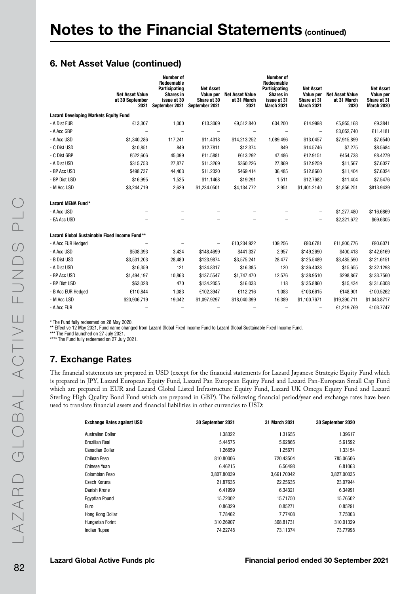|                                               | <b>Net Asset Value</b><br>at 30 September<br>2021 | <b>Number of</b><br>Redeemable<br>Participating<br><b>Shares in</b><br>issue at 30<br>September 2021 | <b>Net Asset</b><br>Value per<br>Share at 30<br>September 2021 | <b>Net Asset Value</b><br>at 31 March<br>2021 | <b>Number of</b><br>Redeemable<br><b>Participating</b><br><b>Shares in</b><br>issue at 31<br>March 2021 | <b>Net Asset</b><br>Value per<br>Share at 31<br>March 2021 | <b>Net Asset Value</b><br>at 31 March<br>2020 | <b>Net Asset</b><br>Value per<br>Share at 31<br>March 2020 |
|-----------------------------------------------|---------------------------------------------------|------------------------------------------------------------------------------------------------------|----------------------------------------------------------------|-----------------------------------------------|---------------------------------------------------------------------------------------------------------|------------------------------------------------------------|-----------------------------------------------|------------------------------------------------------------|
| <b>Lazard Developing Markets Equity Fund</b>  |                                                   |                                                                                                      |                                                                |                                               |                                                                                                         |                                                            |                                               |                                                            |
| - A Dist EUR                                  | €13,307                                           | 1,000                                                                                                | €13.3069                                                       | €9,512,840                                    | 634,200                                                                                                 | €14.9998                                                   | €5,955,168                                    | €9.3841                                                    |
| - A Acc GBP                                   |                                                   |                                                                                                      |                                                                |                                               |                                                                                                         |                                                            | £3,052,740                                    | £11.4181                                                   |
| - A Acc USD                                   | \$1,340,286                                       | 117,241                                                                                              | \$11.4318                                                      | \$14,213,252                                  | 1,089,496                                                                                               | \$13.0457                                                  | \$7,915,899                                   | \$7.6540                                                   |
| - C Dist USD                                  | \$10,851                                          | 849                                                                                                  | \$12.7811                                                      | \$12,374                                      | 849                                                                                                     | \$14.5746                                                  | \$7,275                                       | \$8.5684                                                   |
| - C Dist GBP                                  | £522,606                                          | 45,099                                                                                               | £11.5881                                                       | £613,292                                      | 47,486                                                                                                  | £12.9151                                                   | £454,738                                      | £8.4279                                                    |
| - A Dist USD                                  | \$315,753                                         | 27,877                                                                                               | \$11.3269                                                      | \$360,226                                     | 27,869                                                                                                  | \$12.9259                                                  | \$11,567                                      | \$7.6027                                                   |
| - BP Acc USD                                  | \$498,737                                         | 44,403                                                                                               | \$11.2320                                                      | \$469,414                                     | 36,485                                                                                                  | \$12.8660                                                  | \$11,404                                      | \$7.6024                                                   |
| - BP Dist USD                                 | \$16,995                                          | 1,525                                                                                                | \$11.1468                                                      | \$19,291                                      | 1,511                                                                                                   | \$12.7682                                                  | \$11,404                                      | \$7.5476                                                   |
| - M Acc USD                                   | \$3,244,719                                       | 2,629                                                                                                | \$1,234.0501                                                   | \$4,134,772                                   | 2,951                                                                                                   | \$1,401.2140                                               | \$1,856,251                                   | \$813.9439                                                 |
| Lazard MENA Fund*                             |                                                   |                                                                                                      |                                                                |                                               |                                                                                                         |                                                            |                                               |                                                            |
| - A Acc USD                                   |                                                   |                                                                                                      |                                                                |                                               |                                                                                                         |                                                            | \$1,277,480                                   | \$116.6869                                                 |
| - EA Acc USD                                  |                                                   |                                                                                                      |                                                                |                                               |                                                                                                         |                                                            | \$2,321,672                                   | \$69.6305                                                  |
| Lazard Global Sustainable Fixed Income Fund** |                                                   |                                                                                                      |                                                                |                                               |                                                                                                         |                                                            |                                               |                                                            |
| - A Acc EUR Hedged                            |                                                   |                                                                                                      |                                                                | €10,234,922                                   | 109,256                                                                                                 | €93.6781                                                   | €11,900,776                                   | €90.6071                                                   |
| - A Acc USD                                   | \$508,393                                         | 3,424                                                                                                | \$148.4699                                                     | \$441,337                                     | 2,957                                                                                                   | \$149.2690                                                 | \$400,418                                     | \$142.6169                                                 |
| - B Dist USD                                  | \$3,531,203                                       | 28,480                                                                                               | \$123.9874                                                     | \$3,575,241                                   | 28,477                                                                                                  | \$125.5489                                                 | \$3,485,590                                   | \$121.6151                                                 |
| - A Dist USD                                  | \$16,359                                          | 121                                                                                                  | \$134.8317                                                     | \$16,385                                      | 120                                                                                                     | \$136.4033                                                 | \$15,655                                      | \$132.1293                                                 |
| - BP Acc USD                                  | \$1,494,197                                       | 10,863                                                                                               | \$137.5547                                                     | \$1,747,470                                   | 12,576                                                                                                  | \$138.9510                                                 | \$298,867                                     | \$133.7560                                                 |
| - BP Dist USD                                 | \$63,028                                          | 470                                                                                                  | \$134.2055                                                     | \$16,033                                      | 118                                                                                                     | \$135.8860                                                 | \$15,434                                      | \$131.6308                                                 |
| - B Acc EUR Hedged                            | €110,844                                          | 1,083                                                                                                | €102.3947                                                      | €112,216                                      | 1,083                                                                                                   | €103.6615                                                  | €148,901                                      | €100.5262                                                  |
| - M Acc USD                                   | \$20,906,719                                      | 19,042                                                                                               | \$1,097.9297                                                   | \$18,040,399                                  | 16,389                                                                                                  | \$1,100.7671                                               | \$19,390,711                                  | \$1,043.8717                                               |
| - A Acc EUR                                   |                                                   |                                                                                                      |                                                                |                                               |                                                                                                         |                                                            | €1,219,769                                    | €103.7747                                                  |

\* The Fund fully redeemed on 28 May 2020.

\*\* Effective 12 May 2021, Fund name changed from Lazard Global Fixed Income Fund to Lazard Global Sustainable Fixed Income Fund.

\*\*\* The Fund launched on 27 July 2021.

\*\*\*\* The Fund fully redeemed on 27 July 2021.

### 7. Exchange Rates

The financial statements are prepared in USD (except for the financial statements for Lazard Japanese Strategic Equity Fund which is prepared in JPY, Lazard European Equity Fund, Lazard Pan European Equity Fund and Lazard Pan-European Small Cap Fund which are prepared in EUR and Lazard Global Listed Infrastructure Equity Fund, Lazard UK Omega Equity Fund and Lazard Sterling High Quality Bond Fund which are prepared in GBP). The following financial period/year end exchange rates have been used to translate financial assets and financial liabilities in other currencies to USD:

| <b>Exchange Rates against USD</b> | 30 September 2021 | 31 March 2021 | 30 September 2020 |
|-----------------------------------|-------------------|---------------|-------------------|
| Australian Dollar                 | 1.38322           | 1.31655       | 1.39617           |
| <b>Brazilian Real</b>             | 5.44575           | 5.62865       | 5.61592           |
| Canadian Dollar                   | 1.26659           | 1.25671       | 1.33154           |
| <b>Chilean Peso</b>               | 810.80006         | 720.43504     | 785.06506         |
| Chinese Yuan                      | 6.46215           | 6.56498       | 6.81063           |
| Colombian Peso                    | 3.807.80039       | 3.661.70042   | 3,827.00035       |
| Czech Koruna                      | 21.87635          | 22.25635      | 23.07944          |
| Danish Krone                      | 6.41999           | 6.34321       | 6.34991           |
| <b>Eqyptian Pound</b>             | 15.72002          | 15.71750      | 15.76502          |
| Euro                              | 0.86329           | 0.85271       | 0.85291           |
| Hong Kong Dollar                  | 7.78462           | 7.77408       | 7.75003           |
| Hungarian Forint                  | 310.26907         | 308.81731     | 310.01329         |
| <b>Indian Rupee</b>               | 74.22748          | 73.11374      | 73.77998          |
|                                   |                   |               |                   |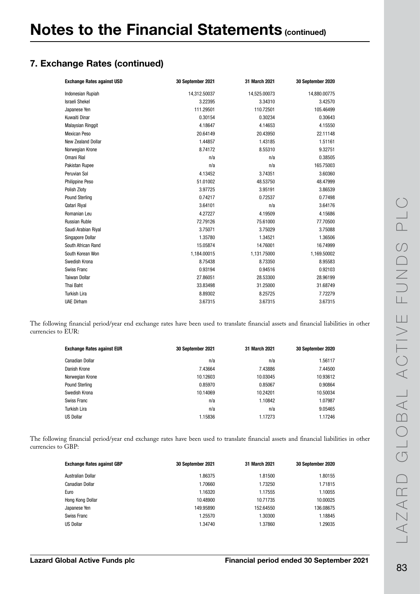# 7. Exchange Rates (continued)

| <b>Exchange Rates against USD</b> | 30 September 2021 | 31 March 2021 | 30 September 2020 |
|-----------------------------------|-------------------|---------------|-------------------|
| <b>Indonesian Rupiah</b>          | 14,312.50037      | 14,525.00073  | 14,880.00775      |
| <b>Israeli Shekel</b>             | 3.22395           | 3.34310       | 3.42570           |
| Japanese Yen                      | 111.29501         | 110.72501     | 105.46499         |
| Kuwaiti Dinar                     | 0.30154           | 0.30234       | 0.30643           |
| Malaysian Ringgit                 | 4.18647           | 4.14653       | 4.15550           |
| <b>Mexican Peso</b>               | 20.64149          | 20.43950      | 22.11148          |
| New Zealand Dollar                | 1.44857           | 1.43185       | 1.51161           |
| Norwegian Krone                   | 8.74172           | 8.55310       | 9.32751           |
| <b>Omani Rial</b>                 | n/a               | n/a           | 0.38505           |
| Pakistan Rupee                    | n/a               | n/a           | 165.75003         |
| Peruvian Sol                      | 4.13452           | 3.74351       | 3.60360           |
| Philippine Peso                   | 51.01002          | 48.53750      | 48.47999          |
| Polish Zloty                      | 3.97725           | 3.95191       | 3.86539           |
| <b>Pound Sterling</b>             | 0.74217           | 0.72537       | 0.77498           |
| Qatari Riyal                      | 3.64101           | n/a           | 3.64176           |
| Romanian Leu                      | 4.27227           | 4.19509       | 4.15686           |
| <b>Russian Ruble</b>              | 72.79126          | 75.61000      | 77.70500          |
| Saudi Arabian Riyal               | 3.75071           | 3.75029       | 3.75088           |
| Singapore Dollar                  | 1.35780           | 1.34521       | 1.36506           |
| South African Rand                | 15.05874          | 14.76001      | 16.74999          |
| South Korean Won                  | 1,184.00015       | 1,131.75000   | 1,169.50002       |
| Swedish Krona                     | 8.75438           | 8.73350       | 8.95583           |
| Swiss Franc                       | 0.93194           | 0.94516       | 0.92103           |
| <b>Taiwan Dollar</b>              | 27.86051          | 28.53300      | 28.96199          |
| Thai Baht                         | 33.83498          | 31.25000      | 31.68749          |
| <b>Turkish Lira</b>               | 8.89302           | 8.25725       | 7.72279           |
| <b>UAE Dirham</b>                 | 3.67315           | 3.67315       | 3.67315           |

The following financial period/year end exchange rates have been used to translate financial assets and financial liabilities in other currencies to EUR:

| <b>Exchange Rates against EUR</b> | 30 September 2021 | 31 March 2021 | 30 September 2020 |
|-----------------------------------|-------------------|---------------|-------------------|
| <b>Canadian Dollar</b>            | n/a               | n/a           | 1.56117           |
| Danish Krone                      | 7.43664           | 7.43886       | 7.44500           |
| Norwegian Krone                   | 10.12603          | 10.03045      | 10.93612          |
| Pound Sterling                    | 0.85970           | 0.85067       | 0.90864           |
| Swedish Krona                     | 10.14069          | 10.24201      | 10.50034          |
| Swiss Franc                       | n/a               | 1.10842       | 1.07987           |
| Turkish Lira                      | n/a               | n/a           | 9.05465           |
| <b>US Dollar</b>                  | 1.15836           | 1.17273       | 1.17246           |

The following financial period/year end exchange rates have been used to translate financial assets and financial liabilities in other currencies to GBP:

| <b>Exchange Rates against GBP</b> | 30 September 2021 | 31 March 2021 | 30 September 2020 |
|-----------------------------------|-------------------|---------------|-------------------|
| Australian Dollar                 | 1.86375           | 1.81500       | 1.80155           |
| Canadian Dollar                   | 1.70660           | 1.73250       | 1.71815           |
| Euro                              | 1.16320           | 1.17555       | 1.10055           |
| Hong Kong Dollar                  | 10.48900          | 10.71735      | 10.00025          |
| Japanese Yen                      | 149.95890         | 152.64550     | 136.08675         |
| Swiss Franc                       | 1.25570           | 1.30300       | 1.18845           |
| <b>US Dollar</b>                  | 1.34740           | 1.37860       | 1.29035           |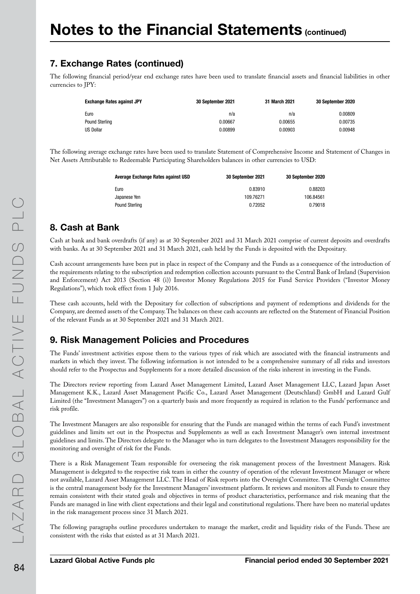# 7. Exchange Rates (continued)

The following financial period/year end exchange rates have been used to translate financial assets and financial liabilities in other currencies to JPY:

| <b>Exchange Rates against JPY</b> | 30 September 2021 | 31 March 2021 | 30 September 2020 |
|-----------------------------------|-------------------|---------------|-------------------|
| Euro                              | n/a               | n/a           | 0.00809           |
| Pound Sterling                    | 0.00667           | 0.00655       | 0.00735           |
| <b>US Dollar</b>                  | 0.00899           | 0.00903       | 0.00948           |

The following average exchange rates have been used to translate Statement of Comprehensive Income and Statement of Changes in Net Assets Attributable to Redeemable Participating Shareholders balances in other currencies to USD:

| Average Exchange Rates against USD | 30 September 2021 | 30 September 2020 |
|------------------------------------|-------------------|-------------------|
| Euro                               | 0.83910           | 0.88203           |
| Japanese Yen                       | 109.76271         | 106.84561         |
| Pound Sterling                     | 0.72052           | 0.79018           |

### 8. Cash at Bank

Cash at bank and bank overdrafts (if any) as at 30 September 2021 and 31 March 2021 comprise of current deposits and overdrafts with banks. As at 30 September 2021 and 31 March 2021, cash held by the Funds is deposited with the Depositary.

Cash account arrangements have been put in place in respect of the Company and the Funds as a consequence of the introduction of the requirements relating to the subscription and redemption collection accounts pursuant to the Central Bank of Ireland (Supervision and Enforcement) Act 2013 (Section 48 (i)) Investor Money Regulations 2015 for Fund Service Providers ("Investor Money Regulations"), which took effect from 1 July 2016.

These cash accounts, held with the Depositary for collection of subscriptions and payment of redemptions and dividends for the Company, are deemed assets of the Company. The balances on these cash accounts are reflected on the Statement of Financial Position of the relevant Funds as at 30 September 2021 and 31 March 2021.

### 9. Risk Management Policies and Procedures

The Funds' investment activities expose them to the various types of risk which are associated with the financial instruments and markets in which they invest. The following information is not intended to be a comprehensive summary of all risks and investors should refer to the Prospectus and Supplements for a more detailed discussion of the risks inherent in investing in the Funds.

The Directors review reporting from Lazard Asset Management Limited, Lazard Asset Management LLC, Lazard Japan Asset Management K.K., Lazard Asset Management Pacific Co., Lazard Asset Management (Deutschland) GmbH and Lazard Gulf Limited (the "Investment Managers") on a quarterly basis and more frequently as required in relation to the Funds' performance and risk profile.

The Investment Managers are also responsible for ensuring that the Funds are managed within the terms of each Fund's investment guidelines and limits set out in the Prospectus and Supplements as well as each Investment Manager's own internal investment guidelines and limits. The Directors delegate to the Manager who in turn delegates to the Investment Managers responsibility for the monitoring and oversight of risk for the Funds.

There is a Risk Management Team responsible for overseeing the risk management process of the Investment Managers. Risk Management is delegated to the respective risk team in either the country of operation of the relevant Investment Manager or where not available, Lazard Asset Management LLC. The Head of Risk reports into the Oversight Committee. The Oversight Committee is the central management body for the Investment Managers' investment platform. It reviews and monitors all Funds to ensure they remain consistent with their stated goals and objectives in terms of product characteristics, performance and risk meaning that the Funds are managed in line with client expectations and their legal and constitutional regulations. There have been no material updates in the risk management process since 31 March 2021.

The following paragraphs outline procedures undertaken to manage the market, credit and liquidity risks of the Funds. These are consistent with the risks that existed as at 31 March 2021.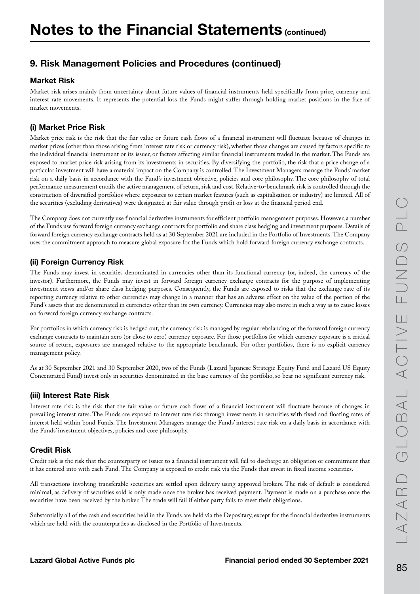#### Market Risk

Market risk arises mainly from uncertainty about future values of financial instruments held specifically from price, currency and interest rate movements. It represents the potential loss the Funds might suffer through holding market positions in the face of market movements.

#### (i) Market Price Risk

Market price risk is the risk that the fair value or future cash flows of a financial instrument will fluctuate because of changes in market prices (other than those arising from interest rate risk or currency risk), whether those changes are caused by factors specific to the individual financial instrument or its issuer, or factors affecting similar financial instruments traded in the market. The Funds are exposed to market price risk arising from its investments in securities. By diversifying the portfolio, the risk that a price change of a particular investment will have a material impact on the Company is controlled. The Investment Managers manage the Funds' market risk on a daily basis in accordance with the Fund's investment objective, policies and core philosophy. The core philosophy of total performance measurement entails the active management of return, risk and cost. Relative-to-benchmark risk is controlled through the construction of diversified portfolios where exposures to certain market features (such as capitalisation or industry) are limited. All of the securities (excluding derivatives) were designated at fair value through profit or loss at the financial period end.

The Company does not currently use financial derivative instruments for efficient portfolio management purposes. However, a number of the Funds use forward foreign currency exchange contracts for portfolio and share class hedging and investment purposes. Details of forward foreign currency exchange contracts held as at 30 September 2021 are included in the Portfolio of Investments. The Company uses the commitment approach to measure global exposure for the Funds which hold forward foreign currency exchange contracts.

#### (ii) Foreign Currency Risk

The Funds may invest in securities denominated in currencies other than its functional currency (or, indeed, the currency of the investor). Furthermore, the Funds may invest in forward foreign currency exchange contracts for the purpose of implementing investment views and/or share class hedging purposes. Consequently, the Funds are exposed to risks that the exchange rate of its reporting currency relative to other currencies may change in a manner that has an adverse effect on the value of the portion of the Fund's assets that are denominated in currencies other than its own currency. Currencies may also move in such a way as to cause losses on forward foreign currency exchange contracts.

For portfolios in which currency risk is hedged out, the currency risk is managed by regular rebalancing of the forward foreign currency exchange contracts to maintain zero (or close to zero) currency exposure. For those portfolios for which currency exposure is a critical source of return, exposures are managed relative to the appropriate benchmark. For other portfolios, there is no explicit currency management policy.

As at 30 September 2021 and 30 September 2020, two of the Funds (Lazard Japanese Strategic Equity Fund and Lazard US Equity Concentrated Fund) invest only in securities denominated in the base currency of the portfolio, so bear no significant currency risk.

#### (iii) Interest Rate Risk

Interest rate risk is the risk that the fair value or future cash flows of a financial instrument will fluctuate because of changes in prevailing interest rates. The Funds are exposed to interest rate risk through investments in securities with fixed and floating rates of interest held within bond Funds. The Investment Managers manage the Funds' interest rate risk on a daily basis in accordance with the Funds' investment objectives, policies and core philosophy.

#### Credit Risk

Credit risk is the risk that the counterparty or issuer to a financial instrument will fail to discharge an obligation or commitment that it has entered into with each Fund. The Company is exposed to credit risk via the Funds that invest in fixed income securities.

All transactions involving transferable securities are settled upon delivery using approved brokers. The risk of default is considered minimal, as delivery of securities sold is only made once the broker has received payment. Payment is made on a purchase once the securities have been received by the broker. The trade will fail if either party fails to meet their obligations.

Substantially all of the cash and securities held in the Funds are held via the Depositary, except for the financial derivative instruments which are held with the counterparties as disclosed in the Portfolio of Investments.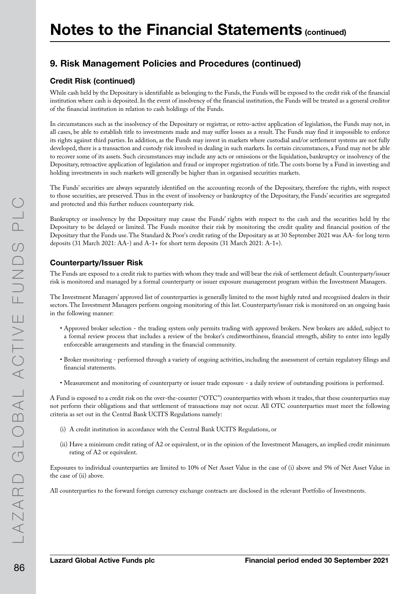#### Credit Risk (continued)

While cash held by the Depositary is identifiable as belonging to the Funds, the Funds will be exposed to the credit risk of the financial institution where cash is deposited. In the event of insolvency of the financial institution, the Funds will be treated as a general creditor of the financial institution in relation to cash holdings of the Funds.

In circumstances such as the insolvency of the Depositary or registrar, or retro-active application of legislation, the Funds may not, in all cases, be able to establish title to investments made and may suffer losses as a result. The Funds may find it impossible to enforce its rights against third parties. In addition, as the Funds may invest in markets where custodial and/or settlement systems are not fully developed, there is a transaction and custody risk involved in dealing in such markets. In certain circumstances, a Fund may not be able to recover some of its assets. Such circumstances may include any acts or omissions or the liquidation, bankruptcy or insolvency of the Depositary, retroactive application of legislation and fraud or improper registration of title. The costs borne by a Fund in investing and holding investments in such markets will generally be higher than in organised securities markets.

The Funds' securities are always separately identified on the accounting records of the Depositary, therefore the rights, with respect to those securities, are preserved. Thus in the event of insolvency or bankruptcy of the Depositary, the Funds' securities are segregated and protected and this further reduces counterparty risk.

Bankruptcy or insolvency by the Depositary may cause the Funds' rights with respect to the cash and the securities held by the Depositary to be delayed or limited. The Funds monitor their risk by monitoring the credit quality and financial position of the Depositary that the Funds use. The Standard & Poor's credit rating of the Depositary as at 30 September 2021 was AA- for long term deposits (31 March 2021: AA-) and A-1+ for short term deposits (31 March 2021: A-1+).

#### Counterparty/Issuer Risk

The Funds are exposed to a credit risk to parties with whom they trade and will bear the risk of settlement default. Counterparty/issuer risk is monitored and managed by a formal counterparty or issuer exposure management program within the Investment Managers.

The Investment Managers' approved list of counterparties is generally limited to the most highly rated and recognised dealers in their sectors. The Investment Managers perform ongoing monitoring of this list. Counterparty/issuer risk is monitored on an ongoing basis in the following manner:

- Approved broker selection the trading system only permits trading with approved brokers. New brokers are added, subject to a formal review process that includes a review of the broker's creditworthiness, financial strength, ability to enter into legally enforceable arrangements and standing in the financial community.
- Broker monitoring performed through a variety of ongoing activities, including the assessment of certain regulatory filings and financial statements.
- Measurement and monitoring of counterparty or issuer trade exposure a daily review of outstanding positions is performed.

A Fund is exposed to a credit risk on the over-the-counter ("OTC") counterparties with whom it trades, that these counterparties may not perform their obligations and that settlement of transactions may not occur. All OTC counterparties must meet the following criteria as set out in the Central Bank UCITS Regulations namely:

- (i) A credit institution in accordance with the Central Bank UCITS Regulations, or
- (ii) Have a minimum credit rating of A2 or equivalent, or in the opinion of the Investment Managers, an implied credit minimum rating of A2 or equivalent.

Exposures to individual counterparties are limited to 10% of Net Asset Value in the case of (i) above and 5% of Net Asset Value in the case of (ii) above.

All counterparties to the forward foreign currency exchange contracts are disclosed in the relevant Portfolio of Investments.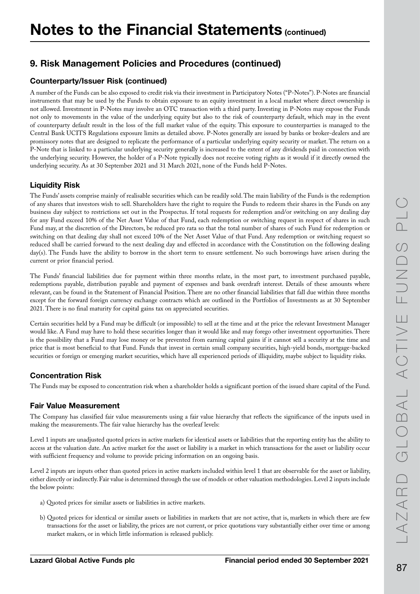#### Counterparty/Issuer Risk (continued)

A number of the Funds can be also exposed to credit risk via their investment in Participatory Notes ("P-Notes"). P-Notes are financial instruments that may be used by the Funds to obtain exposure to an equity investment in a local market where direct ownership is not allowed. Investment in P-Notes may involve an OTC transaction with a third party. Investing in P-Notes may expose the Funds not only to movements in the value of the underlying equity but also to the risk of counterparty default, which may in the event of counterparty default result in the loss of the full market value of the equity. This exposure to counterparties is managed to the Central Bank UCITS Regulations exposure limits as detailed above. P-Notes generally are issued by banks or broker-dealers and are promissory notes that are designed to replicate the performance of a particular underlying equity security or market. The return on a P-Note that is linked to a particular underlying security generally is increased to the extent of any dividends paid in connection with the underlying security. However, the holder of a P-Note typically does not receive voting rights as it would if it directly owned the underlying security. As at 30 September 2021 and 31 March 2021, none of the Funds held P-Notes.

#### Liquidity Risk

The Funds' assets comprise mainly of realisable securities which can be readily sold. The main liability of the Funds is the redemption of any shares that investors wish to sell. Shareholders have the right to require the Funds to redeem their shares in the Funds on any business day subject to restrictions set out in the Prospectus. If total requests for redemption and/or switching on any dealing day for any Fund exceed 10% of the Net Asset Value of that Fund, each redemption or switching request in respect of shares in such Fund may, at the discretion of the Directors, be reduced pro rata so that the total number of shares of such Fund for redemption or switching on that dealing day shall not exceed 10% of the Net Asset Value of that Fund. Any redemption or switching request so reduced shall be carried forward to the next dealing day and effected in accordance with the Constitution on the following dealing day(s). The Funds have the ability to borrow in the short term to ensure settlement. No such borrowings have arisen during the current or prior financial period.

The Funds' financial liabilities due for payment within three months relate, in the most part, to investment purchased payable, redemptions payable, distribution payable and payment of expenses and bank overdraft interest. Details of these amounts where relevant, can be found in the Statement of Financial Position. There are no other financial liabilities that fall due within three months except for the forward foreign currency exchange contracts which are outlined in the Portfolios of Investments as at 30 September 2021. There is no final maturity for capital gains tax on appreciated securities.

Certain securities held by a Fund may be difficult (or impossible) to sell at the time and at the price the relevant Investment Manager would like. A Fund may have to hold these securities longer than it would like and may forego other investment opportunities. There is the possibility that a Fund may lose money or be prevented from earning capital gains if it cannot sell a security at the time and price that is most beneficial to that Fund. Funds that invest in certain small company securities, high-yield bonds, mortgage-backed securities or foreign or emerging market securities, which have all experienced periods of illiquidity, maybe subject to liquidity risks.

#### Concentration Risk

The Funds may be exposed to concentration risk when a shareholder holds a significant portion of the issued share capital of the Fund.

#### Fair Value Measurement

The Company has classified fair value measurements using a fair value hierarchy that reflects the significance of the inputs used in making the measurements. The fair value hierarchy has the overleaf levels:

Level 1 inputs are unadjusted quoted prices in active markets for identical assets or liabilities that the reporting entity has the ability to access at the valuation date. An active market for the asset or liability is a market in which transactions for the asset or liability occur with sufficient frequency and volume to provide pricing information on an ongoing basis.

Level 2 inputs are inputs other than quoted prices in active markets included within level 1 that are observable for the asset or liability, either directly or indirectly. Fair value is determined through the use of models or other valuation methodologies. Level 2 inputs include the below points:

- a) Quoted prices for similar assets or liabilities in active markets.
- b) Quoted prices for identical or similar assets or liabilities in markets that are not active, that is, markets in which there are few transactions for the asset or liability, the prices are not current, or price quotations vary substantially either over time or among market makers, or in which little information is released publicly.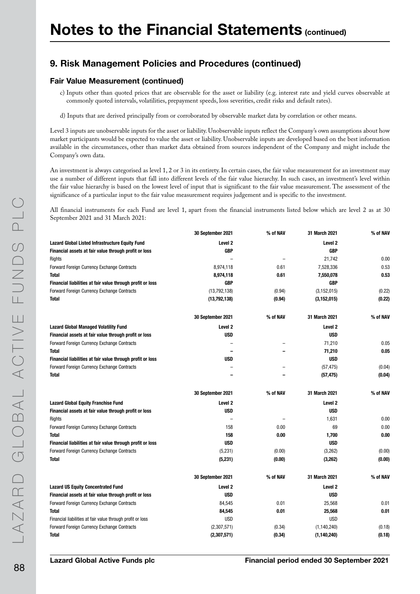#### Fair Value Measurement (continued)

- c) Inputs other than quoted prices that are observable for the asset or liability (e.g. interest rate and yield curves observable at commonly quoted intervals, volatilities, prepayment speeds, loss severities, credit risks and default rates).
- d) Inputs that are derived principally from or corroborated by observable market data by correlation or other means.

Level 3 inputs are unobservable inputs for the asset or liability. Unobservable inputs reflect the Company's own assumptions about how market participants would be expected to value the asset or liability. Unobservable inputs are developed based on the best information available in the circumstances, other than market data obtained from sources independent of the Company and might include the Company's own data.

An investment is always categorised as level 1, 2 or 3 in its entirety. In certain cases, the fair value measurement for an investment may use a number of different inputs that fall into different levels of the fair value hierarchy. In such cases, an investment's level within the fair value hierarchy is based on the lowest level of input that is significant to the fair value measurement. The assessment of the significance of a particular input to the fair value measurement requires judgement and is specific to the investment.

All financial instruments for each Fund are level 1, apart from the financial instruments listed below which are level 2 as at 30 September 2021 and 31 March 2021:

|                                                            | 30 September 2021  | % of NAV                 | 31 March 2021      | % of NAV |
|------------------------------------------------------------|--------------------|--------------------------|--------------------|----------|
| <b>Lazard Global Listed Infrastructure Equity Fund</b>     | Level <sub>2</sub> |                          | Level <sub>2</sub> |          |
| Financial assets at fair value through profit or loss      | <b>GBP</b>         |                          | <b>GBP</b>         |          |
| Rights                                                     |                    | $\overline{\phantom{0}}$ | 21,742             | 0.00     |
| Forward Foreign Currency Exchange Contracts                | 8,974,118          | 0.61                     | 7,528,336          | 0.53     |
| <b>Total</b>                                               | 8,974,118          | 0.61                     | 7,550,078          | 0.53     |
| Financial liabilities at fair value through profit or loss | GBP                |                          | <b>GBP</b>         |          |
| Forward Foreign Currency Exchange Contracts                | (13,792,138)       | (0.94)                   | (3, 152, 015)      | (0.22)   |
| <b>Total</b>                                               | (13,792,138)       | (0.94)                   | (3, 152, 015)      | (0.22)   |
|                                                            | 30 September 2021  | % of NAV                 | 31 March 2021      | % of NAV |
| <b>Lazard Global Managed Volatility Fund</b>               | Level <sub>2</sub> |                          | Level 2            |          |
| Financial assets at fair value through profit or loss      | <b>USD</b>         |                          | <b>USD</b>         |          |
| Forward Foreign Currency Exchange Contracts                |                    |                          | 71,210             | 0.05     |
| Total                                                      |                    |                          | 71,210             | 0.05     |
| Financial liabilities at fair value through profit or loss | <b>USD</b>         |                          | <b>USD</b>         |          |
| Forward Foreign Currency Exchange Contracts                |                    |                          | (57, 475)          | (0.04)   |
| <b>Total</b>                                               |                    |                          | (57, 475)          | (0.04)   |
|                                                            |                    |                          |                    |          |
|                                                            | 30 September 2021  | % of NAV                 | 31 March 2021      | % of NAV |
| <b>Lazard Global Equity Franchise Fund</b>                 | Level <sub>2</sub> |                          | Level 2            |          |
| Financial assets at fair value through profit or loss      | <b>USD</b>         |                          | <b>USD</b>         |          |
| Rights                                                     |                    |                          | 1.631              | 0.00     |
| Forward Foreign Currency Exchange Contracts                | 158                | 0.00                     | 69                 | 0.00     |
| <b>Total</b>                                               | 158                | 0.00                     | 1,700              | 0.00     |
| Financial liabilities at fair value through profit or loss | <b>USD</b>         |                          | <b>USD</b>         |          |
| Forward Foreign Currency Exchange Contracts                | (5, 231)           | (0.00)                   | (3,262)            | (0.00)   |
| <b>Total</b>                                               | (5, 231)           | (0.00)                   | (3,262)            | (0.00)   |
|                                                            | 30 September 2021  | % of NAV                 | 31 March 2021      | % of NAV |
| <b>Lazard US Equity Concentrated Fund</b>                  | Level <sub>2</sub> |                          | Level 2            |          |
| Financial assets at fair value through profit or loss      | <b>USD</b>         |                          | <b>USD</b>         |          |
| Forward Foreign Currency Exchange Contracts                | 84,545             | 0.01                     | 25,568             | 0.01     |
| <b>Total</b>                                               | 84,545             | 0.01                     | 25,568             | 0.01     |
| Financial liabilities at fair value through profit or loss | <b>USD</b>         |                          | <b>USD</b>         |          |
| Forward Foreign Currency Exchange Contracts                | (2,307,571)        | (0.34)                   | (1, 140, 240)      | (0.18)   |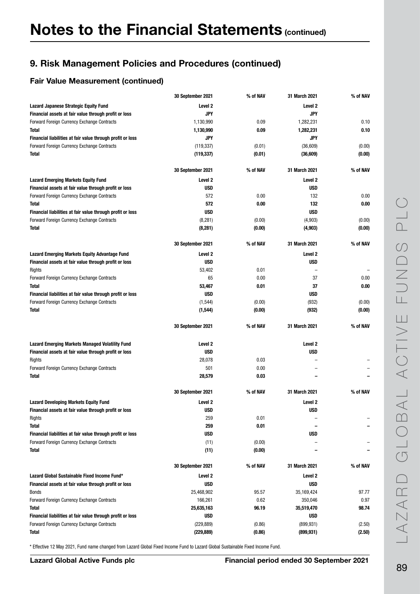#### Fair Value Measurement (continued)

|                                                            | 30 September 2021        | % of NAV         | 31 March 2021            | % of NAV         |
|------------------------------------------------------------|--------------------------|------------------|--------------------------|------------------|
| Lazard Japanese Strategic Equity Fund                      | Level 2                  |                  | Level <sub>2</sub>       |                  |
| Financial assets at fair value through profit or loss      | <b>JPY</b>               |                  | <b>JPY</b>               |                  |
| Forward Foreign Currency Exchange Contracts                | 1,130,990                | 0.09             | 1,282,231                | 0.10             |
| <b>Total</b>                                               | 1,130,990                | 0.09             | 1,282,231                | 0.10             |
| Financial liabilities at fair value through profit or loss | JPY                      |                  | JPY                      |                  |
| Forward Foreign Currency Exchange Contracts                | (119, 337)               | (0.01)           | (36, 609)                | (0.00)           |
| <b>Total</b>                                               | (119, 337)               | (0.01)           | (36, 609)                | (0.00)           |
|                                                            | 30 September 2021        | % of NAV         | 31 March 2021            | % of NAV         |
| <b>Lazard Emerging Markets Equity Fund</b>                 | Level <sub>2</sub>       |                  | Level <sub>2</sub>       |                  |
| Financial assets at fair value through profit or loss      | <b>USD</b>               |                  | <b>USD</b>               |                  |
| Forward Foreign Currency Exchange Contracts                | 572                      | 0.00             | 132                      | 0.00             |
| <b>Total</b>                                               | 572                      | 0.00             | 132                      | 0.00             |
| Financial liabilities at fair value through profit or loss | <b>USD</b>               |                  | <b>USD</b>               |                  |
| Forward Foreign Currency Exchange Contracts                | (8, 281)                 | (0.00)           | (4,903)                  | (0.00)           |
| <b>Total</b>                                               | (8,281)                  | (0.00)           | (4,903)                  | (0.00)           |
|                                                            | 30 September 2021        | % of NAV         | 31 March 2021            | % of NAV         |
| <b>Lazard Emerging Markets Equity Advantage Fund</b>       | Level 2                  |                  | Level <sub>2</sub>       |                  |
| Financial assets at fair value through profit or loss      | <b>USD</b>               |                  | USD                      |                  |
| Rights                                                     | 53,402                   | 0.01             |                          |                  |
| Forward Foreign Currency Exchange Contracts                | 65                       | 0.00             | 37                       | 0.00             |
| <b>Total</b>                                               | 53,467                   | 0.01             | 37                       | 0.00             |
| Financial liabilities at fair value through profit or loss | <b>USD</b>               |                  | <b>USD</b>               |                  |
| Forward Foreign Currency Exchange Contracts                | (1, 544)                 | (0.00)           | (932)                    | (0.00)           |
| <b>Total</b>                                               | (1, 544)                 | (0.00)           | (932)                    | (0.00)           |
|                                                            | 30 September 2021        | % of NAV         | 31 March 2021            | % of NAV         |
| <b>Lazard Emerging Markets Managed Volatility Fund</b>     | Level 2                  |                  | Level <sub>2</sub>       |                  |
| Financial assets at fair value through profit or loss      | <b>USD</b>               |                  | <b>USD</b>               |                  |
| Rights                                                     | 28,078                   | 0.03             |                          |                  |
| Forward Foreign Currency Exchange Contracts                | 501                      | 0.00             |                          |                  |
| <b>Total</b>                                               | 28,579                   | 0.03             |                          |                  |
|                                                            | 30 September 2021        | % of NAV         | 31 March 2021            | % of NAV         |
| <b>Lazard Developing Markets Equity Fund</b>               | Level <sub>2</sub>       |                  | Level <sub>2</sub>       |                  |
| Financial assets at fair value through profit or loss      | <b>USD</b>               |                  | USD                      |                  |
| Rights                                                     | 259                      | 0.01             |                          |                  |
| <b>Total</b>                                               | 259                      | 0.01             |                          |                  |
| Financial liabilities at fair value through profit or loss | <b>USD</b>               |                  | USD                      |                  |
| Forward Foreign Currency Exchange Contracts                | (11)                     | (0.00)           |                          |                  |
| <b>Total</b>                                               | (11)                     | (0.00)           |                          |                  |
|                                                            | 30 September 2021        | % of NAV         | 31 March 2021            | % of NAV         |
| Lazard Global Sustainable Fixed Income Fund*               | Level 2                  |                  | Level <sub>2</sub>       |                  |
| Financial assets at fair value through profit or loss      | USD                      |                  | <b>USD</b>               |                  |
| <b>Bonds</b>                                               | 25,468,902               | 95.57            | 35,169,424               | 97.77            |
| Forward Foreign Currency Exchange Contracts                | 166,261                  | 0.62             | 350,046                  | 0.97             |
| <b>Total</b>                                               | 25,635,163               | 96.19            | 35,519,470               | 98.74            |
| Financial liabilities at fair value through profit or loss | USD                      |                  | <b>USD</b>               |                  |
| Forward Foreign Currency Exchange Contracts                |                          |                  |                          |                  |
| <b>Total</b>                                               | (229, 889)<br>(229, 889) | (0.86)<br>(0.86) | (899, 931)<br>(899, 931) | (2.50)<br>(2.50) |

\* Effective 12 May 2021, Fund name changed from Lazard Global Fixed Income Fund to Lazard Global Sustainable Fixed Income Fund.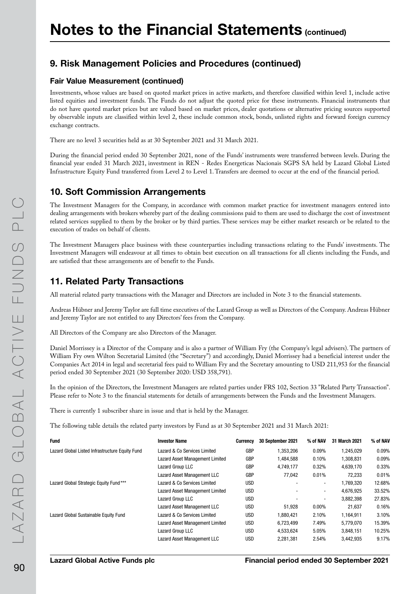#### Fair Value Measurement (continued)

Investments, whose values are based on quoted market prices in active markets, and therefore classified within level 1, include active listed equities and investment funds. The Funds do not adjust the quoted price for these instruments. Financial instruments that do not have quoted market prices but are valued based on market prices, dealer quotations or alternative pricing sources supported by observable inputs are classified within level 2, these include common stock, bonds, unlisted rights and forward foreign currency exchange contracts.

There are no level 3 securities held as at 30 September 2021 and 31 March 2021.

During the financial period ended 30 September 2021, none of the Funds' instruments were transferred between levels. During the financial year ended 31 March 2021, investment in REN - Redes Energeticas Nacionais SGPS SA held by Lazard Global Listed Infrastructure Equity Fund transferred from Level 2 to Level 1. Transfers are deemed to occur at the end of the financial period.

#### 10. Soft Commission Arrangements

The Investment Managers for the Company, in accordance with common market practice for investment managers entered into dealing arrangements with brokers whereby part of the dealing commissions paid to them are used to discharge the cost of investment related services supplied to them by the broker or by third parties. These services may be either market research or be related to the execution of trades on behalf of clients.

The Investment Managers place business with these counterparties including transactions relating to the Funds' investments. The Investment Managers will endeavour at all times to obtain best execution on all transactions for all clients including the Funds, and are satisfied that these arrangements are of benefit to the Funds.

### 11. Related Party Transactions

All material related party transactions with the Manager and Directors are included in Note 3 to the financial statements.

Andreas Hübner and Jeremy Taylor are full time executives of the Lazard Group as well as Directors of the Company. Andreas Hübner and Jeremy Taylor are not entitled to any Directors' fees from the Company.

All Directors of the Company are also Directors of the Manager.

Daniel Morrissey is a Director of the Company and is also a partner of William Fry (the Company's legal advisers). The partners of William Fry own Wilton Secretarial Limited (the "Secretary") and accordingly, Daniel Morrissey had a beneficial interest under the Companies Act 2014 in legal and secretarial fees paid to William Fry and the Secretary amounting to USD 211,953 for the financial period ended 30 September 2021 (30 September 2020: USD 358,791).

In the opinion of the Directors, the Investment Managers are related parties under FRS 102, Section 33 "Related Party Transaction". Please refer to Note 3 to the financial statements for details of arrangements between the Funds and the Investment Managers.

There is currently 1 subscriber share in issue and that is held by the Manager.

The following table details the related party investors by Fund as at 30 September 2021 and 31 March 2021:

| <b>Fund</b>                                     | <b>Investor Name</b>            | <b>Currency</b> | 30 September 2021        | % of NAV                 | 31 March 2021 | % of NAV |
|-------------------------------------------------|---------------------------------|-----------------|--------------------------|--------------------------|---------------|----------|
| Lazard Global Listed Infrastructure Equity Fund | Lazard & Co Services Limited    | GBP             | 1.353.206                | 0.09%                    | 1.245.029     | 0.09%    |
|                                                 | Lazard Asset Management Limited | <b>GBP</b>      | 1,484,588                | 0.10%                    | 1,308,831     | 0.09%    |
|                                                 | Lazard Group LLC                | <b>GBP</b>      | 4.749.177                | 0.32%                    | 4,639,170     | 0.33%    |
|                                                 | Lazard Asset Management LLC     | <b>GBP</b>      | 77.042                   | 0.01%                    | 72.233        | 0.01%    |
| Lazard Global Strategic Equity Fund***          | Lazard & Co Services Limited    | USD             | $\overline{\phantom{a}}$ | $\overline{\phantom{a}}$ | 1,769,320     | 12.68%   |
|                                                 | Lazard Asset Management Limited | <b>USD</b>      |                          |                          | 4.676.925     | 33.52%   |
|                                                 | Lazard Group LLC                | <b>USD</b>      |                          | $\overline{\phantom{a}}$ | 3.882.398     | 27.83%   |
|                                                 | Lazard Asset Management LLC     | USD             | 51.928                   | $0.00\%$                 | 21.637        | 0.16%    |
| Lazard Global Sustainable Equity Fund           | Lazard & Co Services Limited    | USD             | 1.880.421                | 2.10%                    | 1.164.911     | 3.10%    |
|                                                 | Lazard Asset Management Limited | USD             | 6.723.499                | 7.49%                    | 5.779.070     | 15.39%   |
|                                                 | Lazard Group LLC                | <b>USD</b>      | 4,533,624                | 5.05%                    | 3,848,151     | 10.25%   |
|                                                 | Lazard Asset Management LLC     | <b>USD</b>      | 2.281.381                | 2.54%                    | 3.442.935     | 9.17%    |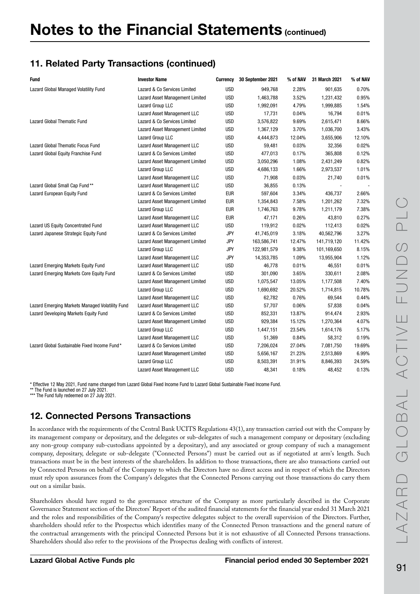# 11. Related Party Transactions (continued)

| <b>Fund</b>                                     | <b>Investor Name</b>               | Currency   | 30 September 2021 | % of NAV | 31 March 2021 | % of NAV |
|-------------------------------------------------|------------------------------------|------------|-------------------|----------|---------------|----------|
| Lazard Global Managed Volatility Fund           | Lazard & Co Services Limited       | <b>USD</b> | 949,768           | 2.28%    | 901,635       | 0.70%    |
|                                                 | Lazard Asset Management Limited    | <b>USD</b> | 1,463,788         | 3.52%    | 1,231,432     | 0.95%    |
|                                                 | Lazard Group LLC                   | <b>USD</b> | 1,992,091         | 4.79%    | 1,999,885     | 1.54%    |
|                                                 | Lazard Asset Management LLC        | <b>USD</b> | 17,731            | 0.04%    | 16,794        | 0.01%    |
| Lazard Global Thematic Fund                     | Lazard & Co Services Limited       | <b>USD</b> | 3,576,822         | 9.69%    | 2,615,471     | 8.66%    |
|                                                 | Lazard Asset Management Limited    | <b>USD</b> | 1,367,129         | 3.70%    | 1,036,700     | 3.43%    |
|                                                 | Lazard Group LLC                   | <b>USD</b> | 4,444,873         | 12.04%   | 3,655,906     | 12.10%   |
| Lazard Global Thematic Focus Fund               | Lazard Asset Management LLC        | <b>USD</b> | 59,481            | 0.03%    | 32,356        | 0.02%    |
| Lazard Global Equity Franchise Fund             | Lazard & Co Services Limited       | <b>USD</b> | 477,013           | 0.17%    | 365,808       | 0.12%    |
|                                                 | Lazard Asset Management Limited    | <b>USD</b> | 3,050,296         | 1.08%    | 2,431,249     | 0.82%    |
|                                                 | Lazard Group LLC                   | <b>USD</b> | 4,686,133         | 1.66%    | 2,973,537     | 1.01%    |
|                                                 | Lazard Asset Management LLC        | <b>USD</b> | 71,908            | 0.03%    | 21,740        | 0.01%    |
| Lazard Global Small Cap Fund**                  | Lazard Asset Management LLC        | <b>USD</b> | 36,855            | 0.13%    |               |          |
| Lazard European Equity Fund                     | Lazard & Co Services Limited       | <b>EUR</b> | 597,604           | 3.34%    | 436,737       | 2.66%    |
|                                                 | Lazard Asset Management Limited    | <b>EUR</b> | 1,354,843         | 7.58%    | 1,201,262     | 7.32%    |
|                                                 | Lazard Group LLC                   | <b>EUR</b> | 1,746,763         | 9.78%    | 1,211,179     | 7.38%    |
|                                                 | Lazard Asset Management LLC        | <b>EUR</b> | 47,171            | 0.26%    | 43,810        | 0.27%    |
| Lazard US Equity Concentrated Fund              | Lazard Asset Management LLC        | <b>USD</b> | 119,912           | 0.02%    | 112,413       | 0.02%    |
| Lazard Japanese Strategic Equity Fund           | Lazard & Co Services Limited       | <b>JPY</b> | 41,745,019        | 3.18%    | 40,562,796    | 3.27%    |
|                                                 | Lazard Asset Management Limited    | <b>JPY</b> | 163,586,741       | 12.47%   | 141,719,120   | 11.42%   |
|                                                 | Lazard Group LLC                   | <b>JPY</b> | 122,981,579       | 9.38%    | 101,169,650   | 8.15%    |
|                                                 | Lazard Asset Management LLC        | <b>JPY</b> | 14,353,785        | 1.09%    | 13,955,904    | 1.12%    |
| Lazard Emerging Markets Equity Fund             | Lazard Asset Management LLC        | <b>USD</b> | 46,778            | 0.01%    | 46,551        | 0.01%    |
| Lazard Emerging Markets Core Equity Fund        | Lazard & Co Services Limited       | <b>USD</b> | 301,090           | 3.65%    | 330,611       | 2.08%    |
|                                                 | Lazard Asset Management Limited    | <b>USD</b> | 1,075,547         | 13.05%   | 1,177,508     | 7.40%    |
|                                                 | Lazard Group LLC                   | <b>USD</b> | 1,690,692         | 20.52%   | 1,714,815     | 10.78%   |
|                                                 | Lazard Asset Management LLC        | <b>USD</b> | 62,782            | 0.76%    | 69,544        | 0.44%    |
| Lazard Emerging Markets Managed Volatility Fund | Lazard Asset Management LLC        | <b>USD</b> | 57,707            | 0.06%    | 57,838        | 0.04%    |
| Lazard Developing Markets Equity Fund           | Lazard & Co Services Limited       | <b>USD</b> | 852,331           | 13.87%   | 914,474       | 2.93%    |
|                                                 | Lazard Asset Management Limited    | <b>USD</b> | 929,384           | 15.12%   | 1,270,364     | 4.07%    |
|                                                 | Lazard Group LLC                   | <b>USD</b> | 1,447,151         | 23.54%   | 1,614,176     | 5.17%    |
|                                                 | Lazard Asset Management LLC        | <b>USD</b> | 51,369            | 0.84%    | 58,312        | 0.19%    |
| Lazard Global Sustainable Fixed Income Fund*    | Lazard & Co Services Limited       | <b>USD</b> | 7,206,024         | 27.04%   | 7,081,750     | 19.69%   |
|                                                 | Lazard Asset Management Limited    | <b>USD</b> | 5,656,167         | 21.23%   | 2,513,869     | 6.99%    |
|                                                 | Lazard Group LLC                   | <b>USD</b> | 8,503,391         | 31.91%   | 8,846,393     | 24.59%   |
|                                                 | <b>Lazard Asset Management LLC</b> | <b>USD</b> | 48.341            | 0.18%    | 48.452        | 0.13%    |

\* Effective 12 May 2021, Fund name changed from Lazard Global Fixed Income Fund to Lazard Global Sustainable Fixed Income Fund. \*\* The Fund is launched on 27 July 2021.

\*\*\* The Fund fully redeemed on 27 July 2021.

# 12. Connected Persons Transactions

In accordance with the requirements of the Central Bank UCITS Regulations 43(1), any transaction carried out with the Company by its management company or depositary, and the delegates or sub-delegates of such a management company or depositary (excluding any non-group company sub-custodians appointed by a depositary), and any associated or group company of such a management company, depositary, delegate or sub-delegate ("Connected Persons") must be carried out as if negotiated at arm's length. Such transactions must be in the best interests of the shareholders. In addition to those transactions, there are also transactions carried out by Connected Persons on behalf of the Company to which the Directors have no direct access and in respect of which the Directors must rely upon assurances from the Company's delegates that the Connected Persons carrying out those transactions do carry them out on a similar basis.

Shareholders should have regard to the governance structure of the Company as more particularly described in the Corporate Governance Statement section of the Directors' Report of the audited financial statements for the financial year ended 31 March 2021 and the roles and responsibilities of the Company's respective delegates subject to the overall supervision of the Directors. Further, shareholders should refer to the Prospectus which identifies many of the Connected Person transactions and the general nature of the contractual arrangements with the principal Connected Persons but it is not exhaustive of all Connected Persons transactions. Shareholders should also refer to the provisions of the Prospectus dealing with conflicts of interest.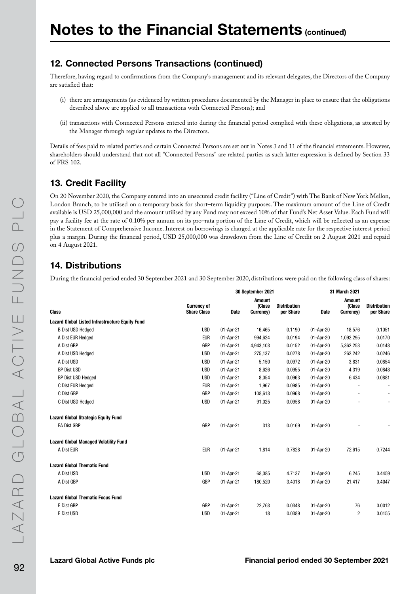### 12. Connected Persons Transactions (continued)

Therefore, having regard to confirmations from the Company's management and its relevant delegates, the Directors of the Company are satisfied that:

- (i) there are arrangements (as evidenced by written procedures documented by the Manager in place to ensure that the obligations described above are applied to all transactions with Connected Persons); and
- (ii) transactions with Connected Persons entered into during the financial period complied with these obligations, as attested by the Manager through regular updates to the Directors.

Details of fees paid to related parties and certain Connected Persons are set out in Notes 3 and 11 of the financial statements. However, shareholders should understand that not all "Connected Persons" are related parties as such latter expression is defined by Section 33 of FRS 102.

### 13. Credit Facility

On 20 November 2020, the Company entered into an unsecured credit facility ("Line of Credit") with The Bank of New York Mellon, London Branch, to be utilised on a temporary basis for short–term liquidity purposes. The maximum amount of the Line of Credit available is USD 25,000,000 and the amount utilised by any Fund may not exceed 10% of that Fund's Net Asset Value. Each Fund will pay a facility fee at the rate of 0.10% per annum on its pro–rata portion of the Line of Credit, which will be reflected as an expense in the Statement of Comprehensive Income. Interest on borrowings is charged at the applicable rate for the respective interest period plus a margin. During the financial period, USD 25,000,000 was drawdown from the Line of Credit on 2 August 2021 and repaid on 4 August 2021.

### 14. Distributions

During the financial period ended 30 September 2021 and 30 September 2020, distributions were paid on the following class of shares:

|                                                        | 30 September 2021                        |           |                               | 31 March 2021                    |             |                                      |                                  |
|--------------------------------------------------------|------------------------------------------|-----------|-------------------------------|----------------------------------|-------------|--------------------------------------|----------------------------------|
| <b>Class</b>                                           | <b>Currency of</b><br><b>Share Class</b> | Date      | Amount<br>(Class<br>Currency) | <b>Distribution</b><br>per Share | <b>Date</b> | <b>Amount</b><br>(Class<br>Currency) | <b>Distribution</b><br>per Share |
| <b>Lazard Global Listed Infrastructure Equity Fund</b> |                                          |           |                               |                                  |             |                                      |                                  |
| <b>B Dist USD Hedged</b>                               | <b>USD</b>                               | 01-Apr-21 | 16,465                        | 0.1190                           | 01-Apr-20   | 18,576                               | 0.1051                           |
| A Dist EUR Hedged                                      | <b>EUR</b>                               | 01-Apr-21 | 994,624                       | 0.0194                           | 01-Apr-20   | 1,092,295                            | 0.0170                           |
| A Dist GBP                                             | GBP                                      | 01-Apr-21 | 4,943,103                     | 0.0152                           | 01-Apr-20   | 5,362,253                            | 0.0148                           |
| A Dist USD Hedged                                      | <b>USD</b>                               | 01-Apr-21 | 275,137                       | 0.0278                           | 01-Apr-20   | 262,242                              | 0.0246                           |
| A Dist USD                                             | <b>USD</b>                               | 01-Apr-21 | 5,150                         | 0.0972                           | 01-Apr-20   | 3,831                                | 0.0854                           |
| <b>BP Dist USD</b>                                     | <b>USD</b>                               | 01-Apr-21 | 8,626                         | 0.0955                           | 01-Apr-20   | 4,319                                | 0.0848                           |
| BP Dist USD Hedged                                     | <b>USD</b>                               | 01-Apr-21 | 8,054                         | 0.0963                           | 01-Apr-20   | 6,434                                | 0.0881                           |
| C Dist EUR Hedged                                      | <b>EUR</b>                               | 01-Apr-21 | 1,967                         | 0.0985                           | 01-Apr-20   |                                      | $\overline{\phantom{a}}$         |
| C Dist GBP                                             | GBP                                      | 01-Apr-21 | 108,613                       | 0.0968                           | 01-Apr-20   |                                      | $\blacksquare$                   |
| C Dist USD Hedged                                      | <b>USD</b>                               | 01-Apr-21 | 91,025                        | 0.0958                           | 01-Apr-20   |                                      | $\blacksquare$                   |
| <b>Lazard Global Strategic Equity Fund</b>             |                                          |           |                               |                                  |             |                                      |                                  |
| <b>EA Dist GBP</b>                                     | GBP                                      | 01-Apr-21 | 313                           | 0.0169                           | 01-Apr-20   |                                      |                                  |
| <b>Lazard Global Managed Volatility Fund</b>           |                                          |           |                               |                                  |             |                                      |                                  |
| A Dist EUR                                             | <b>EUR</b>                               | 01-Apr-21 | 1,814                         | 0.7828                           | 01-Apr-20   | 72,615                               | 0.7244                           |
| <b>Lazard Global Thematic Fund</b>                     |                                          |           |                               |                                  |             |                                      |                                  |
| A Dist USD                                             | <b>USD</b>                               | 01-Apr-21 | 68,085                        | 4.7137                           | 01-Apr-20   | 6,245                                | 0.4459                           |
| A Dist GBP                                             | GBP                                      | 01-Apr-21 | 180,520                       | 3.4018                           | 01-Apr-20   | 21,417                               | 0.4047                           |
| <b>Lazard Global Thematic Focus Fund</b>               |                                          |           |                               |                                  |             |                                      |                                  |
| E Dist GBP                                             | GBP                                      | 01-Apr-21 | 22,763                        | 0.0348                           | 01-Apr-20   | 76                                   | 0.0012                           |
| E Dist USD                                             | <b>USD</b>                               | 01-Apr-21 | 18                            | 0.0389                           | 01-Apr-20   | 2                                    | 0.0155                           |
|                                                        |                                          |           |                               |                                  |             |                                      |                                  |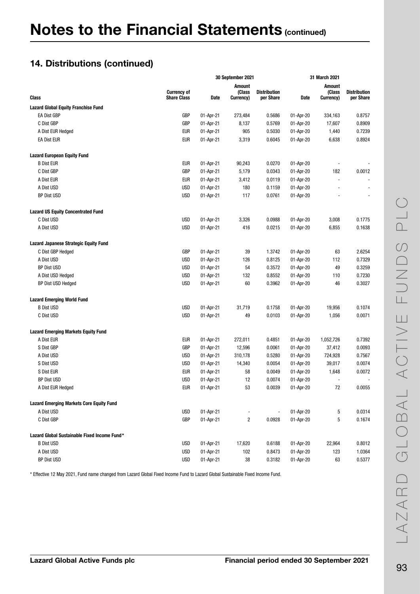### 14. Distributions (continued)

|                                                 | 30 September 2021                        |           |                                      | 31 March 2021                    |           |                                      |                                  |
|-------------------------------------------------|------------------------------------------|-----------|--------------------------------------|----------------------------------|-----------|--------------------------------------|----------------------------------|
| Class                                           | <b>Currency of</b><br><b>Share Class</b> | Date      | <b>Amount</b><br>(Class<br>Currency) | <b>Distribution</b><br>per Share | Date      | <b>Amount</b><br>(Class<br>Currency) | <b>Distribution</b><br>per Share |
| <b>Lazard Global Equity Franchise Fund</b>      |                                          |           |                                      |                                  |           |                                      |                                  |
| EA Dist GBP                                     | GBP                                      | 01-Apr-21 | 273,484                              | 0.5686                           | 01-Apr-20 | 334,163                              | 0.8757                           |
| C Dist GBP                                      | GBP                                      | 01-Apr-21 | 8,137                                | 0.5769                           | 01-Apr-20 | 17,607                               | 0.8909                           |
| A Dist EUR Hedged                               | <b>EUR</b>                               | 01-Apr-21 | 905                                  | 0.5030                           | 01-Apr-20 | 1,440                                | 0.7239                           |
| <b>EA Dist EUR</b>                              | <b>EUR</b>                               | 01-Apr-21 | 3,319                                | 0.6045                           | 01-Apr-20 | 6,638                                | 0.8924                           |
| <b>Lazard European Equity Fund</b>              |                                          |           |                                      |                                  |           |                                      |                                  |
| <b>B Dist EUR</b>                               | EUR                                      | 01-Apr-21 | 90,243                               | 0.0270                           | 01-Apr-20 | $\overline{a}$                       |                                  |
| C Dist GBP                                      | GBP                                      | 01-Apr-21 | 5,179                                | 0.0343                           | 01-Apr-20 | 182                                  | 0.0012                           |
| A Dist EUR                                      | <b>EUR</b>                               | 01-Apr-21 | 3,412                                | 0.0119                           | 01-Apr-20 | $\overline{a}$                       |                                  |
| A Dist USD                                      | <b>USD</b>                               | 01-Apr-21 | 180                                  | 0.1159                           | 01-Apr-20 |                                      |                                  |
| <b>BP Dist USD</b>                              | <b>USD</b>                               | 01-Apr-21 | 117                                  | 0.0761                           | 01-Apr-20 |                                      |                                  |
| <b>Lazard US Equity Concentrated Fund</b>       |                                          |           |                                      |                                  |           |                                      |                                  |
| C Dist USD                                      | <b>USD</b>                               | 01-Apr-21 | 3,326                                | 0.0988                           | 01-Apr-20 | 3,008                                | 0.1775                           |
| A Dist USD                                      | <b>USD</b>                               | 01-Apr-21 | 416                                  | 0.0215                           | 01-Apr-20 | 6,855                                | 0.1638                           |
| <b>Lazard Japanese Strategic Equity Fund</b>    |                                          |           |                                      |                                  |           |                                      |                                  |
| C Dist GBP Hedged                               | <b>GBP</b>                               | 01-Apr-21 | 39                                   | 1.3742                           | 01-Apr-20 | 63                                   | 2.6254                           |
| A Dist USD                                      | <b>USD</b>                               | 01-Apr-21 | 126                                  | 0.8125                           | 01-Apr-20 | 112                                  | 0.7329                           |
| <b>BP Dist USD</b>                              | <b>USD</b>                               | 01-Apr-21 | 54                                   | 0.3572                           | 01-Apr-20 | 49                                   | 0.3259                           |
| A Dist USD Hedged                               | <b>USD</b>                               | 01-Apr-21 | 132                                  | 0.8552                           | 01-Apr-20 | 110                                  | 0.7230                           |
| <b>BP Dist USD Hedged</b>                       | <b>USD</b>                               | 01-Apr-21 | 60                                   | 0.3962                           | 01-Apr-20 | 46                                   | 0.3027                           |
| <b>Lazard Emerging World Fund</b>               |                                          |           |                                      |                                  |           |                                      |                                  |
| <b>B Dist USD</b>                               | <b>USD</b>                               | 01-Apr-21 | 31,719                               | 0.1758                           | 01-Apr-20 | 19,956                               | 0.1074                           |
| C Dist USD                                      | <b>USD</b>                               | 01-Apr-21 | 49                                   | 0.0103                           | 01-Apr-20 | 1,056                                | 0.0071                           |
| <b>Lazard Emerging Markets Equity Fund</b>      |                                          |           |                                      |                                  |           |                                      |                                  |
| A Dist EUR                                      | EUR                                      | 01-Apr-21 | 272,011                              | 0.4851                           | 01-Apr-20 | 1,052,726                            | 0.7392                           |
| S Dist GBP                                      | GBP                                      | 01-Apr-21 | 12,596                               | 0.0061                           | 01-Apr-20 | 37,412                               | 0.0093                           |
| A Dist USD                                      | <b>USD</b>                               | 01-Apr-21 | 310,178                              | 0.5280                           | 01-Apr-20 | 724,928                              | 0.7567                           |
| S Dist USD                                      | <b>USD</b>                               | 01-Apr-21 | 14,340                               | 0.0054                           | 01-Apr-20 | 39,017                               | 0.0074                           |
| S Dist EUR                                      | <b>EUR</b>                               | 01-Apr-21 | 58                                   | 0.0049                           | 01-Apr-20 | 1,648                                | 0.0072                           |
| <b>BP Dist USD</b>                              | <b>USD</b>                               | 01-Apr-21 | 12                                   | 0.0074                           | 01-Apr-20 | $\overline{a}$                       |                                  |
| A Dist EUR Hedged                               | <b>EUR</b>                               | 01-Apr-21 | 53                                   | 0.0039                           | 01-Apr-20 | 72                                   | 0.0055                           |
| <b>Lazard Emerging Markets Core Equity Fund</b> |                                          |           |                                      |                                  |           |                                      |                                  |
| A Dist USD                                      | <b>USD</b>                               | 01-Apr-21 |                                      | $\frac{1}{2}$                    | 01-Apr-20 | 5                                    | 0.0314                           |
| C Dist GBP                                      | GBP                                      | 01-Apr-21 | $\overline{\mathbf{c}}$              | 0.0928                           | 01-Apr-20 | 5                                    | 0.1674                           |
| Lazard Global Sustainable Fixed Income Fund*    |                                          |           |                                      |                                  |           |                                      |                                  |
| <b>B Dist USD</b>                               | <b>USD</b>                               | 01-Apr-21 | 17,620                               | 0.6188                           | 01-Apr-20 | 22,964                               | 0.8012                           |
| A Dist USD                                      | <b>USD</b>                               | 01-Apr-21 | 102                                  | 0.8473                           | 01-Apr-20 | 123                                  | 1.0364                           |
| BP Dist USD                                     | <b>USD</b>                               | 01-Apr-21 | $38\,$                               | 0.3182                           | 01-Apr-20 | 63                                   | 0.5377                           |

\* Effective 12 May 2021, Fund name changed from Lazard Global Fixed Income Fund to Lazard Global Sustainable Fixed Income Fund.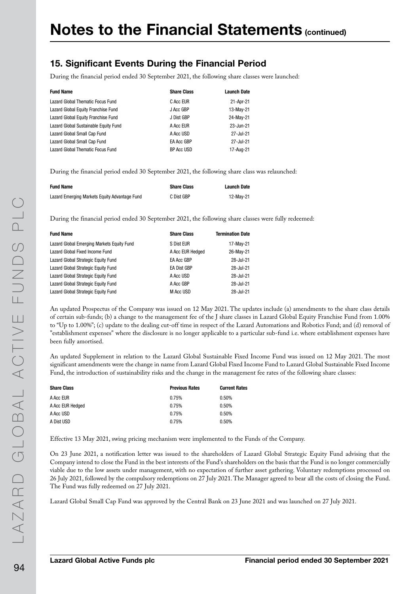### 15. Significant Events During the Financial Period

During the financial period ended 30 September 2021, the following share classes were launched:

| <b>Fund Name</b>                      | <b>Share Class</b> | <b>Launch Date</b> |
|---------------------------------------|--------------------|--------------------|
| Lazard Global Thematic Focus Fund     | C Acc EUR          | 21-Apr-21          |
| Lazard Global Equity Franchise Fund   | J Acc GBP          | 13-May-21          |
| Lazard Global Equity Franchise Fund   | J Dist GBP         | 24-May-21          |
| Lazard Global Sustainable Equity Fund | A Acc EUR          | 23-Jun-21          |
| Lazard Global Small Cap Fund          | A Acc USD          | 27-Jul-21          |
| Lazard Global Small Cap Fund          | EA Acc GBP         | 27-Jul-21          |
| Lazard Global Thematic Focus Fund     | <b>BP Acc USD</b>  | 17-Aug-21          |

During the financial period ended 30 September 2021, the following share class was relaunched:

| <b>Fund Name</b>                              | <b>Share Class</b> | Launch Date |
|-----------------------------------------------|--------------------|-------------|
| Lazard Emerging Markets Equity Advantage Fund | C Dist GBP         | 12-May-21   |

During the financial period ended 30 September 2021, the following share classes were fully redeemed:

| <b>Fund Name</b>                           | <b>Share Class</b> | <b>Termination Date</b> |
|--------------------------------------------|--------------------|-------------------------|
| Lazard Global Emerging Markets Equity Fund | S Dist EUR         | 17-May-21               |
| Lazard Global Fixed Income Fund            | A Acc EUR Hedged   | 26-May-21               |
| Lazard Global Strategic Equity Fund        | <b>EA Acc GBP</b>  | 28-Jul-21               |
| Lazard Global Strategic Equity Fund        | <b>EA Dist GBP</b> | 28-Jul-21               |
| Lazard Global Strategic Equity Fund        | A Acc USD          | 28-Jul-21               |
| Lazard Global Strategic Equity Fund        | A Acc GBP          | 28-Jul-21               |
| Lazard Global Strategic Equity Fund        | M Acc USD          | 28-Jul-21               |
|                                            |                    |                         |

An updated Prospectus of the Company was issued on 12 May 2021. The updates include (a) amendments to the share class details of certain sub-funds; (b) a change to the management fee of the J share classes in Lazard Global Equity Franchise Fund from 1.00% to "Up to 1.00%"; (c) update to the dealing cut-off time in respect of the Lazard Automations and Robotics Fund; and (d) removal of "establishment expenses" where the disclosure is no longer applicable to a particular sub-fund i.e. where establishment expenses have been fully amortised.

An updated Supplement in relation to the Lazard Global Sustainable Fixed Income Fund was issued on 12 May 2021. The most significant amendments were the change in name from Lazard Global Fixed Income Fund to Lazard Global Sustainable Fixed Income Fund, the introduction of sustainability risks and the change in the management fee rates of the following share classes:

| <b>Current Rates</b> |
|----------------------|
| 0.50%                |
| 0.50%                |
| 0.50%                |
| 0.50%                |
|                      |

Effective 13 May 2021, swing pricing mechanism were implemented to the Funds of the Company.

On 23 June 2021, a notification letter was issued to the shareholders of Lazard Global Strategic Equity Fund advising that the Company intend to close the Fund in the best interests of the Fund's shareholders on the basis that the Fund is no longer commercially viable due to the low assets under management, with no expectation of further asset gathering. Voluntary redemptions processed on 26 July 2021, followed by the compulsory redemptions on 27 July 2021. The Manager agreed to bear all the costs of closing the Fund. The Fund was fully redeemed on 27 July 2021.

Lazard Global Small Cap Fund was approved by the Central Bank on 23 June 2021 and was launched on 27 July 2021.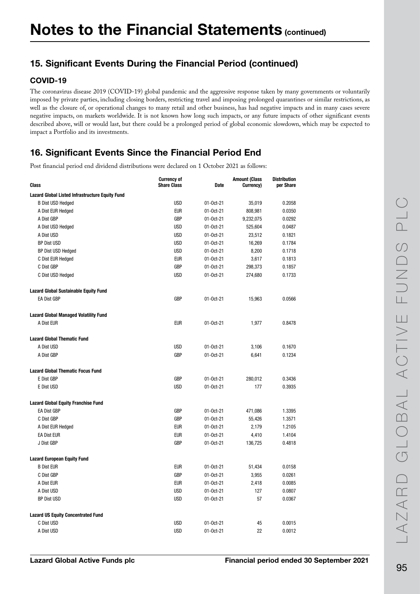# 15. Significant Events During the Financial Period (continued)

#### COVID-19

The coronavirus disease 2019 (COVID-19) global pandemic and the aggressive response taken by many governments or voluntarily imposed by private parties, including closing borders, restricting travel and imposing prolonged quarantines or similar restrictions, as well as the closure of, or operational changes to many retail and other business, has had negative impacts and in many cases severe negative impacts, on markets worldwide. It is not known how long such impacts, or any future impacts of other significant events described above, will or would last, but there could be a prolonged period of global economic slowdown, which may be expected to impact a Portfolio and its investments.

# 16. Significant Events Since the Financial Period End

Post financial period end dividend distributions were declared on 1 October 2021 as follows:

| <b>Class</b>                                    | <b>Currency of</b><br><b>Share Class</b> | <b>Date</b>     | <b>Amount (Class</b><br>Currency) | <b>Distribution</b><br>per Share |
|-------------------------------------------------|------------------------------------------|-----------------|-----------------------------------|----------------------------------|
| Lazard Global Listed Infrastructure Equity Fund |                                          |                 |                                   |                                  |
| <b>B Dist USD Hedged</b>                        | <b>USD</b>                               | 01-0ct-21       | 35,019                            | 0.2058                           |
| A Dist EUR Hedged                               | <b>EUR</b>                               | $01 - 0ct - 21$ | 808,981                           | 0.0350                           |
| A Dist GBP                                      | GBP                                      | 01-0ct-21       | 9,232,075                         | 0.0292                           |
| A Dist USD Hedged                               | <b>USD</b>                               | 01-0ct-21       | 525,604                           | 0.0487                           |
| A Dist USD                                      | <b>USD</b>                               | $01 - 0ct - 21$ | 23,512                            | 0.1821                           |
| <b>BP Dist USD</b>                              | <b>USD</b>                               | 01-Oct-21       | 16,269                            | 0.1784                           |
| <b>BP Dist USD Hedged</b>                       | <b>USD</b>                               | 01-0ct-21       | 8,200                             | 0.1718                           |
| C Dist EUR Hedged                               | <b>EUR</b>                               | $01 - 0ct - 21$ | 3,617                             | 0.1813                           |
| C Dist GBP                                      | GBP                                      | 01-Oct-21       | 298,373                           | 0.1857                           |
| C Dist USD Hedged                               | <b>USD</b>                               | 01-0ct-21       | 274,680                           | 0.1733                           |
| <b>Lazard Global Sustainable Equity Fund</b>    |                                          |                 |                                   |                                  |
| <b>EA Dist GBP</b>                              | GBP                                      | 01-0ct-21       | 15,963                            | 0.0566                           |
| <b>Lazard Global Managed Volatility Fund</b>    |                                          |                 |                                   |                                  |
| A Dist EUR                                      | <b>EUR</b>                               | $01 - 0ct - 21$ | 1,977                             | 0.8478                           |
| <b>Lazard Global Thematic Fund</b>              |                                          |                 |                                   |                                  |
| A Dist USD                                      | <b>USD</b>                               | 01-0ct-21       | 3,106                             | 0.1670                           |
| A Dist GBP                                      | GBP                                      | 01-0ct-21       | 6,641                             | 0.1234                           |
| <b>Lazard Global Thematic Focus Fund</b>        |                                          |                 |                                   |                                  |
| E Dist GBP                                      | GBP                                      | 01-0ct-21       | 280,012                           | 0.3436                           |
| E Dist USD                                      | <b>USD</b>                               | $01 - 0ct - 21$ | 177                               | 0.3935                           |
| <b>Lazard Global Equity Franchise Fund</b>      |                                          |                 |                                   |                                  |
| <b>EA Dist GBP</b>                              | GBP                                      | $01 - 0ct - 21$ | 471,086                           | 1.3395                           |
| C Dist GBP                                      | GBP                                      | 01-0ct-21       | 55,426                            | 1.3571                           |
| A Dist EUR Hedged                               | <b>EUR</b>                               | 01-0ct-21       | 2,179                             | 1.2105                           |
| <b>EA Dist EUR</b>                              | <b>EUR</b>                               | 01-0ct-21       | 4,410                             | 1.4104                           |
| J Dist GBP                                      | <b>GBP</b>                               | 01-0ct-21       | 136,725                           | 0.4818                           |
| <b>Lazard European Equity Fund</b>              |                                          |                 |                                   |                                  |
| <b>B</b> Dist EUR                               | <b>EUR</b>                               | $01 - 0ct - 21$ | 51,434                            | 0.0158                           |
| C Dist GBP                                      | <b>GBP</b>                               | 01-0ct-21       | 3,955                             | 0.0261                           |
| A Dist EUR                                      | <b>EUR</b>                               | 01-0ct-21       | 2,418                             | 0.0085                           |
| A Dist USD                                      | <b>USD</b>                               | 01-0ct-21       | 127                               | 0.0807                           |
| <b>BP Dist USD</b>                              | <b>USD</b>                               | $01 - 0ct - 21$ | 57                                | 0.0367                           |
| <b>Lazard US Equity Concentrated Fund</b>       |                                          |                 |                                   |                                  |
| C Dist USD                                      | <b>USD</b>                               | $01 - Oct-21$   | 45                                | 0.0015                           |
| A Dist USD                                      | <b>USD</b>                               | $01 - 0ct - 21$ | 22                                | 0.0012                           |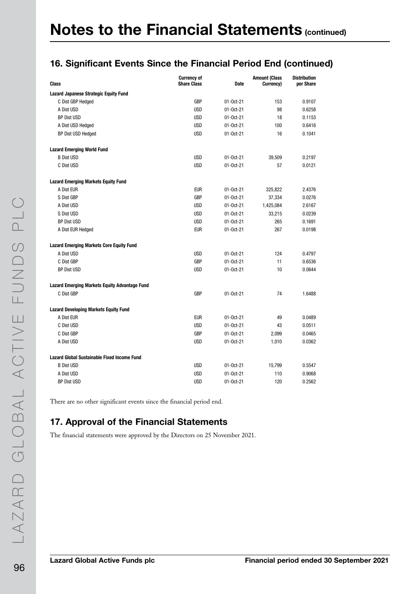## 16. Significant Events Since the Financial Period End (continued)

| <b>Class</b>                                         | <b>Currency of</b><br><b>Share Class</b> | <b>Date</b>     | <b>Amount (Class</b><br>Currency) | <b>Distribution</b><br>per Share |
|------------------------------------------------------|------------------------------------------|-----------------|-----------------------------------|----------------------------------|
| <b>Lazard Japanese Strategic Equity Fund</b>         |                                          |                 |                                   |                                  |
| C Dist GBP Hedged                                    | GBP                                      | $01 - 0ct - 21$ | 153                               | 0.9107                           |
| A Dist USD                                           | <b>USD</b>                               | 01-0ct-21       | 98                                | 0.6258                           |
| <b>BP Dist USD</b>                                   | <b>USD</b>                               | 01-0ct-21       | 18                                | 0.1153                           |
| A Dist USD Hedged                                    | <b>USD</b>                               | 01-0ct-21       | 100                               | 0.6416                           |
| <b>BP Dist USD Hedged</b>                            | <b>USD</b>                               | 01-0ct-21       | 16                                | 0.1041                           |
| <b>Lazard Emerging World Fund</b>                    |                                          |                 |                                   |                                  |
| <b>B Dist USD</b>                                    | <b>USD</b>                               | 01-0ct-21       | 39,509                            | 0.2197                           |
| C Dist USD                                           | <b>USD</b>                               | 01-0ct-21       | 57                                | 0.0121                           |
| <b>Lazard Emerging Markets Equity Fund</b>           |                                          |                 |                                   |                                  |
| A Dist EUR                                           | <b>EUR</b>                               | $01 - 0ct - 21$ | 325,822                           | 2.4376                           |
| S Dist GBP                                           | GBP                                      | $01 - 0ct - 21$ | 37,334                            | 0.0276                           |
| A Dist USD                                           | <b>USD</b>                               | 01-0ct-21       | 1,425,084                         | 2.6167                           |
| S Dist USD                                           | <b>USD</b>                               | 01-0ct-21       | 33,215                            | 0.0239                           |
| <b>BP Dist USD</b>                                   | <b>USD</b>                               | $01 - 0ct - 21$ | 265                               | 0.1691                           |
| A Dist EUR Hedged                                    | <b>EUR</b>                               | 01-0ct-21       | 267                               | 0.0198                           |
| <b>Lazard Emerging Markets Core Equity Fund</b>      |                                          |                 |                                   |                                  |
| A Dist USD                                           | <b>USD</b>                               | 01-0ct-21       | 124                               | 0.4797                           |
| C Dist GBP                                           | GBP                                      | $01 - 0ct - 21$ | 11                                | 0.6536                           |
| <b>BP Dist USD</b>                                   | <b>USD</b>                               | 01-0ct-21       | 10                                | 0.0644                           |
| <b>Lazard Emerging Markets Equity Advantage Fund</b> |                                          |                 |                                   |                                  |
| C Dist GBP                                           | <b>GBP</b>                               | $01 - 0ct - 21$ | 74                                | 1.6488                           |
| <b>Lazard Developing Markets Equity Fund</b>         |                                          |                 |                                   |                                  |
| A Dist EUR                                           | <b>EUR</b>                               | 01-0ct-21       | 49                                | 0.0489                           |
| C Dist USD                                           | <b>USD</b>                               | 01-0ct-21       | 43                                | 0.0511                           |
| C Dist GBP                                           | <b>GBP</b>                               | 01-0ct-21       | 2,099                             | 0.0465                           |
| A Dist USD                                           | <b>USD</b>                               | 01-0ct-21       | 1,010                             | 0.0362                           |
| Lazard Global Sustainable Fixed Income Fund          |                                          |                 |                                   |                                  |
| <b>B</b> Dist USD                                    | <b>USD</b>                               | 01-0ct-21       | 15,799                            | 0.5547                           |
| A Dist USD                                           | <b>USD</b>                               | 01-0ct-21       | 110                               | 0.9068                           |
| <b>BP Dist USD</b>                                   | <b>USD</b>                               | $01 - 0ct - 21$ | 120                               | 0.2562                           |

There are no other significant events since the financial period end.

### 17. Approval of the Financial Statements

The financial statements were approved by the Directors on 25 November 2021.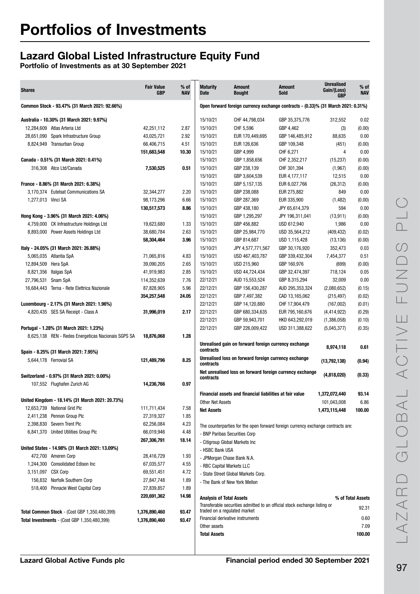# Lazard Global Listed Infrastructure Equity Fund

| <b>Shares</b>                                        | <b>Fair Value</b><br><b>GBP</b> | % of<br><b>NAV</b> | <b>Maturity</b><br><b>Date</b> | Amount<br>Bought                                                                  | <b>Amount</b><br>Sold | <b>Unrealised</b><br>Gain/(Loss)<br><b>GBP</b> | % of<br><b>NAV</b> |
|------------------------------------------------------|---------------------------------|--------------------|--------------------------------|-----------------------------------------------------------------------------------|-----------------------|------------------------------------------------|--------------------|
| Common Stock - 93.47% (31 March 2021: 92.66%)        |                                 |                    |                                | Open forward foreign currency exchange contracts - (0.33)% (31 March 2021: 0.31%) |                       |                                                |                    |
| Australia - 10.30% (31 March 2021: 9.97%)            |                                 |                    | 15/10/21                       | CHF 44,798,034                                                                    | GBP 35,375,776        | 312,552                                        | 0.02               |
| 12,284,609 Atlas Arteria Ltd                         | 42,251,112                      | 2.87               | 15/10/21                       | CHF 5,596                                                                         | GBP 4,462             | (3)                                            | (0.00)             |
| 28,651,090<br>Spark Infrastructure Group             | 43,025,721                      | 2.92               | 15/10/21                       | EUR 170,449,695                                                                   | GBP 146,485,912       | 88,635                                         | 0.00               |
| 8,824,949 Transurban Group                           | 66,406,715                      | 4.51               | 15/10/21                       | EUR 126,636                                                                       | GBP 109,348           | (451)                                          | (0.00)             |
|                                                      | 151,683,548                     | 10.30              | 15/10/21                       | GBP 4,999                                                                         | CHF 6,271             | 4                                              | 0.00               |
| Canada - 0.51% (31 March 2021: 0.41%)                |                                 |                    | 15/10/21                       | GBP 1,858,656                                                                     | CHF 2,352,217         | (15, 237)                                      | (0.00)             |
| 316,308 Atco Ltd/Canada                              | 7,530,525                       | 0.51               | 15/10/21                       | GBP 238,139                                                                       | CHF 301,394           | (1, 967)                                       | (0.00)             |
|                                                      |                                 |                    | 15/10/21                       | GBP 3,604,539                                                                     | EUR 4,177,117         | 12,515                                         | 0.00               |
| France - 8.86% (31 March 2021: 6.38%)                |                                 |                    | 15/10/21                       | GBP 5,157,135                                                                     | EUR 6,027,766         | (26, 312)                                      | (0.00)             |
| 3,170,374 Eutelsat Communications SA                 | 32,344,277                      | 2.20               | 15/10/21                       | GBP 238,088                                                                       | EUR 275,882           | 849                                            | 0.00               |
| 1,277,013 Vinci SA                                   | 98,173,296                      | 6.66               | 15/10/21                       | GBP 287,369                                                                       | EUR 335,900           | (1, 482)                                       | (0.00)             |
|                                                      | 130,517,573                     | 8.86               | 15/10/21                       | GBP 438,180                                                                       | JPY 65,614,379        | 594                                            | 0.00               |
| Hong Kong - 3.96% (31 March 2021: 4.06%)             |                                 |                    | 15/10/21                       | GBP 1,295,297                                                                     | JPY 196,311,041       | (13, 911)                                      | (0.00)             |
| 4,759,000 CK Infrastructure Holdings Ltd             | 19,623,680                      | 1.33               | 15/10/21                       | GBP 456,882                                                                       | USD 612,940           | 1,986                                          | 0.00               |
| 8,893,000 Power Assets Holdings Ltd                  | 38,680,784                      | 2.63               | 15/10/21                       | GBP 25,984,770                                                                    | USD 35,564,212        | (409, 432)                                     | (0.02)             |
|                                                      | 58,304,464                      | 3.96               | 15/10/21                       | GBP 814,687                                                                       | USD 1,115,428         | (13, 136)                                      | (0.00)             |
| Italy - 24.05% (31 March 2021: 26.88%)               |                                 |                    | 15/10/21                       | JPY 4,577,771,567                                                                 | GBP 30.176.920        | 352.473                                        | 0.03               |
| 5,065,035 Atlantia SpA                               | 71,065,816                      | 4.83               | 15/10/21                       | USD 467,403,787                                                                   | GBP 339,432,304       | 7,454,377                                      | 0.51               |
| 12,894,509 Hera SpA                                  | 39.090.205                      | 2.65               | 15/10/21                       | USD 215,960                                                                       | GBP 160,976           | (699)                                          | (0.00)             |
| 8,821,356 Italgas SpA                                | 41,919,983                      | 2.85               | 15/10/21                       | USD 44,724,434                                                                    | GBP 32,474,397        | 718,124                                        | 0.05               |
| 27,796,531<br>Snam SpA                               | 114,352,639                     | 7.76               | 22/12/21                       | AUD 15,553,524                                                                    | GBP 8,315,294         | 32,009                                         | 0.00               |
| 16,684,443 Terna - Rete Elettrica Nazionale          | 87,828,905                      | 5.96               | 22/12/21                       | GBP 156,430,287                                                                   | AUD 295,353,324       | (2,080,652)                                    | (0.15)             |
|                                                      | 354,257,548                     | 24.05              | 22/12/21                       | GBP 7,497,382                                                                     | CAD 13,165,062        | (215, 497)                                     | (0.02)             |
| Luxembourg - 2.17% (31 March 2021: 1.96%)            |                                 |                    | 22/12/21                       | GBP 14,120,880                                                                    | CHF 17,904,479        | (167,002)                                      | (0.01)             |
| 4,820,435 SES SA Receipt - Class A                   | 31,996,019                      | 2.17               | 22/12/21                       | GBP 680,334,635                                                                   | EUR 795,160,676       | (4, 414, 922)                                  | (0.29)             |
|                                                      |                                 |                    | 22/12/21                       | GBP 59,943,701                                                                    | HKD 643,292,019       | (1,386,058)                                    | (0.10)             |
| Portugal - 1.28% (31 March 2021: 1.23%)              |                                 |                    | 22/12/21                       | GBP 226,009,422                                                                   | USD 311,388,622       | (5,045,377)                                    | (0.35)             |
| 8,625,138 REN - Redes Energeticas Nacionais SGPS SA  | 18,876,068                      | 1.28               |                                |                                                                                   |                       |                                                |                    |
| Spain - 8.25% (31 March 2021: 7.95%)                 |                                 |                    | contracts                      | Unrealised gain on forward foreign currency exchange                              |                       | 8,974,118                                      | 0.61               |
| 5,644,178 Ferrovial SA                               | 121,489,796                     | 8.25               | contracts                      | Unrealised loss on forward foreign currency exchange                              |                       | (13,792,138)                                   | (0.94)             |
| Switzerland - 0.97% (31 March 2021: 0.00%)           |                                 |                    | contracts                      | Net unrealised loss on forward foreign currency exchange                          |                       | (4,818,020)                                    | (0.33)             |
| 107,552 Flughafen Zurich AG                          | 14,236,766                      | 0.97               |                                | Financial assets and financial liabilities at fair value                          |                       | 1,372,072,440                                  | 93.14              |
| United Kingdom - 18.14% (31 March 2021: 20.73%)      |                                 |                    | <b>Other Net Assets</b>        |                                                                                   |                       | 101,043,008                                    | 6.86               |
| 12,653,739 National Grid Plc                         | 111,711,434                     | 7.58               | <b>Net Assets</b>              |                                                                                   |                       | 1,473,115,448                                  | 100.00             |
| 2,411,238 Pennon Group Plc                           | 27,319,327                      | 1.85               |                                |                                                                                   |                       |                                                |                    |
| 2,398,830 Severn Trent Plc                           | 62,256,084                      | 4.23               |                                | The counterparties for the open forward foreign currency exchange contracts are:  |                       |                                                |                    |
| 6,841,370 United Utilities Group Plc                 | 66,019,946                      | 4.48               |                                | - BNP Paribas Securities Corp                                                     |                       |                                                |                    |
|                                                      | 267,306,791                     | 18.14              |                                | - Citigroup Global Markets Inc                                                    |                       |                                                |                    |
| United States - 14.98% (31 March 2021: 13.09%)       |                                 |                    | - HSBC Bank USA                |                                                                                   |                       |                                                |                    |
| 472,700 Ameren Corp                                  | 28,416,729                      | 1.93               |                                | - JPMorgan Chase Bank N.A.                                                        |                       |                                                |                    |
| 1,244,300 Consolidated Edison Inc                    | 67,035,577                      | 4.55               |                                | - RBC Capital Markets LLC                                                         |                       |                                                |                    |
| 3,151,097 CSX Corp                                   | 69,551,451                      | 4.72               |                                | - State Street Global Markets Corp.                                               |                       |                                                |                    |
| 156,832 Norfolk Southern Corp                        | 27,847,748                      | 1.89               |                                | - The Bank of New York Mellon                                                     |                       |                                                |                    |
| 518,400 Pinnacle West Capital Corp                   | 27,839,857                      | 1.89               |                                |                                                                                   |                       |                                                |                    |
|                                                      | 220,691,362                     | 14.98              | Analysis of Total Assets       |                                                                                   |                       |                                                | % of Total Assets  |
|                                                      |                                 |                    |                                | Transferable securities admitted to an official stock exchange listing or         |                       |                                                |                    |
| <b>Total Common Stock - (Cost GBP 1,350,480,399)</b> | 1,376,890,460                   | 93.47              |                                | traded on a regulated market                                                      |                       |                                                | 92.31              |
| <b>Total Investments - (Cost GBP 1,350,480,399)</b>  | 1,376,890,460                   | 93.47              |                                | Financial derivative instruments                                                  |                       |                                                | 0.60               |
|                                                      |                                 |                    | Other assets                   |                                                                                   |                       |                                                | 7.09               |
|                                                      |                                 |                    | <b>Total Assets</b>            |                                                                                   |                       |                                                | 100.00             |
|                                                      |                                 |                    |                                |                                                                                   |                       |                                                |                    |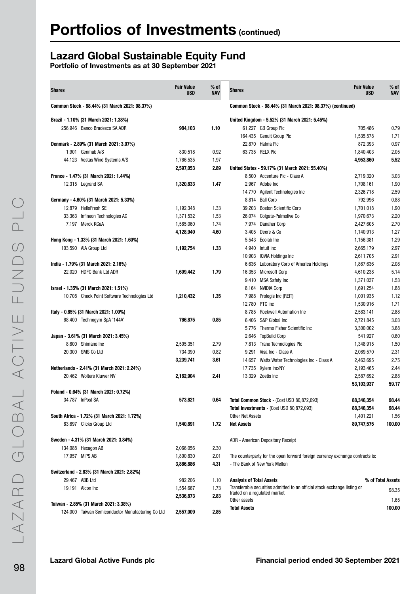# Lazard Global Sustainable Equity Fund

| <b>Shares</b>                                     | <b>Fair Value</b><br><b>USD</b> | $%$ of<br><b>NAV</b> | <b>Shares</b>                   |                                                                               | <b>Fair Value</b><br><b>USD</b> | $%$ of<br><b>NAV</b> |
|---------------------------------------------------|---------------------------------|----------------------|---------------------------------|-------------------------------------------------------------------------------|---------------------------------|----------------------|
| Common Stock - 98.44% (31 March 2021: 98.37%)     |                                 |                      |                                 | Common Stock - 98.44% (31 March 2021: 98.37%) (continued)                     |                                 |                      |
| Brazil - 1.10% (31 March 2021: 1.38%)             |                                 |                      |                                 | United Kingdom - 5.52% (31 March 2021: 5.45%)                                 |                                 |                      |
| 256,946 Banco Bradesco SA ADR                     | 984,103                         | 1.10                 |                                 | 61,227 GB Group Plc                                                           | 705,486                         | 0.79                 |
|                                                   |                                 |                      |                                 | 164,435 Genuit Group Plc                                                      | 1,535,578                       | 1.71                 |
| Denmark - 2.89% (31 March 2021: 3.07%)            |                                 |                      |                                 | 22,870 Halma Plc                                                              | 872,393                         | 0.97                 |
| 1,901 Genmab A/S                                  | 830,518                         | 0.92                 |                                 | 63.735 RELX Plc                                                               | 1,840,403                       | 2.05                 |
| 44,123 Vestas Wind Systems A/S                    | 1,766,535                       | 1.97                 |                                 |                                                                               | 4,953,860                       | 5.52                 |
|                                                   | 2,597,053                       | 2.89                 |                                 | United States - 59.17% (31 March 2021: 55.40%)                                |                                 |                      |
| France - 1.47% (31 March 2021: 1.44%)             |                                 |                      |                                 | 8,500 Accenture Plc - Class A                                                 | 2,719,320                       | 3.03                 |
| 12,315 Legrand SA                                 | 1,320,833                       | 1.47                 |                                 | 2,967 Adobe Inc                                                               | 1,708,161                       | 1.90                 |
|                                                   |                                 |                      |                                 | 14,770 Agilent Technologies Inc                                               | 2,326,718                       | 2.59                 |
| Germany - 4.60% (31 March 2021: 5.33%)            |                                 |                      |                                 | 8,814 Ball Corp                                                               | 792,996                         | 0.88                 |
| 12,879 HelloFresh SE                              | 1,192,348                       | 1.33                 |                                 | 39,203 Boston Scientific Corp                                                 | 1,701,018                       | 1.90                 |
| 33,363 Infineon Technologies AG                   | 1,371,532                       | 1.53                 |                                 | 26,074 Colgate-Palmolive Co                                                   | 1,970,673                       | 2.20                 |
| 7.197 Merck KGaA                                  | 1,565,060                       | 1.74                 |                                 | 7,974 Danaher Corp                                                            | 2,427,605                       | 2.70                 |
|                                                   | 4,128,940                       | 4.60                 |                                 | 3.405 Deere & Co                                                              | 1,140,913                       | 1.27                 |
| Hong Kong - 1.33% (31 March 2021: 1.60%)          |                                 |                      |                                 | 5,543 Ecolab Inc                                                              | 1,156,381                       | 1.29                 |
| 103,590 AIA Group Ltd                             | 1,192,754                       | 1.33                 |                                 | 4,940 Intuit Inc                                                              | 2,665,179                       | 2.97                 |
|                                                   |                                 |                      |                                 | 10,903 IQVIA Holdings Inc                                                     | 2,611,705                       | 2.91                 |
| India - 1.79% (31 March 2021: 2.16%)              |                                 |                      |                                 | 6,636 Laboratory Corp of America Holdings                                     | 1,867,636                       | 2.08                 |
| 22,020 HDFC Bank Ltd ADR                          | 1,609,442                       | 1.79                 |                                 | 16,353 Microsoft Corp                                                         | 4,610,238                       | 5.14                 |
|                                                   |                                 |                      |                                 | 9,410 MSA Safety Inc                                                          | 1,371,037                       | 1.53                 |
| Israel - 1.35% (31 March 2021: 1.51%)             |                                 |                      |                                 | 8,164 NVIDIA Corp                                                             | 1,691,254                       | 1.88                 |
| 10,708 Check Point Software Technologies Ltd      | 1,210,432                       | 1.35                 |                                 | 7,988 Prologis Inc (REIT)                                                     | 1,001,935                       | 1.12                 |
|                                                   |                                 |                      |                                 | 12,780 PTC Inc                                                                | 1,530,916                       | 1.71                 |
| Italy - 0.85% (31 March 2021: 1.00%)              |                                 |                      |                                 | 8,785 Rockwell Automation Inc                                                 | 2,583,141                       | 2.88                 |
| 68,400 Technogym SpA '144A'                       | 766,875                         | 0.85                 |                                 | 6,406 S&P Global Inc                                                          | 2,721,845                       | 3.03                 |
|                                                   |                                 |                      |                                 | 5,776 Thermo Fisher Scientific Inc                                            | 3,300,002                       | 3.68                 |
| Japan - 3.61% (31 March 2021: 3.45%)              |                                 |                      |                                 | 2,646 TopBuild Corp                                                           | 541,927                         | 0.60                 |
| 8,600 Shimano Inc                                 | 2,505,351                       | 2.79                 |                                 | 7,813 Trane Technologies Plc                                                  | 1,348,915                       | 1.50                 |
| 20,300 SMS Co Ltd                                 | 734,390                         | 0.82                 |                                 | 9,291 Visa Inc - Class A                                                      | 2,069,570                       | 2.31                 |
|                                                   | 3,239,741                       | 3.61                 |                                 | 14,657 Watts Water Technologies Inc - Class A                                 | 2,463,695                       | 2.75                 |
| Netherlands - 2.41% (31 March 2021: 2.24%)        |                                 |                      |                                 | 17,735 Xylem Inc/NY                                                           | 2,193,465                       | 2.44                 |
| 20,462 Wolters Kluwer NV                          | 2,162,904                       | 2.41                 |                                 | 13,329 Zoetis Inc                                                             | 2,587,692                       | 2.88                 |
|                                                   |                                 |                      |                                 |                                                                               | 53,103,937                      | 59.17                |
| Poland - 0.64% (31 March 2021: 0.72%)             |                                 |                      |                                 |                                                                               |                                 |                      |
| 34,787 InPost SA                                  | 573,821                         | 0.64                 |                                 | Total Common Stock - (Cost USD 80,872,093)                                    | 88,346,354                      | 98.44                |
|                                                   |                                 |                      |                                 | Total Investments - (Cost USD 80,872,093)                                     | 88,346,354                      | 98.44                |
| South Africa - 1.72% (31 March 2021: 1.72%)       |                                 |                      | <b>Other Net Assets</b>         |                                                                               | 1,401,221                       | 1.56                 |
| 83,697 Clicks Group Ltd                           | 1,540,891                       | 1.72                 | <b>Net Assets</b>               |                                                                               | 89,747,575                      | 100.00               |
| Sweden - 4.31% (31 March 2021: 3.84%)             |                                 |                      |                                 | ADR - American Depositary Receipt                                             |                                 |                      |
| 134,088 Hexagon AB                                | 2,066,056                       | 2.30                 |                                 |                                                                               |                                 |                      |
| 17,957 MIPS AB                                    | 1,800,830                       | 2.01                 |                                 | The counterparty for the open forward foreign currency exchange contracts is: |                                 |                      |
|                                                   | 3,866,886                       | 4.31                 |                                 | - The Bank of New York Mellon                                                 |                                 |                      |
| Switzerland - 2.83% (31 March 2021: 2.82%)        |                                 |                      |                                 |                                                                               |                                 |                      |
| 29.467 ABB Ltd                                    | 982,206                         | 1.10                 | <b>Analysis of Total Assets</b> |                                                                               |                                 | % of Total Assets    |
| 19,191 Alcon Inc                                  | 1,554,667                       | 1.73                 | traded on a regulated market    | Transferable securities admitted to an official stock exchange listing or     |                                 | 98.35                |
|                                                   | 2,536,873                       | 2.83                 | Other assets                    |                                                                               |                                 | 1.65                 |
| Taiwan - 2.85% (31 March 2021: 3.38%)             |                                 |                      | <b>Total Assets</b>             |                                                                               |                                 | 100.00               |
| 124,000 Taiwan Semiconductor Manufacturing Co Ltd | 2,557,009                       | 2.85                 |                                 |                                                                               |                                 |                      |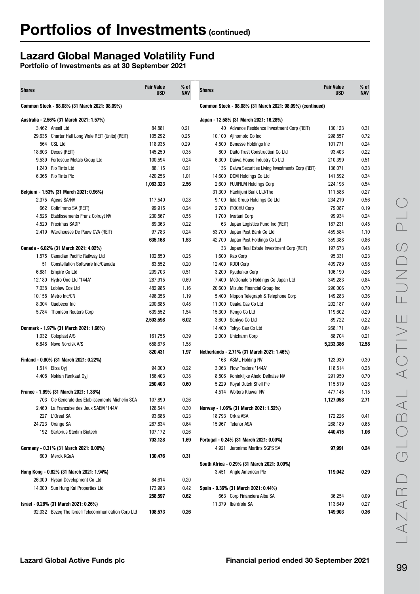# Lazard Global Managed Volatility Fund

| <b>Shares</b> |                                                     | <b>Fair Value</b><br><b>USD</b> | % of<br><b>NAV</b> | <b>Shares</b> |                                                           | <b>Fair Value</b><br><b>USD</b> | % of<br><b>NAV</b> |
|---------------|-----------------------------------------------------|---------------------------------|--------------------|---------------|-----------------------------------------------------------|---------------------------------|--------------------|
|               | Common Stock - 98.08% (31 March 2021: 98.09%)       |                                 |                    |               | Common Stock - 98.08% (31 March 2021: 98.09%) (continued) |                                 |                    |
|               | Australia - 2.56% (31 March 2021: 1.57%)            |                                 |                    |               | Japan - 12.58% (31 March 2021: 16.28%)                    |                                 |                    |
|               | 3,462 Ansell Ltd                                    | 84,881                          | 0.21               |               | 40 Advance Residence Investment Corp (REIT)               | 130,123                         | 0.31               |
|               | 29,635 Charter Hall Long Wale REIT (Units) (REIT)   | 105,292                         | 0.25               | 10,100        | Ajinomoto Co Inc                                          | 298,857                         | 0.72               |
| 564           | CSL Ltd                                             | 118,935                         | 0.29               | 4,500         | Benesse Holdings Inc                                      | 101,771                         | 0.24               |
|               | 18,603 Dexus (REIT)                                 | 145,250                         | 0.35               | 800           | Daito Trust Construction Co Ltd                           | 93,403                          | 0.22               |
| 9,539         | Fortescue Metals Group Ltd                          | 100,594                         | 0.24               | 6,300         | Daiwa House Industry Co Ltd                               | 210,399                         | 0.51               |
|               | 1.240 Rio Tinto Ltd                                 | 88,115                          | 0.21               |               | 136 Daiwa Securities Living Investments Corp (REIT)       | 136,071                         | 0.33               |
|               | 6,365 Rio Tinto Plc                                 | 420,256                         | 1.01               |               | 14,600 DCM Holdings Co Ltd                                | 141,592                         | 0.34               |
|               |                                                     | 1,063,323                       | 2.56               | 2,600         | <b>FUJIFILM Holdings Corp</b>                             | 224,198                         | 0.54               |
|               | Belgium - 1.53% (31 March 2021: 0.96%)              |                                 |                    | 31,300        | Hachijuni Bank Ltd/The                                    | 111,588                         | 0.27               |
|               | 2,375 Ageas SA/NV                                   | 117,540                         | 0.28               |               | 9,100 lida Group Holdings Co Ltd                          | 234,219                         | 0.56               |
|               | 662 Cofinimmo SA (REIT)                             | 99,915                          | 0.24               |               | 2,700 ITOCHU Corp                                         | 79,087                          | 0.19               |
| 4,526         | <b>Etablissements Franz Colruyt NV</b>              | 230,567                         | 0.55               | 1,700         | Iwatani Corp                                              | 99,934                          | 0.24               |
| 4,520         | Proximus SADP                                       | 89,363                          | 0.22               | 63            | Japan Logistics Fund Inc (REIT)                           | 187,231                         | 0.45               |
|               | 2,419 Warehouses De Pauw CVA (REIT)                 | 97,783                          | 0.24               | 53,700        | Japan Post Bank Co Ltd                                    | 459,584                         | 1.10               |
|               |                                                     | 635,168                         | 1.53               | 42,700        | Japan Post Holdings Co Ltd                                | 359,388                         | 0.86               |
|               | Canada - 6.02% (31 March 2021: 4.02%)               |                                 |                    | 33            | Japan Real Estate Investment Corp (REIT)                  | 197,673                         | 0.48               |
|               | 1,575 Canadian Pacific Railway Ltd                  | 102,850                         | 0.25               | 1,600         | Kao Corp                                                  | 95,331                          | 0.23               |
|               | 51 Constellation Software Inc/Canada                | 83,552                          | 0.20               | 12,400        | <b>KDDI Corp</b>                                          | 409,789                         | 0.98               |
| 6,881         | Empire Co Ltd                                       | 209,703                         | 0.51               | 3,200         | Kyudenko Corp                                             | 106,190                         | 0.26               |
| 12,180        | Hydro One Ltd '144A'                                | 287,915                         | 0.69               |               | 7,400 McDonald's Holdings Co Japan Ltd                    | 349,283                         | 0.84               |
|               | 7,038 Loblaw Cos Ltd                                | 482,985                         | 1.16               |               | 20,600 Mizuho Financial Group Inc                         | 290,006                         | 0.70               |
|               | 10,158 Metro Inc/CN                                 | 496,356                         | 1.19               | 5,400         | Nippon Telegraph & Telephone Corp                         | 149,283                         | 0.36               |
| 8,304         | Quebecor Inc                                        | 200,685                         | 0.48               | 11,000        | Osaka Gas Co Ltd                                          | 202,187                         | 0.49               |
|               | 5,784 Thomson Reuters Corp                          | 639,552                         | 1.54               | 15,300        | Rengo Co Ltd                                              | 119,602                         | 0.29               |
|               |                                                     | 2,503,598                       | 6.02               | 3,600         | Sankyo Co Ltd                                             | 89,722                          | 0.22               |
|               | Denmark - 1.97% (31 March 2021: 1.66%)              |                                 |                    | 14,400        | Tokyo Gas Co Ltd                                          | 268,171                         | 0.64               |
|               | 1,032 Coloplast A/S                                 | 161,755                         | 0.39               |               | 2,000 Unicharm Corp                                       | 88,704                          | 0.21               |
|               | 6,848 Novo Nordisk A/S                              | 658,676                         | 1.58               |               |                                                           | 5,233,386                       | 12.58              |
|               |                                                     | 820,431                         | 1.97               |               | Netherlands - 2.71% (31 March 2021: 1.46%)                |                                 |                    |
|               | Finland - 0.60% (31 March 2021: 0.22%)              |                                 |                    |               | 168 ASML Holding NV                                       | 123,930                         | 0.30               |
|               | 1,514 Elisa Oyj                                     | 94,000                          | 0.22               | 3,063         | Flow Traders '144A'                                       | 118,514                         | 0.28               |
|               | 4,408 Nokian Renkaat Oyi                            | 156,403                         | 0.38               | 8,806         | Koninklijke Ahold Delhaize NV                             | 291,950                         | 0.70               |
|               |                                                     | 250,403                         | 0.60               | 5,229         | Royal Dutch Shell Plc                                     | 115,519                         | 0.28               |
|               | France - 1.69% (31 March 2021: 1.38%)               |                                 |                    |               | 4,514 Wolters Kluwer NV                                   | 477,145                         | 1.15               |
|               | 703 Cie Generale des Etablissements Michelin SCA    | 107,890                         | 0.26               |               |                                                           | 1,127,058                       | 2.71               |
|               | 2,460 La Francaise des Jeux SAEM '144A'             | 126,544                         | 0.30               |               | Norway - 1.06% (31 March 2021: 1.52%)                     |                                 |                    |
|               | 227 L'Oreal SA                                      | 93,688                          | 0.23               |               | 18,793 Orkla ASA                                          | 172,226                         | 0.41               |
|               | 24,723 Orange SA                                    | 267,834                         | 0.64               |               | 15,967 Telenor ASA                                        | 268,189                         | 0.65               |
|               | 192 Sartorius Stedim Biotech                        | 107,172                         | 0.26               |               |                                                           | 440,415                         | 1.06               |
|               |                                                     | 703,128                         | 1.69               |               | Portugal - 0.24% (31 March 2021: 0.00%)                   |                                 |                    |
|               | Germany - 0.31% (31 March 2021: 0.00%)              |                                 |                    |               | 4,921 Jeronimo Martins SGPS SA                            | 97,991                          | 0.24               |
|               | 600 Merck KGaA                                      | 130,476                         | 0.31               |               |                                                           |                                 |                    |
|               |                                                     |                                 |                    |               | South Africa - 0.29% (31 March 2021: 0.00%)               |                                 |                    |
|               | Hong Kong - 0.62% (31 March 2021: 1.94%)            |                                 |                    |               | 3,451 Anglo American Plc                                  | 119,042                         | 0.29               |
|               | 26,000 Hysan Development Co Ltd                     | 84,614                          | 0.20               |               |                                                           |                                 |                    |
|               | 14,000 Sun Hung Kai Properties Ltd                  | 173,983                         | 0.42               |               | Spain - 0.36% (31 March 2021: 0.44%)                      |                                 |                    |
|               |                                                     | 258,597                         | 0.62               |               | 663 Corp Financiera Alba SA                               | 36,254                          | 0.09               |
|               | Israel - 0.26% (31 March 2021: 0.26%)               |                                 |                    |               | 11,379 Iberdrola SA                                       | 113,649                         | 0.27               |
|               | 92,032 Bezeq The Israeli Telecommunication Corp Ltd | 108,573                         | 0.26               |               |                                                           | 149,903                         | 0.36               |
|               |                                                     |                                 |                    |               |                                                           |                                 |                    |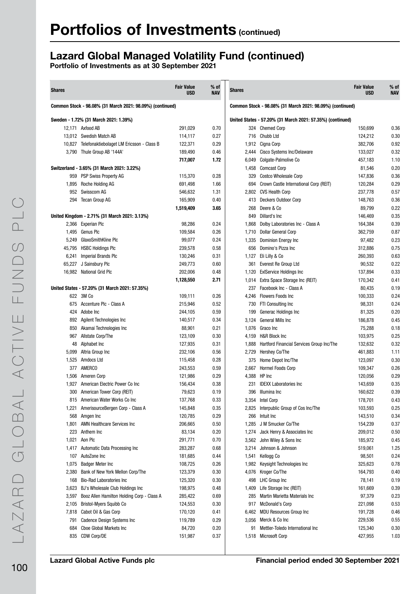# Lazard Global Managed Volatility Fund (continued)

| <b>Shares</b> |                                                           | <b>Fair Value</b><br><b>USD</b> | $%$ of<br><b>NAV</b> | <b>Shares</b> |                                                            | <b>Fair Value</b><br><b>USD</b> | $%$ of<br><b>NAV</b> |
|---------------|-----------------------------------------------------------|---------------------------------|----------------------|---------------|------------------------------------------------------------|---------------------------------|----------------------|
|               | Common Stock - 98.08% (31 March 2021: 98.09%) (continued) |                                 |                      |               | Common Stock - 98.08% (31 March 2021: 98.09%) (continued)  |                                 |                      |
|               | Sweden - 1.72% (31 March 2021: 1.39%)                     |                                 |                      |               | United States - 57.20% (31 March 2021: 57.35%) (continued) |                                 |                      |
|               | 12.171 Axfood AB                                          | 291,029                         | 0.70                 |               | 324 Chemed Corp                                            | 150,699                         | 0.36                 |
|               | 13,012 Swedish Match AB                                   | 114,117                         | 0.27                 |               | 716 Chubb Ltd                                              | 124,212                         | 0.30                 |
|               | 10,827 Telefonaktiebolaget LM Ericsson - Class B          | 122,371                         | 0.29                 |               | 1,912 Cigna Corp                                           | 382,706                         | 0.92                 |
|               | 3,790 Thule Group AB '144A'                               | 189,490                         | 0.46                 |               | 2,444 Cisco Systems Inc/Delaware                           | 133,027                         | 0.32                 |
|               |                                                           | 717,007                         | 1.72                 |               | 6,049 Colgate-Palmolive Co                                 | 457,183                         | 1.10                 |
|               | Switzerland - 3.65% (31 March 2021: 3.22%)                |                                 |                      |               | 1,458 Comcast Corp                                         | 81,546                          | 0.20                 |
|               | 959 PSP Swiss Property AG                                 | 115,370                         | 0.28                 |               | 329 Costco Wholesale Corp                                  | 147,836                         | 0.36                 |
|               | 1,895 Roche Holding AG                                    | 691,498                         | 1.66                 |               | 694 Crown Castle International Corp (REIT)                 | 120,284                         | 0.29                 |
|               | 952 Swisscom AG                                           | 546,632                         | 1.31                 |               | 2,802 CVS Health Corp                                      | 237,778                         | 0.57                 |
|               | 294 Tecan Group AG                                        | 165,909                         | 0.40                 |               | 413 Deckers Outdoor Corp                                   | 148,763                         | 0.36                 |
|               |                                                           | 1,519,409                       | 3.65                 | 268           | Deere & Co                                                 | 89,799                          | 0.22                 |
|               | United Kingdom - 2.71% (31 March 2021: 3.13%)             |                                 |                      |               | 849 Dillard's Inc                                          | 146,469                         | 0.35                 |
|               | 2,366 Experian Plc                                        | 98,286                          | 0.24                 |               | 1,868 Dolby Laboratories Inc - Class A                     | 164,384                         | 0.39                 |
|               | 1,495 Genus Plc                                           | 109,584                         | 0.26                 |               | 1,710 Dollar General Corp                                  | 362,759                         | 0.87                 |
|               | 5,249 GlaxoSmithKline Plc                                 | 99,077                          | 0.24                 |               | 1,335 Dominion Energy Inc                                  | 97,482                          | 0.23                 |
|               | 45,795 HSBC Holdings Plc                                  | 239,578                         | 0.58                 |               | 656 Domino's Pizza Inc                                     | 312,886                         | 0.75                 |
|               | 6,241 Imperial Brands Plc                                 | 130,246                         | 0.31                 |               | 1,127 Eli Lilly & Co                                       | 260,393                         | 0.63                 |
|               | 65,227 J Sainsbury Plc                                    | 249,773                         | 0.60                 | 361           | Everest Re Group Ltd                                       | 90,532                          | 0.22                 |
|               | 16,982 National Grid Plc                                  | 202,006                         | 0.48                 |               | 1,120 ExIService Holdings Inc                              | 137,894                         | 0.33                 |
|               |                                                           | 1,128,550                       | 2.71                 |               | 1,014 Extra Space Storage Inc (REIT)                       | 170,342                         | 0.41                 |
|               | United States - 57.20% (31 March 2021: 57.35%)            |                                 |                      | 237           | Facebook Inc - Class A                                     | 80,435                          | 0.19                 |
|               | 622 3M Co                                                 | 109,111                         | 0.26                 |               | 4,246 Flowers Foods Inc                                    | 100,333                         | 0.24                 |
| 675           | Accenture Plc - Class A                                   | 215,946                         | 0.52                 |               | 730 FTI Consulting Inc                                     | 98,331                          | 0.24                 |
| 424           | Adobe Inc                                                 | 244,105                         | 0.59                 | 199           | Generac Holdings Inc                                       | 81,325                          | 0.20                 |
|               | 892 Agilent Technologies Inc                              | 140,517                         | 0.34                 | 3,124         | General Mills Inc                                          | 186,878                         | 0.45                 |
|               | 850 Akamai Technologies Inc                               | 88,901                          | 0.21                 |               | 1,076 Graco Inc                                            | 75,288                          | 0.18                 |
| 967           | Allstate Corp/The                                         | 123,109                         | 0.30                 |               | 4,159 H&R Block Inc                                        | 103,975                         | 0.25                 |
| 48            | Alphabet Inc                                              | 127,935                         | 0.31                 |               | 1,888 Hartford Financial Services Group Inc/The            | 132,632                         | 0.32                 |
| 5,099         | Altria Group Inc                                          | 232,106                         | 0.56                 |               | 2,729 Hershey Co/The                                       | 461,883                         | 1.11                 |
| 1,525         | Amdocs Ltd                                                | 115,458                         | 0.28                 |               | 375 Home Depot Inc/The                                     | 123,097                         | 0.30                 |
|               | 377 AMERCO                                                | 243,553                         | 0.59                 | 2,667         | <b>Hormel Foods Corp</b>                                   | 109,347                         | 0.26                 |
| 1,506         | Ameren Corp                                               | 121,986                         | 0.29                 |               | 4,388 HP Inc                                               | 120,056                         | 0.29                 |
| 1,927         | American Electric Power Co Inc                            | 156,434                         | 0.38                 | 231           | <b>IDEXX Laboratories Inc</b>                              | 143,659                         | 0.35                 |
| 300           | American Tower Corp (REIT)                                | 79,623                          | 0.19                 |               | 396 Illumina Inc                                           | 160,622                         | 0.39                 |
|               | 815 American Water Works Co Inc                           | 137,768                         | 0.33                 |               | 3,354 Intel Corp                                           | 178,701                         | 0.43                 |
| 1,221         | AmerisourceBergen Corp - Class A                          | 145,848                         | 0.35                 |               | 2,825 Interpublic Group of Cos Inc/The                     | 103,593                         | 0.25                 |
| 568           | Amgen Inc                                                 | 120,785                         | 0.29                 |               | 266 Intuit Inc                                             | 143,510                         | 0.34                 |
| 1,801         | <b>AMN Healthcare Services Inc</b>                        | 206,665                         | 0.50                 |               | 1,285 J M Smucker Co/The                                   | 154,239                         | 0.37                 |
|               | 223 Anthem Inc                                            | 83,134                          | 0.20                 | 1,274         | Jack Henry & Associates Inc                                | 209,012                         | 0.50                 |
| 1,021         | Aon Plc                                                   | 291,771                         | 0.70                 |               | 3,562 John Wiley & Sons Inc                                | 185,972                         | 0.45                 |
|               | 1,417 Automatic Data Processing Inc                       | 283,287                         | 0.68                 |               | 3,214 Johnson & Johnson                                    | 519,061                         | 1.25                 |
| 107           | AutoZone Inc                                              | 181,685                         | 0.44                 | 1,541         | Kellogg Co                                                 | 98,501                          | 0.24                 |
| 1,075         | <b>Badger Meter Inc</b>                                   | 108,725                         | 0.26                 |               | 1,982 Keysight Technologies Inc                            | 325,623                         | 0.78                 |
| 2,380         | Bank of New York Mellon Corp/The                          | 123,379                         | 0.30                 |               | 4,076 Kroger Co/The                                        | 164,793                         | 0.40                 |
| 168           | <b>Bio-Rad Laboratories Inc</b>                           | 125,320                         | 0.30                 |               | 498 LHC Group Inc                                          | 78,141                          | 0.19                 |
| 3,623         | BJ's Wholesale Club Holdings Inc                          | 198,975                         | 0.48                 |               | 1,409 Life Storage Inc (REIT)                              | 161,669                         | 0.39                 |
|               | 3,597 Booz Allen Hamilton Holding Corp - Class A          | 285,422                         | 0.69                 | 285           | Martin Marietta Materials Inc                              | 97,379                          | 0.23                 |
| 2,105         | Bristol-Myers Squibb Co                                   | 124,553                         | 0.30                 | 917           | <b>McDonald's Corp</b>                                     | 221,098                         | 0.53                 |
|               | 7,818 Cabot Oil & Gas Corp                                | 170,120                         | 0.41                 |               | 6,462 MDU Resources Group Inc                              | 191,728                         | 0.46                 |
| 791           | Cadence Design Systems Inc                                | 119,789                         | 0.29                 |               | 3,056 Merck & Co Inc                                       | 229,536                         | 0.55                 |
|               |                                                           | 84,720                          | 0.20                 |               | Mettler-Toledo International Inc                           |                                 | 0.30                 |
| 684           | Cboe Global Markets Inc                                   |                                 |                      | 91            |                                                            | 125,340                         |                      |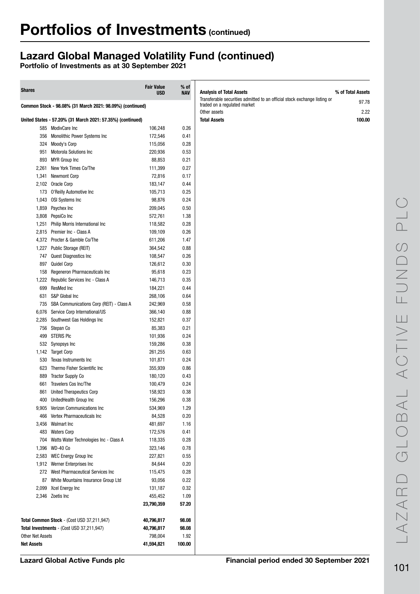# Lazard Global Managed Volatility Fund (continued)

| <b>Shares</b>           |                                                            | <b>Fair Value</b><br><b>USD</b> | $%$ of<br><b>NAV</b> | <b>Analysis of Total Assets</b>                                                                                           | % of Total Assets |
|-------------------------|------------------------------------------------------------|---------------------------------|----------------------|---------------------------------------------------------------------------------------------------------------------------|-------------------|
|                         | Common Stock - 98.08% (31 March 2021: 98.09%) (continued)  |                                 |                      | Transferable securities admitted to an official stock exchange listing or<br>traded on a regulated market<br>Other assets | 97.78<br>2.22     |
|                         | United States - 57.20% (31 March 2021: 57.35%) (continued) |                                 |                      | <b>Total Assets</b>                                                                                                       | 100.00            |
|                         | 585 ModivCare Inc                                          | 106,248                         | 0.26                 |                                                                                                                           |                   |
| 356                     | Monolithic Power Systems Inc                               | 172,546                         | 0.41                 |                                                                                                                           |                   |
|                         | 324 Moody's Corp                                           | 115,056                         | 0.28                 |                                                                                                                           |                   |
|                         | 951 Motorola Solutions Inc                                 | 220,936                         | 0.53                 |                                                                                                                           |                   |
|                         | 893 MYR Group Inc                                          | 88,853                          | 0.21                 |                                                                                                                           |                   |
| 2,261                   | New York Times Co/The                                      | 111,399                         | 0.27                 |                                                                                                                           |                   |
|                         |                                                            |                                 |                      |                                                                                                                           |                   |
| 1,341                   | <b>Newmont Corp</b>                                        | 72,816                          | 0.17                 |                                                                                                                           |                   |
|                         | 2,102 Oracle Corp                                          | 183,147                         | 0.44                 |                                                                                                                           |                   |
|                         | 173 O'Reilly Automotive Inc                                | 105,713                         | 0.25                 |                                                                                                                           |                   |
|                         | 1,043 OSI Systems Inc                                      | 98,876                          | 0.24                 |                                                                                                                           |                   |
|                         | 1,859 Paychex Inc                                          | 209,045                         | 0.50                 |                                                                                                                           |                   |
|                         | 3,808 PepsiCo Inc                                          | 572,761                         | 1.38                 |                                                                                                                           |                   |
|                         | 1,251 Philip Morris International Inc                      | 118,582                         | 0.28                 |                                                                                                                           |                   |
|                         | 2,815 Premier Inc - Class A                                | 109,109                         | 0.26                 |                                                                                                                           |                   |
|                         | 4,372 Procter & Gamble Co/The                              | 611,206                         | 1.47                 |                                                                                                                           |                   |
|                         | 1,227 Public Storage (REIT)                                | 364,542                         | 0.88                 |                                                                                                                           |                   |
|                         | 747 Quest Diagnostics Inc                                  | 108,547                         | 0.26                 |                                                                                                                           |                   |
| 897                     | <b>Quidel Corp</b>                                         | 126,612                         | 0.30                 |                                                                                                                           |                   |
| 158                     | Regeneron Pharmaceuticals Inc                              | 95,618                          | 0.23                 |                                                                                                                           |                   |
|                         | 1,222 Republic Services Inc - Class A                      | 146,713                         | 0.35                 |                                                                                                                           |                   |
| 699                     | ResMed Inc                                                 | 184,221                         | 0.44                 |                                                                                                                           |                   |
| 631                     | S&P Global Inc                                             | 268,106                         | 0.64                 |                                                                                                                           |                   |
| 735                     | SBA Communications Corp (REIT) - Class A                   | 242,969                         | 0.58                 |                                                                                                                           |                   |
| 6,076                   | Service Corp International/US                              | 366,140                         | 0.88                 |                                                                                                                           |                   |
|                         |                                                            |                                 |                      |                                                                                                                           |                   |
|                         | 2,285 Southwest Gas Holdings Inc                           | 152,821                         | 0.37                 |                                                                                                                           |                   |
|                         | 756 Stepan Co                                              | 85,383                          | 0.21                 |                                                                                                                           |                   |
| 499                     | <b>STERIS PIC</b>                                          | 101,936                         | 0.24                 |                                                                                                                           |                   |
| 532                     | Synopsys Inc                                               | 159,286                         | 0.38                 |                                                                                                                           |                   |
|                         | 1,142 Target Corp                                          | 261,255                         | 0.63                 |                                                                                                                           |                   |
| 530                     | Texas Instruments Inc                                      | 101,871                         | 0.24                 |                                                                                                                           |                   |
| 623                     | Thermo Fisher Scientific Inc                               | 355,939                         | 0.86                 |                                                                                                                           |                   |
| 889                     | <b>Tractor Supply Co</b>                                   | 180,120                         | 0.43                 |                                                                                                                           |                   |
| 661                     | <b>Travelers Cos Inc/The</b>                               | 100,479                         | 0.24                 |                                                                                                                           |                   |
| 861                     | <b>United Therapeutics Corp</b>                            | 158,923                         | 0.38                 |                                                                                                                           |                   |
|                         | 400 UnitedHealth Group Inc                                 | 156,296                         | 0.38                 |                                                                                                                           |                   |
|                         | 9,905 Verizon Communications Inc                           | 534,969                         | 1.29                 |                                                                                                                           |                   |
| 466                     | Vertex Pharmaceuticals Inc                                 | 84,528                          | 0.20                 |                                                                                                                           |                   |
|                         | 3,456 Walmart Inc                                          | 481,697                         | 1.16                 |                                                                                                                           |                   |
|                         | 483 Waters Corp                                            | 172,576                         | 0.41                 |                                                                                                                           |                   |
|                         | 704 Watts Water Technologies Inc - Class A                 | 118,335                         | 0.28                 |                                                                                                                           |                   |
|                         | 1,396 WD-40 Co                                             | 323,146                         | 0.78                 |                                                                                                                           |                   |
|                         | 2,583 WEC Energy Group Inc                                 | 227,821                         | 0.55                 |                                                                                                                           |                   |
|                         | 1,912 Werner Enterprises Inc                               | 84,644                          | 0.20                 |                                                                                                                           |                   |
|                         | 272 West Pharmaceutical Services Inc                       | 115,475                         | 0.28                 |                                                                                                                           |                   |
|                         | 87 White Mountains Insurance Group Ltd                     | 93,056                          | 0.22                 |                                                                                                                           |                   |
|                         | 2,099 Xcel Energy Inc                                      | 131,187                         | 0.32                 |                                                                                                                           |                   |
|                         | 2,346 Zoetis Inc                                           | 455,452                         | 1.09                 |                                                                                                                           |                   |
|                         |                                                            | 23,790,359                      | 57.20                |                                                                                                                           |                   |
|                         | Total Common Stock - (Cost USD 37,211,947)                 | 40,796,817                      | 98.08                |                                                                                                                           |                   |
|                         | Total Investments - (Cost USD 37,211,947)                  | 40,796,817                      | 98.08                |                                                                                                                           |                   |
| <b>Other Net Assets</b> |                                                            | 798,004                         | 1.92                 |                                                                                                                           |                   |
| <b>Net Assets</b>       |                                                            | 41,594,821                      | 100.00               |                                                                                                                           |                   |
|                         |                                                            |                                 |                      |                                                                                                                           |                   |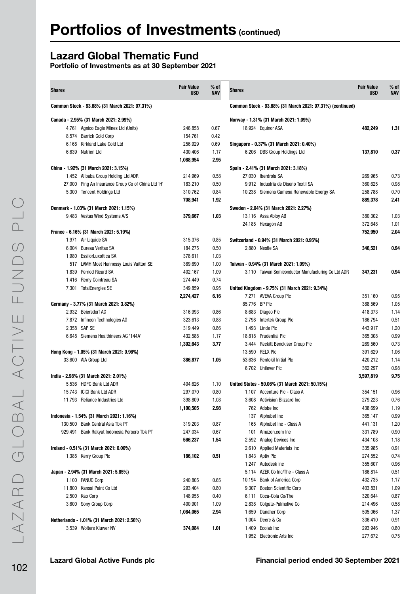# Lazard Global Thematic Fund

| <b>Shares</b> |                                                    | <b>Fair Value</b><br><b>USD</b> | % of<br><b>NAV</b> | <b>Shares</b> |                                                           | <b>Fair Value</b><br><b>USD</b> | % of<br><b>NAV</b> |
|---------------|----------------------------------------------------|---------------------------------|--------------------|---------------|-----------------------------------------------------------|---------------------------------|--------------------|
|               | Common Stock - 93.68% (31 March 2021: 97.31%)      |                                 |                    |               | Common Stock - 93.68% (31 March 2021: 97.31%) (continued) |                                 |                    |
|               | Canada - 2.95% (31 March 2021: 2.99%)              |                                 |                    |               | Norway - 1.31% (31 March 2021: 1.09%)                     |                                 |                    |
|               | 4,761 Agnico Eagle Mines Ltd (Units)               | 246,858                         | 0.67               |               | 18,924 Equinor ASA                                        | 482,249                         | 1.31               |
|               | 8,574 Barrick Gold Corp                            | 154,761                         | 0.42               |               |                                                           |                                 |                    |
|               | 6,168 Kirkland Lake Gold Ltd                       | 256,929                         | 0.69               |               | Singapore - 0.37% (31 March 2021: 0.40%)                  |                                 |                    |
|               | 6.639 Nutrien Ltd                                  | 430,406                         | 1.17               |               | 6,206 DBS Group Holdings Ltd                              | 137,810                         | 0.37               |
|               |                                                    | 1,088,954                       | 2.95               |               |                                                           |                                 |                    |
|               | China - 1.92% (31 March 2021: 3.15%)               |                                 |                    |               | Spain - 2.41% (31 March 2021: 3.18%)                      |                                 |                    |
|               | 1,452 Alibaba Group Holding Ltd ADR                | 214,969                         | 0.58               |               | 27,030 Iberdrola SA                                       | 269,965                         | 0.73               |
|               | 27,000 Ping An Insurance Group Co of China Ltd 'H' | 183,210                         | 0.50               |               | 9,912 Industria de Diseno Textil SA                       | 360,625                         | 0.98               |
|               | 5,300 Tencent Holdings Ltd                         | 310,762                         | 0.84               |               | 10,238 Siemens Gamesa Renewable Energy SA                 | 258,788                         | 0.70               |
|               |                                                    | 708,941                         | 1.92               |               |                                                           | 889,378                         | 2.41               |
|               | Denmark - 1.03% (31 March 2021: 1.15%)             |                                 |                    |               | Sweden - 2.04% (31 March 2021: 2.27%)                     |                                 |                    |
|               | 9,483 Vestas Wind Systems A/S                      | 379,667                         | 1.03               |               | 13,116 Assa Abloy AB                                      | 380,302                         | 1.03               |
|               |                                                    |                                 |                    |               | 24,185 Hexagon AB                                         | 372,648                         | 1.01               |
|               | France - 6.16% (31 March 2021: 5.19%)              |                                 |                    |               |                                                           | 752,950                         | 2.04               |
|               | 1,971 Air Liquide SA                               | 315,376                         | 0.85               |               | Switzerland - 0.94% (31 March 2021: 0.95%)                |                                 |                    |
|               | 6.004 Bureau Veritas SA                            | 184,275                         | 0.50               |               | 2,880 Nestle SA                                           | 346.521                         | 0.94               |
|               | 1,980 EssilorLuxottica SA                          | 378,611                         | 1.03               |               |                                                           |                                 |                    |
|               | 517 LVMH Moet Hennessy Louis Vuitton SE            | 369,690                         | 1.00               |               | Taiwan - 0.94% (31 March 2021: 1.09%)                     |                                 |                    |
|               | 1,839 Pernod Ricard SA                             | 402,167                         | 1.09               |               | 3,110 Taiwan Semiconductor Manufacturing Co Ltd ADR       | 347,231                         | 0.94               |
|               | 1,416 Remy Cointreau SA                            | 274,449                         | 0.74               |               |                                                           |                                 |                    |
|               | 7,301 TotalEnergies SE                             | 349,859                         | 0.95               |               | United Kingdom - 9.75% (31 March 2021: 9.34%)             |                                 |                    |
|               |                                                    | 2,274,427                       | 6.16               |               | 7,271 AVEVA Group Plc                                     | 351,160                         | 0.95               |
|               | Germany - 3.77% (31 March 2021: 3.82%)             |                                 |                    | 85,776 BP Plc |                                                           | 388,569                         | 1.05               |
|               | 2,932 Beiersdorf AG                                | 316,993                         | 0.86               |               | 8,683 Diageo Plc                                          | 418,373                         | 1.14               |
|               | 7,872 Infineon Technologies AG                     | 323,613                         | 0.88               |               | 2,798 Intertek Group Plc                                  | 186,794                         | 0.51               |
|               | 2,358 SAP SE                                       | 319,449                         | 0.86               |               | 1,493 Linde Plc                                           | 443,917                         | 1.20               |
|               | 6,648 Siemens Healthineers AG '144A'               | 432,588                         | 1.17               |               | 18,818 Prudential Plc                                     | 365,308                         | 0.99               |
|               |                                                    | 1,392,643                       | 3.77               |               | 3,444 Reckitt Benckiser Group Plc                         | 269,560                         | 0.73               |
|               | Hong Kong - 1.05% (31 March 2021: 0.96%)           |                                 |                    |               | 13,590 RELX Plc                                           | 391,629                         | 1.06               |
|               | 33,600 AIA Group Ltd                               | 386,877                         | 1.05               |               | 53,636 Rentokil Initial Plc                               | 420,212                         | 1.14               |
|               |                                                    |                                 |                    |               | 6,702 Unilever Plc                                        | 362,297                         | 0.98               |
|               | India - 2.98% (31 March 2021: 2.01%)               |                                 |                    |               |                                                           | 3,597,819                       | 9.75               |
|               | 5.536 HDFC Bank Ltd ADR                            | 404,626                         | 1.10               |               | United States - 50.06% (31 March 2021: 50.15%)            |                                 |                    |
|               | 15,743 ICICI Bank Ltd ADR                          | 297,070                         | 0.80               |               | 1.107 Accenture Plc - Class A                             | 354,151                         | 0.96               |
|               | 11,793 Reliance Industries Ltd                     | 398,809                         | 1.08               |               | 3,608 Activision Blizzard Inc                             | 279,223                         | 0.76               |
|               |                                                    | 1,100,505                       | 2.98               |               | 762 Adobe Inc                                             | 438,699                         | 1.19               |
|               | Indonesia - 1.54% (31 March 2021: 1.16%)           |                                 |                    |               | 137 Alphabet Inc                                          | 365,147                         | 0.99               |
|               | 130,500 Bank Central Asia Tbk PT                   | 319,203                         | 0.87               |               | 165 Alphabet Inc - Class A                                | 441,131                         | 1.20               |
|               | 929,491 Bank Rakyat Indonesia Persero Tbk PT       | 247,034                         | 0.67               | 101           | Amazon.com Inc                                            | 331,789                         | 0.90               |
|               |                                                    | 566,237                         | 1.54               |               | 2,592 Analog Devices Inc                                  | 434,108                         | 1.18               |
|               | Ireland - 0.51% (31 March 2021: 0.00%)             |                                 |                    |               | 2,610 Applied Materials Inc                               | 335,985                         | 0.91               |
|               | 1,385 Kerry Group Plc                              | 186,102                         | 0.51               |               | 1,843 Aptiv Plc                                           | 274,552                         | 0.74               |
|               |                                                    |                                 |                    |               | 1,247 Autodesk Inc                                        | 355,607                         | 0.96               |
|               | Japan - 2.94% (31 March 2021: 5.85%)               |                                 |                    |               | 5,114 AZEK Co Inc/The - Class A                           | 186,814                         | 0.51               |
|               | 1,100 FANUC Corp                                   | 240,805                         | 0.65               |               | 10,194 Bank of America Corp                               | 432,735                         | 1.17               |
|               | 11,800 Kansai Paint Co Ltd                         | 293,404                         | 0.80               |               | 9,307 Boston Scientific Corp                              | 403,831                         | 1.09               |
|               | 2,500 Kao Corp                                     | 148,955                         | 0.40               |               | 6,111 Coca-Cola Co/The                                    | 320,644                         | 0.87               |
|               | 3,600 Sony Group Corp                              | 400,901                         | 1.09               |               | 2,838 Colgate-Palmolive Co                                | 214,496                         | 0.58               |
|               |                                                    | 1,084,065                       | 2.94               |               | 1,659 Danaher Corp                                        | 505,066                         | 1.37               |
|               | Netherlands - 1.01% (31 March 2021: 2.56%)         |                                 |                    |               | 1,004 Deere & Co                                          | 336,410                         | 0.91               |
|               | 3,539 Wolters Kluwer NV                            | 374,084                         | 1.01               |               | 1,409 Ecolab Inc                                          | 293,946                         | 0.80<br>0.75       |
|               |                                                    |                                 |                    |               | 1,952 Electronic Arts Inc                                 | 277,672                         |                    |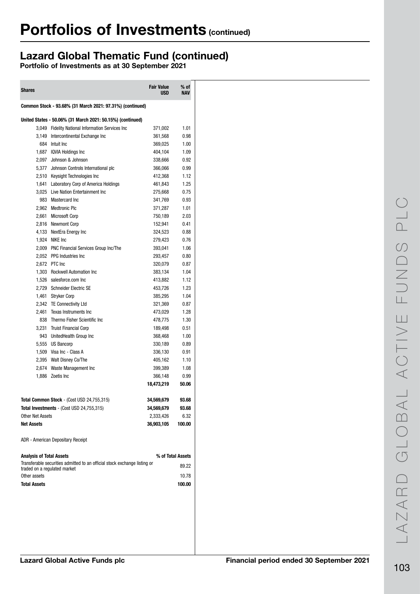# Lazard Global Thematic Fund (continued)

| <b>Shares</b>                   |                                                                           | <b>Fair Value</b><br><b>USD</b> | $%$ of<br><b>NAV</b> |
|---------------------------------|---------------------------------------------------------------------------|---------------------------------|----------------------|
|                                 | Common Stock - 93.68% (31 March 2021: 97.31%) (continued)                 |                                 |                      |
|                                 | United States - 50.06% (31 March 2021: 50.15%) (continued)                |                                 |                      |
|                                 | 3,049 Fidelity National Information Services Inc                          | 371,002                         | 1.01                 |
|                                 | 3,149 Intercontinental Exchange Inc                                       | 361,568                         | 0.98                 |
|                                 | 684 Intuit Inc                                                            | 369,025                         | 1.00                 |
|                                 | 1.687 IQVIA Holdings Inc                                                  | 404,104                         | 1.09                 |
|                                 | 2,097 Johnson & Johnson                                                   | 338,666                         | 0.92                 |
|                                 | 5,377 Johnson Controls International plc                                  | 366,066                         | 0.99                 |
|                                 | 2,510 Keysight Technologies Inc                                           | 412,368                         | 1.12                 |
|                                 | 1,641 Laboratory Corp of America Holdings                                 | 461,843                         | 1.25                 |
|                                 | 3,025 Live Nation Entertainment Inc                                       | 275,668                         | 0.75                 |
|                                 | 983 Mastercard Inc                                                        | 341,769                         | 0.93                 |
|                                 | 2,962 Medtronic Plc                                                       | 371,287                         | 1.01                 |
|                                 | 2.661 Microsoft Corp                                                      |                                 | 2.03                 |
|                                 |                                                                           | 750,189                         | 0.41                 |
|                                 | 2,816 Newmont Corp<br>4,133 NextEra Energy Inc                            | 152,941                         |                      |
|                                 |                                                                           | 324,523                         | 0.88                 |
|                                 | 1,924 NIKE Inc                                                            | 279,423                         | 0.76                 |
|                                 | 2,009 PNC Financial Services Group Inc/The                                | 393,041                         | 1.06                 |
|                                 | 2,052 PPG Industries Inc                                                  | 293,457                         | 0.80                 |
|                                 | 2,672 PTC Inc                                                             | 320,079                         | 0.87                 |
|                                 | 1,303 Rockwell Automation Inc                                             | 383,134                         | 1.04                 |
|                                 | 1,526 salesforce.com Inc                                                  | 413,882                         | 1.12                 |
|                                 | 2,729 Schneider Electric SE                                               | 453,726                         | 1.23                 |
|                                 | 1,461 Stryker Corp                                                        | 385,295                         | 1.04                 |
|                                 | 2,342 TE Connectivity Ltd                                                 | 321,369                         | 0.87                 |
| 2,461                           | Texas Instruments Inc                                                     | 473,029                         | 1.28                 |
| 838                             | Thermo Fisher Scientific Inc                                              | 478,775                         | 1.30                 |
|                                 | 3,231 Truist Financial Corp                                               | 189,498                         | 0.51                 |
|                                 | 943 UnitedHealth Group Inc                                                | 368,468                         | 1.00                 |
|                                 | 5,555 US Bancorp                                                          | 330,189                         | 0.89                 |
|                                 | 1,509 Visa Inc - Class A                                                  | 336,130                         | 0.91                 |
|                                 | 2,395 Walt Disney Co/The                                                  | 405,162                         | 1.10                 |
|                                 | 2,674 Waste Management Inc                                                | 399,389                         | 1.08                 |
|                                 | 1,886 Zoetis Inc.                                                         | 366,148                         | 0.99                 |
|                                 |                                                                           | 18,473,219                      | 50.06                |
|                                 | Total Common Stock - (Cost USD 24,755,315)                                | 34,569,679                      | 93.68                |
|                                 | Total Investments - (Cost USD 24,755,315)                                 | 34,569,679                      | 93.68                |
| <b>Other Net Assets</b>         |                                                                           | 2,333,426                       | 6.32                 |
| <b>Net Assets</b>               |                                                                           | 36,903,105                      | 100.00               |
|                                 |                                                                           |                                 |                      |
|                                 | ADR - American Depositary Receipt                                         |                                 |                      |
| <b>Analysis of Total Assets</b> |                                                                           |                                 | % of Total Assets    |
| traded on a regulated market    | Transferable securities admitted to an official stock exchange listing or |                                 | 89.22                |
| Other assets                    |                                                                           |                                 | 10.78                |
| <b>Total Assets</b>             |                                                                           |                                 | 100.00               |
|                                 |                                                                           |                                 |                      |
|                                 |                                                                           |                                 |                      |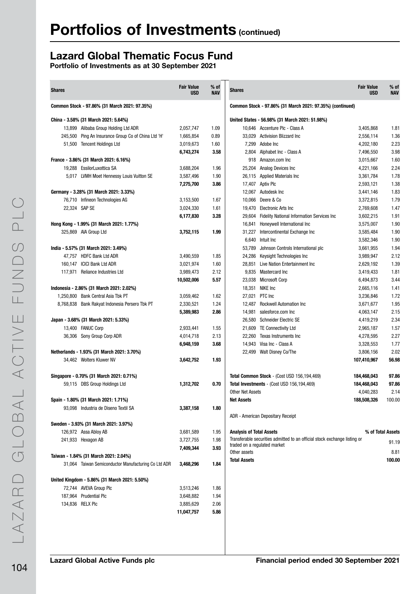# Lazard Global Thematic Focus Fund

| <b>Shares</b>    |                                                                         | <b>Fair Value</b><br>USD | $%$ of<br><b>NAV</b> | <b>Shares</b>                                                             | <b>Fair Value</b><br><b>USD</b> | $%$ of<br><b>NAV</b> |
|------------------|-------------------------------------------------------------------------|--------------------------|----------------------|---------------------------------------------------------------------------|---------------------------------|----------------------|
|                  | Common Stock - 97.86% (31 March 2021: 97.35%)                           |                          |                      | Common Stock - 97.86% (31 March 2021: 97.35%) (continued)                 |                                 |                      |
|                  | China - 3.58% (31 March 2021: 5.64%)                                    |                          |                      | United States - 56.98% (31 March 2021: 51.98%)                            |                                 |                      |
|                  | 13,899 Alibaba Group Holding Ltd ADR                                    | 2,057,747                | 1.09                 | 10,646 Accenture Plc - Class A                                            | 3,405,868                       | 1.81                 |
|                  | 245,500 Ping An Insurance Group Co of China Ltd 'H'                     | 1,665,854                | 0.89                 | 33,029 Activision Blizzard Inc                                            | 2,556,114                       | 1.36                 |
|                  | 51,500 Tencent Holdings Ltd                                             | 3,019,673                | 1.60                 | 7,299 Adobe Inc                                                           | 4,202,180                       | 2.23                 |
|                  |                                                                         | 6,743,274                | 3.58                 | 2,804 Alphabet Inc - Class A                                              | 7,496,550                       | 3.98                 |
|                  | France - 3.86% (31 March 2021: 6.16%)                                   |                          |                      | 918 Amazon.com Inc                                                        | 3.015.667                       | 1.60                 |
|                  | 19,288 EssilorLuxottica SA                                              | 3,688,204                | 1.96                 | 25,204 Analog Devices Inc                                                 | 4,221,166                       | 2.24                 |
|                  | 5,017 LVMH Moet Hennessy Louis Vuitton SE                               | 3,587,496                | 1.90                 | 26,115 Applied Materials Inc                                              | 3,361,784                       | 1.78                 |
|                  |                                                                         | 7,275,700                | 3.86                 | 17,407 Aptiv Plc                                                          | 2,593,121                       | 1.38                 |
|                  | Germany - 3.28% (31 March 2021: 3.33%)                                  |                          |                      | 12,067 Autodesk Inc                                                       | 3,441,146                       | 1.83                 |
|                  | 76,710 Infineon Technologies AG                                         | 3,153,500                | 1.67                 | 10,066 Deere & Co                                                         | 3,372,815                       | 1.79                 |
|                  | 22,324 SAP SE                                                           | 3,024,330                | 1.61                 | 19,470 Electronic Arts Inc                                                | 2,769,608                       | 1.47                 |
|                  |                                                                         | 6,177,830                | 3.28                 | 29,604 Fidelity National Information Services Inc                         | 3,602,215                       | 1.91                 |
|                  | Hong Kong - 1.99% (31 March 2021: 1.77%)                                |                          |                      | 16,841 Honeywell International Inc                                        | 3,575,007                       | 1.90                 |
|                  | 325,869 AIA Group Ltd                                                   | 3,752,115                | 1.99                 | 31,227 Intercontinental Exchange Inc                                      | 3,585,484                       | 1.90                 |
|                  |                                                                         |                          |                      | 6.640 Intuit Inc                                                          | 3,582,346                       | 1.90                 |
|                  | India - 5.57% (31 March 2021: 3.49%)                                    |                          |                      | 53,789 Johnson Controls International plc                                 | 3,661,955                       | 1.94                 |
|                  | 47,757 HDFC Bank Ltd ADR                                                | 3,490,559                | 1.85                 | 24,286 Keysight Technologies Inc                                          | 3,989,947                       | 2.12                 |
|                  | 160,147 ICICI Bank Ltd ADR                                              | 3,021,974                | 1.60                 | 28,851 Live Nation Entertainment Inc                                      | 2,629,192                       | 1.39                 |
|                  | 117,971 Reliance Industries Ltd                                         | 3,989,473                | 2.12                 | 9,835 Mastercard Inc                                                      | 3,419,433                       | 1.81                 |
|                  |                                                                         | 10,502,006               | 5.57                 | 23,038 Microsoft Corp                                                     | 6,494,873                       | 3.44                 |
|                  | Indonesia - 2.86% (31 March 2021: 2.02%)                                |                          |                      | 18,351 NIKE Inc                                                           | 2,665,116                       | 1.41                 |
|                  | 1,250,800 Bank Central Asia Tbk PT                                      | 3,059,462                | 1.62                 | 27,021 PTC Inc                                                            | 3,236,846                       | 1.72                 |
|                  | 8,768,838 Bank Rakyat Indonesia Persero Tbk PT                          | 2,330,521                | 1.24                 | 12,487 Rockwell Automation Inc                                            | 3,671,677                       | 1.95                 |
|                  |                                                                         | 5,389,983                | 2.86                 | 14,981 salesforce.com Inc                                                 | 4,063,147                       | 2.15                 |
|                  | Japan - 3.68% (31 March 2021: 5.33%)                                    |                          |                      | 26,580 Schneider Electric SE                                              | 4,419,219                       | 2.34                 |
|                  | 13,400 FANUC Corp                                                       | 2,933,441                | 1.55                 | 21,609 TE Connectivity Ltd                                                | 2,965,187                       | 1.57                 |
|                  | 36,306 Sony Group Corp ADR                                              | 4,014,718                | 2.13                 | 22,260 Texas Instruments Inc                                              | 4,278,595                       | 2.27                 |
|                  |                                                                         | 6,948,159                | 3.68                 | 14,943 Visa Inc - Class A                                                 | 3,328,553                       | 1.77                 |
|                  | Netherlands - 1.93% (31 March 2021: 3.70%)                              |                          |                      | 22,499 Walt Disney Co/The                                                 | 3,806,156                       | 2.02                 |
|                  | 34,462 Wolters Kluwer NV                                                | 3,642,752                | 1.93                 |                                                                           | 107,410,967                     | 56.98                |
|                  | Singapore - 0.70% (31 March 2021: 0.71%)                                |                          |                      | Total Common Stock - (Cost USD 156,194,469)                               | 184,468,043                     | 97.86                |
|                  | 59,115 DBS Group Holdings Ltd                                           | 1,312,702                | 0.70                 | Total Investments - (Cost USD 156,194,469)                                | 184,468,043                     | 97.86                |
|                  |                                                                         |                          |                      | Other Net Assets                                                          | 4,040,283                       | 2.14                 |
|                  | Spain - 1.80% (31 March 2021: 1.71%)                                    |                          |                      | <b>Net Assets</b>                                                         | 188,508,326                     | 100.00               |
|                  | 93,098 Industria de Diseno Textil SA                                    | 3,387,158                | 1.80                 |                                                                           |                                 |                      |
|                  |                                                                         |                          |                      | ADR - American Depositary Receipt                                         |                                 |                      |
|                  | Sweden - 3.93% (31 March 2021: 3.97%)                                   |                          |                      |                                                                           |                                 |                      |
|                  | 126,972 Assa Abloy AB                                                   | 3,681,589                | 1.95                 | <b>Analysis of Total Assets</b>                                           |                                 | % of Total Assets    |
|                  | 241,933 Hexagon AB                                                      | 3,727,755                | 1.98                 | Transferable securities admitted to an official stock exchange listing or |                                 | 91.19                |
|                  |                                                                         | 7,409,344                | 3.93                 | traded on a regulated market                                              |                                 |                      |
|                  | Taiwan - 1.84% (31 March 2021: 2.04%)                                   |                          |                      | Other assets                                                              |                                 | 8.81                 |
|                  | 31,064 Taiwan Semiconductor Manufacturing Co Ltd ADR                    | 3,468,296                | 1.84                 | <b>Total Assets</b>                                                       |                                 | 100.00               |
|                  |                                                                         |                          |                      |                                                                           |                                 |                      |
|                  | United Kingdom - 5.86% (31 March 2021: 5.50%)<br>72,744 AVEVA Group Plc | 3,513,246                | 1.86                 |                                                                           |                                 |                      |
|                  | 187,964 Prudential Plc                                                  | 3,648,882                | 1.94                 |                                                                           |                                 |                      |
|                  |                                                                         | 3,885,629                | 2.06                 |                                                                           |                                 |                      |
|                  |                                                                         |                          |                      |                                                                           |                                 |                      |
| 134,836 RELX Plc |                                                                         | 11,047,757               | 5.86                 |                                                                           |                                 |                      |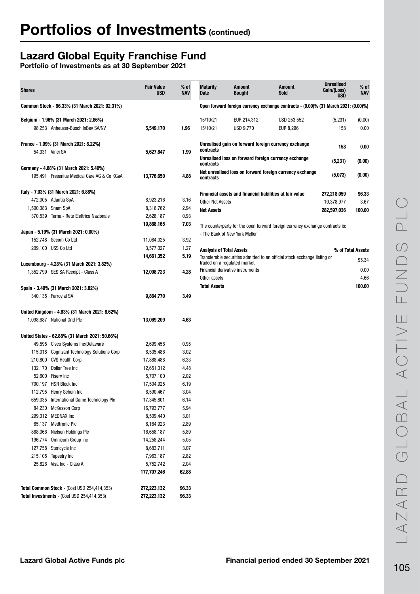# Lazard Global Equity Franchise Fund

| <b>Shares</b>                                                                   | <b>Fair Value</b><br><b>USD</b> | $%$ of<br><b>NAV</b> | <b>Maturity</b><br>Date         | <b>Amount</b><br><b>Bought</b>                                                      | <b>Amount</b><br><b>Sold</b>                                                  | <b>Unrealised</b><br>Gain/(Loss)<br><b>USD</b> | $%$ of<br><b>NAV</b> |
|---------------------------------------------------------------------------------|---------------------------------|----------------------|---------------------------------|-------------------------------------------------------------------------------------|-------------------------------------------------------------------------------|------------------------------------------------|----------------------|
| Common Stock - 96.33% (31 March 2021: 92.31%)                                   |                                 |                      |                                 | Open forward foreign currency exchange contracts - (0.00)% (31 March 2021: (0.00)%) |                                                                               |                                                |                      |
| Belgium - 1.96% (31 March 2021: 2.86%)                                          |                                 |                      | 15/10/21                        | EUR 214,312                                                                         | USD 253,552                                                                   | (5,231)                                        | (0.00)               |
| 98,253 Anheuser-Busch InBev SA/NV                                               | 5,549,170                       | 1.96                 | 15/10/21                        | <b>USD 9,770</b>                                                                    | EUR 8,296                                                                     | 158                                            | 0.00                 |
| France - 1.99% (31 March 2021: 8.22%)                                           |                                 |                      |                                 |                                                                                     | Unrealised gain on forward foreign currency exchange                          | 158                                            | 0.00                 |
| 54,331 Vinci SA                                                                 | 5,627,847                       | 1.99                 | contracts                       |                                                                                     |                                                                               |                                                |                      |
|                                                                                 |                                 |                      | contracts                       |                                                                                     | Unrealised loss on forward foreign currency exchange                          | (5,231)                                        | (0.00)               |
| Germany - 4.88% (31 March 2021: 5.49%)                                          |                                 |                      |                                 |                                                                                     | Net unrealised loss on forward foreign currency exchange                      |                                                |                      |
| 195,491 Fresenius Medical Care AG & Co KGaA                                     | 13,776,650                      | 4.88                 | contracts                       |                                                                                     |                                                                               | (5,073)                                        | (0.00)               |
| Italy - 7.03% (31 March 2021: 6.88%)                                            |                                 |                      |                                 | Financial assets and financial liabilities at fair value                            |                                                                               | 272,218,059                                    | 96.33                |
| 472,005 Atlantia SpA                                                            | 8,923,216                       | 3.16                 | <b>Other Net Assets</b>         |                                                                                     |                                                                               | 10,378,977                                     | 3.67                 |
| 1,500,383 Snam SpA                                                              | 8,316,762                       | 2.94                 | <b>Net Assets</b>               |                                                                                     |                                                                               | 282,597,036                                    | 100.00               |
| 370,539 Terna - Rete Elettrica Nazionale                                        | 2,628,187                       | 0.93                 |                                 |                                                                                     |                                                                               |                                                |                      |
|                                                                                 | 19,868,165                      | 7.03                 |                                 |                                                                                     | The counterparty for the open forward foreign currency exchange contracts is: |                                                |                      |
| Japan - 5.19% (31 March 2021: 0.00%)                                            |                                 |                      |                                 | - The Bank of New York Mellon                                                       |                                                                               |                                                |                      |
| 152,748 Secom Co Ltd                                                            | 11,084,025                      | 3.92                 |                                 |                                                                                     |                                                                               |                                                |                      |
| 209,100 USS Co Ltd                                                              | 3,577,327                       | 1.27                 | <b>Analysis of Total Assets</b> |                                                                                     |                                                                               |                                                | % of Total Assets    |
|                                                                                 | 14,661,352                      | 5.19                 |                                 | traded on a regulated market                                                        | Transferable securities admitted to an official stock exchange listing or     |                                                | 95.34                |
| Luxembourg - 4.28% (31 March 2021: 3.82%)<br>1,352,799 SES SA Receipt - Class A |                                 | 4.28                 |                                 | Financial derivative instruments                                                    |                                                                               |                                                | 0.00                 |
|                                                                                 | 12,098,723                      |                      | Other assets                    |                                                                                     |                                                                               |                                                | 4.66                 |
| Spain - 3.49% (31 March 2021: 3.82%)                                            |                                 |                      | <b>Total Assets</b>             |                                                                                     |                                                                               |                                                | 100.00               |
| 340,135 Ferrovial SA                                                            | 9,864,770                       | 3.49                 |                                 |                                                                                     |                                                                               |                                                |                      |
|                                                                                 |                                 |                      |                                 |                                                                                     |                                                                               |                                                |                      |
| United Kingdom - 4.63% (31 March 2021: 8.62%)                                   |                                 |                      |                                 |                                                                                     |                                                                               |                                                |                      |
| 1,098,687 National Grid Plc                                                     | 13,069,209                      | 4.63                 |                                 |                                                                                     |                                                                               |                                                |                      |
| United States - 62.88% (31 March 2021: 50.66%)                                  |                                 |                      |                                 |                                                                                     |                                                                               |                                                |                      |
| Cisco Systems Inc/Delaware<br>49,595                                            | 2,699,456                       | 0.95                 |                                 |                                                                                     |                                                                               |                                                |                      |
| 115,018 Cognizant Technology Solutions Corp                                     | 8,535,486                       | 3.02                 |                                 |                                                                                     |                                                                               |                                                |                      |
| 210,800<br><b>CVS Health Corp</b>                                               | 17,888,488                      | 6.33                 |                                 |                                                                                     |                                                                               |                                                |                      |
| 132,170 Dollar Tree Inc                                                         | 12,651,312                      | 4.48                 |                                 |                                                                                     |                                                                               |                                                |                      |
| 52,600 Fiserv Inc                                                               | 5,707,100                       | 2.02                 |                                 |                                                                                     |                                                                               |                                                |                      |
| 700,197 H&R Block Inc                                                           | 17,504,925                      | 6.19                 |                                 |                                                                                     |                                                                               |                                                |                      |
| 112,795 Henry Schein Inc                                                        | 8,590,467                       | 3.04                 |                                 |                                                                                     |                                                                               |                                                |                      |
| 659,035 International Game Technology Plc                                       | 17,345,801                      | 6.14                 |                                 |                                                                                     |                                                                               |                                                |                      |
| 84,230 McKesson Corp                                                            | 16,793,777                      | 5.94                 |                                 |                                                                                     |                                                                               |                                                |                      |
| 299,312 MEDNAX Inc                                                              | 8,509,440                       | 3.01                 |                                 |                                                                                     |                                                                               |                                                |                      |
| 65,137 Medtronic Plc                                                            | 8,164,923                       | 2.89                 |                                 |                                                                                     |                                                                               |                                                |                      |
| 868,066<br>Nielsen Holdings Plc                                                 | 16,658,187                      | 5.89                 |                                 |                                                                                     |                                                                               |                                                |                      |
| 196,774<br>Omnicom Group Inc                                                    | 14,258,244                      | 5.05                 |                                 |                                                                                     |                                                                               |                                                |                      |
| 127,758<br>Stericycle Inc                                                       | 8,683,711                       | 3.07                 |                                 |                                                                                     |                                                                               |                                                |                      |
| 215,105<br>Tapestry Inc<br>25,826 Visa Inc - Class A                            | 7,963,187                       | 2.82                 |                                 |                                                                                     |                                                                               |                                                |                      |
|                                                                                 | 5,752,742<br>177,707,246        | 2.04<br>62.88        |                                 |                                                                                     |                                                                               |                                                |                      |
|                                                                                 |                                 |                      |                                 |                                                                                     |                                                                               |                                                |                      |
| Total Common Stock - (Cost USD 254,414,353)                                     | 272,223,132                     | 96.33                |                                 |                                                                                     |                                                                               |                                                |                      |
| Total Investments - (Cost USD 254,414,353)                                      | 272,223,132                     | 96.33                |                                 |                                                                                     |                                                                               |                                                |                      |
|                                                                                 |                                 |                      |                                 |                                                                                     |                                                                               |                                                |                      |
|                                                                                 |                                 |                      |                                 |                                                                                     |                                                                               |                                                |                      |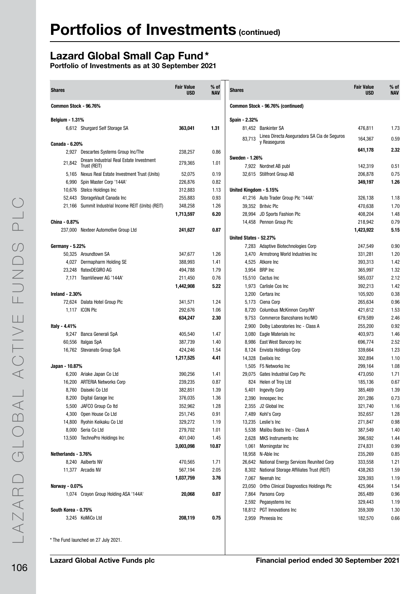# Lazard Global Small Cap Fund\*

| <b>Shares</b>          |                                                                                   | <b>Fair Value</b><br><b>USD</b> | $%$ of<br><b>NAV</b> | <b>Shares</b>          |                                                     | <b>Fair Value</b><br>USD | $%$ of<br><b>NAV</b> |
|------------------------|-----------------------------------------------------------------------------------|---------------------------------|----------------------|------------------------|-----------------------------------------------------|--------------------------|----------------------|
| Common Stock - 96.76%  |                                                                                   |                                 |                      |                        | Common Stock - 96.76% (continued)                   |                          |                      |
| <b>Belgium - 1.31%</b> |                                                                                   |                                 |                      | Spain - 2.32%          |                                                     |                          |                      |
|                        | 6,612 Shurgard Self Storage SA                                                    | 363,041                         | 1.31                 |                        | 81.452 Bankinter SA                                 | 476,811                  | 1.73                 |
|                        |                                                                                   |                                 |                      | 83,713                 | Linea Directa Aseguradora SA Cia de Seguros         | 164,367                  | 0.59                 |
| Canada - 6.20%         |                                                                                   |                                 |                      |                        | y Reaseguros                                        |                          |                      |
|                        | 2,927 Descartes Systems Group Inc/The                                             | 238,257                         | 0.86                 |                        |                                                     | 641,178                  | 2.32                 |
| 21,842                 | Dream Industrial Real Estate Investment                                           | 279,365                         | 1.01                 | <b>Sweden - 1.26%</b>  |                                                     |                          |                      |
|                        | Trust (REIT)                                                                      |                                 |                      |                        | 7,922 Nordnet AB publ<br>32,615 Stillfront Group AB | 142,319                  | 0.51<br>0.75         |
|                        | 5,165 Nexus Real Estate Investment Trust (Units)<br>6,990 Spin Master Corp '144A' | 52,075<br>226,876               | 0.19<br>0.82         |                        |                                                     | 206,878<br>349,197       | 1.26                 |
|                        | 10,676 Stelco Holdings Inc                                                        | 312,883                         | 1.13                 | United Kingdom - 5.15% |                                                     |                          |                      |
|                        | 52,443 StorageVault Canada Inc                                                    | 255,883                         | 0.93                 |                        | 41,216 Auto Trader Group Plc '144A'                 | 326,138                  | 1.18                 |
|                        | 21,166 Summit Industrial Income REIT (Units) (REIT)                               | 348,258                         | 1.26                 |                        | 39,352 Britvic Plc                                  | 470,638                  | 1.70                 |
|                        |                                                                                   | 1,713,597                       | 6.20                 |                        | 28,994 JD Sports Fashion Plc                        | 408,204                  | 1.48                 |
| China - 0.87%          |                                                                                   |                                 |                      |                        | 14,458 Pennon Group Plc                             | 218,942                  | 0.79                 |
|                        | 237,000 Nexteer Automotive Group Ltd                                              | 241,627                         | 0.87                 |                        |                                                     | 1,423,922                | 5.15                 |
|                        |                                                                                   |                                 |                      | United States - 52.27% |                                                     |                          |                      |
| <b>Germany - 5.22%</b> |                                                                                   |                                 |                      |                        | 7,283 Adaptive Biotechnologies Corp                 | 247,549                  | 0.90                 |
|                        | 50,325 Aroundtown SA                                                              | 347,677                         | 1.26                 |                        | 3,470 Armstrong World Industries Inc                | 331,281                  | 1.20                 |
|                        | 4,027 Dermapharm Holding SE                                                       | 388,993                         | 1.41                 |                        | 4,525 Atkore Inc                                    | 393,313                  | 1.42                 |
|                        | 23,248 flatexDEGIRO AG                                                            | 494,788                         | 1.79                 |                        | 3,954 BRP Inc                                       | 365,997                  | 1.32                 |
|                        | 7,171 TeamViewer AG '144A'                                                        | 211,450                         | 0.76                 |                        | 15,510 Cactus Inc                                   | 585,037                  | 2.12                 |
|                        |                                                                                   | 1,442,908                       | 5.22                 |                        | 1,973 Carlisle Cos Inc                              | 392,213                  | 1.42                 |
| Ireland - 2.30%        |                                                                                   |                                 |                      |                        | 3,200 Certara Inc                                   | 105,920                  | 0.38                 |
|                        | 72,624 Dalata Hotel Group Plc                                                     | 341,571                         | 1.24                 |                        | 5,173 Ciena Corp                                    | 265,634                  | 0.96                 |
|                        | 1,117 ICON Plc                                                                    | 292,676                         | 1.06                 |                        | 8,720 Columbus McKinnon Corp/NY                     | 421,612                  | 1.53                 |
|                        |                                                                                   | 634,247                         | 2.30                 |                        | 9,753 Commerce Bancshares Inc/MO                    | 679,589                  | 2.46                 |
| Italy - 4.41%          |                                                                                   |                                 |                      |                        | 2,900 Dolby Laboratories Inc - Class A              | 255,200                  | 0.92                 |
|                        | 9,247 Banca Generali SpA                                                          | 405,540                         | 1.47                 |                        | 3,080 Eagle Materials Inc                           | 403,973                  | 1.46                 |
|                        | 60,556 Italgas SpA                                                                | 387,739                         | 1.40                 |                        | 8,986 East West Bancorp Inc                         | 696,774                  | 2.52                 |
|                        | 16,762 Stevanato Group SpA                                                        | 424,246                         | 1.54                 |                        | 8,124 Envista Holdings Corp                         | 339,664                  | 1.23                 |
|                        |                                                                                   | 1,217,525                       | 4.41                 |                        | 14,328 Exelixis Inc                                 | 302,894                  | 1.10                 |
| Japan - 10.87%         |                                                                                   |                                 |                      |                        | 1.505 F5 Networks Inc                               | 299,164                  | 1.08                 |
|                        | 6,200 Ariake Japan Co Ltd                                                         | 390,256                         | 1.41                 |                        | 29,075 Gates Industrial Corp Plc                    | 473,050                  | 1.71                 |
|                        | 16,200 ARTERIA Networks Corp                                                      | 239,235                         | 0.87                 |                        | 824 Helen of Troy Ltd                               | 185,136                  | 0.67                 |
|                        | 8,760 Daiseki Co Ltd                                                              | 382,851                         | 1.39                 |                        | 5,401 Ingevity Corp                                 | 385,469                  | 1.39                 |
|                        | 8,200 Digital Garage Inc                                                          | 376,035                         | 1.36                 |                        | 2,390 Innospec Inc                                  | 201,286                  | 0.73                 |
|                        | 5,500 JAFCO Group Co Itd                                                          | 352,962                         | 1.28                 |                        | 2,355 J2 Global Inc                                 | 321,740                  | 1.16                 |
|                        | 4,300 Open House Co Ltd                                                           | 251,745                         | 0.91                 |                        | 7,489 Kohl's Corp                                   | 352,657                  | 1.28                 |
|                        | 14,800 Ryohin Keikaku Co Ltd                                                      | 329,272                         | 1.19                 |                        | 13,235 Leslie's Inc                                 | 271,847                  | 0.98                 |
|                        | 8,000 Seria Co Ltd                                                                | 279,702                         | 1.01                 |                        | 5,538 Malibu Boats Inc - Class A                    | 387,549                  | 1.40                 |
|                        | 13,500 TechnoPro Holdings Inc                                                     | 401,040                         | 1.45                 |                        | 2,628 MKS Instruments Inc                           | 396,592                  | 1.44                 |
|                        |                                                                                   | 3,003,098                       | 10.87                |                        | 1,061 Morningstar Inc                               | 274,831                  | 0.99                 |
| Netherlands - 3.76%    |                                                                                   |                                 |                      |                        | 18,958 N-Able Inc                                   | 235,269                  | 0.85                 |
|                        | 8,240 Aalberts NV                                                                 | 470,565                         | 1.71                 |                        | 26,642 National Energy Services Reunited Corp       | 333,558                  | 1.21                 |
|                        | 11,377 Arcadis NV                                                                 | 567,194                         | 2.05                 |                        | 8,302 National Storage Affiliates Trust (REIT)      | 438,263                  | 1.59                 |
|                        |                                                                                   | 1,037,759                       | 3.76                 |                        | 7,067 Neenah Inc                                    | 329,393                  | 1.19                 |
| Norway - 0.07%         |                                                                                   |                                 |                      |                        | 23,050 Ortho Clinical Diagnostics Holdings Plc      | 425,964                  | 1.54                 |
|                        | 1,074 Crayon Group Holding ASA '144A'                                             | 20,068                          | 0.07                 |                        | 7,864 Parsons Corp                                  | 265,489                  | 0.96                 |
|                        |                                                                                   |                                 |                      |                        | 2,592 Pegasystems Inc                               | 329,443                  | 1.19                 |
| South Korea - 0.75%    |                                                                                   |                                 |                      |                        | 18,812 PGT Innovations Inc                          | 359,309                  | 1.30                 |
|                        | 3,245 KoMiCo Ltd                                                                  | 208,119                         | 0.75                 |                        | 2,959 Phreesia Inc                                  | 182,570                  | 0.66                 |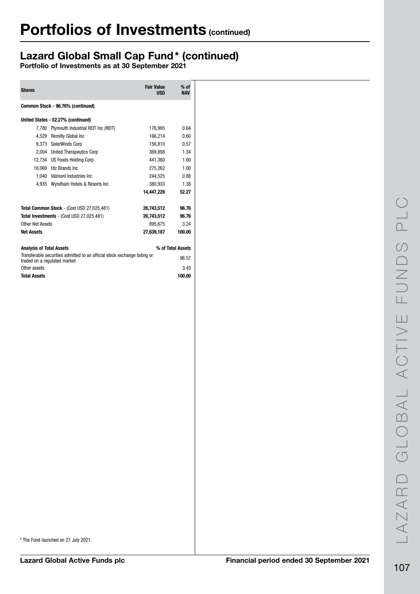# Lazard Global Small Cap Fund\* (continued)

Portfolio of Investments as at 30 September 2021

| <b>Shares</b>                     |                                                                                                           | <b>Fair Value</b><br><b>USD</b> | $%$ of<br><b>NAV</b> |  |  |  |  |
|-----------------------------------|-----------------------------------------------------------------------------------------------------------|---------------------------------|----------------------|--|--|--|--|
| Common Stock - 96.76% (continued) |                                                                                                           |                                 |                      |  |  |  |  |
|                                   | United States - 52.27% (continued)                                                                        |                                 |                      |  |  |  |  |
| 7,780                             | Plymouth Industrial REIT Inc (REIT)                                                                       | 176.995                         | 0.64                 |  |  |  |  |
|                                   | 4,529 Remitly Global Inc                                                                                  | 166.214                         | 0.60                 |  |  |  |  |
|                                   | 9,373 SolarWinds Corp                                                                                     | 156,810                         | 0.57                 |  |  |  |  |
|                                   | 2,004 United Therapeutics Corp                                                                            | 369,898                         | 1.34                 |  |  |  |  |
|                                   | 12,734 US Foods Holding Corp                                                                              | 441,360                         | 1.60                 |  |  |  |  |
|                                   | 16,069 Utz Brands Inc                                                                                     | 275,262                         | 1.00                 |  |  |  |  |
|                                   | 1.040 Valmont Industries Inc                                                                              | 244,525                         | 0.88                 |  |  |  |  |
|                                   | 4,935 Wyndham Hotels & Resorts Inc                                                                        | 380,933                         | 1.38                 |  |  |  |  |
|                                   |                                                                                                           | 14,447,226                      | 52.27                |  |  |  |  |
|                                   | Total Common Stock - (Cost USD 27,025,481)                                                                | 26,743,512                      | 96.76                |  |  |  |  |
|                                   | Total Investments - (Cost USD 27,025,481)                                                                 | 26,743,512                      | 96.76                |  |  |  |  |
| Other Net Assets                  |                                                                                                           | 895,675                         | 3.24                 |  |  |  |  |
| <b>Net Assets</b>                 |                                                                                                           | 27,639,187                      | 100.00               |  |  |  |  |
| <b>Analysis of Total Assets</b>   |                                                                                                           |                                 | % of Total Assets    |  |  |  |  |
|                                   | Transferable securities admitted to an official stock exchange listing or<br>traded on a regulated market |                                 | 96.57                |  |  |  |  |
| Other assets                      |                                                                                                           |                                 | 3.43                 |  |  |  |  |
| <b>Total Assets</b>               |                                                                                                           |                                 | 100.00               |  |  |  |  |
|                                   |                                                                                                           |                                 |                      |  |  |  |  |
|                                   |                                                                                                           |                                 |                      |  |  |  |  |

\* The Fund launched on 27 July 2021.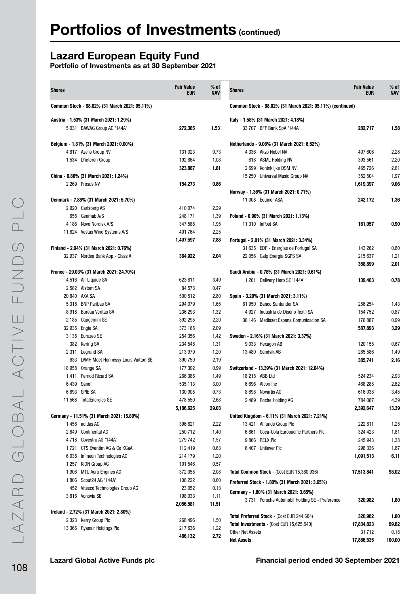# Lazard European Equity Fund

| <b>Shares</b>   |                                                             | <b>Fair Value</b><br><b>EUR</b> | % of<br><b>NAV</b> | <b>Shares</b>                                             | <b>Fair Value</b><br><b>EUR</b> | % of<br><b>NAV</b> |
|-----------------|-------------------------------------------------------------|---------------------------------|--------------------|-----------------------------------------------------------|---------------------------------|--------------------|
|                 | Common Stock - 98.02% (31 March 2021: 95.11%)               |                                 |                    | Common Stock - 98.02% (31 March 2021: 95.11%) (continued) |                                 |                    |
|                 | Austria - 1.53% (31 March 2021: 1.29%)                      |                                 |                    | Italy - 1.58% (31 March 2021: 4.18%)                      |                                 |                    |
|                 | 5,031 BAWAG Group AG '144A'                                 | 272,385                         | 1.53               | 33,707 BFF Bank SpA '144A'                                | 282,717                         | 1.58               |
|                 | Belgium - 1.81% (31 March 2021: 0.00%)                      |                                 |                    | Netherlands - 9.06% (31 March 2021: 6.52%)                |                                 |                    |
|                 | 4,817 Azelis Group NV                                       | 131,023                         | 0.73               | 4.336 Akzo Nobel NV                                       | 407,606                         | 2.28               |
|                 | 1,534 D'ieteren Group                                       | 192,864                         | 1.08               | 618 ASML Holding NV                                       | 393,561                         | 2.20               |
|                 |                                                             | 323,887                         | 1.81               | Koninklijke DSM NV<br>2,699                               | 465,726                         | 2.61               |
|                 | China - 0.86% (31 March 2021: 1.24%)                        |                                 |                    | 15,250 Universal Music Group NV                           | 352,504                         | 1.97               |
|                 | 2,269 Prosus NV                                             | 154,273                         | 0.86               | Norway - 1.36% (31 March 2021: 0.71%)                     | 1,619,397                       | 9.06               |
|                 | Denmark - 7.88% (31 March 2021: 5.70%)                      |                                 |                    | 11,008 Equinor ASA                                        | 242,172                         | 1.36               |
|                 | 2,920 Carlsberg AS                                          | 410,074                         | 2.29               |                                                           |                                 |                    |
|                 | 658 Genmab A/S                                              | 248,171                         | 1.39               | Poland - 0.90% (31 March 2021: 1.13%)                     |                                 |                    |
|                 | 4,186 Novo Nordisk A/S                                      | 347,588                         | 1.95               | 11.310 InPost SA                                          | 161.057                         | 0.90               |
|                 | 11,624 Vestas Wind Systems A/S                              | 401,764                         | 2.25               |                                                           |                                 |                    |
|                 |                                                             | 1,407,597                       | 7.88               | Portugal - 2.01% (31 March 2021: 3.34%)                   |                                 |                    |
|                 | Finland - 2.04% (31 March 2021: 0.76%)                      |                                 |                    | 31,635 EDP - Energias de Portugal SA                      | 143,262                         | 0.80               |
|                 | 32,937 Nordea Bank Abp - Class A                            | 364,922                         | 2.04               | 22,056 Galp Energia SGPS SA                               | 215,637                         | 1.21               |
|                 |                                                             |                                 |                    |                                                           | 358,899                         | 2.01               |
|                 | France - 29.03% (31 March 2021: 24.70%)                     |                                 |                    | Saudi Arabia - 0.78% (31 March 2021: 0.61%)               |                                 |                    |
|                 | 4,516 Air Liquide SA                                        | 623,811                         | 3.49               | 1,261 Delivery Hero SE '144A'                             | 139,403                         | 0.78               |
|                 | 2,582 Alstom SA                                             | 84,573                          | 0.47               |                                                           |                                 |                    |
| 20,840 AXA SA   |                                                             | 500,512                         | 2.80               | Spain - 3.29% (31 March 2021: 3.11%)                      |                                 |                    |
|                 | 5,318 BNP Paribas SA                                        | 294,079                         | 1.65               | 81,950 Banco Santander SA                                 | 256,254                         | 1.43               |
|                 | 8,918 Bureau Veritas SA                                     | 236,293                         | 1.32               | 4,927 Industria de Diseno Textil SA                       | 154,752                         | 0.87               |
|                 | 2,185 Capgemini SE                                          | 392,295                         | 2.20               | 36,146 Mediaset Espana Comunicacion SA                    | 176,887                         | 0.99               |
| 32,935 Engie SA |                                                             | 373,165                         | 2.09               |                                                           | 587,893                         | 3.29               |
|                 | 3,135 Eurazeo SE                                            | 254,356                         | 1.42               | Sweden - 2.16% (31 March 2021: 3.37%)                     |                                 |                    |
|                 | 382 Kering SA                                               | 234,548                         | 1.31               | 9,033 Hexagon AB                                          | 120,155                         | 0.67               |
|                 | 2,311 Legrand SA<br>633 LVMH Moet Hennessy Louis Vuitton SE | 213,979                         | 1.20<br>2.19       | 13,480 Sandvik AB                                         | 265,586                         | 1.49               |
|                 | 18,958 Orange SA                                            | 390,759<br>177,302              | 0.99               | Switzerland - 13.39% (31 March 2021: 12.64%)              | 385,741                         | 2.16               |
|                 | 1,411 Pernod Ricard SA                                      | 266,385                         | 1.49               | 18,218 ABB Ltd                                            | 524,234                         | 2.93               |
| 6,439 Sanofi    |                                                             | 535,113                         | 3.00               | 6,696 Alcon Inc                                           | 468,288                         | 2.62               |
|                 | 6,693 SPIE SA                                               | 130,905                         | 0.73               | 8,698 Novartis AG                                         | 616,038                         | 3.45               |
|                 | 11,568 TotalEnergies SE                                     | 478,550                         | 2.68               | 2,489 Roche Holding AG                                    | 784,087                         | 4.39               |
|                 |                                                             | 5,186,625                       | 29.03              |                                                           | 2,392,647                       | 13.39              |
|                 | Germany - 11.51% (31 March 2021: 15.80%)                    |                                 |                    | United Kingdom - 6.11% (31 March 2021: 7.21%)             |                                 |                    |
|                 | 1,458 adidas AG                                             | 396,621                         | 2.22               | 13,421 Allfunds Group Plc                                 | 222,811                         | 1.25               |
|                 | 2,649 Continental AG                                        | 250,712                         | 1.40               | 6,861 Coca-Cola Europacific Partners Plc                  | 324,423                         | 1.81               |
|                 | 4,718 Covestro AG '144A'                                    | 279,742                         | 1.57               | 9,866 RELX Plc                                            | 245,943                         | 1.38               |
|                 | 1,721 CTS Eventim AG & Co KGaA                              | 112,419                         | 0.63               | 6,407 Unilever Plc                                        | 298,336                         | 1.67               |
|                 | 6,035 Infineon Technologies AG                              | 214,179                         | 1.20               |                                                           | 1,091,513                       | 6.11               |
|                 | 1,257 KION Group AG                                         | 101,546                         | 0.57               |                                                           |                                 |                    |
|                 | 1,906 MTU Aero Engines AG                                   | 372,055                         | 2.08               | Total Common Stock - (Cost EUR 15,380,936)                | 17,513,841                      | 98.02              |
|                 | 1,806 Scout24 AG '144A'                                     | 108,222                         | 0.60               | Preferred Stock - 1.80% (31 March 2021: 3.65%)            |                                 |                    |
|                 | 452 Vitesco Technologies Group AG                           | 23,052                          | 0.13               | Germany - 1.80% (31 March 2021: 3.65%)                    |                                 |                    |
|                 | 3,816 Vonovia SE                                            | 198,033                         | 1.11               | 3,731 Porsche Automobil Holding SE - Preference           | 320,982                         | 1.80               |
|                 |                                                             | 2,056,581                       | 11.51              |                                                           |                                 |                    |
|                 | Ireland - 2.72% (31 March 2021: 2.80%)                      |                                 |                    | Total Preferred Stock - (Cost EUR 244,604)                | 320,982                         | 1.80               |
|                 | 2,323 Kerry Group Plc                                       | 268,496                         | 1.50               | Total Investments - (Cost EUR 15,625,540)                 | 17,834,823                      | 99.82              |
|                 | 13,366 Ryanair Holdings Plc                                 | 217,636                         | 1.22               | Other Net Assets                                          | 31,712                          | 0.18               |
|                 |                                                             | 486,132                         | 2.72               | <b>Net Assets</b>                                         | 17,866,535                      | 100.00             |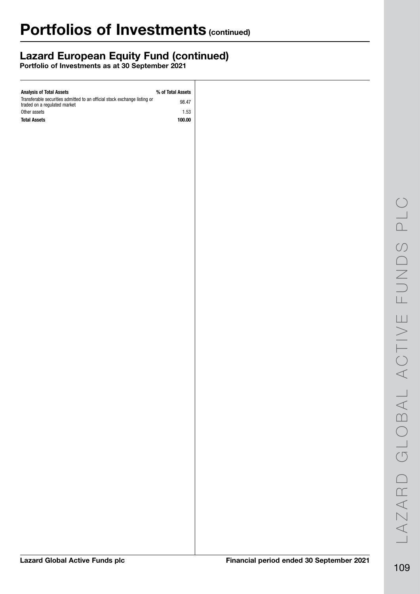## Lazard European Equity Fund (continued)

| <b>Analysis of Total Assets</b>                                                                           | % of Total Assets |
|-----------------------------------------------------------------------------------------------------------|-------------------|
| Transferable securities admitted to an official stock exchange listing or<br>traded on a regulated market | 98.47             |
| Other assets                                                                                              | 1.53              |
| <b>Total Assets</b>                                                                                       | 100.00            |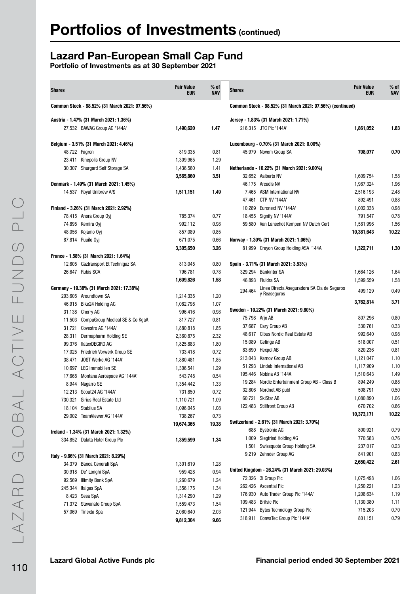### Lazard Pan-European Small Cap Fund

| <b>Shares</b>                                                     | <b>Fair Value</b><br><b>EUR</b> | $%$ of<br><b>NAV</b> | <b>Shares</b> |                                                             | <b>Fair Value</b><br><b>EUR</b> | % of<br><b>NAV</b> |
|-------------------------------------------------------------------|---------------------------------|----------------------|---------------|-------------------------------------------------------------|---------------------------------|--------------------|
| Common Stock - 98.52% (31 March 2021: 97.56%)                     |                                 |                      |               | Common Stock - 98.52% (31 March 2021: 97.56%) (continued)   |                                 |                    |
| Austria - 1.47% (31 March 2021: 1.36%)                            |                                 |                      |               | Jersey - 1.83% (31 March 2021: 1.71%)                       |                                 |                    |
| 27,532 BAWAG Group AG '144A'                                      | 1,490,620                       | 1.47                 |               | 216,315 JTC Plc '144A'                                      | 1,861,052                       | 1.83               |
| Belgium - 3.51% (31 March 2021: 4.46%)                            |                                 |                      |               | Luxembourg - 0.70% (31 March 2021: 0.00%)                   |                                 |                    |
| 48,722 Fagron                                                     | 819,335                         | 0.81                 |               | 45,979 Novem Group SA                                       | 708,077                         | 0.70               |
| 23,411 Kinepolis Group NV                                         | 1,309,965                       | 1.29                 |               |                                                             |                                 |                    |
| 30,307 Shurgard Self Storage SA                                   | 1,436,560                       | 1.41                 |               | Netherlands - 10.22% (31 March 2021: 9.00%)                 |                                 |                    |
|                                                                   | 3,565,860                       | 3.51                 |               | 32,652 Aalberts NV                                          | 1,609,754                       | 1.58               |
| Denmark - 1.49% (31 March 2021: 1.45%)                            |                                 |                      |               | 46,175 Arcadis NV                                           | 1,987,324                       | 1.96               |
| 14,537 Royal Unibrew A/S                                          | 1,511,151                       | 1.49                 |               | 7,465 ASM International NV                                  | 2,516,193                       | 2.48               |
|                                                                   |                                 |                      |               | 47,461 CTP NV '144A'                                        | 892,491                         | 0.88               |
| Finland - 3.26% (31 March 2021: 2.92%)                            |                                 |                      |               | 10,289 Euronext NV '144A'                                   | 1,002,338                       | 0.98               |
| 78,415 Anora Group Oyj                                            | 785,374                         | 0.77                 |               | 18,455 Signify NV '144A'                                    | 791,547                         | 0.78               |
| 74,895 Kemira Ovi                                                 | 992,112                         | 0.98                 |               | 59,580 Van Lanschot Kempen NV Dutch Cert                    | 1,581,996                       | 1.56               |
| 48,056 Kojamo Oyj                                                 | 857,089                         | 0.85                 |               |                                                             | 10,381,643                      | 10.22              |
| 87,814 Puuilo Oyi                                                 | 671,075                         | 0.66                 |               | Norway - 1.30% (31 March 2021: 1.06%)                       |                                 |                    |
|                                                                   | 3,305,650                       | 3.26                 |               | 81,999 Crayon Group Holding ASA '144A'                      | 1,322,711                       | 1.30               |
| France - 1.58% (31 March 2021: 1.64%)                             |                                 |                      |               |                                                             |                                 |                    |
| 12,605 Gaztransport Et Technigaz SA                               | 813,045                         | 0.80                 |               | Spain - 3.71% (31 March 2021: 3.53%)                        |                                 |                    |
| 26.647 Rubis SCA                                                  | 796,781                         | 0.78                 |               | 329,294 Bankinter SA                                        | 1,664,126                       | 1.64               |
|                                                                   | 1,609,826                       | 1.58                 |               | 46,893 Fluidra SA                                           | 1,599,559                       | 1.58               |
| Germany - 19.38% (31 March 2021: 17.38%)<br>203,605 Aroundtown SA | 1,214,335                       | 1.20                 | 294,464       | Linea Directa Aseguradora SA Cia de Seguros<br>y Reaseguros | 499,129                         | 0.49               |
| 46,915 Bike24 Holding AG                                          | 1,082,798                       | 1.07                 |               |                                                             | 3,762,814                       | 3.71               |
| 31,138 Cherry AG                                                  | 996,416                         | 0.98                 |               | Sweden - 10.22% (31 March 2021: 9.80%)                      |                                 |                    |
| 11,503 CompuGroup Medical SE & Co KgaA                            | 817,727                         | 0.81                 |               | 75,798 Arjo AB                                              | 807,296                         | 0.80               |
| 31,721 Covestro AG '144A'                                         | 1,880,818                       | 1.85                 |               | 37,687 Cary Group AB                                        | 330,761                         | 0.33               |
| Dermapharm Holding SE<br>28,311                                   | 2,360,875                       | 2.32                 |               | 48,617 Cibus Nordic Real Estate AB                          | 992,640                         | 0.98               |
| 99,376 flatexDEGIRO AG                                            | 1,825,883                       | 1.80                 |               | 15,089 Getinge AB                                           | 518,007                         | 0.51               |
| 17,025 Friedrich Vorwerk Group SE                                 | 733,418                         | 0.72                 |               | 83,690 Hexpol AB                                            | 820,236                         | 0.81               |
| 38,471 JOST Werke AG '144A'                                       | 1,880,481                       | 1.85                 |               | 213,043 Karnov Group AB                                     | 1,121,047                       | 1.10               |
| 10,697 LEG Immobilien SE                                          | 1,306,541                       | 1.29                 |               | 51,293 Lindab International AB                              | 1,117,909                       | 1.10               |
| 17,668 Montana Aerospace AG '144A'                                | 543,748                         | 0.54                 |               | 195,446 Nobina AB '144A'                                    | 1,510,643                       | 1.49               |
| 8,944 Nagarro SE                                                  | 1,354,442                       | 1.33                 |               | 19,284 Nordic Entertainment Group AB - Class B              | 894,249                         | 0.88               |
| 12,213 Scout24 AG '144A'                                          | 731,850                         | 0.72                 |               | 32,806 Nordnet AB publ                                      | 508,791                         | 0.50               |
| 730,321 Sirius Real Estate Ltd                                    | 1,110,721                       | 1.09                 |               | 60,721 SkiStar AB                                           | 1,080,890                       | 1.06               |
| 18,104 Stabilus SA                                                | 1,096,045                       | 1.08                 |               | 122,483 Stillfront Group AB                                 | 670,702                         | 0.66               |
| 29,002 TeamViewer AG '144A'                                       | 738,267                         | 0.73                 |               |                                                             | 10,373,171                      | 10.22              |
|                                                                   | 19,674,365                      | 19.38                |               | Switzerland - 2.61% (31 March 2021: 3.70%)                  |                                 |                    |
| Ireland - 1.34% (31 March 2021: 1.32%)                            |                                 |                      |               | 688 Bystronic AG                                            | 800,921                         | 0.79               |
| 334,852 Dalata Hotel Group Plc                                    | 1,359,599                       | 1.34                 |               | 1,009 Siegfried Holding AG                                  | 770,583                         | 0.76               |
|                                                                   |                                 |                      |               | 1,501 Swissquote Group Holding SA                           | 237,017                         | 0.23               |
| Italy - 9.66% (31 March 2021: 8.29%)                              |                                 |                      |               | 9,219 Zehnder Group AG                                      | 841,901                         | 0.83               |
| 34,379 Banca Generali SpA                                         | 1,301,619                       | 1.28                 |               |                                                             | 2,650,422                       | 2.61               |
| 30,918 De' Longhi SpA                                             | 959,428                         | 0.94                 |               | United Kingdom - 26.24% (31 March 2021: 29.03%)             |                                 |                    |
| 92,569 Illimity Bank SpA                                          | 1,260,679                       | 1.24                 |               | 72,326 3i Group Plc                                         | 1,075,498                       | 1.06               |
| 245,344 Italgas SpA                                               | 1,356,175                       | 1.34                 |               | 262,426 Ascential Plc                                       | 1,250,221                       | 1.23               |
| 8,423 Sesa SpA                                                    | 1,314,290                       | 1.29                 |               | 176,930 Auto Trader Group Plc '144A'                        | 1,208,634                       | 1.19               |
| 71,372 Stevanato Group SpA                                        | 1,559,473                       | 1.54                 |               | 109,483 Britvic Plc                                         | 1,130,380                       | 1.11               |
| 57,069 Tinexta Spa                                                | 2,060,640                       | 2.03                 |               | 121,944 Bytes Technology Group Plc                          | 715,203                         | 0.70               |
|                                                                   | 9,812,304                       | 9.66                 |               | 318,911 ConvaTec Group Plc '144A'                           | 801,151                         | 0.79               |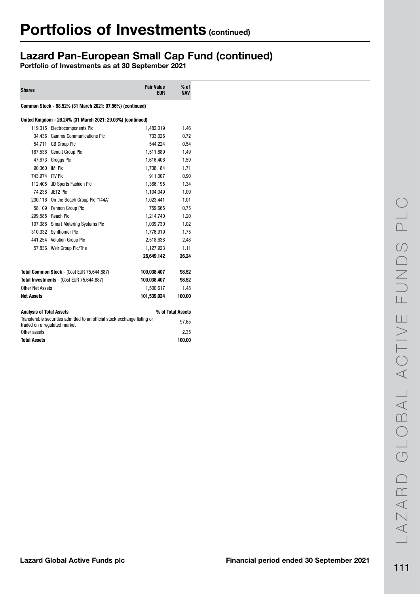## Lazard Pan-European Small Cap Fund (continued)

| <b>Shares</b>                |                                                                           | <b>Fair Value</b><br><b>EUR</b> | $%$ of<br><b>NAV</b> |
|------------------------------|---------------------------------------------------------------------------|---------------------------------|----------------------|
|                              | Common Stock - 98.52% (31 March 2021: 97.56%) (continued)                 |                                 |                      |
|                              | United Kingdom - 26.24% (31 March 2021: 29.03%) (continued)               |                                 |                      |
|                              | 119,315 Electrocomponents Plc                                             | 1,482,019                       | 1.46                 |
|                              | 34,436 Gamma Communications Plc                                           | 733,026                         | 0.72                 |
| 54,711                       | <b>GB Group PIc</b>                                                       | 544.224                         | 0.54                 |
| 187,536                      | Genuit Group Plc                                                          | 1,511,889                       | 1.49                 |
| 47,673                       | <b>Greggs PIc</b>                                                         | 1,616,406                       | 1.59                 |
| 90.360 IMI PIC               |                                                                           | 1,738,184                       | 1.71                 |
| 743,974 ITV Plc              |                                                                           | 911,007                         | 0.90                 |
| 112.405                      | <b>JD Sports Fashion Plc</b>                                              | 1,366,195                       | 1.34                 |
| 74,238                       | JET2 Plc                                                                  | 1,104,049                       | 1.09                 |
|                              | 230,116 On the Beach Group Plc '144A'                                     | 1,023,441                       | 1.01                 |
|                              | 58,109 Pennon Group Plc                                                   | 759,665                         | 0.75                 |
|                              | 299,585 Reach Plc                                                         | 1,214,740                       | 1.20                 |
| 107,388                      | <b>Smart Metering Systems Plc</b>                                         | 1,039,730                       | 1.02                 |
| 310,332                      | <b>Synthomer Plc</b>                                                      | 1,776,919                       | 1.75                 |
|                              | 441.254 Volution Group Plc                                                | 2,518,638                       | 2.48                 |
|                              | 57,836 Weir Group Plc/The                                                 | 1,127,923                       | 1.11                 |
|                              |                                                                           | 26,649,142                      | 26.24                |
|                              | Total Common Stock - (Cost EUR 75,644,887)                                | 100,038,407                     | 98.52                |
|                              | Total Investments - (Cost EUR 75,644,887)                                 | 100,038,407                     | 98.52                |
| Other Net Assets             |                                                                           | 1,500,617                       | 1.48                 |
| <b>Net Assets</b>            |                                                                           | 101,539,024                     | 100.00               |
| Analvsis of Total Assets     |                                                                           |                                 | % of Total Assets    |
| traded on a regulated market | Transferable securities admitted to an official stock exchange listing or |                                 | 97.65                |
| Other assets                 |                                                                           |                                 | 2.35                 |
| <b>Total Assets</b>          |                                                                           |                                 | 100.00               |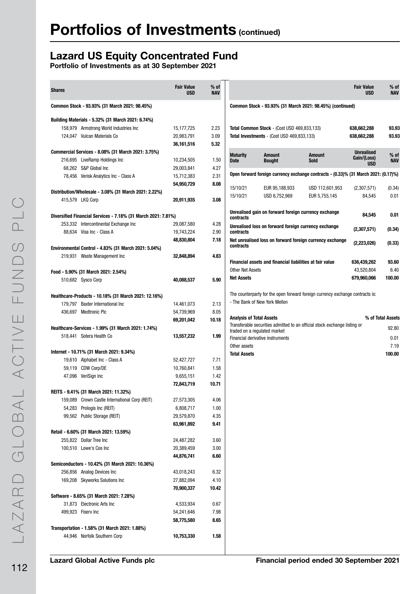### Lazard US Equity Concentrated Fund

| 2.23<br>3.09<br>5.32<br>1.50<br>4.27<br>2.31<br>8.08<br>3.08 | Common Stock - 93.93% (31 March 2021: 98.45%) (continued)<br>Total Common Stock - (Cost USD 469,833,133)<br>93.93<br>638,662,288<br>93.93<br>Total Investments - (Cost USD 469,833,133)<br>638,662,288<br><b>Unrealised</b><br><b>Maturity</b><br><b>Amount</b><br>% of<br><b>Amount</b><br>Gain/(Loss)<br><b>Bought</b><br><b>Sold</b><br><b>NAV</b><br><b>Date</b> |
|--------------------------------------------------------------|----------------------------------------------------------------------------------------------------------------------------------------------------------------------------------------------------------------------------------------------------------------------------------------------------------------------------------------------------------------------|
|                                                              |                                                                                                                                                                                                                                                                                                                                                                      |
|                                                              |                                                                                                                                                                                                                                                                                                                                                                      |
|                                                              |                                                                                                                                                                                                                                                                                                                                                                      |
|                                                              |                                                                                                                                                                                                                                                                                                                                                                      |
|                                                              |                                                                                                                                                                                                                                                                                                                                                                      |
|                                                              |                                                                                                                                                                                                                                                                                                                                                                      |
|                                                              |                                                                                                                                                                                                                                                                                                                                                                      |
|                                                              | <b>USD</b>                                                                                                                                                                                                                                                                                                                                                           |
|                                                              | Open forward foreign currency exchange contracts - (0.33)% (31 March 2021: (0.17)%)                                                                                                                                                                                                                                                                                  |
|                                                              |                                                                                                                                                                                                                                                                                                                                                                      |
|                                                              | 15/10/21<br>EUR 95,188,933<br>USD 112,601,953<br>(2,307,571)<br>(0.34)                                                                                                                                                                                                                                                                                               |
|                                                              | 15/10/21<br>USD 6,752,969<br>EUR 5,755,145<br>0.01<br>84,545                                                                                                                                                                                                                                                                                                         |
|                                                              |                                                                                                                                                                                                                                                                                                                                                                      |
|                                                              | Unrealised gain on forward foreign currency exchange<br>84,545<br>0.01<br>contracts                                                                                                                                                                                                                                                                                  |
| 4.28                                                         | Unrealised loss on forward foreign currency exchange                                                                                                                                                                                                                                                                                                                 |
| 2.90                                                         | (2,307,571)<br>(0.34)<br>contracts                                                                                                                                                                                                                                                                                                                                   |
| 7.18                                                         | Net unrealised loss on forward foreign currency exchange                                                                                                                                                                                                                                                                                                             |
|                                                              | (2,223,026)<br>(0.33)<br>contracts                                                                                                                                                                                                                                                                                                                                   |
| 4.83                                                         |                                                                                                                                                                                                                                                                                                                                                                      |
|                                                              | Financial assets and financial liabilities at fair value<br>636,439,262<br>93.60                                                                                                                                                                                                                                                                                     |
|                                                              | <b>Other Net Assets</b><br>6.40<br>43,520,804                                                                                                                                                                                                                                                                                                                        |
| 5.90                                                         | 100.00<br><b>Net Assets</b><br>679,960,066                                                                                                                                                                                                                                                                                                                           |
|                                                              |                                                                                                                                                                                                                                                                                                                                                                      |
|                                                              | The counterparty for the open forward foreign currency exchange contracts is:                                                                                                                                                                                                                                                                                        |
| 2.13                                                         | - The Bank of New York Mellon                                                                                                                                                                                                                                                                                                                                        |
| 8.05                                                         |                                                                                                                                                                                                                                                                                                                                                                      |
| 10.18                                                        | % of Total Assets<br><b>Analysis of Total Assets</b>                                                                                                                                                                                                                                                                                                                 |
|                                                              | Transferable securities admitted to an official stock exchange listing or<br>92.80                                                                                                                                                                                                                                                                                   |
| 1.99                                                         | traded on a regulated market                                                                                                                                                                                                                                                                                                                                         |
|                                                              | Financial derivative instruments<br>0.01                                                                                                                                                                                                                                                                                                                             |
|                                                              | Other assets<br>7.19                                                                                                                                                                                                                                                                                                                                                 |
| 7.71                                                         | <b>Total Assets</b><br>100.00                                                                                                                                                                                                                                                                                                                                        |
|                                                              |                                                                                                                                                                                                                                                                                                                                                                      |
| 1.58                                                         |                                                                                                                                                                                                                                                                                                                                                                      |
| 1.42                                                         |                                                                                                                                                                                                                                                                                                                                                                      |
| 10.71                                                        |                                                                                                                                                                                                                                                                                                                                                                      |
|                                                              |                                                                                                                                                                                                                                                                                                                                                                      |
| 4.06                                                         |                                                                                                                                                                                                                                                                                                                                                                      |
| 1.00                                                         |                                                                                                                                                                                                                                                                                                                                                                      |
| 4.35                                                         |                                                                                                                                                                                                                                                                                                                                                                      |
| 9.41                                                         |                                                                                                                                                                                                                                                                                                                                                                      |
|                                                              |                                                                                                                                                                                                                                                                                                                                                                      |
| 3.60                                                         |                                                                                                                                                                                                                                                                                                                                                                      |
| 3.00                                                         |                                                                                                                                                                                                                                                                                                                                                                      |
| 6.60                                                         |                                                                                                                                                                                                                                                                                                                                                                      |
|                                                              |                                                                                                                                                                                                                                                                                                                                                                      |
| 6.32                                                         |                                                                                                                                                                                                                                                                                                                                                                      |
| 4.10                                                         |                                                                                                                                                                                                                                                                                                                                                                      |
| 10.42                                                        |                                                                                                                                                                                                                                                                                                                                                                      |
|                                                              |                                                                                                                                                                                                                                                                                                                                                                      |
|                                                              |                                                                                                                                                                                                                                                                                                                                                                      |
| 0.67                                                         |                                                                                                                                                                                                                                                                                                                                                                      |
| 7.98                                                         |                                                                                                                                                                                                                                                                                                                                                                      |
| 8.65                                                         |                                                                                                                                                                                                                                                                                                                                                                      |
|                                                              |                                                                                                                                                                                                                                                                                                                                                                      |
|                                                              |                                                                                                                                                                                                                                                                                                                                                                      |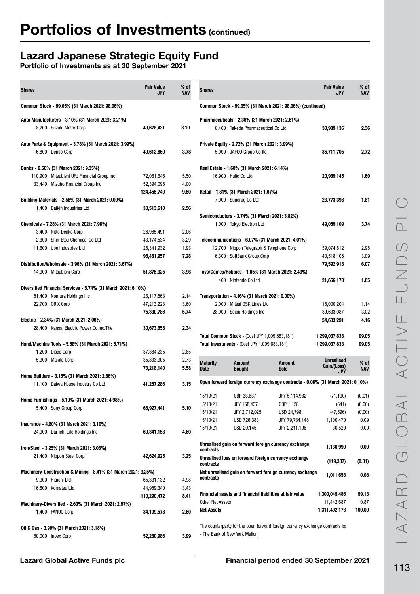## Lazard Japanese Strategic Equity Fund

| <b>Shares</b>                                                                      | <b>Fair Value</b><br><b>JPY</b> | $%$ of<br><b>NAV</b> | <b>Shares</b>           |                                                                          |                                                                                 | <b>Fair Value</b><br><b>JPY</b>  | $%$ of<br>NAV |
|------------------------------------------------------------------------------------|---------------------------------|----------------------|-------------------------|--------------------------------------------------------------------------|---------------------------------------------------------------------------------|----------------------------------|---------------|
| Common Stock - 99.05% (31 March 2021: 98.06%)                                      |                                 |                      |                         |                                                                          | Common Stock - 99.05% (31 March 2021: 98.06%) (continued)                       |                                  |               |
| Auto Manufacturers - 3.10% (31 March 2021: 3.21%)                                  |                                 |                      |                         | Pharmaceuticals - 2.36% (31 March 2021: 2.61%)                           |                                                                                 |                                  |               |
| 8,200 Suzuki Motor Corp                                                            | 40,678,431                      | 3.10                 |                         | 8,400 Takeda Pharmaceutical Co Ltd                                       |                                                                                 | 30,989,136                       | 2.36          |
| Auto Parts & Equipment - 3.78% (31 March 2021: 3.99%)                              |                                 |                      |                         | Private Equity - 2.72% (31 March 2021: 3.99%)                            |                                                                                 |                                  |               |
| 6,800 Denso Corp                                                                   | 49,612,860                      | 3.78                 |                         | 5,000 JAFCO Group Co Itd                                                 |                                                                                 | 35,711,705                       | 2.72          |
| Banks - 9.50% (31 March 2021: 9.35%)                                               |                                 |                      |                         | Real Estate - 1.60% (31 March 2021: 6.14%)                               |                                                                                 |                                  |               |
| 110,900 Mitsubishi UFJ Financial Group Inc                                         | 72,061,645                      | 5.50                 |                         | 16.900 Hulic Co Ltd                                                      |                                                                                 | 20,969,145                       | 1.60          |
| 33,440 Mizuho Financial Group Inc                                                  | 52,394,095                      | 4.00                 |                         |                                                                          |                                                                                 |                                  |               |
|                                                                                    | 124,455,740                     | 9.50                 |                         | Retail - 1.81% (31 March 2021: 1.67%)                                    |                                                                                 |                                  |               |
| Building Materials - 2.56% (31 March 2021: 0.00%)                                  |                                 |                      |                         | 7,000 Sundrug Co Ltd                                                     |                                                                                 | 23,773,398                       | 1.81          |
| 1,400 Daikin Industries Ltd                                                        | 33,513,610                      | 2.56                 |                         |                                                                          |                                                                                 |                                  |               |
|                                                                                    |                                 |                      |                         | Semiconductors - 3.74% (31 March 2021: 3.82%)                            |                                                                                 |                                  |               |
| Chemicals - 7.28% (31 March 2021: 7.98%)                                           |                                 |                      |                         | 1,000 Tokyo Electron Ltd                                                 |                                                                                 | 49,059,109                       | 3.74          |
| 3,400 Nitto Denko Corp                                                             | 26,965,491                      | 2.06                 |                         |                                                                          |                                                                                 |                                  |               |
| 2,300 Shin-Etsu Chemical Co Ltd                                                    | 43,174,534                      | 3.29                 |                         | Telecommunications - 6.07% (31 March 2021: 4.01%)                        |                                                                                 |                                  |               |
| 11,600 Ube Industries Ltd                                                          | 25,341,932                      | 1.93                 |                         | 12,700 Nippon Telegraph & Telephone Corp                                 |                                                                                 | 39,074,812                       | 2.98          |
|                                                                                    | 95,481,957                      | 7.28                 |                         | 6,300 SoftBank Group Corp                                                |                                                                                 | 40,518,106                       | 3.09          |
| Distribution/Wholesale - 3.96% (31 March 2021: 3.67%)                              |                                 |                      |                         |                                                                          |                                                                                 | 79,592,918                       | 6.07          |
| 14,900 Mitsubishi Corp                                                             | 51,875,925                      | 3.96                 |                         | Toys/Games/Hobbies - 1.65% (31 March 2021: 2.49%)<br>400 Nintendo Co Ltd |                                                                                 | 21,656,178                       | 1.65          |
| Diversified Financial Services - 5.74% (31 March 2021: 6.10%)                      |                                 |                      |                         |                                                                          |                                                                                 |                                  |               |
| 51,400 Nomura Holdings Inc                                                         | 28,117,563                      | 2.14                 |                         | Transportation - 4.16% (31 March 2021: 0.00%)                            |                                                                                 |                                  |               |
| 22,700 ORIX Corp                                                                   | 47,213,223                      | 3.60                 |                         | 2,000 Mitsui OSK Lines Ltd                                               |                                                                                 | 15,000,204                       | 1.14          |
|                                                                                    | 75,330,786                      | 5.74                 |                         | 28,000 Seibu Holdings Inc                                                |                                                                                 | 39,633,087                       | 3.02          |
| Electric - 2.34% (31 March 2021: 2.06%)                                            |                                 |                      |                         |                                                                          |                                                                                 | 54,633,291                       | 4.16          |
| 28,400 Kansai Electric Power Co Inc/The                                            | 30,673,658                      | 2.34                 |                         |                                                                          |                                                                                 |                                  |               |
|                                                                                    |                                 |                      |                         | <b>Total Common Stock - (Cost JPY 1,009,683,181)</b>                     |                                                                                 | 1,299,037,833                    | 99.05         |
| Hand/Machine Tools - 5.58% (31 March 2021: 5.71%)                                  |                                 |                      |                         | <b>Total Investments - (Cost JPY 1,009,683,181)</b>                      |                                                                                 | 1,299,037,833                    | 99.05         |
| 1,200 Disco Corp                                                                   | 37,384,235                      | 2.85                 |                         |                                                                          |                                                                                 |                                  |               |
| 5,900 Makita Corp                                                                  | 35,833,905                      | 2.73                 | <b>Maturity</b>         | <b>Amount</b>                                                            | <b>Amount</b>                                                                   | <b>Unrealised</b><br>Gain/(Loss) | $%$ of        |
|                                                                                    | 73,218,140                      | 5.58                 | <b>Date</b>             | <b>Bought</b>                                                            | Sold                                                                            | <b>JPY</b>                       | NAV           |
| Home Builders - 3.15% (31 March 2021: 2.86%)<br>11,100 Daiwa House Industry Co Ltd | 41,257,286                      | 3.15                 |                         |                                                                          | Open forward foreign currency exchange contracts - 0.08% (31 March 2021: 0.10%) |                                  |               |
|                                                                                    |                                 |                      | 15/10/21                | GBP 33,637                                                               | JPY 5,114,932                                                                   | (71, 100)                        | (0.01)        |
| Home Furnishings - 5.10% (31 March 2021: 4.98%)                                    |                                 |                      | 15/10/21                | JPY 168,437                                                              | GBP 1,128                                                                       | (641)                            | (0.00)        |
| 5,400 Sony Group Corp                                                              | 66,927,441                      | 5.10                 | 15/10/21                | JPY 2,712,025                                                            | USD 24,798                                                                      | (47, 596)                        | (0.00)        |
|                                                                                    |                                 |                      | 15/10/21                | USD 726,383                                                              | JPY 79,734,148                                                                  | 1,100,470                        | 0.09          |
| Insurance - 4.60% (31 March 2021: 3.10%)                                           |                                 |                      | 15/10/21                | USD 20,145                                                               | JPY 2,211,196                                                                   | 30,520                           | 0.00          |
| 24,900 Dai-ichi Life Holdings Inc                                                  | 60,341,158                      | 4.60                 |                         |                                                                          |                                                                                 |                                  |               |
| Iron/Steel - 3.25% (31 March 2021: 3.08%)                                          |                                 |                      |                         | Unrealised gain on forward foreign currency exchange                     |                                                                                 | 1,130,990                        | 0.09          |
| 21,400 Nippon Steel Corp                                                           | 42,624,925                      | 3.25                 | contracts               |                                                                          |                                                                                 |                                  |               |
|                                                                                    |                                 |                      | contracts               | Unrealised loss on forward foreign currency exchange                     |                                                                                 | (119, 337)                       | (0.01)        |
| Machinery-Construction & Mining - 8.41% (31 March 2021: 9.25%)                     |                                 |                      |                         |                                                                          | Net unrealised gain on forward foreign currency exchange                        | 1,011,653                        | 0.08          |
| 9,900 Hitachi Ltd                                                                  | 65,331,132                      | 4.98                 | contracts               |                                                                          |                                                                                 |                                  |               |
| 16,800 Komatsu Ltd                                                                 | 44,959,340                      | 3.43                 |                         | Financial assets and financial liabilities at fair value                 |                                                                                 |                                  |               |
|                                                                                    | 110,290,472                     | 8.41                 | <b>Other Net Assets</b> |                                                                          |                                                                                 | 1,300,049,486<br>11,442,687      | 99.13<br>0.87 |
| Machinery-Diversified - 2.60% (31 March 2021: 2.97%)                               |                                 |                      | <b>Net Assets</b>       |                                                                          |                                                                                 | 1,311,492,173                    | 100.00        |
| 1,400 FANUC Corp                                                                   | 34,109,578                      | 2.60                 |                         |                                                                          |                                                                                 |                                  |               |
|                                                                                    |                                 |                      |                         |                                                                          | The counterparty for the open forward foreign currency exchange contracts is:   |                                  |               |
| Oil & Gas - 3.99% (31 March 2021: 3.18%)                                           |                                 |                      |                         | - The Bank of New York Mellon                                            |                                                                                 |                                  |               |
| 60,000 Inpex Corp                                                                  | 52,260,986                      | 3.99                 |                         |                                                                          |                                                                                 |                                  |               |
|                                                                                    |                                 |                      |                         |                                                                          |                                                                                 |                                  |               |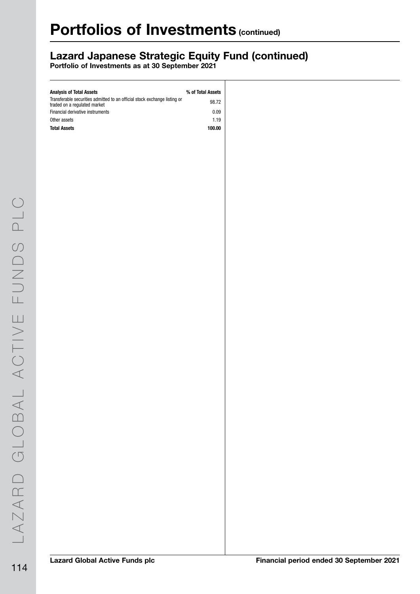## Lazard Japanese Strategic Equity Fund (continued)

| <b>Analysis of Total Assets</b>                                                                           | % of Total Assets |
|-----------------------------------------------------------------------------------------------------------|-------------------|
| Transferable securities admitted to an official stock exchange listing or<br>traded on a regulated market | 98.72             |
| Financial derivative instruments                                                                          | 0.09              |
| Other assets                                                                                              | 1.19              |
| <b>Total Assets</b>                                                                                       | 100.00            |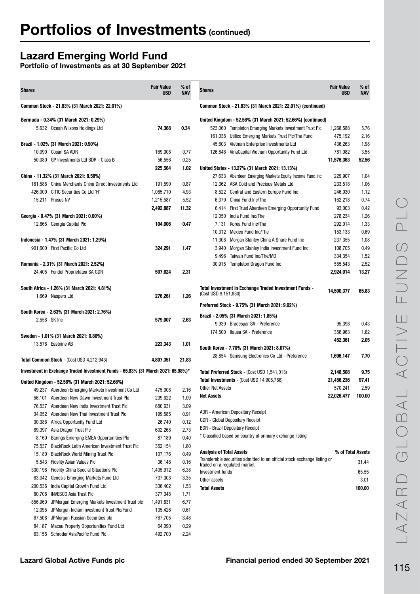### Lazard Emerging World Fund

| <b>Shares</b>                                                                                             | <b>Fair Value</b><br><b>USD</b> | $%$ of<br><b>NAV</b> | <b>Shares</b>                                                                             | <b>Fair Value</b><br><b>USD</b> | $%$ of<br>NAV  |
|-----------------------------------------------------------------------------------------------------------|---------------------------------|----------------------|-------------------------------------------------------------------------------------------|---------------------------------|----------------|
| Common Stock - 21.83% (31 March 2021: 22.01%)                                                             |                                 |                      | Common Stock - 21.83% (31 March 2021: 22.01%) (continued)                                 |                                 |                |
| Bermuda - 0.34% (31 March 2021: 0.29%)                                                                    |                                 |                      | United Kingdom - 52.56% (31 March 2021: 52.66%) (continued)                               |                                 |                |
| 5,632 Ocean Wilsons Holdings Ltd                                                                          | 74,368                          | 0.34                 | 523,060 Templeton Emerging Markets Investment Trust Plc                                   | 1,268,588                       | 5.76           |
|                                                                                                           |                                 |                      | 161,038 Utilico Emerging Markets Trust Plc/The Fund                                       | 475,192                         | 2.16           |
| Brazil - 1.02% (31 March 2021: 0.90%)                                                                     |                                 |                      | 45,603 Vietnam Enterprise Investments Ltd                                                 | 436,263                         | 1.98           |
| 10.090 Cosan SA ADR                                                                                       | 169,008                         | 0.77                 | 126,848 VinaCapital Vietnam Opportunity Fund Ltd                                          | 781,082                         | 3.55           |
| 50,080 GP Investments Ltd BDR - Class B                                                                   | 56,556                          | 0.25                 |                                                                                           | 11,576,363                      | 52.56          |
|                                                                                                           | 225,564                         | 1.02                 | United States - 13.27% (31 March 2021: 13.13%)                                            |                                 |                |
| China - 11.32% (31 March 2021: 8.58%)                                                                     |                                 |                      | 27,633 Aberdeen Emerging Markets Equity Income Fund Inc                                   | 229,907                         | 1.04           |
| China Merchants China Direct Investments Ltd<br>161,588                                                   | 191,590                         | 0.87                 | 12,362 ASA Gold and Precious Metals Ltd                                                   | 233,518                         | 1.06           |
| CITIC Securities Co Ltd 'H'<br>426,000                                                                    | 1,085,710                       | 4.93                 | 8,522 Central and Eastern Europe Fund Inc                                                 | 246,030                         | 1.12           |
| 15,211 Prosus NV                                                                                          | 1,215,587                       | 5.52                 | 6,379 China Fund Inc/The                                                                  | 162,218                         | 0.74           |
|                                                                                                           | 2,492,887                       | 11.32                | 6,414 First Trust Aberdeen Emerging Opportunity Fund                                      | 93,003                          | 0.42           |
| Georgia - 0.47% (31 March 2021: 0.00%)                                                                    |                                 |                      | 12,050<br>India Fund Inc/The                                                              | 278,234                         | 1.26           |
| 12,865 Georgia Capital Plc                                                                                | 104,006                         | 0.47                 | 7,131<br>Korea Fund Inc/The                                                               | 292,014                         | 1.33           |
|                                                                                                           |                                 |                      | 10,312 Mexico Fund Inc/The                                                                | 153,133                         | 0.69           |
| Indonesia - 1.47% (31 March 2021: 1.29%)                                                                  |                                 |                      | 11,308<br>Morgan Stanley China A Share Fund Inc                                           | 237,355                         | 1.08           |
| 901.600 First Pacific Co Ltd                                                                              | 324,291                         | 1.47                 | Morgan Stanley India Investment Fund Inc<br>3,940                                         | 108,705                         | 0.49           |
|                                                                                                           |                                 |                      | Taiwan Fund Inc/The/MD<br>9,496<br>30,915 Templeton Dragon Fund Inc                       | 334,354<br>555,543              | 1.52<br>2.52   |
| Romania - 2.31% (31 March 2021: 2.52%)<br>24,405 Fondul Proprietatea SA GDR                               | 507.624                         | 2.31                 |                                                                                           | 2,924,014                       | 13.27          |
|                                                                                                           |                                 |                      |                                                                                           |                                 |                |
| South Africa - 1.26% (31 March 2021: 4.81%)                                                               |                                 |                      | Total Investment in Exchange Traded Investment Funds -                                    |                                 |                |
| 1,669 Naspers Ltd                                                                                         | 276,261                         | 1.26                 | (Cost USD 9,151,830)                                                                      | 14,500,377                      | 65.83          |
|                                                                                                           |                                 |                      |                                                                                           |                                 |                |
| South Korea - 2.63% (31 March 2021: 2.76%)                                                                |                                 |                      | Preferred Stock - 9.75% (31 March 2021: 9.92%)                                            |                                 |                |
| 2,558 SK Inc                                                                                              | 579,007                         | 2.63                 | Brazil - 2.05% (31 March 2021: 1.85%)                                                     |                                 |                |
|                                                                                                           |                                 |                      | 9,939 Bradespar SA - Preference                                                           | 95,398                          | 0.43           |
| Sweden - 1.01% (31 March 2021: 0.86%)                                                                     |                                 |                      | 174,500 Itausa SA - Preference                                                            | 356,963                         | 1.62           |
| 13,578 Eastnine AB                                                                                        | 223,343                         | 1.01                 |                                                                                           | 452,361                         | 2.05           |
|                                                                                                           |                                 |                      | South Korea - 7.70% (31 March 2021: 8.07%)                                                |                                 |                |
| Total Common Stock - (Cost USD 4,212,943)                                                                 | 4,807,351                       | 21.83                | 28,854 Samsung Electronics Co Ltd - Preference                                            | 1,696,147                       | 7.70           |
| Investment in Exchange Traded Investment Funds - 65.83% (31 March 2021: 65.98%)*                          |                                 |                      |                                                                                           |                                 |                |
|                                                                                                           |                                 |                      | Total Preferred Stock - (Cost USD 1,541,013)<br>Total Investments - (Cost USD 14,905,786) | 2,148,508<br>21,456,236         | 9.75<br>97.41  |
| United Kingdom - 52.56% (31 March 2021: 52.66%)                                                           |                                 |                      | Other Net Assets                                                                          | 570,241                         | 2.59           |
| 49,237 Aberdeen Emerging Markets Investment Co Ltd                                                        | 475,008                         | 2.16                 | <b>Net Assets</b>                                                                         | 22,026,477                      | 100.00         |
| 56,101 Aberdeen New Dawn Investment Trust Plc                                                             | 239,622                         | 1.09                 |                                                                                           |                                 |                |
| Aberdeen New India Investment Trust Plc<br>76,537                                                         | 680,631                         | 3.09                 | <b>ADR</b> - American Depositary Receipt                                                  |                                 |                |
| 34,052<br>Aberdeen New Thai Investment Trust Plc                                                          | 199,585                         | 0.91                 | GDR - Global Depositary Receipt                                                           |                                 |                |
| 30,386<br>Africa Opportunity Fund Ltd                                                                     | 26,740                          | 0.12                 | <b>BDR</b> - Brazil Depositary Receipt                                                    |                                 |                |
| 89,397<br>Asia Dragon Trust Plc<br>8,160                                                                  | 602,268<br>87,189               | 2.73<br>0.40         | * Classified based on country of primary exchange listing                                 |                                 |                |
| Barings Emerging EMEA Opportunities Plc<br>75,537<br><b>BlackRock Latin American Investment Trust Plc</b> | 352,154                         | 1.60                 |                                                                                           |                                 |                |
| 15,180<br><b>BlackRock World Mining Trust Plc</b>                                                         | 107,176                         | 0.49                 | <b>Analysis of Total Assets</b>                                                           | % of Total Assets               |                |
| 5,543<br>Fidelity Asian Values Plc                                                                        | 36,148                          | 0.16                 | Transferable securities admitted to an official stock exchange listing or                 |                                 | 31.44          |
| <b>Fidelity China Special Situations Plc</b><br>330,198                                                   | 1,405,912                       | 6.38                 | traded on a regulated market                                                              |                                 |                |
| 63,042<br>Genesis Emerging Markets Fund Ltd                                                               | 737,303                         | 3.35                 | Investment funds                                                                          |                                 | 65.55          |
| 200,536<br>India Capital Growth Fund Ltd                                                                  | 336,402                         | 1.53                 | Other assets<br><b>Total Assets</b>                                                       |                                 | 3.01<br>100.00 |
| 80,708<br><b>INVESCO Asia Trust Plc</b>                                                                   | 377,348                         | 1.71                 |                                                                                           |                                 |                |
| 856,960<br>JPMorgan Emerging Markets Investment Trust plc                                                 | 1,491,831                       | 6.77                 |                                                                                           |                                 |                |
| 12,095<br>JPMorgan Indian Investment Trust Plc/Fund                                                       | 135,426                         | 0.61                 |                                                                                           |                                 |                |
| 67,508<br>JPMorgan Russian Securities plc                                                                 | 767,705                         | 3.48                 |                                                                                           |                                 |                |
| Macau Property Opportunities Fund Ltd<br>84,187                                                           | 64,090                          | 0.29                 |                                                                                           |                                 |                |
| 63,155 Schroder AsiaPacific Fund Plc                                                                      | 492,700                         | 2.24                 |                                                                                           |                                 |                |
|                                                                                                           |                                 |                      |                                                                                           |                                 |                |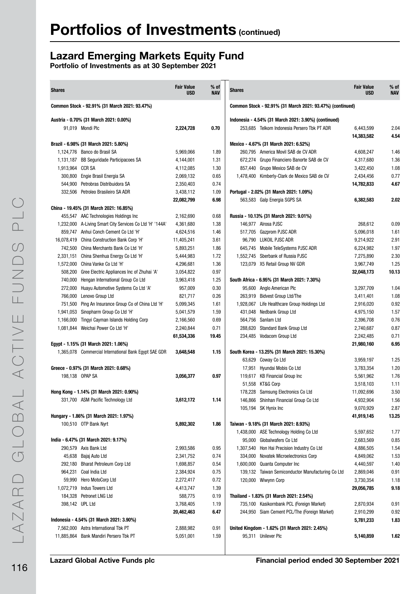### Lazard Emerging Markets Equity Fund

| <b>Shares</b>    |                                                          | <b>Fair Value</b><br><b>USD</b> | $%$ of<br><b>NAV</b> | <b>Shares</b> |                                                           | <b>Fair Value</b><br><b>USD</b> | $%$ of<br><b>NAV</b> |
|------------------|----------------------------------------------------------|---------------------------------|----------------------|---------------|-----------------------------------------------------------|---------------------------------|----------------------|
|                  | Common Stock - 92.91% (31 March 2021: 93.47%)            |                                 |                      |               | Common Stock - 92.91% (31 March 2021: 93.47%) (continued) |                                 |                      |
|                  | Austria - 0.70% (31 March 2021: 0.00%)                   |                                 |                      |               | Indonesia - 4.54% (31 March 2021: 3.90%) (continued)      |                                 |                      |
|                  | 91,019 Mondi Plc                                         | 2,224,728                       | 0.70                 |               | 253.685 Telkom Indonesia Persero Tbk PT ADR               | 6.443.599                       | 2.04                 |
|                  |                                                          |                                 |                      |               |                                                           | 14,383,582                      | 4.54                 |
|                  | Brazil - 6.98% (31 March 2021: 5.80%)                    |                                 |                      |               | Mexico - 4.67% (31 March 2021: 6.52%)                     |                                 |                      |
|                  | 1,124,776 Banco do Brasil SA                             | 5,969,066                       | 1.89                 |               | 260,795 America Movil SAB de CV ADR                       | 4,608,247                       | 1.46                 |
|                  | 1,131,187 BB Seguridade Participacoes SA                 | 4,144,001                       | 1.31                 |               | 672.274 Grupo Financiero Banorte SAB de CV                | 4,317,680                       | 1.36                 |
| 1,913,964 CCR SA |                                                          | 4,112,085                       | 1.30                 |               | 857,440 Grupo Mexico SAB de CV                            | 3,422,450                       | 1.08                 |
|                  | 300,800 Engie Brasil Energia SA                          | 2,069,132                       | 0.65                 |               | 1,478,400 Kimberly-Clark de Mexico SAB de CV              | 2,434,456                       | 0.77                 |
|                  | 544,900 Petrobras Distribuidora SA                       | 2,350,403                       | 0.74                 |               |                                                           | 14,782,833                      | 4.67                 |
|                  | 332,506 Petroleo Brasileiro SA ADR                       | 3,438,112                       | 1.09                 |               | Portugal - 2.02% (31 March 2021: 1.09%)                   |                                 |                      |
|                  |                                                          | 22,082,799                      | 6.98                 |               | 563,583 Galp Energia SGPS SA                              | 6,382,583                       | 2.02                 |
|                  | China - 19.45% (31 March 2021: 16.85%)                   |                                 |                      |               |                                                           |                                 |                      |
|                  | 455,547 AAC Technologies Holdings Inc                    | 2,162,690                       | 0.68                 |               | Russia - 10.13% (31 March 2021: 9.01%)                    |                                 |                      |
|                  | 1,232,000 A-Living Smart City Services Co Ltd 'H' '144A' | 4,361,680                       | 1.38                 |               | 146,977 Alrosa PJSC                                       | 268,612                         | 0.09                 |
|                  | 859,747 Anhui Conch Cement Co Ltd 'H'                    | 4,624,516                       | 1.46                 |               | 517,705 Gazprom PJSC ADR                                  | 5,096,018                       | 1.61                 |
|                  | 16,078,419 China Construction Bank Corp 'H'              | 11,405,241                      | 3.61                 |               | 96.790 LUKOIL PJSC ADR                                    | 9,214,922                       | 2.91                 |
|                  | 742,500 China Merchants Bank Co Ltd 'H'                  | 5,893,251                       | 1.86                 |               | 645,745 Mobile TeleSystems PJSC ADR                       | 6,224,982                       | 1.97                 |
|                  | 2,331,151 China Shenhua Energy Co Ltd 'H'                | 5,444,983                       | 1.72                 |               | 1,552,745 Sberbank of Russia PJSC                         | 7,275,890                       | 2.30                 |
|                  | 1,572,000 China Vanke Co Ltd 'H'                         | 4,296,681                       | 1.36                 |               | 123,079 X5 Retail Group NV GDR                            | 3,967,749                       | 1.25                 |
|                  | 508,200 Gree Electric Appliances Inc of Zhuhai 'A'       | 3,054,822                       | 0.97                 |               |                                                           | 32,048,173                      | 10.13                |
|                  | 740,000 Hengan International Group Co Ltd                | 3,963,418                       | 1.25                 |               | South Africa - 6.95% (31 March 2021: 7.30%)               |                                 |                      |
|                  | 272,000 Huayu Automotive Systems Co Ltd 'A'              | 957,009                         | 0.30                 |               | 95,600 Anglo American Plc                                 | 3,297,709                       | 1.04                 |
|                  | 766,000 Lenovo Group Ltd                                 | 821,717                         | 0.26                 |               | 263,919 Bidvest Group Ltd/The                             | 3,411,401                       | 1.08                 |
|                  | 751,500 Ping An Insurance Group Co of China Ltd 'H'      | 5,099,345                       | 1.61                 |               | 1,928,067 Life Healthcare Group Holdings Ltd              | 2,916,020                       | 0.92                 |
|                  | 1,941,053 Sinopharm Group Co Ltd 'H'                     | 5,041,579                       | 1.59                 |               | 431,048 Nedbank Group Ltd                                 | 4,975,150                       | 1.57                 |
|                  | 1,166,000 Tingyi Cayman Islands Holding Corp             | 2,166,560                       | 0.69                 |               | 564,756 Sanlam Ltd                                        | 2,396,708                       | 0.76                 |
|                  | 1,081,844 Weichai Power Co Ltd 'H'                       | 2,240,844                       | 0.71                 |               | 288,620 Standard Bank Group Ltd                           | 2,740,687                       | 0.87                 |
|                  |                                                          | 61,534,336                      | 19.45                |               | 234,485 Vodacom Group Ltd                                 | 2,242,485                       | 0.71                 |
|                  | Egypt - 1.15% (31 March 2021: 1.06%)                     |                                 |                      |               |                                                           | 21,980,160                      | 6.95                 |
|                  | 1,365,078 Commercial International Bank Egypt SAE GDR    | 3,648,548                       | 1.15                 |               | South Korea - 13.25% (31 March 2021: 15.30%)              |                                 |                      |
|                  |                                                          |                                 |                      |               | 63,629 Coway Co Ltd                                       | 3,959,197                       | 1.25                 |
|                  | Greece - 0.97% (31 March 2021: 0.68%)                    |                                 |                      |               | 17,951 Hyundai Mobis Co Ltd                               | 3,783,354                       | 1.20                 |
|                  | 198,138 OPAP SA                                          | 3,056,377                       | 0.97                 |               | 119,617 KB Financial Group Inc                            | 5,561,962                       | 1.76                 |
|                  |                                                          |                                 |                      |               | 51,558 KT&G Corp                                          | 3,518,103                       | 1.11                 |
|                  | Hong Kong - 1.14% (31 March 2021: 0.90%)                 |                                 |                      |               | 178,228 Samsung Electronics Co Ltd                        | 11,092,696                      | 3.50                 |
|                  | 331,700 ASM Pacific Technology Ltd                       | 3,612,172                       | 1.14                 |               | 146,866 Shinhan Financial Group Co Ltd                    | 4,932,904                       | 1.56                 |
|                  |                                                          |                                 |                      |               | 105,194 SK Hynix Inc                                      | 9,070,929                       | 2.87                 |
|                  | Hungary - 1.86% (31 March 2021: 1.97%)                   |                                 |                      |               |                                                           | 41,919,145                      | 13.25                |
|                  | 100,510 OTP Bank Nyrt                                    | 5,892,302                       | 1.86                 |               | Taiwan - 9.18% (31 March 2021: 8.93%)                     |                                 |                      |
|                  |                                                          |                                 |                      |               | 1,438,000 ASE Technology Holding Co Ltd                   | 5,597,652                       | 1.77                 |
|                  | India - 6.47% (31 March 2021: 9.17%)                     |                                 |                      |               | 95,000 Globalwafers Co Ltd                                | 2,683,569                       | 0.85                 |
|                  | 290,579 Axis Bank Ltd                                    | 2,993,586                       | 0.95                 |               | 1,307,540 Hon Hai Precision Industry Co Ltd               | 4,886,505                       | 1.54                 |
|                  | 45,638 Bajaj Auto Ltd                                    | 2,341,752                       | 0.74                 |               | 334,000 Novatek Microelectronics Corp                     | 4,849,062                       | 1.53                 |
|                  | 292,180 Bharat Petroleum Corp Ltd                        | 1,698,857                       | 0.54                 |               | 1,600,000 Quanta Computer Inc                             | 4,440,597                       | 1.40                 |
|                  | 964,231 Coal India Ltd                                   | 2,384,924                       | 0.75                 |               | 139,132 Taiwan Semiconductor Manufacturing Co Ltd         | 2,869,046                       | 0.91                 |
|                  | 59,990 Hero MotoCorp Ltd                                 | 2,272,417                       | 0.72                 |               | 120,000 Wiwynn Corp                                       | 3,730,354                       | 1.18                 |
|                  | 1,072,719 Indus Towers Ltd                               | 4,413,747                       | 1.39                 |               |                                                           | 29,056,785                      | 9.18                 |
|                  | 184,328 Petronet LNG Ltd                                 | 588,775                         | 0.19                 |               | Thailand - 1.83% (31 March 2021: 2.54%)                   |                                 |                      |
| 398,142 UPL Ltd  |                                                          | 3,768,405                       | 1.19                 |               | 735,100 Kasikornbank PCL (Foreign Market)                 | 2,870,934                       | 0.91                 |
|                  |                                                          | 20,462,463                      | 6.47                 |               | 244,950 Siam Cement PCL/The (Foreign Market)              | 2,910,299                       | 0.92                 |
|                  | Indonesia - 4.54% (31 March 2021: 3.90%)                 |                                 |                      |               |                                                           | 5,781,233                       | 1.83                 |
|                  | 7,562,000 Astra International Tbk PT                     | 2,888,982                       | 0.91                 |               | United Kingdom - 1.62% (31 March 2021: 2.45%)             |                                 |                      |
|                  | 11,885,864 Bank Mandiri Persero Tbk PT                   | 5,051,001                       | 1.59                 |               | 95,311 Unilever Plc                                       | 5,140,859                       | 1.62                 |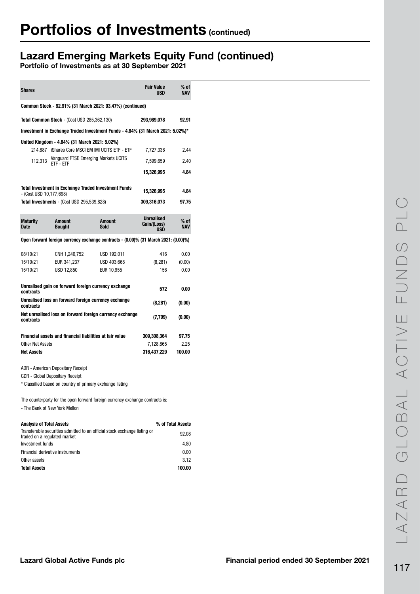## Lazard Emerging Markets Equity Fund (continued)

| <b>Shares</b>                                                                  |                                                           |                                                                                     | <b>Fair Value</b><br>USD                | % of<br><b>NAV</b> |  |  |
|--------------------------------------------------------------------------------|-----------------------------------------------------------|-------------------------------------------------------------------------------------|-----------------------------------------|--------------------|--|--|
|                                                                                |                                                           | Common Stock - 92.91% (31 March 2021: 93.47%) (continued)                           |                                         |                    |  |  |
|                                                                                | <b>Total Common Stock</b> - (Cost USD 285,362,130)        |                                                                                     | 293,989,078                             | 92.91              |  |  |
| Investment in Exchange Traded Investment Funds - 4.84% (31 March 2021: 5.02%)* |                                                           |                                                                                     |                                         |                    |  |  |
|                                                                                | United Kingdom - 4.84% (31 March 2021: 5.02%)             |                                                                                     |                                         |                    |  |  |
|                                                                                | Vanguard FTSE Emerging Markets UCITS                      | 214,887 iShares Core MSCI EM IMI UCITS ETF - ETF                                    | 7,727,336                               | 2.44               |  |  |
| 112,313                                                                        | ETF - ETF                                                 |                                                                                     | 7,599,659                               | 2.40               |  |  |
|                                                                                |                                                           |                                                                                     | 15,326,995                              | 4.84               |  |  |
|                                                                                |                                                           | <b>Total Investment in Exchange Traded Investment Funds</b>                         | 15,326,995                              | 4.84               |  |  |
| - (Cost USD 10,177,698)                                                        | <b>Total Investments</b> - (Cost USD 295,539,828)         |                                                                                     | 309,316,073                             | 97.75              |  |  |
|                                                                                |                                                           |                                                                                     |                                         |                    |  |  |
| <b>Maturity</b><br><b>Date</b>                                                 | <b>Amount</b><br><b>Bought</b>                            | <b>Amount</b><br>Sold                                                               | <b>Unrealised</b><br>Gain/(Loss)<br>USD | % of<br><b>NAV</b> |  |  |
|                                                                                |                                                           | Open forward foreign currency exchange contracts - (0.00)% (31 March 2021: (0.00)%) |                                         |                    |  |  |
|                                                                                |                                                           |                                                                                     |                                         |                    |  |  |
| 08/10/21<br>15/10/21                                                           | CNH 1,240,752<br>EUR 341,237                              | USD 192,011<br>USD 403,668                                                          | 416<br>(8, 281)                         | 0.00<br>(0.00)     |  |  |
| 15/10/21                                                                       | USD 12,850                                                | EUR 10,955                                                                          | 156                                     | 0.00               |  |  |
|                                                                                |                                                           |                                                                                     |                                         |                    |  |  |
| contracts                                                                      | Unrealised gain on forward foreign currency exchange      |                                                                                     | 572                                     | 0.00               |  |  |
| contracts                                                                      | Unrealised loss on forward foreign currency exchange      |                                                                                     | (8,281)                                 | (0.00)             |  |  |
| contracts                                                                      |                                                           | Net unrealised loss on forward foreign currency exchange                            | (7,709)                                 | (0.00)             |  |  |
|                                                                                | Financial assets and financial liabilities at fair value  |                                                                                     | 309,308,364                             | 97.75              |  |  |
| <b>Other Net Assets</b>                                                        |                                                           |                                                                                     | 7,128,865                               | 2.25               |  |  |
| <b>Net Assets</b>                                                              |                                                           |                                                                                     | 316,437,229                             | 100.00             |  |  |
|                                                                                | <b>ADR</b> - American Depositary Receipt                  |                                                                                     |                                         |                    |  |  |
|                                                                                | GDR - Global Depositary Receipt                           |                                                                                     |                                         |                    |  |  |
|                                                                                | * Classified based on country of primary exchange listing |                                                                                     |                                         |                    |  |  |
|                                                                                |                                                           | The counterparty for the open forward foreign currency exchange contracts is:       |                                         |                    |  |  |
| - The Bank of New York Mellon                                                  |                                                           |                                                                                     |                                         |                    |  |  |
| <b>Analysis of Total Assets</b>                                                |                                                           |                                                                                     |                                         | % of Total Assets  |  |  |
| traded on a regulated market                                                   |                                                           | Transferable securities admitted to an official stock exchange listing or           |                                         | 92.08              |  |  |
| Investment funds                                                               |                                                           |                                                                                     |                                         | 4.80               |  |  |
| Financial derivative instruments                                               |                                                           |                                                                                     |                                         | 0.00               |  |  |
| Other assets                                                                   |                                                           |                                                                                     |                                         | 3.12               |  |  |
| <b>Total Assets</b>                                                            |                                                           |                                                                                     |                                         | 100.00             |  |  |
|                                                                                |                                                           |                                                                                     |                                         |                    |  |  |
|                                                                                |                                                           |                                                                                     |                                         |                    |  |  |
|                                                                                |                                                           |                                                                                     |                                         |                    |  |  |
|                                                                                |                                                           |                                                                                     |                                         |                    |  |  |
|                                                                                |                                                           |                                                                                     |                                         |                    |  |  |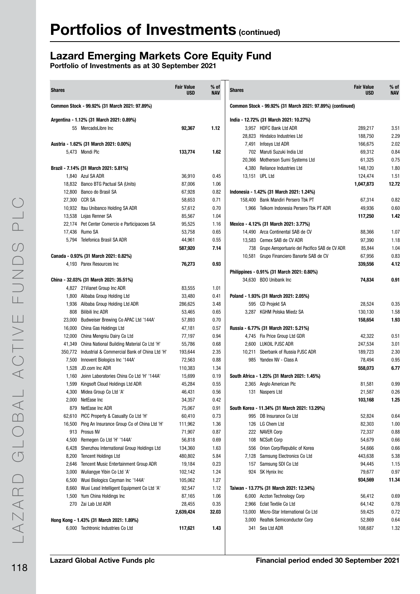## Lazard Emerging Markets Core Equity Fund

| <b>Shares</b>  |                                                                                           | <b>Fair Value</b><br><b>USD</b> | $%$ of<br><b>NAV</b> | <b>Shares</b> |                                                                            | <b>Fair Value</b><br><b>USD</b> | $%$ of<br><b>NAV</b> |
|----------------|-------------------------------------------------------------------------------------------|---------------------------------|----------------------|---------------|----------------------------------------------------------------------------|---------------------------------|----------------------|
|                | Common Stock - 99.92% (31 March 2021: 97.89%)                                             |                                 |                      |               | Common Stock - 99.92% (31 March 2021: 97.89%) (continued)                  |                                 |                      |
|                | Argentina - 1.12% (31 March 2021: 0.89%)                                                  |                                 |                      |               | India - 12.72% (31 March 2021: 10.27%)                                     |                                 |                      |
|                | 55 MercadoLibre Inc                                                                       | 92,367                          | 1.12                 |               | 3,957 HDFC Bank Ltd ADR                                                    | 289,217                         | 3.51                 |
|                |                                                                                           |                                 |                      |               | 28,823 Hindalco Industries Ltd                                             | 188,750                         | 2.29                 |
|                | Austria - 1.62% (31 March 2021: 0.00%)                                                    |                                 |                      |               | 7,491 Infosys Ltd ADR                                                      | 166,675                         | 2.02                 |
|                | 5.473 Mondi Plc                                                                           | 133,774                         | 1.62                 |               | 702 Maruti Suzuki India Ltd                                                | 69,312                          | 0.84                 |
|                |                                                                                           |                                 |                      |               | 20,366 Motherson Sumi Systems Ltd                                          | 61,325                          | 0.75                 |
|                | Brazil - 7.14% (31 March 2021: 5.81%)                                                     |                                 |                      |               | 4,380 Reliance Industries Ltd                                              | 148,120                         | 1.80                 |
|                | 1,840 Azul SA ADR                                                                         | 36,910                          | 0.45                 |               | 13.151 UPL Ltd                                                             | 124,474                         | 1.51                 |
|                | 18,832 Banco BTG Pactual SA (Units)                                                       | 87,006                          | 1.06                 |               |                                                                            | 1,047,873                       | 12.72                |
|                | 12,800 Banco do Brasil SA                                                                 | 67,928                          | 0.82                 |               | Indonesia - 1.42% (31 March 2021: 1.24%)                                   |                                 |                      |
|                | 27,300 CCR SA                                                                             | 58,653                          | 0.71                 |               | 158,400 Bank Mandiri Persero Tbk PT                                        | 67,314                          | 0.82                 |
|                | 10,932 Itau Unibanco Holding SA ADR                                                       | 57,612                          | 0.70                 |               | 1,966 Telkom Indonesia Persero Tbk PT ADR                                  | 49,936                          | 0.60                 |
|                | 13,538 Lojas Renner SA                                                                    | 85,567                          | 1.04                 |               |                                                                            | 117,250                         | 1.42                 |
|                | 22,174 Pet Center Comercio e Participacoes SA                                             | 95,525                          | 1.16                 |               | Mexico - 4.12% (31 March 2021: 3.77%)                                      |                                 |                      |
|                | 17,436 Rumo SA                                                                            | 53,758                          | 0.65                 |               | 14,490 Arca Continental SAB de CV                                          | 88,366                          | 1.07                 |
|                | 5,794 Telefonica Brasil SA ADR                                                            | 44,961                          | 0.55                 |               | 13.583 Cemex SAB de CV ADR                                                 | 97,390                          | 1.18                 |
|                |                                                                                           | 587,920                         | 7.14                 |               | 738 Grupo Aeroportuario del Pacifico SAB de CV ADR                         | 85,844                          | 1.04                 |
|                | Canada - 0.93% (31 March 2021: 0.82%)                                                     |                                 |                      |               | 10,581 Grupo Financiero Banorte SAB de CV                                  | 67,956                          | 0.83                 |
|                | 4,193 Parex Resources Inc                                                                 | 76,273                          | 0.93                 |               |                                                                            | 339,556                         | 4.12                 |
|                |                                                                                           |                                 |                      |               | Philippines - 0.91% (31 March 2021: 0.80%)                                 |                                 |                      |
|                | China - 32.03% (31 March 2021: 35.51%)                                                    |                                 |                      |               | 34,630 BDO Unibank Inc                                                     | 74,834                          | 0.91                 |
|                | 4,827 21 Vianet Group Inc ADR                                                             | 83,555                          | 1.01                 |               |                                                                            |                                 |                      |
|                | 1,800 Alibaba Group Holding Ltd                                                           | 33,480                          | 0.41                 |               | Poland - 1.93% (31 March 2021: 2.05%)                                      |                                 |                      |
|                | 1,936 Alibaba Group Holding Ltd ADR                                                       | 286,625                         | 3.48                 |               | 595 CD Projekt SA                                                          | 28,524                          | 0.35                 |
|                | 808 Bilibili Inc ADR                                                                      | 53,465                          | 0.65                 |               | 3,287 KGHM Polska Miedz SA                                                 | 130,130                         | 1.58                 |
| 23,000         | Budweiser Brewing Co APAC Ltd '144A'                                                      | 57,893                          | 0.70                 |               |                                                                            | 158,654                         | 1.93                 |
|                | 16,000 China Gas Holdings Ltd                                                             | 47,181                          | 0.57                 |               | Russia - 6.77% (31 March 2021: 5.21%)                                      |                                 |                      |
|                | 12,000 China Mengniu Dairy Co Ltd                                                         | 77,197                          | 0.94                 |               | 4,745 Fix Price Group Ltd GDR                                              | 42,322                          | 0.51                 |
|                | 41,349 China National Building Material Co Ltd 'H'                                        | 55,786                          | 0.68                 |               | 2,600 LUKOIL PJSC ADR                                                      | 247,534                         | 3.01                 |
|                | 350,772 Industrial & Commercial Bank of China Ltd 'H'                                     | 193,644                         | 2.35                 |               | 10,211 Sberbank of Russia PJSC ADR                                         | 189,723                         | 2.30                 |
| 7,500          | Innovent Biologics Inc '144A'                                                             | 72,563                          | 0.88                 |               | 985 Yandex NV - Class A                                                    | 78,494                          | 0.95                 |
| 1,528          | JD.com Inc ADR                                                                            | 110,383                         | 1.34                 |               |                                                                            | 558,073                         | 6.77                 |
| 1,160          | Joinn Laboratories China Co Ltd 'H' '144A'                                                | 15,699                          | 0.19                 |               | South Africa - 1.25% (31 March 2021: 1.45%)                                |                                 |                      |
| 1,599          | Kingsoft Cloud Holdings Ltd ADR                                                           | 45,284                          | 0.55                 |               | 2,365 Anglo American Plc                                                   | 81,581                          | 0.99                 |
|                | 4,300 Midea Group Co Ltd 'A'                                                              | 46,431                          | 0.56                 |               | 131 Naspers Ltd                                                            | 21,587                          | 0.26                 |
|                | 2,000 NetEase Inc                                                                         | 34,357                          | 0.42                 |               |                                                                            | 103,168                         | 1.25                 |
| 879            | NetEase Inc ADR                                                                           | 75,067                          | 0.91                 |               | South Korea - 11.34% (31 March 2021: 13.29%)                               |                                 |                      |
|                | 62,610 PICC Property & Casualty Co Ltd 'H'<br>Ping An Insurance Group Co of China Ltd 'H' | 60,410                          | 0.73                 |               | 995 DB Insurance Co Ltd                                                    | 52,824                          | 0.64                 |
| 16,500         |                                                                                           | 111,962                         | 1.36                 |               | 126 LG Chem Ltd                                                            | 82,303                          | 1.00                 |
|                | 913 Prosus NV                                                                             | 71,907                          | 0.87                 |               | 222 NAVER Corp                                                             | 72,337                          | 0.88                 |
| 4,500<br>6,428 | Remegen Co Ltd 'H' '144A'<br>Shenzhou International Group Holdings Ltd                    | 56,818                          | 0.69                 |               | 108 NCSoft Corp<br>556 Orion Corp/Republic of Korea                        | 54,679                          | 0.66<br>0.66         |
|                | <b>Tencent Holdings Ltd</b>                                                               | 134,360                         | 1.63                 |               |                                                                            | 54,666                          | 5.38                 |
| 8,200          |                                                                                           | 480,802                         | 5.84<br>0.23         |               | 7,128 Samsung Electronics Co Ltd<br>157 Samsung SDI Co Ltd                 | 443,638                         |                      |
| 2,646          | <b>Tencent Music Entertainment Group ADR</b><br>Wuliangye Yibin Co Ltd 'A'                | 19,184                          |                      |               |                                                                            | 94,445                          | 1.15                 |
| 3,000          | 6,500 Wuxi Biologics Cayman Inc '144A'                                                    | 102,142<br>105,062              | 1.24<br>1.27         |               | 924 SK Hynix Inc                                                           | 79,677<br>934,569               | 0.97<br>11.34        |
|                | 8,660 Wuxi Lead Intelligent Equipment Co Ltd 'A'                                          | 92,547                          |                      |               | Taiwan - 13.77% (31 March 2021: 12.34%)                                    |                                 |                      |
|                | 1,500 Yum China Holdings Inc                                                              | 87,165                          | 1.12<br>1.06         |               | 6,000 Accton Technology Corp                                               |                                 | 0.69                 |
|                |                                                                                           |                                 | 0.35                 |               | 2,966 Eclat Textile Co Ltd                                                 | 56,412                          | 0.78                 |
|                | 270 Zai Lab Ltd ADR                                                                       | 28,455                          |                      |               |                                                                            | 64,142                          | 0.72                 |
|                |                                                                                           | 2,639,424                       | 32.03                |               | 13,000 Micro-Star International Co Ltd<br>3,000 Realtek Semiconductor Corp | 59,425                          | 0.64                 |
|                | Hong Kong - 1.43% (31 March 2021: 1.89%)                                                  |                                 |                      |               |                                                                            | 52,869                          |                      |
|                | 6,000 Techtronic Industries Co Ltd                                                        | 117,621                         | 1.43                 |               | 341 Sea Ltd ADR                                                            | 108,687                         | 1.32                 |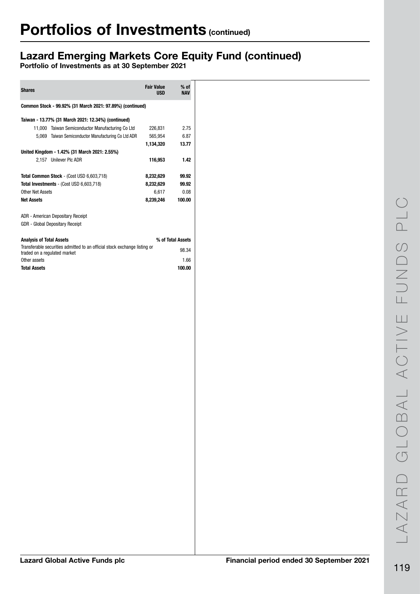## Lazard Emerging Markets Core Equity Fund (continued)

| <b>Shares</b>                                                                                             | <b>Fair Value</b><br><b>USD</b> | $%$ of<br><b>NAV</b> |
|-----------------------------------------------------------------------------------------------------------|---------------------------------|----------------------|
| Common Stock - 99.92% (31 March 2021: 97.89%) (continued)                                                 |                                 |                      |
| Taiwan - 13.77% (31 March 2021: 12.34%) (continued)                                                       |                                 |                      |
| 11,000 Taiwan Semiconductor Manufacturing Co Ltd                                                          | 226.831                         | 2.75                 |
| 5,069 Taiwan Semiconductor Manufacturing Co Ltd ADR                                                       | 565,954                         | 6.87                 |
|                                                                                                           | 1,134,320                       | 13.77                |
| United Kingdom - 1.42% (31 March 2021: 2.55%)                                                             |                                 |                      |
| 2.157 Unilever Plc ADR                                                                                    | 116,953                         | 1.42                 |
| Total Common Stock - (Cost USD 6,603,718)                                                                 | 8,232,629                       | 99.92                |
| Total Investments - (Cost USD 6,603,718)                                                                  | 8,232,629                       | 99.92                |
| Other Net Assets                                                                                          | 6,617                           | 0.08                 |
| <b>Net Assets</b>                                                                                         | 8,239,246                       | 100.00               |
| <b>ADR</b> - American Depositary Receipt                                                                  |                                 |                      |
| <b>GDR</b> - Global Depositary Receipt                                                                    |                                 |                      |
| <b>Analysis of Total Assets</b>                                                                           |                                 | % of Total Assets    |
| Transferable securities admitted to an official stock exchange listing or<br>traded on a regulated market |                                 | 98.34                |
| Other assets                                                                                              |                                 | 1.66                 |
| <b>Total Assets</b>                                                                                       |                                 | 100.00               |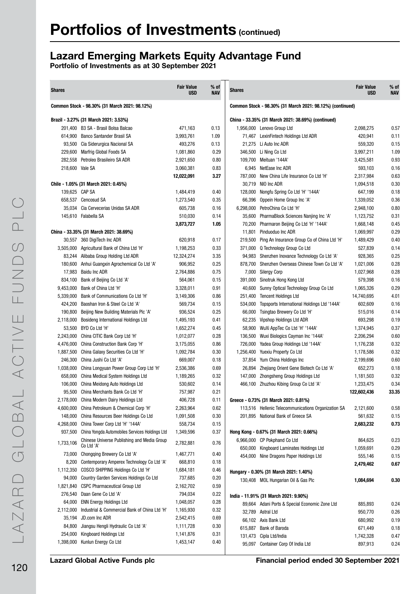## Lazard Emerging Markets Equity Advantage Fund

| <b>Shares</b>   |                                                        | <b>Fair Value</b><br><b>USD</b> | $%$ of<br><b>NAV</b> | <b>Shares</b> |                                                           | <b>Fair Value</b><br><b>USD</b> | % of<br><b>NAV</b> |
|-----------------|--------------------------------------------------------|---------------------------------|----------------------|---------------|-----------------------------------------------------------|---------------------------------|--------------------|
|                 | Common Stock - 98.30% (31 March 2021: 98.12%)          |                                 |                      |               | Common Stock - 98.30% (31 March 2021: 98.12%) (continued) |                                 |                    |
|                 | Brazil - 3.27% (31 March 2021: 3.53%)                  |                                 |                      |               | China - 33.35% (31 March 2021: 38.69%) (continued)        |                                 |                    |
|                 | 201,400 B3 SA - Brasil Bolsa Balcao                    | 471,163                         | 0.13                 |               | 1,956,000 Lenovo Group Ltd                                | 2,098,275                       | 0.57               |
|                 | 614,900 Banco Santander Brasil SA                      | 3,993,761                       | 1.09                 |               | 71,467 LexinFintech Holdings Ltd ADR                      | 420,941                         | 0.11               |
|                 | 93,500 Cia Siderurgica Nacional SA                     | 493,276                         | 0.13                 |               | 21,275 Li Auto Inc ADR                                    | 559,320                         | 0.15               |
|                 | 229,600 Marfrig Global Foods SA                        | 1,081,860                       | 0.29                 |               | 346,500 Li Ning Co Ltd                                    | 3,997,211                       | 1.09               |
|                 | 282,558 Petroleo Brasileiro SA ADR                     | 2,921,650                       | 0.80                 |               | 109.700 Meituan '144A'                                    | 3,425,581                       | 0.93               |
| 218,600 Vale SA |                                                        | 3,060,381                       | 0.83                 |               | 6,945 NetEase Inc ADR                                     | 593,103                         | 0.16               |
|                 |                                                        | 12,022,091                      | 3.27                 | 787.000       | New China Life Insurance Co Ltd 'H'                       | 2,317,984                       | 0.63               |
|                 | Chile - 1.05% (31 March 2021: 0.45%)                   |                                 |                      |               | 30,719 NIO Inc ADR                                        | 1,094,518                       | 0.30               |
| 139,625 CAP SA  |                                                        | 1,484,419                       | 0.40                 |               | 128,000 Nongfu Spring Co Ltd 'H' '144A'                   | 647,199                         | 0.18               |
|                 | 658,537 Cencosud SA                                    | 1,273,540                       | 0.35                 | 66,396        | Oppein Home Group Inc 'A'                                 | 1,339,052                       | 0.36               |
|                 | 35,034 Cia Cervecerias Unidas SA ADR                   | 605,738                         | 0.16                 | 6,298,000     | PetroChina Co Ltd 'H'                                     | 2,948,100                       | 0.80               |
|                 | 145,610 Falabella SA                                   | 510,030                         | 0.14                 | 35,600        | PharmaBlock Sciences Nanjing Inc 'A'                      | 1,123,752                       | 0.31               |
|                 |                                                        | 3,873,727                       | 1.05                 | 70,200        | Pharmaron Beijing Co Ltd 'H' '144A'                       | 1,668,148                       | 0.45               |
|                 | China - 33.35% (31 March 2021: 38.69%)                 |                                 |                      | 11,801        | Pinduoduo Inc ADR                                         | 1,069,997                       | 0.29               |
|                 | 30,557 360 DigiTech Inc ADR                            | 620,918                         | 0.17                 |               | 219,500 Ping An Insurance Group Co of China Ltd 'H'       | 1,489,429                       | 0.40               |
|                 | 3,505,000 Agricultural Bank of China Ltd 'H'           | 1,198,253                       | 0.33                 |               | 371,000 Q Technology Group Co Ltd                         | 527,839                         | 0.14               |
|                 | 83,244 Alibaba Group Holding Ltd ADR                   | 12,324,274                      | 3.35                 |               | 94,983 Shenzhen Inovance Technology Co Ltd 'A'            | 928,365                         | 0.25               |
|                 | 180,600 Anhui Guangxin Agrochemical Co Ltd 'A'         | 906,952                         | 0.25                 | 878.700       | Shenzhen Overseas Chinese Town Co Ltd 'A'                 | 1,021,006                       | 0.28               |
|                 | 17,983 Baidu Inc ADR                                   | 2,764,886                       | 0.75                 |               | 7,000 Silergy Corp                                        | 1,027,968                       | 0.28               |
|                 | 834,100 Bank of Beijing Co Ltd 'A'                     | 564,061                         | 0.15                 |               | 391,000 Sinotruk Hong Kong Ltd                            | 579,398                         | 0.16               |
|                 | 9,453,000 Bank of China Ltd 'H'                        | 3,328,011                       | 0.91                 | 40,600        | Sunny Optical Technology Group Co Ltd                     | 1,065,326                       | 0.29               |
| 5,339,000       | Bank of Communications Co Ltd 'H'                      | 3,149,306                       | 0.86                 | 251,400       | <b>Tencent Holdings Ltd</b>                               | 14,740,695                      | 4.01               |
| 424,200         | Baoshan Iron & Steel Co Ltd 'A'                        | 569,734                         | 0.15                 | 534,000       | Topsports International Holdings Ltd '144A'               | 602,609                         | 0.16               |
| 190,800         | Beijing New Building Materials Plc 'A'                 | 936,524                         | 0.25                 | 66,000        | Tsingtao Brewery Co Ltd 'H'                               | 515,016                         | 0.14               |
| 2,118,000       | Bosideng International Holdings Ltd                    | 1,495,193                       | 0.41                 | 62,235        | Vipshop Holdings Ltd ADR                                  | 693,298                         | 0.19               |
| 53,500          | BYD Co Ltd 'H'                                         | 1,652,274                       | 0.45                 | 58,900        | WuXi AppTec Co Ltd 'H' '144A'                             | 1,374,945                       | 0.37               |
| 2,243,000       | China CITIC Bank Corp Ltd 'H'                          | 1,012,077                       | 0.28                 | 136,500       | Wuxi Biologics Cayman Inc '144A'                          | 2,206,294                       | 0.60               |
|                 | 4,476,000 China Construction Bank Corp 'H'             | 3,175,055                       | 0.86                 | 726,000       | Yadea Group Holdings Ltd '144A'                           | 1,176,238                       | 0.32               |
| 1,887,500       | China Galaxy Securities Co Ltd 'H'                     | 1,092,784                       | 0.30                 | 1,256,400     | Yuexiu Property Co Ltd                                    | 1,178,586                       | 0.32               |
|                 | 246,300 China Jushi Co Ltd 'A'                         | 669,007                         | 0.18                 |               | 37,854 Yum China Holdings Inc                             | 2,199,696                       | 0.60               |
| 1,038,000       | China Longyuan Power Group Corp Ltd 'H'                | 2,536,386                       | 0.69                 | 26,894        | Zhejiang Orient Gene Biotech Co Ltd 'A'                   | 652,273                         | 0.18               |
| 658,000         | China Medical System Holdings Ltd                      | 1,189,265                       | 0.32                 | 147,000       | Zhongsheng Group Holdings Ltd                             | 1,181,503                       | 0.32               |
| 106.000         | China Meidong Auto Holdings Ltd                        | 530,602                         | 0.14                 | 466,100       | Zhuzhou Kibing Group Co Ltd 'A'                           | 1,233,475                       | 0.34               |
|                 | 95,500 China Merchants Bank Co Ltd 'H'                 | 757,987                         | 0.21                 |               |                                                           | 122,602,436                     | 33.35              |
|                 | 2,178,000 China Modern Dairy Holdings Ltd              | 406,728                         | 0.11                 |               | Greece - 0.73% (31 March 2021: 0.81%)                     |                                 |                    |
| 4,600,000       | China Petroleum & Chemical Corp 'H'                    | 2,263,964                       | 0.62                 |               | 113,516 Hellenic Telecommunications Organization SA       | 2,121,600                       | 0.58               |
|                 | 148,000 China Resources Beer Holdings Co Ltd           | 1,091,508                       | 0.30                 |               | 201,895 National Bank of Greece SA                        | 561,632                         | 0.15               |
|                 | 4,268,000 China Tower Corp Ltd 'H' '144A'              | 558,734                         | 0.15                 |               |                                                           | 2,683,232                       | 0.73               |
|                 | 937,500 China Yongda Automobiles Services Holdings Ltd | 1,349,596                       | 0.37                 |               | Hong Kong - 0.67% (31 March 2021: 0.66%)                  |                                 |                    |
|                 | Chinese Universe Publishing and Media Group            |                                 |                      |               | 6,966,000 CP Pokphand Co Ltd                              | 864,625                         | 0.23               |
| 1,733,106       | Co Ltd 'A'                                             | 2,782,881                       | 0.76                 |               | 650,000 Kingboard Laminates Holdings Ltd                  | 1,059,691                       | 0.29               |
|                 | 73,000 Chongqing Brewery Co Ltd 'A'                    | 1,467,771                       | 0.40                 |               | 454,000 Nine Dragons Paper Holdings Ltd                   | 555,146                         | 0.15               |
|                 | 8,200 Contemporary Amperex Technology Co Ltd 'A'       | 668,810                         | 0.18                 |               |                                                           | 2,479,462                       | 0.67               |
|                 | 1,112,350 COSCO SHIPPING Holdings Co Ltd 'H'           | 1,684,181                       | 0.46                 |               | Hungary - 0.30% (31 March 2021: 1.40%)                    |                                 |                    |
| 94,000          | Country Garden Services Holdings Co Ltd                | 737,685                         | 0.20                 |               | 130,408 MOL Hungarian Oil & Gas Plc                       | 1,084,694                       | 0.30               |
| 1,821,840       | <b>CSPC Pharmaceutical Group Ltd</b>                   | 2,162,702                       | 0.59                 |               |                                                           |                                 |                    |
|                 | 276,540 Daan Gene Co Ltd 'A'                           | 794,034                         | 0.22                 |               | India - 11.91% (31 March 2021: 9.90%)                     |                                 |                    |
| 64,000          | <b>ENN Energy Holdings Ltd</b>                         | 1,048,057                       | 0.28                 |               | 89,664 Adani Ports & Special Economic Zone Ltd            | 885,893                         | 0.24               |
| 2,112,000       | Industrial & Commercial Bank of China Ltd 'H'          | 1,165,930                       | 0.32                 |               | 32,789 Astral Ltd                                         | 950,770                         | 0.26               |
| 35,194          | JD.com Inc ADR                                         | 2,542,415                       | 0.69                 |               |                                                           |                                 |                    |
| 84,800          | Jiangsu Hengli Hydraulic Co Ltd 'A'                    | 1,111,728                       | 0.30                 |               | 66,102 Axis Bank Ltd                                      | 680,992                         | 0.19               |
| 254,000         | Kingboard Holdings Ltd                                 | 1,141,876                       | 0.31                 |               | 615,887 Bank of Baroda                                    | 671,449                         | 0.18               |
|                 | 1,398,000 Kunlun Energy Co Ltd                         | 1,453,147                       | 0.40                 |               | 131,473 Cipla Ltd/India                                   | 1,742,328                       | 0.47               |
|                 |                                                        |                                 |                      |               | 95,097 Container Corp Of India Ltd                        | 897,913                         | 0.24               |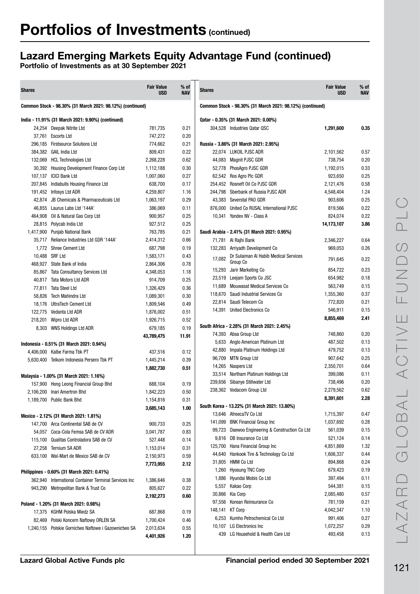## Lazard Emerging Markets Equity Advantage Fund (continued)

| <b>Shares</b> |                                                           | <b>Fair Value</b><br><b>USD</b> | % of<br><b>NAV</b> | <b>Shares</b>   |                                                                              | <b>Fair Value</b><br><b>USD</b> | $%$ of<br>NAV |
|---------------|-----------------------------------------------------------|---------------------------------|--------------------|-----------------|------------------------------------------------------------------------------|---------------------------------|---------------|
|               | Common Stock - 98.30% (31 March 2021: 98.12%) (continued) |                                 |                    |                 | Common Stock - 98.30% (31 March 2021: 98.12%) (continued)                    |                                 |               |
|               | India - 11.91% (31 March 2021: 9.90%) (continued)         |                                 |                    |                 | Qatar - 0.35% (31 March 2021: 0.00%)                                         |                                 |               |
|               | 24,254 Deepak Nitrite Ltd                                 | 781,735                         | 0.21               |                 | 304.528 Industries Qatar QSC                                                 | 1,291,600                       | 0.35          |
|               | 37,761 Escorts Ltd                                        | 747,272                         | 0.20               |                 |                                                                              |                                 |               |
|               | 296,185 Firstsource Solutions Ltd                         | 774,662                         | 0.21               |                 | Russia - 3.86% (31 March 2021: 2.95%)                                        |                                 |               |
|               | 384,382 GAIL India Ltd                                    | 809,431                         | 0.22               |                 | 22,074 LUKOIL PJSC ADR                                                       | 2,101,562                       | 0.57          |
|               | 132,069 HCL Technologies Ltd                              | 2,268,228                       | 0.62               |                 | 44,083 Magnit PJSC GDR                                                       | 738,754                         | 0.20          |
|               | 30,392 Housing Development Finance Corp Ltd               | 1,112,188                       | 0.30               |                 | 52,778 PhosAgro PJSC GDR                                                     | 1,192,015                       | 0.33          |
|               | 107,137 ICICI Bank Ltd                                    | 1,007,060                       | 0.27               |                 | 62,542 Ros Agro Plc GDR                                                      | 923,650                         | 0.25          |
| 207,845       | Indiabulls Housing Finance Ltd                            | 638,700                         | 0.17               |                 | 254,452 Rosneft Oil Co PJSC GDR                                              | 2,121,476                       | 0.58          |
| 191,452       | Infosys Ltd ADR                                           | 4,259,807                       | 1.16               |                 | 244,798 Sberbank of Russia PJSC ADR                                          | 4,548,404                       | 1.24          |
| 42,874        | JB Chemicals & Pharmaceuticals Ltd                        | 1,063,197                       | 0.29               |                 | 43,383 Severstal PAO GDR                                                     | 903,606                         | 0.25          |
| 46,855        | Laurus Labs Ltd '144A'                                    | 386,069                         | 0.11               |                 | 876,000 United Co RUSAL International PJSC                                   | 819,566                         | 0.22          |
| 464,908       | Oil & Natural Gas Corp Ltd                                | 900,957                         | 0.25               |                 | 10,341 Yandex NV - Class A                                                   | 824,074                         | 0.22          |
| 28.815        | Polycab India Ltd                                         | 927,512                         | 0.25               |                 |                                                                              | 14,173,107                      | 3.86          |
| 1,417,900     | Punjab National Bank                                      | 763,785                         | 0.21               |                 | Saudi Arabia - 2.41% (31 March 2021: 0.95%)                                  |                                 |               |
| 35,717        | Reliance Industries Ltd GDR '144A'                        | 2,414,312                       | 0.66               |                 | 71,781 Al Rajhi Bank                                                         | 2,346,227                       | 0.64          |
|               | 1,772 Shree Cement Ltd                                    | 687,798                         | 0.19               |                 | 132,283 Arriyadh Development Co                                              | 969,053                         | 0.26          |
|               | 10,488 SRF Ltd                                            | 1,583,171                       | 0.43               | 17,082          | Dr Sulaiman Al Habib Medical Services                                        | 791,645                         | 0.22          |
|               | 468,927 State Bank of India                               | 2,864,306                       | 0.78               |                 | Group Co                                                                     |                                 |               |
| 85,867        | <b>Tata Consultancy Services Ltd</b>                      | 4,348,053                       | 1.18               | 15,293          | Jarir Marketing Co                                                           | 854,722                         | 0.23          |
| 40,817        | <b>Tata Motors Ltd ADR</b>                                | 914,709                         | 0.25               | 23,519          | Leejam Sports Co JSC                                                         | 654,982                         | 0.18          |
| 77,811        | <b>Tata Steel Ltd</b>                                     | 1,326,429                       | 0.36               | 11,689          | <b>Mouwasat Medical Services Co</b>                                          | 563,749                         | 0.15          |
| 58,826        | Tech Mahindra Ltd                                         | 1,089,301                       | 0.30               | 118,670         | Saudi Industrial Services Co                                                 | 1,355,360                       | 0.37          |
| 18,176        | <b>UltraTech Cement Ltd</b>                               | 1,809,546                       | 0.49               |                 | 22,814 Saudi Telecom Co                                                      | 772,820                         | 0.21          |
| 122,775       | Vedanta Ltd ADR                                           | 1,876,002                       | 0.51               |                 | 14,391 United Electronics Co                                                 | 546,911                         | 0.15          |
|               | 218,201 Wipro Ltd ADR                                     | 1,926,715                       | 0.52               |                 |                                                                              | 8,855,469                       | 2.41          |
|               | 8,303 WNS Holdings Ltd ADR                                | 679,185                         | 0.19               |                 | South Africa - 2.28% (31 March 2021: 2.45%)                                  |                                 | 0.20          |
|               |                                                           | 43,789,475                      | 11.91              |                 | 74,393 Absa Group Ltd                                                        | 748,860                         |               |
|               | Indonesia - 0.51% (31 March 2021: 0.94%)                  |                                 |                    | 5,633<br>42,880 | Anglo American Platinum Ltd<br>Impala Platinum Holdings Ltd                  | 487,502<br>479,752              | 0.13<br>0.13  |
|               | 4,406,000 Kalbe Farma Tbk PT                              | 437,516                         | 0.12               |                 | 96,709 MTN Group Ltd                                                         | 907,642                         | 0.25          |
|               | 5.630.400 Telkom Indonesia Persero Tbk PT                 | 1,445,214                       | 0.39               |                 | 14,265 Naspers Ltd                                                           | 2,350,701                       | 0.64          |
|               |                                                           | 1,882,730                       | 0.51               |                 | 33,514 Northam Platinum Holdings Ltd                                         | 399,086                         | 0.11          |
|               | Malaysia - 1.00% (31 March 2021: 1.16%)                   |                                 |                    | 239,656         | Sibanye Stillwater Ltd                                                       | 738,496                         | 0.20          |
|               | 157,900 Hong Leong Financial Group Bhd                    | 688,104                         | 0.19               |                 |                                                                              |                                 | 0.62          |
|               | 2,106,200 Inari Amertron Bhd                              | 1,842,223                       |                    |                 |                                                                              |                                 |               |
|               |                                                           |                                 | 0.50               |                 | 238,362 Vodacom Group Ltd                                                    | 2,279,562                       |               |
|               | 1,189,700 Public Bank Bhd                                 | 1,154,816                       | 0.31               |                 |                                                                              | 8,391,601                       | 2.28          |
|               |                                                           | 3,685,143                       | 1.00               |                 | South Korea - 13.22% (31 March 2021: 13.80%)                                 |                                 |               |
|               | Mexico - 2.12% (31 March 2021: 1.81%)                     |                                 |                    |                 | 13,646 AfreecaTV Co Ltd                                                      | 1,715,397                       | 0.47          |
|               | 147,700 Arca Continental SAB de CV                        | 900,733                         | 0.25               |                 | 141,099 BNK Financial Group Inc                                              | 1,037,692                       | 0.28          |
|               | 54,057 Coca-Cola Femsa SAB de CV ADR                      | 3,041,787                       | 0.83               |                 | 99,723 Daewoo Engineering & Construction Co Ltd<br>9.816 DB Insurance Co Ltd | 561,039                         | 0.15          |
| 115,100       | Qualitas Controladora SAB de CV                           | 527,448                         | 0.14               | 125,700         | Hana Financial Group Inc                                                     | 521,124<br>4,851,869            | 0.14<br>1.32  |
| 27,258        | Ternium SA ADR                                            | 1,153,014                       | 0.31               | 44,640          | Hankook Tire & Technology Co Ltd                                             | 1,606,337                       | 0.44          |
|               | 633,100 Wal-Mart de Mexico SAB de CV                      | 2,150,973                       | 0.59               |                 | 31,805 HMM Co Ltd                                                            | 894,868                         | 0.24          |
|               |                                                           | 7,773,955                       | 2.12               |                 | 1,260 Hyosung TNC Corp                                                       | 679,423                         | 0.19          |
|               | Philippines - 0.60% (31 March 2021: 0.41%)                |                                 |                    | 1,886           | Hyundai Mobis Co Ltd                                                         | 397,494                         | 0.11          |
| 362,940       | International Container Terminal Services Inc             | 1,386,646                       | 0.38               | 5,557           | Kakao Corp                                                                   | 544,381                         | 0.15          |
|               | 943,290 Metropolitan Bank & Trust Co                      | 805,627                         | 0.22               | 30,866          | Kia Corp                                                                     | 2,085,480                       | 0.57          |
|               |                                                           | 2,192,273                       | 0.60               | 97,556          | Korean Reinsurance Co                                                        | 781,159                         | 0.21          |
|               | Poland - 1.20% (31 March 2021: 0.98%)                     |                                 |                    | 148,141 KT Corp |                                                                              | 4,042,347                       | 1.10          |
|               | 17,375 KGHM Polska Miedz SA                               | 687,868                         | 0.19               |                 | 6,253 Kumho Petrochemical Co Ltd                                             | 991,406                         | 0.27          |
|               | 82,469 Polski Koncern Naftowy ORLEN SA                    | 1,700,424                       | 0.46               | 10,107          | LG Electronics Inc                                                           | 1,072,257                       | 0.29          |
|               | 1,240,155 Polskie Gornictwo Naftowe i Gazownictwo SA      | 2,013,634<br>4,401,926          | 0.55<br>1.20       |                 | 439 LG Household & Health Care Ltd                                           | 493,458                         | 0.13          |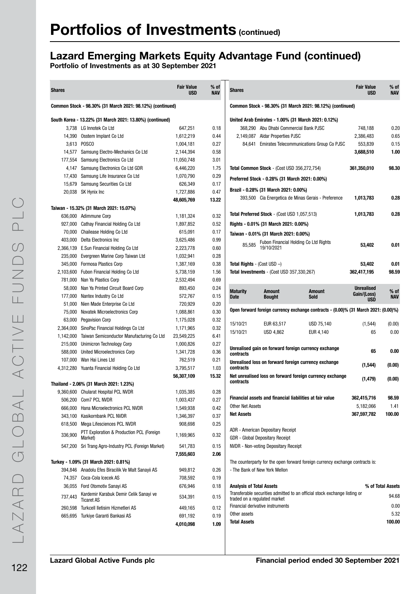## Lazard Emerging Markets Equity Advantage Fund (continued)

| <b>Shares</b> |                                                             | <b>Fair Value</b><br><b>USD</b> | % of<br><b>NAV</b> | <b>Shares</b>                   |                                                          |                                                                                     | <b>Fair Value</b><br><b>USD</b>  | % of<br><b>NAV</b> |
|---------------|-------------------------------------------------------------|---------------------------------|--------------------|---------------------------------|----------------------------------------------------------|-------------------------------------------------------------------------------------|----------------------------------|--------------------|
|               | Common Stock - 98.30% (31 March 2021: 98.12%) (continued)   |                                 |                    |                                 |                                                          | Common Stock - 98.30% (31 March 2021: 98.12%) (continued)                           |                                  |                    |
|               | South Korea - 13.22% (31 March 2021: 13.80%) (continued)    |                                 |                    |                                 |                                                          | United Arab Emirates - 1.00% (31 March 2021: 0.12%)                                 |                                  |                    |
| 3,738         | LG Innotek Co Ltd                                           | 647,251                         | 0.18               |                                 | 368,290 Abu Dhabi Commercial Bank PJSC                   |                                                                                     | 748,188                          | 0.20               |
| 14,390        | Osstem Implant Co Ltd                                       | 1,612,219                       | 0.44               |                                 | 2,149,087 Aldar Properties PJSC                          |                                                                                     | 2,386,483                        | 0.65               |
|               | 3,613 POSCO                                                 | 1,004,181                       | 0.27               |                                 |                                                          | 84,641 Emirates Telecommunications Group Co PJSC                                    | 553,839                          | 0.15               |
|               | 14,577 Samsung Electro-Mechanics Co Ltd                     | 2,144,394                       | 0.58               |                                 |                                                          |                                                                                     | 3,688,510                        | 1.00               |
| 177,554       | Samsung Electronics Co Ltd                                  | 11,050,748                      | 3.01               |                                 |                                                          |                                                                                     |                                  |                    |
| 4,147         | Samsung Electronics Co Ltd GDR                              | 6,446,220                       | 1.75               |                                 | Total Common Stock - (Cost USD 356,272,754)              |                                                                                     | 361,350,010                      | 98.30              |
| 17,430        | Samsung Life Insurance Co Ltd                               | 1,070,790                       | 0.29               |                                 | Preferred Stock - 0.28% (31 March 2021: 0.00%)           |                                                                                     |                                  |                    |
| 15,679        | Samsung Securities Co Ltd                                   | 626,349                         | 0.17               |                                 |                                                          |                                                                                     |                                  |                    |
|               | 20,038 SK Hynix Inc                                         | 1,727,886                       | 0.47               |                                 | Brazil - 0.28% (31 March 2021: 0.00%)                    |                                                                                     |                                  |                    |
|               |                                                             | 48,605,769                      | 13.22              |                                 |                                                          | 393,500 Cia Energetica de Minas Gerais - Preference                                 | 1,013,783                        | 0.28               |
|               | Taiwan - 15.32% (31 March 2021: 15.07%)                     |                                 |                    |                                 |                                                          |                                                                                     |                                  |                    |
|               | 636,000 Adimmune Corp                                       | 1,181,324                       | 0.32               |                                 | Total Preferred Stock - (Cost USD 1,057,513)             |                                                                                     | 1,013,783                        | 0.28               |
|               | 927,000 Cathay Financial Holding Co Ltd                     | 1,897,852                       | 0.52               |                                 | Rights - 0.01% (31 March 2021: 0.00%)                    |                                                                                     |                                  |                    |
| 70,000        | Chailease Holding Co Ltd                                    | 615,091                         | 0.17               |                                 | Taiwan - 0.01% (31 March 2021: 0.00%)                    |                                                                                     |                                  |                    |
| 403,000       | Delta Electronics Inc                                       | 3,625,486                       | 0.99               | 85,585                          | Fubon Financial Holding Co Ltd Rights                    |                                                                                     | 53,402                           | 0.01               |
| 2,366,139     | E.Sun Financial Holding Co Ltd                              | 2,223,778                       | 0.60               |                                 | 19/10/2021                                               |                                                                                     |                                  |                    |
|               | 235,000 Evergreen Marine Corp Taiwan Ltd                    | 1,032,941                       | 0.28               |                                 |                                                          |                                                                                     |                                  |                    |
| 345,000       | Formosa Plastics Corp                                       | 1,387,169                       | 0.38               |                                 | <b>Total Rights</b> - (Cost USD $-$ )                    |                                                                                     | 53,402                           | 0.01               |
| 2,103,600     | Fubon Financial Holding Co Ltd                              | 5,738,159                       | 1.56               |                                 | Total Investments - (Cost USD 357,330,267)               |                                                                                     | 362,417,195                      | 98.59              |
| 781,000       | Nan Ya Plastics Corp                                        | 2,532,494                       | 0.69               |                                 |                                                          |                                                                                     |                                  |                    |
| 58,000        | Nan Ya Printed Circuit Board Corp                           | 893,450                         | 0.24               | <b>Maturity</b>                 | Amount                                                   | Amount                                                                              | <b>Unrealised</b><br>Gain/(Loss) | % of               |
| 177,000       | Nantex Industry Co Ltd                                      | 572,767                         | 0.15               | <b>Date</b>                     | <b>Bought</b>                                            | <b>Sold</b>                                                                         | <b>USD</b>                       | <b>NAV</b>         |
| 51,000        | Nien Made Enterprise Co Ltd                                 | 720,929                         | 0.20               |                                 |                                                          | Open forward foreign currency exchange contracts - (0.00)% (31 March 2021: (0.00)%) |                                  |                    |
| 75,000        | Novatek Microelectronics Corp                               | 1,088,861                       | 0.30               |                                 |                                                          |                                                                                     |                                  |                    |
| 63,000        | <b>Pegavision Corp</b>                                      | 1,175,028                       | 0.32               | 15/10/21                        | EUR 63,517                                               | USD 75,140                                                                          | (1, 544)                         | (0.00)             |
|               | 2,364,000 SinoPac Financial Holdings Co Ltd                 | 1,171,965                       | 0.32               | 15/10/21                        | <b>USD 4,862</b>                                         | EUR 4,140                                                                           | 65                               | 0.00               |
| 1,142,000     | Taiwan Semiconductor Manufacturing Co Ltd                   | 23,549,225                      | 6.41               |                                 |                                                          |                                                                                     |                                  |                    |
| 215,000       | Unimicron Technology Corp                                   | 1,000,826                       | 0.27<br>0.36       |                                 |                                                          | Unrealised gain on forward foreign currency exchange                                | 65                               | 0.00               |
| 588,000       | United Microelectronics Corp<br>Wan Hai Lines Ltd           | 1,341,728                       | 0.21               | contracts                       |                                                          |                                                                                     |                                  |                    |
| 107,000       |                                                             | 762,519                         | 1.03               | contracts                       |                                                          | Unrealised loss on forward foreign currency exchange                                | (1, 544)                         | (0.00)             |
|               | 4,312,280 Yuanta Financial Holding Co Ltd                   | 3,795,517<br>56,307,109         | 15.32              |                                 |                                                          | Net unrealised loss on forward foreign currency exchange                            |                                  |                    |
|               | Thailand - 2.06% (31 March 2021: 1.23%)                     |                                 |                    | contracts                       |                                                          |                                                                                     | (1, 479)                         | (0.00)             |
|               | 9,360,600 Chularat Hospital PCL NVDR                        | 1,035,385                       | 0.28               |                                 |                                                          |                                                                                     |                                  |                    |
|               | 506,200 Com7 PCL NVDR                                       | 1,003,437                       | 0.27               |                                 | Financial assets and financial liabilities at fair value |                                                                                     | 362,415,716                      | 98.59              |
| 666,000       | Hana Microelectronics PCL NVDR                              | 1,549,938                       | 0.42               | Other Net Assets                |                                                          |                                                                                     | 5,182,066                        | 1.41               |
| 343,100       | Kasikornbank PCL NVDR                                       | 1,346,397                       | 0.37               | <b>Net Assets</b>               |                                                          |                                                                                     | 367,597,782                      | 100.00             |
|               | 618,500 Mega Lifesciences PCL NVDR                          | 908,698                         | 0.25               |                                 |                                                          |                                                                                     |                                  |                    |
|               | PTT Exploration & Production PCL (Foreign                   |                                 |                    |                                 | ADR - American Depositary Receipt                        |                                                                                     |                                  |                    |
| 336,900       | Market)                                                     | 1,169,965                       | 0.32               |                                 | GDR - Global Depositary Receipt                          |                                                                                     |                                  |                    |
|               | 547,200 Sri Trang Agro-Industry PCL (Foreign Market)        | 541,783                         | 0.15               |                                 | <b>NVDR</b> - Non-voting Depositary Receipt              |                                                                                     |                                  |                    |
|               |                                                             | 7,555,603                       | 2.06               |                                 |                                                          |                                                                                     |                                  |                    |
|               | Turkey - 1.09% (31 March 2021: 0.81%)                       |                                 |                    |                                 |                                                          | The counterparty for the open forward foreign currency exchange contracts is:       |                                  |                    |
|               | 394,846 Anadolu Efes Biracilik Ve Malt Sanayii AS           | 949,812                         | 0.26               |                                 | - The Bank of New York Mellon                            |                                                                                     |                                  |                    |
|               | 74.357 Coca-Cola Icecek AS                                  | 708,592                         | 0.19               |                                 |                                                          |                                                                                     |                                  |                    |
|               | 36,055 Ford Otomotiv Sanayi AS                              | 676,946                         | 0.18               | <b>Analysis of Total Assets</b> |                                                          |                                                                                     |                                  | % of Total Assets  |
| 737,443       | Kardemir Karabuk Demir Celik Sanayi ve<br><b>Ticaret AS</b> | 534,391                         | 0.15               |                                 | traded on a regulated market                             | Transferable securities admitted to an official stock exchange listing or           |                                  | 94.68              |
| 260,598       | Turkcell Iletisim Hizmetleri AS                             | 449,165                         | 0.12               |                                 | Financial derivative instruments                         |                                                                                     |                                  | 0.00               |
|               | 665,695 Turkiye Garanti Bankasi AS                          | 691,192                         | 0.19               | Other assets                    |                                                          |                                                                                     |                                  | 5.32               |
|               |                                                             | 4,010,098                       | 1.09               | <b>Total Assets</b>             |                                                          |                                                                                     |                                  | 100.00             |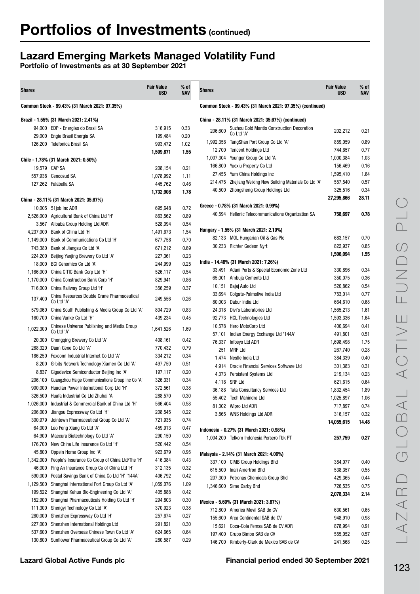## Lazard Emerging Markets Managed Volatility Fund

| <b>Shares</b> |                                                           | <b>Fair Value</b><br><b>USD</b> | % of<br>NAV | <b>Shares</b> |                                                           | <b>Fair Value</b><br><b>USD</b> | % of<br>NAV  |
|---------------|-----------------------------------------------------------|---------------------------------|-------------|---------------|-----------------------------------------------------------|---------------------------------|--------------|
|               | Common Stock - 99.43% (31 March 2021: 97.35%)             |                                 |             |               | Common Stock - 99.43% (31 March 2021: 97.35%) (continued) |                                 |              |
|               | Brazil - 1.55% (31 March 2021: 2.41%)                     |                                 |             |               | China - 28.11% (31 March 2021: 35.67%) (continued)        |                                 |              |
|               | 94,000 EDP - Energias do Brasil SA                        | 316,915                         | 0.33        | 206,600       | Suzhou Gold Mantis Construction Decoration                | 202,212                         | 0.21         |
|               | 29,000 Engie Brasil Energia SA                            | 199,484                         | 0.20        |               | Co Ltd 'A'                                                |                                 |              |
|               | 126,200 Telefonica Brasil SA                              | 993,472                         | 1.02        | 1,992,358     | TangShan Port Group Co Ltd 'A'                            | 859,059                         | 0.89         |
|               |                                                           | 1,509,871                       | 1.55        | 12,700        | <b>Tencent Holdings Ltd</b>                               | 744,657                         | 0.77         |
|               | Chile - 1.78% (31 March 2021: 0.50%)                      |                                 |             | 1,007,304     | Youngor Group Co Ltd 'A'                                  | 1,000,384                       | 1.03         |
| 19,579 CAP SA |                                                           | 208,154                         | 0.21        | 166,800       | Yuexiu Property Co Ltd                                    | 156,469                         | 0.16         |
|               | 557,938 Cencosud SA                                       | 1,078,992                       | 1.11        | 27,455        | Yum China Holdings Inc                                    | 1,595,410                       | 1.64         |
|               | 127,262 Falabella SA                                      | 445,762                         | 0.46        | 214,475       | Zhejiang Weixing New Building Materials Co Ltd 'A'        | 557,540                         | 0.57<br>0.34 |
|               |                                                           | 1,732,908                       | 1.78        | 40,500        | Zhongsheng Group Holdings Ltd                             | 325,516<br>27,295,866           | 28.11        |
|               | China - 28.11% (31 March 2021: 35.67%)                    |                                 |             |               | Greece - 0.78% (31 March 2021: 0.99%)                     |                                 |              |
|               | 10,005 51job Inc ADR                                      | 695,648                         | 0.72        |               | 40,594 Hellenic Telecommunications Organization SA        | 758,697                         | 0.78         |
|               | 2,526,000 Agricultural Bank of China Ltd 'H'              | 863,562                         | 0.89        |               |                                                           |                                 |              |
|               | 3,567 Alibaba Group Holding Ltd ADR                       | 528,094                         | 0.54        |               | Hungary - 1.55% (31 March 2021: 2.10%)                    |                                 |              |
|               | 4,237,000 Bank of China Ltd 'H'                           | 1,491,673                       | 1.54        |               | 82,133 MOL Hungarian Oil & Gas Plc                        | 683,157                         | 0.70         |
| 1,149,000     | Bank of Communications Co Ltd 'H'                         | 677,758                         | 0.70        |               | 30,233 Richter Gedeon Nyrt                                | 822,937                         | 0.85         |
| 743,380       | Bank of Jiangsu Co Ltd 'A'                                | 671,212                         | 0.69        |               |                                                           | 1,506,094                       | 1.55         |
| 224,200       | Beijing Yanjing Brewery Co Ltd 'A'                        | 227,361                         | 0.23        |               | India - 14.48% (31 March 2021: 7.26%)                     |                                 |              |
| 18,000        | BGI Genomics Co Ltd 'A'                                   | 244,999                         | 0.25        |               | 33,491 Adani Ports & Special Economic Zone Ltd            | 330,896                         | 0.34         |
| 1,166,000     | China CITIC Bank Corp Ltd 'H'                             | 526,117                         | 0.54        | 65,001        | Ambuja Cements Ltd                                        | 350,075                         | 0.36         |
| 1,170,000     | China Construction Bank Corp 'H'                          | 829,941                         | 0.86        | 10,151        | Bajaj Auto Ltd                                            | 520,862                         | 0.54         |
| 716,000       | China Railway Group Ltd 'H'                               | 356,259                         | 0.37        |               | 33,694 Colgate-Palmolive India Ltd                        | 753,014                         | 0.77         |
| 137,400       | China Resources Double Crane Pharmaceutical<br>Co Ltd 'A' | 249,556                         | 0.26        |               | 80,003 Dabur India Ltd                                    | 664,610                         | 0.68         |
| 579,060       | China South Publishing & Media Group Co Ltd 'A'           | 804,729                         | 0.83        |               | 24,318 Divi's Laboratories Ltd                            | 1,565,213                       | 1.61         |
| 160,700       | China Vanke Co Ltd 'H'                                    | 439,234                         | 0.45        |               | 92,773 HCL Technologies Ltd                               | 1,593,336                       | 1.64         |
|               | Chinese Universe Publishing and Media Group               |                                 |             |               | 10,578 Hero MotoCorp Ltd                                  | 400,694                         | 0.41         |
| 1,022,300     | Co Ltd 'A'                                                | 1,641,526                       | 1.69        | 57,101        | Indian Energy Exchange Ltd '144A'                         | 491,801                         | 0.51         |
| 20,300        | Chongqing Brewery Co Ltd 'A'                              | 408,161                         | 0.42        | 76,337        | Infosys Ltd ADR                                           | 1,698,498                       | 1.75         |
| 268,320       | Daan Gene Co Ltd 'A'                                      | 770,432                         | 0.79        | 251           | <b>MRF Ltd</b>                                            | 267,740                         | 0.28         |
| 186,250       | Foxconn Industrial Internet Co Ltd 'A'                    | 334,212                         | 0.34        |               | 1,474 Nestle India Ltd                                    | 384,339                         | 0.40         |
|               | 8,200 G-bits Network Technology Xiamen Co Ltd 'A'         | 497,750                         | 0.51        |               | 4.914 Oracle Financial Services Software Ltd              | 301,383                         | 0.31         |
| 8,837         | Gigadevice Semiconductor Beijing Inc 'A'                  | 197,117                         | 0.20        |               | 4,373 Persistent Systems Ltd                              | 219,134                         | 0.23         |
| 206,100       | Guangzhou Haige Communications Group Inc Co 'A'           | 326,331                         | 0.34        |               | 4,118 SRF Ltd                                             | 621,615                         | 0.64         |
|               | 900,000 Huadian Power International Corp Ltd 'H'          | 372,561                         | 0.38        |               | 36,188 Tata Consultancy Services Ltd                      | 1,832,454                       | 1.89         |
|               | 326.500 Huafa Industrial Co Ltd Zhuhai 'A'                | 288,570                         | 0.30        |               | 55,402 Tech Mahindra Ltd                                  | 1,025,897                       | $1.06$       |
|               | 1,026,000 Industrial & Commercial Bank of China Ltd 'H'   | 566,404                         | 0.58        |               | 81,302 Wipro Ltd ADR                                      | 717,897                         | 0.74         |
| 206,000       | Jiangsu Expressway Co Ltd 'H'                             | 208,545                         | 0.22        |               | 3,865 WNS Holdings Ltd ADR                                | 316,157                         | 0.32         |
| 300,979       | Jointown Pharmaceutical Group Co Ltd 'A'                  | 721,935                         | 0.74        |               |                                                           | 14,055,615                      | 14.48        |
|               | 64,000 Lao Feng Xiang Co Ltd 'A'                          | 459,913                         | 0.47        |               | Indonesia - 0.27% (31 March 2021: 0.98%)                  |                                 |              |
| 64,900        | Maccura Biotechnology Co Ltd 'A'                          | 290,150                         | 0.30        |               | 1,004,200 Telkom Indonesia Persero Tbk PT                 | 257,759                         | 0.27         |
| 176,700       | New China Life Insurance Co Ltd 'H'                       | 520,442                         | 0.54        |               |                                                           |                                 |              |
| 45,800        | Oppein Home Group Inc 'A'                                 | 923,679                         | 0.95        |               | Malaysia - 2.14% (31 March 2021: 4.06%)                   |                                 |              |
| 1,342,000     | People's Insurance Co Group of China Ltd/The 'H'          | 416,384                         | 0.43        |               | 337,100 CIMB Group Holdings Bhd                           | 384,077                         | 0.40         |
| 46,000        | Ping An Insurance Group Co of China Ltd 'H'               | 312,135                         | 0.32        |               | 615,500 Inari Amertron Bhd                                | 538,357                         | 0.55         |
| 590,000       | Postal Savings Bank of China Co Ltd 'H' '144A'            | 406,792                         | 0.42        |               | 207,300 Petronas Chemicals Group Bhd                      | 429,365                         | 0.44         |
| 1,129,500     | Shanghai International Port Group Co Ltd 'A'              | 1,059,076                       | 1.09        |               | 1,346,600 Sime Darby Bhd                                  | 726,535                         | 0.75         |
| 199,522       | Shanghai Kehua Bio-Engineering Co Ltd 'A'                 | 405,888                         | 0.42        |               |                                                           | 2,078,334                       | 2.14         |
| 152,900       | Shanghai Pharmaceuticals Holding Co Ltd 'H'               | 294,803                         | 0.30        |               | Mexico - 5.60% (31 March 2021: 3.87%)                     |                                 |              |
| 111,300       | Shengyi Technology Co Ltd 'A'                             | 370,923                         | 0.38        |               | 712,800 America Movil SAB de CV                           | 630,561                         | 0.65         |
| 260,000       | Shenzhen Expressway Co Ltd 'H'                            | 257,674                         | 0.27        |               | 155,600 Arca Continental SAB de CV                        | 948,910                         | 0.98         |
| 227,000       | Shenzhen International Holdings Ltd                       | 291,821                         | 0.30        | 15,621        | Coca-Cola Femsa SAB de CV ADR                             | 878,994                         | 0.91         |
| 537,600       | Shenzhen Overseas Chinese Town Co Ltd 'A'                 | 624,665                         | 0.64        | 197,400       | Grupo Bimbo SAB de CV                                     | 555,052                         | 0.57         |
|               | 130,800 Sunflower Pharmaceutical Group Co Ltd 'A'         | 280,587                         | 0.29        |               | 146,700 Kimberly-Clark de Mexico SAB de CV                | 241,568                         | 0.25         |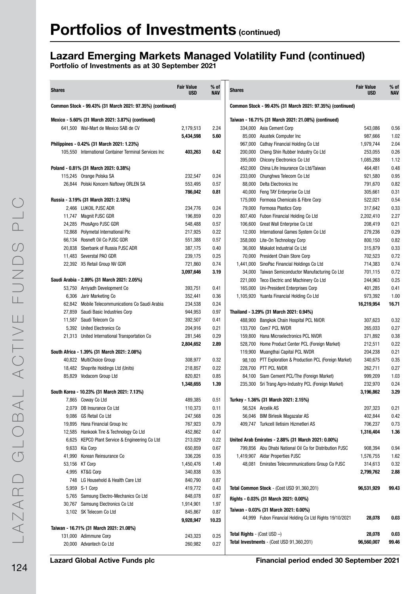## Lazard Emerging Markets Managed Volatility Fund (continued)

| <b>Shares</b> |                                                                             | <b>Fair Value</b><br><b>USD</b> | $%$ of<br><b>NAV</b> | <b>Shares</b>                         |                                                                | <b>Fair Value</b><br><b>USD</b> | $%$ of<br><b>NAV</b> |
|---------------|-----------------------------------------------------------------------------|---------------------------------|----------------------|---------------------------------------|----------------------------------------------------------------|---------------------------------|----------------------|
|               | Common Stock - 99.43% (31 March 2021: 97.35%) (continued)                   |                                 |                      |                                       | Common Stock - 99.43% (31 March 2021: 97.35%) (continued)      |                                 |                      |
|               | Mexico - 5.60% (31 March 2021: 3.87%) (continued)                           |                                 |                      |                                       | Taiwan - 16.71% (31 March 2021: 21.08%) (continued)            |                                 |                      |
|               | 641,500 Wal-Mart de Mexico SAB de CV                                        | 2,179,513                       | 2.24                 |                                       | 334,000 Asia Cement Corp                                       | 543,086                         | 0.56                 |
|               |                                                                             | 5,434,598                       | 5.60                 | 85,000                                | Asustek Computer Inc                                           | 987,666                         | 1.02                 |
|               | Philippines - 0.42% (31 March 2021: 1.23%)                                  |                                 |                      | 967,000                               | Cathay Financial Holding Co Ltd                                | 1,979,744                       | 2.04                 |
|               | 105,550 International Container Terminal Services Inc                       | 403,263                         | 0.42                 | 200,000                               | Cheng Shin Rubber Industry Co Ltd                              | 253,055                         | 0.26                 |
|               |                                                                             |                                 |                      | 395,000                               | <b>Chicony Electronics Co Ltd</b>                              | 1,085,288                       | 1.12                 |
|               | Poland - 0.81% (31 March 2021: 0.38%)                                       |                                 |                      | 452,000                               | China Life Insurance Co Ltd/Taiwan                             | 464,481                         | 0.48                 |
|               | 115,245 Orange Polska SA                                                    | 232,547                         | 0.24                 | 233,000                               | Chunghwa Telecom Co Ltd                                        | 921,580                         | 0.95                 |
|               | 26,844 Polski Koncern Naftowy ORLEN SA                                      | 553,495                         | 0.57                 |                                       | 88,000 Delta Electronics Inc                                   | 791,670                         | 0.82                 |
|               |                                                                             | 786,042                         | 0.81                 | 40,000                                | Feng TAY Enterprise Co Ltd                                     | 305,661                         | 0.31                 |
|               | Russia - 3.19% (31 March 2021: 2.18%)                                       |                                 |                      | 175,000                               | Formosa Chemicals & Fibre Corp                                 | 522,021                         | 0.54                 |
|               | 2,466 LUKOIL PJSC ADR                                                       | 234,776                         | 0.24                 |                                       | 79,000 Formosa Plastics Corp                                   | 317,642                         | 0.33                 |
|               | 11,747 Magnit PJSC GDR                                                      | 196,859                         | 0.20                 |                                       | 807,400 Fubon Financial Holding Co Ltd                         | 2,202,410                       | 2.27                 |
|               | 24,285 PhosAgro PJSC GDR                                                    | 548,488                         | 0.57                 | 106.600                               | Great Wall Enterprise Co Ltd                                   | 208,419                         | 0.21                 |
| 12,868        | Polymetal International PIc                                                 | 217,925                         | 0.22                 | 12,000                                | International Games System Co Ltd                              | 279,236                         | 0.29                 |
|               | 66.134 Rosneft Oil Co PJSC GDR                                              | 551,388                         | 0.57                 | 358,000                               | Lite-On Technology Corp                                        | 800,150                         | 0.82                 |
|               | 20,838 Sberbank of Russia PJSC ADR<br>11,483 Severstal PAO GDR              | 387,175                         | 0.40<br>0.25         | 36,000                                | Makalot Industrial Co Ltd<br>70,000 President Chain Store Corp | 315,879                         | 0.33<br>0.72         |
|               | 22,392 X5 Retail Group NV GDR                                               | 239,175<br>721,860              | 0.74                 |                                       | 1,441,000 SinoPac Financial Holdings Co Ltd                    | 702,523<br>714,383              | 0.74                 |
|               |                                                                             | 3,097,646                       | 3.19                 | 34,000                                | Taiwan Semiconductor Manufacturing Co Ltd                      | 701,115                         | 0.72                 |
|               | Saudi Arabia - 2.89% (31 March 2021: 2.05%)                                 |                                 |                      | 221,000                               | Teco Electric and Machinery Co Ltd                             | 244,963                         | 0.25                 |
|               | 53,750 Arriyadh Development Co                                              | 393,751                         | 0.41                 | 165,000                               | Uni-President Enterprises Corp                                 | 401,285                         | 0.41                 |
|               | 6,306 Jarir Marketing Co                                                    | 352,441                         | 0.36                 |                                       | 1,105,920 Yuanta Financial Holding Co Ltd                      | 973,392                         | 1.00                 |
|               | 62,842 Mobile Telecommunications Co Saudi Arabia                            | 234,538                         | 0.24                 |                                       |                                                                | 16,219,954                      | 16.71                |
| 27,859        | Saudi Basic Industries Corp                                                 | 944,953                         | 0.97                 |                                       | Thailand - 3.29% (31 March 2021: 0.94%)                        |                                 |                      |
|               | 11,587 Saudi Telecom Co                                                     | 392,507                         | 0.41                 |                                       | 488,900 Bangkok Chain Hospital PCL NVDR                        | 307,623                         | 0.32                 |
|               | 5,392 United Electronics Co                                                 | 204,916                         | 0.21                 |                                       | 133,700 Com7 PCL NVDR                                          | 265,033                         | 0.27                 |
|               | 21,313 United International Transportation Co                               | 281,546                         | 0.29                 |                                       | 159,800 Hana Microelectronics PCL NVDR                         | 371,892                         | 0.38                 |
|               |                                                                             | 2,804,652                       | 2.89                 | 528,700                               | Home Product Center PCL (Foreign Market)                       | 212,511                         | 0.22                 |
|               | South Africa - 1.39% (31 March 2021: 2.08%)                                 |                                 |                      |                                       | 119,900 Muangthai Capital PCL NVDR                             | 204,238                         | 0.21                 |
|               | 40,822 MultiChoice Group                                                    | 308,977                         | 0.32                 |                                       | 98,100 PTT Exploration & Production PCL (Foreign Market)       | 340,675                         | 0.35                 |
|               | 18,482 Shoprite Holdings Ltd (Units)                                        | 218,857                         | 0.22                 |                                       | 228,700 PTT PCL NVDR                                           | 262,711                         | 0.27                 |
|               | 85,829 Vodacom Group Ltd                                                    | 820,821                         | 0.85                 |                                       | 84,100 Siam Cement PCL/The (Foreign Market)                    | 999,209                         | 1.03                 |
|               |                                                                             | 1,348,655                       | 1.39                 |                                       | 235,300 Sri Trang Agro-Industry PCL (Foreign Market)           | 232,970                         | 0.24                 |
|               | South Korea - 10.23% (31 March 2021: 7.13%)                                 |                                 |                      |                                       |                                                                | 3,196,862                       | 3.29                 |
|               | 7,865 Coway Co Ltd                                                          | 489,385                         | 0.51                 |                                       | Turkey - 1.36% (31 March 2021: 2.15%)                          |                                 |                      |
|               | 2,079 DB Insurance Co Ltd                                                   | 110,373                         | 0.11                 |                                       | 56,524 Arcelik AS                                              | 207,323                         | 0.21                 |
|               | 9,086 GS Retail Co Ltd                                                      | 247,568                         | 0.26                 |                                       | 56,046 BIM Birlesik Magazalar AS                               | 402,844                         | 0.42                 |
|               | 19,895 Hana Financial Group Inc                                             | 767,923                         | 0.79                 |                                       | 409,747 Turkcell Iletisim Hizmetleri AS                        | 706,237                         | 0.73                 |
|               | 12,585 Hankook Tire & Technology Co Ltd                                     | 452,862                         | 0.47                 |                                       |                                                                | 1,316,404                       | 1.36                 |
|               | 6,625 KEPCO Plant Service & Engineering Co Ltd                              | 213,029                         | 0.22                 |                                       | United Arab Emirates - 2.88% (31 March 2021: 0.00%)            |                                 |                      |
|               | 9,633 Kia Corp                                                              | 650,859                         | 0.67                 |                                       | 799,856 Abu Dhabi National Oil Co for Distribution PJSC        | 908,394                         | 0.94                 |
|               | 41,990 Korean Reinsurance Co                                                | 336,226                         | 0.35                 |                                       | 1,419,907 Aldar Properties PJSC                                | 1,576,755                       | 1.62                 |
|               | 53,156 KT Corp                                                              | 1,450,476                       | 1.49                 |                                       | 48,081 Emirates Telecommunications Group Co PJSC               | 314,613                         | 0.32                 |
|               | 4,995 KT&G Corp                                                             | 340,838                         | 0.35                 |                                       |                                                                | 2,799,762                       | 2.88                 |
|               | 748 LG Household & Health Care Ltd                                          | 840,790                         | 0.87                 |                                       | Total Common Stock - (Cost USD 91,360,201)                     | 96,531,929                      |                      |
|               | 5,959 S-1 Corp                                                              | 419,772                         | 0.43<br>0.87         |                                       |                                                                |                                 | 99.43                |
|               | 5,765 Samsung Electro-Mechanics Co Ltd<br>30,767 Samsung Electronics Co Ltd | 848,078                         | 1.97                 |                                       | Rights - 0.03% (31 March 2021: 0.00%)                          |                                 |                      |
|               | 3,102 SK Telecom Co Ltd                                                     | 1,914,901<br>845,867            | 0.87                 |                                       | Taiwan - 0.03% (31 March 2021: 0.00%)                          |                                 |                      |
|               |                                                                             | 9,928,947                       | 10.23                |                                       | 44,999 Fubon Financial Holding Co Ltd Rights 19/10/2021        | 28,078                          | 0.03                 |
|               | Taiwan - 16.71% (31 March 2021: 21.08%)                                     |                                 |                      |                                       |                                                                |                                 |                      |
|               | 131,000 Adimmune Corp                                                       | 243,323                         | 0.25                 | <b>Total Rights</b> - (Cost USD $-$ ) |                                                                | 28,078                          | 0.03                 |
|               | 20,000 Advantech Co Ltd                                                     | 260,982                         | 0.27                 |                                       | Total Investments - (Cost USD 91,360,201)                      | 96,560,007                      | 99.46                |
|               |                                                                             |                                 |                      |                                       |                                                                |                                 |                      |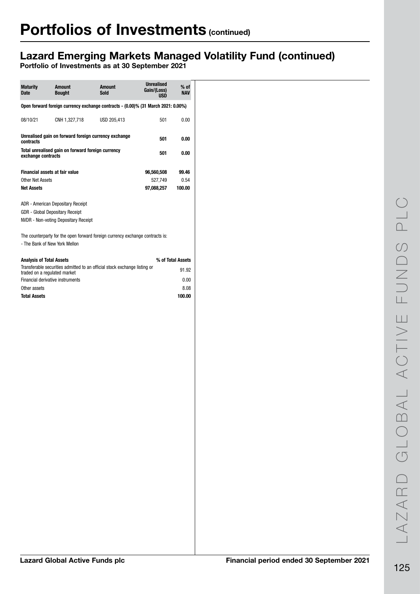## Lazard Emerging Markets Managed Volatility Fund (continued)

| <b>Maturity</b><br><b>Date</b>                                           | <b>Amount</b><br><b>Bought</b>                                               | <b>Amount</b><br><b>Sold</b>                                                      | <b>Unrealised</b><br>Gain/(Loss)<br><b>USD</b> | % of<br><b>NAV</b> |  |  |  |  |  |  |
|--------------------------------------------------------------------------|------------------------------------------------------------------------------|-----------------------------------------------------------------------------------|------------------------------------------------|--------------------|--|--|--|--|--|--|
|                                                                          |                                                                              | Open forward foreign currency exchange contracts - (0.00)% (31 March 2021: 0.00%) |                                                |                    |  |  |  |  |  |  |
| 08/10/21                                                                 | CNH 1,327,718                                                                | USD 205,413                                                                       | 501                                            | 0.00               |  |  |  |  |  |  |
| Unrealised gain on forward foreign currency exchange<br>501<br>contracts |                                                                              |                                                                                   |                                                |                    |  |  |  |  |  |  |
| Total unrealised gain on forward foreign currency<br>exchange contracts  | 501                                                                          | 0.00                                                                              |                                                |                    |  |  |  |  |  |  |
|                                                                          | <b>Financial assets at fair value</b>                                        |                                                                                   | 96,560,508                                     | 99.46              |  |  |  |  |  |  |
| Other Net Assets                                                         |                                                                              | 527,749                                                                           | 0.54                                           |                    |  |  |  |  |  |  |
| <b>Net Assets</b>                                                        |                                                                              |                                                                                   | 97,088,257                                     | 100.00             |  |  |  |  |  |  |
|                                                                          | <b>NVDR</b> - Non-voting Depositary Receipt<br>- The Bank of New York Mellon | The counterparty for the open forward foreign currency exchange contracts is:     |                                                |                    |  |  |  |  |  |  |
| <b>Analysis of Total Assets</b>                                          |                                                                              |                                                                                   |                                                | % of Total Assets  |  |  |  |  |  |  |
| traded on a regulated market                                             |                                                                              | Transferable securities admitted to an official stock exchange listing or         |                                                | 91.92              |  |  |  |  |  |  |
|                                                                          | Financial derivative instruments                                             |                                                                                   |                                                | 0.00               |  |  |  |  |  |  |
| Other assets<br><b>Total Assets</b>                                      |                                                                              |                                                                                   |                                                | 8.08<br>100.00     |  |  |  |  |  |  |
|                                                                          |                                                                              |                                                                                   |                                                |                    |  |  |  |  |  |  |
|                                                                          |                                                                              |                                                                                   |                                                |                    |  |  |  |  |  |  |
|                                                                          |                                                                              |                                                                                   |                                                |                    |  |  |  |  |  |  |
|                                                                          |                                                                              |                                                                                   |                                                |                    |  |  |  |  |  |  |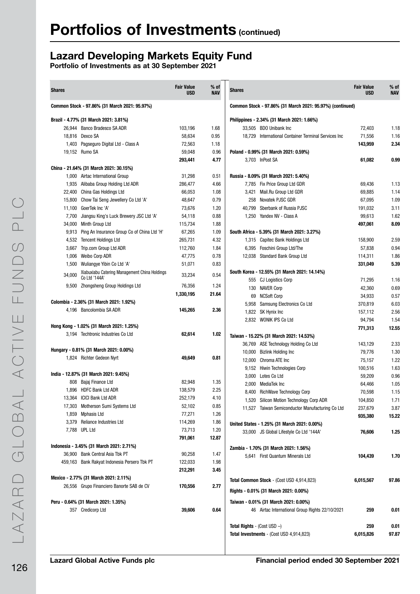### Lazard Developing Markets Equity Fund

| <b>Shares</b> |                                               | <b>Fair Value</b><br><b>USD</b> | $%$ of<br><b>NAV</b> | <b>Shares</b>                         |                                                           | <b>Fair Value</b><br><b>USD</b> | $%$ of<br><b>NAV</b> |
|---------------|-----------------------------------------------|---------------------------------|----------------------|---------------------------------------|-----------------------------------------------------------|---------------------------------|----------------------|
|               | Common Stock - 97.86% (31 March 2021: 95.97%) |                                 |                      |                                       | Common Stock - 97.86% (31 March 2021: 95.97%) (continued) |                                 |                      |
|               | Brazil - 4.77% (31 March 2021: 3.81%)         |                                 |                      |                                       | Philippines - 2.34% (31 March 2021: 1.66%)                |                                 |                      |
|               | 26.944 Banco Bradesco SA ADR                  | 103,196                         | 1.68                 |                                       | 33,505 BDO Unibank Inc                                    | 72,403                          | 1.18                 |
|               | 18,816 Dexco SA                               | 58,634                          | 0.95                 |                                       | 18,729 International Container Terminal Services Inc      | 71,556                          | 1.16                 |
|               | 1,403 Pagseguro Digital Ltd - Class A         | 72,563                          | 1.18                 |                                       |                                                           | 143,959                         | 2.34                 |
|               | 19,152 Rumo SA                                | 59,048                          | 0.96                 |                                       | Poland - 0.99% (31 March 2021: 0.59%)                     |                                 |                      |
|               |                                               | 293,441                         | 4.77                 |                                       | 3,703 InPost SA                                           | 61,082                          | 0.99                 |
|               | China - 21.64% (31 March 2021: 30.15%)        |                                 |                      |                                       |                                                           |                                 |                      |
|               | 1,000 Airtac International Group              | 31,298                          | 0.51                 |                                       | Russia - 8.09% (31 March 2021: 5.40%)                     |                                 |                      |
|               | 1,935 Alibaba Group Holding Ltd ADR           | 286,477                         | 4.66                 |                                       | 7,785 Fix Price Group Ltd GDR                             | 69,436                          | 1.13                 |
|               | 22,400 China Gas Holdings Ltd                 | 66,053                          | 1.08                 |                                       | 3,421 Mail.Ru Group Ltd GDR                               | 69,885                          | 1.14                 |
|               | 15,800 Chow Tai Seng Jewellery Co Ltd 'A'     | 48,647                          | 0.79                 |                                       | 258 Novatek PJSC GDR                                      | 67,095                          | 1.09                 |
|               | 11,100 GoerTek Inc 'A'                        | 73,676                          | 1.20                 |                                       | 40,799 Sberbank of Russia PJSC                            | 191,032                         | 3.11                 |
|               | 7,700 Jiangsu King's Luck Brewery JSC Ltd 'A' | 54,118                          | 0.88                 |                                       | 1,250 Yandex NV - Class A                                 | 99,613                          | 1.62                 |
|               | 34,000 Minth Group Ltd                        | 115,734                         | 1.88                 |                                       |                                                           | 497,061                         | 8.09                 |
| 9,913         | Ping An Insurance Group Co of China Ltd 'H'   | 67,265                          | 1.09                 |                                       | South Africa - 5.39% (31 March 2021: 3.27%)               |                                 |                      |
|               | 4,532 Tencent Holdings Ltd                    | 265,731                         | 4.32                 |                                       | 1,315 Capitec Bank Holdings Ltd                           | 158,900                         | 2.59                 |
|               | 3,667 Trip.com Group Ltd ADR                  | 112,760                         | 1.84                 |                                       | 6,395 Foschini Group Ltd/The                              | 57,838                          | 0.94                 |
|               | 1,006 Weibo Corp ADR                          | 47,775                          | 0.78                 |                                       | 12,038 Standard Bank Group Ltd                            | 114,311                         | 1.86                 |
|               | 1,500 Wullangye Yibin Co Ltd 'A'              | 51,071                          | 0.83                 |                                       |                                                           | 331,049                         | 5.39                 |
|               | Xiabuxiabu Catering Management China Holdings |                                 |                      |                                       | South Korea - 12.55% (31 March 2021: 14.14%)              |                                 |                      |
| 34,000        | Co Ltd '144A'                                 | 33,234                          | 0.54                 |                                       | 555 CJ Logistics Corp                                     | 71,295                          | 1.16                 |
|               | 9,500 Zhongsheng Group Holdings Ltd           | 76,356                          | 1.24                 |                                       | 130 NAVER Corp                                            | 42,360                          | 0.69                 |
|               |                                               | 1,330,195                       | 21.64                |                                       | 69 NCSoft Corp                                            | 34,933                          | 0.57                 |
|               | Colombia - 2.36% (31 March 2021: 1.92%)       |                                 |                      |                                       | 5,958 Samsung Electronics Co Ltd                          | 370,819                         | 6.03                 |
|               | 4,196 Bancolombia SA ADR                      | 145,265                         | 2.36                 |                                       | 1,822 SK Hynix Inc                                        | 157,112                         | 2.56                 |
|               |                                               |                                 |                      |                                       | 2,832 WONIK IPS Co Ltd                                    | 94,794                          | 1.54                 |
|               | Hong Kong - 1.02% (31 March 2021: 1.25%)      |                                 |                      |                                       |                                                           | 771,313                         | 12.55                |
|               | 3,194 Techtronic Industries Co Ltd            | 62,614                          | 1.02                 |                                       | Taiwan - 15.22% (31 March 2021: 14.53%)                   |                                 |                      |
|               |                                               |                                 |                      |                                       | 36,769 ASE Technology Holding Co Ltd                      | 143,129                         | 2.33                 |
|               | Hungary - 0.81% (31 March 2021: 0.00%)        |                                 |                      |                                       | 10,000 Bizlink Holding Inc                                | 79,776                          | 1.30                 |
|               | 1,824 Richter Gedeon Nyrt                     | 49,649                          | 0.81                 |                                       | 12,000 Chroma ATE Inc                                     | 75,157                          | 1.22                 |
|               |                                               |                                 |                      |                                       | 9,152 Hiwin Technologies Corp                             | 100,516                         | 1.63                 |
|               | India - 12.87% (31 March 2021: 9.45%)         |                                 |                      |                                       | 3,000 Lotes Co Ltd                                        | 59,209                          | 0.96                 |
|               | 808 Bajaj Finance Ltd                         | 82,948                          | 1.35                 |                                       | 2.000 MediaTek Inc                                        | 64,466                          | 1.05                 |
|               | 1,896 HDFC Bank Ltd ADR                       | 138,579                         | 2.25                 |                                       | 8,400 RichWave Technology Corp                            | 70,598                          | 1.15                 |
|               | 13,364 ICICI Bank Ltd ADR                     | 252,179                         | 4.10                 |                                       | 1,520 Silicon Motion Technology Corp ADR                  | 104,850                         | 1.71                 |
|               | 17,303 Motherson Sumi Systems Ltd             | 52,102                          | 0.85                 |                                       | 11,527 Taiwan Semiconductor Manufacturing Co Ltd          | 237,679                         | 3.87                 |
|               | 1,859 Mphasis Ltd                             | 77,271                          | 1.26                 |                                       |                                                           | 935,380                         | 15.22                |
|               | 3,379 Reliance Industries Ltd                 | 114,269                         | 1.86                 |                                       | United States - 1.25% (31 March 2021: 0.00%)              |                                 |                      |
|               | 7,788 UPL Ltd                                 | 73,713                          | 1.20                 |                                       | 33,000 JS Global Lifestyle Co Ltd '144A'                  | 76,606                          | 1.25                 |
|               |                                               | 791,061                         | 12.87                |                                       |                                                           |                                 |                      |
|               | Indonesia - 3.45% (31 March 2021: 2.71%)      |                                 |                      |                                       | Zambia - 1.70% (31 March 2021: 1.56%)                     |                                 |                      |
|               | 36,900 Bank Central Asia Tbk PT               | 90,258                          | 1.47                 |                                       | 5,641 First Quantum Minerals Ltd                          | 104,439                         | 1.70                 |
|               | 459,163 Bank Rakyat Indonesia Persero Tbk PT  | 122,033                         | 1.98                 |                                       |                                                           |                                 |                      |
|               |                                               | 212,291                         | 3.45                 |                                       |                                                           |                                 |                      |
|               | Mexico - 2.77% (31 March 2021: 2.11%)         |                                 |                      |                                       | <b>Total Common Stock</b> - (Cost USD 4,914,823)          | 6,015,567                       | 97.86                |
|               | 26,556 Grupo Financiero Banorte SAB de CV     | 170,556                         | 2.77                 |                                       |                                                           |                                 |                      |
|               |                                               |                                 |                      |                                       | Rights - 0.01% (31 March 2021: 0.00%)                     |                                 |                      |
|               | Peru - 0.64% (31 March 2021: 1.35%)           |                                 |                      |                                       | Taiwan - 0.01% (31 March 2021: 0.00%)                     |                                 |                      |
|               | 357 Credicorp Ltd                             | 39,606                          | 0.64                 |                                       | 46 Airtac International Group Rights 22/10/2021           | 259                             | 0.01                 |
|               |                                               |                                 |                      | <b>Total Rights</b> - (Cost USD $-$ ) |                                                           | 259                             | 0.01                 |
|               |                                               |                                 |                      |                                       | Total Investments - (Cost USD 4,914,823)                  | 6,015,826                       | 97.87                |
|               |                                               |                                 |                      |                                       |                                                           |                                 |                      |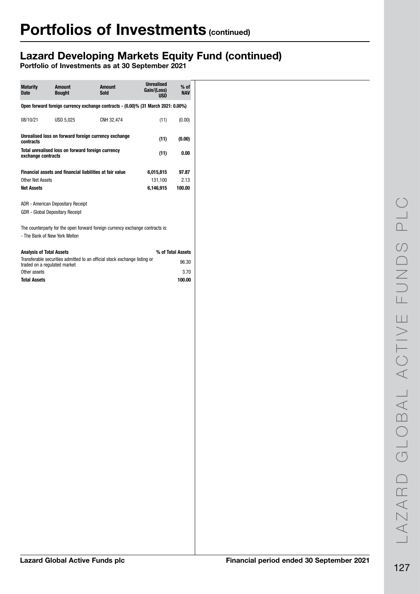## Lazard Developing Markets Equity Fund (continued)

| <b>Maturity</b><br><b>Date</b>        | <b>Amount</b><br><b>Bought</b>                                       | <b>Amount</b><br><b>Sold</b>                                                      | <b>Unrealised</b><br>Gain/(Loss)<br><b>USD</b> | $%$ of<br><b>NAV</b> |
|---------------------------------------|----------------------------------------------------------------------|-----------------------------------------------------------------------------------|------------------------------------------------|----------------------|
|                                       |                                                                      | Open forward foreign currency exchange contracts - (0.00)% (31 March 2021: 0.00%) |                                                |                      |
| 08/10/21                              | USD 5,025                                                            | CNH 32,474                                                                        | (11)                                           | (0.00)               |
| contracts                             |                                                                      | Unrealised loss on forward foreign currency exchange                              | (11)                                           | (0.00)               |
| exchange contracts                    | Total unrealised loss on forward foreign currency                    |                                                                                   | (11)                                           | 0.00                 |
|                                       | Financial assets and financial liabilities at fair value             |                                                                                   | 6,015,815                                      | 97.87                |
| Other Net Assets<br><b>Net Assets</b> |                                                                      |                                                                                   | 131,100<br>6,146,915                           | 2.13<br>100.00       |
|                                       | ADR - American Depositary Receipt<br>GDR - Global Depositary Receipt | The counterparty for the open forward foreign currency exchange contracts is:     |                                                |                      |
|                                       | - The Bank of New York Mellon                                        |                                                                                   |                                                |                      |
| <b>Analysis of Total Assets</b>       |                                                                      | Transferable securities admitted to an official stock exchange listing or         |                                                | % of Total Assets    |
| traded on a regulated market          |                                                                      |                                                                                   |                                                | 96.30                |
| Other assets<br><b>Total Assets</b>   |                                                                      |                                                                                   |                                                | 3.70<br>100.00       |
|                                       |                                                                      |                                                                                   |                                                |                      |
|                                       |                                                                      |                                                                                   |                                                |                      |
|                                       |                                                                      |                                                                                   |                                                |                      |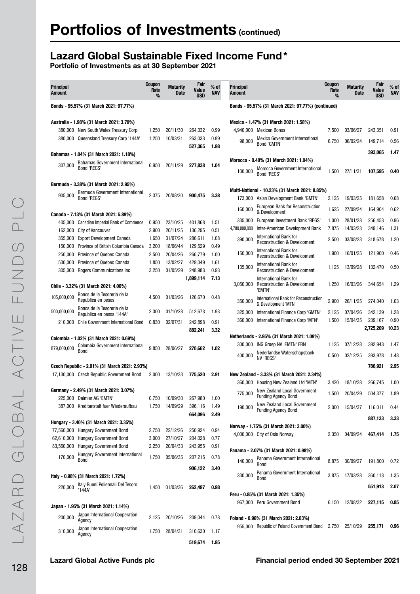### Lazard Global Sustainable Fixed Income Fund\*

| <b>Principal</b><br>Amount |                                                             | Coupon<br>Rate<br>% | <b>Maturity</b><br>Date | Fair<br>Value<br><b>USD</b> | $%$ of<br><b>NAV</b> | <b>Principal</b><br><b>Amount</b> |                                                                                           | <b>Coupon</b><br>Rate<br>% | <b>Maturity</b><br><b>Date</b> | Fair<br>Value<br><b>USD</b> | $%$ of<br><b>NAV</b> |
|----------------------------|-------------------------------------------------------------|---------------------|-------------------------|-----------------------------|----------------------|-----------------------------------|-------------------------------------------------------------------------------------------|----------------------------|--------------------------------|-----------------------------|----------------------|
|                            | Bonds - 95.57% (31 March 2021: 97.77%)                      |                     |                         |                             |                      |                                   | Bonds - 95.57% (31 March 2021: 97.77%) (continued)                                        |                            |                                |                             |                      |
|                            | Australia - 1.98% (31 March 2021: 3.79%)                    |                     |                         |                             |                      |                                   | Mexico - 1.47% (31 March 2021: 1.58%)                                                     |                            |                                |                             |                      |
|                            | 380,000 New South Wales Treasury Corp                       | 1.250               | 20/11/30                | 264,332                     | 0.99                 |                                   | 4,940,000 Mexican Bonos                                                                   | 7.500                      | 03/06/27                       | 243,351                     | 0.91                 |
|                            | 380,000 Queensland Treasury Corp '144A'                     | 1.250               | 10/03/31                | 263,033                     | 0.99                 | 98,000                            | Mexico Government International                                                           | 6.750                      | 06/02/24                       | 149,714                     | 0.56                 |
|                            |                                                             |                     |                         | 527,365                     | 1.98                 |                                   | Bond 'GMTN'                                                                               |                            |                                |                             |                      |
|                            | Bahamas - 1.04% (31 March 2021: 1.18%)                      |                     |                         |                             |                      |                                   |                                                                                           |                            |                                | 393,065                     | 1.47                 |
| 307,000                    | <b>Bahamas Government International</b><br>Bond 'REGS'      | 6.950               | 20/11/29                | 277,838                     | 1.04                 | 100,000                           | Morocco - 0.40% (31 March 2021: 1.04%)<br>Morocco Government International<br>Bond 'REGS' | 1.500                      | 27/11/31                       | 107,595                     | 0.40                 |
|                            | Bermuda - 3.38% (31 March 2021: 2.95%)                      |                     |                         |                             |                      |                                   |                                                                                           |                            |                                |                             |                      |
| 905,000                    | Bermuda Government International                            | 2.375               | 20/08/30                | 900,475                     | 3.38                 |                                   | Multi-National - 10.23% (31 March 2021: 8.85%)                                            |                            |                                |                             |                      |
|                            | Bond 'REGS'                                                 |                     |                         |                             |                      | 173,000                           | Asian Development Bank 'GMTN'                                                             | 2.125                      | 19/03/25                       | 181,658                     | 0.68                 |
|                            |                                                             |                     |                         |                             |                      | 160,000                           | European Bank for Reconstruction                                                          | 1.625                      | 27/09/24                       | 164,904                     | 0.62                 |
|                            | Canada - 7.13% (31 March 2021: 5.89%)                       |                     |                         |                             |                      | 335,000                           | & Development<br>European Investment Bank 'REGS'                                          | 1.000                      | 28/01/28                       | 256,453                     | 0.96                 |
| 405,000                    | Canadian Imperial Bank of Commerce                          | 0.950               | 23/10/25                | 401.868                     | 1.51                 | 4,780,000,000                     | Inter-American Development Bank                                                           | 7.875                      | 14/03/23                       | 349,146                     | 1.31                 |
| 162,000                    | <b>City of Vancouver</b>                                    | 2.900               | 20/11/25                | 136,295                     | 0.51                 |                                   | International Bank for                                                                    |                            |                                |                             |                      |
| 355,000                    | <b>Export Development Canada</b>                            | 1.650               | 31/07/24                | 286,611                     | 1.08                 | 390,000                           | <b>Reconstruction &amp; Development</b>                                                   | 2.500                      | 03/08/23                       | 318.678                     | 1.20                 |
| 150,000                    | Province of British Columbia Canada                         | 3.200<br>2.500      | 18/06/44                | 129.529                     | 0.49                 | 150,000                           | International Bank for                                                                    | 1.900                      | 16/01/25                       | 121,900                     | 0.46                 |
| 250,000<br>530,000         | Province of Quebec Canada<br>Province of Quebec Canada      | 1.850               | 20/04/26<br>13/02/27    | 266,779<br>429,049          | 1.00<br>1.61         |                                   | <b>Reconstruction &amp; Development</b>                                                   |                            |                                |                             |                      |
| 305,000                    | Rogers Communications Inc                                   | 3.250               | 01/05/29                | 248,983                     | 0.93                 | 135,000                           | International Bank for<br><b>Reconstruction &amp; Development</b>                         | 1.125                      | 13/09/28                       | 132,470                     | 0.50                 |
|                            |                                                             |                     |                         | 1,899,114                   | 7.13                 |                                   | International Bank for                                                                    |                            |                                |                             |                      |
|                            | Chile - 3.32% (31 March 2021: 4.06%)                        |                     |                         |                             |                      | 3,050,000                         | <b>Reconstruction &amp; Development</b>                                                   | 1.250                      | 16/03/26                       | 344,654                     | 1.29                 |
|                            | Bonos de la Tesoreria de la                                 |                     |                         |                             |                      |                                   | 'EMTN'                                                                                    |                            |                                |                             |                      |
| 105,000,000                | Republica en pesos                                          | 4.500               | 01/03/26                | 126,670                     | 0.48                 | 350,000                           | International Bank for Reconstruction<br>& Development 'MTN'                              | 2.900                      | 26/11/25                       | 274,040                     | 1.03                 |
| 500,000,000                | Bonos de la Tesoreria de la                                 | 2.300               | 01/10/28                | 512,673                     | 1.93                 | 325,000                           | International Finance Corp 'GMTN'                                                         | 2.125                      | 07/04/26                       | 342,139                     | 1.28                 |
|                            | Republica en pesos '144A'                                   |                     |                         |                             |                      | 360,000                           | International Finance Corp 'MTN'                                                          | 1.500                      | 15/04/35                       | 239,167                     | 0.90                 |
| 210,000                    | Chile Government International Bond                         | 0.830               | 02/07/31                | 242,898<br>882,241          | 0.91<br>3.32         |                                   |                                                                                           |                            |                                | 2,725,209                   | 10.23                |
|                            | Colombia - 1.02% (31 March 2021: 0.69%)                     |                     |                         |                             |                      |                                   | Netherlands - 2.95% (31 March 2021: 1.09%)                                                |                            |                                |                             |                      |
|                            | Colombia Government International                           |                     |                         |                             |                      | 300,000                           | ING Groep NV 'EMTN' FRN                                                                   | 1.125                      | 07/12/28                       | 392,943                     | 1.47                 |
| 879,000,000                | Bond                                                        | 9.850               | 28/06/27                | 270,662                     | 1.02                 | 400,000                           | Nederlandse Waterschapsbank                                                               | 0.500                      | 02/12/25                       | 393,978                     | 1.48                 |
|                            |                                                             |                     |                         |                             |                      |                                   | NV 'REGS'                                                                                 |                            |                                |                             |                      |
|                            | Czech Republic - 2.91% (31 March 2021: 2.93%)               |                     |                         |                             |                      |                                   |                                                                                           |                            |                                | 786,921                     | 2.95                 |
|                            | 17,130,000 Czech Republic Government Bond                   | 2.000               | 13/10/33                | 775,520                     | 2.91                 |                                   | New Zealand - 3.33% (31 March 2021: 2.34%)                                                |                            |                                |                             |                      |
|                            |                                                             |                     |                         |                             |                      | 360,000                           | Housing New Zealand Ltd 'MTN'                                                             | 3.420                      | 18/10/28                       | 266,745                     | 1.00                 |
| 225,000                    | Germany - 2.49% (31 March 2021: 3.07%)<br>Daimler AG 'EMTN' | 0.750               | 10/09/30                | 267,980                     | 1.00                 | 775,000                           | New Zealand Local Government<br><b>Funding Agency Bond</b>                                | 1.500                      | 20/04/29                       | 504.377                     | 1.89                 |
|                            | 387,000 Kreditanstalt fuer Wiederaufbau                     | 1.750               | 14/09/29                | 396,116                     | 1.49                 |                                   | New Zealand Local Government                                                              |                            |                                |                             |                      |
|                            |                                                             |                     |                         | 664,096                     | 2.49                 | 190.000                           | <b>Funding Agency Bond</b>                                                                | 2.000                      | 15/04/37                       | 116,011                     | 0.44                 |
|                            | Hungary - 3.40% (31 March 2021: 3.35%)                      |                     |                         |                             |                      |                                   |                                                                                           |                            |                                | 887,133                     | 3.33                 |
|                            | 77,560,000 Hungary Government Bond                          | 2.750               | 22/12/26                | 250,924                     | 0.94                 |                                   | Norway - 1.75% (31 March 2021: 3.00%)                                                     |                            |                                |                             |                      |
| 62,610,000                 | <b>Hungary Government Bond</b>                              | 3.000               | 27/10/27                | 204,028                     | 0.77                 |                                   | 4,000,000 City of Oslo Norway                                                             | 2.350                      | 04/09/24                       | 467,414                     | 1.75                 |
| 83,560,000                 | Hungary Government Bond                                     | 2.250               | 20/04/33                | 243,955                     | 0.91                 |                                   |                                                                                           |                            |                                |                             |                      |
| 170,000                    | <b>Hungary Government International</b>                     | 1.750               | 05/06/35                |                             | 0.78                 |                                   | Panama - 2.07% (31 March 2021: 0.98%)                                                     |                            |                                |                             |                      |
|                            | Bond                                                        |                     |                         | 207,215                     |                      | 140,000                           | Panama Government International<br>Bond                                                   | 8.875                      | 30/09/27                       | 191,800                     | 0.72                 |
|                            |                                                             |                     |                         | 906,122                     | 3.40                 |                                   | Panama Government International                                                           |                            |                                |                             |                      |
|                            | Italy - 0.98% (31 March 2021: 1.72%)                        |                     |                         |                             |                      | 330,000                           | Bond                                                                                      | 3.875                      | 17/03/28                       | 360,113                     | 1.35                 |
| 220,000                    | Italy Buoni Poliennali Del Tesoro<br>'144A                  | 1.450               | 01/03/36                | 262,497                     | 0.98                 |                                   |                                                                                           |                            |                                | 551,913                     | 2.07                 |
|                            |                                                             |                     |                         |                             |                      |                                   | Peru - 0.85% (31 March 2021: 1.35%)                                                       |                            |                                |                             |                      |
|                            | Japan - 1.95% (31 March 2021: 1.14%)                        |                     |                         |                             |                      |                                   | 967,000 Peru Government Bond                                                              | 6.150                      | 12/08/32                       | 227,115                     | 0.85                 |
|                            | Japan International Cooperation                             |                     |                         |                             |                      |                                   |                                                                                           |                            |                                |                             |                      |
| 200,000                    | Agency                                                      | 2.125               | 20/10/26                | 209,044                     | 0.78                 |                                   | Poland - 0.96% (31 March 2021: 2.03%)                                                     |                            |                                |                             |                      |
| 310,000                    | Japan International Cooperation                             | 1.750               | 28/04/31                | 310,630                     | 1.17                 |                                   | 955,000 Republic of Poland Government Bond                                                | 2.750                      | 25/10/29                       | 255,171                     | 0.96                 |
|                            | Agency                                                      |                     |                         |                             |                      |                                   |                                                                                           |                            |                                |                             |                      |
|                            |                                                             |                     |                         | 519,674                     | 1.95                 |                                   |                                                                                           |                            |                                |                             |                      |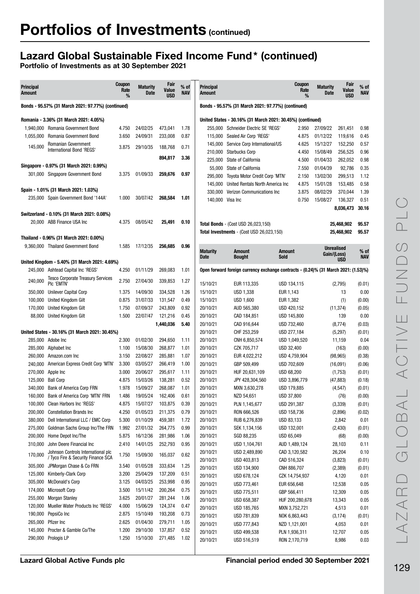## Lazard Global Sustainable Fixed Income Fund\* (continued)

| <b>Principal</b><br><b>Amount</b> |                                                                               | <b>Coupon</b><br>Rate<br>% | <b>Maturity</b><br>Date | Fair<br>Value<br><b>USD</b> | $%$ of<br>NAV | <b>Principal</b><br>Amount |                                                                                     | Coupon<br>Rate               | <b>Maturity</b><br>Date<br>% | Fair<br>Value<br><b>USD</b> | % of<br><b>NAV</b> |
|-----------------------------------|-------------------------------------------------------------------------------|----------------------------|-------------------------|-----------------------------|---------------|----------------------------|-------------------------------------------------------------------------------------|------------------------------|------------------------------|-----------------------------|--------------------|
|                                   | Bonds - 95.57% (31 March 2021: 97.77%) (continued)                            |                            |                         |                             |               |                            | Bonds - 95.57% (31 March 2021: 97.77%) (continued)                                  |                              |                              |                             |                    |
|                                   | Romania - 3.36% (31 March 2021: 4.05%)                                        |                            |                         |                             |               |                            | United States - 30.16% (31 March 2021: 30.45%) (continued)                          |                              |                              |                             |                    |
| 1.940.000                         | Romania Government Bond                                                       | 4.750                      | 24/02/25                | 473,041                     | 1.78          |                            | 255,000 Schneider Electric SE 'REGS'                                                | 2.950                        | 27/09/22                     | 261,451                     | 0.98               |
| 1,055,000                         | Romania Government Bond                                                       | 3.650                      | 24/09/31                | 233,008                     | 0.87          |                            | 115,000 Sealed Air Corp 'REGS'                                                      | 4.875                        | 01/12/22                     | 119,616                     | 0.45               |
| 145,000                           | Romanian Government                                                           | 3.875                      | 29/10/35                | 188,768                     | 0.71          |                            | 145,000 Service Corp International/US                                               | 4.625                        | 15/12/27                     | 152,250                     | 0.57               |
|                                   | International Bond 'REGS'                                                     |                            |                         |                             |               | 210,000                    | <b>Starbucks Corp</b>                                                               | 4.450                        | 15/08/49                     | 256,525                     | 0.96               |
|                                   |                                                                               |                            |                         | 894,817                     | 3.36          |                            | 225,000 State of California                                                         | 4.500                        | 01/04/33                     | 262,052                     | 0.98               |
|                                   | Singapore - 0.97% (31 March 2021: 0.99%)                                      |                            |                         |                             |               | 55,000                     | State of California                                                                 | 7.550                        | 01/04/39                     | 92,786                      | 0.35               |
|                                   | 301,000 Singapore Government Bond                                             | 3.375                      | 01/09/33                | 259,676                     | 0.97          | 295,000                    | Toyota Motor Credit Corp 'MTN'                                                      | 2.150                        | 13/02/30                     | 299,513                     | 1.12               |
|                                   |                                                                               |                            |                         |                             |               | 145,000                    | United Rentals North America Inc                                                    | 4.875                        | 15/01/28                     | 153,485                     | 0.58               |
|                                   | Spain - 1.01% (31 March 2021: 1.03%)                                          |                            |                         |                             |               |                            | 330,000 Verizon Communications Inc                                                  | 3.875                        | 08/02/29                     | 370,044                     | 1.39               |
|                                   | 235,000 Spain Government Bond '144A'                                          | 1.000                      | 30/07/42                | 268,584                     | 1.01          | 140,000 Visa Inc           |                                                                                     | 0.750                        | 15/08/27                     | 136,327                     | 0.51               |
|                                   |                                                                               |                            |                         |                             |               |                            |                                                                                     |                              |                              | 8,036,473                   | 30.16              |
|                                   | Switzerland - 0.10% (31 March 2021: 0.08%)                                    |                            |                         |                             |               |                            |                                                                                     |                              |                              |                             |                    |
|                                   | 20.000 ABB Finance USA Inc                                                    | 4.375                      | 08/05/42                | 25,491                      | 0.10          |                            | <b>Total Bonds</b> - (Cost USD 26,023,150)                                          |                              |                              | 25,468,902                  | 95.57              |
|                                   |                                                                               |                            |                         |                             |               |                            | Total Investments - (Cost USD 26,023,150)                                           |                              |                              | 25,468,902                  | 95.57              |
|                                   | Thailand - 0.96% (31 March 2021: 0.00%)<br>9,360,000 Thailand Government Bond | 1.585                      | 17/12/35                | 256,685                     | 0.96          |                            |                                                                                     |                              |                              |                             |                    |
|                                   |                                                                               |                            |                         |                             |               | <b>Maturity</b>            | <b>Amount</b>                                                                       | <b>Amount</b>                | Gain/(Loss)                  | <b>Unrealised</b>           | % of               |
|                                   | United Kingdom - 5.40% (31 March 2021: 4.69%)                                 |                            |                         |                             |               | Date                       | <b>Bought</b>                                                                       | <b>Sold</b>                  |                              | <b>USD</b>                  | <b>NAV</b>         |
|                                   | 245,000 Ashtead Capital Inc 'REGS'                                            | 4.250                      | 01/11/29                | 269,083                     | 1.01          |                            | Open forward foreign currency exchange contracts - (0.24)% (31 March 2021: (1.53)%) |                              |                              |                             |                    |
| 240,000                           | <b>Tesco Corporate Treasury Services</b><br>PIC 'EMTN'                        | 2.750                      | 27/04/30                | 339,853                     | 1.27          | 15/10/21                   | EUR 113,335                                                                         | USD 134,115                  |                              | (2,795)                     | (0.01)             |
| 350,000                           | Unilever Capital Corp                                                         | 1.375                      | 14/09/30                | 334,528                     | 1.26          | 15/10/21                   | USD 1,338                                                                           | EUR 1,143                    |                              | 13                          | 0.00               |
| 100,000                           | United Kingdom Gilt                                                           | 0.875                      | 31/07/33                | 131,547                     | 0.49          | 15/10/21                   | USD 1,600                                                                           | EUR 1,382                    |                              | (1)                         | (0.00)             |
| 170,000                           | United Kingdom Gilt                                                           | 1.750                      | 07/09/37                | 243,809                     | 0.92          | 20/10/21                   | AUD 565,380                                                                         | USD 420,152                  |                              | (11, 374)                   | (0.05)             |
| 88,000                            | United Kingdom Gilt                                                           | 1.500                      | 22/07/47                | 121,216                     | 0.45          | 20/10/21                   | CAD 184,851                                                                         | USD 145,800                  |                              | 139                         | 0.00               |
|                                   |                                                                               |                            |                         | 1,440,036                   | 5.40          | 20/10/21                   | CAD 916,644                                                                         | USD 732,460                  |                              | (8,774)                     | (0.03)             |
|                                   | United States - 30.16% (31 March 2021: 30.45%)                                |                            |                         |                             |               | 20/10/21                   | CHF 253,259                                                                         | USD 277,184                  |                              | (5,297)                     | (0.01)             |
|                                   | 285,000 Adobe Inc                                                             | 2.300                      | 01/02/30                | 294,650                     | 1.11          | 20/10/21                   | CNH 6,850,574                                                                       | USD 1,049,520                |                              | 11,159                      | 0.04               |
|                                   | 285,000 Alphabet Inc                                                          | 1.100                      | 15/08/30                | 268,877                     | 1.01          | 20/10/21                   | CZK 705,717                                                                         | USD 32,400                   |                              | (163)                       | (0.00)             |
| 260,000                           | Amazon.com Inc                                                                | 3.150                      | 22/08/27                | 285,881                     | 1.07          | 20/10/21                   | EUR 4,022,212                                                                       | USD 4,759,904                |                              | (98, 965)                   | (0.38)             |
| 240.000                           | American Express Credit Corp 'MTN'                                            | 3.300                      | 03/05/27                | 266,419                     | 1.00          | 20/10/21                   | GBP 509,499                                                                         | USD 702,609                  |                              | (16,091)                    | (0.06)             |
|                                   | 270,000 Apple Inc                                                             | 3.000                      | 20/06/27                | 295,617                     | 1.11          | 20/10/21                   | HUF 20,631,109                                                                      | USD 68,200                   |                              | (1,753)                     | (0.01)             |
| 125,000                           | <b>Ball Corp</b>                                                              | 4.875                      | 15/03/26                | 138,281                     | 0.52          | 20/10/21                   | JPY 428,304,560                                                                     | USD 3,896,779                |                              | (47, 883)                   | (0.18)             |
|                                   | 340,000 Bank of America Corp FRN                                              | 1.978                      | 15/09/27                | 268,087                     | 1.01          | 20/10/21                   | MXN 3,630,278                                                                       | USD 179,885                  |                              | (4, 547)                    | (0.01)             |
|                                   | 160,000 Bank of America Corp 'MTN' FRN                                        | 1.486                      | 19/05/24                | 162,406                     | 0.61          | 20/10/21                   | NZD 54,651                                                                          | USD 37,800                   |                              | (76)                        | (0.00)             |
|                                   | 100,000 Clean Harbors Inc 'REGS'                                              | 4.875                      | 15/07/27                | 103,875                     | 0.39          | 20/10/21                   | PLN 1,145,677                                                                       | USD 291,387                  |                              | (3, 339)                    | (0.01)             |
|                                   | 200,000 Constellation Brands Inc                                              | 4.250                      | 01/05/23                | 211,375                     | 0.79          | 20/10/21                   | RON 666,526                                                                         | USD 158,736                  |                              | (2,896)                     | (0.02)             |
|                                   | 380,000 Dell International LLC / EMC Corp                                     | 5.300                      | 01/10/29                | 459,381                     | 1.72          | 20/10/21                   | RUB 6,276,839                                                                       | USD 83,133                   |                              | 2,842                       | 0.01               |
| 275,000                           | Goldman Sachs Group Inc/The FRN                                               | 1.992                      | 27/01/32                | 264,775                     | 0.99          | 20/10/21                   | SEK 1,134,156                                                                       | USD 132,001                  |                              | (2, 430)                    | (0.01)             |
| 200,000                           | Home Depot Inc/The                                                            | 5.875                      | 16/12/36                | 281,986                     | 1.06          | 20/10/21                   | SGD 88,235                                                                          | USD 65,049                   |                              | (68)                        | (0.00)             |
| 310,000                           | John Deere Financial Inc                                                      | 2.410                      | 14/01/25                | 252,793                     | 0.95          | 20/10/21                   | USD 1,104,761                                                                       | AUD 1,489,124                |                              | 28,103                      | 0.11               |
| 170,000                           | Johnson Controls International plc<br>/ Tyco Fire & Security Finance SCA      | 1.750                      | 15/09/30                | 165,037                     | 0.62          | 20/10/21<br>20/10/21       | USD 2,489,890<br>USD 403,813                                                        | CAD 3,120,582<br>CAD 516,324 |                              | 26,204<br>(3,823)           | 0.10<br>(0.01)     |
| 305,000                           | JPMorgan Chase & Co FRN                                                       | 3.540                      | 01/05/28                | 333,634                     | 1.25          | 20/10/21                   | USD 134,900                                                                         | CNH 886,707                  |                              | (2, 389)                    | (0.01)             |
| 125,000                           | Kimberly-Clark Corp                                                           | 3.200                      | 25/04/29                | 137,209                     | 0.51          | 20/10/21                   | USD 678,124                                                                         | CZK 14,754,937               |                              | 4,120                       | 0.01               |
|                                   | 305,000 McDonald's Corp                                                       | 3.125                      | 04/03/25                | 253,998                     | 0.95          | 20/10/21                   | USD 773,461                                                                         | EUR 656,648                  |                              | 12,538                      | 0.05               |
| 174,000                           | <b>Microsoft Corp</b>                                                         | 3.500                      | 15/11/42                | 200,264                     | 0.75          | 20/10/21                   | USD 775,511                                                                         | GBP 566,411                  |                              | 12,309                      | 0.05               |
| 255,000                           | <b>Morgan Stanley</b>                                                         | 3.625                      | 20/01/27                | 281,244                     | 1.06          | 20/10/21                   | USD 658,387                                                                         | HUF 200,280,678              |                              | 13,343                      | 0.05               |
|                                   | 120,000 Mueller Water Products Inc 'REGS'                                     | 4.000                      | 15/06/29                | 124,374                     | 0.47          | 20/10/21                   | USD 185,765                                                                         | MXN 3,752,721                |                              | 4,513                       | 0.01               |
|                                   | 190,000 PepsiCo Inc                                                           | 2.875                      | 15/10/49                | 193,208                     | 0.73          | 20/10/21                   | USD 781,839                                                                         | NOK 6,863,443                |                              | (3, 174)                    | (0.01)             |
|                                   | 265,000 Pfizer Inc                                                            | 2.625                      | 01/04/30                | 279,711                     | 1.05          | 20/10/21                   | USD 777,843                                                                         | NZD 1,121,001                |                              | 4,053                       | 0.01               |
|                                   | 145,000 Procter & Gamble Co/The                                               | 1.200                      | 29/10/30                | 137,857                     | 0.52          | 20/10/21                   | USD 499,538                                                                         | PLN 1,936,311                |                              | 12,707                      | 0.05               |
|                                   | 290,000 Prologis LP                                                           | 1.250                      | 15/10/30                | 271,485                     | 1.02          | 20/10/21                   | USD 516,519                                                                         | RON 2,170,719                |                              | 8,986                       | 0.03               |
|                                   |                                                                               |                            |                         |                             |               |                            |                                                                                     |                              |                              |                             |                    |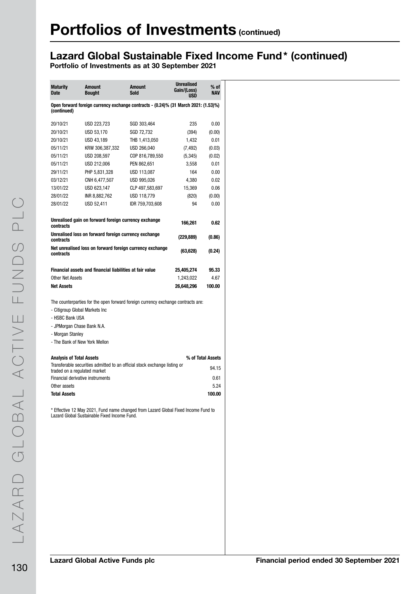## Lazard Global Sustainable Fixed Income Fund\* (continued)

| <b>Maturity</b><br><b>Date</b>                                                       | <b>Amount</b><br><b>Bought</b>                                                                                                                                                    | <b>Amount</b><br>Sold | <b>Unrealised</b><br>Gain/(Loss)<br><b>USD</b> | $%$ of<br><b>NAV</b> |  |  |  |  |  |
|--------------------------------------------------------------------------------------|-----------------------------------------------------------------------------------------------------------------------------------------------------------------------------------|-----------------------|------------------------------------------------|----------------------|--|--|--|--|--|
| (continued)                                                                          | Open forward foreign currency exchange contracts - (0.24)% (31 March 2021: (1.53)%)                                                                                               |                       |                                                |                      |  |  |  |  |  |
| 20/10/21                                                                             | USD 223,723                                                                                                                                                                       | SGD 303,464           | 235                                            | 0.00                 |  |  |  |  |  |
| 20/10/21                                                                             | USD 53,170                                                                                                                                                                        | SGD 72,732            | (394)                                          | (0.00)               |  |  |  |  |  |
| 20/10/21                                                                             | USD 43,189                                                                                                                                                                        | THB 1,413,050         | 1,432                                          | 0.01                 |  |  |  |  |  |
| 05/11/21                                                                             | KRW 306,387,332                                                                                                                                                                   | USD 266.040           | (7, 492)                                       | (0.03)               |  |  |  |  |  |
| 05/11/21                                                                             | USD 208,597                                                                                                                                                                       | COP 816,789,550       | (5, 345)                                       | (0.02)               |  |  |  |  |  |
| 05/11/21                                                                             | USD 212,006                                                                                                                                                                       | PEN 862,651           | 3,558                                          | 0.01                 |  |  |  |  |  |
| 29/11/21                                                                             | PHP 5,831,328                                                                                                                                                                     | USD 113,087           | 164                                            | 0.00                 |  |  |  |  |  |
| 03/12/21                                                                             | CNH 6,477,507                                                                                                                                                                     | USD 995,026           | 4,380                                          | 0.02                 |  |  |  |  |  |
| 13/01/22                                                                             | USD 623,147                                                                                                                                                                       | CLP 497,583,697       | 15,369                                         | 0.06                 |  |  |  |  |  |
| 28/01/22                                                                             | INR 8,882,762                                                                                                                                                                     | USD 118,779           | (820)                                          | (0.00)               |  |  |  |  |  |
| 28/01/22                                                                             | USD 52,411                                                                                                                                                                        | IDR 759,703,608       | 94                                             | 0.00                 |  |  |  |  |  |
| Unrealised gain on forward foreign currency exchange<br>166,261<br>0.62<br>contracts |                                                                                                                                                                                   |                       |                                                |                      |  |  |  |  |  |
| Unrealised loss on forward foreign currency exchange<br>(229, 889)<br>contracts      |                                                                                                                                                                                   |                       |                                                |                      |  |  |  |  |  |
| contracts                                                                            | Net unrealised loss on forward foreign currency exchange                                                                                                                          |                       | (63,628)                                       | (0.24)               |  |  |  |  |  |
|                                                                                      | Financial assets and financial liabilities at fair value                                                                                                                          |                       | 25,405,274                                     | 95.33                |  |  |  |  |  |
| <b>Other Net Assets</b>                                                              |                                                                                                                                                                                   |                       | 1,243,022                                      | 4.67                 |  |  |  |  |  |
| <b>Net Assets</b>                                                                    |                                                                                                                                                                                   |                       | 26,648,296                                     | 100.00               |  |  |  |  |  |
| - HSBC Bank USA<br>- Morgan Stanley                                                  | The counterparties for the open forward foreign currency exchange contracts are:<br>- Citigroup Global Markets Inc<br>- JPMorgan Chase Bank N.A.<br>- The Bank of New York Mellon |                       |                                                |                      |  |  |  |  |  |
| <b>Analysis of Total Assets</b>                                                      |                                                                                                                                                                                   |                       |                                                | % of Total Assets    |  |  |  |  |  |
|                                                                                      | Transferable securities admitted to an official stock exchange listing or                                                                                                         |                       |                                                | 94.15                |  |  |  |  |  |
|                                                                                      | traded on a regulated market<br>Financial derivative instruments                                                                                                                  |                       |                                                | 0.61                 |  |  |  |  |  |
| Other assets                                                                         |                                                                                                                                                                                   |                       |                                                | 5.24                 |  |  |  |  |  |
| <b>Total Assets</b>                                                                  |                                                                                                                                                                                   |                       |                                                | 100.00               |  |  |  |  |  |
|                                                                                      | * Effective 12 May 2021, Fund name changed from Lazard Global Fixed Income Fund to<br>Lazard Global Sustainable Fixed Income Fund.                                                |                       |                                                |                      |  |  |  |  |  |
|                                                                                      |                                                                                                                                                                                   |                       |                                                |                      |  |  |  |  |  |
|                                                                                      |                                                                                                                                                                                   |                       |                                                |                      |  |  |  |  |  |
|                                                                                      |                                                                                                                                                                                   |                       |                                                |                      |  |  |  |  |  |
|                                                                                      |                                                                                                                                                                                   |                       |                                                |                      |  |  |  |  |  |
|                                                                                      |                                                                                                                                                                                   |                       |                                                |                      |  |  |  |  |  |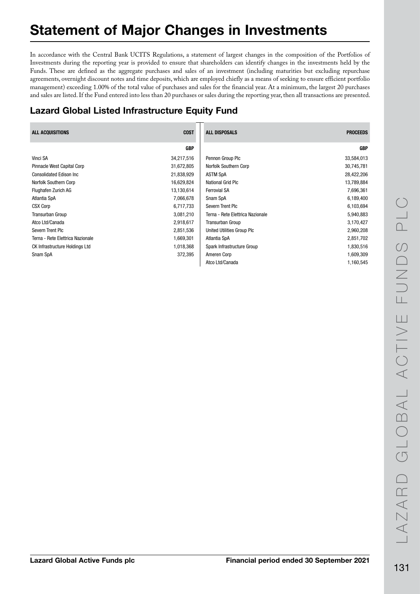# Statement of Major Changes in Investments

In accordance with the Central Bank UCITS Regulations, a statement of largest changes in the composition of the Portfolios of Investments during the reporting year is provided to ensure that shareholders can identify changes in the investments held by the Funds. These are defined as the aggregate purchases and sales of an investment (including maturities but excluding repurchase agreements, overnight discount notes and time deposits, which are employed chiefly as a means of seeking to ensure efficient portfolio management) exceeding 1.00% of the total value of purchases and sales for the financial year. At a minimum, the largest 20 purchases and sales are listed. If the Fund entered into less than 20 purchases or sales during the reporting year, then all transactions are presented.

## Lazard Global Listed Infrastructure Equity Fund

| <b>COST</b><br><b>ALL ACQUISITIONS</b> |            | <b>ALL DISPOSALS</b>             | <b>PROCEEDS</b> |
|----------------------------------------|------------|----------------------------------|-----------------|
|                                        | <b>GBP</b> |                                  | <b>GBP</b>      |
| Vinci SA                               | 34,217,516 | Pennon Group Plc                 | 33,584,013      |
| Pinnacle West Capital Corp             | 31,672,805 | Norfolk Southern Corp            | 30,745,781      |
| <b>Consolidated Edison Inc.</b>        | 21,838,929 | <b>ASTM SpA</b>                  | 28,422,206      |
| Norfolk Southern Corp                  | 16,629,824 | National Grid Plc                | 13,789,884      |
| Flughafen Zurich AG                    | 13,130,614 | <b>Ferrovial SA</b>              | 7,696,361       |
| Atlantia SpA                           | 7,066,678  | Snam SpA                         | 6,189,400       |
| <b>CSX Corp</b>                        | 6,717,733  | Severn Trent Plc                 | 6,103,694       |
| <b>Transurban Group</b>                | 3,081,210  | Terna - Rete Elettrica Nazionale | 5,940,883       |
| Atco Ltd/Canada                        | 2,918,617  | <b>Transurban Group</b>          | 3,170,427       |
| Severn Trent Plc                       | 2,851,536  | United Utilities Group Plc       | 2,960,208       |
| Terna - Rete Elettrica Nazionale       | 1,669,301  | Atlantia SpA                     | 2,851,702       |
| <b>CK Infrastructure Holdings Ltd</b>  | 1,018,368  | Spark Infrastructure Group       | 1,830,516       |
| Snam SpA                               | 372,395    | Ameren Corp                      | 1,609,309       |
|                                        |            | Atco Ltd/Canada                  | 1,160,545       |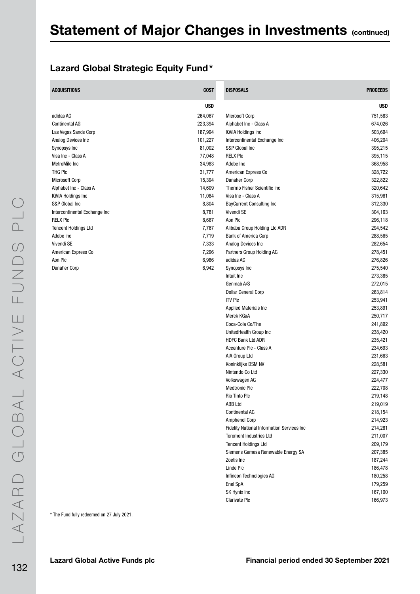#### Lazard Global Strategic Equity Fund\*

| <b>ACQUISITIONS</b><br><b>COST</b><br><b>DISPOSALS</b><br><b>PROCEEDS</b><br><b>USD</b><br><b>USD</b><br>adidas AG<br>264,067<br><b>Microsoft Corp</b><br>751,583<br>223,394<br>674,026<br><b>Continental AG</b><br>Alphabet Inc - Class A<br>Las Vegas Sands Corp<br>187,994<br><b>IQVIA Holdings Inc</b><br>503,694<br>406,204<br>Analog Devices Inc<br>101,227<br>Intercontinental Exchange Inc<br>S&P Global Inc<br>395,215<br>Synopsys Inc<br>81,002<br>77,048<br><b>RELX PIC</b><br>395,115<br>Visa Inc - Class A<br>MetroMile Inc<br>368,958<br>34,983<br>Adobe Inc<br>THG PIC<br>31,777<br>American Express Co<br>328,722<br>322,822<br><b>Microsoft Corp</b><br>15,394<br>Danaher Corp<br>Alphabet Inc - Class A<br>14,609<br>Thermo Fisher Scientific Inc<br>320,642<br>Visa Inc - Class A<br>315,961<br><b>IQVIA Holdings Inc</b><br>11,084<br>312,330<br>S&P Global Inc<br>8,804<br><b>BayCurrent Consulting Inc</b><br>8,781<br>Vivendi SE<br>304,163<br>Intercontinental Exchange Inc<br>Aon Plc<br>296,118<br><b>RELX PIC</b><br>8,667<br>294,542<br><b>Tencent Holdings Ltd</b><br>7,767<br>Alibaba Group Holding Ltd ADR<br>288,565<br>Adobe Inc<br>7,719<br><b>Bank of America Corp</b><br>Vivendi SE<br>7,333<br>Analog Devices Inc<br>282,654<br>7,296<br>278,451<br>American Express Co<br>Partners Group Holding AG<br>Aon Plc<br>6,986<br>276,826<br>adidas AG<br>6,942<br>275,540<br>Danaher Corp<br>Synopsys Inc<br>273,385<br>Intuit Inc<br>Genmab A/S<br>272,015<br>Dollar General Corp<br>263,814<br><b>ITV PIC</b><br>253,941<br>253,891<br>Applied Materials Inc<br>Merck KGaA<br>250,717<br>Coca-Cola Co/The<br>241,892<br>UnitedHealth Group Inc<br>238,420<br><b>HDFC Bank Ltd ADR</b><br>235,421<br>Accenture Plc - Class A<br>234,693<br>AIA Group Ltd<br>231,663<br>Koninklijke DSM NV<br>228,581<br>Nintendo Co Ltd<br>227,330<br>Volkswagen AG<br>224,477<br><b>Medtronic Plc</b><br>222,708<br>Rio Tinto Plc<br>219,148<br>ABB Ltd<br>219,019<br>218,154<br><b>Continental AG</b><br>214,923<br><b>Amphenol Corp</b><br><b>Fidelity National Information Services Inc.</b><br>214,281<br>211,007<br><b>Toromont Industries Ltd</b><br>209,179<br><b>Tencent Holdings Ltd</b><br>Siemens Gamesa Renewable Energy SA<br>207,385<br>187,244<br>Zoetis Inc<br>Linde Plc<br>186,478<br>Infineon Technologies AG<br>180,258<br>Enel SpA<br>179,259<br>SK Hynix Inc<br>167,100<br>Clarivate Plc<br>166,973 |  |  |
|--------------------------------------------------------------------------------------------------------------------------------------------------------------------------------------------------------------------------------------------------------------------------------------------------------------------------------------------------------------------------------------------------------------------------------------------------------------------------------------------------------------------------------------------------------------------------------------------------------------------------------------------------------------------------------------------------------------------------------------------------------------------------------------------------------------------------------------------------------------------------------------------------------------------------------------------------------------------------------------------------------------------------------------------------------------------------------------------------------------------------------------------------------------------------------------------------------------------------------------------------------------------------------------------------------------------------------------------------------------------------------------------------------------------------------------------------------------------------------------------------------------------------------------------------------------------------------------------------------------------------------------------------------------------------------------------------------------------------------------------------------------------------------------------------------------------------------------------------------------------------------------------------------------------------------------------------------------------------------------------------------------------------------------------------------------------------------------------------------------------------------------------------------------------------------------------------------------------------------------------------------------------------------------------------------------------------------------------------------------------------------------------------------------------------------------------|--|--|
|                                                                                                                                                                                                                                                                                                                                                                                                                                                                                                                                                                                                                                                                                                                                                                                                                                                                                                                                                                                                                                                                                                                                                                                                                                                                                                                                                                                                                                                                                                                                                                                                                                                                                                                                                                                                                                                                                                                                                                                                                                                                                                                                                                                                                                                                                                                                                                                                                                            |  |  |
|                                                                                                                                                                                                                                                                                                                                                                                                                                                                                                                                                                                                                                                                                                                                                                                                                                                                                                                                                                                                                                                                                                                                                                                                                                                                                                                                                                                                                                                                                                                                                                                                                                                                                                                                                                                                                                                                                                                                                                                                                                                                                                                                                                                                                                                                                                                                                                                                                                            |  |  |
|                                                                                                                                                                                                                                                                                                                                                                                                                                                                                                                                                                                                                                                                                                                                                                                                                                                                                                                                                                                                                                                                                                                                                                                                                                                                                                                                                                                                                                                                                                                                                                                                                                                                                                                                                                                                                                                                                                                                                                                                                                                                                                                                                                                                                                                                                                                                                                                                                                            |  |  |
|                                                                                                                                                                                                                                                                                                                                                                                                                                                                                                                                                                                                                                                                                                                                                                                                                                                                                                                                                                                                                                                                                                                                                                                                                                                                                                                                                                                                                                                                                                                                                                                                                                                                                                                                                                                                                                                                                                                                                                                                                                                                                                                                                                                                                                                                                                                                                                                                                                            |  |  |
|                                                                                                                                                                                                                                                                                                                                                                                                                                                                                                                                                                                                                                                                                                                                                                                                                                                                                                                                                                                                                                                                                                                                                                                                                                                                                                                                                                                                                                                                                                                                                                                                                                                                                                                                                                                                                                                                                                                                                                                                                                                                                                                                                                                                                                                                                                                                                                                                                                            |  |  |
|                                                                                                                                                                                                                                                                                                                                                                                                                                                                                                                                                                                                                                                                                                                                                                                                                                                                                                                                                                                                                                                                                                                                                                                                                                                                                                                                                                                                                                                                                                                                                                                                                                                                                                                                                                                                                                                                                                                                                                                                                                                                                                                                                                                                                                                                                                                                                                                                                                            |  |  |
|                                                                                                                                                                                                                                                                                                                                                                                                                                                                                                                                                                                                                                                                                                                                                                                                                                                                                                                                                                                                                                                                                                                                                                                                                                                                                                                                                                                                                                                                                                                                                                                                                                                                                                                                                                                                                                                                                                                                                                                                                                                                                                                                                                                                                                                                                                                                                                                                                                            |  |  |
|                                                                                                                                                                                                                                                                                                                                                                                                                                                                                                                                                                                                                                                                                                                                                                                                                                                                                                                                                                                                                                                                                                                                                                                                                                                                                                                                                                                                                                                                                                                                                                                                                                                                                                                                                                                                                                                                                                                                                                                                                                                                                                                                                                                                                                                                                                                                                                                                                                            |  |  |
|                                                                                                                                                                                                                                                                                                                                                                                                                                                                                                                                                                                                                                                                                                                                                                                                                                                                                                                                                                                                                                                                                                                                                                                                                                                                                                                                                                                                                                                                                                                                                                                                                                                                                                                                                                                                                                                                                                                                                                                                                                                                                                                                                                                                                                                                                                                                                                                                                                            |  |  |
|                                                                                                                                                                                                                                                                                                                                                                                                                                                                                                                                                                                                                                                                                                                                                                                                                                                                                                                                                                                                                                                                                                                                                                                                                                                                                                                                                                                                                                                                                                                                                                                                                                                                                                                                                                                                                                                                                                                                                                                                                                                                                                                                                                                                                                                                                                                                                                                                                                            |  |  |
|                                                                                                                                                                                                                                                                                                                                                                                                                                                                                                                                                                                                                                                                                                                                                                                                                                                                                                                                                                                                                                                                                                                                                                                                                                                                                                                                                                                                                                                                                                                                                                                                                                                                                                                                                                                                                                                                                                                                                                                                                                                                                                                                                                                                                                                                                                                                                                                                                                            |  |  |
|                                                                                                                                                                                                                                                                                                                                                                                                                                                                                                                                                                                                                                                                                                                                                                                                                                                                                                                                                                                                                                                                                                                                                                                                                                                                                                                                                                                                                                                                                                                                                                                                                                                                                                                                                                                                                                                                                                                                                                                                                                                                                                                                                                                                                                                                                                                                                                                                                                            |  |  |
|                                                                                                                                                                                                                                                                                                                                                                                                                                                                                                                                                                                                                                                                                                                                                                                                                                                                                                                                                                                                                                                                                                                                                                                                                                                                                                                                                                                                                                                                                                                                                                                                                                                                                                                                                                                                                                                                                                                                                                                                                                                                                                                                                                                                                                                                                                                                                                                                                                            |  |  |
|                                                                                                                                                                                                                                                                                                                                                                                                                                                                                                                                                                                                                                                                                                                                                                                                                                                                                                                                                                                                                                                                                                                                                                                                                                                                                                                                                                                                                                                                                                                                                                                                                                                                                                                                                                                                                                                                                                                                                                                                                                                                                                                                                                                                                                                                                                                                                                                                                                            |  |  |
|                                                                                                                                                                                                                                                                                                                                                                                                                                                                                                                                                                                                                                                                                                                                                                                                                                                                                                                                                                                                                                                                                                                                                                                                                                                                                                                                                                                                                                                                                                                                                                                                                                                                                                                                                                                                                                                                                                                                                                                                                                                                                                                                                                                                                                                                                                                                                                                                                                            |  |  |
|                                                                                                                                                                                                                                                                                                                                                                                                                                                                                                                                                                                                                                                                                                                                                                                                                                                                                                                                                                                                                                                                                                                                                                                                                                                                                                                                                                                                                                                                                                                                                                                                                                                                                                                                                                                                                                                                                                                                                                                                                                                                                                                                                                                                                                                                                                                                                                                                                                            |  |  |
|                                                                                                                                                                                                                                                                                                                                                                                                                                                                                                                                                                                                                                                                                                                                                                                                                                                                                                                                                                                                                                                                                                                                                                                                                                                                                                                                                                                                                                                                                                                                                                                                                                                                                                                                                                                                                                                                                                                                                                                                                                                                                                                                                                                                                                                                                                                                                                                                                                            |  |  |
|                                                                                                                                                                                                                                                                                                                                                                                                                                                                                                                                                                                                                                                                                                                                                                                                                                                                                                                                                                                                                                                                                                                                                                                                                                                                                                                                                                                                                                                                                                                                                                                                                                                                                                                                                                                                                                                                                                                                                                                                                                                                                                                                                                                                                                                                                                                                                                                                                                            |  |  |
|                                                                                                                                                                                                                                                                                                                                                                                                                                                                                                                                                                                                                                                                                                                                                                                                                                                                                                                                                                                                                                                                                                                                                                                                                                                                                                                                                                                                                                                                                                                                                                                                                                                                                                                                                                                                                                                                                                                                                                                                                                                                                                                                                                                                                                                                                                                                                                                                                                            |  |  |
|                                                                                                                                                                                                                                                                                                                                                                                                                                                                                                                                                                                                                                                                                                                                                                                                                                                                                                                                                                                                                                                                                                                                                                                                                                                                                                                                                                                                                                                                                                                                                                                                                                                                                                                                                                                                                                                                                                                                                                                                                                                                                                                                                                                                                                                                                                                                                                                                                                            |  |  |
|                                                                                                                                                                                                                                                                                                                                                                                                                                                                                                                                                                                                                                                                                                                                                                                                                                                                                                                                                                                                                                                                                                                                                                                                                                                                                                                                                                                                                                                                                                                                                                                                                                                                                                                                                                                                                                                                                                                                                                                                                                                                                                                                                                                                                                                                                                                                                                                                                                            |  |  |
|                                                                                                                                                                                                                                                                                                                                                                                                                                                                                                                                                                                                                                                                                                                                                                                                                                                                                                                                                                                                                                                                                                                                                                                                                                                                                                                                                                                                                                                                                                                                                                                                                                                                                                                                                                                                                                                                                                                                                                                                                                                                                                                                                                                                                                                                                                                                                                                                                                            |  |  |
|                                                                                                                                                                                                                                                                                                                                                                                                                                                                                                                                                                                                                                                                                                                                                                                                                                                                                                                                                                                                                                                                                                                                                                                                                                                                                                                                                                                                                                                                                                                                                                                                                                                                                                                                                                                                                                                                                                                                                                                                                                                                                                                                                                                                                                                                                                                                                                                                                                            |  |  |
|                                                                                                                                                                                                                                                                                                                                                                                                                                                                                                                                                                                                                                                                                                                                                                                                                                                                                                                                                                                                                                                                                                                                                                                                                                                                                                                                                                                                                                                                                                                                                                                                                                                                                                                                                                                                                                                                                                                                                                                                                                                                                                                                                                                                                                                                                                                                                                                                                                            |  |  |
|                                                                                                                                                                                                                                                                                                                                                                                                                                                                                                                                                                                                                                                                                                                                                                                                                                                                                                                                                                                                                                                                                                                                                                                                                                                                                                                                                                                                                                                                                                                                                                                                                                                                                                                                                                                                                                                                                                                                                                                                                                                                                                                                                                                                                                                                                                                                                                                                                                            |  |  |
|                                                                                                                                                                                                                                                                                                                                                                                                                                                                                                                                                                                                                                                                                                                                                                                                                                                                                                                                                                                                                                                                                                                                                                                                                                                                                                                                                                                                                                                                                                                                                                                                                                                                                                                                                                                                                                                                                                                                                                                                                                                                                                                                                                                                                                                                                                                                                                                                                                            |  |  |
|                                                                                                                                                                                                                                                                                                                                                                                                                                                                                                                                                                                                                                                                                                                                                                                                                                                                                                                                                                                                                                                                                                                                                                                                                                                                                                                                                                                                                                                                                                                                                                                                                                                                                                                                                                                                                                                                                                                                                                                                                                                                                                                                                                                                                                                                                                                                                                                                                                            |  |  |
|                                                                                                                                                                                                                                                                                                                                                                                                                                                                                                                                                                                                                                                                                                                                                                                                                                                                                                                                                                                                                                                                                                                                                                                                                                                                                                                                                                                                                                                                                                                                                                                                                                                                                                                                                                                                                                                                                                                                                                                                                                                                                                                                                                                                                                                                                                                                                                                                                                            |  |  |
|                                                                                                                                                                                                                                                                                                                                                                                                                                                                                                                                                                                                                                                                                                                                                                                                                                                                                                                                                                                                                                                                                                                                                                                                                                                                                                                                                                                                                                                                                                                                                                                                                                                                                                                                                                                                                                                                                                                                                                                                                                                                                                                                                                                                                                                                                                                                                                                                                                            |  |  |
|                                                                                                                                                                                                                                                                                                                                                                                                                                                                                                                                                                                                                                                                                                                                                                                                                                                                                                                                                                                                                                                                                                                                                                                                                                                                                                                                                                                                                                                                                                                                                                                                                                                                                                                                                                                                                                                                                                                                                                                                                                                                                                                                                                                                                                                                                                                                                                                                                                            |  |  |
|                                                                                                                                                                                                                                                                                                                                                                                                                                                                                                                                                                                                                                                                                                                                                                                                                                                                                                                                                                                                                                                                                                                                                                                                                                                                                                                                                                                                                                                                                                                                                                                                                                                                                                                                                                                                                                                                                                                                                                                                                                                                                                                                                                                                                                                                                                                                                                                                                                            |  |  |
|                                                                                                                                                                                                                                                                                                                                                                                                                                                                                                                                                                                                                                                                                                                                                                                                                                                                                                                                                                                                                                                                                                                                                                                                                                                                                                                                                                                                                                                                                                                                                                                                                                                                                                                                                                                                                                                                                                                                                                                                                                                                                                                                                                                                                                                                                                                                                                                                                                            |  |  |
|                                                                                                                                                                                                                                                                                                                                                                                                                                                                                                                                                                                                                                                                                                                                                                                                                                                                                                                                                                                                                                                                                                                                                                                                                                                                                                                                                                                                                                                                                                                                                                                                                                                                                                                                                                                                                                                                                                                                                                                                                                                                                                                                                                                                                                                                                                                                                                                                                                            |  |  |
|                                                                                                                                                                                                                                                                                                                                                                                                                                                                                                                                                                                                                                                                                                                                                                                                                                                                                                                                                                                                                                                                                                                                                                                                                                                                                                                                                                                                                                                                                                                                                                                                                                                                                                                                                                                                                                                                                                                                                                                                                                                                                                                                                                                                                                                                                                                                                                                                                                            |  |  |
|                                                                                                                                                                                                                                                                                                                                                                                                                                                                                                                                                                                                                                                                                                                                                                                                                                                                                                                                                                                                                                                                                                                                                                                                                                                                                                                                                                                                                                                                                                                                                                                                                                                                                                                                                                                                                                                                                                                                                                                                                                                                                                                                                                                                                                                                                                                                                                                                                                            |  |  |
|                                                                                                                                                                                                                                                                                                                                                                                                                                                                                                                                                                                                                                                                                                                                                                                                                                                                                                                                                                                                                                                                                                                                                                                                                                                                                                                                                                                                                                                                                                                                                                                                                                                                                                                                                                                                                                                                                                                                                                                                                                                                                                                                                                                                                                                                                                                                                                                                                                            |  |  |
|                                                                                                                                                                                                                                                                                                                                                                                                                                                                                                                                                                                                                                                                                                                                                                                                                                                                                                                                                                                                                                                                                                                                                                                                                                                                                                                                                                                                                                                                                                                                                                                                                                                                                                                                                                                                                                                                                                                                                                                                                                                                                                                                                                                                                                                                                                                                                                                                                                            |  |  |
|                                                                                                                                                                                                                                                                                                                                                                                                                                                                                                                                                                                                                                                                                                                                                                                                                                                                                                                                                                                                                                                                                                                                                                                                                                                                                                                                                                                                                                                                                                                                                                                                                                                                                                                                                                                                                                                                                                                                                                                                                                                                                                                                                                                                                                                                                                                                                                                                                                            |  |  |
|                                                                                                                                                                                                                                                                                                                                                                                                                                                                                                                                                                                                                                                                                                                                                                                                                                                                                                                                                                                                                                                                                                                                                                                                                                                                                                                                                                                                                                                                                                                                                                                                                                                                                                                                                                                                                                                                                                                                                                                                                                                                                                                                                                                                                                                                                                                                                                                                                                            |  |  |
|                                                                                                                                                                                                                                                                                                                                                                                                                                                                                                                                                                                                                                                                                                                                                                                                                                                                                                                                                                                                                                                                                                                                                                                                                                                                                                                                                                                                                                                                                                                                                                                                                                                                                                                                                                                                                                                                                                                                                                                                                                                                                                                                                                                                                                                                                                                                                                                                                                            |  |  |
|                                                                                                                                                                                                                                                                                                                                                                                                                                                                                                                                                                                                                                                                                                                                                                                                                                                                                                                                                                                                                                                                                                                                                                                                                                                                                                                                                                                                                                                                                                                                                                                                                                                                                                                                                                                                                                                                                                                                                                                                                                                                                                                                                                                                                                                                                                                                                                                                                                            |  |  |
|                                                                                                                                                                                                                                                                                                                                                                                                                                                                                                                                                                                                                                                                                                                                                                                                                                                                                                                                                                                                                                                                                                                                                                                                                                                                                                                                                                                                                                                                                                                                                                                                                                                                                                                                                                                                                                                                                                                                                                                                                                                                                                                                                                                                                                                                                                                                                                                                                                            |  |  |
|                                                                                                                                                                                                                                                                                                                                                                                                                                                                                                                                                                                                                                                                                                                                                                                                                                                                                                                                                                                                                                                                                                                                                                                                                                                                                                                                                                                                                                                                                                                                                                                                                                                                                                                                                                                                                                                                                                                                                                                                                                                                                                                                                                                                                                                                                                                                                                                                                                            |  |  |
|                                                                                                                                                                                                                                                                                                                                                                                                                                                                                                                                                                                                                                                                                                                                                                                                                                                                                                                                                                                                                                                                                                                                                                                                                                                                                                                                                                                                                                                                                                                                                                                                                                                                                                                                                                                                                                                                                                                                                                                                                                                                                                                                                                                                                                                                                                                                                                                                                                            |  |  |
|                                                                                                                                                                                                                                                                                                                                                                                                                                                                                                                                                                                                                                                                                                                                                                                                                                                                                                                                                                                                                                                                                                                                                                                                                                                                                                                                                                                                                                                                                                                                                                                                                                                                                                                                                                                                                                                                                                                                                                                                                                                                                                                                                                                                                                                                                                                                                                                                                                            |  |  |
|                                                                                                                                                                                                                                                                                                                                                                                                                                                                                                                                                                                                                                                                                                                                                                                                                                                                                                                                                                                                                                                                                                                                                                                                                                                                                                                                                                                                                                                                                                                                                                                                                                                                                                                                                                                                                                                                                                                                                                                                                                                                                                                                                                                                                                                                                                                                                                                                                                            |  |  |
|                                                                                                                                                                                                                                                                                                                                                                                                                                                                                                                                                                                                                                                                                                                                                                                                                                                                                                                                                                                                                                                                                                                                                                                                                                                                                                                                                                                                                                                                                                                                                                                                                                                                                                                                                                                                                                                                                                                                                                                                                                                                                                                                                                                                                                                                                                                                                                                                                                            |  |  |
|                                                                                                                                                                                                                                                                                                                                                                                                                                                                                                                                                                                                                                                                                                                                                                                                                                                                                                                                                                                                                                                                                                                                                                                                                                                                                                                                                                                                                                                                                                                                                                                                                                                                                                                                                                                                                                                                                                                                                                                                                                                                                                                                                                                                                                                                                                                                                                                                                                            |  |  |
|                                                                                                                                                                                                                                                                                                                                                                                                                                                                                                                                                                                                                                                                                                                                                                                                                                                                                                                                                                                                                                                                                                                                                                                                                                                                                                                                                                                                                                                                                                                                                                                                                                                                                                                                                                                                                                                                                                                                                                                                                                                                                                                                                                                                                                                                                                                                                                                                                                            |  |  |
|                                                                                                                                                                                                                                                                                                                                                                                                                                                                                                                                                                                                                                                                                                                                                                                                                                                                                                                                                                                                                                                                                                                                                                                                                                                                                                                                                                                                                                                                                                                                                                                                                                                                                                                                                                                                                                                                                                                                                                                                                                                                                                                                                                                                                                                                                                                                                                                                                                            |  |  |
|                                                                                                                                                                                                                                                                                                                                                                                                                                                                                                                                                                                                                                                                                                                                                                                                                                                                                                                                                                                                                                                                                                                                                                                                                                                                                                                                                                                                                                                                                                                                                                                                                                                                                                                                                                                                                                                                                                                                                                                                                                                                                                                                                                                                                                                                                                                                                                                                                                            |  |  |

LAZARD GLOBAL ACTIVE FUNDS PLC LAZARD GLOBAL ACTIVE FUNDS PLC 132

\* The Fund fully redeemed on 27 July 2021.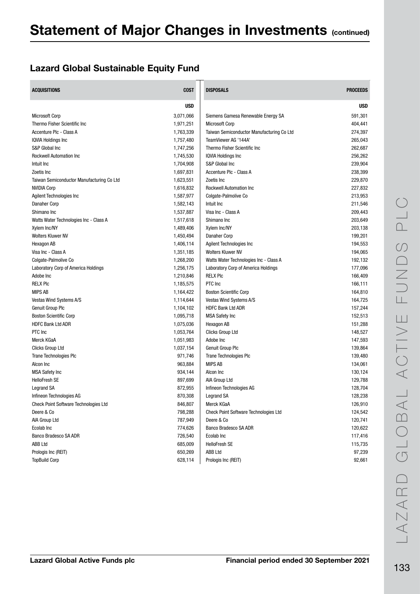### Lazard Global Sustainable Equity Fund

| <b>ACQUISITIONS</b>                          | <b>COST</b> | <b>DISPOSALS</b>                             | <b>PROCEEDS</b> |
|----------------------------------------------|-------------|----------------------------------------------|-----------------|
|                                              | <b>USD</b>  |                                              | <b>USD</b>      |
| <b>Microsoft Corp</b>                        | 3,071,066   | Siemens Gamesa Renewable Energy SA           | 591,301         |
| Thermo Fisher Scientific Inc                 | 1,971,251   | <b>Microsoft Corp</b>                        | 404,441         |
| Accenture Plc - Class A                      | 1,763,339   | Taiwan Semiconductor Manufacturing Co Ltd    | 274,397         |
| <b>IQVIA Holdings Inc.</b>                   | 1,757,480   | TeamViewer AG '144A'                         | 265,043         |
| S&P Global Inc                               | 1,747,256   | Thermo Fisher Scientific Inc                 | 262,687         |
| <b>Rockwell Automation Inc</b>               | 1,745,530   | IQVIA Holdings Inc                           | 256,262         |
| Intuit Inc                                   | 1,704,908   | S&P Global Inc                               | 239,904         |
| Zoetis Inc                                   | 1,697,831   | Accenture Plc - Class A                      | 238,399         |
| Taiwan Semiconductor Manufacturing Co Ltd    | 1,623,551   | Zoetis Inc                                   | 229,870         |
| <b>NVIDIA Corp</b>                           | 1,616,832   | <b>Rockwell Automation Inc</b>               | 227,832         |
| Agilent Technologies Inc                     | 1,587,977   | Colgate-Palmolive Co                         | 213,953         |
| Danaher Corp                                 | 1,582,143   | Intuit Inc                                   | 211,546         |
| Shimano Inc                                  | 1,537,887   | Visa Inc - Class A                           | 209,443         |
| Watts Water Technologies Inc - Class A       | 1,517,618   | Shimano Inc                                  | 203,649         |
| Xylem Inc/NY                                 | 1,489,406   | Xylem Inc/NY                                 | 203,138         |
| <b>Wolters Kluwer NV</b>                     | 1,450,494   | Danaher Corp                                 | 199,201         |
| Hexagon AB                                   | 1,406,114   | <b>Agilent Technologies Inc</b>              | 194,553         |
| Visa Inc - Class A                           | 1,351,185   | <b>Wolters Kluwer NV</b>                     | 194,065         |
| Colgate-Palmolive Co                         | 1,268,200   | Watts Water Technologies Inc - Class A       | 192,132         |
| Laboratory Corp of America Holdings          | 1,256,175   | Laboratory Corp of America Holdings          | 177,096         |
| Adobe Inc                                    | 1,210,846   | <b>RELX PIC</b>                              | 166,409         |
| <b>RELX PIC</b>                              | 1,185,575   | PTC Inc                                      | 166,111         |
| <b>MIPS AB</b>                               | 1,164,422   | <b>Boston Scientific Corp</b>                | 164,810         |
| Vestas Wind Systems A/S                      | 1,114,644   | Vestas Wind Systems A/S                      | 164,725         |
| Genuit Group Plc                             | 1,104,102   | <b>HDFC Bank Ltd ADR</b>                     | 157,244         |
| <b>Boston Scientific Corp</b>                | 1,095,718   | <b>MSA Safety Inc</b>                        | 152,513         |
| <b>HDFC Bank Ltd ADR</b>                     | 1,075,036   | Hexagon AB                                   | 151,288         |
| PTC Inc                                      | 1,053,764   | <b>Clicks Group Ltd</b>                      | 148,527         |
| Merck KGaA                                   | 1,051,983   | Adobe Inc                                    | 147,593         |
| Clicks Group Ltd                             | 1,037,154   | Genuit Group Plc                             | 139,864         |
| <b>Trane Technologies Plc</b>                | 971,746     | <b>Trane Technologies Plc</b>                | 139,480         |
| Alcon Inc                                    | 963,884     | <b>MIPS AB</b>                               | 134,061         |
| <b>MSA Safety Inc</b>                        | 934,144     | Alcon Inc                                    | 130,124         |
| <b>HelloFresh SE</b>                         | 897,699     | AIA Group Ltd                                | 129,788         |
| Legrand SA                                   | 872,955     | Infineon Technologies AG                     | 128,704         |
| Infineon Technologies AG                     | 870,308     | Legrand SA                                   | 128,238         |
| <b>Check Point Software Technologies Ltd</b> | 846,807     | Merck KGaA                                   | 126,910         |
| Deere & Co                                   | 798,288     | <b>Check Point Software Technologies Ltd</b> | 124,542         |
| AIA Group Ltd                                | 787,949     | Deere & Co                                   | 120,741         |
| Ecolab Inc                                   | 774,626     | Banco Bradesco SA ADR                        | 120,622         |
| Banco Bradesco SA ADR                        | 726,540     | Ecolab Inc                                   | 117,416         |
| <b>ABB Ltd</b>                               | 685,009     | <b>HelloFresh SE</b>                         | 115,735         |
| Prologis Inc (REIT)                          | 650,269     | <b>ABB Ltd</b>                               | 97,239          |
| <b>TopBuild Corp</b>                         | 628,114     | Prologis Inc (REIT)                          | 92,661          |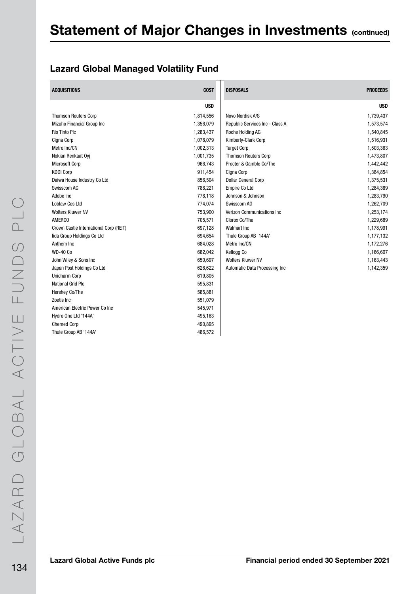### Lazard Global Managed Volatility Fund

| <b>ACQUISITIONS</b>                    | <b>COST</b> | <b>DISPOSALS</b>                | <b>PROCEEDS</b> |
|----------------------------------------|-------------|---------------------------------|-----------------|
|                                        | <b>USD</b>  |                                 | <b>USD</b>      |
| <b>Thomson Reuters Corp</b>            | 1,814,556   | Novo Nordisk A/S                | 1,739,437       |
| Mizuho Financial Group Inc             | 1,356,079   | Republic Services Inc - Class A | 1,573,574       |
| <b>Rio Tinto Plc</b>                   | 1,283,437   | Roche Holding AG                | 1,540,845       |
| Cigna Corp                             | 1,078,079   | Kimberly-Clark Corp             | 1,516,931       |
| Metro Inc/CN                           | 1,002,313   | <b>Target Corp</b>              | 1,503,363       |
| Nokian Renkaat Oyj                     | 1,001,735   | <b>Thomson Reuters Corp</b>     | 1,473,807       |
| <b>Microsoft Corp</b>                  | 966,743     | Procter & Gamble Co/The         | 1,442,442       |
| <b>KDDI Corp</b>                       | 911,454     | Cigna Corp                      | 1,384,854       |
| Daiwa House Industry Co Ltd            | 856,504     | <b>Dollar General Corp</b>      | 1,375,531       |
| Swisscom AG                            | 788,221     | Empire Co Ltd                   | 1,284,389       |
| Adobe Inc                              | 778,118     | Johnson & Johnson               | 1,283,790       |
| Loblaw Cos Ltd                         | 774,074     | Swisscom AG                     | 1,262,709       |
| <b>Wolters Kluwer NV</b>               | 753,900     | Verizon Communications Inc.     | 1,253,174       |
| <b>AMERCO</b>                          | 705,571     | Clorox Co/The                   | 1,229,689       |
| Crown Castle International Corp (REIT) | 697,128     | <b>Walmart Inc</b>              | 1,178,991       |
| lida Group Holdings Co Ltd             | 694,654     | Thule Group AB '144A'           | 1,177,132       |
| Anthem Inc                             | 684,028     | Metro Inc/CN                    | 1,172,276       |
| <b>WD-40 Co</b>                        | 682,042     | Kellogg Co                      | 1,166,607       |
| John Wiley & Sons Inc                  | 650,697     | <b>Wolters Kluwer NV</b>        | 1,163,443       |
| Japan Post Holdings Co Ltd             | 626,622     | Automatic Data Processing Inc   | 1,142,359       |
| Unicharm Corp                          | 619,805     |                                 |                 |
| <b>National Grid Plc</b>               | 595,831     |                                 |                 |
| Hershey Co/The                         | 585,881     |                                 |                 |
| Zoetis Inc                             | 551,079     |                                 |                 |
| American Electric Power Co Inc         | 545,971     |                                 |                 |
| Hydro One Ltd '144A'                   | 495,163     |                                 |                 |
| <b>Chemed Corp</b>                     | 490,895     |                                 |                 |
| Thule Group AB '144A'                  | 486,572     |                                 |                 |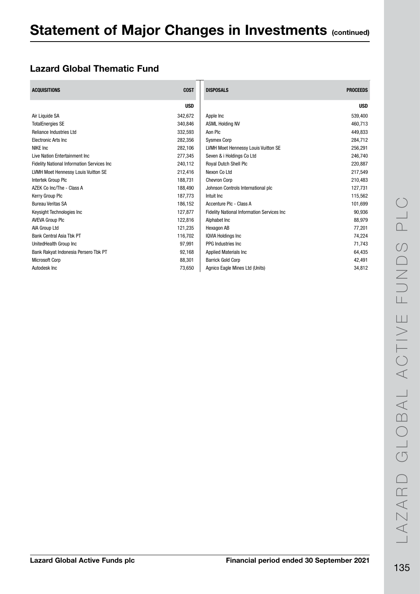### Lazard Global Thematic Fund

| <b>ACQUISITIONS</b>                                | <b>COST</b> | <b>DISPOSALS</b>                                   | <b>PROCEEDS</b> |
|----------------------------------------------------|-------------|----------------------------------------------------|-----------------|
|                                                    | <b>USD</b>  |                                                    | <b>USD</b>      |
| Air Liquide SA                                     | 342.672     | Apple Inc                                          | 539,400         |
| <b>TotalEnergies SE</b>                            | 340,846     | <b>ASML Holding NV</b>                             | 460,713         |
| <b>Reliance Industries Ltd</b>                     | 332,593     | Aon Plc                                            | 449,833         |
| <b>Electronic Arts Inc.</b>                        | 282.356     | <b>Sysmex Corp</b>                                 | 284,712         |
| <b>NIKE Inc</b>                                    | 282,106     | LVMH Moet Hennessy Louis Vuitton SE                | 256,291         |
| Live Nation Entertainment Inc                      | 277,345     | Seven & i Holdings Co Ltd                          | 246,740         |
| <b>Fidelity National Information Services Inc.</b> | 240,112     | <b>Royal Dutch Shell Plc</b>                       | 220,887         |
| <b>LVMH Moet Hennessy Louis Vuitton SE</b>         | 212,416     | Nexon Co Ltd                                       | 217,549         |
| Intertek Group Plc                                 | 188.731     | <b>Chevron Corp</b>                                | 210,483         |
| AZEK Co Inc/The - Class A                          | 188.490     | Johnson Controls International plc                 | 127,731         |
| Kerry Group Plc                                    | 187,773     | Intuit Inc                                         | 115,562         |
| <b>Bureau Veritas SA</b>                           | 186.152     | Accenture Plc - Class A                            | 101,699         |
| Keysight Technologies Inc                          | 127,877     | <b>Fidelity National Information Services Inc.</b> | 90,936          |
| <b>AVEVA Group PIC</b>                             | 122,816     | Alphabet Inc                                       | 88,979          |
| AIA Group Ltd                                      | 121,235     | Hexagon AB                                         | 77,201          |
| <b>Bank Central Asia Tbk PT</b>                    | 116.702     | <b>IQVIA Holdings Inc.</b>                         | 74,224          |
| UnitedHealth Group Inc                             | 97,991      | PPG Industries Inc.                                | 71,743          |
| Bank Rakyat Indonesia Persero Tbk PT               | 92,168      | <b>Applied Materials Inc.</b>                      | 64,435          |
| <b>Microsoft Corp</b>                              | 88,301      | <b>Barrick Gold Corp</b>                           | 42,491          |
| Autodesk Inc                                       | 73,650      | Agnico Eagle Mines Ltd (Units)                     | 34,812          |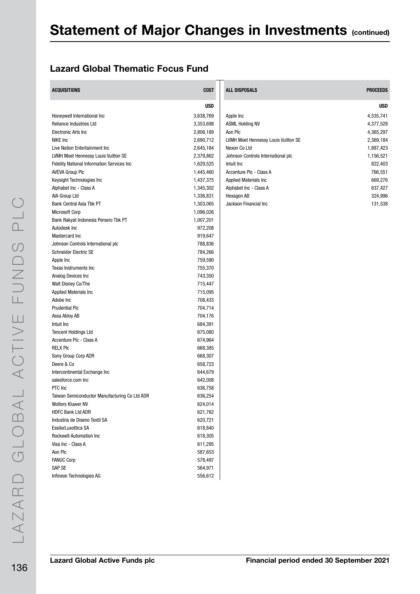### Lazard Global Thematic Focus Fund

| <b>ACQUISITIONS</b>                           | <b>COST</b> | ALL DISPOSALS                       | <b>PROCEEDS</b> |
|-----------------------------------------------|-------------|-------------------------------------|-----------------|
|                                               | <b>USD</b>  |                                     | <b>USD</b>      |
| Honeywell International Inc                   | 3,638,769   | Apple Inc                           | 4,535,741       |
| Reliance Industries Ltd                       | 3,353,698   | <b>ASML Holding NV</b>              | 4,377,528       |
| <b>Electronic Arts Inc</b>                    | 2,806,189   | Aon Plc                             | 4,365,297       |
| NIKE Inc                                      | 2,690,712   | LVMH Moet Hennessy Louis Vuitton SE | 2,369,184       |
| Live Nation Entertainment Inc                 | 2,645,184   | Nexon Co Ltd                        | 1,887,423       |
| LVMH Moet Hennessy Louis Vuitton SE           | 2,379,862   | Johnson Controls International plc  | 1,156,521       |
| Fidelity National Information Services Inc    | 1,629,525   | Intuit Inc                          | 822,403         |
| <b>AVEVA Group PIc</b>                        | 1,445,460   | Accenture Plc - Class A             | 766,551         |
| Keysight Technologies Inc                     | 1,437,375   | Applied Materials Inc               | 669,276         |
| Alphabet Inc - Class A                        | 1,345,302   | Alphabet Inc - Class A              | 637,427         |
| AIA Group Ltd                                 | 1,336,831   | Hexagon AB                          | 324,996         |
| Bank Central Asia Tbk PT                      | 1,303,065   | Jackson Financial Inc               | 131,538         |
| <b>Microsoft Corp</b>                         | 1,096,026   |                                     |                 |
| Bank Rakyat Indonesia Persero Tbk PT          | 1,007,201   |                                     |                 |
| Autodesk Inc                                  | 972,208     |                                     |                 |
| Mastercard Inc                                | 919,647     |                                     |                 |
| Johnson Controls International plc            | 788,836     |                                     |                 |
| <b>Schneider Electric SE</b>                  | 784,266     |                                     |                 |
| Apple Inc                                     | 759,590     |                                     |                 |
| Texas Instruments Inc                         | 755,370     |                                     |                 |
| Analog Devices Inc                            | 743,350     |                                     |                 |
| Walt Disney Co/The                            | 715,447     |                                     |                 |
| <b>Applied Materials Inc</b>                  | 715,095     |                                     |                 |
| Adobe Inc                                     | 708,433     |                                     |                 |
| <b>Prudential Plc</b>                         | 704,714     |                                     |                 |
| Assa Abloy AB                                 | 704,176     |                                     |                 |
| Intuit Inc                                    | 684,391     |                                     |                 |
| <b>Tencent Holdings Ltd</b>                   | 675,080     |                                     |                 |
| Accenture Plc - Class A                       | 674,964     |                                     |                 |
| <b>RELX PIC</b>                               | 668,385     |                                     |                 |
| Sony Group Corp ADR                           | 668,307     |                                     |                 |
| Deere & Co                                    | 658,723     |                                     |                 |
| Intercontinental Exchange Inc                 | 644,679     |                                     |                 |
| salesforce.com Inc                            | 642,008     |                                     |                 |
| PTC Inc                                       | 636,758     |                                     |                 |
| Taiwan Semiconductor Manufacturing Co Ltd ADR | 636,254     |                                     |                 |
| <b>Wolters Kluwer NV</b>                      | 624,014     |                                     |                 |
| HDFC Bank Ltd ADR                             | 621,762     |                                     |                 |
| Industria de Diseno Textil SA                 | 620,721     |                                     |                 |
| EssilorLuxottica SA                           | 618,840     |                                     |                 |
| <b>Rockwell Automation Inc.</b>               | 618,305     |                                     |                 |
| Visa Inc - Class A                            | 611,295     |                                     |                 |
| Aon Plc                                       | 587,653     |                                     |                 |
| <b>FANUC Corp</b>                             | 578,497     |                                     |                 |
| SAP SE                                        | 564,971     |                                     |                 |
| Infineon Technologies AG                      | 556,612     |                                     |                 |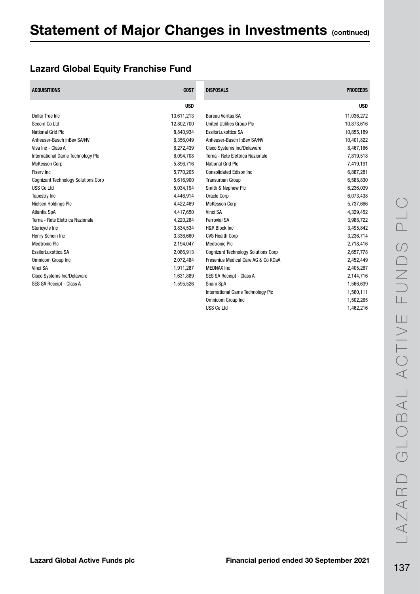### Lazard Global Equity Franchise Fund

| <b>ACQUISITIONS</b>                        | <b>COST</b> | <b>DISPOSALS</b>                           | <b>PROCEEDS</b> |
|--------------------------------------------|-------------|--------------------------------------------|-----------------|
|                                            | <b>USD</b>  |                                            | <b>USD</b>      |
| Dollar Tree Inc.                           | 13,611,213  | <b>Bureau Veritas SA</b>                   | 11,036,272      |
| Secom Co Ltd                               | 12,802,700  | <b>United Utilities Group Plc</b>          | 10,873,616      |
| <b>National Grid Plc</b>                   | 8,840,934   | EssilorLuxottica SA                        | 10,855,189      |
| Anheuser-Busch InBev SA/NV                 | 6,356,049   | Anheuser-Busch InBev SA/NV                 | 10,401,822      |
| Visa Inc - Class A                         | 6,272,439   | Cisco Systems Inc/Delaware                 | 8,467,166       |
| International Game Technology Plc          | 6,094,708   | Terna - Rete Elettrica Nazionale           | 7,819,518       |
| <b>McKesson Corp</b>                       | 5,896,716   | National Grid Plc                          | 7,419,191       |
| <b>Fisery Inc</b>                          | 5,770,205   | <b>Consolidated Edison Inc.</b>            | 6,887,281       |
| <b>Cognizant Technology Solutions Corp</b> | 5,616,900   | <b>Transurban Group</b>                    | 6,588,830       |
| <b>USS Co Ltd</b>                          | 5,034,194   | Smith & Nephew Plc                         | 6,236,039       |
| Tapestry Inc                               | 4,446,914   | Oracle Corp                                | 6,073,438       |
| Nielsen Holdings Plc                       | 4,422,469   | <b>McKesson Corp</b>                       | 5,737,666       |
| Atlantia SpA                               | 4,417,650   | Vinci SA                                   | 4,329,452       |
| Terna - Rete Elettrica Nazionale           | 4,220,284   | <b>Ferrovial SA</b>                        | 3,988,722       |
| Stericycle Inc                             | 3,834,534   | H&R Block Inc                              | 3,495,842       |
| Henry Schein Inc                           | 3,336,660   | <b>CVS Health Corp</b>                     | 3,236,714       |
| <b>Medtronic Plc</b>                       | 2,194,047   | <b>Medtronic Plc</b>                       | 2,718,416       |
| EssilorLuxottica SA                        | 2,086,913   | <b>Cognizant Technology Solutions Corp</b> | 2,657,778       |
| Omnicom Group Inc                          | 2,072,484   | Fresenius Medical Care AG & Co KGaA        | 2,452,449       |
| Vinci SA                                   | 1,911,287   | <b>MEDNAX Inc.</b>                         | 2,405,267       |
| Cisco Systems Inc/Delaware                 | 1,631,889   | SES SA Receipt - Class A                   | 2,144,716       |
| SES SA Receipt - Class A                   | 1,595,526   | Snam SpA                                   | 1,566,639       |
|                                            |             | International Game Technology Plc          | 1,560,111       |
|                                            |             | Omnicom Group Inc                          | 1,502,265       |
|                                            |             | <b>USS Co Ltd</b>                          | 1,462,216       |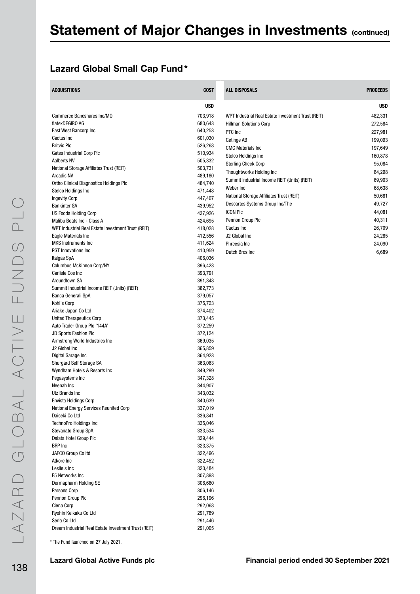### Lazard Global Small Cap Fund\*

| <b>ACQUISITIONS</b>                                  | <b>COST</b>        | <b>ALL DISPOSALS</b>                               | <b>PROCEEDS</b> |
|------------------------------------------------------|--------------------|----------------------------------------------------|-----------------|
|                                                      | <b>USD</b>         |                                                    | <b>USD</b>      |
| Commerce Bancshares Inc/MO                           | 703,918            | WPT Industrial Real Estate Investment Trust (REIT) | 482,331         |
| flatexDEGIRO AG                                      | 680,643            | <b>Hillman Solutions Corp</b>                      | 272,584         |
| East West Bancorp Inc                                | 640,253            | PTC Inc                                            | 227,981         |
| Cactus Inc                                           | 601,030            | Getinge AB                                         | 199,093         |
| <b>Britvic Plc</b>                                   | 526,268            | <b>CMC Materials Inc.</b>                          | 197,649         |
| Gates Industrial Corp Plc                            | 510,934            | <b>Stelco Holdings Inc</b>                         | 160,878         |
| Aalberts NV                                          | 505,332            | <b>Sterling Check Corp</b>                         | 95,084          |
| National Storage Affiliates Trust (REIT)             | 503,731            | Thoughtworks Holding Inc                           | 84,298          |
| <b>Arcadis NV</b>                                    | 489,180            | Summit Industrial Income REIT (Units) (REIT)       | 69,903          |
| Ortho Clinical Diagnostics Holdings Plc              | 484,740            |                                                    |                 |
| Stelco Holdings Inc                                  | 471,448            | Weber Inc                                          | 68,638          |
| <b>Ingevity Corp</b>                                 | 447,407            | National Storage Affiliates Trust (REIT)           | 50,681          |
| <b>Bankinter SA</b>                                  | 439,952            | Descartes Systems Group Inc/The                    | 49,727          |
| <b>US Foods Holding Corp</b>                         | 437,926            | <b>ICON PIC</b>                                    | 44,081          |
| Malibu Boats Inc - Class A                           | 424,695            | Pennon Group Plc                                   | 40,311          |
| WPT Industrial Real Estate Investment Trust (REIT)   | 418,028            | Cactus Inc                                         | 26,709          |
| Eagle Materials Inc                                  | 412,556            | J2 Global Inc                                      | 24,285          |
| <b>MKS</b> Instruments Inc                           | 411,624            | Phreesia Inc                                       | 24,090          |
| <b>PGT</b> Innovations Inc                           | 410,959            | Dutch Bros Inc                                     | 6,689           |
| Italgas SpA                                          | 406,036            |                                                    |                 |
| <b>Columbus McKinnon Corp/NY</b>                     | 396,423            |                                                    |                 |
| Carlisle Cos Inc                                     | 393,791            |                                                    |                 |
| Aroundtown SA                                        | 391,348            |                                                    |                 |
| Summit Industrial Income REIT (Units) (REIT)         | 382,773            |                                                    |                 |
| Banca Generali SpA                                   | 379,057            |                                                    |                 |
| Kohl's Corp<br>Ariake Japan Co Ltd                   | 375,723<br>374,402 |                                                    |                 |
| <b>United Therapeutics Corp</b>                      | 373,445            |                                                    |                 |
| Auto Trader Group Plc '144A'                         | 372,259            |                                                    |                 |
| JD Sports Fashion Plc                                | 372,124            |                                                    |                 |
| Armstrong World Industries Inc                       | 369,035            |                                                    |                 |
| J2 Global Inc                                        | 365,859            |                                                    |                 |
| Digital Garage Inc                                   | 364,923            |                                                    |                 |
| Shurgard Self Storage SA                             | 363,063            |                                                    |                 |
| Wyndham Hotels & Resorts Inc                         | 349,299            |                                                    |                 |
| Pegasystems Inc                                      | 347,328            |                                                    |                 |
| Neenah Inc                                           | 344,907            |                                                    |                 |
| Utz Brands Inc                                       | 343,032            |                                                    |                 |
| <b>Envista Holdings Corp</b>                         | 340,639            |                                                    |                 |
| National Energy Services Reunited Corp               | 337,019            |                                                    |                 |
| Daiseki Co Ltd                                       | 336,841            |                                                    |                 |
| TechnoPro Holdings Inc                               | 335,046            |                                                    |                 |
| Stevanato Group SpA                                  | 333,534            |                                                    |                 |
| Dalata Hotel Group Plc                               | 329,444            |                                                    |                 |
| <b>BRP</b> Inc                                       | 323,375            |                                                    |                 |
| JAFCO Group Co Itd                                   | 322,496            |                                                    |                 |
| Atkore Inc                                           | 322,452            |                                                    |                 |
| Leslie's Inc                                         | 320,484            |                                                    |                 |
| F5 Networks Inc                                      | 307,893            |                                                    |                 |
| Dermapharm Holding SE                                | 306,680            |                                                    |                 |
| Parsons Corp                                         | 306,146            |                                                    |                 |
| Pennon Group Plc                                     | 296,196            |                                                    |                 |
| Ciena Corp                                           | 292,068            |                                                    |                 |
| Ryohin Keikaku Co Ltd                                | 291,789            |                                                    |                 |
| Seria Co Ltd                                         | 291,446            |                                                    |                 |
| Dream Industrial Real Estate Investment Trust (REIT) | 291,005            |                                                    |                 |

\* The Fund launched on 27 July 2021.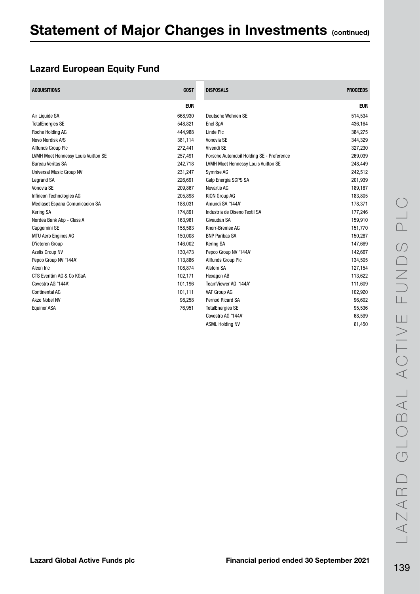### Lazard European Equity Fund

| <b>ACQUISITIONS</b>                 | <b>COST</b> | <b>DISPOSALS</b>                          | <b>PROCEEDS</b> |
|-------------------------------------|-------------|-------------------------------------------|-----------------|
|                                     | <b>EUR</b>  |                                           | <b>EUR</b>      |
| Air Liquide SA                      | 668,930     | Deutsche Wohnen SE                        | 514,534         |
| <b>TotalEnergies SE</b>             | 548,821     | Enel SpA                                  | 436,164         |
| Roche Holding AG                    | 444,988     | Linde Plc                                 | 384,275         |
| Novo Nordisk A/S                    | 381,114     | Vonovia SE                                | 344,329         |
| Allfunds Group Plc                  | 272,441     | Vivendi SE                                | 327,230         |
| LVMH Moet Hennessy Louis Vuitton SE | 257,491     | Porsche Automobil Holding SE - Preference | 269,039         |
| <b>Bureau Veritas SA</b>            | 242,718     | LVMH Moet Hennessy Louis Vuitton SE       | 248,449         |
| Universal Music Group NV            | 231,247     | Symrise AG                                | 242,512         |
| <b>Legrand SA</b>                   | 226,691     | Galp Energia SGPS SA                      | 201,939         |
| Vonovia SE                          | 209,867     | <b>Novartis AG</b>                        | 189,187         |
| Infineon Technologies AG            | 205,898     | KION Group AG                             | 183,805         |
| Mediaset Espana Comunicacion SA     | 188,031     | Amundi SA '144A'                          | 178,371         |
| <b>Kering SA</b>                    | 174,891     | Industria de Diseno Textil SA             | 177,246         |
| Nordea Bank Abp - Class A           | 163,961     | Givaudan SA                               | 159,910         |
| Capgemini SE                        | 158,583     | Knorr-Bremse AG                           | 151,770         |
| <b>MTU Aero Engines AG</b>          | 150,008     | <b>BNP Paribas SA</b>                     | 150,287         |
| D'ieteren Group                     | 146.002     | <b>Kering SA</b>                          | 147,669         |
| Azelis Group NV                     | 130,473     | Pepco Group NV '144A'                     | 142,667         |
| Pepco Group NV '144A'               | 113,886     | Allfunds Group Plc                        | 134,505         |
| Alcon Inc                           | 108,874     | Alstom SA                                 | 127,154         |
| CTS Eventim AG & Co KGaA            | 102,171     | Hexagon AB                                | 113,622         |
| Covestro AG '144A'                  | 101.196     | TeamViewer AG '144A'                      | 111,609         |
| <b>Continental AG</b>               | 101,111     | VAT Group AG                              | 102,920         |
| Akzo Nobel NV                       | 98,258      | <b>Pernod Ricard SA</b>                   | 96,602          |
| <b>Equinor ASA</b>                  | 76,951      | <b>TotalEnergies SE</b>                   | 95,536          |
|                                     |             | Covestro AG '144A'                        | 68,599          |
|                                     |             | <b>ASML Holding NV</b>                    | 61,450          |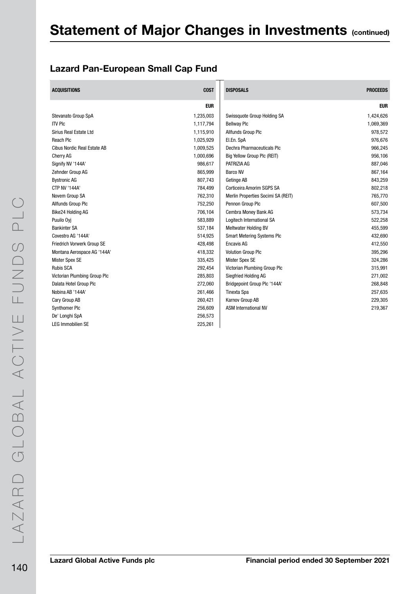### Lazard Pan-European Small Cap Fund

| <b>ACQUISITIONS</b>          | <b>COST</b> | <b>DISPOSALS</b>                   | <b>PROCEEDS</b> |
|------------------------------|-------------|------------------------------------|-----------------|
|                              | <b>EUR</b>  |                                    | <b>EUR</b>      |
| Stevanato Group SpA          | 1,235,003   | Swissquote Group Holding SA        | 1,424,626       |
| <b>ITV PIC</b>               | 1,117,794   | <b>Bellway Plc</b>                 | 1,069,369       |
| Sirius Real Estate Ltd       | 1,115,910   | Allfunds Group Plc                 | 978,572         |
| Reach Plc                    | 1,025,929   | El.En. SpA                         | 976,676         |
| Cibus Nordic Real Estate AB  | 1,009,525   | Dechra Pharmaceuticals Plc         | 966,245         |
| <b>Cherry AG</b>             | 1,000,696   | Big Yellow Group Plc (REIT)        | 956,106         |
| Signify NV '144A'            | 986,617     | PATRIZIA AG                        | 887,046         |
| Zehnder Group AG             | 865,999     | <b>Barco NV</b>                    | 867,164         |
| <b>Bystronic AG</b>          | 807,743     | Getinge AB                         | 843,259         |
| <b>CTP NV '144A'</b>         | 784,499     | Corticeira Amorim SGPS SA          | 802,218         |
| Novem Group SA               | 762,310     | Merlin Properties Socimi SA (REIT) | 765,770         |
| Allfunds Group Plc           | 752,250     | Pennon Group Plc                   | 607,500         |
| Bike24 Holding AG            | 706,104     | Cembra Money Bank AG               | 573,734         |
| Puuilo Oyi                   | 583,889     | Logitech International SA          | 522,258         |
| <b>Bankinter SA</b>          | 537,184     | Meltwater Holding BV               | 455,599         |
| Covestro AG '144A'           | 514,925     | <b>Smart Metering Systems Plc</b>  | 432,690         |
| Friedrich Vorwerk Group SE   | 428,498     | <b>Encavis AG</b>                  | 412,550         |
| Montana Aerospace AG '144A'  | 418,332     | <b>Volution Group Plc</b>          | 395,296         |
| <b>Mister Spex SE</b>        | 335,425     | <b>Mister Spex SE</b>              | 324,286         |
| <b>Rubis SCA</b>             | 292,454     | Victorian Plumbing Group Plc       | 315,991         |
| Victorian Plumbing Group Plc | 285,803     | Siegfried Holding AG               | 271,002         |
| Dalata Hotel Group Plc       | 272,060     | Bridgepoint Group Plc '144A'       | 268,848         |
| Nobina AB '144A'             | 261,466     | <b>Tinexta Spa</b>                 | 257,635         |
| Cary Group AB                | 260,421     | Karnov Group AB                    | 229,305         |
| <b>Synthomer Plc</b>         | 256,609     | <b>ASM International NV</b>        | 219,367         |
| De' Longhi SpA               | 256,573     |                                    |                 |
| <b>LEG Immobilien SE</b>     | 225,261     |                                    |                 |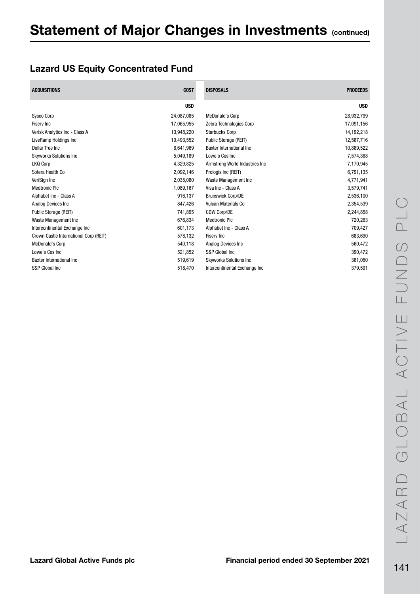### Lazard US Equity Concentrated Fund

| <b>ACQUISITIONS</b>                    | <b>COST</b> | <b>DISPOSALS</b>               | <b>PROCEEDS</b> |
|----------------------------------------|-------------|--------------------------------|-----------------|
|                                        | <b>USD</b>  |                                | <b>USD</b>      |
| <b>Sysco Corp</b>                      | 24,087,085  | <b>McDonald's Corp</b>         | 28,932,799      |
| <b>Fisery Inc</b>                      | 17,065,955  | Zebra Technologies Corp        | 17,091,156      |
| Verisk Analytics Inc - Class A         | 13,948,220  | <b>Starbucks Corp</b>          | 14,192,218      |
| LiveRamp Holdings Inc                  | 10,493,552  | Public Storage (REIT)          | 12,587,716      |
| Dollar Tree Inc.                       | 6,641,969   | Baxter International Inc.      | 10,889,522      |
| <b>Skyworks Solutions Inc</b>          | 5,049,189   | Lowe's Cos Inc                 | 7,574,368       |
| LKQ Corp                               | 4,329,825   | Armstrong World Industries Inc | 7,170,945       |
| Sotera Health Co                       | 2,092,146   | Prologis Inc (REIT)            | 6,791,135       |
| VeriSign Inc                           | 2,035,080   | Waste Management Inc           | 4,771,941       |
| <b>Medtronic Plc</b>                   | 1,089,167   | Visa Inc - Class A             | 3,579,741       |
| Alphabet Inc - Class A                 | 916,137     | <b>Brunswick Corp/DE</b>       | 2,536,100       |
| Analog Devices Inc                     | 847.426     | <b>Vulcan Materials Co</b>     | 2,354,539       |
| Public Storage (REIT)                  | 741,895     | CDW Corp/DE                    | 2,244,858       |
| Waste Management Inc                   | 676,834     | <b>Medtronic Plc</b>           | 720,263         |
| Intercontinental Exchange Inc          | 601,173     | Alphabet Inc - Class A         | 709,427         |
| Crown Castle International Corp (REIT) | 578,132     | Fisery Inc                     | 683,690         |
| <b>McDonald's Corp</b>                 | 540,118     | Analog Devices Inc             | 560,472         |
| Lowe's Cos Inc                         | 521,852     | S&P Global Inc                 | 390,472         |
| <b>Baxter International Inc.</b>       | 519,619     | <b>Skyworks Solutions Inc</b>  | 381,050         |
| S&P Global Inc                         | 518,470     | Intercontinental Exchange Inc  | 379,591         |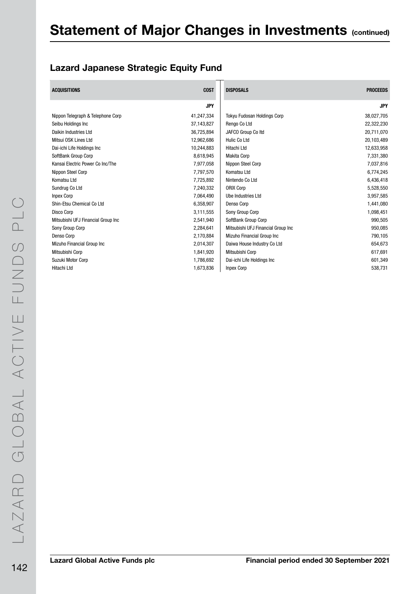### Lazard Japanese Strategic Equity Fund

| <b>ACQUISITIONS</b>                | <b>COST</b> | <b>DISPOSALS</b>                   | <b>PROCEEDS</b> |
|------------------------------------|-------------|------------------------------------|-----------------|
|                                    | <b>JPY</b>  |                                    | <b>JPY</b>      |
| Nippon Telegraph & Telephone Corp  | 41,247,334  | Tokyu Fudosan Holdings Corp        | 38,027,705      |
| Seibu Holdings Inc                 | 37,143,827  | Rengo Co Ltd                       | 22,322,230      |
| Daikin Industries Ltd              | 36,725,894  | JAFCO Group Co Itd                 | 20,711,070      |
| Mitsui OSK Lines Ltd               | 12,962,686  | <b>Hulic Co Ltd</b>                | 20,103,489      |
| Dai-ichi Life Holdings Inc         | 10,244,883  | Hitachi Ltd                        | 12,633,958      |
| SoftBank Group Corp                | 8,618,945   | <b>Makita Corp</b>                 | 7,331,380       |
| Kansai Electric Power Co Inc/The   | 7,977,058   | Nippon Steel Corp                  | 7,037,816       |
| Nippon Steel Corp                  | 7,797,570   | Komatsu Ltd                        | 6,774,245       |
| Komatsu Ltd                        | 7,725,892   | Nintendo Co Ltd                    | 6,436,418       |
| Sundrug Co Ltd                     | 7,240,332   | <b>ORIX Corp</b>                   | 5,528,550       |
| <b>Inpex Corp</b>                  | 7,064,490   | Ube Industries Ltd                 | 3,957,585       |
| Shin-Etsu Chemical Co Ltd          | 6,358,907   | Denso Corp                         | 1,441,080       |
| Disco Corp                         | 3,111,555   | Sony Group Corp                    | 1,098,451       |
| Mitsubishi UFJ Financial Group Inc | 2,541,940   | SoftBank Group Corp                | 990,505         |
| Sony Group Corp                    | 2,284,641   | Mitsubishi UFJ Financial Group Inc | 950,085         |
| Denso Corp                         | 2,170,884   | Mizuho Financial Group Inc         | 790,105         |
| Mizuho Financial Group Inc         | 2,014,307   | Daiwa House Industry Co Ltd        | 654,673         |
| Mitsubishi Corp                    | 1,841,920   | Mitsubishi Corp                    | 617,691         |
| Suzuki Motor Corp                  | 1,786,692   | Dai-ichi Life Holdings Inc         | 601,349         |
| Hitachi Ltd                        | 1,673,836   | <b>Inpex Corp</b>                  | 538,731         |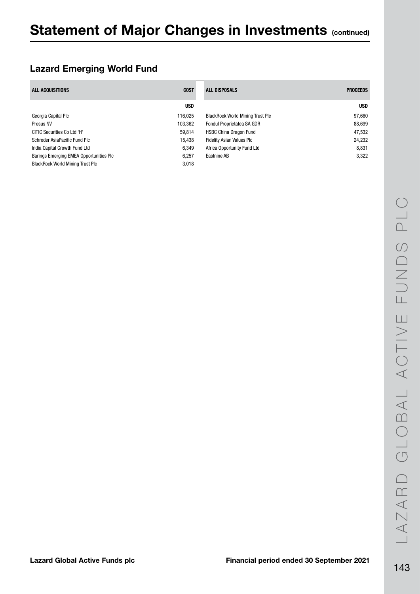### Lazard Emerging World Fund

| ALL ACQUISITIONS                        | <b>COST</b> | <b>ALL DISPOSALS</b>                    | <b>PROCEEDS</b> |
|-----------------------------------------|-------------|-----------------------------------------|-----------------|
|                                         | <b>USD</b>  |                                         | <b>USD</b>      |
| Georgia Capital Plc                     | 116,025     | <b>BlackRock World Mining Trust Plc</b> | 97.660          |
| Prosus NV                               | 103,362     | <b>Fondul Proprietatea SA GDR</b>       | 88,699          |
| CITIC Securities Co Ltd 'H'             | 59,814      | <b>HSBC China Dragon Fund</b>           | 47,532          |
| Schroder AsiaPacific Fund Plc           | 15.438      | <b>Fidelity Asian Values Plc</b>        | 24,232          |
| India Capital Growth Fund Ltd           | 6,349       | Africa Opportunity Fund Ltd             | 8,831           |
| Barings Emerging EMEA Opportunities PIC | 6.257       | Eastnine AB                             | 3,322           |
| <b>BlackRock World Mining Trust Plc</b> | 3,018       |                                         |                 |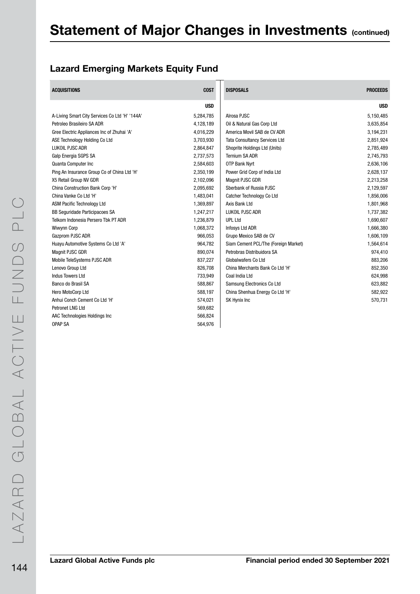### Lazard Emerging Markets Equity Fund

| <b>ACQUISITIONS</b>                            | <b>COST</b> | <b>DISPOSALS</b>                     | <b>PROCEEDS</b> |
|------------------------------------------------|-------------|--------------------------------------|-----------------|
|                                                | <b>USD</b>  |                                      | <b>USD</b>      |
| A-Living Smart City Services Co Ltd 'H' '144A' | 5,284,785   | Alrosa PJSC                          | 5,150,485       |
| Petroleo Brasileiro SA ADR                     | 4,128,189   | Oil & Natural Gas Corp Ltd           | 3,635,854       |
| Gree Electric Appliances Inc of Zhuhai 'A'     | 4,016,229   | America Movil SAB de CV ADR          | 3,194,231       |
| ASE Technology Holding Co Ltd                  | 3,703,930   | <b>Tata Consultancy Services Ltd</b> | 2,851,924       |
| LUKOIL PJSC ADR                                | 2,864,847   | Shoprite Holdings Ltd (Units)        | 2,785,489       |
| Galp Energia SGPS SA                           | 2,737,573   | <b>Ternium SA ADR</b>                | 2,745,793       |
| Quanta Computer Inc                            | 2,584,603   | <b>OTP Bank Nyrt</b>                 | 2,636,106       |
| Ping An Insurance Group Co of China Ltd 'H'    | 2,350,199   | Power Grid Corp of India Ltd         | 2,628,137       |
| X5 Retail Group NV GDR                         | 2,102,096   | Magnit PJSC GDR                      | 2,213,258       |
| China Construction Bank Corp 'H'               | 2,095,692   | Sberbank of Russia PJSC              | 2,129,597       |
| China Vanke Co Ltd 'H'                         | 1,483,041   | Catcher Technology Co Ltd            | 1,856,006       |
| <b>ASM Pacific Technology Ltd</b>              | 1,369,897   | Axis Bank Ltd                        | 1,801,968       |
| BB Seguridade Participacoes SA                 | 1,247,217   | <b>LUKOIL PJSC ADR</b>               | 1,737,382       |
| Telkom Indonesia Persero Tbk PT ADR            | 1,236,879   | <b>UPL Ltd</b>                       | 1,690,607       |
| Wiwynn Corp                                    | 1,068,372   | Infosys Ltd ADR                      | 1,666,380       |
| Gazprom PJSC ADR                               | 966,053     | Grupo Mexico SAB de CV               | 1,606,109       |
| Huayu Automotive Systems Co Ltd 'A'            | 964,782     | Siam Cement PCL/The (Foreign Market) | 1,564,614       |
| Magnit PJSC GDR                                | 890,074     | Petrobras Distribuidora SA           | 974,410         |
| Mobile TeleSystems PJSC ADR                    | 837,227     | <b>Globalwafers Co Ltd</b>           | 883,206         |
| Lenovo Group Ltd                               | 826,708     | China Merchants Bank Co Ltd 'H'      | 852,350         |
| <b>Indus Towers Ltd</b>                        | 733,949     | Coal India Ltd                       | 624,998         |
| Banco do Brasil SA                             | 588,867     | Samsung Electronics Co Ltd           | 623,882         |
| Hero MotoCorp Ltd                              | 588,197     | China Shenhua Energy Co Ltd 'H'      | 582,922         |
| Anhui Conch Cement Co Ltd 'H'                  | 574,021     | SK Hynix Inc                         | 570,731         |
| Petronet LNG Ltd                               | 569,682     |                                      |                 |
| AAC Technologies Holdings Inc                  | 566,824     |                                      |                 |
| <b>OPAP SA</b>                                 | 564.976     |                                      |                 |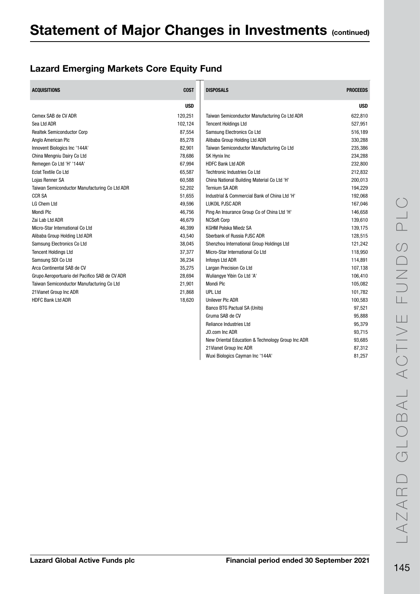# Lazard Emerging Markets Core Equity Fund

| <b>ACQUISITIONS</b>                            | <b>COST</b> | <b>DISPOSALS</b>                                  | <b>PROCEEDS</b> |
|------------------------------------------------|-------------|---------------------------------------------------|-----------------|
|                                                | <b>USD</b>  |                                                   | <b>USD</b>      |
| Cemex SAB de CV ADR                            | 120,251     | Taiwan Semiconductor Manufacturing Co Ltd ADR     | 622,810         |
| Sea Ltd ADR                                    | 102,124     | <b>Tencent Holdings Ltd</b>                       | 527,951         |
| <b>Realtek Semiconductor Corp</b>              | 87,554      | Samsung Electronics Co Ltd                        | 516,189         |
| Anglo American Plc                             | 85,278      | Alibaba Group Holding Ltd ADR                     | 330,288         |
| Innovent Biologics Inc '144A'                  | 82,901      | Taiwan Semiconductor Manufacturing Co Ltd         | 235,386         |
| China Mengniu Dairy Co Ltd                     | 78,686      | SK Hynix Inc                                      | 234,288         |
| Remegen Co Ltd 'H' '144A'                      | 67,994      | <b>HDFC Bank Ltd ADR</b>                          | 232,800         |
| <b>Eclat Textile Co Ltd</b>                    | 65,587      | <b>Techtronic Industries Co Ltd</b>               | 212,832         |
| Lojas Renner SA                                | 60,588      | China National Building Material Co Ltd 'H'       | 200,013         |
| Taiwan Semiconductor Manufacturing Co Ltd ADR  | 52,202      | <b>Ternium SA ADR</b>                             | 194,229         |
| <b>CCR SA</b>                                  | 51,655      | Industrial & Commercial Bank of China Ltd 'H'     | 192,068         |
| <b>LG Chem Ltd</b>                             | 49,596      | <b>LUKOIL PJSC ADR</b>                            | 167,046         |
| <b>Mondi Plc</b>                               | 46,756      | Ping An Insurance Group Co of China Ltd 'H'       | 146,658         |
| Zai Lab Ltd ADR                                | 46.679      | <b>NCSoft Corp</b>                                | 139,610         |
| Micro-Star International Co Ltd                | 46,399      | <b>KGHM Polska Miedz SA</b>                       | 139,175         |
| Alibaba Group Holding Ltd ADR                  | 43,540      | Sberbank of Russia PJSC ADR                       | 128,515         |
| Samsung Electronics Co Ltd                     | 38,045      | Shenzhou International Group Holdings Ltd         | 121,242         |
| <b>Tencent Holdings Ltd</b>                    | 37,377      | Micro-Star International Co Ltd                   | 118,950         |
| Samsung SDI Co Ltd                             | 36,234      | Infosys Ltd ADR                                   | 114,891         |
| Arca Continental SAB de CV                     | 35,275      | Largan Precision Co Ltd                           | 107,138         |
| Grupo Aeroportuario del Pacifico SAB de CV ADR | 28,694      | Wuliangye Yibin Co Ltd 'A'                        | 106,410         |
| Taiwan Semiconductor Manufacturing Co Ltd      | 21,901      | <b>Mondi Plc</b>                                  | 105,082         |
| 21 Vianet Group Inc ADR                        | 21,868      | <b>UPL Ltd</b>                                    | 101,782         |
| <b>HDFC Bank Ltd ADR</b>                       | 18,620      | <b>Unilever PIc ADR</b>                           | 100,583         |
|                                                |             | Banco BTG Pactual SA (Units)                      | 97,521          |
|                                                |             | Gruma SAB de CV                                   | 95,888          |
|                                                |             | <b>Reliance Industries Ltd</b>                    | 95,379          |
|                                                |             | JD.com Inc ADR                                    | 93,715          |
|                                                |             | New Oriental Education & Technology Group Inc ADR | 93,685          |
|                                                |             | 21 Vianet Group Inc ADR                           | 87,312          |

Wuxi Biologics Cayman Inc '144A' 81,257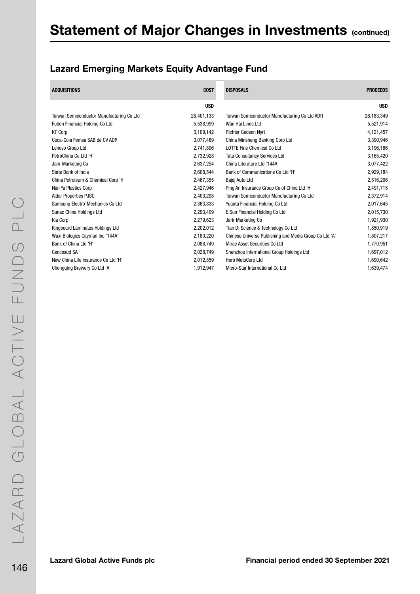# Lazard Emerging Markets Equity Advantage Fund

| <b>ACQUISITIONS</b>                       | <b>COST</b> | <b>DISPOSALS</b>                                       | <b>PROCEEDS</b> |
|-------------------------------------------|-------------|--------------------------------------------------------|-----------------|
|                                           | <b>USD</b>  |                                                        | <b>USD</b>      |
| Taiwan Semiconductor Manufacturing Co Ltd | 26,401,133  | Taiwan Semiconductor Manufacturing Co Ltd ADR          | 26,183,349      |
| Fubon Financial Holding Co Ltd            | 5,538,999   | Wan Hai Lines Ltd                                      | 5,521,914       |
| <b>KT Corp</b>                            | 3,109,142   | <b>Richter Gedeon Nyrt</b>                             | 4,121,457       |
| Coca-Cola Femsa SAB de CV ADR             | 3,077,489   | China Minsheng Banking Corp Ltd                        | 3,390,946       |
| Lenovo Group Ltd                          | 2,741,806   | <b>LOTTE Fine Chemical Co Ltd</b>                      | 3,196,186       |
| PetroChina Co Ltd 'H'                     | 2,732,928   | <b>Tata Consultancy Services Ltd</b>                   | 3,165,420       |
| Jarir Marketing Co                        | 2,637,254   | China Literature Ltd '144A'                            | 3,077,422       |
| State Bank of India                       | 2,608,544   | Bank of Communications Co Ltd 'H'                      | 2,929,184       |
| China Petroleum & Chemical Corp 'H'       | 2,467,355   | Bajaj Auto Ltd                                         | 2,516,206       |
| Nan Ya Plastics Corp                      | 2,427,946   | Ping An Insurance Group Co of China Ltd 'H'            | 2,491,715       |
| <b>Aldar Properties PJSC</b>              | 2,403,298   | Taiwan Semiconductor Manufacturing Co Ltd              | 2,372,914       |
| Samsung Electro-Mechanics Co Ltd          | 2,363,833   | Yuanta Financial Holding Co Ltd                        | 2,017,645       |
| Sunac China Holdings Ltd                  | 2,293,409   | E.Sun Financial Holding Co Ltd                         | 2,015,730       |
| Kia Corp                                  | 2,279,623   | Jarir Marketing Co                                     | 1,921,930       |
| Kingboard Laminates Holdings Ltd          | 2,202,012   | Tian Di Science & Technology Co Ltd                    | 1,850,919       |
| Wuxi Biologics Cayman Inc '144A'          | 2,180,220   | Chinese Universe Publishing and Media Group Co Ltd 'A' | 1,807,217       |
| Bank of China Ltd 'H'                     | 2,086,749   | Mirae Asset Securities Co Ltd                          | 1,770,951       |
| Cencosud SA                               | 2,028,749   | Shenzhou International Group Holdings Ltd              | 1,697,012       |
| New China Life Insurance Co Ltd 'H'       | 2,012,859   | Hero MotoCorp Ltd                                      | 1,690,642       |
| Chongqing Brewery Co Ltd 'A'              | 1,912,947   | Micro-Star International Co Ltd                        | 1,639,474       |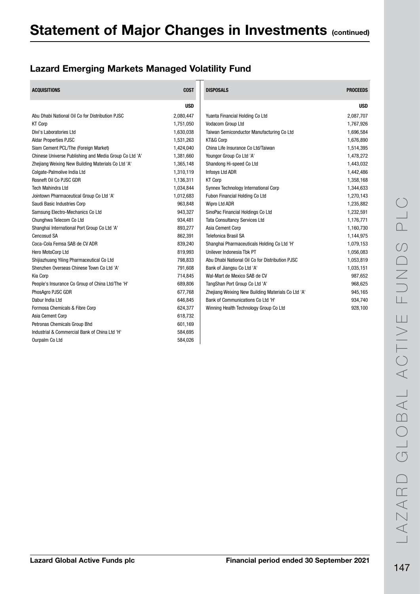# Lazard Emerging Markets Managed Volatility Fund

| <b>ACQUISITIONS</b>                                    | <b>COST</b> | <b>DISPOSALS</b>                                   | <b>PROCEEDS</b> |
|--------------------------------------------------------|-------------|----------------------------------------------------|-----------------|
|                                                        | <b>USD</b>  |                                                    | <b>USD</b>      |
| Abu Dhabi National Oil Co for Distribution PJSC        | 2,080,447   | Yuanta Financial Holding Co Ltd                    | 2,087,707       |
| <b>KT Corp</b>                                         | 1,751,050   | Vodacom Group Ltd                                  | 1,767,926       |
| Divi's Laboratories Ltd                                | 1,630,038   | Taiwan Semiconductor Manufacturing Co Ltd          | 1,696,584       |
| <b>Aldar Properties PJSC</b>                           | 1,531,263   | KT&G Corp                                          | 1,676,890       |
| Siam Cement PCL/The (Foreign Market)                   | 1,424,040   | China Life Insurance Co Ltd/Taiwan                 | 1,514,395       |
| Chinese Universe Publishing and Media Group Co Ltd 'A' | 1,381,660   | Youngor Group Co Ltd 'A'                           | 1,478,272       |
| Zhejiang Weixing New Building Materials Co Ltd 'A'     | 1,365,148   | Shandong Hi-speed Co Ltd                           | 1,443,032       |
| Colgate-Palmolive India Ltd                            | 1,310,119   | Infosys Ltd ADR                                    | 1,442,486       |
| Rosneft Oil Co PJSC GDR                                | 1,136,311   | <b>KT Corp</b>                                     | 1,358,168       |
| <b>Tech Mahindra Ltd</b>                               | 1,034,844   | Synnex Technology International Corp               | 1,344,633       |
| Jointown Pharmaceutical Group Co Ltd 'A'               | 1,012,683   | Fubon Financial Holding Co Ltd                     | 1,270,143       |
| Saudi Basic Industries Corp                            | 963,848     | Wipro Ltd ADR                                      | 1,235,882       |
| Samsung Electro-Mechanics Co Ltd                       | 943,327     | SinoPac Financial Holdings Co Ltd                  | 1,232,591       |
| Chunghwa Telecom Co Ltd                                | 934,481     | <b>Tata Consultancy Services Ltd</b>               | 1,176,771       |
| Shanghai International Port Group Co Ltd 'A'           | 893,277     | Asia Cement Corp                                   | 1,160,730       |
| Cencosud SA                                            | 862,391     | <b>Telefonica Brasil SA</b>                        | 1,144,975       |
| Coca-Cola Femsa SAB de CV ADR                          | 839,240     | Shanghai Pharmaceuticals Holding Co Ltd 'H'        | 1,079,153       |
| Hero MotoCorp Ltd                                      | 819,993     | Unilever Indonesia Tbk PT                          | 1,056,083       |
| Shijiazhuang Yiling Pharmaceutical Co Ltd              | 798,833     | Abu Dhabi National Oil Co for Distribution PJSC    | 1,053,819       |
| Shenzhen Overseas Chinese Town Co Ltd 'A'              | 791,608     | Bank of Jiangsu Co Ltd 'A'                         | 1,035,151       |
| Kia Corp                                               | 714,845     | Wal-Mart de Mexico SAB de CV                       | 987,652         |
| People's Insurance Co Group of China Ltd/The 'H'       | 689,806     | TangShan Port Group Co Ltd 'A'                     | 968,625         |
| PhosAgro PJSC GDR                                      | 677,768     | Zhejiang Weixing New Building Materials Co Ltd 'A' | 945,165         |
| Dabur India Ltd                                        | 646,845     | Bank of Communications Co Ltd 'H'                  | 934,740         |
| Formosa Chemicals & Fibre Corp                         | 624,377     | Winning Health Technology Group Co Ltd             | 928,100         |
| Asia Cement Corp                                       | 618,732     |                                                    |                 |
| Petronas Chemicals Group Bhd                           | 601,169     |                                                    |                 |
| Industrial & Commercial Bank of China Ltd 'H'          | 584,695     |                                                    |                 |
| Ourpalm Co Ltd                                         | 584.026     |                                                    |                 |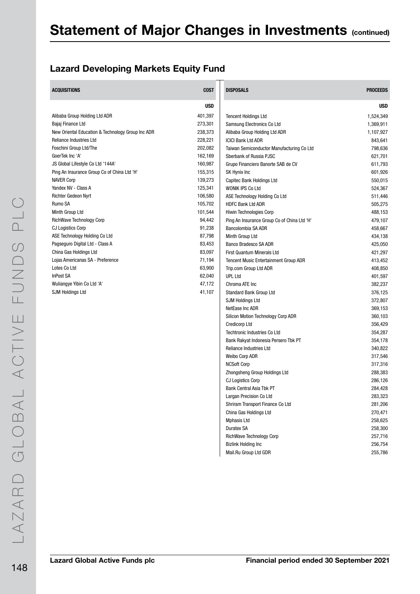### Lazard Developing Markets Equity Fund

| <b>ACQUISITIONS</b>                               | <b>COST</b> | <b>DISPOSALS</b>                             | <b>PROCEEDS</b> |
|---------------------------------------------------|-------------|----------------------------------------------|-----------------|
|                                                   | <b>USD</b>  |                                              | <b>USD</b>      |
| Alibaba Group Holding Ltd ADR                     | 401,397     | <b>Tencent Holdings Ltd</b>                  | 1,524,349       |
| Bajaj Finance Ltd                                 | 273,301     | Samsung Electronics Co Ltd                   | 1,369,911       |
| New Oriental Education & Technology Group Inc ADR | 238,373     | Alibaba Group Holding Ltd ADR                | 1,107,927       |
| <b>Reliance Industries Ltd</b>                    | 228,221     | <b>ICICI Bank Ltd ADR</b>                    | 843,641         |
| Foschini Group Ltd/The                            | 202,082     | Taiwan Semiconductor Manufacturing Co Ltd    | 798,636         |
| GoerTek Inc 'A'                                   | 162,169     | Sberbank of Russia PJSC                      | 621,701         |
| JS Global Lifestyle Co Ltd '144A'                 | 160,987     | Grupo Financiero Banorte SAB de CV           | 611,793         |
| Ping An Insurance Group Co of China Ltd 'H'       | 155,315     | SK Hynix Inc                                 | 601,926         |
| <b>NAVER Corp</b>                                 | 139,273     | Capitec Bank Holdings Ltd                    | 550,015         |
| Yandex NV - Class A                               | 125,341     | WONIK IPS Co Ltd                             | 524,367         |
| <b>Richter Gedeon Nyrt</b>                        | 106,580     | ASE Technology Holding Co Ltd                | 511,446         |
| Rumo SA                                           | 105,702     | <b>HDFC Bank Ltd ADR</b>                     | 505,275         |
| Minth Group Ltd                                   | 101,544     | Hiwin Technologies Corp                      | 488,153         |
| <b>RichWave Technology Corp</b>                   | 94,442      | Ping An Insurance Group Co of China Ltd 'H'  | 479,107         |
| CJ Logistics Corp                                 | 91,238      | Bancolombia SA ADR                           | 458,667         |
| ASE Technology Holding Co Ltd                     | 87,798      | Minth Group Ltd                              | 434,138         |
| Pagseguro Digital Ltd - Class A                   | 83,453      | Banco Bradesco SA ADR                        | 425,050         |
| China Gas Holdings Ltd                            | 83,097      | <b>First Quantum Minerals Ltd</b>            | 421,297         |
| Lojas Americanas SA - Preference                  | 71,194      | <b>Tencent Music Entertainment Group ADR</b> | 413,452         |
| Lotes Co Ltd                                      | 63,900      | Trip.com Group Ltd ADR                       | 408,850         |
| <b>InPost SA</b>                                  | 62,040      | <b>UPL Ltd</b>                               | 401,597         |
| Wuliangye Yibin Co Ltd 'A'                        | 47,172      | Chroma ATE Inc                               | 382,237         |
| <b>SJM Holdings Ltd</b>                           | 41,107      | Standard Bank Group Ltd                      | 376,125         |
|                                                   |             | <b>SJM Holdings Ltd</b>                      | 372,807         |
|                                                   |             | NetEase Inc ADR                              | 369,153         |
|                                                   |             | Silicon Motion Technology Corp ADR           | 360,103         |
|                                                   |             | <b>Credicorp Ltd</b>                         | 356,429         |
|                                                   |             | <b>Techtronic Industries Co Ltd</b>          | 354,287         |
|                                                   |             | Bank Rakyat Indonesia Persero Tbk PT         | 354,178         |
|                                                   |             | Reliance Industries Ltd                      | 340,822         |
|                                                   |             | Weibo Corp ADR                               | 317,546         |
|                                                   |             | <b>NCSoft Corp</b>                           | 317,316         |
|                                                   |             | Zhongsheng Group Holdings Ltd                | 288,383         |
|                                                   |             | CJ Logistics Corp                            | 286,126         |
|                                                   |             | <b>Bank Central Asia Tbk PT</b>              | 284,428         |
|                                                   |             | Largan Precision Co Ltd                      | 283,323         |
|                                                   |             | Shriram Transport Finance Co Ltd             | 281,206         |
|                                                   |             | China Gas Holdings Ltd                       | 270,471         |
|                                                   |             | <b>Mphasis Ltd</b>                           | 258,625         |
|                                                   |             | Duratex SA                                   | 258,300         |
|                                                   |             | <b>RichWave Technology Corp</b>              | 257,716         |
|                                                   |             | <b>Bizlink Holding Inc</b>                   | 256,754         |
|                                                   |             | Mail.Ru Group Ltd GDR                        | 255,786         |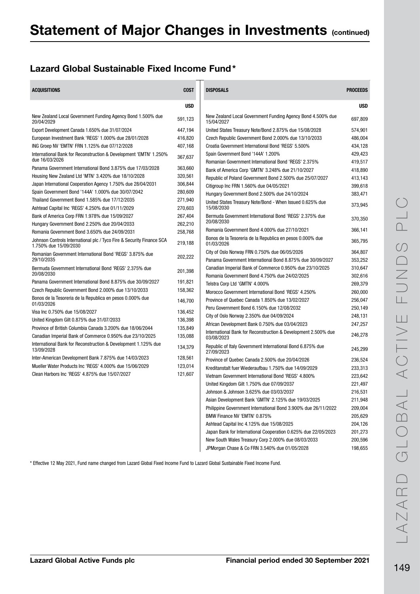#### Lazard Global Sustainable Fixed Income Fund\*

| <b>ACQUISITIONS</b>                                                                            | <b>COST</b> | <b>DISPOSALS</b>                                                             | <b>PROCEEDS</b> |
|------------------------------------------------------------------------------------------------|-------------|------------------------------------------------------------------------------|-----------------|
|                                                                                                | <b>USD</b>  |                                                                              | <b>USD</b>      |
| New Zealand Local Government Funding Agency Bond 1.500% due<br>20/04/2029                      | 591,123     | New Zealand Local Government Funding Agency Bond 4.500% due<br>15/04/2027    | 697,809         |
| Export Development Canada 1.650% due 31/07/2024                                                | 447,194     | United States Treasury Note/Bond 2.875% due 15/08/2028                       | 574,901         |
| European Investment Bank 'REGS' 1.000% due 28/01/2028                                          | 416,820     | Czech Republic Government Bond 2.000% due 13/10/2033                         | 486,004         |
| ING Groep NV 'EMTN' FRN 1.125% due 07/12/2028                                                  | 407,168     | Croatia Government International Bond 'REGS' 5.500%                          | 434,128         |
| International Bank for Reconstruction & Development 'EMTN' 1.250%<br>due 16/03/2026            | 367,637     | Spain Government Bond '144A' 1.200%                                          | 429,423         |
| Panama Government International Bond 3.875% due 17/03/2028                                     | 363,660     | Romanian Government International Bond 'REGS' 2.375%                         | 419,517         |
| Housing New Zealand Ltd 'MTN' 3.420% due 18/10/2028                                            | 320,561     | Bank of America Corp 'GMTN' 3.248% due 21/10/2027                            | 418,890         |
| Japan International Cooperation Agency 1.750% due 28/04/2031                                   | 306,844     | Republic of Poland Government Bond 2.500% due 25/07/2027                     | 413,143         |
| Spain Government Bond '144A' 1.000% due 30/07/2042                                             | 280,609     | Citigroup Inc FRN 1.560% due 04/05/2021                                      | 399,618         |
| Thailand Government Bond 1.585% due 17/12/2035                                                 | 271,940     | Hungary Government Bond 2.500% due 24/10/2024                                | 383,471         |
| Ashtead Capital Inc 'REGS' 4.250% due 01/11/2029                                               | 270,603     | United States Treasury Note/Bond - When Issued 0.625% due<br>15/08/2030      | 373,945         |
| Bank of America Corp FRN 1.978% due 15/09/2027                                                 | 267,404     | Bermuda Government International Bond 'REGS' 2.375% due                      | 370,350         |
| Hungary Government Bond 2.250% due 20/04/2033                                                  | 262,210     | 20/08/2030                                                                   |                 |
| Romania Government Bond 3.650% due 24/09/2031                                                  | 258,768     | Romania Government Bond 4.000% due 27/10/2021                                | 366,141         |
| Johnson Controls International plc / Tyco Fire & Security Finance SCA<br>1.750% due 15/09/2030 | 219,188     | Bonos de la Tesoreria de la Republica en pesos 0.000% due<br>01/03/2026      | 365,795         |
| Romanian Government International Bond 'REGS' 3.875% due                                       | 202,222     | City of Oslo Norway FRN 0.750% due 06/05/2026                                | 364,807         |
| 29/10/2035                                                                                     |             | Panama Government International Bond 8.875% due 30/09/2027                   | 353,252         |
| Bermuda Government International Bond 'REGS' 2.375% due                                        | 201,398     | Canadian Imperial Bank of Commerce 0.950% due 23/10/2025                     | 310,647         |
| 20/08/2030                                                                                     |             | Romania Government Bond 4.750% due 24/02/2025                                | 302,616         |
| Panama Government International Bond 8.875% due 30/09/2027                                     | 191,821     | Telstra Corp Ltd 'GMTN' 4.000%                                               | 269,379         |
| Czech Republic Government Bond 2.000% due 13/10/2033                                           | 158,362     | Morocco Government International Bond 'REGS' 4.250%                          | 260,000         |
| Bonos de la Tesoreria de la Republica en pesos 0.000% due<br>01/03/2026                        | 146,700     | Province of Quebec Canada 1.850% due 13/02/2027                              | 256,047         |
| Visa Inc 0.750% due 15/08/2027                                                                 | 136,452     | Peru Government Bond 6.150% due 12/08/2032                                   | 250,149         |
| United Kingdom Gilt 0.875% due 31/07/2033                                                      | 136,398     | City of Oslo Norway 2.350% due 04/09/2024                                    | 248,131         |
| Province of British Columbia Canada 3.200% due 18/06/2044                                      | 135,849     | African Development Bank 0.750% due 03/04/2023                               | 247,257         |
| Canadian Imperial Bank of Commerce 0.950% due 23/10/2025                                       | 135,088     | International Bank for Reconstruction & Development 2.500% due<br>03/08/2023 | 246,278         |
| International Bank for Reconstruction & Development 1.125% due<br>13/09/2028                   | 134,379     | Republic of Italy Government International Bond 6.875% due<br>27/09/2023     | 245,299         |
| Inter-American Development Bank 7.875% due 14/03/2023                                          | 128,561     | Province of Quebec Canada 2.500% due 20/04/2026                              | 236,524         |
| Mueller Water Products Inc 'REGS' 4.000% due 15/06/2029                                        | 123,014     | Kreditanstalt fuer Wiederaufbau 1.750% due 14/09/2029                        | 233,313         |
| Clean Harbors Inc 'REGS' 4.875% due 15/07/2027                                                 | 121,607     | Vietnam Government International Bond 'REGS' 4.800%                          | 223,642         |
|                                                                                                |             | United Kingdom Gilt 1.750% due 07/09/2037                                    | 221,497         |
|                                                                                                |             | Johnson & Johnson 3.625% due 03/03/2037                                      | 216,531         |
|                                                                                                |             | Asian Development Bank 'GMTN' 2.125% due 19/03/2025                          | 211,948         |
|                                                                                                |             | Philippine Government International Bond 3.900% due 26/11/2022               | 209,004         |
|                                                                                                |             | BMW Finance NV 'EMTN' 0.875%                                                 | 205,629         |
|                                                                                                |             | Ashtead Capital Inc 4.125% due 15/08/2025                                    | 204,126         |
|                                                                                                |             | Japan Bank for International Cooperation 0.625% due 22/05/2023               | 201,273         |
|                                                                                                |             | New South Wales Treasury Corp 2.000% due 08/03/2033                          | 200,596         |

\* Effective 12 May 2021, Fund name changed from Lazard Global Fixed Income Fund to Lazard Global Sustainable Fixed Income Fund.

JPMorgan Chase & Co FRN 3.540% due 01/05/2028 198,655